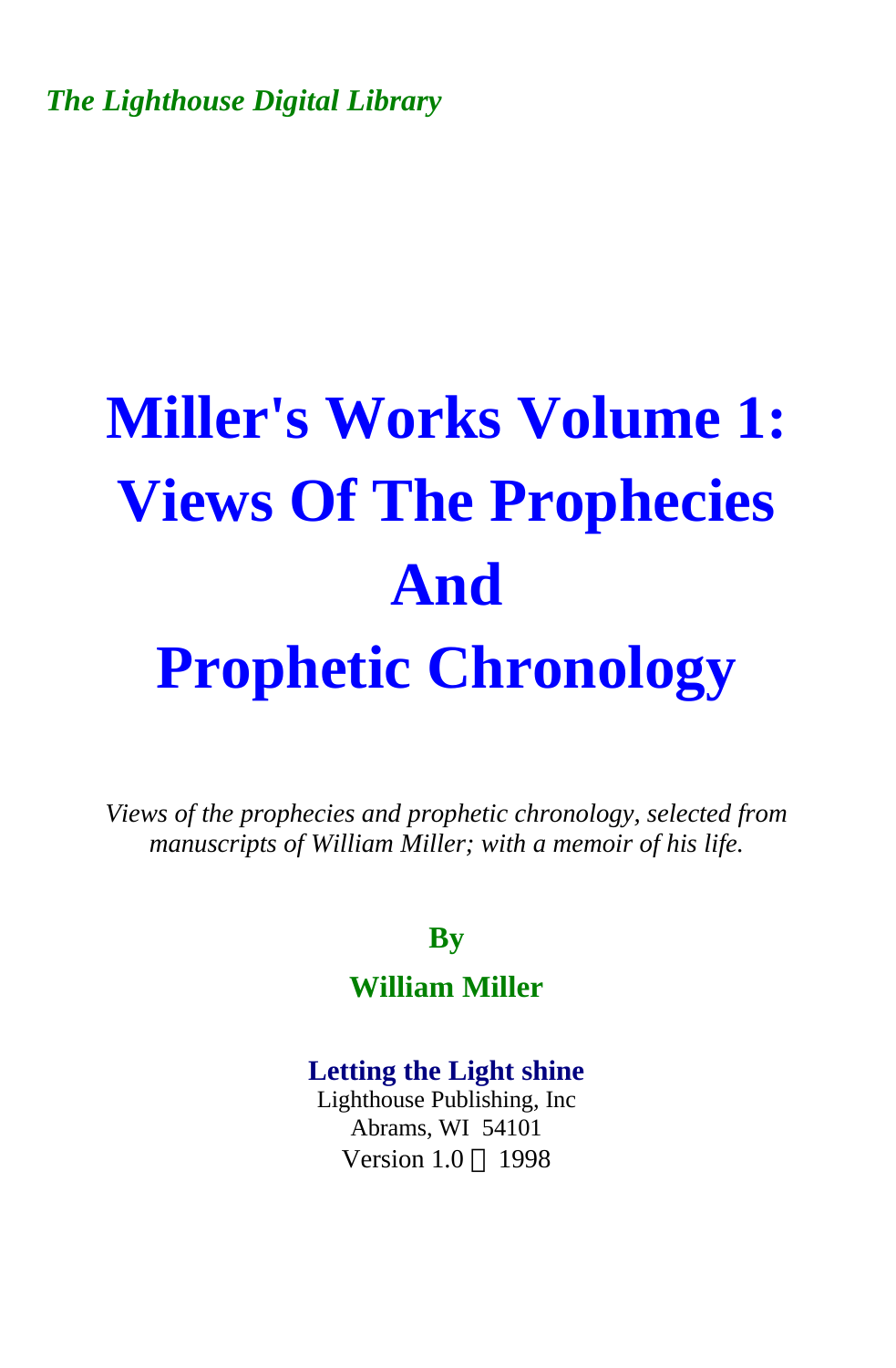*The Lighthouse Digital Library* 

# **Miller's Works Volume 1: Views Of The Prophecies And Prophetic Chronology**

*Views of the prophecies and prophetic chronology, selected from manuscripts of William Miller; with a memoir of his life.* 

#### **By**

#### **William Miller**

#### **Letting the Light shine**

Lighthouse Publishing, Inc Abrams, WI 54101 Version  $1.0 \odot 1998$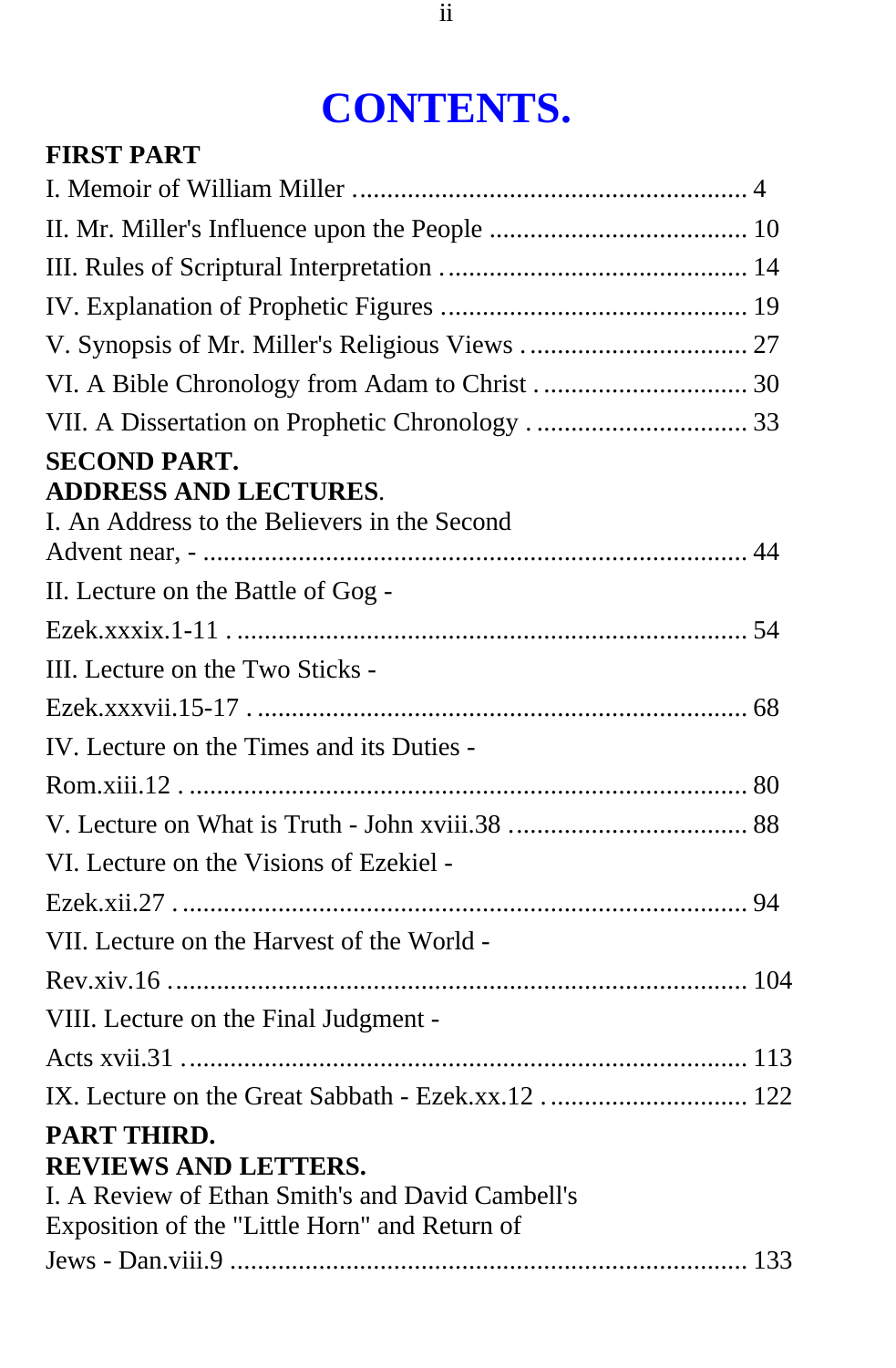# **CONTENTS.**

**FIRST PART** 

| FIKƏL PAKI                                         |  |
|----------------------------------------------------|--|
|                                                    |  |
|                                                    |  |
|                                                    |  |
|                                                    |  |
|                                                    |  |
|                                                    |  |
|                                                    |  |
| <b>SECOND PART.</b>                                |  |
| <b>ADDRESS AND LECTURES.</b>                       |  |
| I. An Address to the Believers in the Second       |  |
|                                                    |  |
| II. Lecture on the Battle of Gog -                 |  |
|                                                    |  |
| III. Lecture on the Two Sticks -                   |  |
|                                                    |  |
| IV. Lecture on the Times and its Duties -          |  |
|                                                    |  |
|                                                    |  |
| VI. Lecture on the Visions of Ezekiel -            |  |
|                                                    |  |
| VII. Lecture on the Harvest of the World -         |  |
|                                                    |  |
| VIII. Lecture on the Final Judgment -              |  |
|                                                    |  |
| IX. Lecture on the Great Sabbath - Ezek.xx.12  122 |  |
| PART THIRD.                                        |  |
| <b>REVIEWS AND LETTERS.</b>                        |  |
| I. A Review of Ethan Smith's and David Cambell's   |  |
| Exposition of the "Little Horn" and Return of      |  |
|                                                    |  |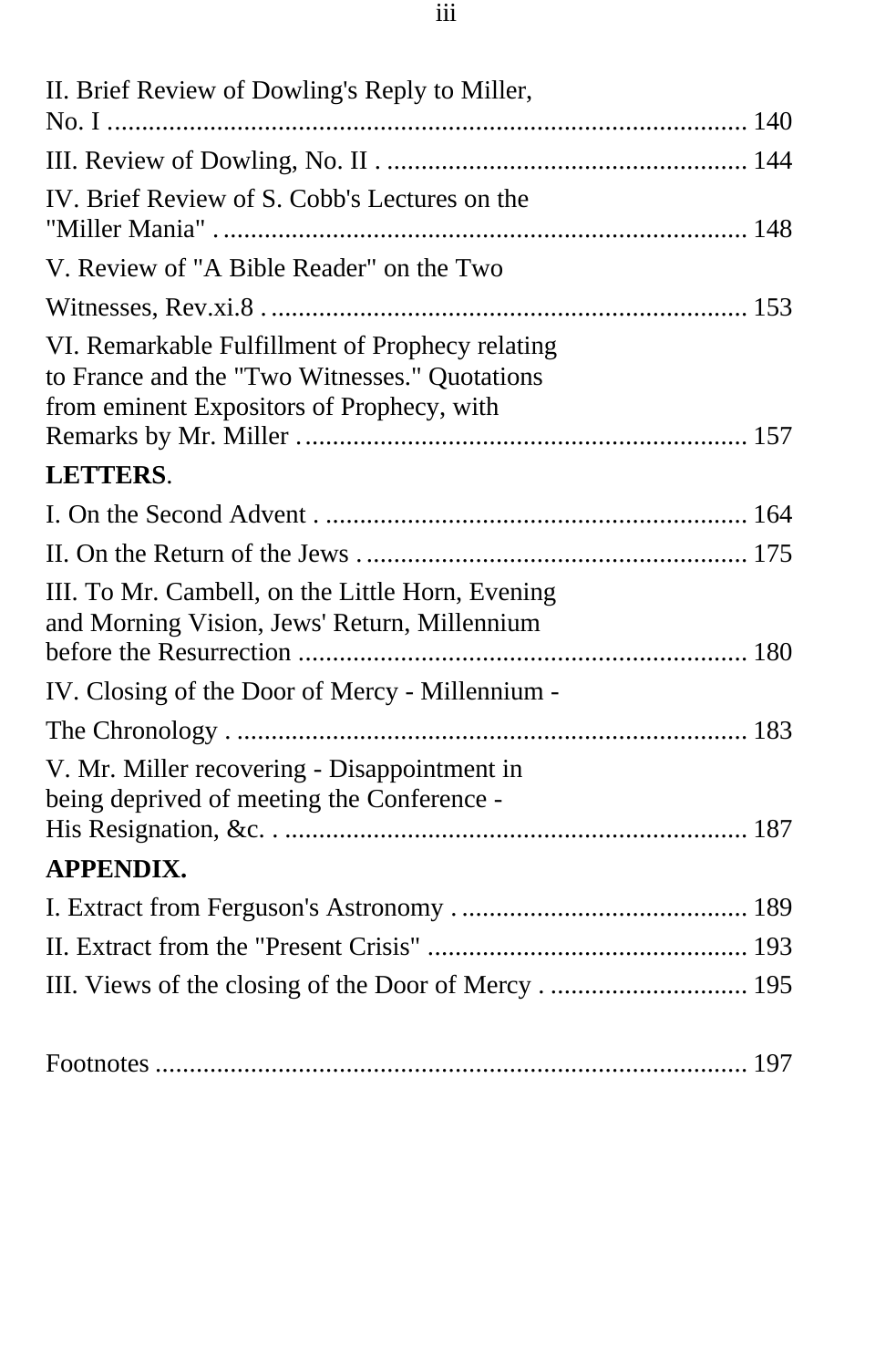| II. Brief Review of Dowling's Reply to Miller,                                                                                                |
|-----------------------------------------------------------------------------------------------------------------------------------------------|
|                                                                                                                                               |
|                                                                                                                                               |
| IV. Brief Review of S. Cobb's Lectures on the                                                                                                 |
| V. Review of "A Bible Reader" on the Two                                                                                                      |
|                                                                                                                                               |
| VI. Remarkable Fulfillment of Prophecy relating<br>to France and the "Two Witnesses." Quotations<br>from eminent Expositors of Prophecy, with |
| <b>LETTERS.</b>                                                                                                                               |
|                                                                                                                                               |
|                                                                                                                                               |
| III. To Mr. Cambell, on the Little Horn, Evening<br>and Morning Vision, Jews' Return, Millennium                                              |
| IV. Closing of the Door of Mercy - Millennium -                                                                                               |
|                                                                                                                                               |
| V. Mr. Miller recovering - Disappointment in<br>being deprived of meeting the Conference -                                                    |
|                                                                                                                                               |
| <b>APPENDIX.</b>                                                                                                                              |
|                                                                                                                                               |
|                                                                                                                                               |
|                                                                                                                                               |
|                                                                                                                                               |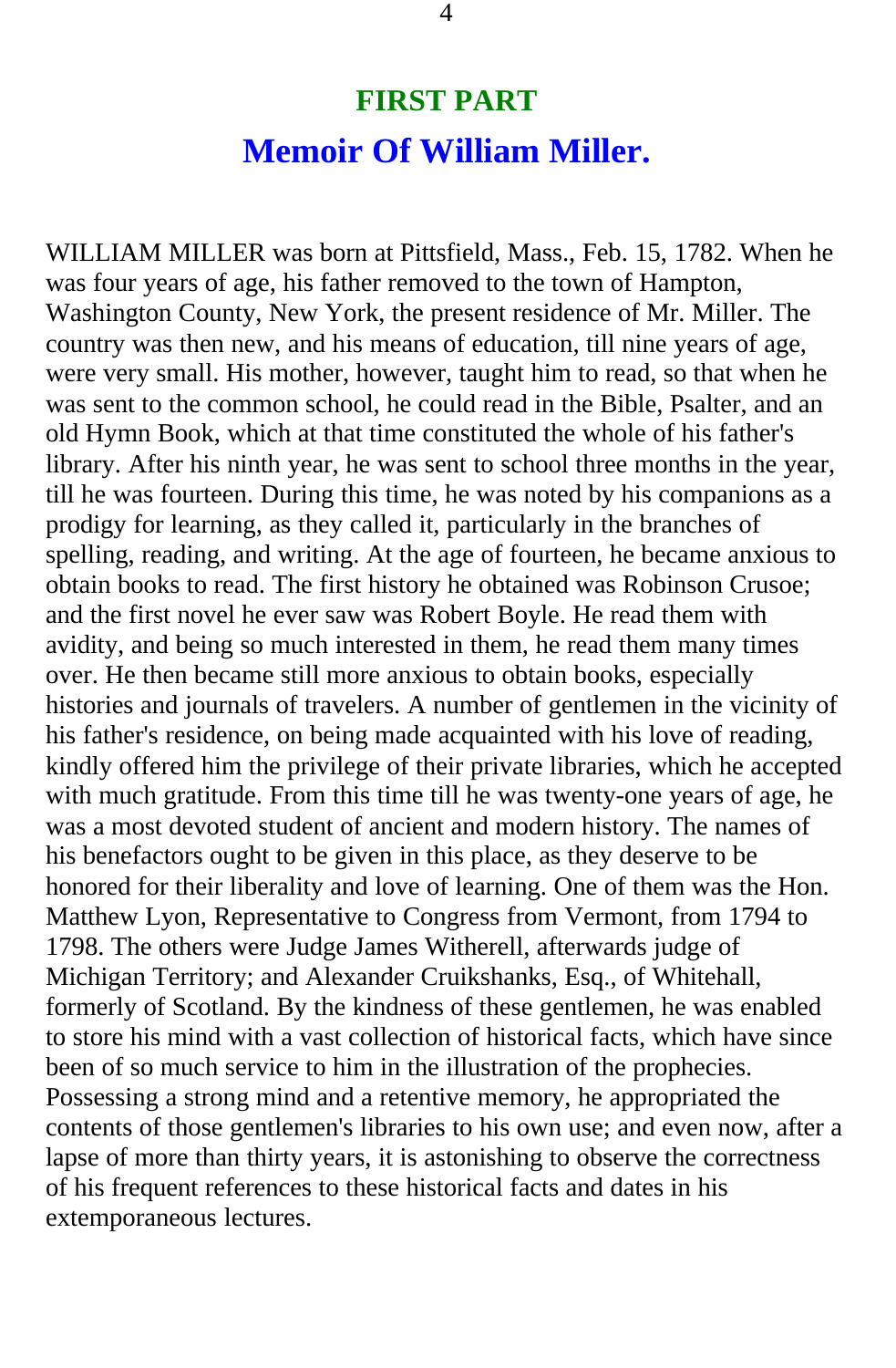# **FIRST PART Memoir Of William Miller.**

<span id="page-3-0"></span>WILLIAM MILLER was born at Pittsfield, Mass., Feb. 15, 1782. When he was four years of age, his father removed to the town of Hampton, Washington County, New York, the present residence of Mr. Miller. The country was then new, and his means of education, till nine years of age, were very small. His mother, however, taught him to read, so that when he was sent to the common school, he could read in the Bible, Psalter, and an old Hymn Book, which at that time constituted the whole of his father's library. After his ninth year, he was sent to school three months in the year, till he was fourteen. During this time, he was noted by his companions as a prodigy for learning, as they called it, particularly in the branches of spelling, reading, and writing. At the age of fourteen, he became anxious to obtain books to read. The first history he obtained was Robinson Crusoe; and the first novel he ever saw was Robert Boyle. He read them with avidity, and being so much interested in them, he read them many times over. He then became still more anxious to obtain books, especially histories and journals of travelers. A number of gentlemen in the vicinity of his father's residence, on being made acquainted with his love of reading, kindly offered him the privilege of their private libraries, which he accepted with much gratitude. From this time till he was twenty-one years of age, he was a most devoted student of ancient and modern history. The names of his benefactors ought to be given in this place, as they deserve to be honored for their liberality and love of learning. One of them was the Hon. Matthew Lyon, Representative to Congress from Vermont, from 1794 to 1798. The others were Judge James Witherell, afterwards judge of Michigan Territory; and Alexander Cruikshanks, Esq., of Whitehall, formerly of Scotland. By the kindness of these gentlemen, he was enabled to store his mind with a vast collection of historical facts, which have since been of so much service to him in the illustration of the prophecies. Possessing a strong mind and a retentive memory, he appropriated the contents of those gentlemen's libraries to his own use; and even now, after a lapse of more than thirty years, it is astonishing to observe the correctness of his frequent references to these historical facts and dates in his extemporaneous lectures.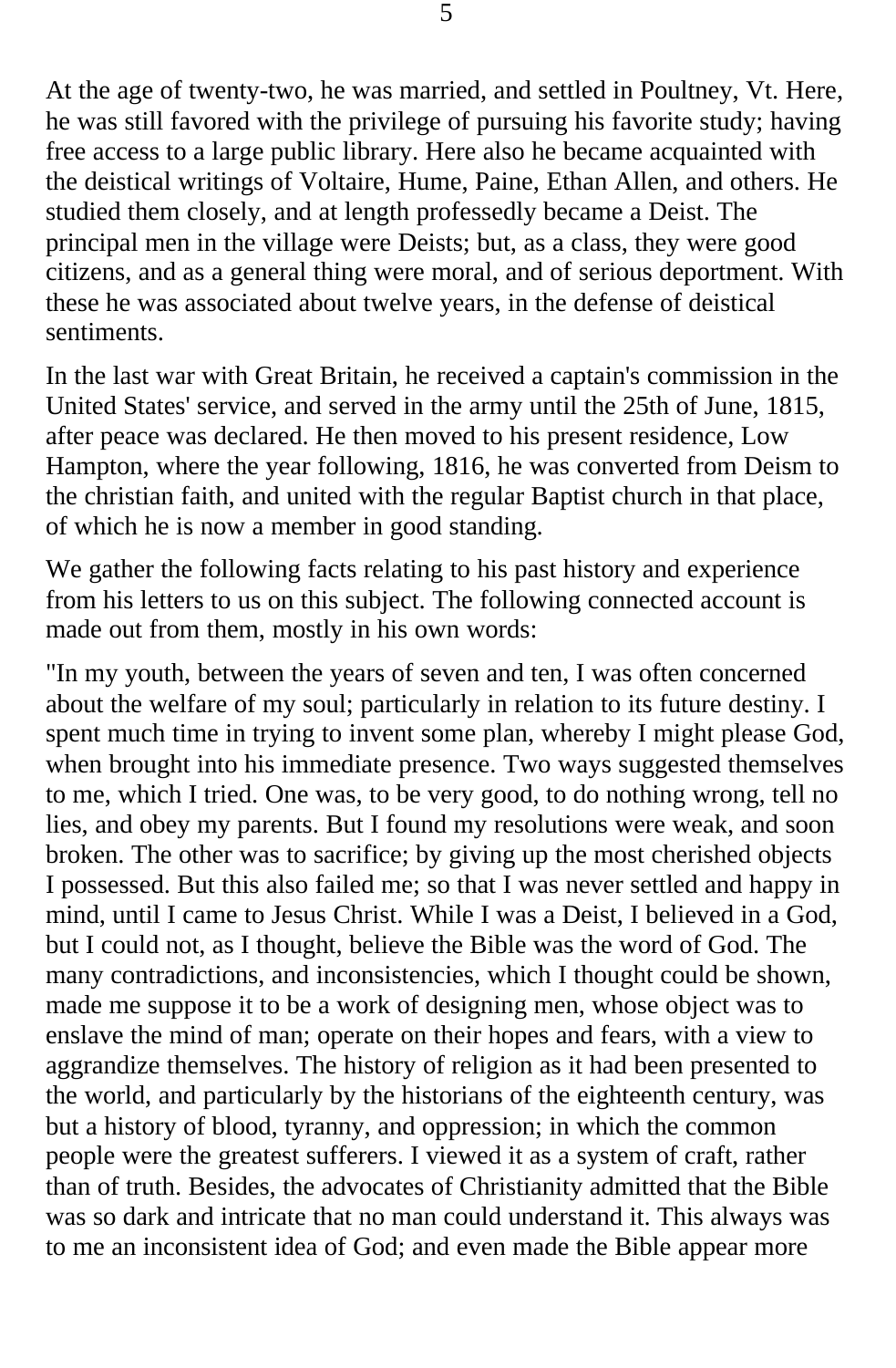At the age of twenty-two, he was married, and settled in Poultney, Vt. Here, he was still favored with the privilege of pursuing his favorite study; having free access to a large public library. Here also he became acquainted with the deistical writings of Voltaire, Hume, Paine, Ethan Allen, and others. He studied them closely, and at length professedly became a Deist. The principal men in the village were Deists; but, as a class, they were good citizens, and as a general thing were moral, and of serious deportment. With these he was associated about twelve years, in the defense of deistical sentiments.

In the last war with Great Britain, he received a captain's commission in the United States' service, and served in the army until the 25th of June, 1815, after peace was declared. He then moved to his present residence, Low Hampton, where the year following, 1816, he was converted from Deism to the christian faith, and united with the regular Baptist church in that place, of which he is now a member in good standing.

We gather the following facts relating to his past history and experience from his letters to us on this subject. The following connected account is made out from them, mostly in his own words:

"In my youth, between the years of seven and ten, I was often concerned about the welfare of my soul; particularly in relation to its future destiny. I spent much time in trying to invent some plan, whereby I might please God, when brought into his immediate presence. Two ways suggested themselves to me, which I tried. One was, to be very good, to do nothing wrong, tell no lies, and obey my parents. But I found my resolutions were weak, and soon broken. The other was to sacrifice; by giving up the most cherished objects I possessed. But this also failed me; so that I was never settled and happy in mind, until I came to Jesus Christ. While I was a Deist, I believed in a God, but I could not, as I thought, believe the Bible was the word of God. The many contradictions, and inconsistencies, which I thought could be shown, made me suppose it to be a work of designing men, whose object was to enslave the mind of man; operate on their hopes and fears, with a view to aggrandize themselves. The history of religion as it had been presented to the world, and particularly by the historians of the eighteenth century, was but a history of blood, tyranny, and oppression; in which the common people were the greatest sufferers. I viewed it as a system of craft, rather than of truth. Besides, the advocates of Christianity admitted that the Bible was so dark and intricate that no man could understand it. This always was to me an inconsistent idea of God; and even made the Bible appear more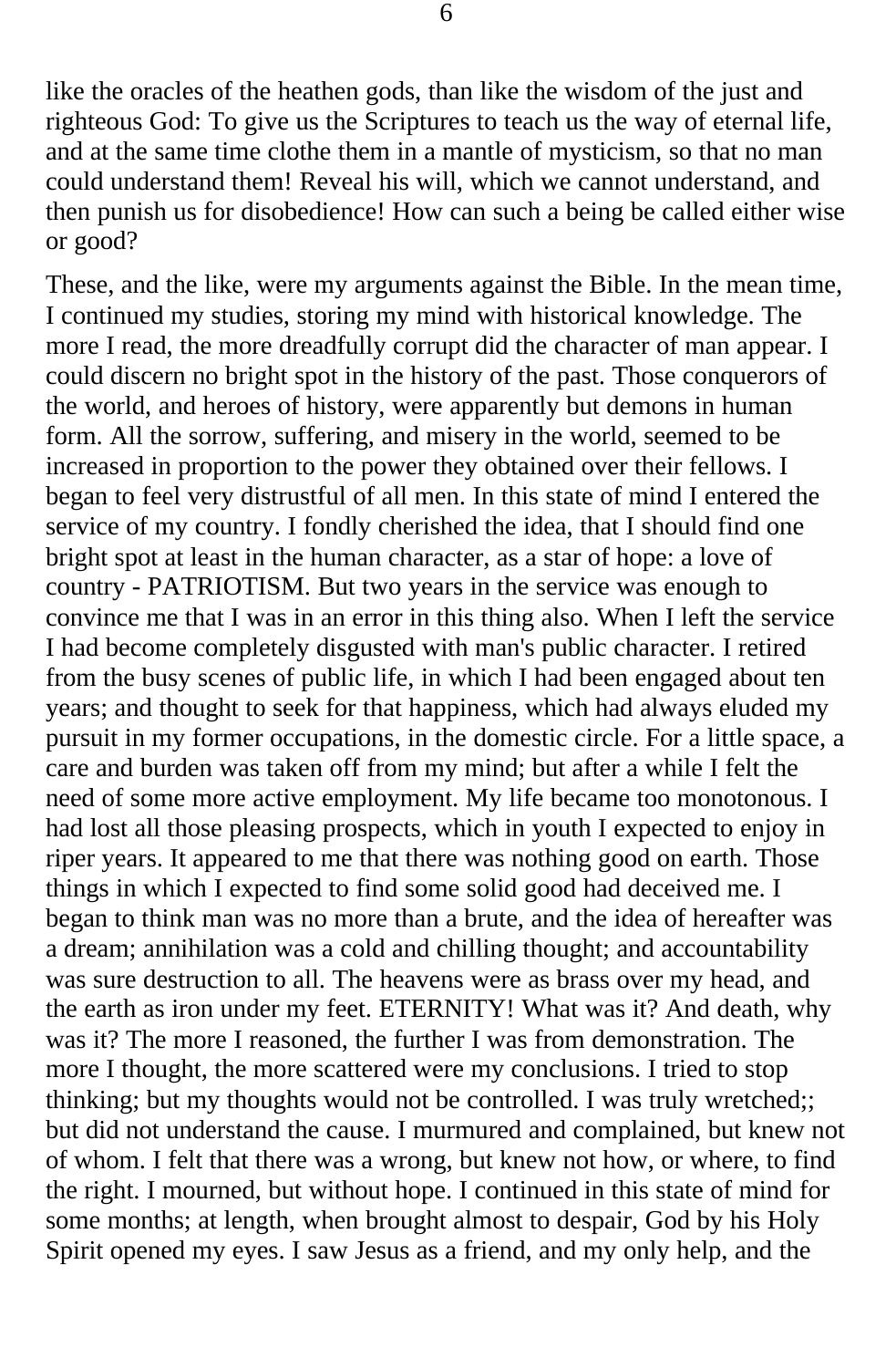like the oracles of the heathen gods, than like the wisdom of the just and righteous God: To give us the Scriptures to teach us the way of eternal life, and at the same time clothe them in a mantle of mysticism, so that no man could understand them! Reveal his will, which we cannot understand, and then punish us for disobedience! How can such a being be called either wise or good?

These, and the like, were my arguments against the Bible. In the mean time, I continued my studies, storing my mind with historical knowledge. The more I read, the more dreadfully corrupt did the character of man appear. I could discern no bright spot in the history of the past. Those conquerors of the world, and heroes of history, were apparently but demons in human form. All the sorrow, suffering, and misery in the world, seemed to be increased in proportion to the power they obtained over their fellows. I began to feel very distrustful of all men. In this state of mind I entered the service of my country. I fondly cherished the idea, that I should find one bright spot at least in the human character, as a star of hope: a love of country - PATRIOTISM. But two years in the service was enough to convince me that I was in an error in this thing also. When I left the service I had become completely disgusted with man's public character. I retired from the busy scenes of public life, in which I had been engaged about ten years; and thought to seek for that happiness, which had always eluded my pursuit in my former occupations, in the domestic circle. For a little space, a care and burden was taken off from my mind; but after a while I felt the need of some more active employment. My life became too monotonous. I had lost all those pleasing prospects, which in youth I expected to enjoy in riper years. It appeared to me that there was nothing good on earth. Those things in which I expected to find some solid good had deceived me. I began to think man was no more than a brute, and the idea of hereafter was a dream; annihilation was a cold and chilling thought; and accountability was sure destruction to all. The heavens were as brass over my head, and the earth as iron under my feet. ETERNITY! What was it? And death, why was it? The more I reasoned, the further I was from demonstration. The more I thought, the more scattered were my conclusions. I tried to stop thinking; but my thoughts would not be controlled. I was truly wretched;; but did not understand the cause. I murmured and complained, but knew not of whom. I felt that there was a wrong, but knew not how, or where, to find the right. I mourned, but without hope. I continued in this state of mind for some months; at length, when brought almost to despair, God by his Holy Spirit opened my eyes. I saw Jesus as a friend, and my only help, and the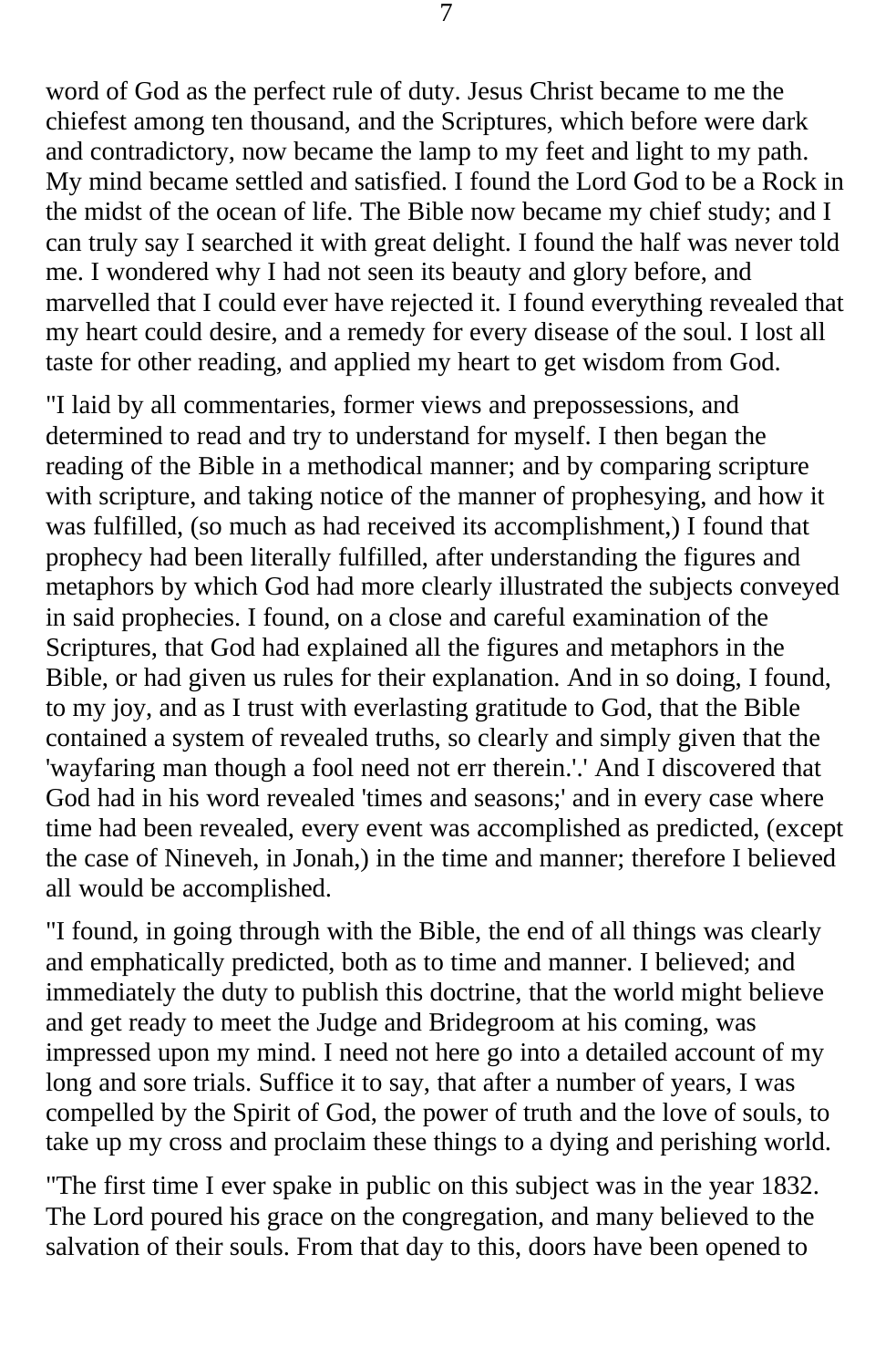word of God as the perfect rule of duty. Jesus Christ became to me the chiefest among ten thousand, and the Scriptures, which before were dark and contradictory, now became the lamp to my feet and light to my path. My mind became settled and satisfied. I found the Lord God to be a Rock in the midst of the ocean of life. The Bible now became my chief study; and I can truly say I searched it with great delight. I found the half was never told me. I wondered why I had not seen its beauty and glory before, and marvelled that I could ever have rejected it. I found everything revealed that my heart could desire, and a remedy for every disease of the soul. I lost all taste for other reading, and applied my heart to get wisdom from God.

"I laid by all commentaries, former views and prepossessions, and determined to read and try to understand for myself. I then began the reading of the Bible in a methodical manner; and by comparing scripture with scripture, and taking notice of the manner of prophesying, and how it was fulfilled, (so much as had received its accomplishment,) I found that prophecy had been literally fulfilled, after understanding the figures and metaphors by which God had more clearly illustrated the subjects conveyed in said prophecies. I found, on a close and careful examination of the Scriptures, that God had explained all the figures and metaphors in the Bible, or had given us rules for their explanation. And in so doing, I found, to my joy, and as I trust with everlasting gratitude to God, that the Bible contained a system of revealed truths, so clearly and simply given that the 'wayfaring man though a fool need not err therein.'.' And I discovered that God had in his word revealed 'times and seasons;' and in every case where time had been revealed, every event was accomplished as predicted, (except the case of Nineveh, in Jonah,) in the time and manner; therefore I believed all would be accomplished.

"I found, in going through with the Bible, the end of all things was clearly and emphatically predicted, both as to time and manner. I believed; and immediately the duty to publish this doctrine, that the world might believe and get ready to meet the Judge and Bridegroom at his coming, was impressed upon my mind. I need not here go into a detailed account of my long and sore trials. Suffice it to say, that after a number of years, I was compelled by the Spirit of God, the power of truth and the love of souls, to take up my cross and proclaim these things to a dying and perishing world.

"The first time I ever spake in public on this subject was in the year 1832. The Lord poured his grace on the congregation, and many believed to the salvation of their souls. From that day to this, doors have been opened to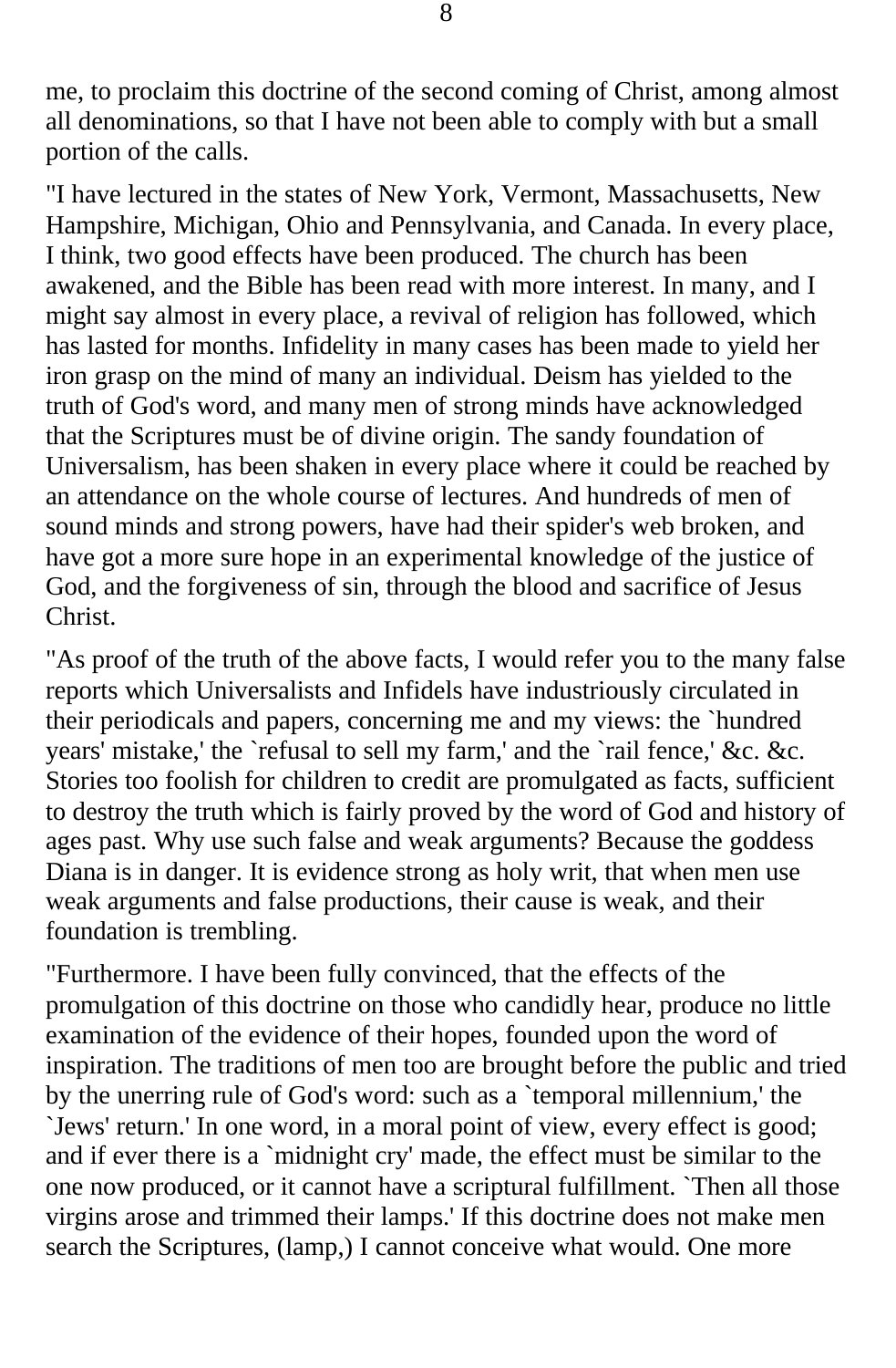me, to proclaim this doctrine of the second coming of Christ, among almost all denominations, so that I have not been able to comply with but a small portion of the calls.

"I have lectured in the states of New York, Vermont, Massachusetts, New Hampshire, Michigan, Ohio and Pennsylvania, and Canada. In every place, I think, two good effects have been produced. The church has been awakened, and the Bible has been read with more interest. In many, and I might say almost in every place, a revival of religion has followed, which has lasted for months. Infidelity in many cases has been made to yield her iron grasp on the mind of many an individual. Deism has yielded to the truth of God's word, and many men of strong minds have acknowledged that the Scriptures must be of divine origin. The sandy foundation of Universalism, has been shaken in every place where it could be reached by an attendance on the whole course of lectures. And hundreds of men of sound minds and strong powers, have had their spider's web broken, and have got a more sure hope in an experimental knowledge of the justice of God, and the forgiveness of sin, through the blood and sacrifice of Jesus Christ.

"As proof of the truth of the above facts, I would refer you to the many false reports which Universalists and Infidels have industriously circulated in their periodicals and papers, concerning me and my views: the `hundred years' mistake,' the `refusal to sell my farm,' and the `rail fence,' &c. &c. Stories too foolish for children to credit are promulgated as facts, sufficient to destroy the truth which is fairly proved by the word of God and history of ages past. Why use such false and weak arguments? Because the goddess Diana is in danger. It is evidence strong as holy writ, that when men use weak arguments and false productions, their cause is weak, and their foundation is trembling.

"Furthermore. I have been fully convinced, that the effects of the promulgation of this doctrine on those who candidly hear, produce no little examination of the evidence of their hopes, founded upon the word of inspiration. The traditions of men too are brought before the public and tried by the unerring rule of God's word: such as a `temporal millennium,' the `Jews' return.' In one word, in a moral point of view, every effect is good; and if ever there is a `midnight cry' made, the effect must be similar to the one now produced, or it cannot have a scriptural fulfillment. `Then all those virgins arose and trimmed their lamps.' If this doctrine does not make men search the Scriptures, (lamp,) I cannot conceive what would. One more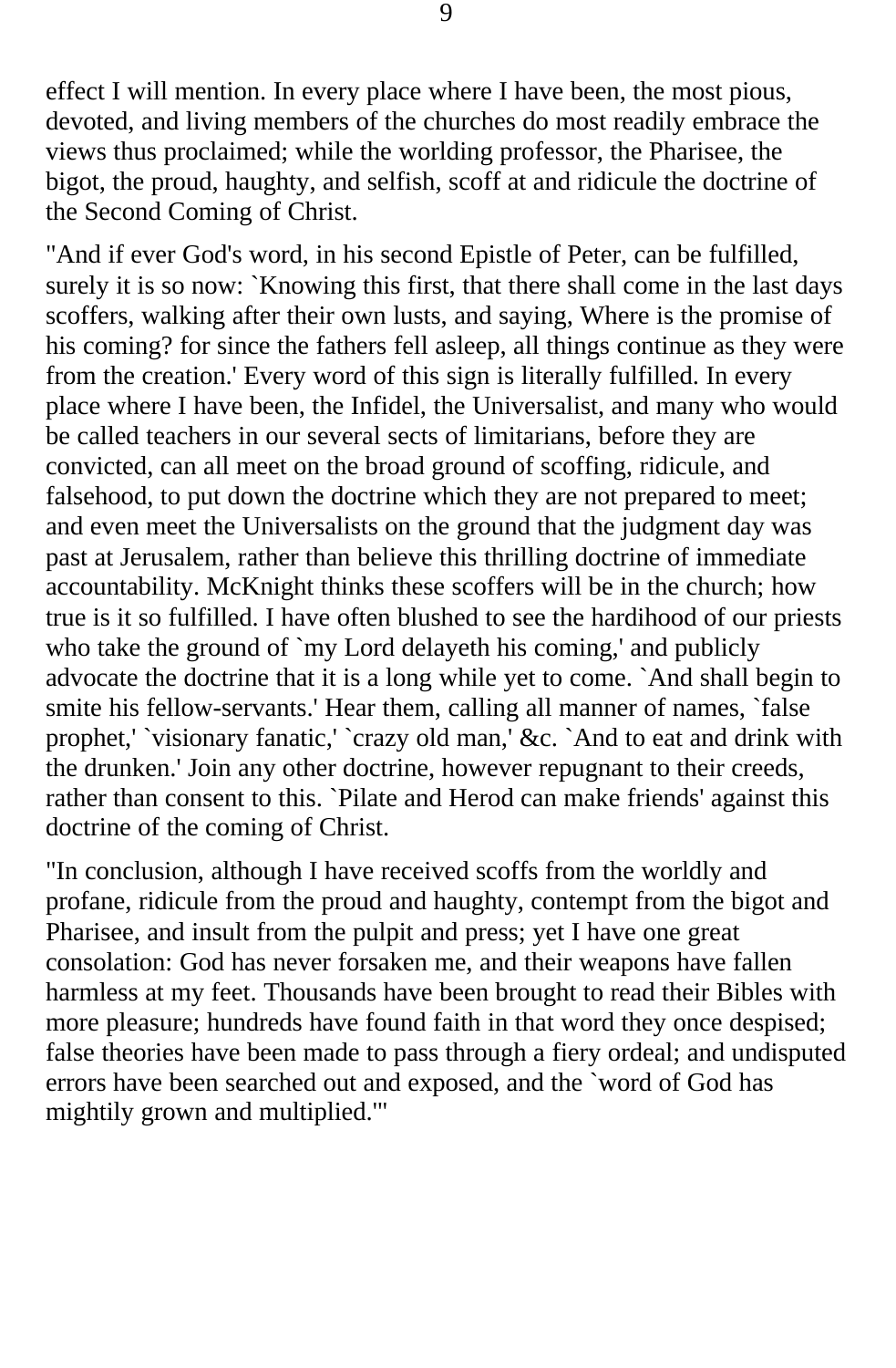effect I will mention. In every place where I have been, the most pious, devoted, and living members of the churches do most readily embrace the views thus proclaimed; while the worlding professor, the Pharisee, the bigot, the proud, haughty, and selfish, scoff at and ridicule the doctrine of the Second Coming of Christ.

"And if ever God's word, in his second Epistle of Peter, can be fulfilled, surely it is so now: `Knowing this first, that there shall come in the last days scoffers, walking after their own lusts, and saying, Where is the promise of his coming? for since the fathers fell asleep, all things continue as they were from the creation.' Every word of this sign is literally fulfilled. In every place where I have been, the Infidel, the Universalist, and many who would be called teachers in our several sects of limitarians, before they are convicted, can all meet on the broad ground of scoffing, ridicule, and falsehood, to put down the doctrine which they are not prepared to meet; and even meet the Universalists on the ground that the judgment day was past at Jerusalem, rather than believe this thrilling doctrine of immediate accountability. McKnight thinks these scoffers will be in the church; how true is it so fulfilled. I have often blushed to see the hardihood of our priests who take the ground of `my Lord delayeth his coming,' and publicly advocate the doctrine that it is a long while yet to come. `And shall begin to smite his fellow-servants.' Hear them, calling all manner of names, `false prophet,' `visionary fanatic,' `crazy old man,' &c. `And to eat and drink with the drunken.' Join any other doctrine, however repugnant to their creeds, rather than consent to this. `Pilate and Herod can make friends' against this doctrine of the coming of Christ.

"In conclusion, although I have received scoffs from the worldly and profane, ridicule from the proud and haughty, contempt from the bigot and Pharisee, and insult from the pulpit and press; yet I have one great consolation: God has never forsaken me, and their weapons have fallen harmless at my feet. Thousands have been brought to read their Bibles with more pleasure; hundreds have found faith in that word they once despised; false theories have been made to pass through a fiery ordeal; and undisputed errors have been searched out and exposed, and the `word of God has mightily grown and multiplied.'"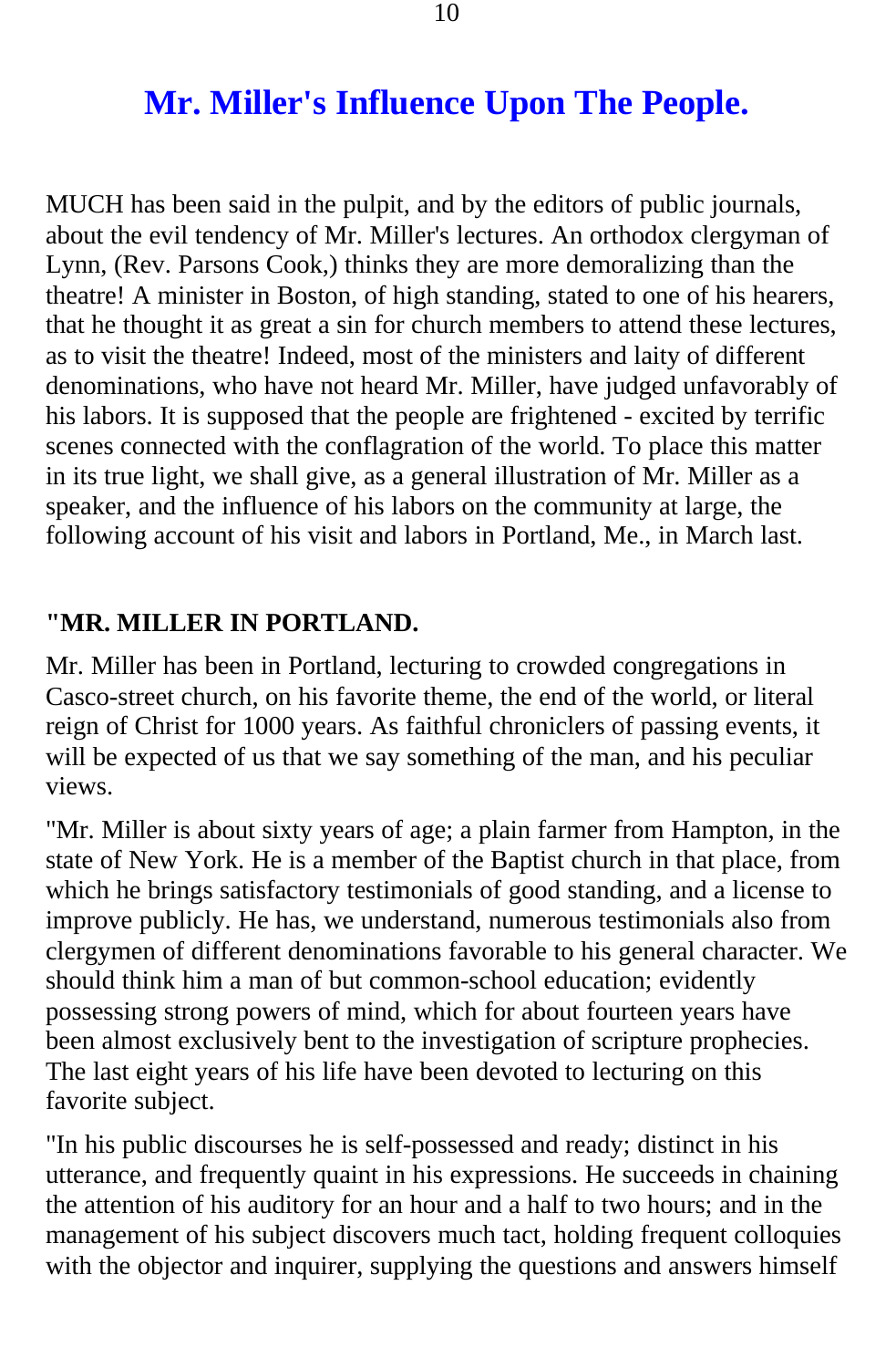# **Mr. Miller's Influence Upon The People.**

<span id="page-9-0"></span>MUCH has been said in the pulpit, and by the editors of public journals, about the evil tendency of Mr. Miller's lectures. An orthodox clergyman of Lynn, (Rev. Parsons Cook,) thinks they are more demoralizing than the theatre! A minister in Boston, of high standing, stated to one of his hearers, that he thought it as great a sin for church members to attend these lectures, as to visit the theatre! Indeed, most of the ministers and laity of different denominations, who have not heard Mr. Miller, have judged unfavorably of his labors. It is supposed that the people are frightened - excited by terrific scenes connected with the conflagration of the world. To place this matter in its true light, we shall give, as a general illustration of Mr. Miller as a speaker, and the influence of his labors on the community at large, the following account of his visit and labors in Portland, Me., in March last.

#### **"MR. MILLER IN PORTLAND.**

Mr. Miller has been in Portland, lecturing to crowded congregations in Casco-street church, on his favorite theme, the end of the world, or literal reign of Christ for 1000 years. As faithful chroniclers of passing events, it will be expected of us that we say something of the man, and his peculiar views.

"Mr. Miller is about sixty years of age; a plain farmer from Hampton, in the state of New York. He is a member of the Baptist church in that place, from which he brings satisfactory testimonials of good standing, and a license to improve publicly. He has, we understand, numerous testimonials also from clergymen of different denominations favorable to his general character. We should think him a man of but common-school education; evidently possessing strong powers of mind, which for about fourteen years have been almost exclusively bent to the investigation of scripture prophecies. The last eight years of his life have been devoted to lecturing on this favorite subject.

"In his public discourses he is self-possessed and ready; distinct in his utterance, and frequently quaint in his expressions. He succeeds in chaining the attention of his auditory for an hour and a half to two hours; and in the management of his subject discovers much tact, holding frequent colloquies with the objector and inquirer, supplying the questions and answers himself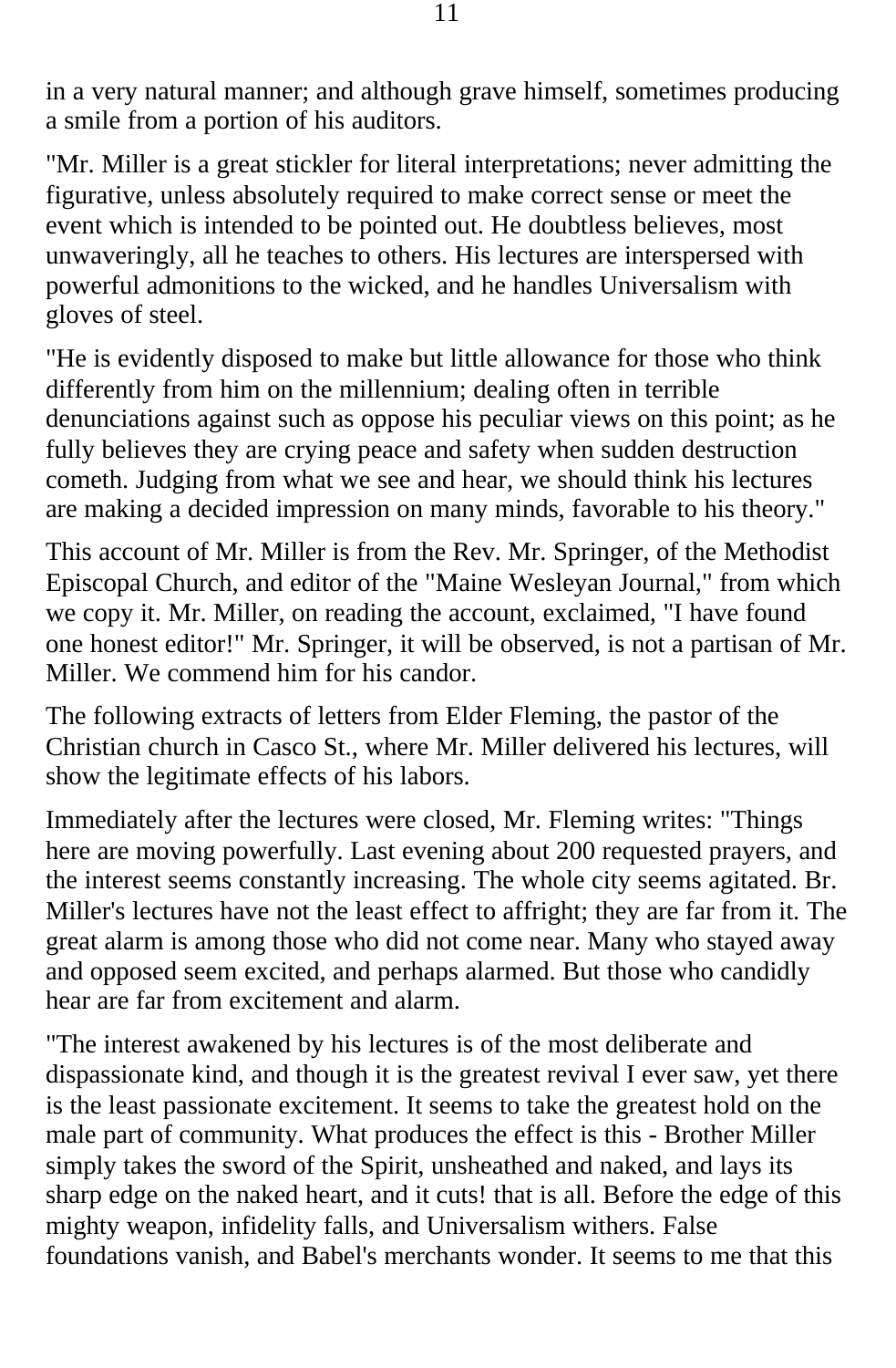in a very natural manner; and although grave himself, sometimes producing a smile from a portion of his auditors.

"Mr. Miller is a great stickler for literal interpretations; never admitting the figurative, unless absolutely required to make correct sense or meet the event which is intended to be pointed out. He doubtless believes, most unwaveringly, all he teaches to others. His lectures are interspersed with powerful admonitions to the wicked, and he handles Universalism with gloves of steel.

"He is evidently disposed to make but little allowance for those who think differently from him on the millennium; dealing often in terrible denunciations against such as oppose his peculiar views on this point; as he fully believes they are crying peace and safety when sudden destruction cometh. Judging from what we see and hear, we should think his lectures are making a decided impression on many minds, favorable to his theory."

This account of Mr. Miller is from the Rev. Mr. Springer, of the Methodist Episcopal Church, and editor of the "Maine Wesleyan Journal," from which we copy it. Mr. Miller, on reading the account, exclaimed, "I have found one honest editor!" Mr. Springer, it will be observed, is not a partisan of Mr. Miller. We commend him for his candor.

The following extracts of letters from Elder Fleming, the pastor of the Christian church in Casco St., where Mr. Miller delivered his lectures, will show the legitimate effects of his labors.

Immediately after the lectures were closed, Mr. Fleming writes: "Things here are moving powerfully. Last evening about 200 requested prayers, and the interest seems constantly increasing. The whole city seems agitated. Br. Miller's lectures have not the least effect to affright; they are far from it. The great alarm is among those who did not come near. Many who stayed away and opposed seem excited, and perhaps alarmed. But those who candidly hear are far from excitement and alarm.

"The interest awakened by his lectures is of the most deliberate and dispassionate kind, and though it is the greatest revival I ever saw, yet there is the least passionate excitement. It seems to take the greatest hold on the male part of community. What produces the effect is this - Brother Miller simply takes the sword of the Spirit, unsheathed and naked, and lays its sharp edge on the naked heart, and it cuts! that is all. Before the edge of this mighty weapon, infidelity falls, and Universalism withers. False foundations vanish, and Babel's merchants wonder. It seems to me that this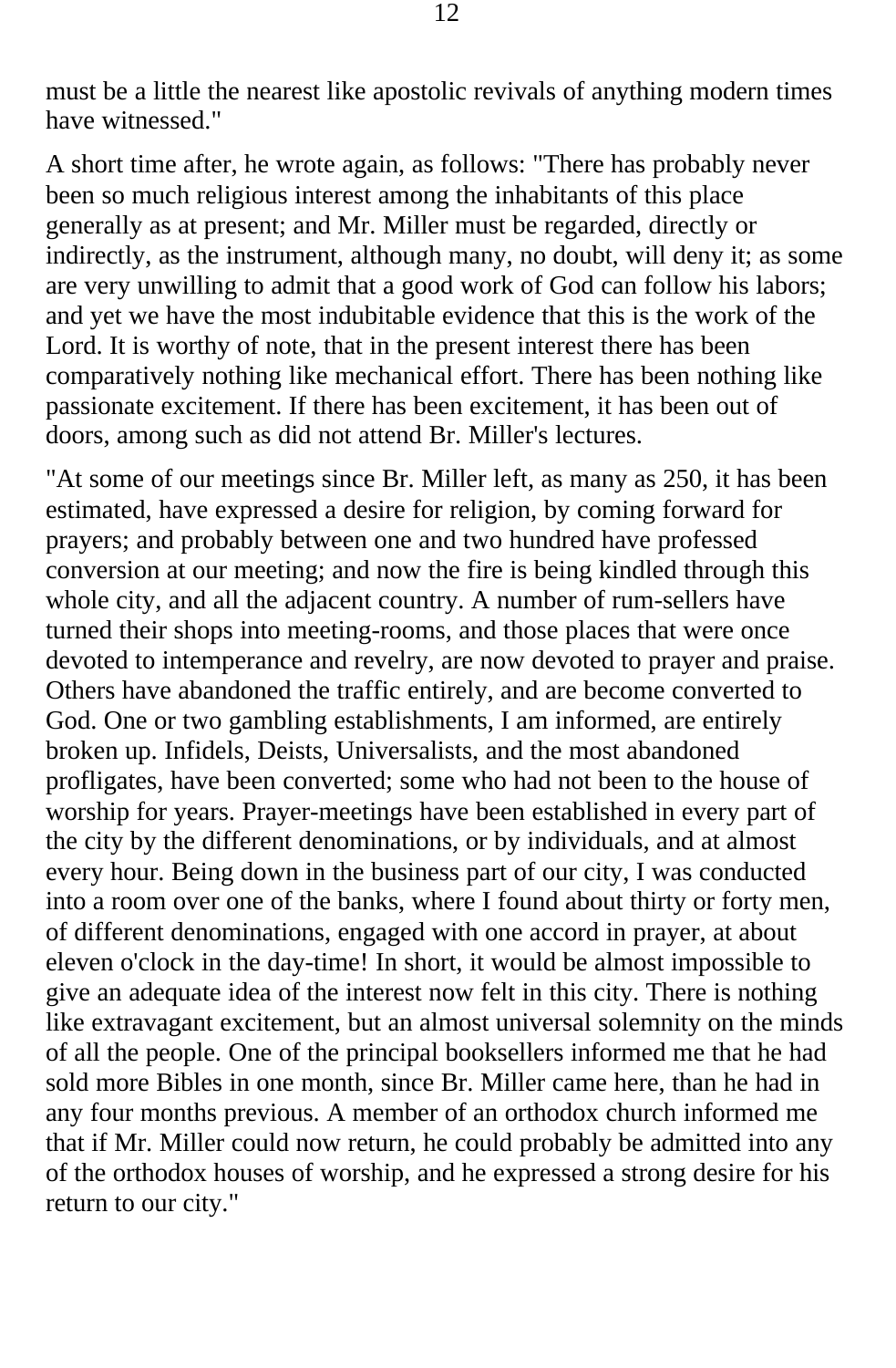must be a little the nearest like apostolic revivals of anything modern times have witnessed."

A short time after, he wrote again, as follows: "There has probably never been so much religious interest among the inhabitants of this place generally as at present; and Mr. Miller must be regarded, directly or indirectly, as the instrument, although many, no doubt, will deny it; as some are very unwilling to admit that a good work of God can follow his labors; and yet we have the most indubitable evidence that this is the work of the Lord. It is worthy of note, that in the present interest there has been comparatively nothing like mechanical effort. There has been nothing like passionate excitement. If there has been excitement, it has been out of doors, among such as did not attend Br. Miller's lectures.

"At some of our meetings since Br. Miller left, as many as 250, it has been estimated, have expressed a desire for religion, by coming forward for prayers; and probably between one and two hundred have professed conversion at our meeting; and now the fire is being kindled through this whole city, and all the adjacent country. A number of rum-sellers have turned their shops into meeting-rooms, and those places that were once devoted to intemperance and revelry, are now devoted to prayer and praise. Others have abandoned the traffic entirely, and are become converted to God. One or two gambling establishments, I am informed, are entirely broken up. Infidels, Deists, Universalists, and the most abandoned profligates, have been converted; some who had not been to the house of worship for years. Prayer-meetings have been established in every part of the city by the different denominations, or by individuals, and at almost every hour. Being down in the business part of our city, I was conducted into a room over one of the banks, where I found about thirty or forty men, of different denominations, engaged with one accord in prayer, at about eleven o'clock in the day-time! In short, it would be almost impossible to give an adequate idea of the interest now felt in this city. There is nothing like extravagant excitement, but an almost universal solemnity on the minds of all the people. One of the principal booksellers informed me that he had sold more Bibles in one month, since Br. Miller came here, than he had in any four months previous. A member of an orthodox church informed me that if Mr. Miller could now return, he could probably be admitted into any of the orthodox houses of worship, and he expressed a strong desire for his return to our city."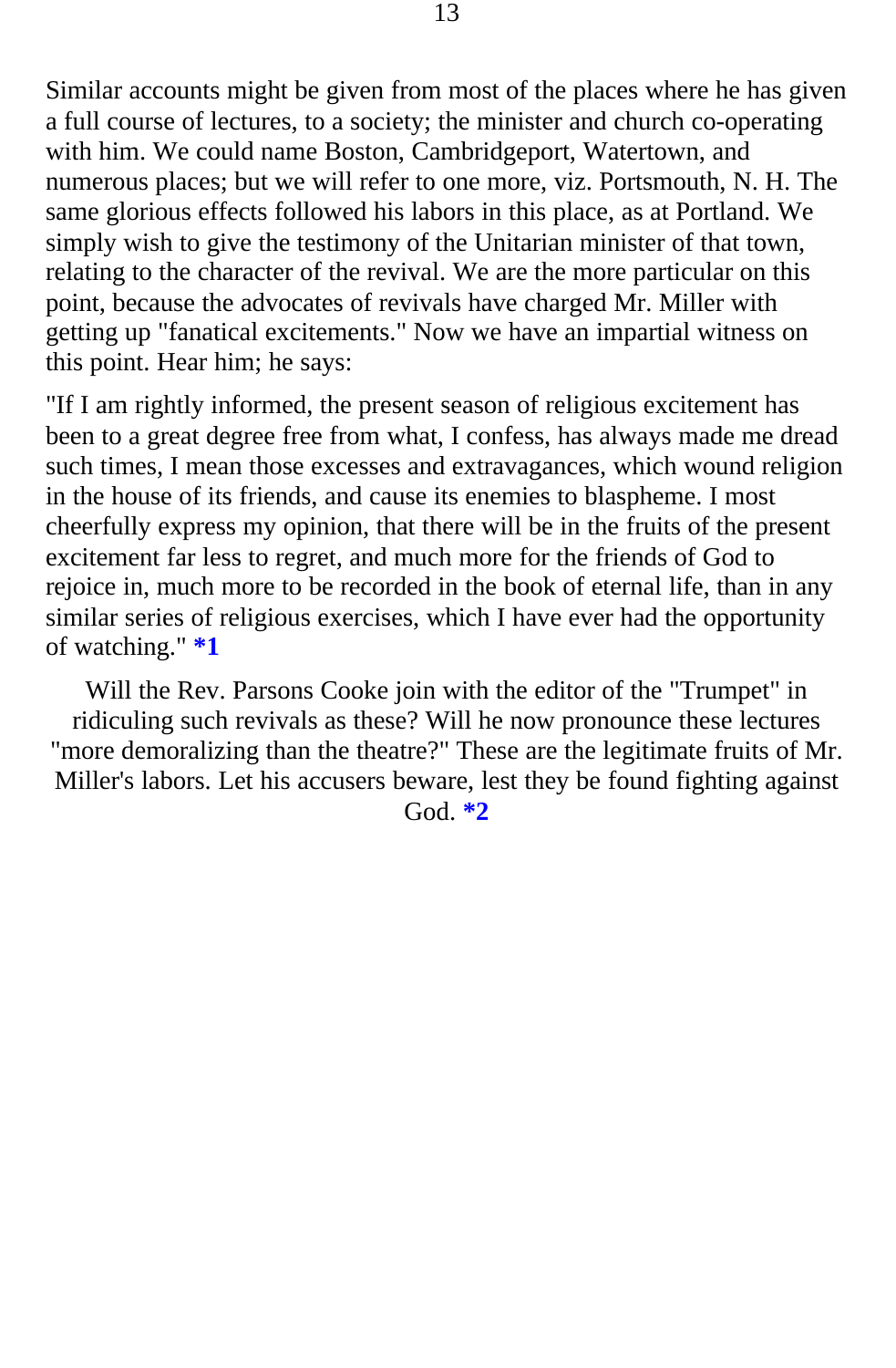Similar accounts might be given from most of the places where he has given a full course of lectures, to a society; the minister and church co-operating with him. We could name Boston, Cambridgeport, Watertown, and numerous places; but we will refer to one more, viz. Portsmouth, N. H. The same glorious effects followed his labors in this place, as at Portland. We simply wish to give the testimony of the Unitarian minister of that town, relating to the character of the revival. We are the more particular on this point, because the advocates of revivals have charged Mr. Miller with getting up "fanatical excitements." Now we have an impartial witness on this point. Hear him; he says:

"If I am rightly informed, the present season of religious excitement has been to a great degree free from what, I confess, has always made me dread such times, I mean those excesses and extravagances, which wound religion in the house of its friends, and cause its enemies to blaspheme. I most cheerfully express my opinion, that there will be in the fruits of the present excitement far less to regret, and much more for the friends of God to rejoice in, much more to be recorded in the book of eternal life, than in any similar seri[es of rel](#page-196-0)igious exercises, which I have ever had the opportunity of watching." **\*1** 

Will the Rev. Parsons Cooke join with the editor of the "Trumpet" in ridiculing such revivals as these? Will he now pronounce these lectures "more demoralizing than the theatre?" These are the legitimate fruits of Mr. Miller's labors. Let his accusers beware, lest they be found fighting against God. **[\\*2](#page-196-0)**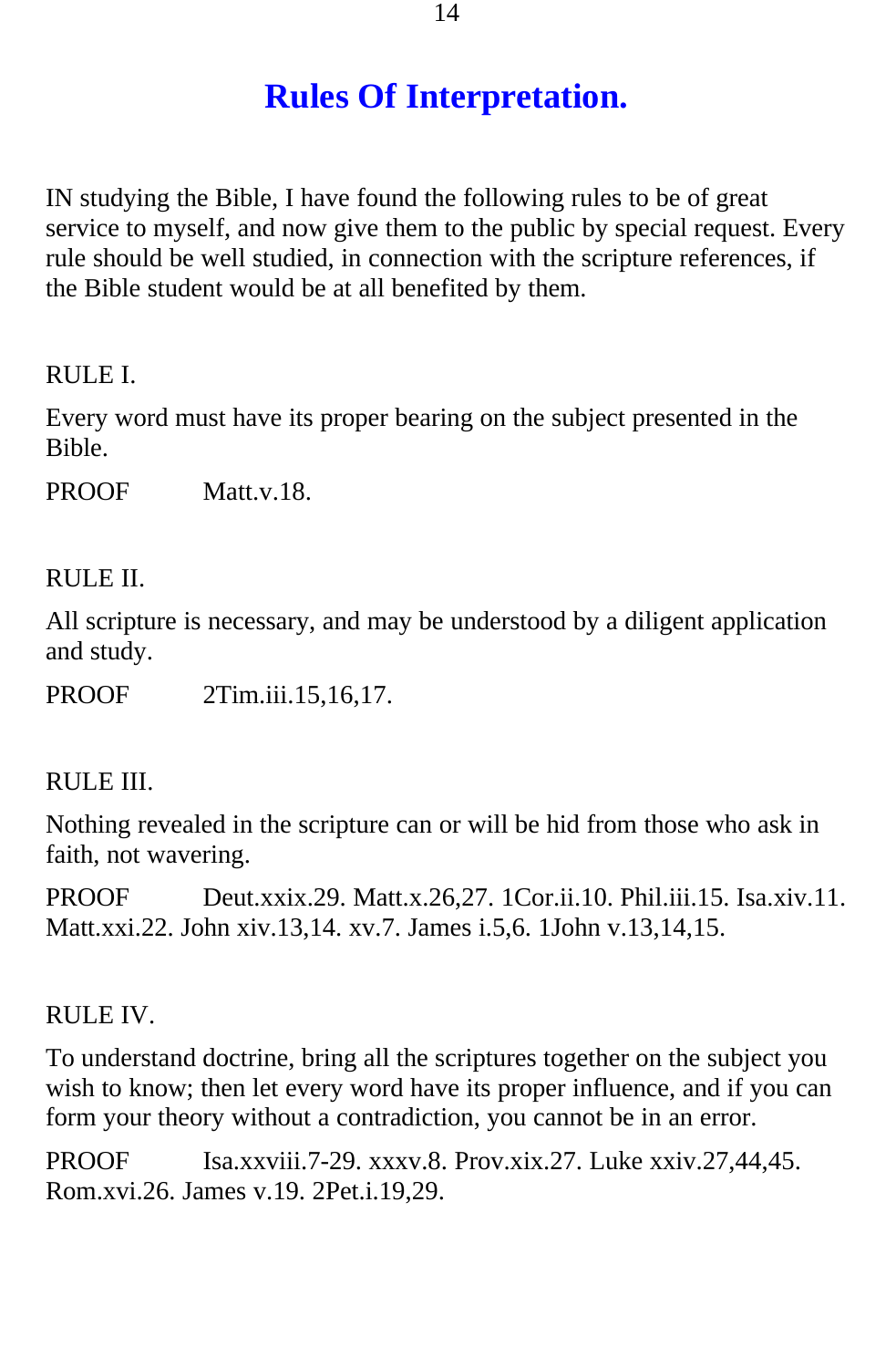# **Rules Of Interpretation.**

<span id="page-13-0"></span>IN studying the Bible, I have found the following rules to be of great service to myself, and now give them to the public by special request. Every rule should be well studied, in connection with the scripture references, if the Bible student would be at all benefited by them.

#### RULE I.

Every word must have its proper bearing on the subject presented in the Bible.

PROOF Matt.v.18.

#### RULE II.

All scripture is necessary, and may be understood by a diligent application and study.

PROOF 2Tim.iii.15,16,17.

#### RULE III.

Nothing revealed in the scripture can or will be hid from those who ask in faith, not wavering.

PROOF Deut.xxix.29. Matt.x.26,27. 1Cor.ii.10. Phil.iii.15. Isa.xiv.11. Matt.xxi.22. John xiv.13,14. xv.7. James i.5,6. 1John v.13,14,15.

#### RULE IV.

To understand doctrine, bring all the scriptures together on the subject you wish to know; then let every word have its proper influence, and if you can form your theory without a contradiction, you cannot be in an error.

PROOF Isa.xxviii.7-29. xxxv.8. Prov.xix.27. Luke xxiv.27,44,45. Rom.xvi.26. James v.19. 2Pet.i.19,29.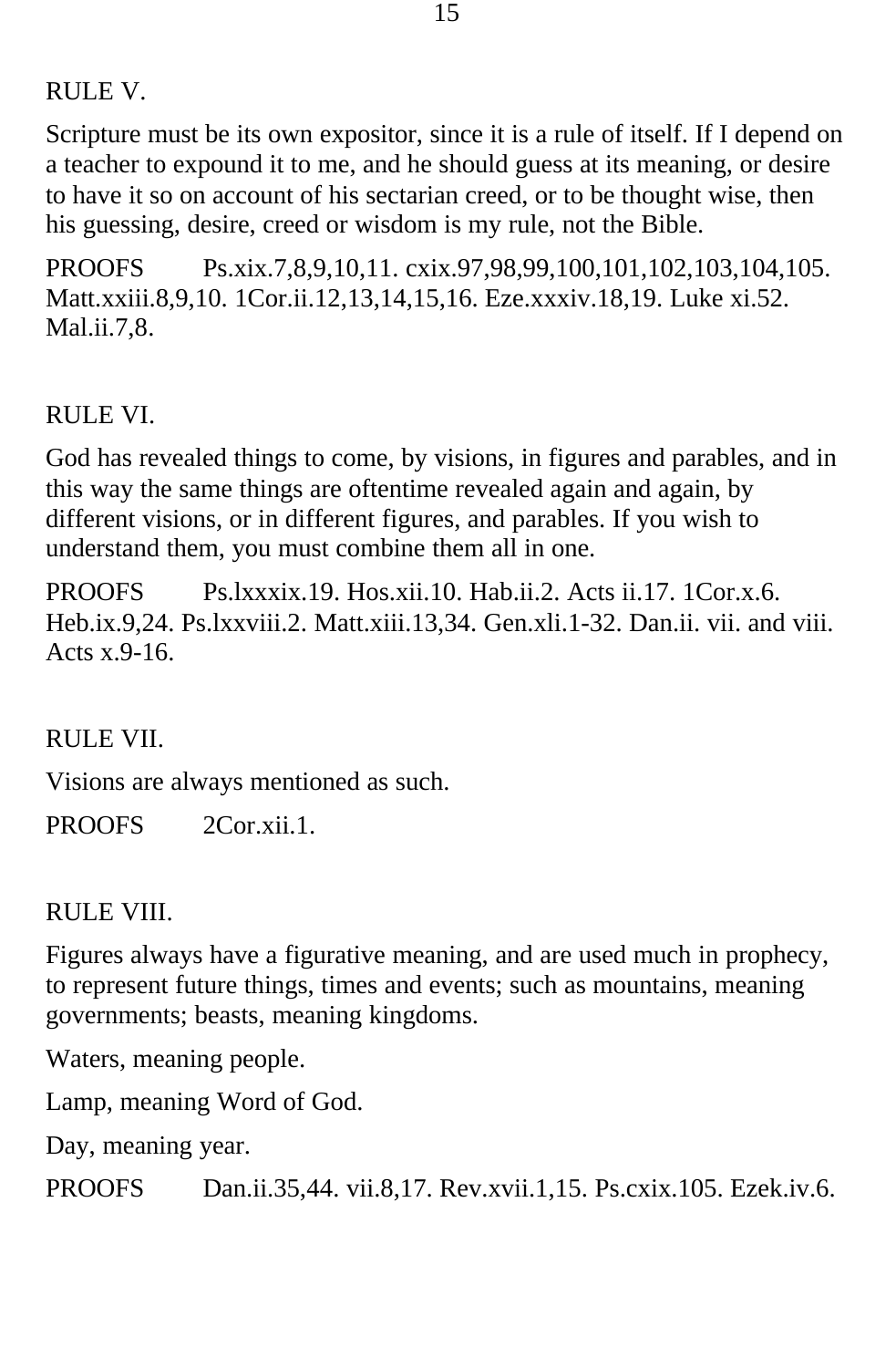#### RULE V.

Scripture must be its own expositor, since it is a rule of itself. If I depend on a teacher to expound it to me, and he should guess at its meaning, or desire to have it so on account of his sectarian creed, or to be thought wise, then his guessing, desire, creed or wisdom is my rule, not the Bible.

PROOFS Ps.xix.7,8,9,10,11. cxix.97,98,99,100,101,102,103,104,105. Matt.xxiii.8,9,10. 1Cor.ii.12,13,14,15,16. Eze.xxxiv.18,19. Luke xi.52. Mal.ii.7,8.

#### RULE VI.

God has revealed things to come, by visions, in figures and parables, and in this way the same things are oftentime revealed again and again, by different visions, or in different figures, and parables. If you wish to understand them, you must combine them all in one.

PROOFS Ps.lxxxix.19. Hos.xii.10. Hab.ii.2. Acts ii.17. 1Cor.x.6. Heb.ix.9,24. Ps.lxxviii.2. Matt.xiii.13,34. Gen.xli.1-32. Dan.ii. vii. and viii. Acts x.9-16.

#### RULE VII.

Visions are always mentioned as such.

PROOFS 2Cor.xii.1.

#### RULE VIII.

Figures always have a figurative meaning, and are used much in prophecy, to represent future things, times and events; such as mountains, meaning governments; beasts, meaning kingdoms.

Waters, meaning people.

Lamp, meaning Word of God.

Day, meaning year.

PROOFS Dan.ii.35,44. vii.8,17. Rev.xvii.1,15. Ps.cxix.105. Ezek.iv.6.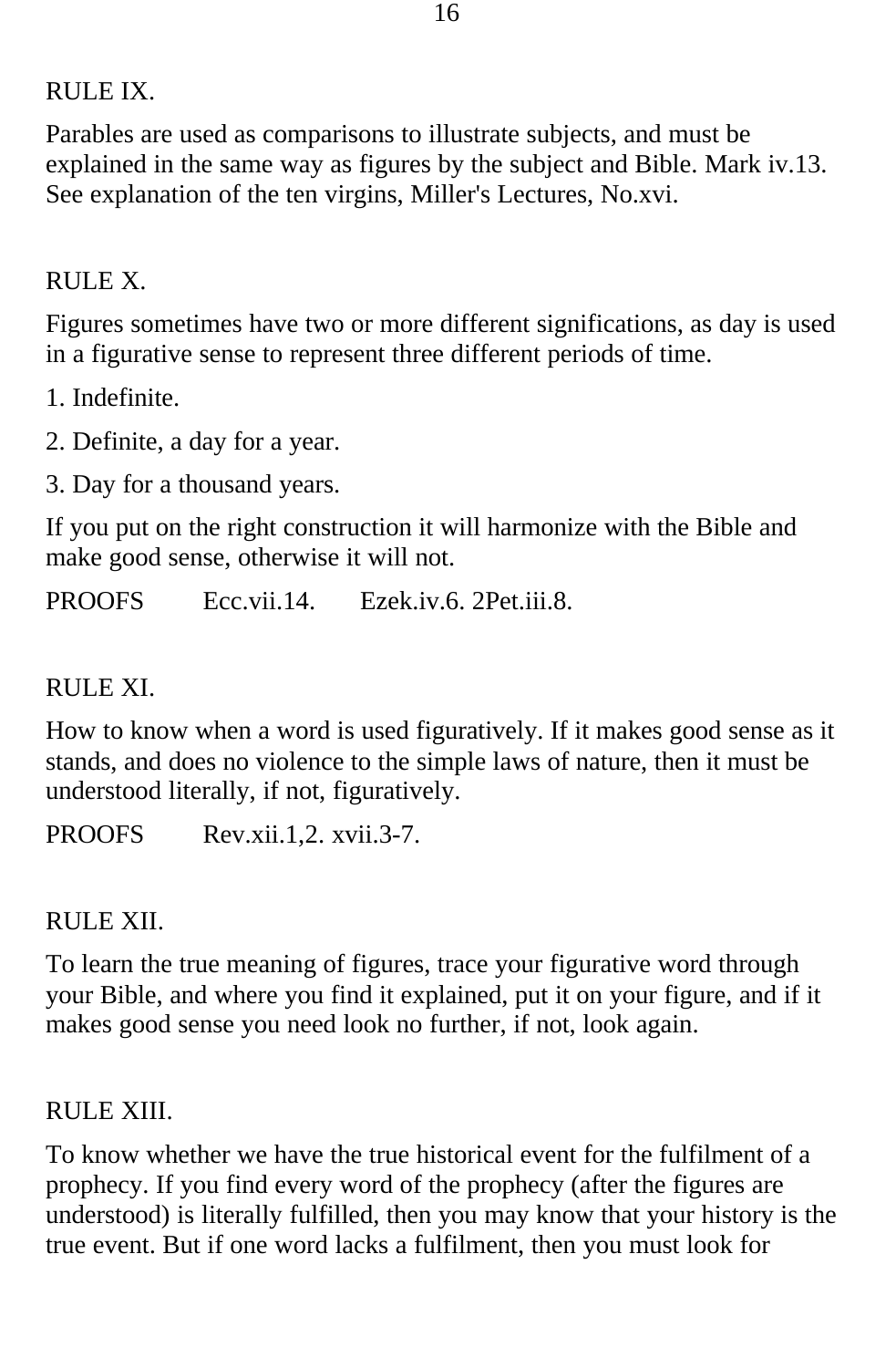RULE IX.

Parables are used as comparisons to illustrate subjects, and must be explained in the same way as figures by the subject and Bible. Mark iv.13. See explanation of the ten virgins, Miller's Lectures, No.xvi.

#### RULE X.

Figures sometimes have two or more different significations, as day is used in a figurative sense to represent three different periods of time.

1. Indefinite.

2. Definite, a day for a year.

3. Day for a thousand years.

If you put on the right construction it will harmonize with the Bible and make good sense, otherwise it will not.

PROOFS Ecc.vii.14. Ezek.iv.6. 2Pet.iii.8.

#### RULE XI.

How to know when a word is used figuratively. If it makes good sense as it stands, and does no violence to the simple laws of nature, then it must be understood literally, if not, figuratively.

PROOFS Rev.xii.1,2. xvii.3-7.

#### RULE XII.

To learn the true meaning of figures, trace your figurative word through your Bible, and where you find it explained, put it on your figure, and if it makes good sense you need look no further, if not, look again.

#### RULE XIII.

To know whether we have the true historical event for the fulfilment of a prophecy. If you find every word of the prophecy (after the figures are understood) is literally fulfilled, then you may know that your history is the true event. But if one word lacks a fulfilment, then you must look for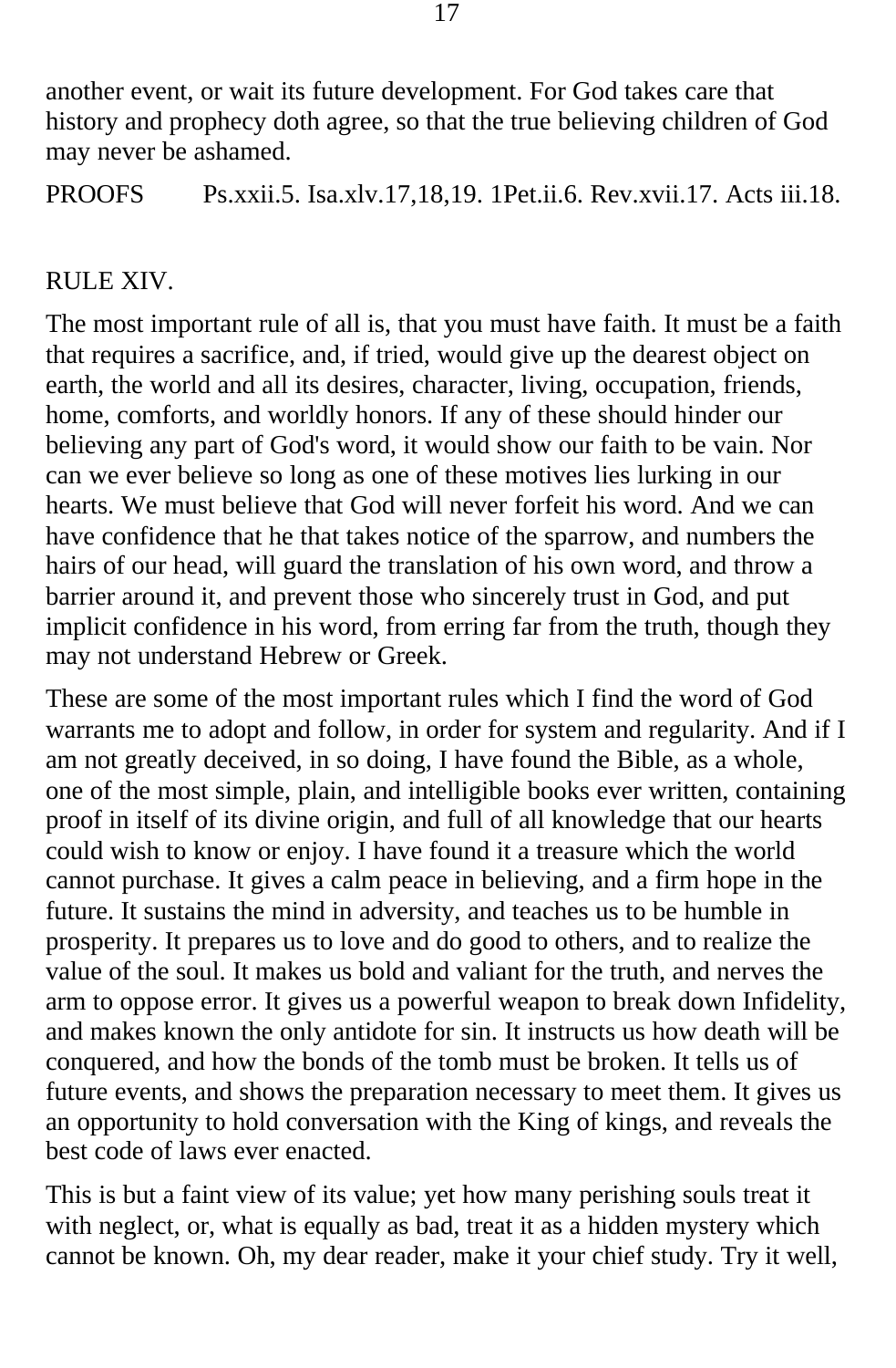another event, or wait its future development. For God takes care that history and prophecy doth agree, so that the true believing children of God may never be ashamed.

PROOFS Ps.xxii.5. Isa.xlv.17,18,19. 1Pet.ii.6. Rev.xvii.17. Acts iii.18.

#### RULE XIV.

The most important rule of all is, that you must have faith. It must be a faith that requires a sacrifice, and, if tried, would give up the dearest object on earth, the world and all its desires, character, living, occupation, friends, home, comforts, and worldly honors. If any of these should hinder our believing any part of God's word, it would show our faith to be vain. Nor can we ever believe so long as one of these motives lies lurking in our hearts. We must believe that God will never forfeit his word. And we can have confidence that he that takes notice of the sparrow, and numbers the hairs of our head, will guard the translation of his own word, and throw a barrier around it, and prevent those who sincerely trust in God, and put implicit confidence in his word, from erring far from the truth, though they may not understand Hebrew or Greek.

These are some of the most important rules which I find the word of God warrants me to adopt and follow, in order for system and regularity. And if I am not greatly deceived, in so doing, I have found the Bible, as a whole, one of the most simple, plain, and intelligible books ever written, containing proof in itself of its divine origin, and full of all knowledge that our hearts could wish to know or enjoy. I have found it a treasure which the world cannot purchase. It gives a calm peace in believing, and a firm hope in the future. It sustains the mind in adversity, and teaches us to be humble in prosperity. It prepares us to love and do good to others, and to realize the value of the soul. It makes us bold and valiant for the truth, and nerves the arm to oppose error. It gives us a powerful weapon to break down Infidelity, and makes known the only antidote for sin. It instructs us how death will be conquered, and how the bonds of the tomb must be broken. It tells us of future events, and shows the preparation necessary to meet them. It gives us an opportunity to hold conversation with the King of kings, and reveals the best code of laws ever enacted.

This is but a faint view of its value; yet how many perishing souls treat it with neglect, or, what is equally as bad, treat it as a hidden mystery which cannot be known. Oh, my dear reader, make it your chief study. Try it well,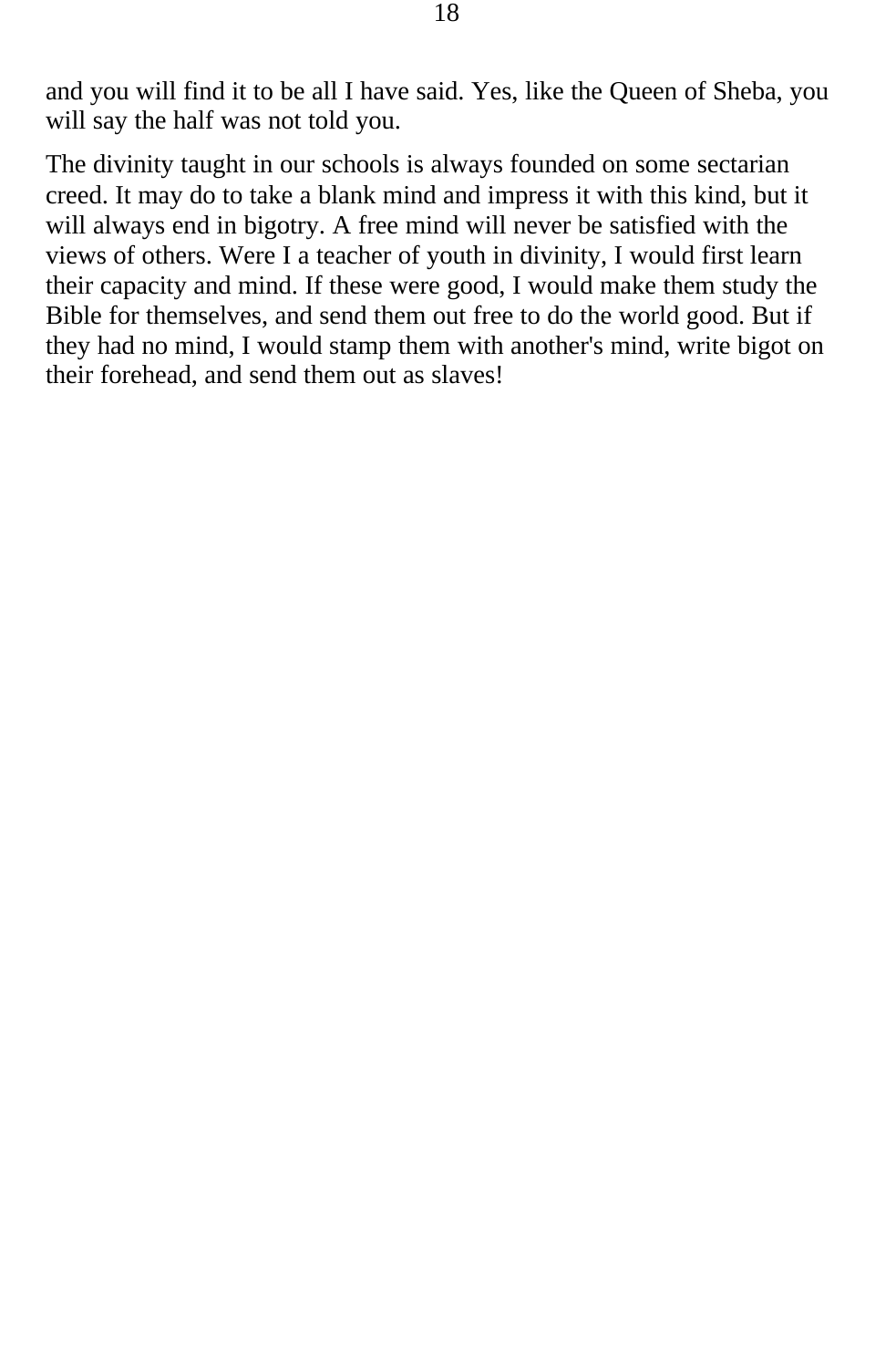and you will find it to be all I have said. Yes, like the Queen of Sheba, you will say the half was not told you.

The divinity taught in our schools is always founded on some sectarian creed. It may do to take a blank mind and impress it with this kind, but it will always end in bigotry. A free mind will never be satisfied with the views of others. Were I a teacher of youth in divinity, I would first learn their capacity and mind. If these were good, I would make them study the Bible for themselves, and send them out free to do the world good. But if they had no mind, I would stamp them with another's mind, write bigot on their forehead, and send them out as slaves!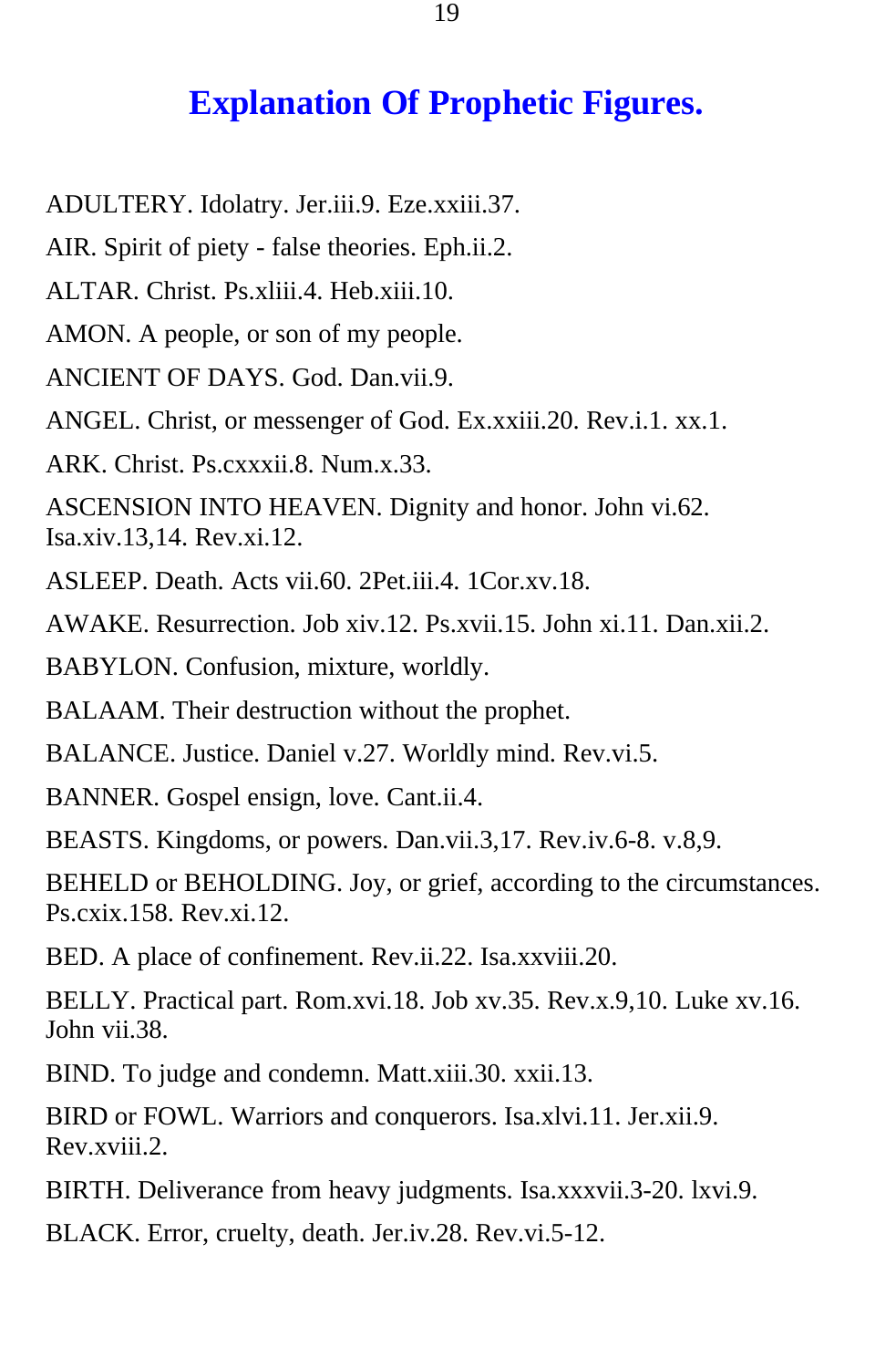# **Explanation Of Prophetic Figures.**

<span id="page-18-0"></span>ADULTERY. Idolatry. Jer.iii.9. Eze.xxiii.37. AIR. Spirit of piety - false theories. Eph.ii.2. ALTAR. Christ. Ps.xliii.4. Heb.xiii.10. AMON. A people, or son of my people. ANCIENT OF DAYS. God. Dan.vii.9. ANGEL. Christ, or messenger of God. Ex.xxiii.20. Rev.i.1. xx.1. ARK. Christ. Ps.cxxxii.8. Num.x.33. ASCENSION INTO HEAVEN. Dignity and honor. John vi.62. Isa.xiv.13,14. Rev.xi.12. ASLEEP. Death. Acts vii.60. 2Pet.iii.4. 1Cor.xv.18. AWAKE. Resurrection. Job xiv.12. Ps.xvii.15. John xi.11. Dan.xii.2. BABYLON. Confusion, mixture, worldly. BALAAM. Their destruction without the prophet. BALANCE. Justice. Daniel v.27. Worldly mind. Rev.vi.5. BANNER. Gospel ensign, love. Cant.ii.4. BEASTS. Kingdoms, or powers. Dan.vii.3,17. Rev.iv.6-8. v.8,9. BEHELD or BEHOLDING. Joy, or grief, according to the circumstances. Ps.cxix.158. Rev.xi.12. BED. A place of confinement. Rev.ii.22. Isa.xxviii.20. BELLY. Practical part. Rom.xvi.18. Job xv.35. Rev.x.9,10. Luke xv.16. John vii.38. BIND. To judge and condemn. Matt.xiii.30. xxii.13.

BIRD or FOWL. Warriors and conquerors. Isa.xlvi.11. Jer.xii.9. Rev.xviii.2.

BIRTH. Deliverance from heavy judgments. Isa.xxxvii.3-20. lxvi.9.

BLACK. Error, cruelty, death. Jer.iv.28. Rev.vi.5-12.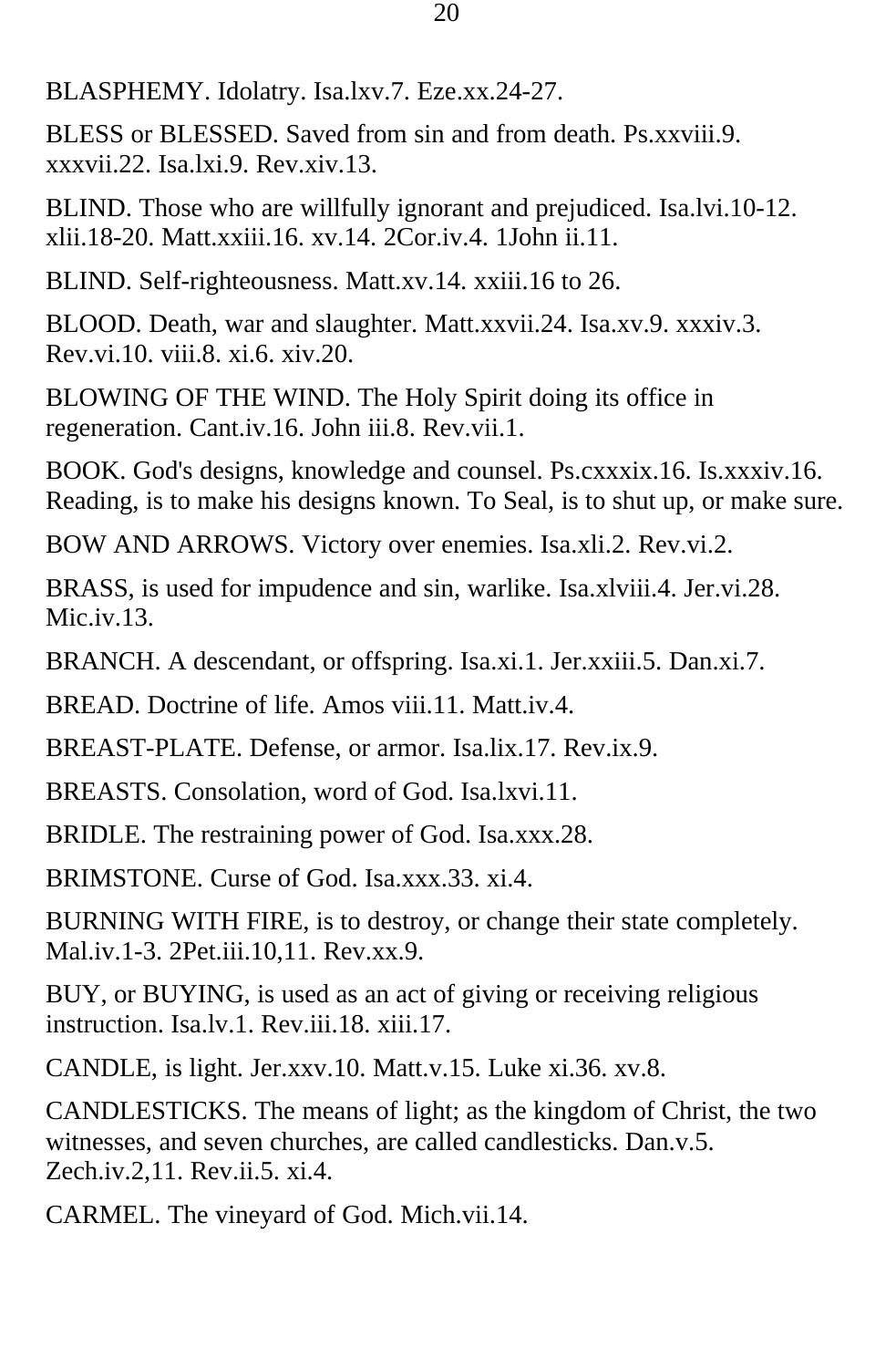BLASPHEMY. Idolatry. Isa.lxv.7. Eze.xx.24-27.

BLESS or BLESSED. Saved from sin and from death. Ps.xxviii.9. xxxvii.22. Isa.lxi.9. Rev.xiv.13.

BLIND. Those who are willfully ignorant and prejudiced. Isa.lvi.10-12. xlii.18-20. Matt.xxiii.16. xv.14. 2Cor.iv.4. 1John ii.11.

BLIND. Self-righteousness. Matt.xv.14. xxiii.16 to 26.

BLOOD. Death, war and slaughter. Matt.xxvii.24. Isa.xv.9. xxxiv.3. Rev.vi.10. viii.8. xi.6. xiv.20.

BLOWING OF THE WIND. The Holy Spirit doing its office in regeneration. Cant.iv.16. John iii.8. Rev.vii.1.

BOOK. God's designs, knowledge and counsel. Ps.cxxxix.16. Is.xxxiv.16. Reading, is to make his designs known. To Seal, is to shut up, or make sure.

BOW AND ARROWS. Victory over enemies. Isa.xli.2. Rev.vi.2.

BRASS, is used for impudence and sin, warlike. Isa.xlviii.4. Jer.vi.28. Mic.iv.13.

BRANCH. A descendant, or offspring. Isa.xi.1. Jer.xxiii.5. Dan.xi.7.

BREAD. Doctrine of life. Amos viii.11. Matt.iv.4.

BREAST-PLATE. Defense, or armor. Isa.lix.17. Rev.ix.9.

BREASTS. Consolation, word of God. Isa.lxvi.11.

BRIDLE. The restraining power of God. Isa.xxx.28.

BRIMSTONE. Curse of God. Isa.xxx.33. xi.4.

BURNING WITH FIRE, is to destroy, or change their state completely. Mal.iv.1-3. 2Pet.iii.10,11. Rev.xx.9.

BUY, or BUYING, is used as an act of giving or receiving religious instruction. Isa.lv.1. Rev.iii.18. xiii.17.

CANDLE, is light. Jer.xxv.10. Matt.v.15. Luke xi.36. xv.8.

CANDLESTICKS. The means of light; as the kingdom of Christ, the two witnesses, and seven churches, are called candlesticks. Dan.v.5. Zech.iv.2,11. Rev.ii.5. xi.4.

CARMEL. The vineyard of God. Mich.vii.14.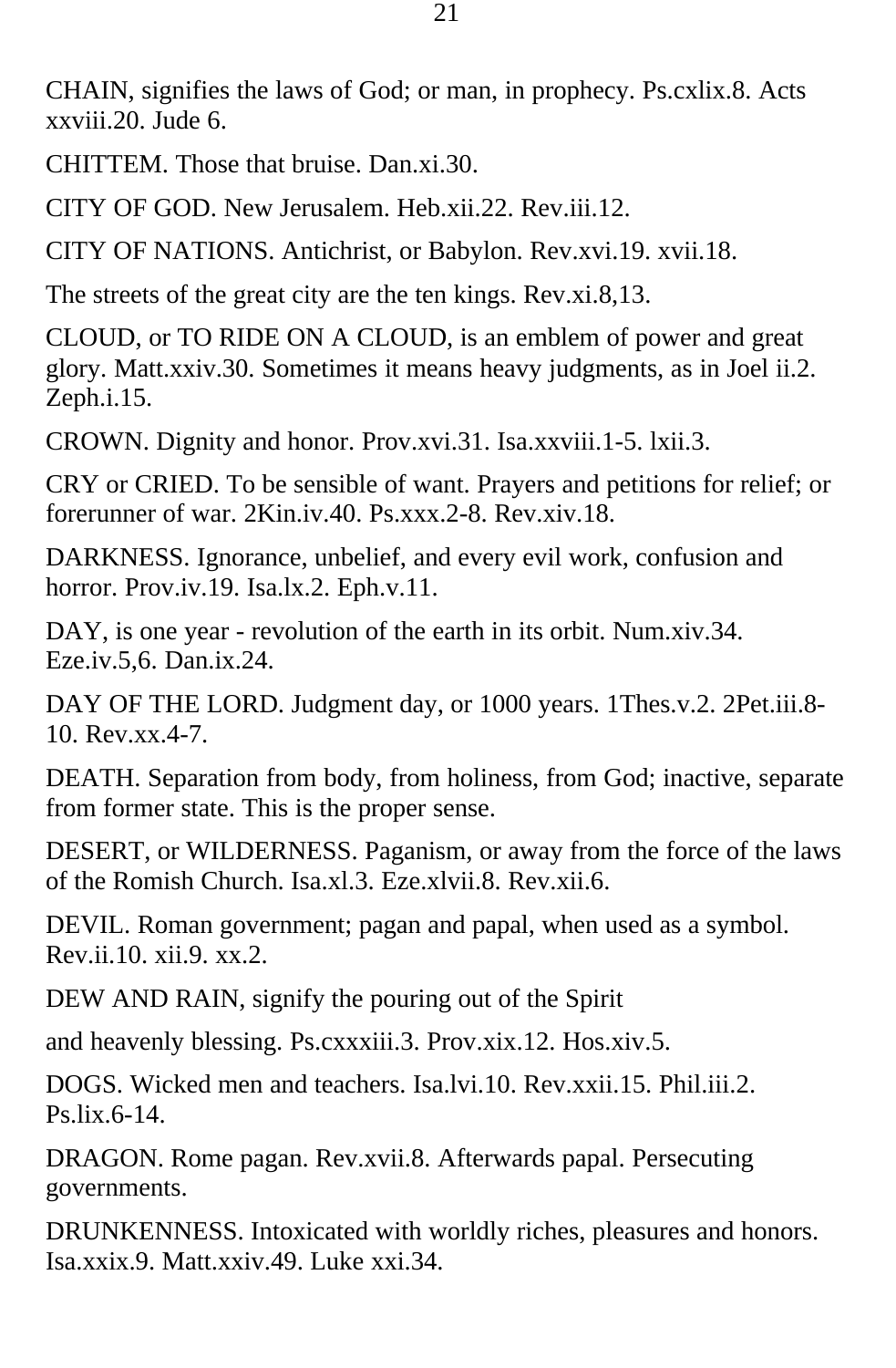CHAIN, signifies the laws of God; or man, in prophecy. Ps.cxlix.8. Acts xxviii.20. Jude 6.

CHITTEM. Those that bruise. Dan.xi.30.

CITY OF GOD. New Jerusalem. Heb.xii.22. Rev.iii.12.

CITY OF NATIONS. Antichrist, or Babylon. Rev.xvi.19. xvii.18.

The streets of the great city are the ten kings. Rev.xi.8,13.

CLOUD, or TO RIDE ON A CLOUD, is an emblem of power and great glory. Matt.xxiv.30. Sometimes it means heavy judgments, as in Joel ii.2. Zeph.i.15.

CROWN. Dignity and honor. Prov.xvi.31. Isa.xxviii.1-5. lxii.3.

CRY or CRIED. To be sensible of want. Prayers and petitions for relief; or forerunner of war. 2Kin.iv.40. Ps.xxx.2-8. Rev.xiv.18.

DARKNESS. Ignorance, unbelief, and every evil work, confusion and horror. Prov.iv.19. Isa.lx.2. Eph.v.11.

DAY, is one year - revolution of the earth in its orbit. Num.xiv.34. Eze.iv.5,6. Dan.ix.24.

DAY OF THE LORD. Judgment day, or 1000 years. 1Thes.v.2. 2Pet.iii.8-10. Rev.xx.4-7.

DEATH. Separation from body, from holiness, from God; inactive, separate from former state. This is the proper sense.

DESERT, or WILDERNESS. Paganism, or away from the force of the laws of the Romish Church. Isa.xl.3. Eze.xlvii.8. Rev.xii.6.

DEVIL. Roman government; pagan and papal, when used as a symbol. Rev.ii.10. xii.9. xx.2.

DEW AND RAIN, signify the pouring out of the Spirit

and heavenly blessing. Ps.cxxxiii.3. Prov.xix.12. Hos.xiv.5.

DOGS. Wicked men and teachers. Isa.lvi.10. Rev.xxii.15. Phil.iii.2. Ps.lix.6-14.

DRAGON. Rome pagan. Rev.xvii.8. Afterwards papal. Persecuting governments.

DRUNKENNESS. Intoxicated with worldly riches, pleasures and honors. Isa.xxix.9. Matt.xxiv.49. Luke xxi.34.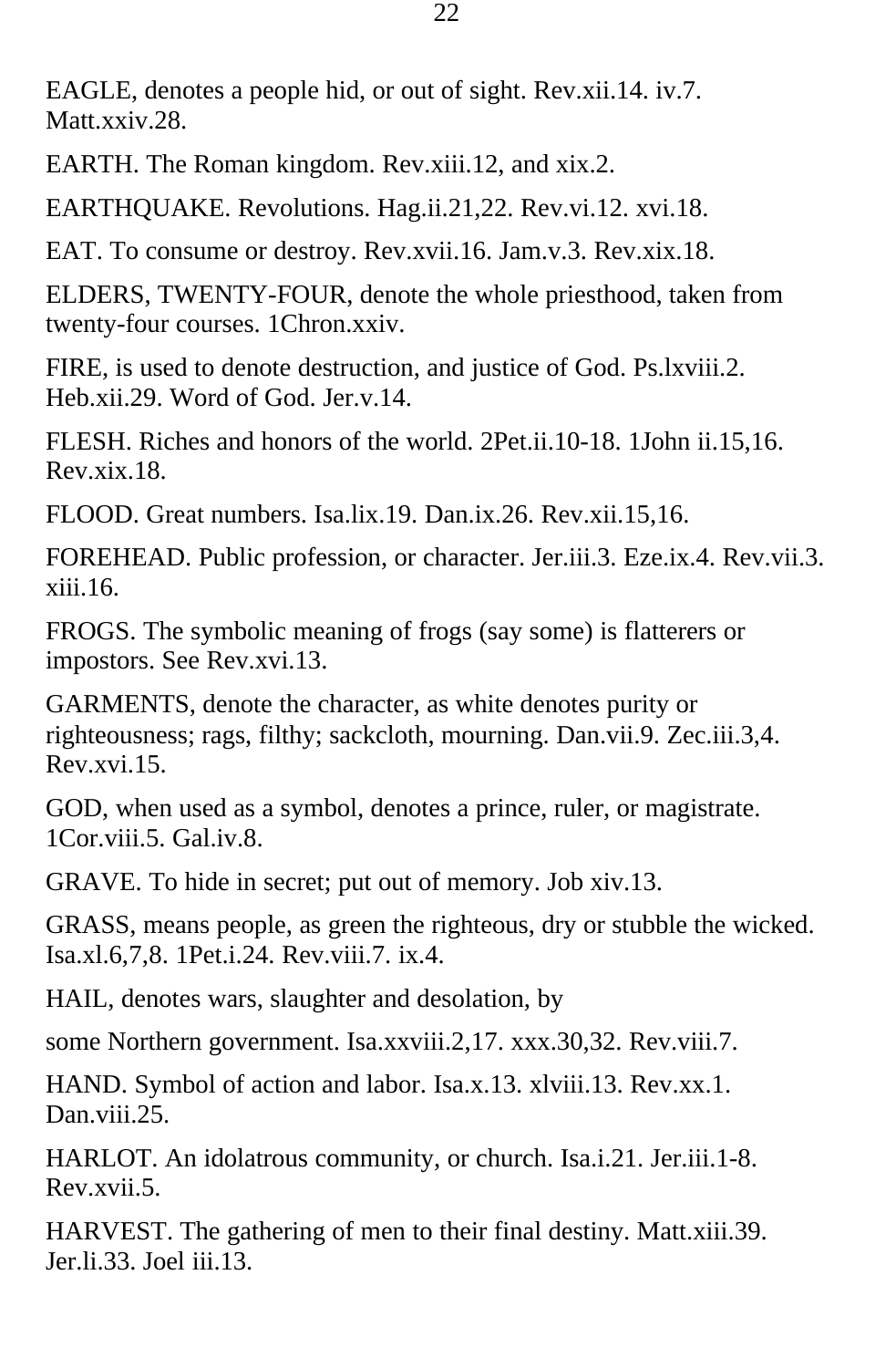EAGLE, denotes a people hid, or out of sight. Rev.xii.14. iv.7. Matt.xxiv.28.

EARTH. The Roman kingdom. Rev.xiii.12, and xix.2.

EARTHQUAKE. Revolutions. Hag.ii.21,22. Rev.vi.12. xvi.18.

EAT. To consume or destroy. Rev.xvii.16. Jam.v.3. Rev.xix.18.

ELDERS, TWENTY-FOUR, denote the whole priesthood, taken from twenty-four courses. 1Chron.xxiv.

FIRE, is used to denote destruction, and justice of God. Ps.lxviii.2. Heb.xii.29. Word of God. Jer.v.14.

FLESH. Riches and honors of the world. 2Pet.ii.10-18. 1John ii.15,16. Rev.xix.18.

FLOOD. Great numbers. Isa.lix.19. Dan.ix.26. Rev.xii.15,16.

FOREHEAD. Public profession, or character. Jer.iii.3. Eze.ix.4. Rev.vii.3. xiii.16.

FROGS. The symbolic meaning of frogs (say some) is flatterers or impostors. See Rev.xvi.13.

GARMENTS, denote the character, as white denotes purity or righteousness; rags, filthy; sackcloth, mourning. Dan.vii.9. Zec.iii.3,4. Rev.xvi.15.

GOD, when used as a symbol, denotes a prince, ruler, or magistrate. 1Cor.viii.5. Gal.iv.8.

GRAVE. To hide in secret; put out of memory. Job xiv.13.

GRASS, means people, as green the righteous, dry or stubble the wicked. Isa.xl.6,7,8. 1Pet.i.24. Rev.viii.7. ix.4.

HAIL, denotes wars, slaughter and desolation, by

some Northern government. Isa.xxviii.2,17. xxx.30,32. Rev.viii.7.

HAND. Symbol of action and labor. Isa.x.13. xlviii.13. Rev.xx.1. Dan.viii.25.

HARLOT. An idolatrous community, or church. Isa.i.21. Jer.iii.1-8. Rev.xvii.5.

HARVEST. The gathering of men to their final destiny. Matt.xiii.39. Jer.li.33. Joel iii.13.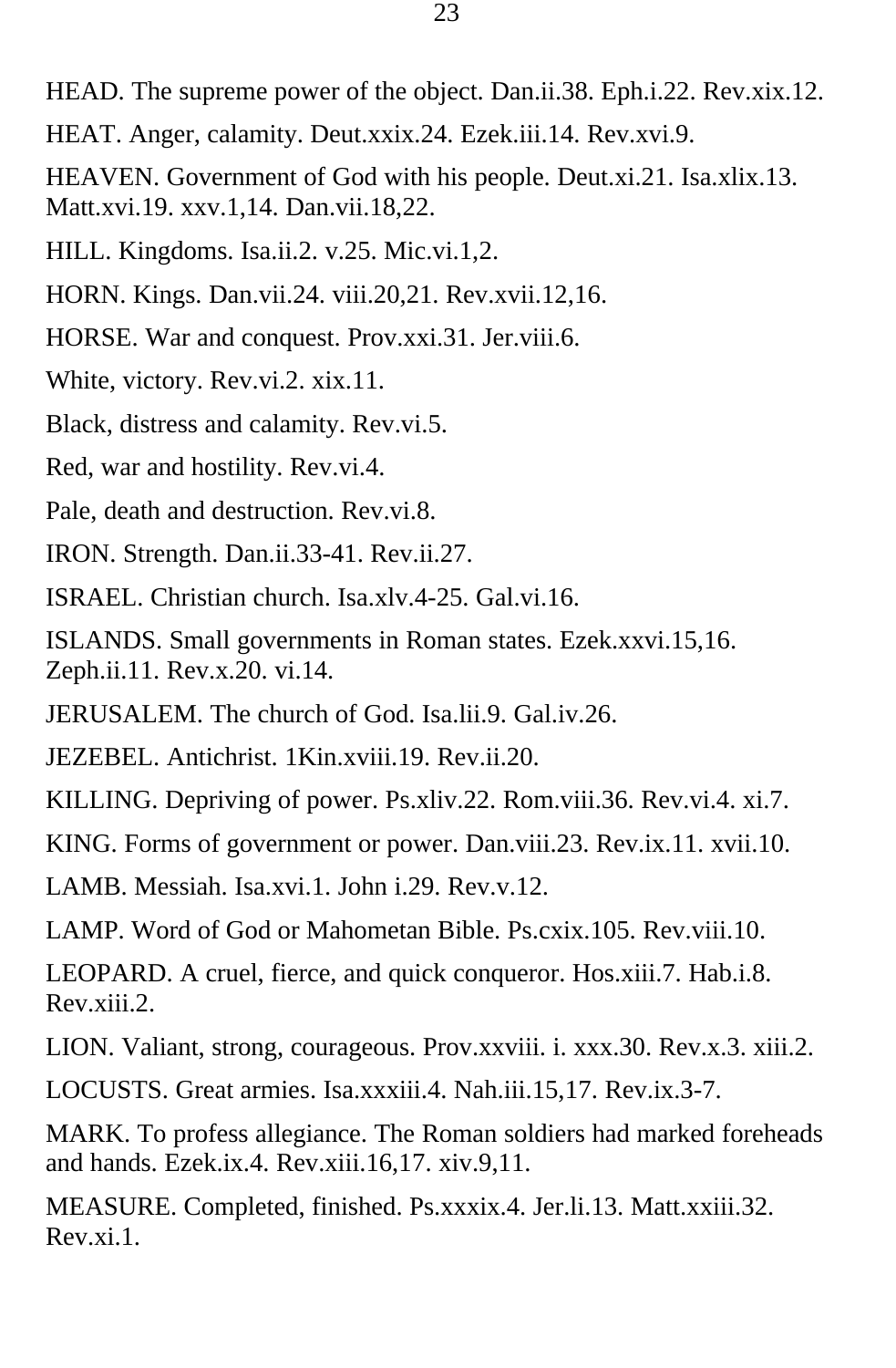- HEAD. The supreme power of the object. Dan.ii.38. Eph.i.22. Rev.xix.12.
- HEAT. Anger, calamity. Deut.xxix.24. Ezek.iii.14. Rev.xvi.9.
- HEAVEN. Government of God with his people. Deut.xi.21. Isa.xlix.13. Matt.xvi.19. xxv.1,14. Dan.vii.18,22.
- HILL. Kingdoms. Isa.ii.2. v.25. Mic.vi.1,2.
- HORN. Kings. Dan.vii.24. viii.20,21. Rev.xvii.12,16.
- HORSE. War and conquest. Prov.xxi.31. Jer.viii.6.
- White, victory. Rev.vi.2. xix.11.
- Black, distress and calamity. Rev.vi.5.
- Red, war and hostility. Rev.vi.4.
- Pale, death and destruction. Rev.vi.8.
- IRON. Strength. Dan.ii.33-41. Rev.ii.27.
- ISRAEL. Christian church. Isa.xlv.4-25. Gal.vi.16.
- ISLANDS. Small governments in Roman states. Ezek.xxvi.15,16. Zeph.ii.11. Rev.x.20. vi.14.
- JERUSALEM. The church of God. Isa.lii.9. Gal.iv.26.
- JEZEBEL. Antichrist. 1Kin.xviii.19. Rev.ii.20.
- KILLING. Depriving of power. Ps.xliv.22. Rom.viii.36. Rev.vi.4. xi.7.
- KING. Forms of government or power. Dan.viii.23. Rev.ix.11. xvii.10.
- LAMB. Messiah. Isa.xvi.1. John i.29. Rev.v.12.
- LAMP. Word of God or Mahometan Bible. Ps.cxix.105. Rev.viii.10.
- LEOPARD. A cruel, fierce, and quick conqueror. Hos.xiii.7. Hab.i.8. Rev.xiii.2.
- LION. Valiant, strong, courageous. Prov.xxviii. i. xxx.30. Rev.x.3. xiii.2.
- LOCUSTS. Great armies. Isa.xxxiii.4. Nah.iii.15,17. Rev.ix.3-7.
- MARK. To profess allegiance. The Roman soldiers had marked foreheads and hands. Ezek.ix.4. Rev.xiii.16,17. xiv.9,11.
- MEASURE. Completed, finished. Ps.xxxix.4. Jer.li.13. Matt.xxiii.32. Rev.xi.1.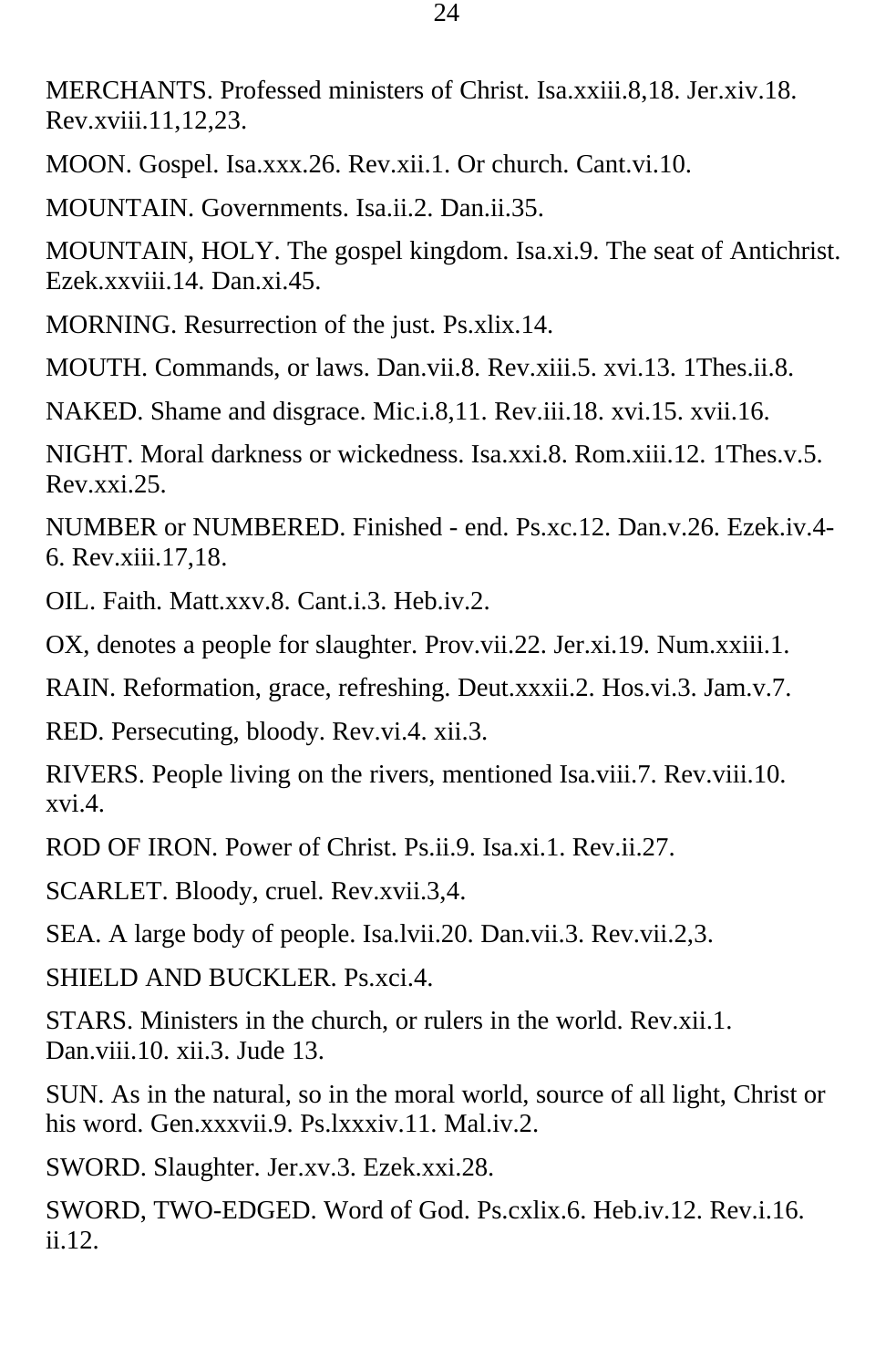MERCHANTS. Professed ministers of Christ. Isa.xxiii.8,18. Jer.xiv.18. Rev.xviii.11,12,23.

MOON. Gospel. Isa.xxx.26. Rev.xii.1. Or church. Cant.vi.10.

MOUNTAIN. Governments. Isa.ii.2. Dan.ii.35.

MOUNTAIN, HOLY. The gospel kingdom. Isa.xi.9. The seat of Antichrist. Ezek.xxviii.14. Dan.xi.45.

MORNING. Resurrection of the just. Ps.xlix.14.

MOUTH. Commands, or laws. Dan.vii.8. Rev.xiii.5. xvi.13. 1Thes.ii.8.

NAKED. Shame and disgrace. Mic.i.8,11. Rev.iii.18. xvi.15. xvii.16.

NIGHT. Moral darkness or wickedness. Isa.xxi.8. Rom.xiii.12. 1Thes.v.5. Rev.xxi.25.

NUMBER or NUMBERED. Finished - end. Ps.xc.12. Dan.v.26. Ezek.iv.4- 6. Rev.xiii.17,18.

OIL. Faith. Matt.xxv.8. Cant.i.3. Heb.iv.2.

OX, denotes a people for slaughter. Prov.vii.22. Jer.xi.19. Num.xxiii.1.

RAIN. Reformation, grace, refreshing. Deut.xxxii.2. Hos.vi.3. Jam.v.7.

RED. Persecuting, bloody. Rev.vi.4. xii.3.

RIVERS. People living on the rivers, mentioned Isa.viii.7. Rev.viii.10. xvi.4.

ROD OF IRON. Power of Christ. Ps.ii.9. Isa.xi.1. Rev.ii.27.

SCARLET. Bloody, cruel. Rev.xvii.3,4.

SEA. A large body of people. Isa.lvii.20. Dan.vii.3. Rev.vii.2,3.

SHIELD AND BUCKLER. Ps.xci.4.

STARS. Ministers in the church, or rulers in the world. Rev.xii.1. Dan.viii.10. xii.3. Jude 13.

SUN. As in the natural, so in the moral world, source of all light, Christ or his word. Gen.xxxvii.9. Ps.lxxxiv.11. Mal.iv.2.

SWORD. Slaughter. Jer.xv.3. Ezek.xxi.28.

SWORD, TWO-EDGED. Word of God. Ps.cxlix.6. Heb.iv.12. Rev.i.16. ii.12.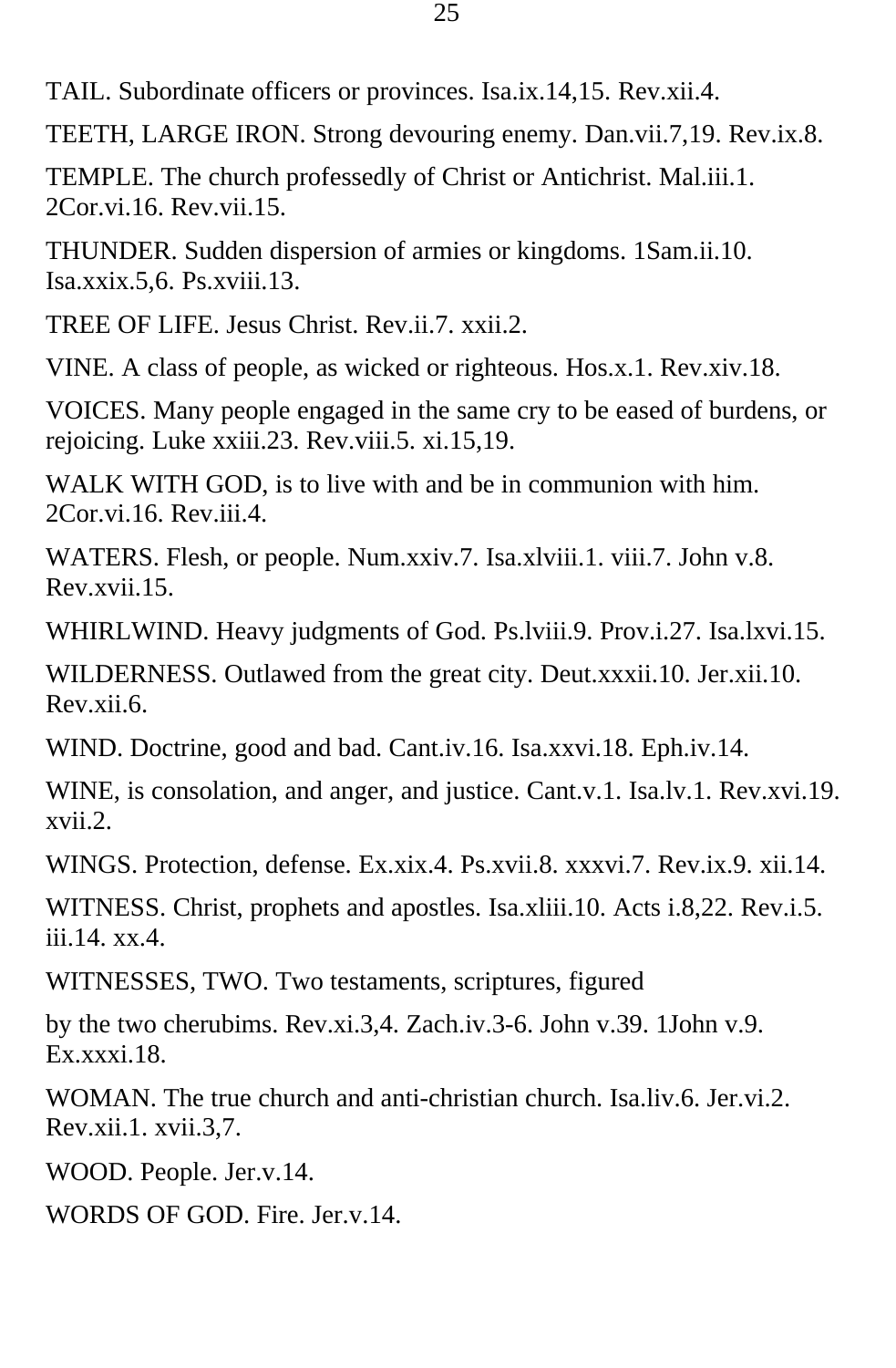TAIL. Subordinate officers or provinces. Isa.ix.14,15. Rev.xii.4.

TEETH, LARGE IRON. Strong devouring enemy. Dan.vii.7,19. Rev.ix.8.

TEMPLE. The church professedly of Christ or Antichrist. Mal.iii.1. 2Cor.vi.16. Rev.vii.15.

THUNDER. Sudden dispersion of armies or kingdoms. 1Sam.ii.10. Isa.xxix.5,6. Ps.xviii.13.

TREE OF LIFE. Jesus Christ. Rev.ii.7. xxii.2.

VINE. A class of people, as wicked or righteous. Hos.x.1. Rev.xiv.18.

VOICES. Many people engaged in the same cry to be eased of burdens, or rejoicing. Luke xxiii.23. Rev.viii.5. xi.15,19.

WALK WITH GOD, is to live with and be in communion with him. 2Cor.vi.16. Rev.iii.4.

WATERS. Flesh, or people. Num.xxiv.7. Isa.xlviii.1. viii.7. John v.8. Rev.xvii.15.

WHIRLWIND. Heavy judgments of God. Ps.lviii.9. Prov.i.27. Isa.lxvi.15.

WILDERNESS. Outlawed from the great city. Deut.xxxii.10. Jer.xii.10. Rev.xii.6.

WIND. Doctrine, good and bad. Cant.iv.16. Isa.xxvi.18. Eph.iv.14.

WINE, is consolation, and anger, and justice. Cant.v.1. Isa.lv.1. Rev.xvi.19. xvii.2.

WINGS. Protection, defense. Ex.xix.4. Ps.xvii.8. xxxvi.7. Rev.ix.9. xii.14.

WITNESS. Christ, prophets and apostles. Isa.xliii.10. Acts i.8,22. Rev.i.5. iii.14. xx.4.

WITNESSES, TWO. Two testaments, scriptures, figured

by the two cherubims. Rev.xi.3,4. Zach.iv.3-6. John v.39. 1John v.9. Ex.xxxi.18.

WOMAN. The true church and anti-christian church. Isa.liv.6. Jer.vi.2. Rev.xii.1. xvii.3,7.

WOOD. People. Jer.v.14.

WORDS OF GOD. Fire. Jer.v.14.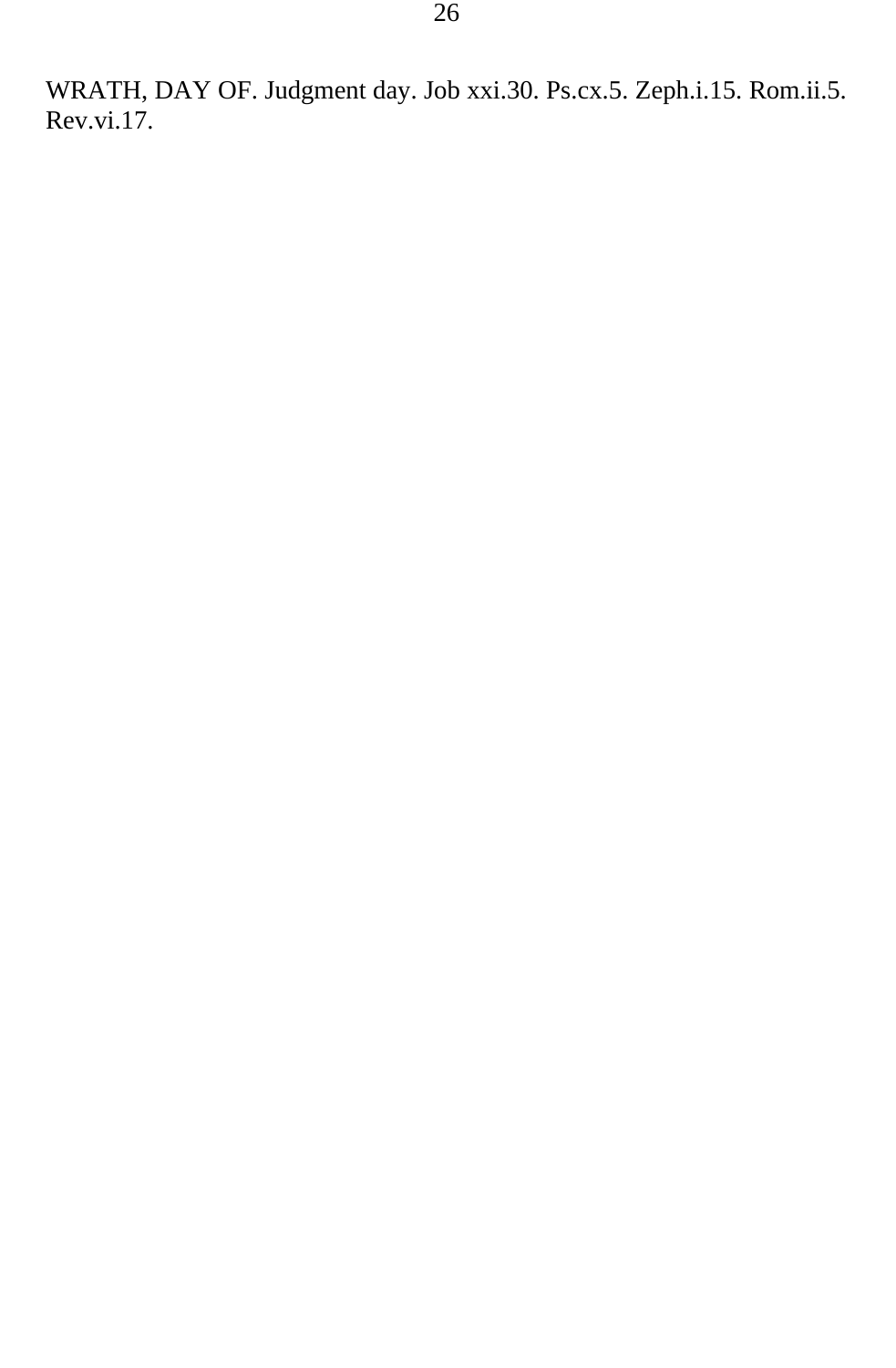WRATH, DAY OF. Judgment day. Job xxi.30. Ps.cx.5. Zeph.i.15. Rom.ii.5. Rev.vi.17.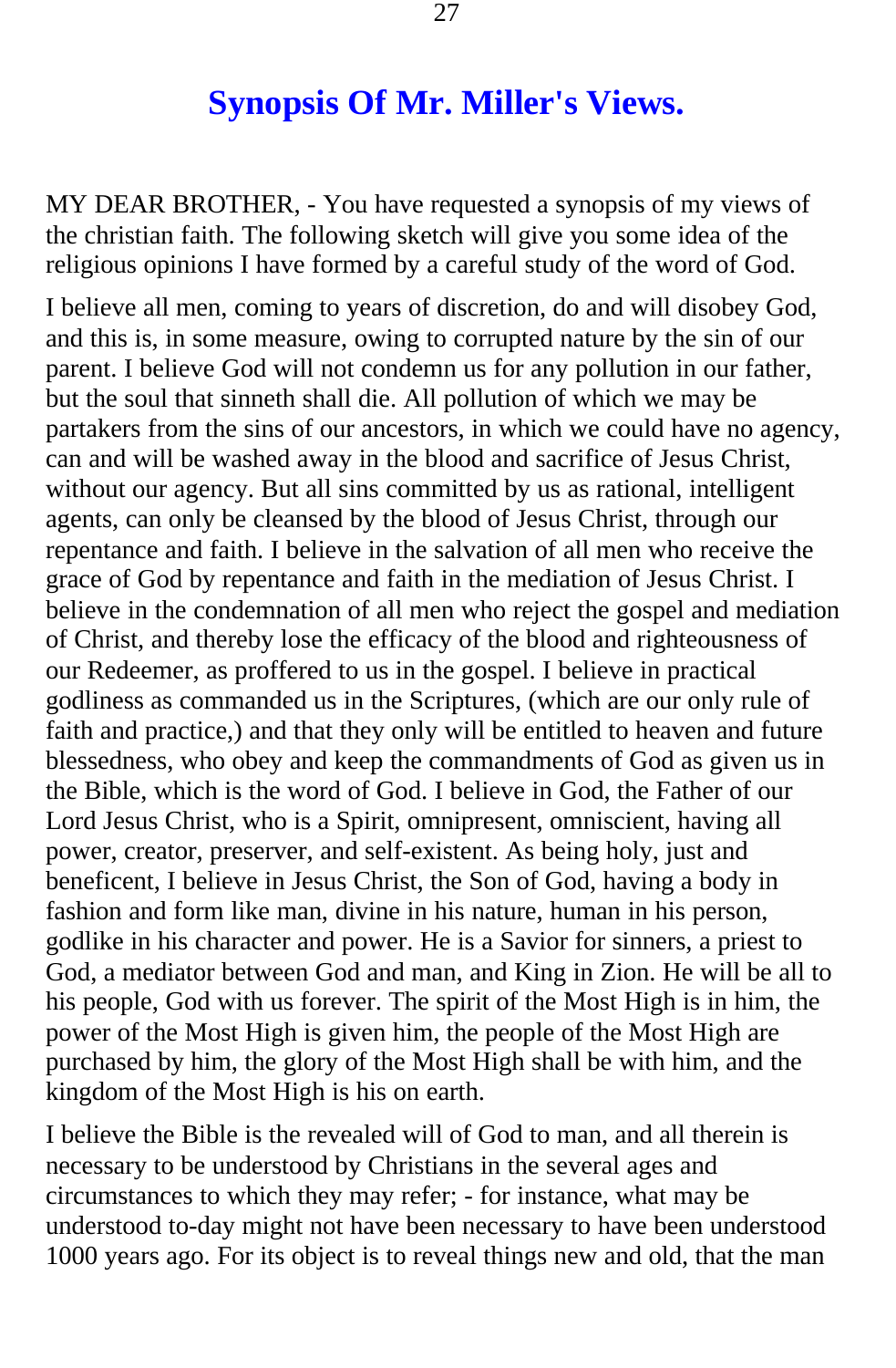# **Synopsis Of Mr. Miller's Views.**

<span id="page-26-0"></span>MY DEAR BROTHER, - You have requested a synopsis of my views of the christian faith. The following sketch will give you some idea of the religious opinions I have formed by a careful study of the word of God.

I believe all men, coming to years of discretion, do and will disobey God, and this is, in some measure, owing to corrupted nature by the sin of our parent. I believe God will not condemn us for any pollution in our father, but the soul that sinneth shall die. All pollution of which we may be partakers from the sins of our ancestors, in which we could have no agency, can and will be washed away in the blood and sacrifice of Jesus Christ, without our agency. But all sins committed by us as rational, intelligent agents, can only be cleansed by the blood of Jesus Christ, through our repentance and faith. I believe in the salvation of all men who receive the grace of God by repentance and faith in the mediation of Jesus Christ. I believe in the condemnation of all men who reject the gospel and mediation of Christ, and thereby lose the efficacy of the blood and righteousness of our Redeemer, as proffered to us in the gospel. I believe in practical godliness as commanded us in the Scriptures, (which are our only rule of faith and practice,) and that they only will be entitled to heaven and future blessedness, who obey and keep the commandments of God as given us in the Bible, which is the word of God. I believe in God, the Father of our Lord Jesus Christ, who is a Spirit, omnipresent, omniscient, having all power, creator, preserver, and self-existent. As being holy, just and beneficent, I believe in Jesus Christ, the Son of God, having a body in fashion and form like man, divine in his nature, human in his person, godlike in his character and power. He is a Savior for sinners, a priest to God, a mediator between God and man, and King in Zion. He will be all to his people, God with us forever. The spirit of the Most High is in him, the power of the Most High is given him, the people of the Most High are purchased by him, the glory of the Most High shall be with him, and the kingdom of the Most High is his on earth.

I believe the Bible is the revealed will of God to man, and all therein is necessary to be understood by Christians in the several ages and circumstances to which they may refer; - for instance, what may be understood to-day might not have been necessary to have been understood 1000 years ago. For its object is to reveal things new and old, that the man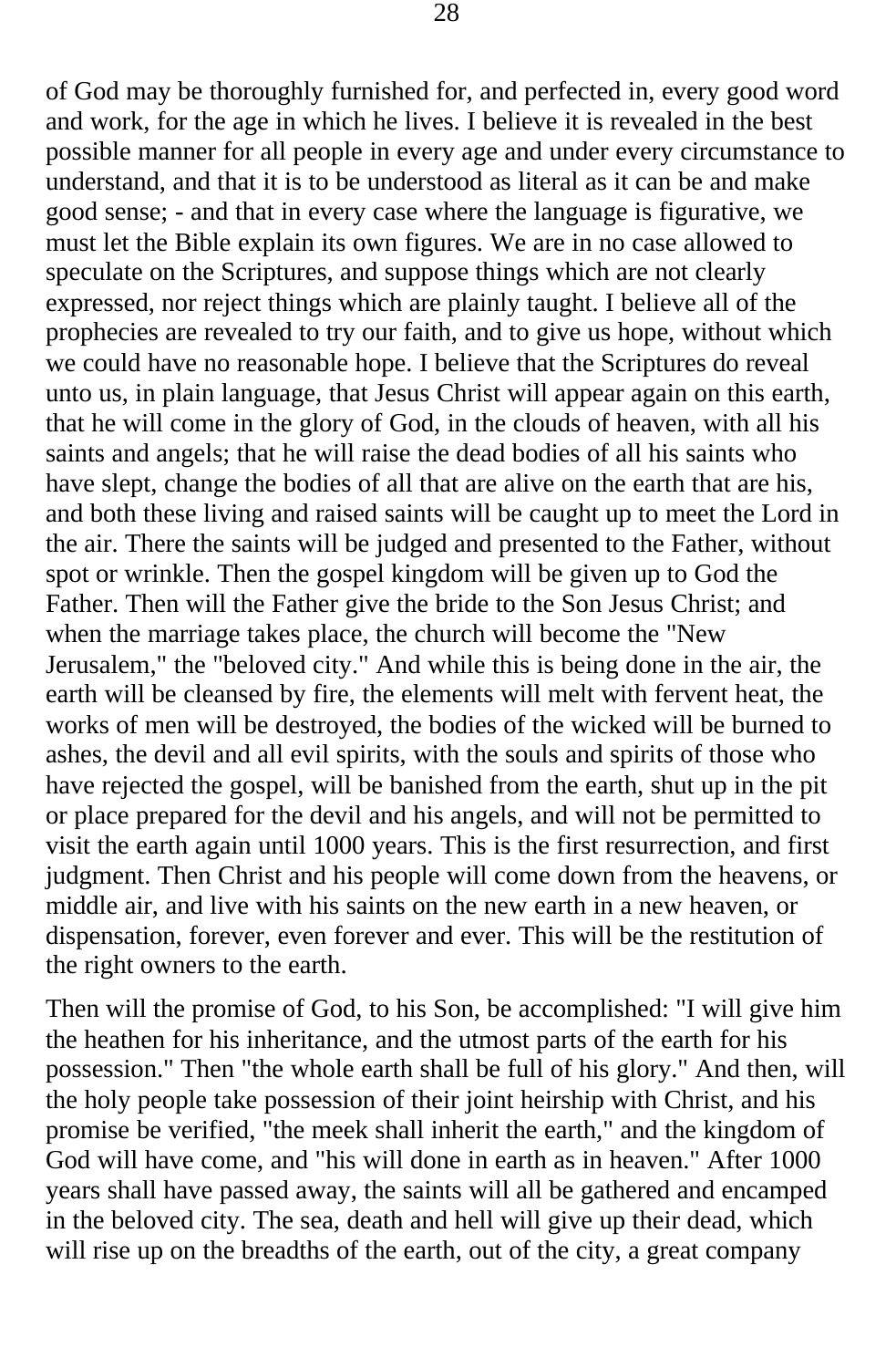of God may be thoroughly furnished for, and perfected in, every good word and work, for the age in which he lives. I believe it is revealed in the best possible manner for all people in every age and under every circumstance to understand, and that it is to be understood as literal as it can be and make good sense; - and that in every case where the language is figurative, we must let the Bible explain its own figures. We are in no case allowed to speculate on the Scriptures, and suppose things which are not clearly expressed, nor reject things which are plainly taught. I believe all of the prophecies are revealed to try our faith, and to give us hope, without which we could have no reasonable hope. I believe that the Scriptures do reveal unto us, in plain language, that Jesus Christ will appear again on this earth, that he will come in the glory of God, in the clouds of heaven, with all his saints and angels; that he will raise the dead bodies of all his saints who have slept, change the bodies of all that are alive on the earth that are his, and both these living and raised saints will be caught up to meet the Lord in the air. There the saints will be judged and presented to the Father, without spot or wrinkle. Then the gospel kingdom will be given up to God the Father. Then will the Father give the bride to the Son Jesus Christ; and when the marriage takes place, the church will become the "New Jerusalem," the "beloved city." And while this is being done in the air, the earth will be cleansed by fire, the elements will melt with fervent heat, the works of men will be destroyed, the bodies of the wicked will be burned to ashes, the devil and all evil spirits, with the souls and spirits of those who have rejected the gospel, will be banished from the earth, shut up in the pit or place prepared for the devil and his angels, and will not be permitted to visit the earth again until 1000 years. This is the first resurrection, and first judgment. Then Christ and his people will come down from the heavens, or middle air, and live with his saints on the new earth in a new heaven, or dispensation, forever, even forever and ever. This will be the restitution of the right owners to the earth.

Then will the promise of God, to his Son, be accomplished: "I will give him the heathen for his inheritance, and the utmost parts of the earth for his possession." Then "the whole earth shall be full of his glory." And then, will the holy people take possession of their joint heirship with Christ, and his promise be verified, "the meek shall inherit the earth," and the kingdom of God will have come, and "his will done in earth as in heaven." After 1000 years shall have passed away, the saints will all be gathered and encamped in the beloved city. The sea, death and hell will give up their dead, which will rise up on the breadths of the earth, out of the city, a great company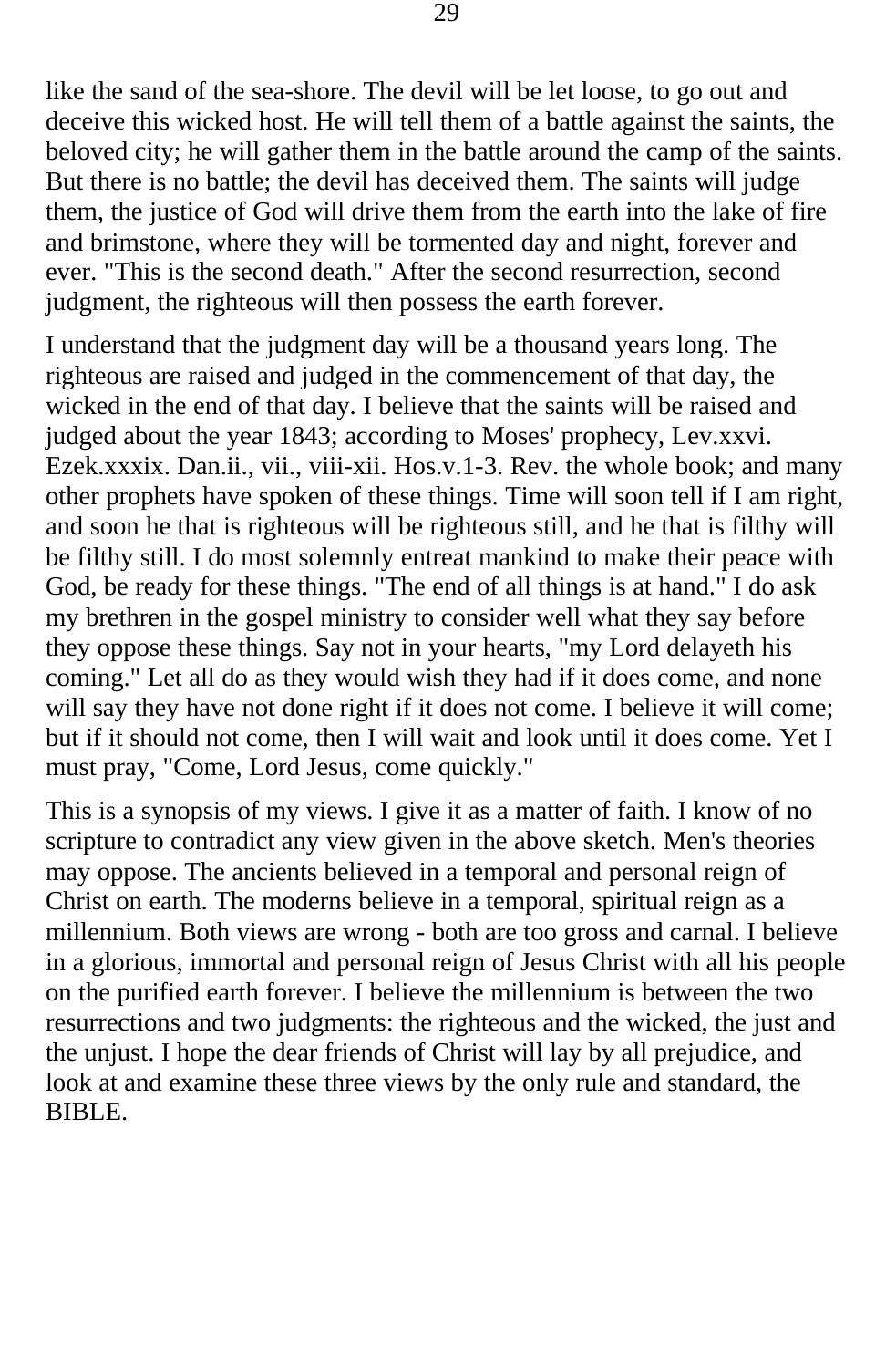like the sand of the sea-shore. The devil will be let loose, to go out and deceive this wicked host. He will tell them of a battle against the saints, the beloved city; he will gather them in the battle around the camp of the saints. But there is no battle; the devil has deceived them. The saints will judge them, the justice of God will drive them from the earth into the lake of fire and brimstone, where they will be tormented day and night, forever and ever. "This is the second death." After the second resurrection, second judgment, the righteous will then possess the earth forever.

I understand that the judgment day will be a thousand years long. The righteous are raised and judged in the commencement of that day, the wicked in the end of that day. I believe that the saints will be raised and judged about the year 1843; according to Moses' prophecy, Lev.xxvi. Ezek.xxxix. Dan.ii., vii., viii-xii. Hos.v.1-3. Rev. the whole book; and many other prophets have spoken of these things. Time will soon tell if I am right, and soon he that is righteous will be righteous still, and he that is filthy will be filthy still. I do most solemnly entreat mankind to make their peace with God, be ready for these things. "The end of all things is at hand." I do ask my brethren in the gospel ministry to consider well what they say before they oppose these things. Say not in your hearts, "my Lord delayeth his coming." Let all do as they would wish they had if it does come, and none will say they have not done right if it does not come. I believe it will come; but if it should not come, then I will wait and look until it does come. Yet I must pray, "Come, Lord Jesus, come quickly."

This is a synopsis of my views. I give it as a matter of faith. I know of no scripture to contradict any view given in the above sketch. Men's theories may oppose. The ancients believed in a temporal and personal reign of Christ on earth. The moderns believe in a temporal, spiritual reign as a millennium. Both views are wrong - both are too gross and carnal. I believe in a glorious, immortal and personal reign of Jesus Christ with all his people on the purified earth forever. I believe the millennium is between the two resurrections and two judgments: the righteous and the wicked, the just and the unjust. I hope the dear friends of Christ will lay by all prejudice, and look at and examine these three views by the only rule and standard, the BIBLE.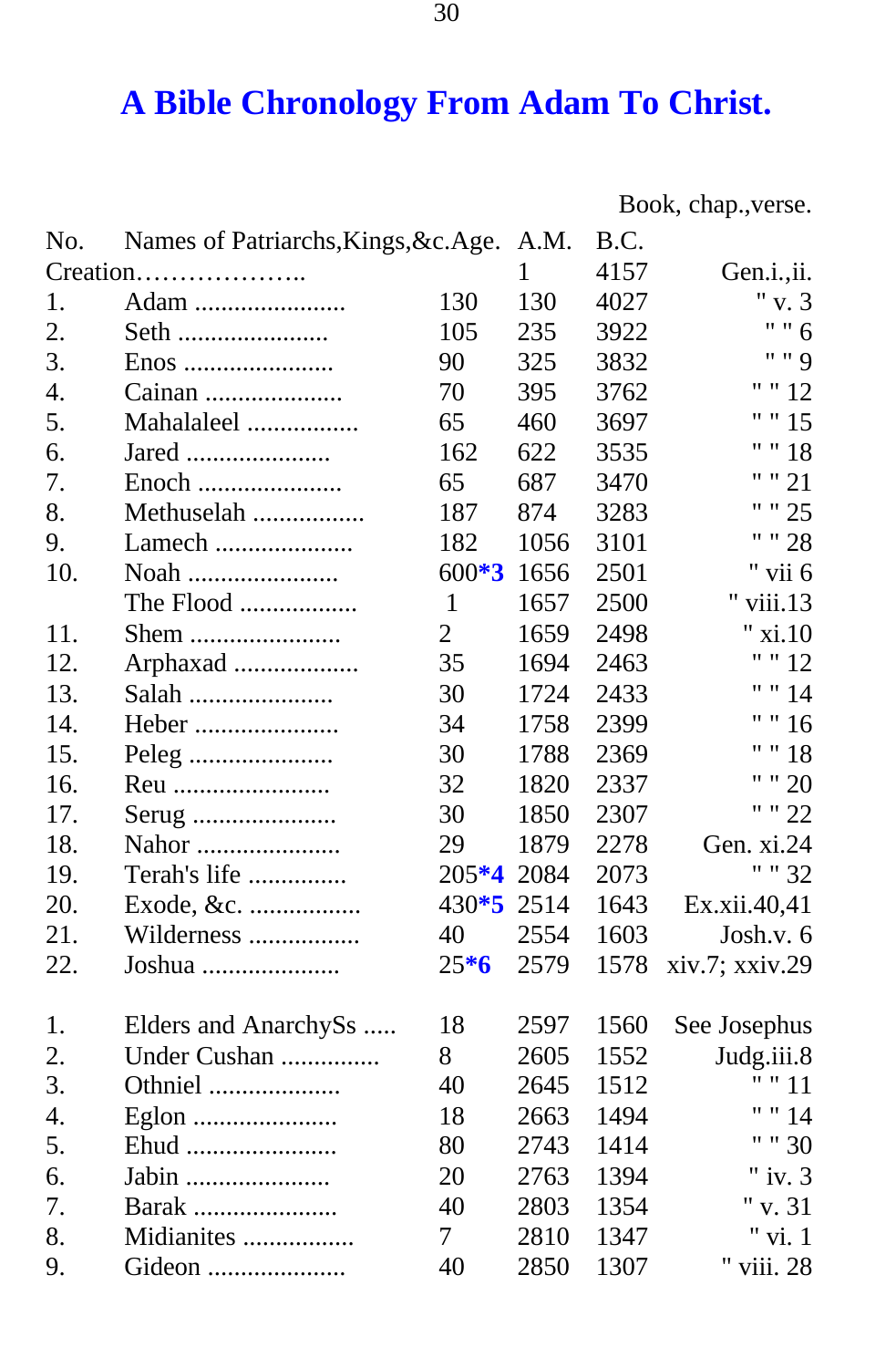# **A Bible Chronology From Adam To Christ.**

Book, chap.,verse.

<span id="page-29-0"></span>

| No. | Names of Patriarchs, Kings, &c. Age. |                | A.M. | B.C. |                                      |
|-----|--------------------------------------|----------------|------|------|--------------------------------------|
|     | Creation                             |                | 1    | 4157 | Gen.i., ii.                          |
| 1.  | Adam                                 | 130            | 130  | 4027 | " $v.3$                              |
| 2.  | Seth                                 | 105            | 235  | 3922 | " " 6                                |
| 3.  |                                      | 90             | 325  | 3832 | " "9                                 |
| 4.  | Cainan                               | 70             | 395  | 3762 | H H<br>12                            |
| 5.  | Mahalaleel                           | 65             | 460  | 3697 | $\mathbf{u}$ $\mathbf{u}$<br>15      |
| 6.  | Jared                                | 162            | 622  | 3535 | " " 18                               |
| 7.  | Enoch                                | 65             | 687  | 3470 | " " 21                               |
| 8.  | Methuselah                           | 187            | 874  | 3283 | " " $25$                             |
| 9.  | Lamech                               | 182            | 1056 | 3101 | " " 28"                              |
| 10. | Noah                                 | $600*3$        | 1656 | 2501 | " vii $6$                            |
|     | The Flood                            | $\mathbf{1}$   | 1657 | 2500 | $"$ viii.13                          |
| 11. | Shem                                 | $\overline{2}$ | 1659 | 2498 | " xi.10                              |
| 12. | Arphaxad                             | 35             | 1694 | 2463 | $\mathbf{u}$ $\mathbf{u}$<br>12      |
| 13. | Salah                                | 30             | 1724 | 2433 | " " $14$                             |
| 14. | Heber                                | 34             | 1758 | 2399 | $\mathbf{H}$ $\mathbf{H}$<br>16      |
| 15. | Peleg                                | 30             | 1788 | 2369 | $\mathbf{H}$ $\mathbf{H}$<br>18      |
| 16. | Reu                                  | 32             | 1820 | 2337 | " " 20                               |
| 17. | Serug                                | 30             | 1850 | 2307 | " " 22                               |
| 18. | Nahor                                | 29             | 1879 | 2278 | Gen. xi.24                           |
| 19. | Terah's life                         | $205*4$        | 2084 | 2073 | " " 32                               |
| 20. | Exode, &c.                           | $430*5$        | 2514 | 1643 | Ex.xii.40,41                         |
| 21. | Wilderness                           | 40             | 2554 | 1603 | Josh.v. 6                            |
| 22. | Joshua                               | $25*6$         | 2579 | 1578 | xiv.7; xxiv.29                       |
| 1.  | Elders and AnarchySs                 | 18             | 2597 | 1560 | See Josephus                         |
| 2.  | Under Cushan                         | 8              | 2605 | 1552 | Judg.iii.8                           |
| 3.  | Othniel                              | 40             | 2645 | 1512 | $\mathbf{H}$ $\mathbf{H}$<br>11      |
| 4.  | Eglon                                | 18             | 2663 | 1494 | H H<br>14                            |
| 5.  | Ehud                                 | 80             | 2743 | 1414 | " " 30                               |
| 6.  | Jabin                                | 20             | 2763 | 1394 | " iv. $3$                            |
| 7.  | Barak                                | 40             | 2803 | 1354 | " v. 31                              |
| 8.  | Midianites                           | $\overline{7}$ | 2810 | 1347 | $^{\rm\scriptscriptstyle n}$ vi. $1$ |
| 9.  | Gideon                               | 40             | 2850 | 1307 | " viii. 28                           |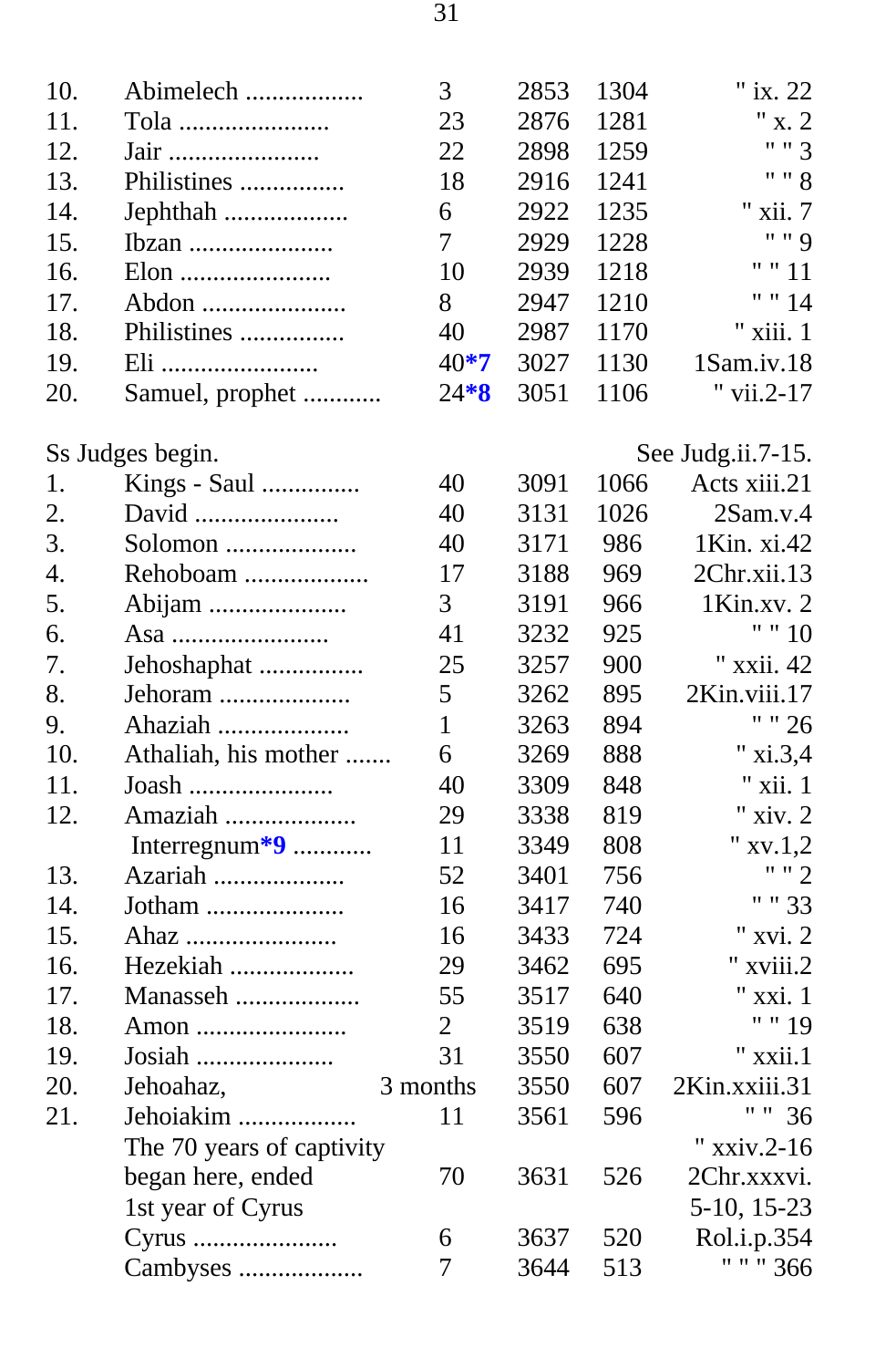| 10. | Abimelech                 | 3              | 2853 | 1304 | " ix. 22                        |
|-----|---------------------------|----------------|------|------|---------------------------------|
| 11. | Tola                      | 23             | 2876 | 1281 | " $x.2$                         |
| 12. |                           | 22             | 2898 | 1259 | " " $3$                         |
| 13. | Philistines               | 18             | 2916 | 1241 | " " 8                           |
| 14. | Jephthah                  | 6              | 2922 | 1235 | " xii. 7                        |
| 15. | Ibzan                     | 7              | 2929 | 1228 | " "9                            |
| 16. | Elon                      | 10             | 2939 | 1218 | " " 11                          |
| 17. | Abdon                     | 8              | 2947 | 1210 | " " 14                          |
| 18. | Philistines               | 40             | 2987 | 1170 | " xiii. 1"                      |
| 19. | Eli                       | $40*7$         | 3027 | 1130 | 1Sam.iv.18                      |
| 20. | Samuel, prophet           | $24*8$         | 3051 | 1106 | " $vii.2-17$                    |
|     | Ss Judges begin.          |                |      |      | See Judg.ii.7-15.               |
| 1.  | Kings - Saul              | 40             | 3091 | 1066 | Acts xiii.21                    |
| 2.  | David                     | 40             | 3131 | 1026 | 2Sam.v.4                        |
| 3.  | Solomon                   | 40             | 3171 | 986  | 1Kin. xi.42                     |
| 4.  | Rehoboam                  | 17             | 3188 | 969  | 2Chr.xii.13                     |
| 5.  | Abijam                    | 3              | 3191 | 966  | 1Kin.xv. 2                      |
| 6.  | Asa                       | 41             | 3232 | 925  | " " $10$                        |
| 7.  | Jehoshaphat               | 25             | 3257 | 900  | " xxii. 42                      |
| 8.  | Jehoram                   | 5              | 3262 | 895  | 2Kin.viii.17                    |
| 9.  | Ahaziah                   | $\mathbf{1}$   | 3263 | 894  | " " 26                          |
| 10. | Athaliah, his mother      | 6              | 3269 | 888  | " $xi1.3,4$                     |
| 11. | Joash                     | 40             | 3309 | 848  | " xii. 1"                       |
| 12. | Amaziah                   | 29             | 3338 | 819  | " $xi$ iv. 2                    |
|     | Interregnum <sup>*9</sup> | 11             | 3349 | 808  | " $xv.1,2$                      |
| 13. | Azariah                   | 52             | 3401 | 756  | " " $2$                         |
| 14. | Jotham                    | 16             | 3417 | 740  | " " 33                          |
| 15. | Ahaz                      | 16             | 3433 | 724  | " $xvi. 2$                      |
| 16. | Hezekiah                  | 29             | 3462 | 695  | " xviii.2                       |
| 17. | Manasseh                  | 55             | 3517 | 640  | $"$ xxi. 1                      |
| 18. | Amon                      | $\overline{2}$ | 3519 | 638  | " " 19                          |
| 19. | Josiah                    | 31             | 3550 | 607  | " $xxi1.1$                      |
| 20. | Jehoahaz,                 | 3 months       | 3550 | 607  | 2Kin.xxiii.31                   |
| 21. | Jehoiakim                 | 11             | 3561 | 596  | $\mathbf{u}$ $\mathbf{u}$<br>36 |
|     | The 70 years of captivity |                |      |      | " $xxiv.2-16$                   |
|     | began here, ended         | 70             | 3631 | 526  | 2Chr.xxxvi.                     |
|     | 1st year of Cyrus         |                |      |      | 5-10, 15-23                     |
|     | Cyrus                     | 6              | 3637 | 520  | Rol.i.p.354                     |
|     | Cambyses                  | 7              | 3644 | 513  | 11 . II . II<br>366             |

31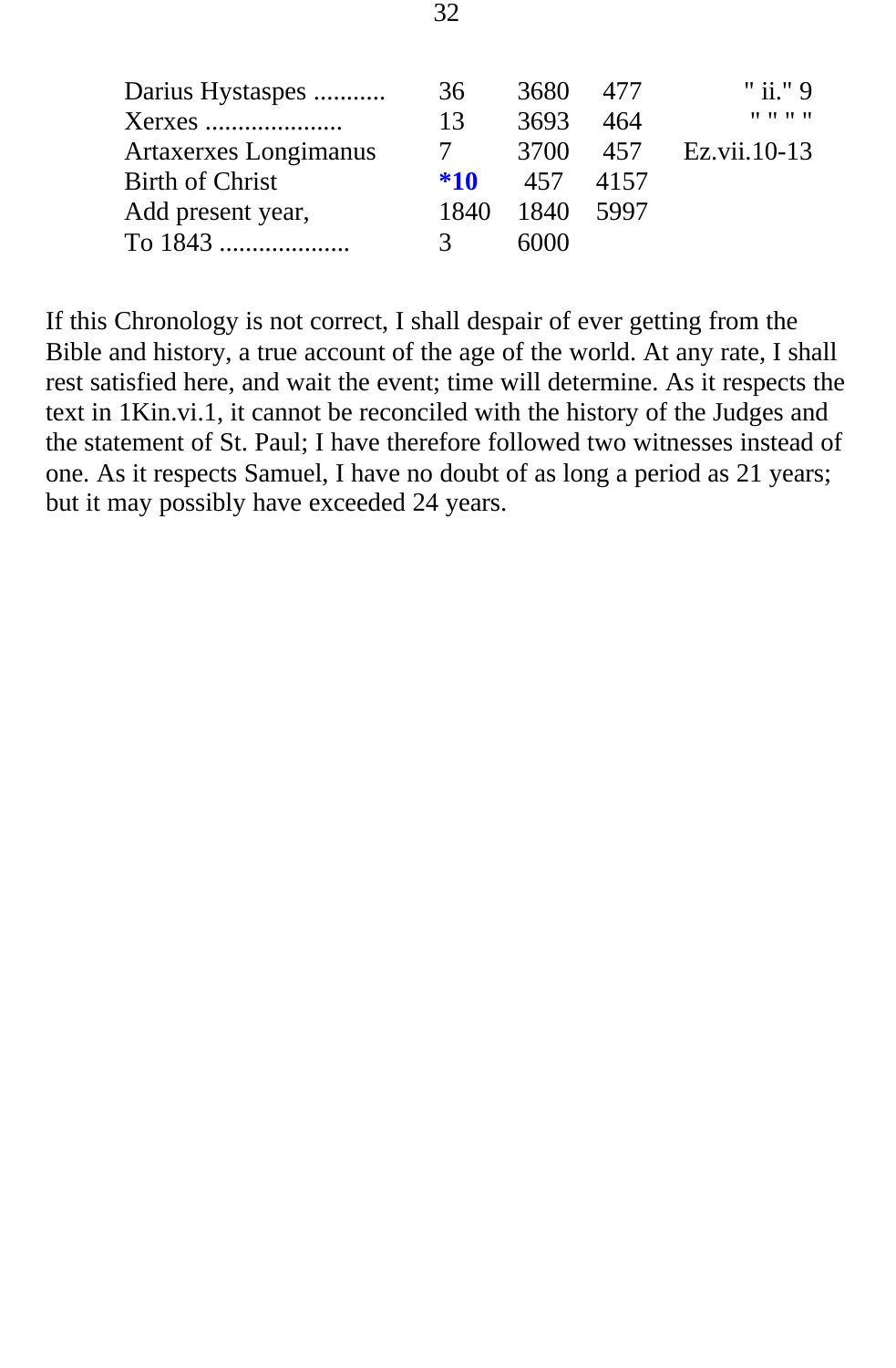| Darius Hystaspes      | 36             | 3680 477 |      | " $ii$ "9      |
|-----------------------|----------------|----------|------|----------------|
|                       | 13             | 3693     | 464  | 11.11.11.11    |
| Artaxerxes Longimanus | $\overline{7}$ | 3700 457 |      | $Ez.vii.10-13$ |
| Birth of Christ       | *10            | 457      | 4157 |                |
| Add present year,     | 1840           | 1840     | 5997 |                |
| To 1843               | $\mathcal{E}$  | 6000     |      |                |

If this Chronology is not correct, I shall despair of ever getting from the Bible and history, a true account of the age of the world. At any rate, I shall rest satisfied here, and wait the event; time will determine. As it respects the text in 1Kin.vi.1, it cannot be reconciled with the history of the Judges and the statement of St. Paul; I have therefore followed two witnesses instead of one. As it respects Samuel, I have no doubt of as long a period as 21 years; but it may possibly have exceeded 24 years.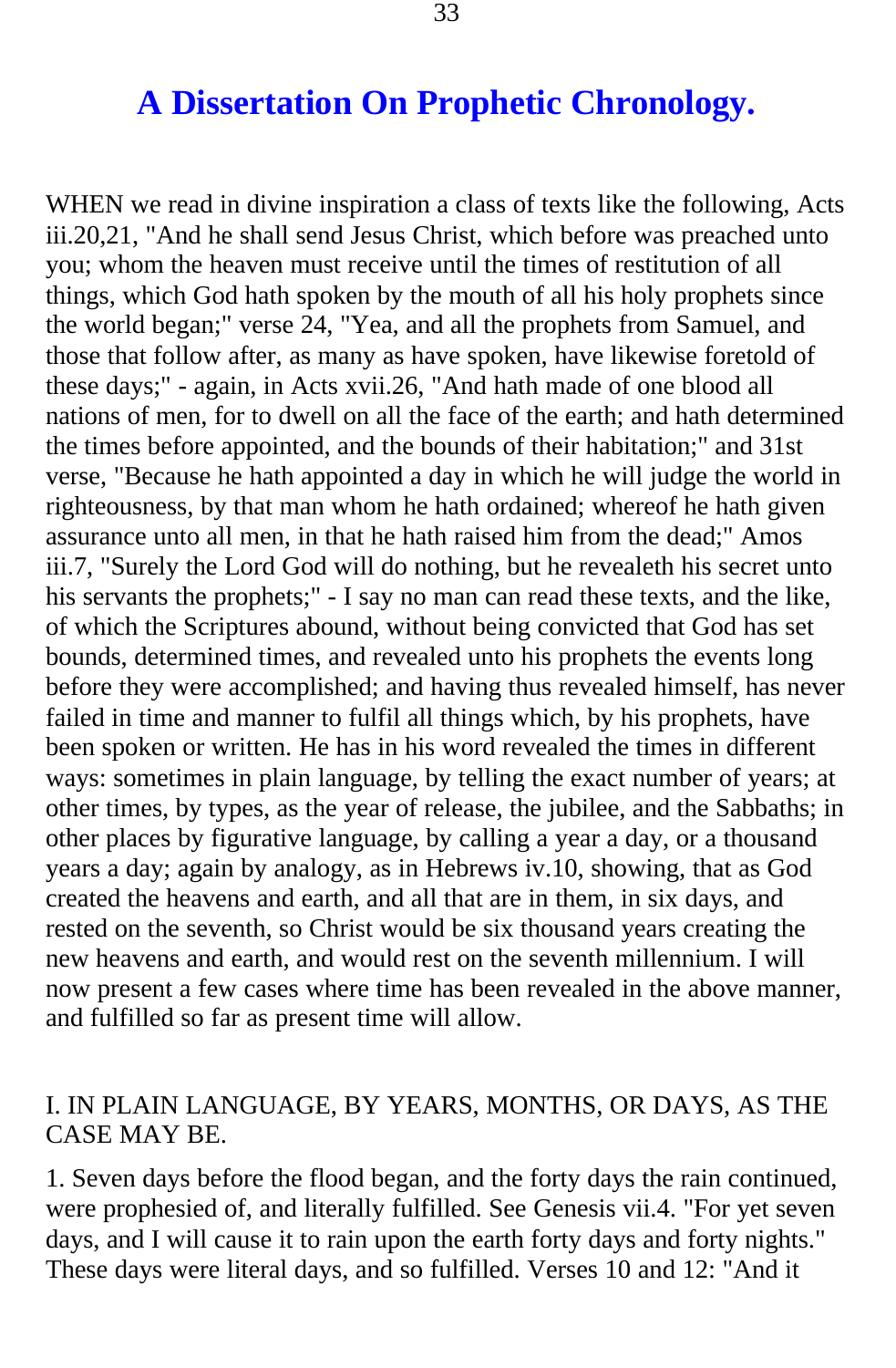### **A Dissertation On Prophetic Chronology.**

<span id="page-32-0"></span>WHEN we read in divine inspiration a class of texts like the following, Acts iii.20,21, "And he shall send Jesus Christ, which before was preached unto you; whom the heaven must receive until the times of restitution of all things, which God hath spoken by the mouth of all his holy prophets since the world began;" verse 24, "Yea, and all the prophets from Samuel, and those that follow after, as many as have spoken, have likewise foretold of these days;" - again, in Acts xvii.26, "And hath made of one blood all nations of men, for to dwell on all the face of the earth; and hath determined the times before appointed, and the bounds of their habitation;" and 31st verse, "Because he hath appointed a day in which he will judge the world in righteousness, by that man whom he hath ordained; whereof he hath given assurance unto all men, in that he hath raised him from the dead;" Amos iii.7, "Surely the Lord God will do nothing, but he revealeth his secret unto his servants the prophets;" - I say no man can read these texts, and the like, of which the Scriptures abound, without being convicted that God has set bounds, determined times, and revealed unto his prophets the events long before they were accomplished; and having thus revealed himself, has never failed in time and manner to fulfil all things which, by his prophets, have been spoken or written. He has in his word revealed the times in different ways: sometimes in plain language, by telling the exact number of years; at other times, by types, as the year of release, the jubilee, and the Sabbaths; in other places by figurative language, by calling a year a day, or a thousand years a day; again by analogy, as in Hebrews iv.10, showing, that as God created the heavens and earth, and all that are in them, in six days, and rested on the seventh, so Christ would be six thousand years creating the new heavens and earth, and would rest on the seventh millennium. I will now present a few cases where time has been revealed in the above manner, and fulfilled so far as present time will allow.

#### I. IN PLAIN LANGUAGE, BY YEARS, MONTHS, OR DAYS, AS THE CASE MAY BE.

1. Seven days before the flood began, and the forty days the rain continued, were prophesied of, and literally fulfilled. See Genesis vii.4. "For yet seven days, and I will cause it to rain upon the earth forty days and forty nights." These days were literal days, and so fulfilled. Verses 10 and 12: "And it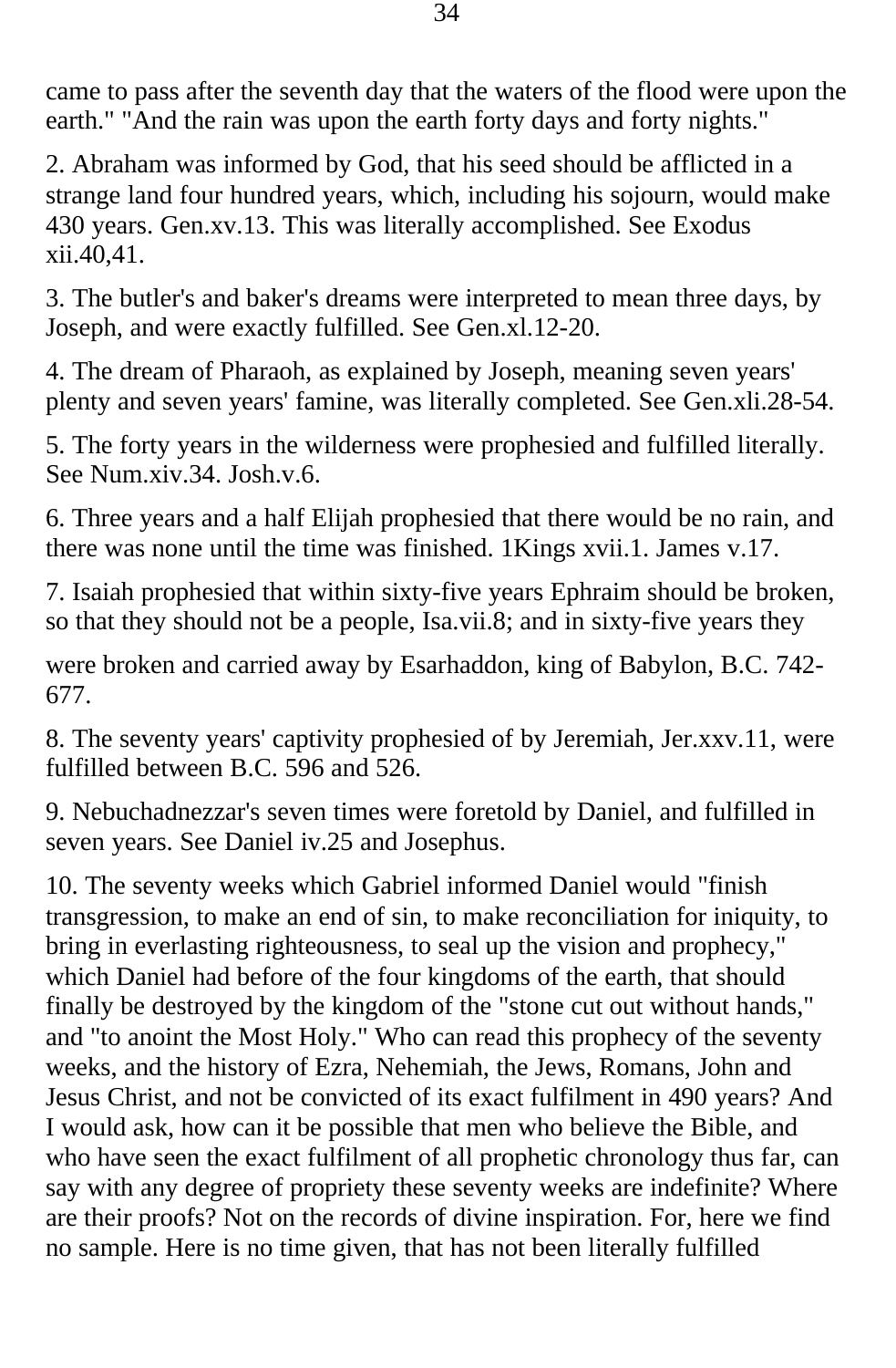came to pass after the seventh day that the waters of the flood were upon the earth." "And the rain was upon the earth forty days and forty nights."

2. Abraham was informed by God, that his seed should be afflicted in a strange land four hundred years, which, including his sojourn, would make 430 years. Gen.xv.13. This was literally accomplished. See Exodus xii.40,41.

3. The butler's and baker's dreams were interpreted to mean three days, by Joseph, and were exactly fulfilled. See Gen.xl.12-20.

4. The dream of Pharaoh, as explained by Joseph, meaning seven years' plenty and seven years' famine, was literally completed. See Gen.xli.28-54.

5. The forty years in the wilderness were prophesied and fulfilled literally. See Num.xiv.34. Josh.v.6.

6. Three years and a half Elijah prophesied that there would be no rain, and there was none until the time was finished. 1Kings xvii.1. James v.17.

7. Isaiah prophesied that within sixty-five years Ephraim should be broken, so that they should not be a people, Isa.vii.8; and in sixty-five years they

were broken and carried away by Esarhaddon, king of Babylon, B.C. 742 677.

8. The seventy years' captivity prophesied of by Jeremiah, Jer.xxv.11, were fulfilled between B.C. 596 and 526.

9. Nebuchadnezzar's seven times were foretold by Daniel, and fulfilled in seven years. See Daniel iv.25 and Josephus.

10. The seventy weeks which Gabriel informed Daniel would "finish transgression, to make an end of sin, to make reconciliation for iniquity, to bring in everlasting righteousness, to seal up the vision and prophecy," which Daniel had before of the four kingdoms of the earth, that should finally be destroyed by the kingdom of the "stone cut out without hands," and "to anoint the Most Holy." Who can read this prophecy of the seventy weeks, and the history of Ezra, Nehemiah, the Jews, Romans, John and Jesus Christ, and not be convicted of its exact fulfilment in 490 years? And I would ask, how can it be possible that men who believe the Bible, and who have seen the exact fulfilment of all prophetic chronology thus far, can say with any degree of propriety these seventy weeks are indefinite? Where are their proofs? Not on the records of divine inspiration. For, here we find no sample. Here is no time given, that has not been literally fulfilled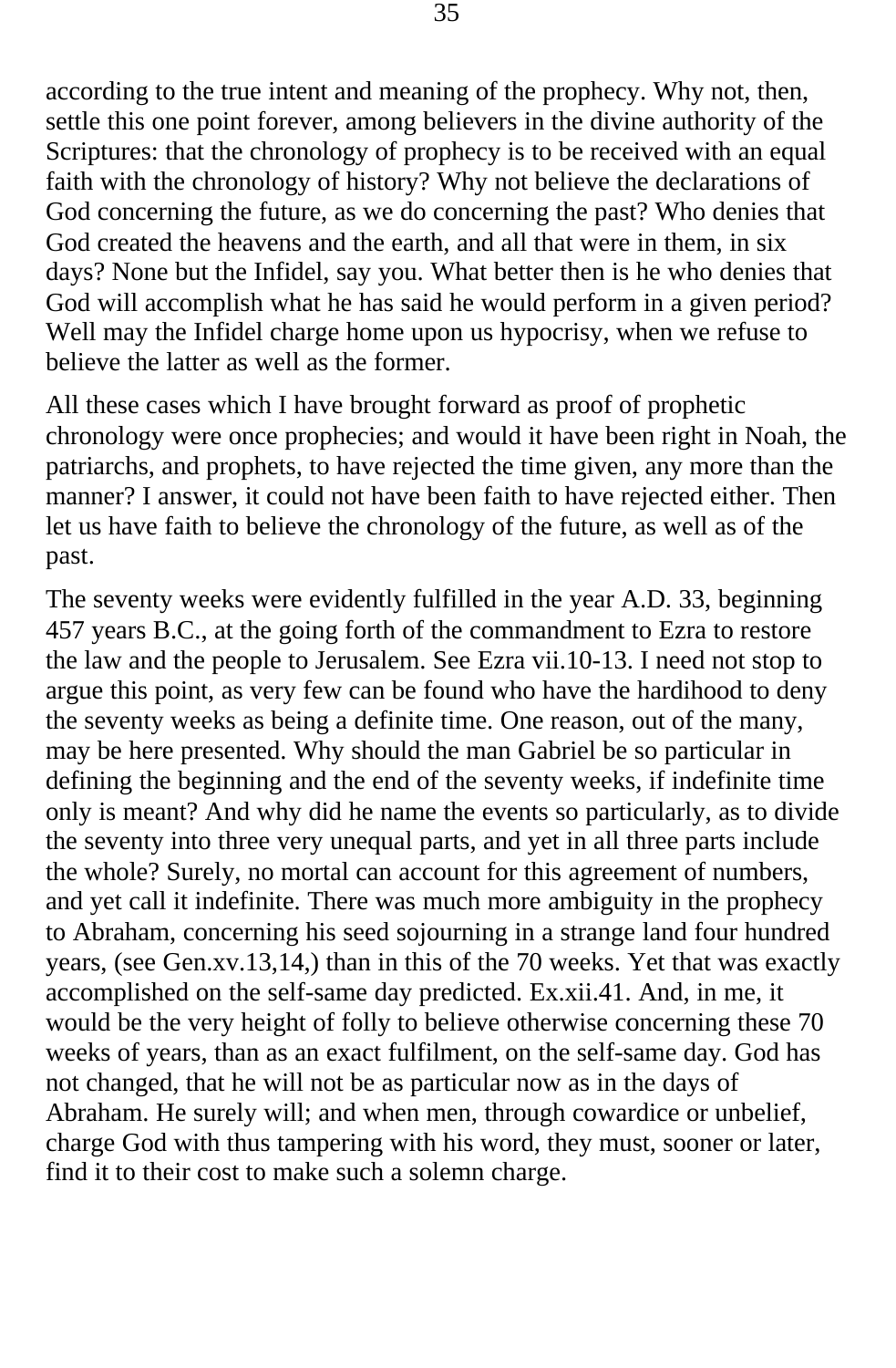according to the true intent and meaning of the prophecy. Why not, then, settle this one point forever, among believers in the divine authority of the Scriptures: that the chronology of prophecy is to be received with an equal faith with the chronology of history? Why not believe the declarations of God concerning the future, as we do concerning the past? Who denies that God created the heavens and the earth, and all that were in them, in six days? None but the Infidel, say you. What better then is he who denies that God will accomplish what he has said he would perform in a given period? Well may the Infidel charge home upon us hypocrisy, when we refuse to believe the latter as well as the former.

All these cases which I have brought forward as proof of prophetic chronology were once prophecies; and would it have been right in Noah, the patriarchs, and prophets, to have rejected the time given, any more than the manner? I answer, it could not have been faith to have rejected either. Then let us have faith to believe the chronology of the future, as well as of the past.

The seventy weeks were evidently fulfilled in the year A.D. 33, beginning 457 years B.C., at the going forth of the commandment to Ezra to restore the law and the people to Jerusalem. See Ezra vii.10-13. I need not stop to argue this point, as very few can be found who have the hardihood to deny the seventy weeks as being a definite time. One reason, out of the many, may be here presented. Why should the man Gabriel be so particular in defining the beginning and the end of the seventy weeks, if indefinite time only is meant? And why did he name the events so particularly, as to divide the seventy into three very unequal parts, and yet in all three parts include the whole? Surely, no mortal can account for this agreement of numbers, and yet call it indefinite. There was much more ambiguity in the prophecy to Abraham, concerning his seed sojourning in a strange land four hundred years, (see Gen.xv.13,14,) than in this of the 70 weeks. Yet that was exactly accomplished on the self-same day predicted. Ex.xii.41. And, in me, it would be the very height of folly to believe otherwise concerning these 70 weeks of years, than as an exact fulfilment, on the self-same day. God has not changed, that he will not be as particular now as in the days of Abraham. He surely will; and when men, through cowardice or unbelief, charge God with thus tampering with his word, they must, sooner or later, find it to their cost to make such a solemn charge.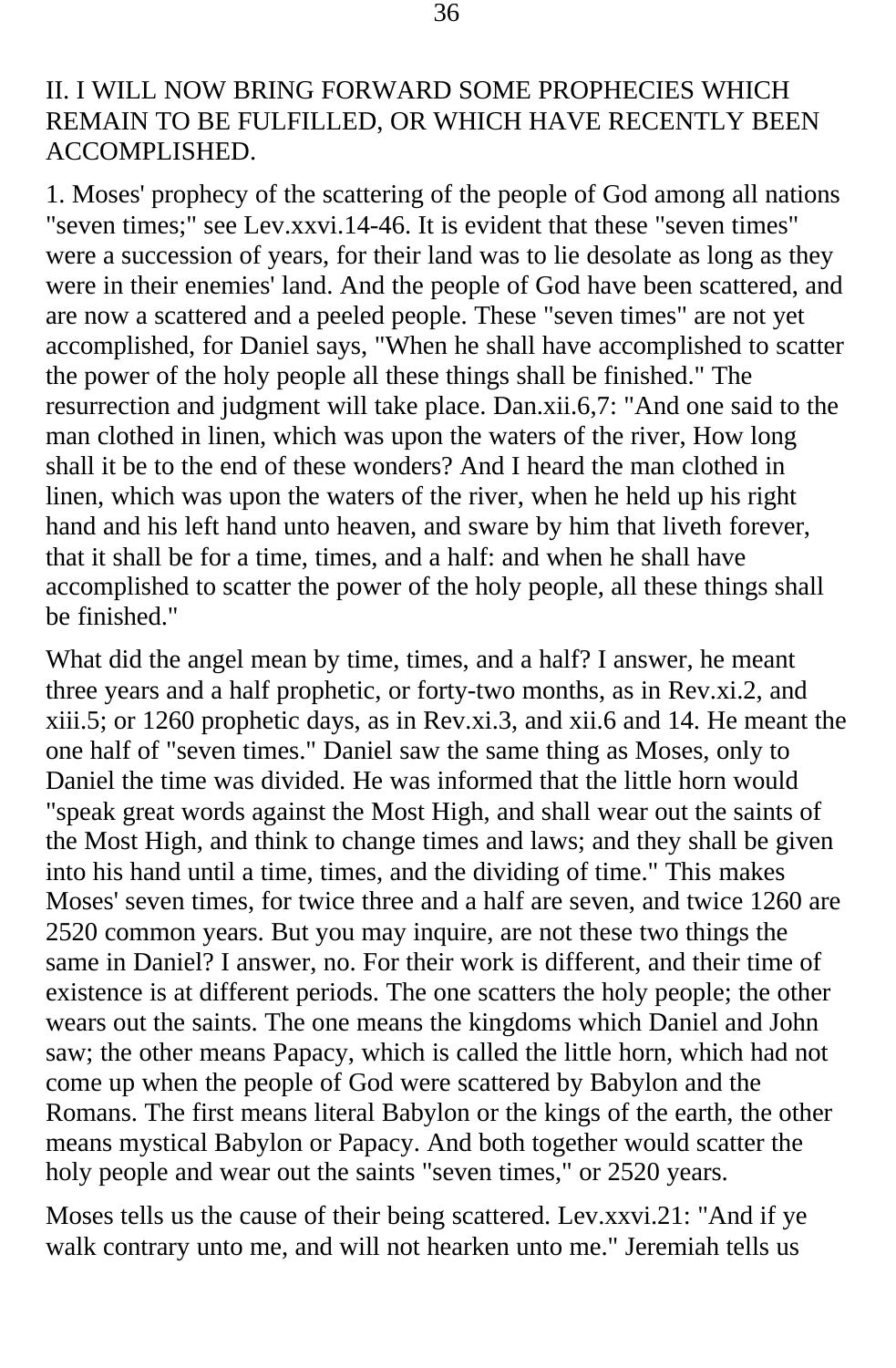#### II. I WILL NOW BRING FORWARD SOME PROPHECIES WHICH REMAIN TO BE FULFILLED, OR WHICH HAVE RECENTLY BEEN ACCOMPLISHED.

1. Moses' prophecy of the scattering of the people of God among all nations "seven times;" see Lev.xxvi.14-46. It is evident that these "seven times" were a succession of years, for their land was to lie desolate as long as they were in their enemies' land. And the people of God have been scattered, and are now a scattered and a peeled people. These "seven times" are not yet accomplished, for Daniel says, "When he shall have accomplished to scatter the power of the holy people all these things shall be finished." The resurrection and judgment will take place. Dan.xii.6,7: "And one said to the man clothed in linen, which was upon the waters of the river, How long shall it be to the end of these wonders? And I heard the man clothed in linen, which was upon the waters of the river, when he held up his right hand and his left hand unto heaven, and sware by him that liveth forever, that it shall be for a time, times, and a half: and when he shall have accomplished to scatter the power of the holy people, all these things shall be finished."

What did the angel mean by time, times, and a half? I answer, he meant three years and a half prophetic, or forty-two months, as in Rev.xi.2, and xiii.5; or 1260 prophetic days, as in Rev.xi.3, and xii.6 and 14. He meant the one half of "seven times." Daniel saw the same thing as Moses, only to Daniel the time was divided. He was informed that the little horn would "speak great words against the Most High, and shall wear out the saints of the Most High, and think to change times and laws; and they shall be given into his hand until a time, times, and the dividing of time." This makes Moses' seven times, for twice three and a half are seven, and twice 1260 are 2520 common years. But you may inquire, are not these two things the same in Daniel? I answer, no. For their work is different, and their time of existence is at different periods. The one scatters the holy people; the other wears out the saints. The one means the kingdoms which Daniel and John saw; the other means Papacy, which is called the little horn, which had not come up when the people of God were scattered by Babylon and the Romans. The first means literal Babylon or the kings of the earth, the other means mystical Babylon or Papacy. And both together would scatter the holy people and wear out the saints "seven times," or 2520 years.

Moses tells us the cause of their being scattered. Lev.xxvi.21: "And if ye walk contrary unto me, and will not hearken unto me." Jeremiah tells us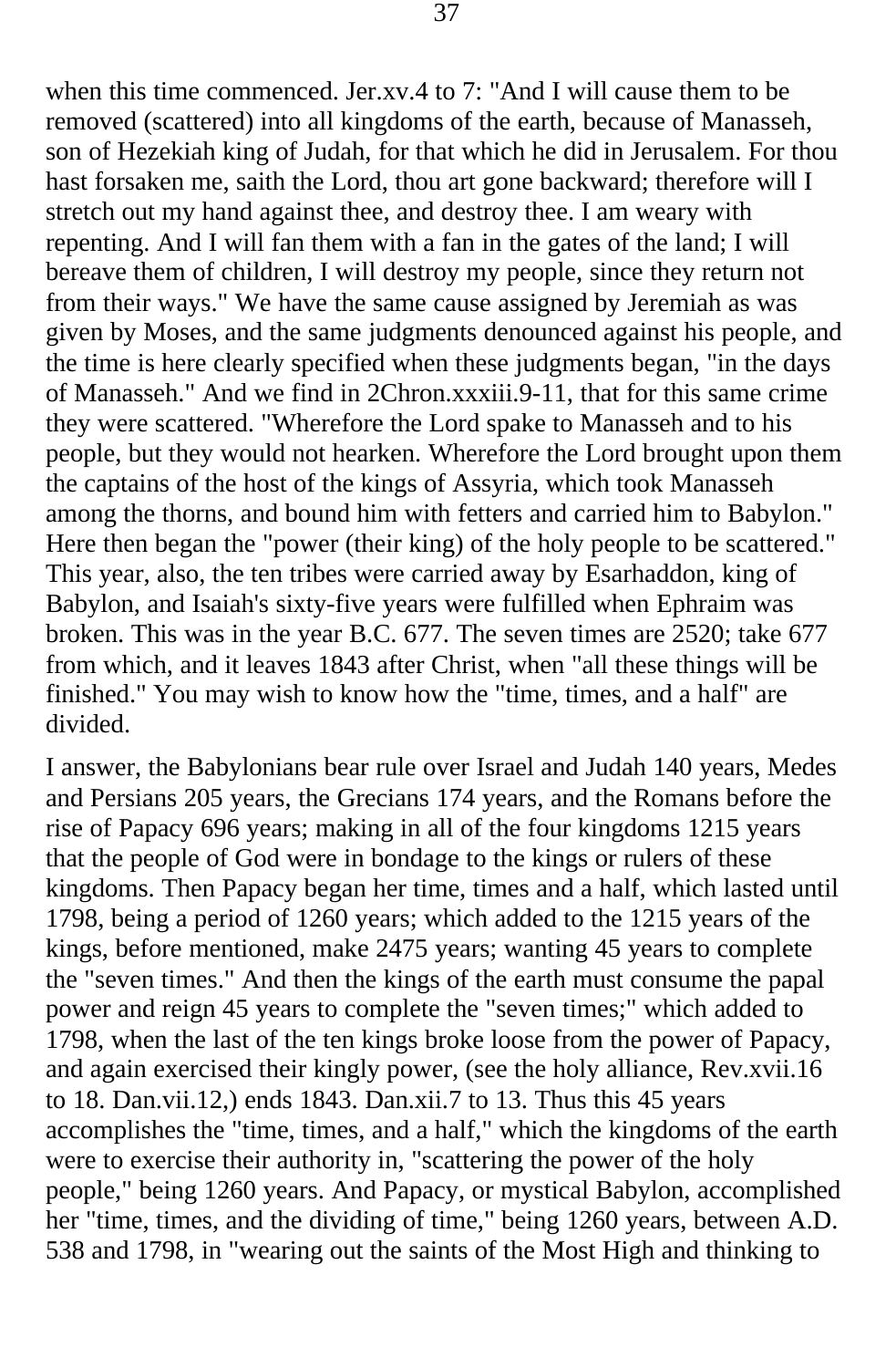when this time commenced. Jer.xv.4 to 7: "And I will cause them to be removed (scattered) into all kingdoms of the earth, because of Manasseh, son of Hezekiah king of Judah, for that which he did in Jerusalem. For thou hast forsaken me, saith the Lord, thou art gone backward; therefore will I stretch out my hand against thee, and destroy thee. I am weary with repenting. And I will fan them with a fan in the gates of the land; I will bereave them of children, I will destroy my people, since they return not from their ways." We have the same cause assigned by Jeremiah as was given by Moses, and the same judgments denounced against his people, and the time is here clearly specified when these judgments began, "in the days of Manasseh." And we find in 2Chron.xxxiii.9-11, that for this same crime they were scattered. "Wherefore the Lord spake to Manasseh and to his people, but they would not hearken. Wherefore the Lord brought upon them the captains of the host of the kings of Assyria, which took Manasseh among the thorns, and bound him with fetters and carried him to Babylon." Here then began the "power (their king) of the holy people to be scattered." This year, also, the ten tribes were carried away by Esarhaddon, king of Babylon, and Isaiah's sixty-five years were fulfilled when Ephraim was broken. This was in the year B.C. 677. The seven times are 2520; take 677 from which, and it leaves 1843 after Christ, when "all these things will be finished." You may wish to know how the "time, times, and a half" are divided.

I answer, the Babylonians bear rule over Israel and Judah 140 years, Medes and Persians 205 years, the Grecians 174 years, and the Romans before the rise of Papacy 696 years; making in all of the four kingdoms 1215 years that the people of God were in bondage to the kings or rulers of these kingdoms. Then Papacy began her time, times and a half, which lasted until 1798, being a period of 1260 years; which added to the 1215 years of the kings, before mentioned, make 2475 years; wanting 45 years to complete the "seven times." And then the kings of the earth must consume the papal power and reign 45 years to complete the "seven times;" which added to 1798, when the last of the ten kings broke loose from the power of Papacy, and again exercised their kingly power, (see the holy alliance, Rev.xvii.16 to 18. Dan.vii.12,) ends 1843. Dan.xii.7 to 13. Thus this 45 years accomplishes the "time, times, and a half," which the kingdoms of the earth were to exercise their authority in, "scattering the power of the holy people," being 1260 years. And Papacy, or mystical Babylon, accomplished her "time, times, and the dividing of time," being 1260 years, between A.D. 538 and 1798, in "wearing out the saints of the Most High and thinking to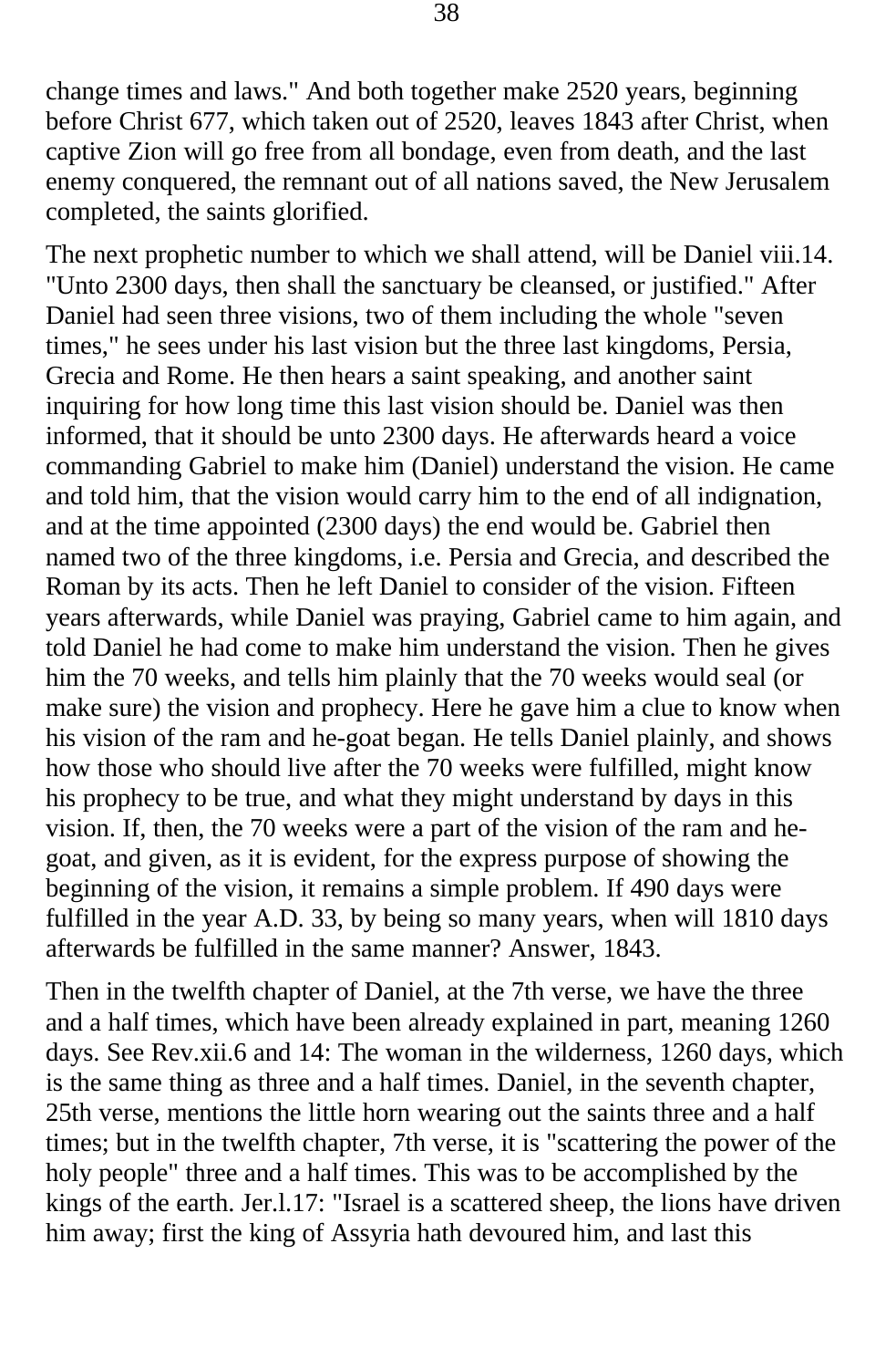change times and laws." And both together make 2520 years, beginning before Christ 677, which taken out of 2520, leaves 1843 after Christ, when captive Zion will go free from all bondage, even from death, and the last enemy conquered, the remnant out of all nations saved, the New Jerusalem completed, the saints glorified.

The next prophetic number to which we shall attend, will be Daniel viii.14. "Unto 2300 days, then shall the sanctuary be cleansed, or justified." After Daniel had seen three visions, two of them including the whole "seven times," he sees under his last vision but the three last kingdoms, Persia, Grecia and Rome. He then hears a saint speaking, and another saint inquiring for how long time this last vision should be. Daniel was then informed, that it should be unto 2300 days. He afterwards heard a voice commanding Gabriel to make him (Daniel) understand the vision. He came and told him, that the vision would carry him to the end of all indignation, and at the time appointed (2300 days) the end would be. Gabriel then named two of the three kingdoms, i.e. Persia and Grecia, and described the Roman by its acts. Then he left Daniel to consider of the vision. Fifteen years afterwards, while Daniel was praying, Gabriel came to him again, and told Daniel he had come to make him understand the vision. Then he gives him the 70 weeks, and tells him plainly that the 70 weeks would seal (or make sure) the vision and prophecy. Here he gave him a clue to know when his vision of the ram and he-goat began. He tells Daniel plainly, and shows how those who should live after the 70 weeks were fulfilled, might know his prophecy to be true, and what they might understand by days in this vision. If, then, the 70 weeks were a part of the vision of the ram and hegoat, and given, as it is evident, for the express purpose of showing the beginning of the vision, it remains a simple problem. If 490 days were fulfilled in the year A.D. 33, by being so many years, when will 1810 days afterwards be fulfilled in the same manner? Answer, 1843.

Then in the twelfth chapter of Daniel, at the 7th verse, we have the three and a half times, which have been already explained in part, meaning 1260 days. See Rev.xii.6 and 14: The woman in the wilderness, 1260 days, which is the same thing as three and a half times. Daniel, in the seventh chapter, 25th verse, mentions the little horn wearing out the saints three and a half times; but in the twelfth chapter, 7th verse, it is "scattering the power of the holy people" three and a half times. This was to be accomplished by the kings of the earth. Jer.l.17: "Israel is a scattered sheep, the lions have driven him away; first the king of Assyria hath devoured him, and last this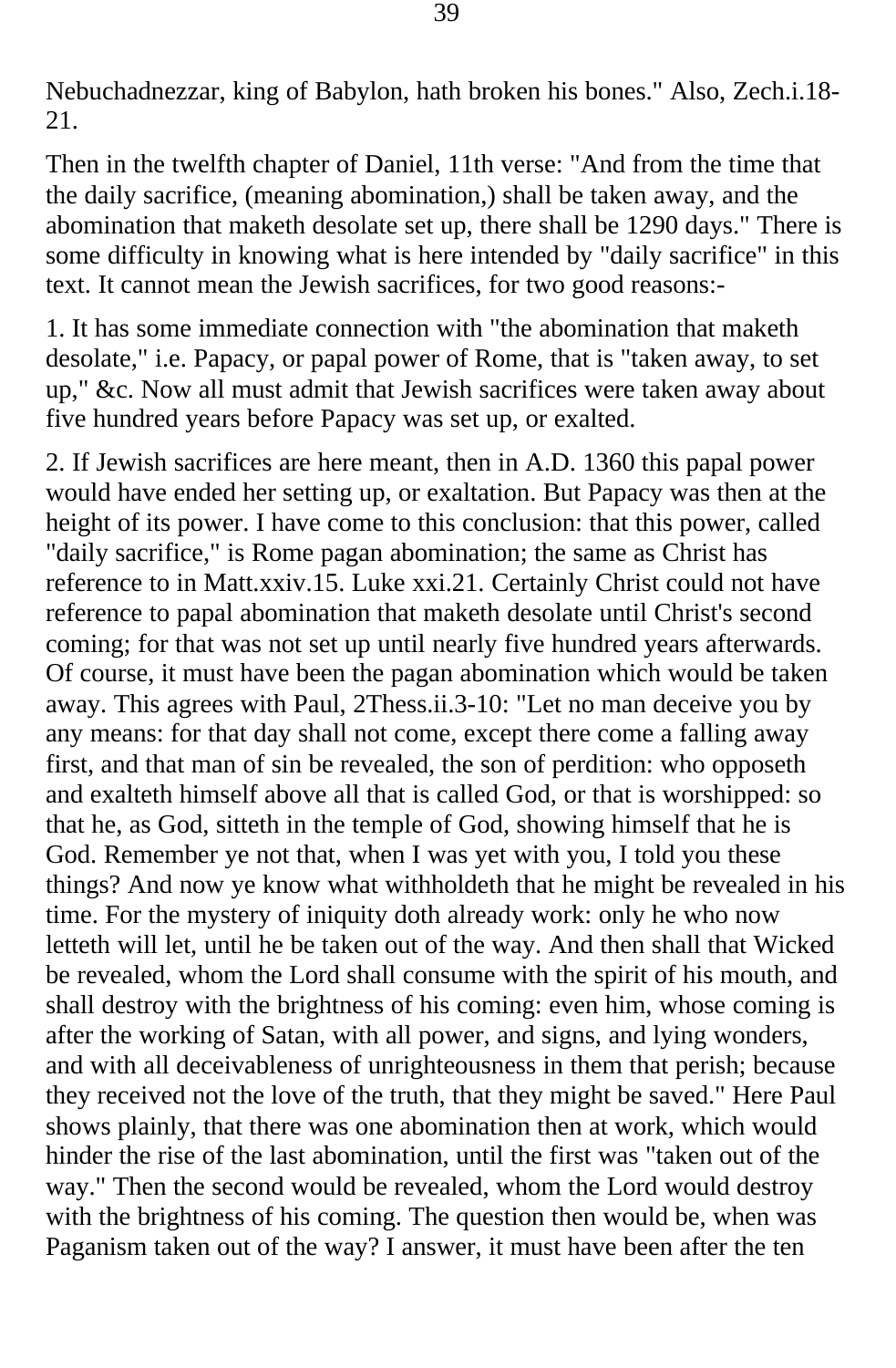Nebuchadnezzar, king of Babylon, hath broken his bones." Also, Zech.i.18- 21.

Then in the twelfth chapter of Daniel, 11th verse: "And from the time that the daily sacrifice, (meaning abomination,) shall be taken away, and the abomination that maketh desolate set up, there shall be 1290 days." There is some difficulty in knowing what is here intended by "daily sacrifice" in this text. It cannot mean the Jewish sacrifices, for two good reasons:-

1. It has some immediate connection with "the abomination that maketh desolate," i.e. Papacy, or papal power of Rome, that is "taken away, to set up," &c. Now all must admit that Jewish sacrifices were taken away about five hundred years before Papacy was set up, or exalted.

2. If Jewish sacrifices are here meant, then in A.D. 1360 this papal power would have ended her setting up, or exaltation. But Papacy was then at the height of its power. I have come to this conclusion: that this power, called "daily sacrifice," is Rome pagan abomination; the same as Christ has reference to in Matt.xxiv.15. Luke xxi.21. Certainly Christ could not have reference to papal abomination that maketh desolate until Christ's second coming; for that was not set up until nearly five hundred years afterwards. Of course, it must have been the pagan abomination which would be taken away. This agrees with Paul, 2Thess.ii.3-10: "Let no man deceive you by any means: for that day shall not come, except there come a falling away first, and that man of sin be revealed, the son of perdition: who opposeth and exalteth himself above all that is called God, or that is worshipped: so that he, as God, sitteth in the temple of God, showing himself that he is God. Remember ye not that, when I was yet with you, I told you these things? And now ye know what withholdeth that he might be revealed in his time. For the mystery of iniquity doth already work: only he who now letteth will let, until he be taken out of the way. And then shall that Wicked be revealed, whom the Lord shall consume with the spirit of his mouth, and shall destroy with the brightness of his coming: even him, whose coming is after the working of Satan, with all power, and signs, and lying wonders, and with all deceivableness of unrighteousness in them that perish; because they received not the love of the truth, that they might be saved." Here Paul shows plainly, that there was one abomination then at work, which would hinder the rise of the last abomination, until the first was "taken out of the way." Then the second would be revealed, whom the Lord would destroy with the brightness of his coming. The question then would be, when was Paganism taken out of the way? I answer, it must have been after the ten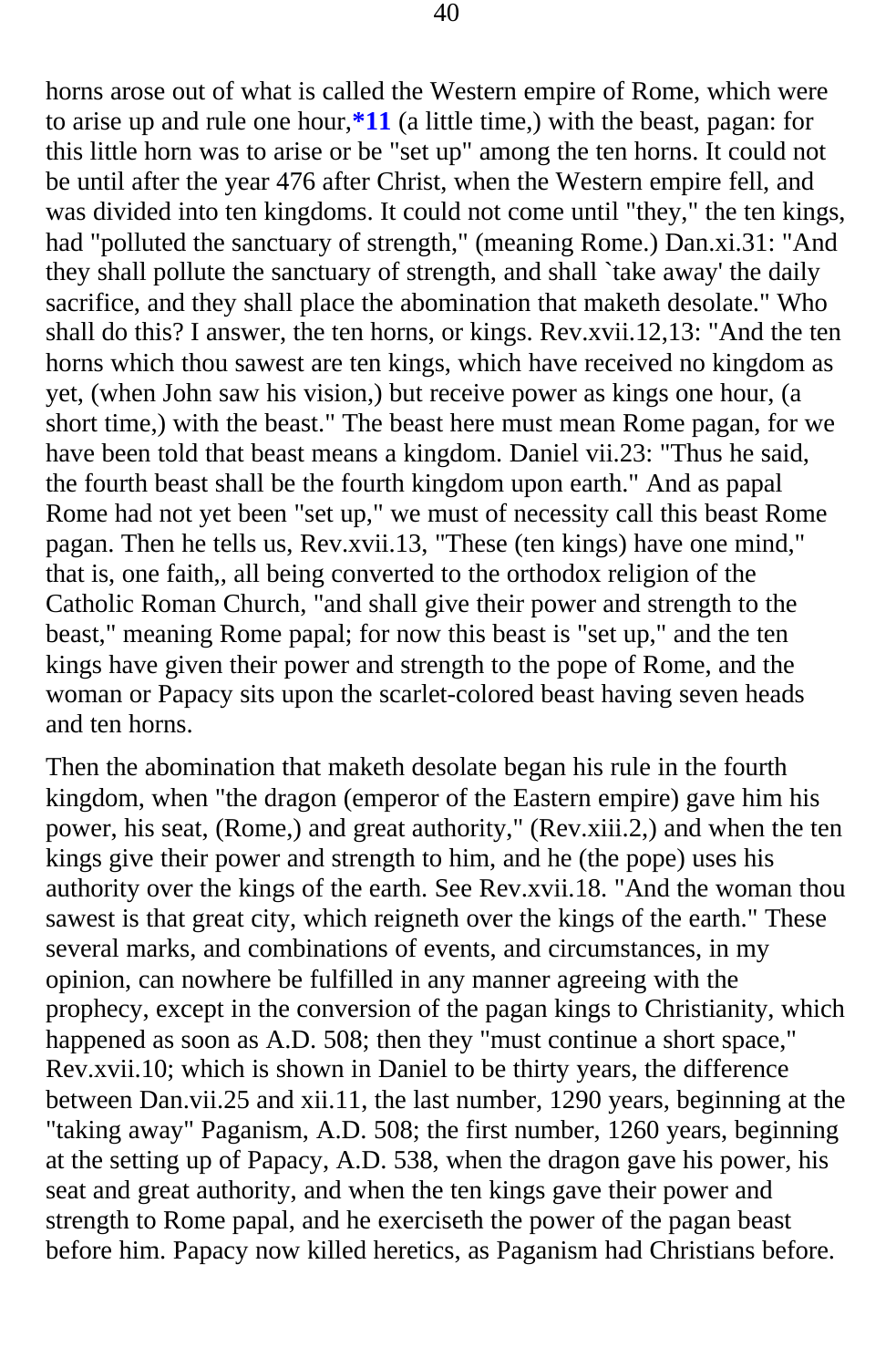horns arose out of what is called the Western empire of Rome, which were to arise up and rule one hour,**\*11** (a little time,) with the beast, pagan: for this little horn was to arise o[r be "se](#page-196-0)t up" among the ten horns. It could not be until after the year 476 after Christ, when the Western empire fell, and was divided into ten kingdoms. It could not come until "they," the ten kings, had "polluted the sanctuary of strength," (meaning Rome.) Dan.xi.31: "And they shall pollute the sanctuary of strength, and shall `take away' the daily sacrifice, and they shall place the abomination that maketh desolate." Who shall do this? I answer, the ten horns, or kings. Rev.xvii.12,13: "And the ten horns which thou sawest are ten kings, which have received no kingdom as yet, (when John saw his vision,) but receive power as kings one hour, (a short time,) with the beast." The beast here must mean Rome pagan, for we have been told that beast means a kingdom. Daniel vii.23: "Thus he said, the fourth beast shall be the fourth kingdom upon earth." And as papal Rome had not yet been "set up," we must of necessity call this beast Rome pagan. Then he tells us, Rev.xvii.13, "These (ten kings) have one mind," that is, one faith,, all being converted to the orthodox religion of the Catholic Roman Church, "and shall give their power and strength to the beast," meaning Rome papal; for now this beast is "set up," and the ten kings have given their power and strength to the pope of Rome, and the woman or Papacy sits upon the scarlet-colored beast having seven heads and ten horns.

Then the abomination that maketh desolate began his rule in the fourth kingdom, when "the dragon (emperor of the Eastern empire) gave him his power, his seat, (Rome,) and great authority," (Rev.xiii.2,) and when the ten kings give their power and strength to him, and he (the pope) uses his authority over the kings of the earth. See Rev.xvii.18. "And the woman thou sawest is that great city, which reigneth over the kings of the earth." These several marks, and combinations of events, and circumstances, in my opinion, can nowhere be fulfilled in any manner agreeing with the prophecy, except in the conversion of the pagan kings to Christianity, which happened as soon as A.D. 508; then they "must continue a short space," Rev.xvii.10; which is shown in Daniel to be thirty years, the difference between Dan.vii.25 and xii.11, the last number, 1290 years, beginning at the "taking away" Paganism, A.D. 508; the first number, 1260 years, beginning at the setting up of Papacy, A.D. 538, when the dragon gave his power, his seat and great authority, and when the ten kings gave their power and strength to Rome papal, and he exerciseth the power of the pagan beast before him. Papacy now killed heretics, as Paganism had Christians before.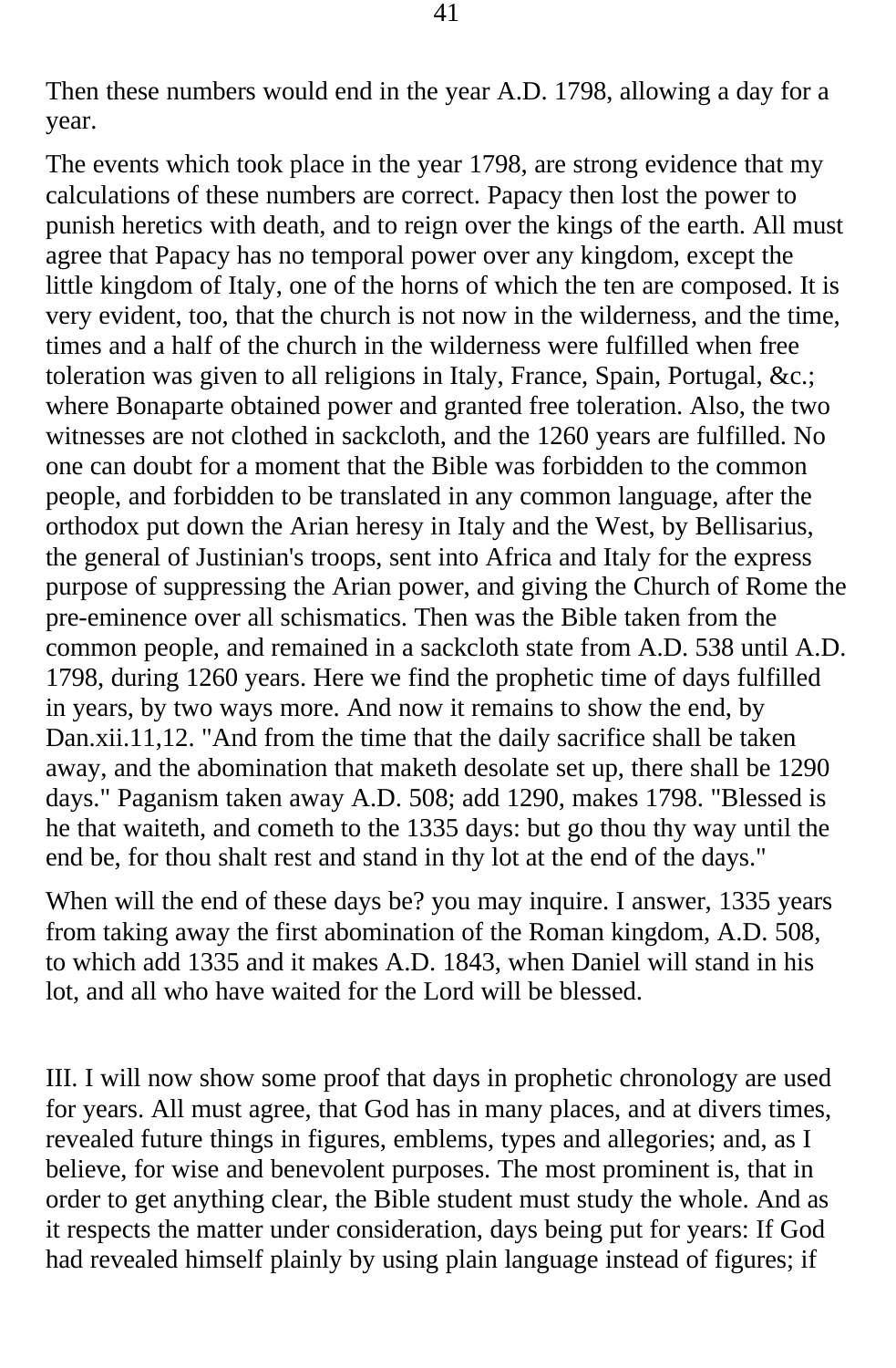Then these numbers would end in the year A.D. 1798, allowing a day for a year.

The events which took place in the year 1798, are strong evidence that my calculations of these numbers are correct. Papacy then lost the power to punish heretics with death, and to reign over the kings of the earth. All must agree that Papacy has no temporal power over any kingdom, except the little kingdom of Italy, one of the horns of which the ten are composed. It is very evident, too, that the church is not now in the wilderness, and the time, times and a half of the church in the wilderness were fulfilled when free toleration was given to all religions in Italy, France, Spain, Portugal, &c.; where Bonaparte obtained power and granted free toleration. Also, the two witnesses are not clothed in sackcloth, and the 1260 years are fulfilled. No one can doubt for a moment that the Bible was forbidden to the common people, and forbidden to be translated in any common language, after the orthodox put down the Arian heresy in Italy and the West, by Bellisarius, the general of Justinian's troops, sent into Africa and Italy for the express purpose of suppressing the Arian power, and giving the Church of Rome the pre-eminence over all schismatics. Then was the Bible taken from the common people, and remained in a sackcloth state from A.D. 538 until A.D. 1798, during 1260 years. Here we find the prophetic time of days fulfilled in years, by two ways more. And now it remains to show the end, by Dan.xii.11,12. "And from the time that the daily sacrifice shall be taken away, and the abomination that maketh desolate set up, there shall be 1290 days." Paganism taken away A.D. 508; add 1290, makes 1798. "Blessed is he that waiteth, and cometh to the 1335 days: but go thou thy way until the end be, for thou shalt rest and stand in thy lot at the end of the days."

When will the end of these days be? you may inquire. I answer, 1335 years from taking away the first abomination of the Roman kingdom, A.D. 508, to which add 1335 and it makes A.D. 1843, when Daniel will stand in his lot, and all who have waited for the Lord will be blessed.

III. I will now show some proof that days in prophetic chronology are used for years. All must agree, that God has in many places, and at divers times, revealed future things in figures, emblems, types and allegories; and, as I believe, for wise and benevolent purposes. The most prominent is, that in order to get anything clear, the Bible student must study the whole. And as it respects the matter under consideration, days being put for years: If God had revealed himself plainly by using plain language instead of figures; if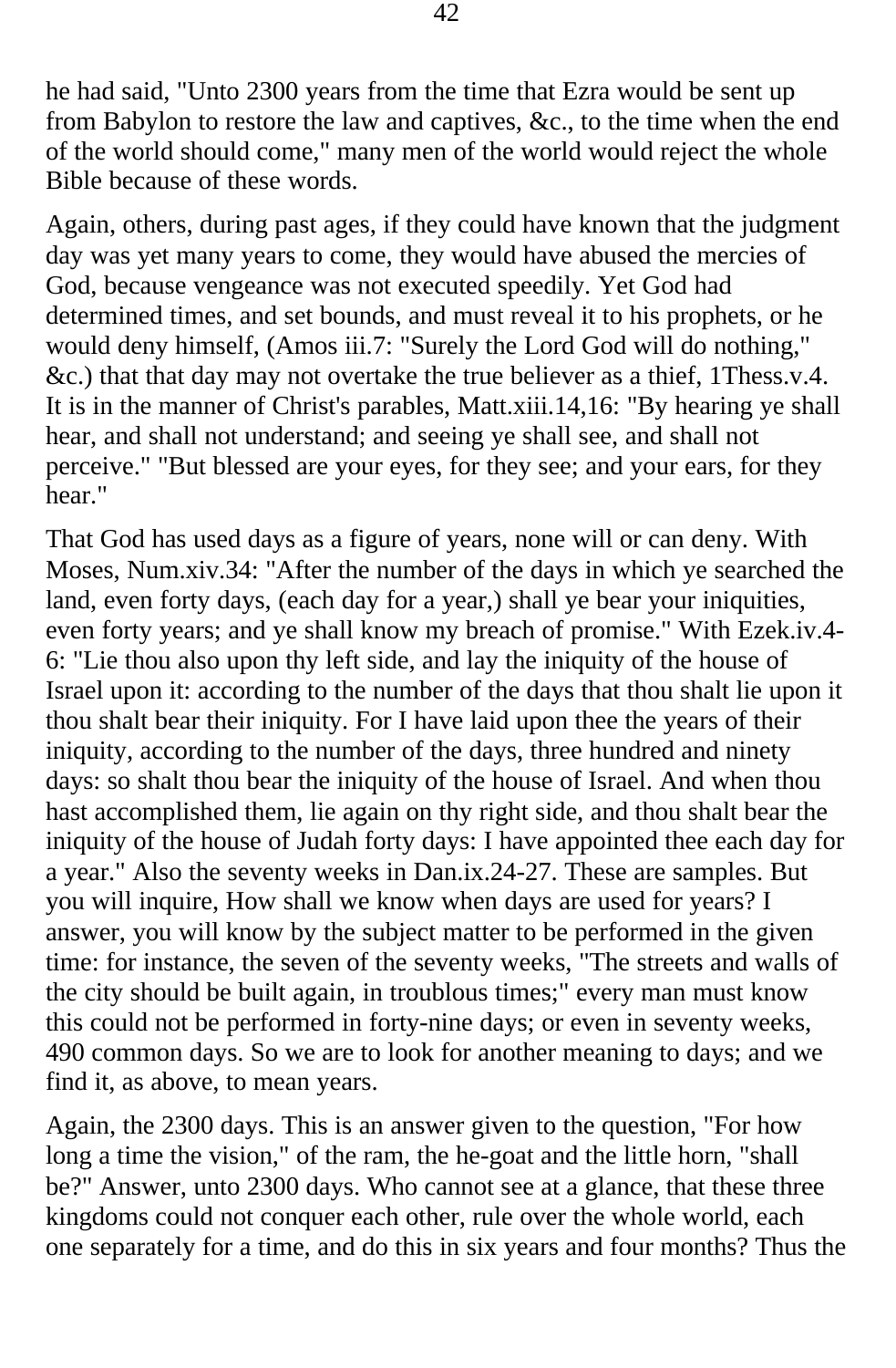he had said, "Unto 2300 years from the time that Ezra would be sent up from Babylon to restore the law and captives, &c., to the time when the end of the world should come," many men of the world would reject the whole Bible because of these words.

Again, others, during past ages, if they could have known that the judgment day was yet many years to come, they would have abused the mercies of God, because vengeance was not executed speedily. Yet God had determined times, and set bounds, and must reveal it to his prophets, or he would deny himself, (Amos iii.7: "Surely the Lord God will do nothing," &c.) that that day may not overtake the true believer as a thief, 1Thess.v.4. It is in the manner of Christ's parables, Matt.xiii.14,16: "By hearing ye shall hear, and shall not understand; and seeing ye shall see, and shall not perceive." "But blessed are your eyes, for they see; and your ears, for they hear."

That God has used days as a figure of years, none will or can deny. With Moses, Num.xiv.34: "After the number of the days in which ye searched the land, even forty days, (each day for a year,) shall ye bear your iniquities, even forty years; and ye shall know my breach of promise." With Ezek.iv.4- 6: "Lie thou also upon thy left side, and lay the iniquity of the house of Israel upon it: according to the number of the days that thou shalt lie upon it thou shalt bear their iniquity. For I have laid upon thee the years of their iniquity, according to the number of the days, three hundred and ninety days: so shalt thou bear the iniquity of the house of Israel. And when thou hast accomplished them, lie again on thy right side, and thou shalt bear the iniquity of the house of Judah forty days: I have appointed thee each day for a year." Also the seventy weeks in Dan.ix.24-27. These are samples. But you will inquire, How shall we know when days are used for years? I answer, you will know by the subject matter to be performed in the given time: for instance, the seven of the seventy weeks, "The streets and walls of the city should be built again, in troublous times;" every man must know this could not be performed in forty-nine days; or even in seventy weeks, 490 common days. So we are to look for another meaning to days; and we find it, as above, to mean years.

Again, the 2300 days. This is an answer given to the question, "For how long a time the vision," of the ram, the he-goat and the little horn, "shall be?" Answer, unto 2300 days. Who cannot see at a glance, that these three kingdoms could not conquer each other, rule over the whole world, each one separately for a time, and do this in six years and four months? Thus the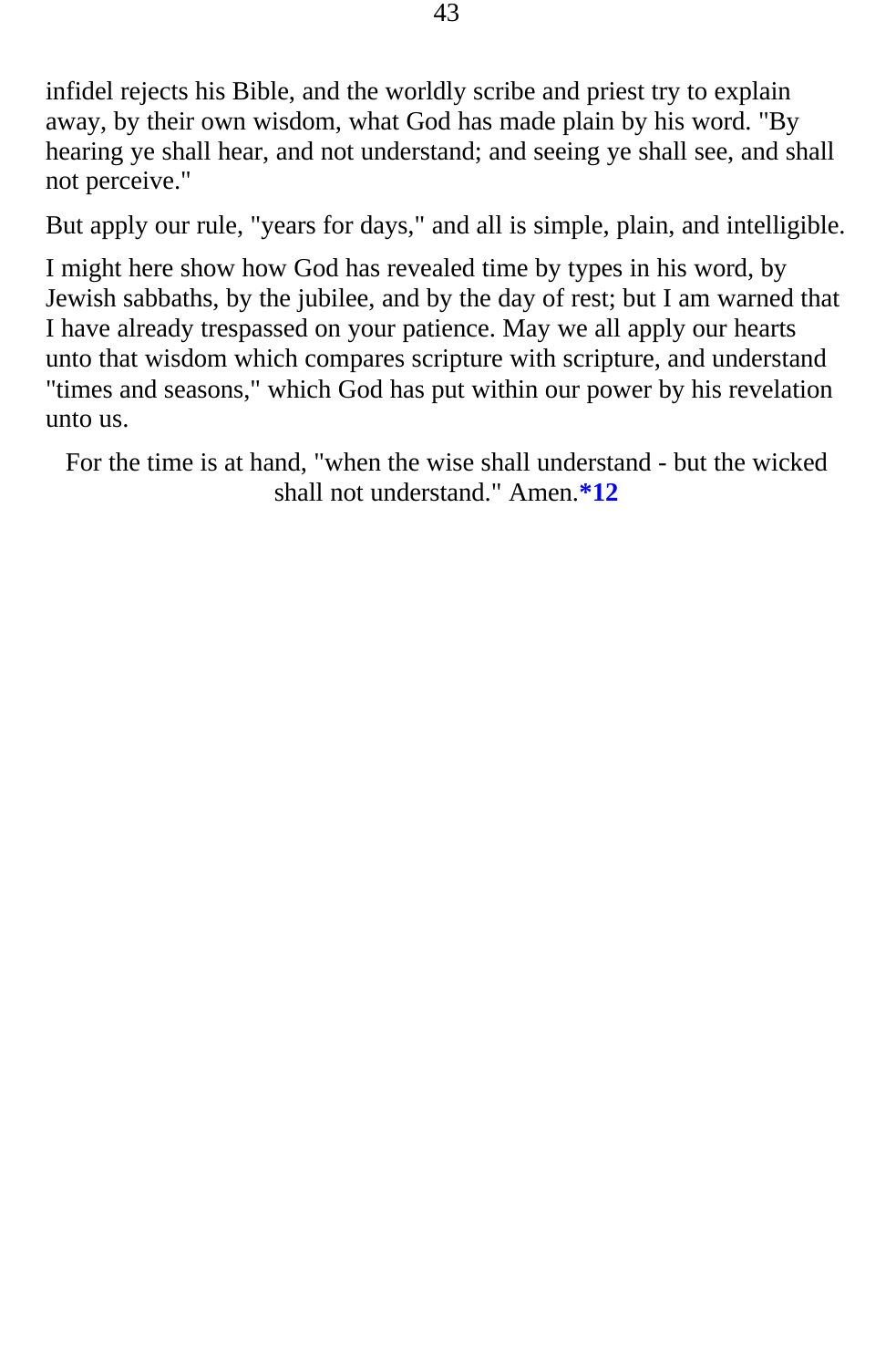infidel rejects his Bible, and the worldly scribe and priest try to explain away, by their own wisdom, what God has made plain by his word. "By hearing ye shall hear, and not understand; and seeing ye shall see, and shall not perceive."

But apply our rule, "years for days," and all is simple, plain, and intelligible.

I might here show how God has revealed time by types in his word, by Jewish sabbaths, by the jubilee, and by the day of rest; but I am warned that I have already trespassed on your patience. May we all apply our hearts unto that wisdom which compares scripture with scripture, and understand "times and seasons," which God has put within our power by his revelation unto us.

For the time is at hand, "when the wise shall understand - but the wicked shall not understand." Amen.**[\\*12](#page-196-0)**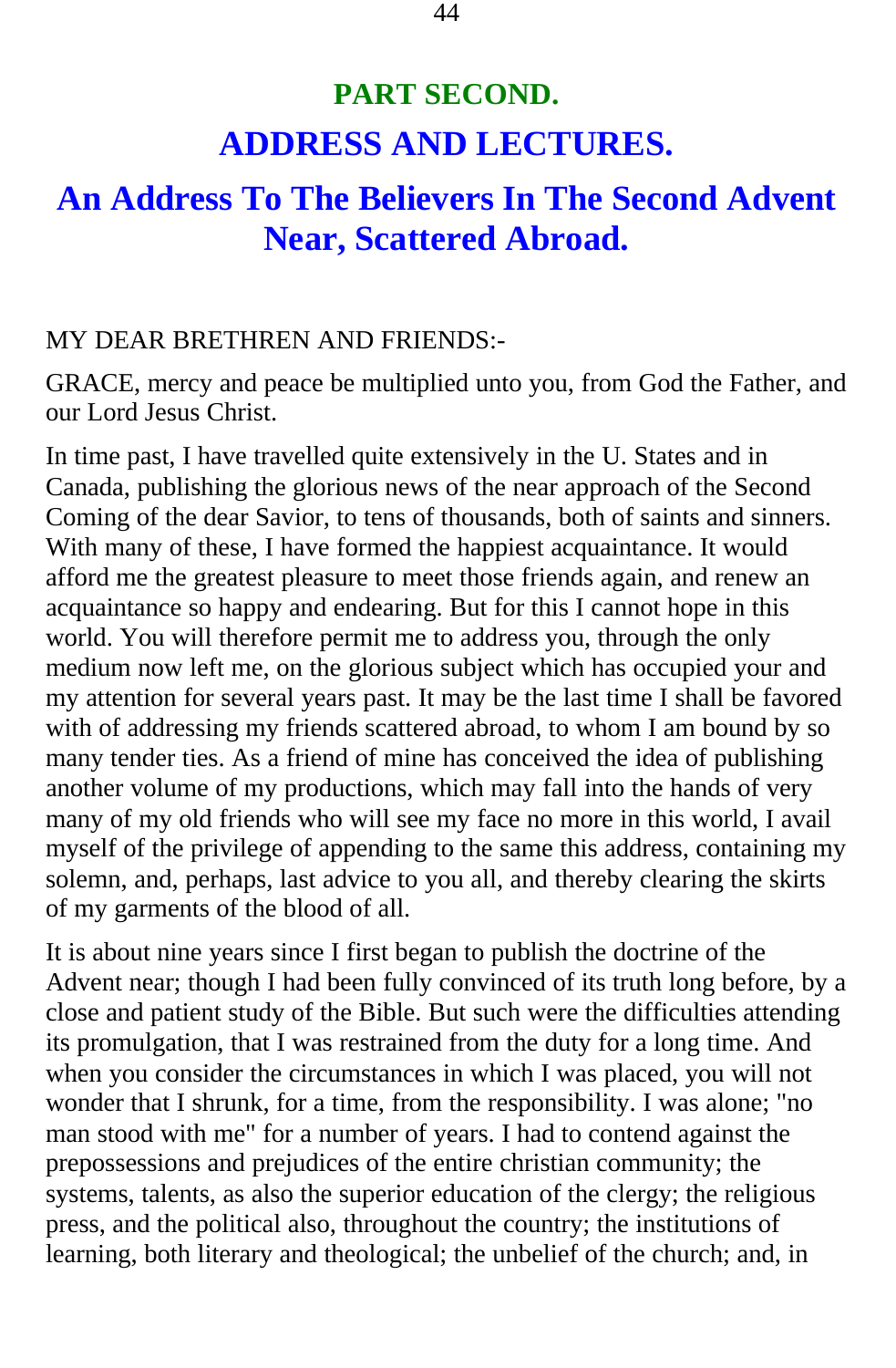## **PART SECOND.**

# **ADDRESS AND LECTURES.**

# **An Address To The Believers In The Second Advent Near, Scattered Abroad.**

#### MY DEAR BRETHREN AND FRIENDS:-

GRACE, mercy and peace be multiplied unto you, from God the Father, and our Lord Jesus Christ.

In time past, I have travelled quite extensively in the U. States and in Canada, publishing the glorious news of the near approach of the Second Coming of the dear Savior, to tens of thousands, both of saints and sinners. With many of these, I have formed the happiest acquaintance. It would afford me the greatest pleasure to meet those friends again, and renew an acquaintance so happy and endearing. But for this I cannot hope in this world. You will therefore permit me to address you, through the only medium now left me, on the glorious subject which has occupied your and my attention for several years past. It may be the last time I shall be favored with of addressing my friends scattered abroad, to whom I am bound by so many tender ties. As a friend of mine has conceived the idea of publishing another volume of my productions, which may fall into the hands of very many of my old friends who will see my face no more in this world, I avail myself of the privilege of appending to the same this address, containing my solemn, and, perhaps, last advice to you all, and thereby clearing the skirts of my garments of the blood of all.

It is about nine years since I first began to publish the doctrine of the Advent near; though I had been fully convinced of its truth long before, by a close and patient study of the Bible. But such were the difficulties attending its promulgation, that I was restrained from the duty for a long time. And when you consider the circumstances in which I was placed, you will not wonder that I shrunk, for a time, from the responsibility. I was alone; "no man stood with me" for a number of years. I had to contend against the prepossessions and prejudices of the entire christian community; the systems, talents, as also the superior education of the clergy; the religious press, and the political also, throughout the country; the institutions of learning, both literary and theological; the unbelief of the church; and, in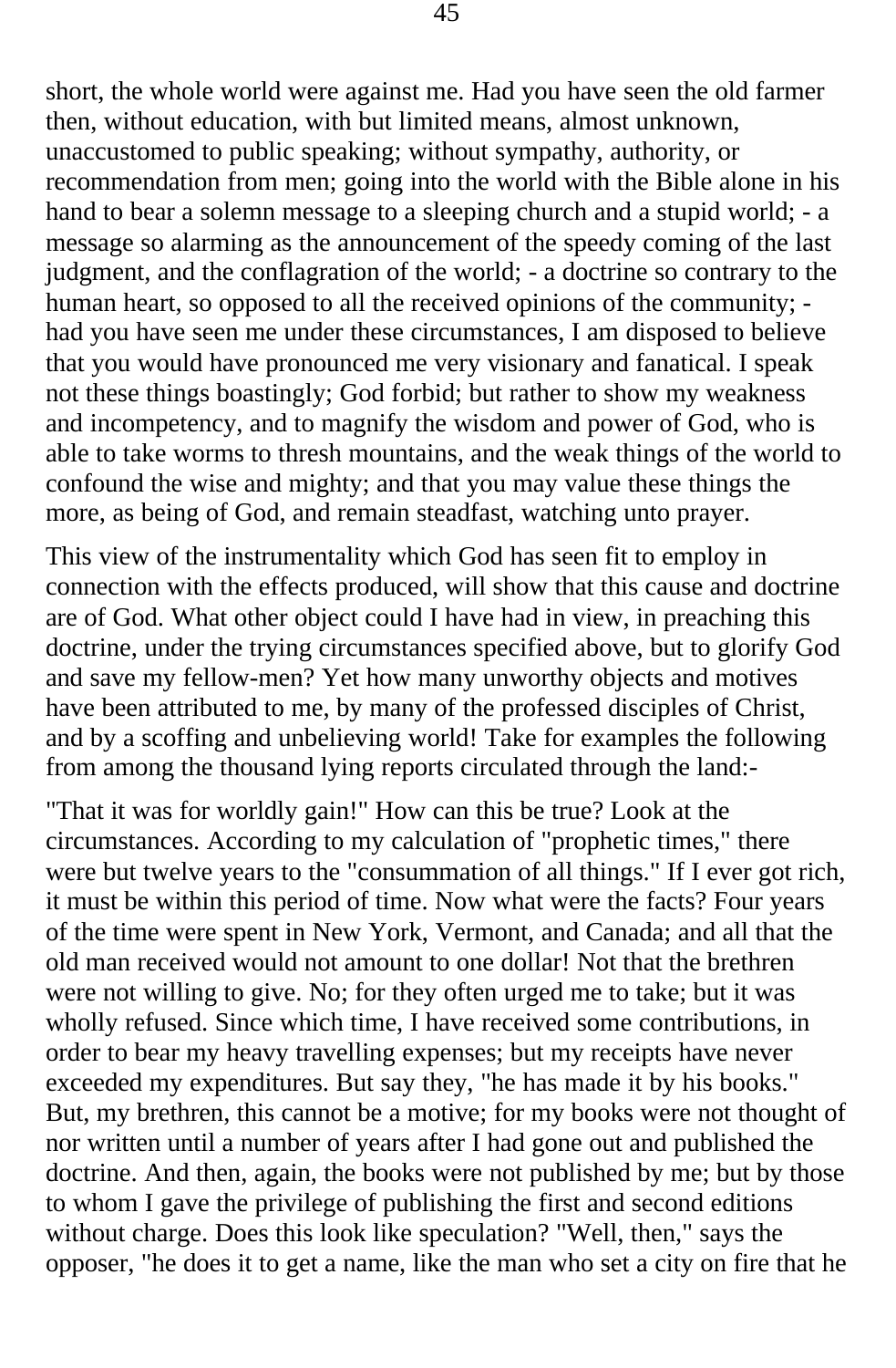short, the whole world were against me. Had you have seen the old farmer then, without education, with but limited means, almost unknown, unaccustomed to public speaking; without sympathy, authority, or recommendation from men; going into the world with the Bible alone in his hand to bear a solemn message to a sleeping church and a stupid world; - a message so alarming as the announcement of the speedy coming of the last judgment, and the conflagration of the world; - a doctrine so contrary to the human heart, so opposed to all the received opinions of the community; had you have seen me under these circumstances, I am disposed to believe that you would have pronounced me very visionary and fanatical. I speak not these things boastingly; God forbid; but rather to show my weakness and incompetency, and to magnify the wisdom and power of God, who is able to take worms to thresh mountains, and the weak things of the world to confound the wise and mighty; and that you may value these things the more, as being of God, and remain steadfast, watching unto prayer.

This view of the instrumentality which God has seen fit to employ in connection with the effects produced, will show that this cause and doctrine are of God. What other object could I have had in view, in preaching this doctrine, under the trying circumstances specified above, but to glorify God and save my fellow-men? Yet how many unworthy objects and motives have been attributed to me, by many of the professed disciples of Christ, and by a scoffing and unbelieving world! Take for examples the following from among the thousand lying reports circulated through the land:-

"That it was for worldly gain!" How can this be true? Look at the circumstances. According to my calculation of "prophetic times," there were but twelve years to the "consummation of all things." If I ever got rich, it must be within this period of time. Now what were the facts? Four years of the time were spent in New York, Vermont, and Canada; and all that the old man received would not amount to one dollar! Not that the brethren were not willing to give. No; for they often urged me to take; but it was wholly refused. Since which time, I have received some contributions, in order to bear my heavy travelling expenses; but my receipts have never exceeded my expenditures. But say they, "he has made it by his books." But, my brethren, this cannot be a motive; for my books were not thought of nor written until a number of years after I had gone out and published the doctrine. And then, again, the books were not published by me; but by those to whom I gave the privilege of publishing the first and second editions without charge. Does this look like speculation? "Well, then," says the opposer, "he does it to get a name, like the man who set a city on fire that he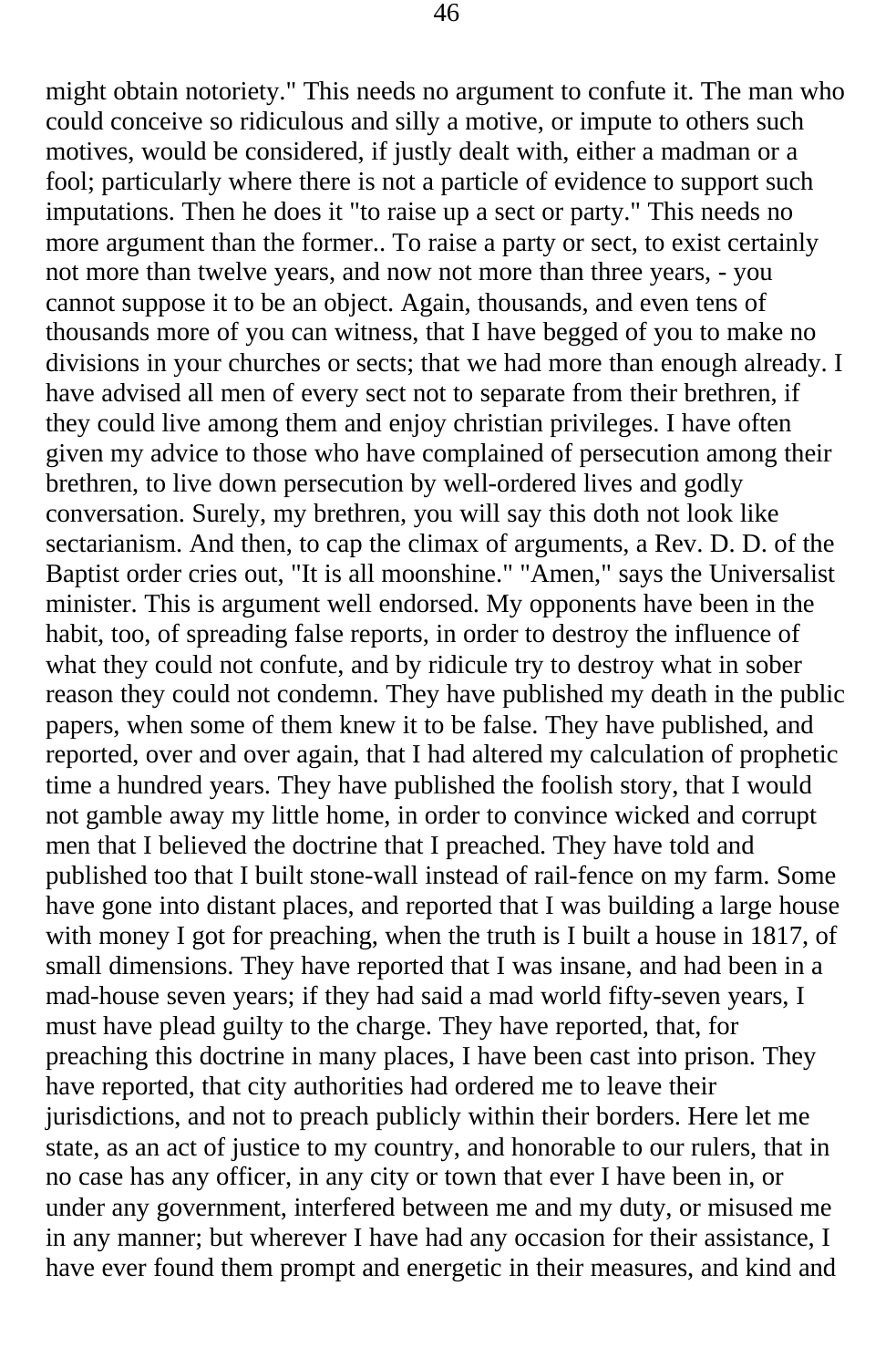might obtain notoriety." This needs no argument to confute it. The man who could conceive so ridiculous and silly a motive, or impute to others such motives, would be considered, if justly dealt with, either a madman or a fool; particularly where there is not a particle of evidence to support such imputations. Then he does it "to raise up a sect or party." This needs no more argument than the former.. To raise a party or sect, to exist certainly not more than twelve years, and now not more than three years, - you cannot suppose it to be an object. Again, thousands, and even tens of thousands more of you can witness, that I have begged of you to make no divisions in your churches or sects; that we had more than enough already. I have advised all men of every sect not to separate from their brethren, if they could live among them and enjoy christian privileges. I have often given my advice to those who have complained of persecution among their brethren, to live down persecution by well-ordered lives and godly conversation. Surely, my brethren, you will say this doth not look like sectarianism. And then, to cap the climax of arguments, a Rev. D. D. of the Baptist order cries out, "It is all moonshine." "Amen," says the Universalist minister. This is argument well endorsed. My opponents have been in the habit, too, of spreading false reports, in order to destroy the influence of what they could not confute, and by ridicule try to destroy what in sober reason they could not condemn. They have published my death in the public papers, when some of them knew it to be false. They have published, and reported, over and over again, that I had altered my calculation of prophetic time a hundred years. They have published the foolish story, that I would not gamble away my little home, in order to convince wicked and corrupt men that I believed the doctrine that I preached. They have told and published too that I built stone-wall instead of rail-fence on my farm. Some have gone into distant places, and reported that I was building a large house with money I got for preaching, when the truth is I built a house in 1817, of small dimensions. They have reported that I was insane, and had been in a mad-house seven years; if they had said a mad world fifty-seven years, I must have plead guilty to the charge. They have reported, that, for preaching this doctrine in many places, I have been cast into prison. They have reported, that city authorities had ordered me to leave their jurisdictions, and not to preach publicly within their borders. Here let me state, as an act of justice to my country, and honorable to our rulers, that in no case has any officer, in any city or town that ever I have been in, or under any government, interfered between me and my duty, or misused me in any manner; but wherever I have had any occasion for their assistance, I have ever found them prompt and energetic in their measures, and kind and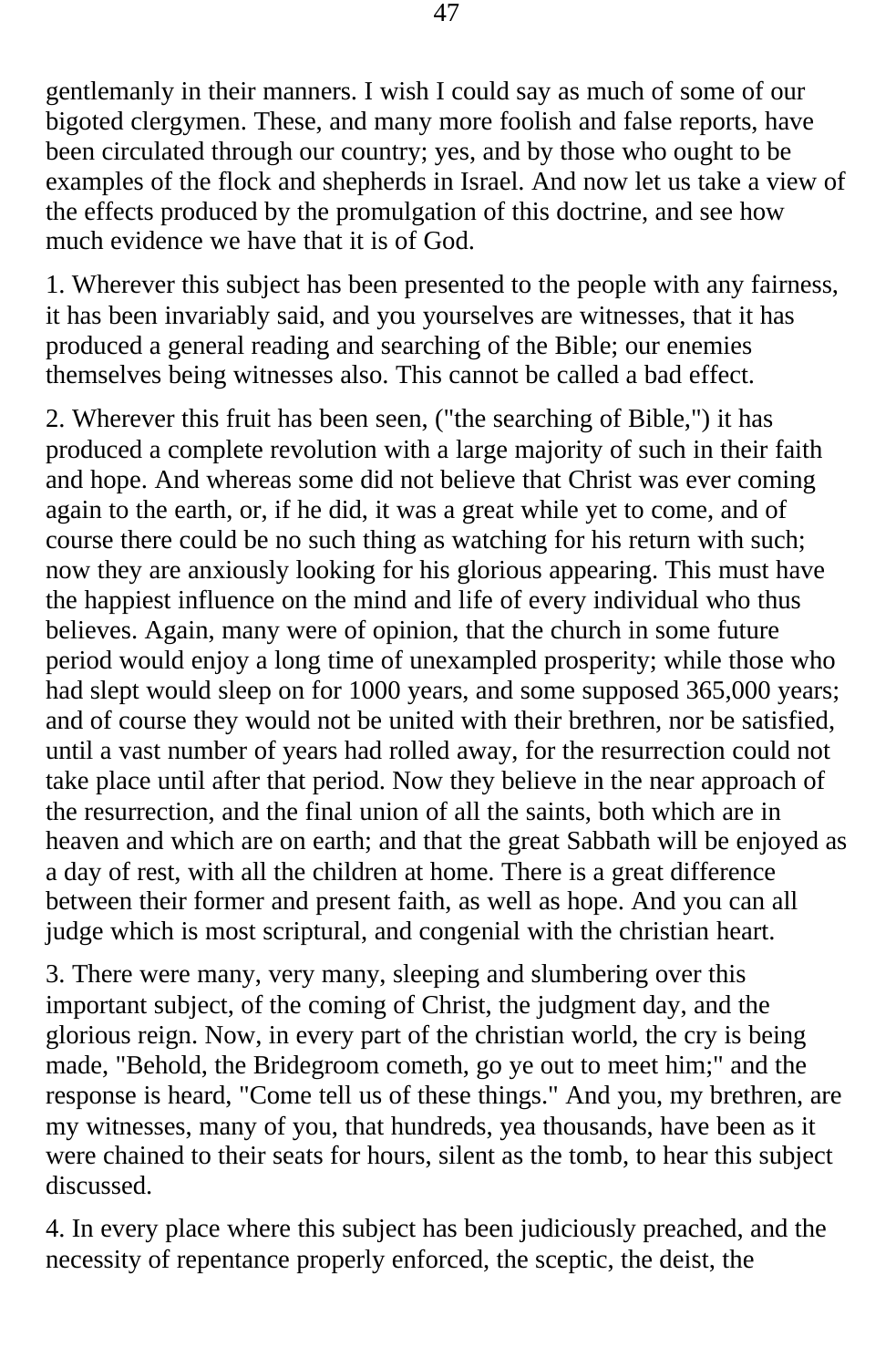gentlemanly in their manners. I wish I could say as much of some of our bigoted clergymen. These, and many more foolish and false reports, have been circulated through our country; yes, and by those who ought to be examples of the flock and shepherds in Israel. And now let us take a view of the effects produced by the promulgation of this doctrine, and see how much evidence we have that it is of God.

1. Wherever this subject has been presented to the people with any fairness, it has been invariably said, and you yourselves are witnesses, that it has produced a general reading and searching of the Bible; our enemies themselves being witnesses also. This cannot be called a bad effect.

2. Wherever this fruit has been seen, ("the searching of Bible,") it has produced a complete revolution with a large majority of such in their faith and hope. And whereas some did not believe that Christ was ever coming again to the earth, or, if he did, it was a great while yet to come, and of course there could be no such thing as watching for his return with such; now they are anxiously looking for his glorious appearing. This must have the happiest influence on the mind and life of every individual who thus believes. Again, many were of opinion, that the church in some future period would enjoy a long time of unexampled prosperity; while those who had slept would sleep on for 1000 years, and some supposed 365,000 years; and of course they would not be united with their brethren, nor be satisfied, until a vast number of years had rolled away, for the resurrection could not take place until after that period. Now they believe in the near approach of the resurrection, and the final union of all the saints, both which are in heaven and which are on earth; and that the great Sabbath will be enjoyed as a day of rest, with all the children at home. There is a great difference between their former and present faith, as well as hope. And you can all judge which is most scriptural, and congenial with the christian heart.

3. There were many, very many, sleeping and slumbering over this important subject, of the coming of Christ, the judgment day, and the glorious reign. Now, in every part of the christian world, the cry is being made, "Behold, the Bridegroom cometh, go ye out to meet him;" and the response is heard, "Come tell us of these things." And you, my brethren, are my witnesses, many of you, that hundreds, yea thousands, have been as it were chained to their seats for hours, silent as the tomb, to hear this subject discussed.

4. In every place where this subject has been judiciously preached, and the necessity of repentance properly enforced, the sceptic, the deist, the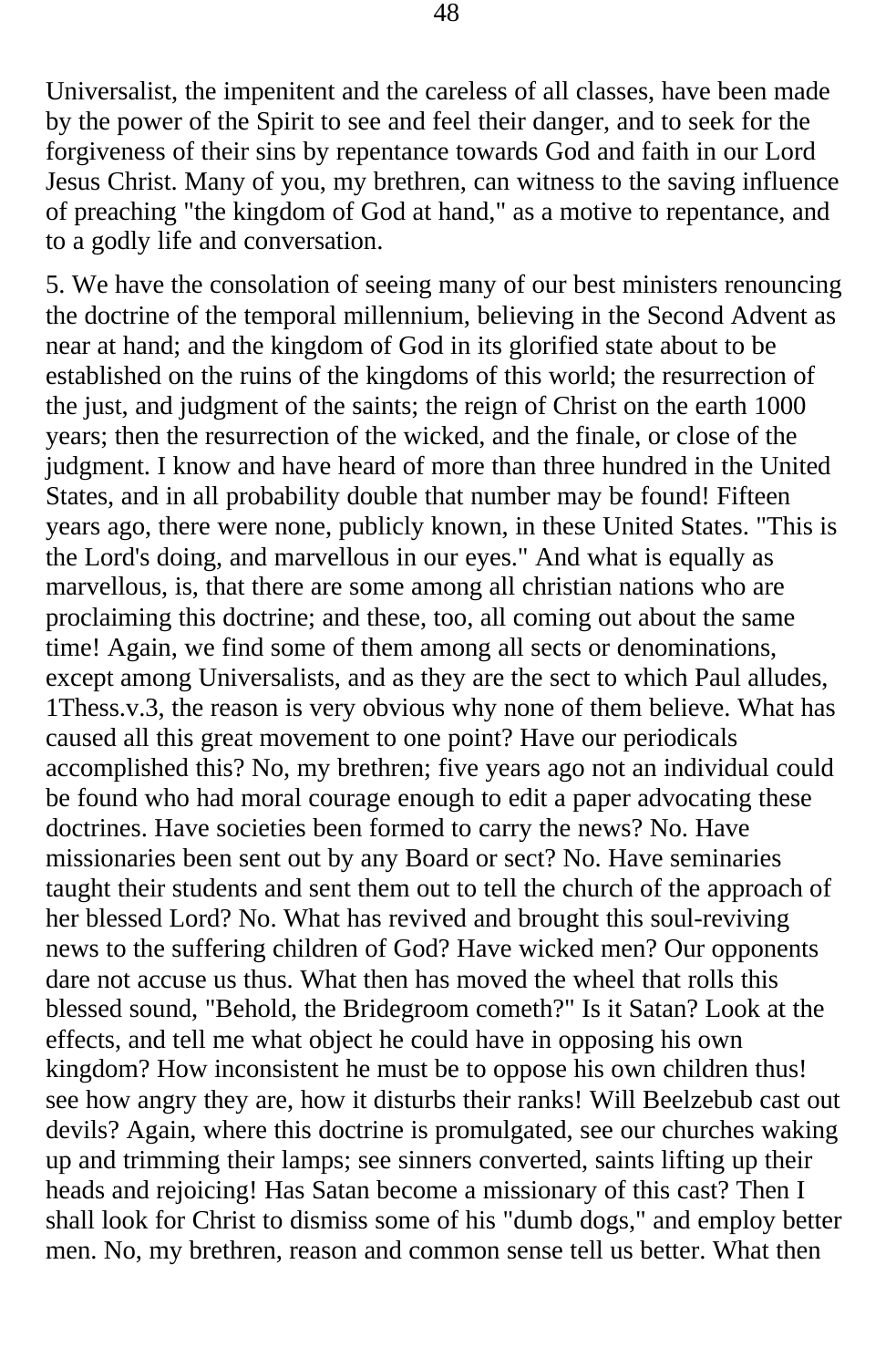Universalist, the impenitent and the careless of all classes, have been made by the power of the Spirit to see and feel their danger, and to seek for the forgiveness of their sins by repentance towards God and faith in our Lord Jesus Christ. Many of you, my brethren, can witness to the saving influence of preaching "the kingdom of God at hand," as a motive to repentance, and to a godly life and conversation.

5. We have the consolation of seeing many of our best ministers renouncing the doctrine of the temporal millennium, believing in the Second Advent as near at hand; and the kingdom of God in its glorified state about to be established on the ruins of the kingdoms of this world; the resurrection of the just, and judgment of the saints; the reign of Christ on the earth 1000 years; then the resurrection of the wicked, and the finale, or close of the judgment. I know and have heard of more than three hundred in the United States, and in all probability double that number may be found! Fifteen years ago, there were none, publicly known, in these United States. "This is the Lord's doing, and marvellous in our eyes." And what is equally as marvellous, is, that there are some among all christian nations who are proclaiming this doctrine; and these, too, all coming out about the same time! Again, we find some of them among all sects or denominations, except among Universalists, and as they are the sect to which Paul alludes, 1Thess.v.3, the reason is very obvious why none of them believe. What has caused all this great movement to one point? Have our periodicals accomplished this? No, my brethren; five years ago not an individual could be found who had moral courage enough to edit a paper advocating these doctrines. Have societies been formed to carry the news? No. Have missionaries been sent out by any Board or sect? No. Have seminaries taught their students and sent them out to tell the church of the approach of her blessed Lord? No. What has revived and brought this soul-reviving news to the suffering children of God? Have wicked men? Our opponents dare not accuse us thus. What then has moved the wheel that rolls this blessed sound, "Behold, the Bridegroom cometh?" Is it Satan? Look at the effects, and tell me what object he could have in opposing his own kingdom? How inconsistent he must be to oppose his own children thus! see how angry they are, how it disturbs their ranks! Will Beelzebub cast out devils? Again, where this doctrine is promulgated, see our churches waking up and trimming their lamps; see sinners converted, saints lifting up their heads and rejoicing! Has Satan become a missionary of this cast? Then I shall look for Christ to dismiss some of his "dumb dogs," and employ better men. No, my brethren, reason and common sense tell us better. What then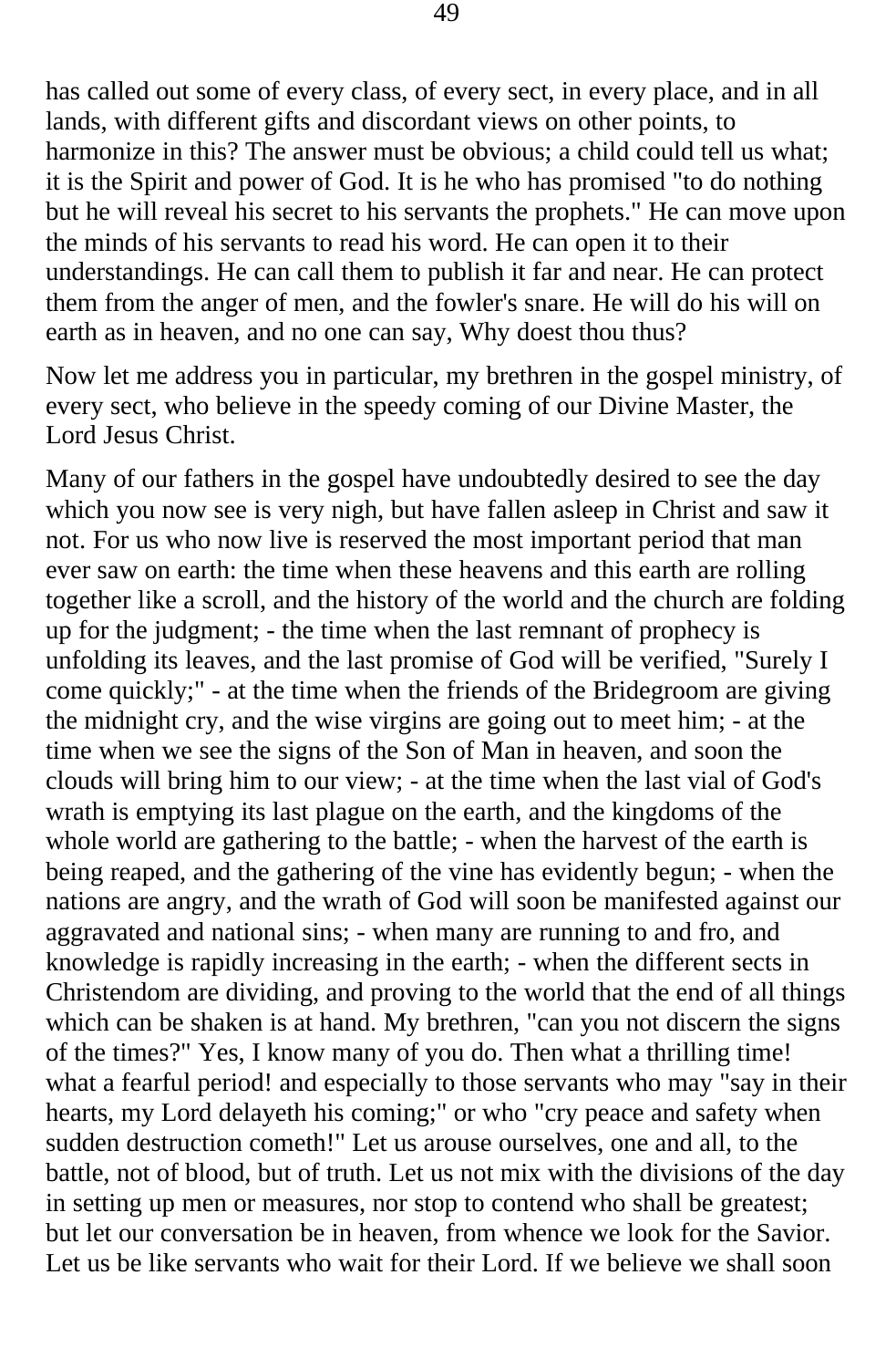has called out some of every class, of every sect, in every place, and in all lands, with different gifts and discordant views on other points, to harmonize in this? The answer must be obvious; a child could tell us what; it is the Spirit and power of God. It is he who has promised "to do nothing but he will reveal his secret to his servants the prophets." He can move upon the minds of his servants to read his word. He can open it to their understandings. He can call them to publish it far and near. He can protect them from the anger of men, and the fowler's snare. He will do his will on earth as in heaven, and no one can say, Why doest thou thus?

Now let me address you in particular, my brethren in the gospel ministry, of every sect, who believe in the speedy coming of our Divine Master, the Lord Jesus Christ.

Many of our fathers in the gospel have undoubtedly desired to see the day which you now see is very nigh, but have fallen asleep in Christ and saw it not. For us who now live is reserved the most important period that man ever saw on earth: the time when these heavens and this earth are rolling together like a scroll, and the history of the world and the church are folding up for the judgment; - the time when the last remnant of prophecy is unfolding its leaves, and the last promise of God will be verified, "Surely I come quickly;" - at the time when the friends of the Bridegroom are giving the midnight cry, and the wise virgins are going out to meet him; - at the time when we see the signs of the Son of Man in heaven, and soon the clouds will bring him to our view; - at the time when the last vial of God's wrath is emptying its last plague on the earth, and the kingdoms of the whole world are gathering to the battle; - when the harvest of the earth is being reaped, and the gathering of the vine has evidently begun; - when the nations are angry, and the wrath of God will soon be manifested against our aggravated and national sins; - when many are running to and fro, and knowledge is rapidly increasing in the earth; - when the different sects in Christendom are dividing, and proving to the world that the end of all things which can be shaken is at hand. My brethren, "can you not discern the signs of the times?" Yes, I know many of you do. Then what a thrilling time! what a fearful period! and especially to those servants who may "say in their hearts, my Lord delayeth his coming;" or who "cry peace and safety when sudden destruction cometh!" Let us arouse ourselves, one and all, to the battle, not of blood, but of truth. Let us not mix with the divisions of the day in setting up men or measures, nor stop to contend who shall be greatest; but let our conversation be in heaven, from whence we look for the Savior. Let us be like servants who wait for their Lord. If we believe we shall soon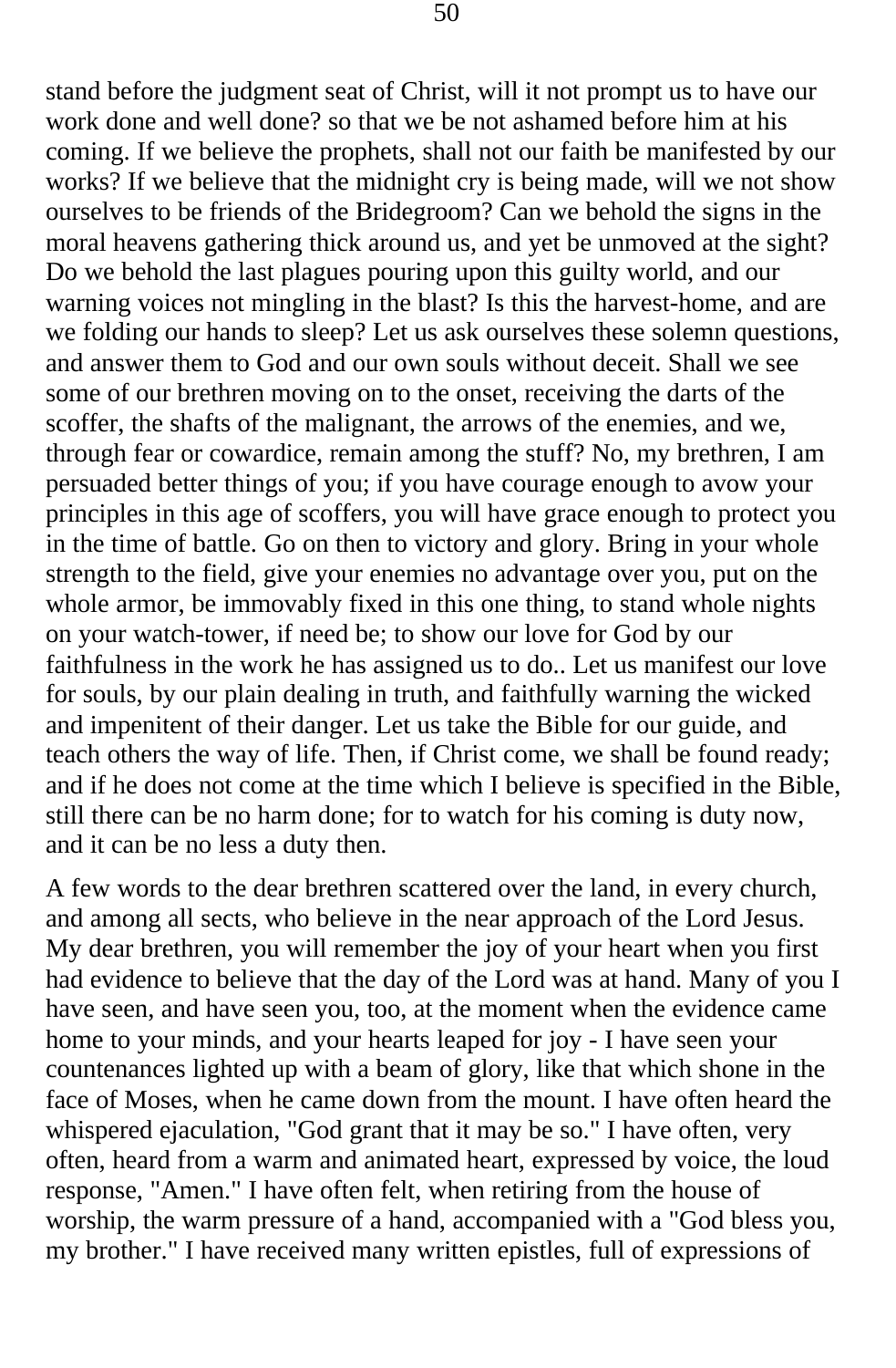stand before the judgment seat of Christ, will it not prompt us to have our work done and well done? so that we be not ashamed before him at his coming. If we believe the prophets, shall not our faith be manifested by our works? If we believe that the midnight cry is being made, will we not show ourselves to be friends of the Bridegroom? Can we behold the signs in the moral heavens gathering thick around us, and yet be unmoved at the sight? Do we behold the last plagues pouring upon this guilty world, and our warning voices not mingling in the blast? Is this the harvest-home, and are we folding our hands to sleep? Let us ask ourselves these solemn questions, and answer them to God and our own souls without deceit. Shall we see some of our brethren moving on to the onset, receiving the darts of the scoffer, the shafts of the malignant, the arrows of the enemies, and we, through fear or cowardice, remain among the stuff? No, my brethren, I am persuaded better things of you; if you have courage enough to avow your principles in this age of scoffers, you will have grace enough to protect you in the time of battle. Go on then to victory and glory. Bring in your whole strength to the field, give your enemies no advantage over you, put on the whole armor, be immovably fixed in this one thing, to stand whole nights on your watch-tower, if need be; to show our love for God by our faithfulness in the work he has assigned us to do.. Let us manifest our love for souls, by our plain dealing in truth, and faithfully warning the wicked and impenitent of their danger. Let us take the Bible for our guide, and teach others the way of life. Then, if Christ come, we shall be found ready; and if he does not come at the time which I believe is specified in the Bible, still there can be no harm done; for to watch for his coming is duty now, and it can be no less a duty then.

A few words to the dear brethren scattered over the land, in every church, and among all sects, who believe in the near approach of the Lord Jesus. My dear brethren, you will remember the joy of your heart when you first had evidence to believe that the day of the Lord was at hand. Many of you I have seen, and have seen you, too, at the moment when the evidence came home to your minds, and your hearts leaped for joy - I have seen your countenances lighted up with a beam of glory, like that which shone in the face of Moses, when he came down from the mount. I have often heard the whispered ejaculation, "God grant that it may be so." I have often, very often, heard from a warm and animated heart, expressed by voice, the loud response, "Amen." I have often felt, when retiring from the house of worship, the warm pressure of a hand, accompanied with a "God bless you, my brother." I have received many written epistles, full of expressions of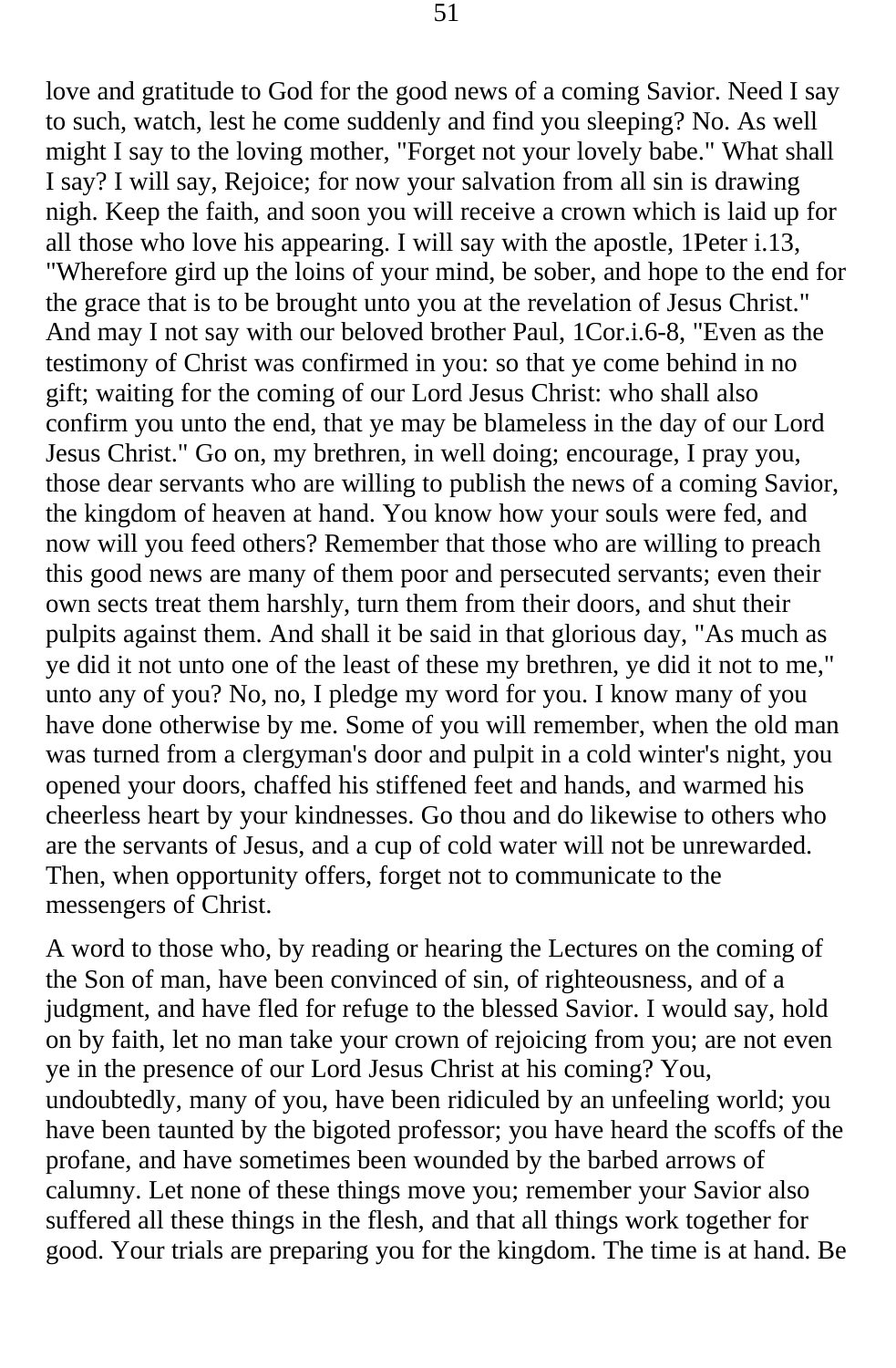love and gratitude to God for the good news of a coming Savior. Need I say to such, watch, lest he come suddenly and find you sleeping? No. As well might I say to the loving mother, "Forget not your lovely babe." What shall I say? I will say, Rejoice; for now your salvation from all sin is drawing nigh. Keep the faith, and soon you will receive a crown which is laid up for all those who love his appearing. I will say with the apostle, 1Peter i.13, "Wherefore gird up the loins of your mind, be sober, and hope to the end for the grace that is to be brought unto you at the revelation of Jesus Christ." And may I not say with our beloved brother Paul, 1Cor.i.6-8, "Even as the testimony of Christ was confirmed in you: so that ye come behind in no gift; waiting for the coming of our Lord Jesus Christ: who shall also confirm you unto the end, that ye may be blameless in the day of our Lord Jesus Christ." Go on, my brethren, in well doing; encourage, I pray you, those dear servants who are willing to publish the news of a coming Savior, the kingdom of heaven at hand. You know how your souls were fed, and now will you feed others? Remember that those who are willing to preach this good news are many of them poor and persecuted servants; even their own sects treat them harshly, turn them from their doors, and shut their pulpits against them. And shall it be said in that glorious day, "As much as ye did it not unto one of the least of these my brethren, ye did it not to me," unto any of you? No, no, I pledge my word for you. I know many of you have done otherwise by me. Some of you will remember, when the old man was turned from a clergyman's door and pulpit in a cold winter's night, you opened your doors, chaffed his stiffened feet and hands, and warmed his cheerless heart by your kindnesses. Go thou and do likewise to others who are the servants of Jesus, and a cup of cold water will not be unrewarded. Then, when opportunity offers, forget not to communicate to the messengers of Christ.

A word to those who, by reading or hearing the Lectures on the coming of the Son of man, have been convinced of sin, of righteousness, and of a judgment, and have fled for refuge to the blessed Savior. I would say, hold on by faith, let no man take your crown of rejoicing from you; are not even ye in the presence of our Lord Jesus Christ at his coming? You, undoubtedly, many of you, have been ridiculed by an unfeeling world; you have been taunted by the bigoted professor; you have heard the scoffs of the profane, and have sometimes been wounded by the barbed arrows of calumny. Let none of these things move you; remember your Savior also suffered all these things in the flesh, and that all things work together for good. Your trials are preparing you for the kingdom. The time is at hand. Be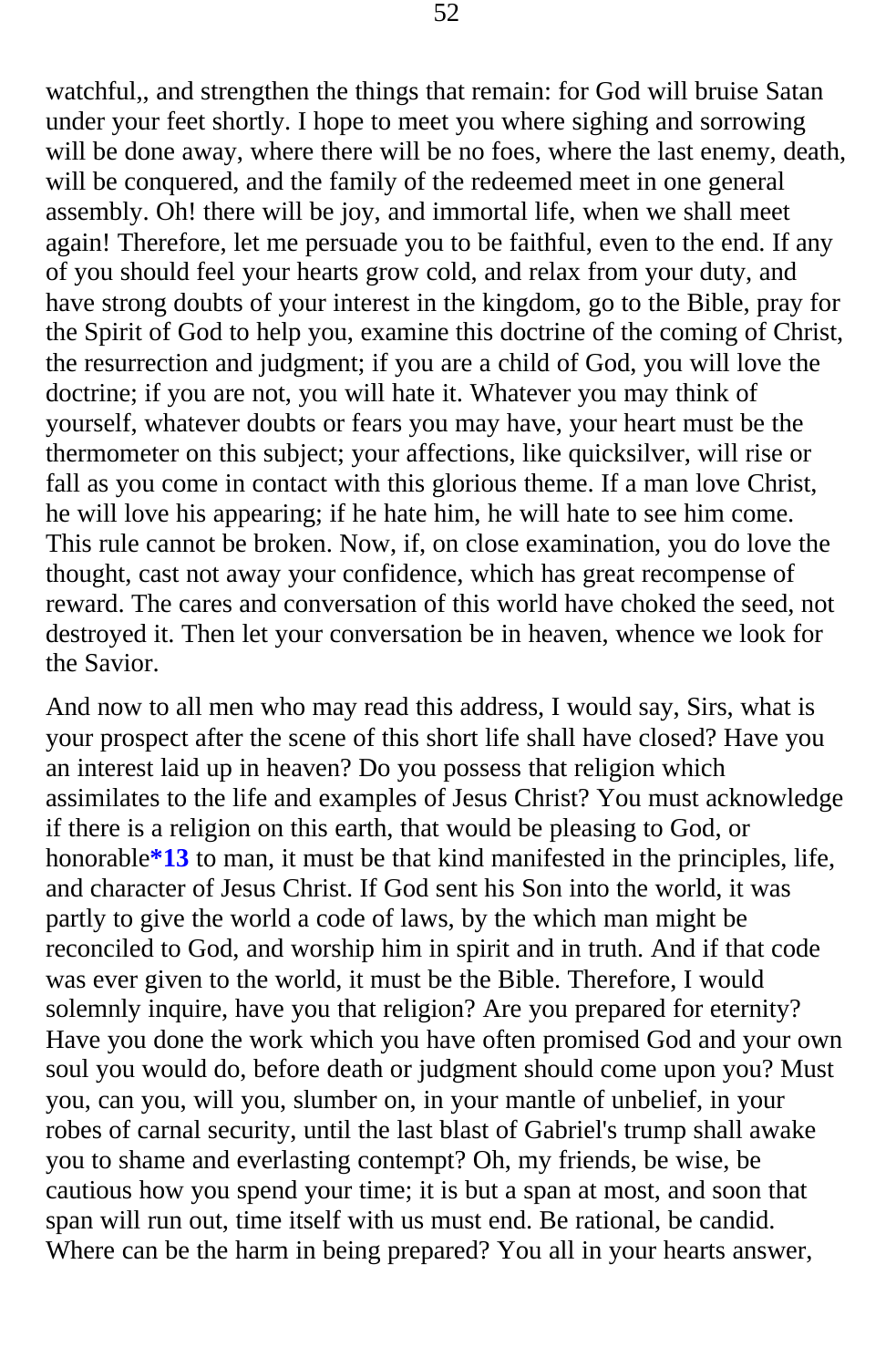watchful,, and strengthen the things that remain: for God will bruise Satan under your feet shortly. I hope to meet you where sighing and sorrowing will be done away, where there will be no foes, where the last enemy, death, will be conquered, and the family of the redeemed meet in one general assembly. Oh! there will be joy, and immortal life, when we shall meet again! Therefore, let me persuade you to be faithful, even to the end. If any of you should feel your hearts grow cold, and relax from your duty, and have strong doubts of your interest in the kingdom, go to the Bible, pray for the Spirit of God to help you, examine this doctrine of the coming of Christ, the resurrection and judgment; if you are a child of God, you will love the doctrine; if you are not, you will hate it. Whatever you may think of yourself, whatever doubts or fears you may have, your heart must be the thermometer on this subject; your affections, like quicksilver, will rise or fall as you come in contact with this glorious theme. If a man love Christ, he will love his appearing; if he hate him, he will hate to see him come. This rule cannot be broken. Now, if, on close examination, you do love the thought, cast not away your confidence, which has great recompense of reward. The cares and conversation of this world have choked the seed, not destroyed it. Then let your conversation be in heaven, whence we look for the Savior.

And now to all men who may read this address, I would say, Sirs, what is your prospect after the scene of this short life shall have closed? Have you an interest laid up in heaven? Do you possess that religion which assimilates to the life and examples of Jesus Christ? You must acknowledge if there is a religion on this earth, that would be pleasing to God, or honorable**\*13** to man, it must be that kind manifested in the principles, life, and char[acter of Jes](#page-196-0)us Christ. If God sent his Son into the world, it was partly to give the world a code of laws, by the which man might be reconciled to God, and worship him in spirit and in truth. And if that code was ever given to the world, it must be the Bible. Therefore, I would solemnly inquire, have you that religion? Are you prepared for eternity? Have you done the work which you have often promised God and your own soul you would do, before death or judgment should come upon you? Must you, can you, will you, slumber on, in your mantle of unbelief, in your robes of carnal security, until the last blast of Gabriel's trump shall awake you to shame and everlasting contempt? Oh, my friends, be wise, be cautious how you spend your time; it is but a span at most, and soon that span will run out, time itself with us must end. Be rational, be candid. Where can be the harm in being prepared? You all in your hearts answer,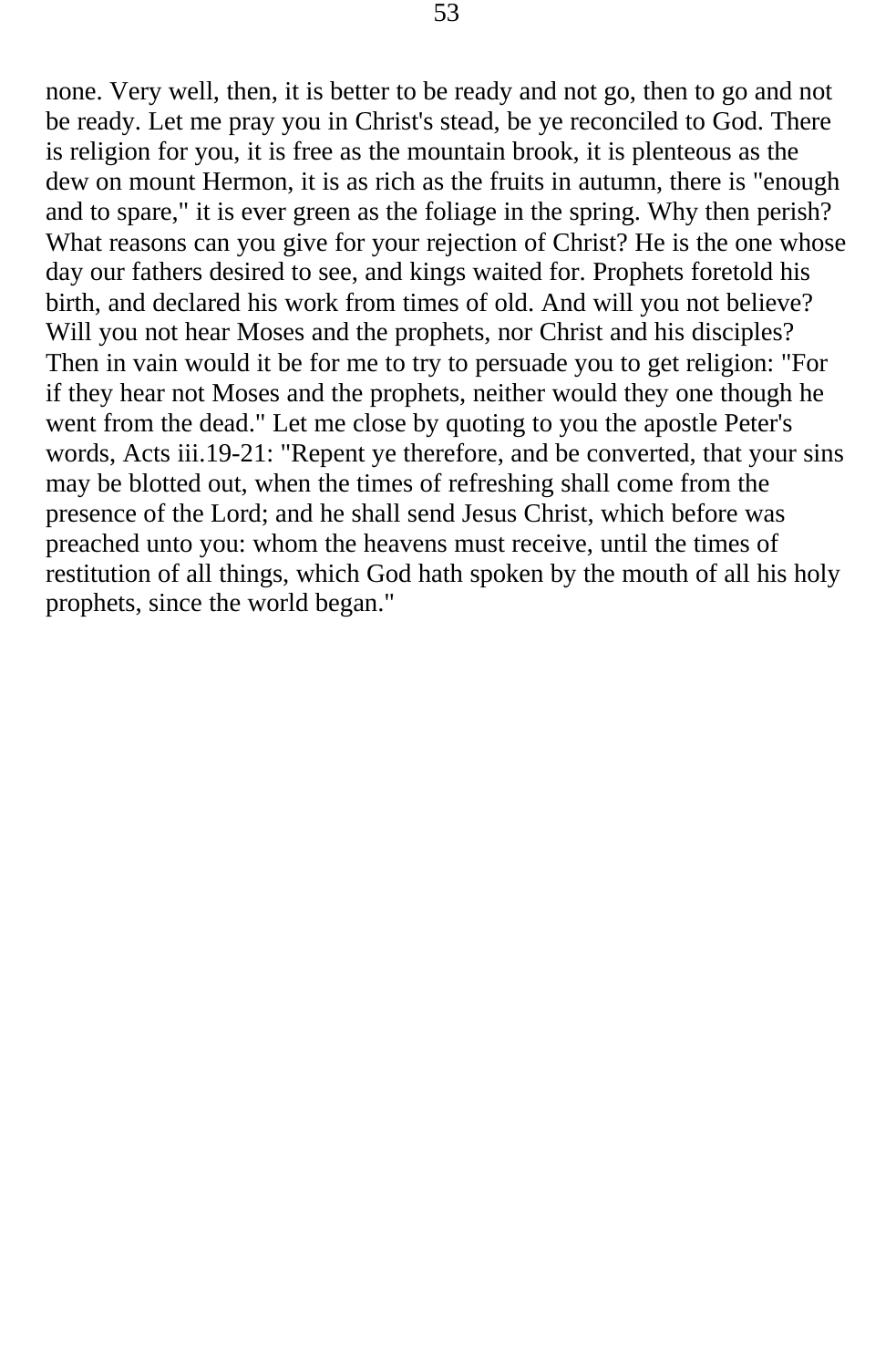none. Very well, then, it is better to be ready and not go, then to go and not be ready. Let me pray you in Christ's stead, be ye reconciled to God. There is religion for you, it is free as the mountain brook, it is plenteous as the dew on mount Hermon, it is as rich as the fruits in autumn, there is "enough and to spare," it is ever green as the foliage in the spring. Why then perish? What reasons can you give for your rejection of Christ? He is the one whose day our fathers desired to see, and kings waited for. Prophets foretold his birth, and declared his work from times of old. And will you not believe? Will you not hear Moses and the prophets, nor Christ and his disciples? Then in vain would it be for me to try to persuade you to get religion: "For if they hear not Moses and the prophets, neither would they one though he went from the dead." Let me close by quoting to you the apostle Peter's words, Acts iii.19-21: "Repent ye therefore, and be converted, that your sins may be blotted out, when the times of refreshing shall come from the presence of the Lord; and he shall send Jesus Christ, which before was preached unto you: whom the heavens must receive, until the times of restitution of all things, which God hath spoken by the mouth of all his holy prophets, since the world began."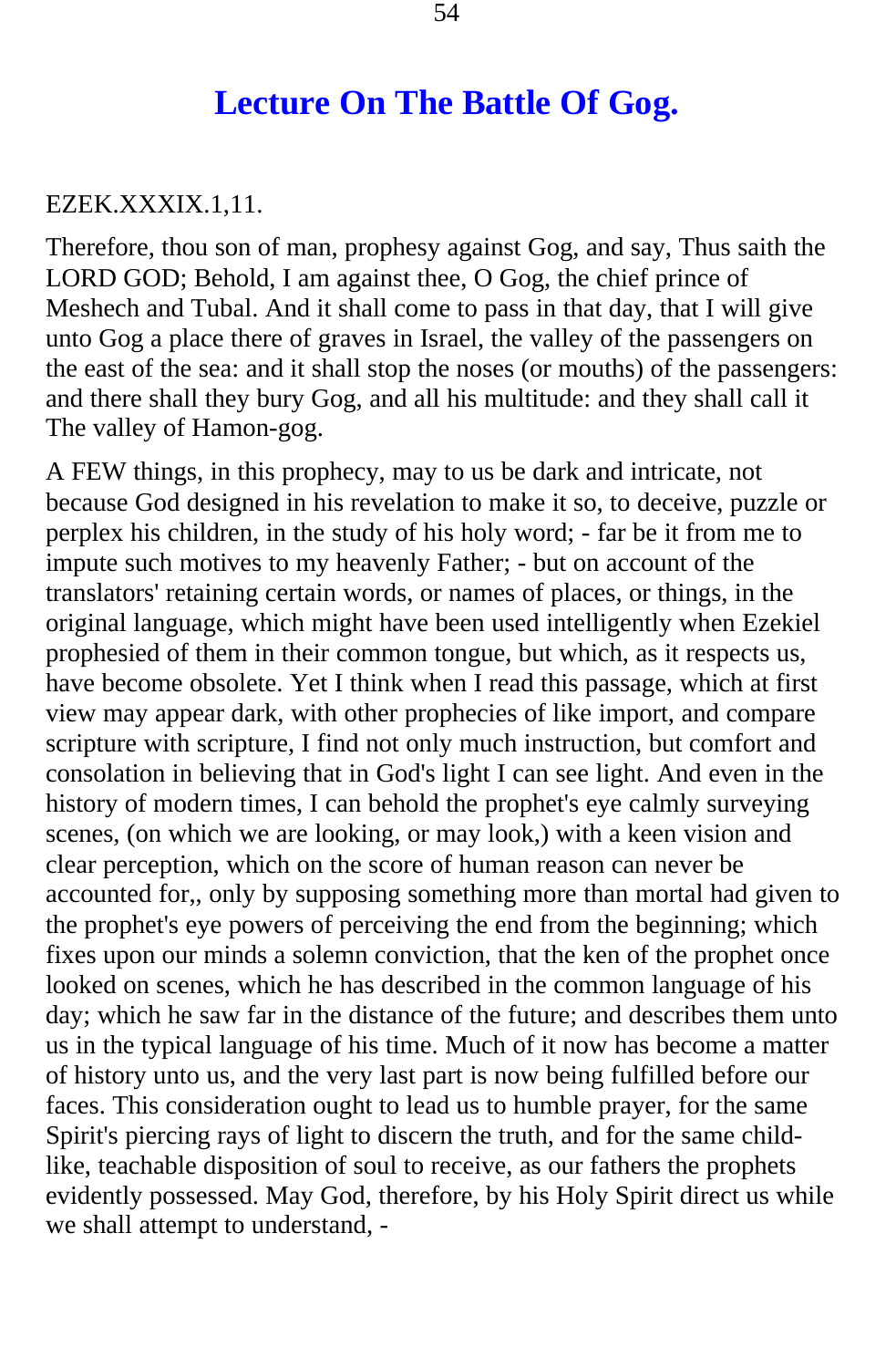## **Lecture On The Battle Of Gog.**

#### EZEK.XXXIX.1,11.

Therefore, thou son of man, prophesy against Gog, and say, Thus saith the LORD GOD; Behold, I am against thee, O Gog, the chief prince of Meshech and Tubal. And it shall come to pass in that day, that I will give unto Gog a place there of graves in Israel, the valley of the passengers on the east of the sea: and it shall stop the noses (or mouths) of the passengers: and there shall they bury Gog, and all his multitude: and they shall call it The valley of Hamon-gog.

A FEW things, in this prophecy, may to us be dark and intricate, not because God designed in his revelation to make it so, to deceive, puzzle or perplex his children, in the study of his holy word; - far be it from me to impute such motives to my heavenly Father; - but on account of the translators' retaining certain words, or names of places, or things, in the original language, which might have been used intelligently when Ezekiel prophesied of them in their common tongue, but which, as it respects us, have become obsolete. Yet I think when I read this passage, which at first view may appear dark, with other prophecies of like import, and compare scripture with scripture, I find not only much instruction, but comfort and consolation in believing that in God's light I can see light. And even in the history of modern times, I can behold the prophet's eye calmly surveying scenes, (on which we are looking, or may look,) with a keen vision and clear perception, which on the score of human reason can never be accounted for,, only by supposing something more than mortal had given to the prophet's eye powers of perceiving the end from the beginning; which fixes upon our minds a solemn conviction, that the ken of the prophet once looked on scenes, which he has described in the common language of his day; which he saw far in the distance of the future; and describes them unto us in the typical language of his time. Much of it now has become a matter of history unto us, and the very last part is now being fulfilled before our faces. This consideration ought to lead us to humble prayer, for the same Spirit's piercing rays of light to discern the truth, and for the same childlike, teachable disposition of soul to receive, as our fathers the prophets evidently possessed. May God, therefore, by his Holy Spirit direct us while we shall attempt to understand,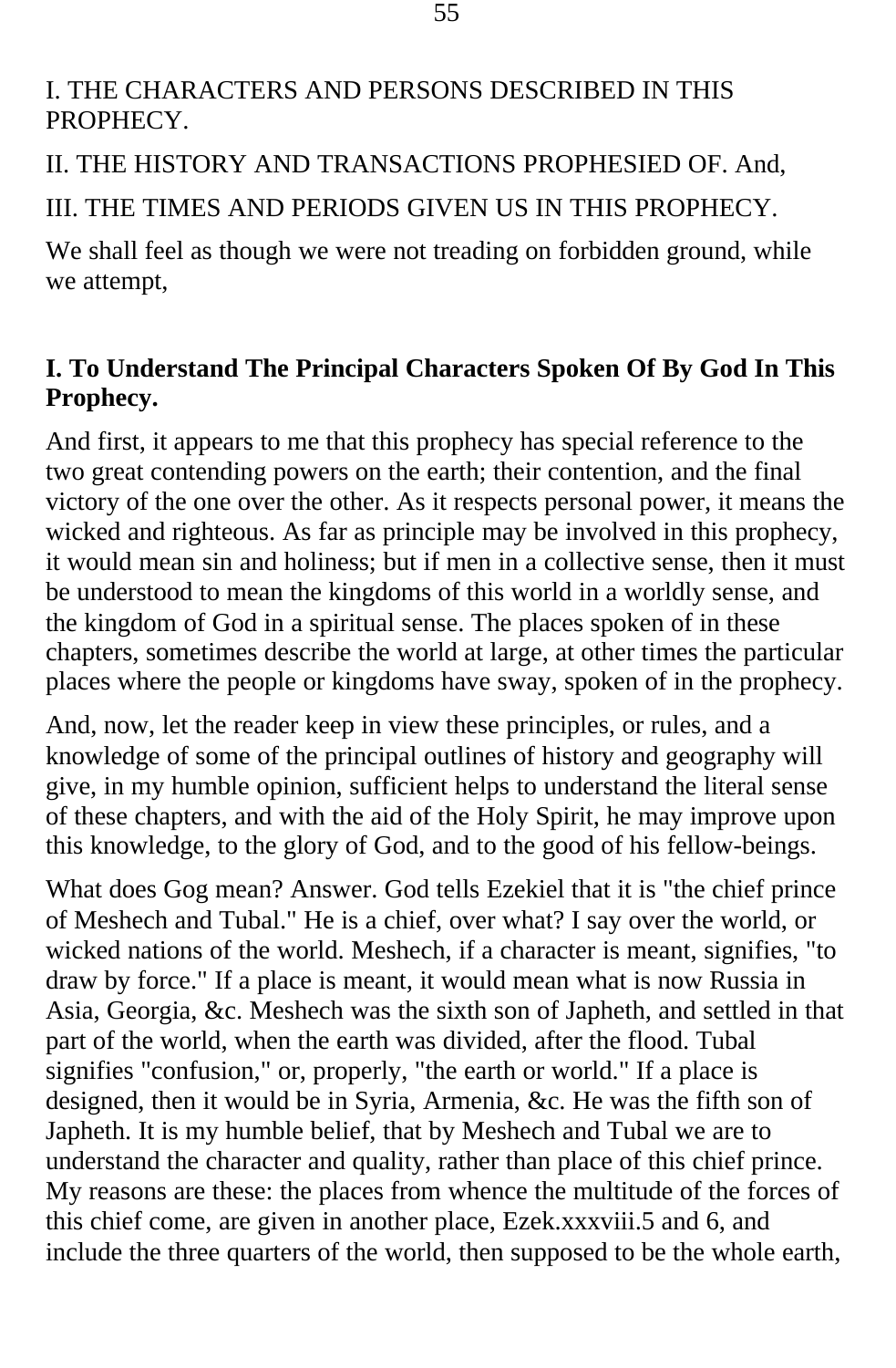### I. THE CHARACTERS AND PERSONS DESCRIBED IN THIS PROPHECY.

#### II. THE HISTORY AND TRANSACTIONS PROPHESIED OF. And,

## III. THE TIMES AND PERIODS GIVEN US IN THIS PROPHECY.

We shall feel as though we were not treading on forbidden ground, while we attempt,

### **I. To Understand The Principal Characters Spoken Of By God In This Prophecy.**

And first, it appears to me that this prophecy has special reference to the two great contending powers on the earth; their contention, and the final victory of the one over the other. As it respects personal power, it means the wicked and righteous. As far as principle may be involved in this prophecy, it would mean sin and holiness; but if men in a collective sense, then it must be understood to mean the kingdoms of this world in a worldly sense, and the kingdom of God in a spiritual sense. The places spoken of in these chapters, sometimes describe the world at large, at other times the particular places where the people or kingdoms have sway, spoken of in the prophecy.

And, now, let the reader keep in view these principles, or rules, and a knowledge of some of the principal outlines of history and geography will give, in my humble opinion, sufficient helps to understand the literal sense of these chapters, and with the aid of the Holy Spirit, he may improve upon this knowledge, to the glory of God, and to the good of his fellow-beings.

What does Gog mean? Answer. God tells Ezekiel that it is "the chief prince of Meshech and Tubal." He is a chief, over what? I say over the world, or wicked nations of the world. Meshech, if a character is meant, signifies, "to draw by force." If a place is meant, it would mean what is now Russia in Asia, Georgia, &c. Meshech was the sixth son of Japheth, and settled in that part of the world, when the earth was divided, after the flood. Tubal signifies "confusion," or, properly, "the earth or world." If a place is designed, then it would be in Syria, Armenia, &c. He was the fifth son of Japheth. It is my humble belief, that by Meshech and Tubal we are to understand the character and quality, rather than place of this chief prince. My reasons are these: the places from whence the multitude of the forces of this chief come, are given in another place, Ezek.xxxviii.5 and 6, and include the three quarters of the world, then supposed to be the whole earth,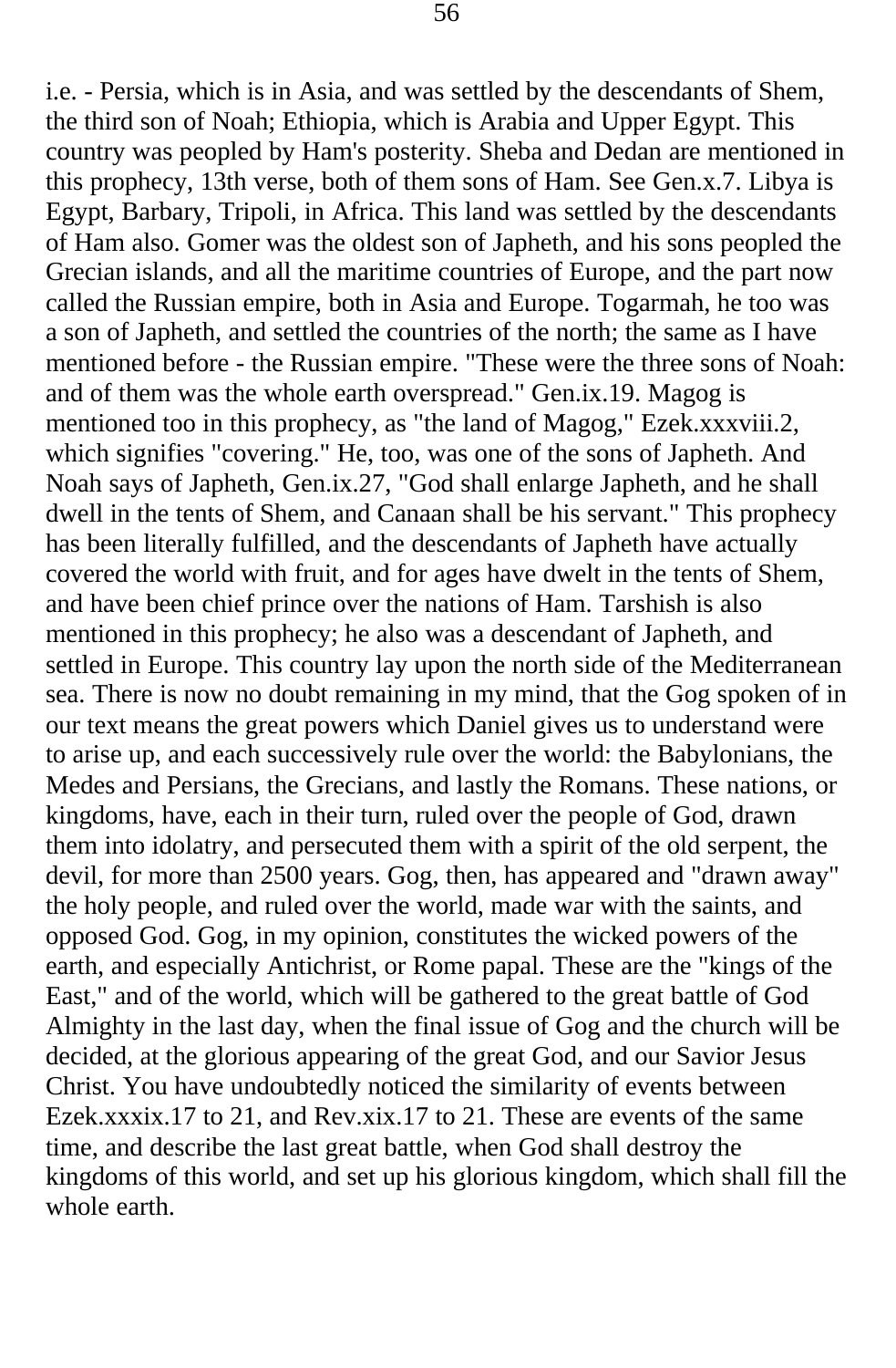i.e. - Persia, which is in Asia, and was settled by the descendants of Shem, the third son of Noah; Ethiopia, which is Arabia and Upper Egypt. This country was peopled by Ham's posterity. Sheba and Dedan are mentioned in this prophecy, 13th verse, both of them sons of Ham. See Gen.x.7. Libya is Egypt, Barbary, Tripoli, in Africa. This land was settled by the descendants of Ham also. Gomer was the oldest son of Japheth, and his sons peopled the Grecian islands, and all the maritime countries of Europe, and the part now called the Russian empire, both in Asia and Europe. Togarmah, he too was a son of Japheth, and settled the countries of the north; the same as I have mentioned before - the Russian empire. "These were the three sons of Noah: and of them was the whole earth overspread." Gen.ix.19. Magog is mentioned too in this prophecy, as "the land of Magog," Ezek.xxxviii.2, which signifies "covering." He, too, was one of the sons of Japheth. And Noah says of Japheth, Gen.ix.27, "God shall enlarge Japheth, and he shall dwell in the tents of Shem, and Canaan shall be his servant." This prophecy has been literally fulfilled, and the descendants of Japheth have actually covered the world with fruit, and for ages have dwelt in the tents of Shem, and have been chief prince over the nations of Ham. Tarshish is also mentioned in this prophecy; he also was a descendant of Japheth, and settled in Europe. This country lay upon the north side of the Mediterranean sea. There is now no doubt remaining in my mind, that the Gog spoken of in our text means the great powers which Daniel gives us to understand were to arise up, and each successively rule over the world: the Babylonians, the Medes and Persians, the Grecians, and lastly the Romans. These nations, or kingdoms, have, each in their turn, ruled over the people of God, drawn them into idolatry, and persecuted them with a spirit of the old serpent, the devil, for more than 2500 years. Gog, then, has appeared and "drawn away" the holy people, and ruled over the world, made war with the saints, and opposed God. Gog, in my opinion, constitutes the wicked powers of the earth, and especially Antichrist, or Rome papal. These are the "kings of the East," and of the world, which will be gathered to the great battle of God Almighty in the last day, when the final issue of Gog and the church will be decided, at the glorious appearing of the great God, and our Savior Jesus Christ. You have undoubtedly noticed the similarity of events between Ezek.xxxix.17 to 21, and Rev.xix.17 to 21. These are events of the same time, and describe the last great battle, when God shall destroy the kingdoms of this world, and set up his glorious kingdom, which shall fill the whole earth.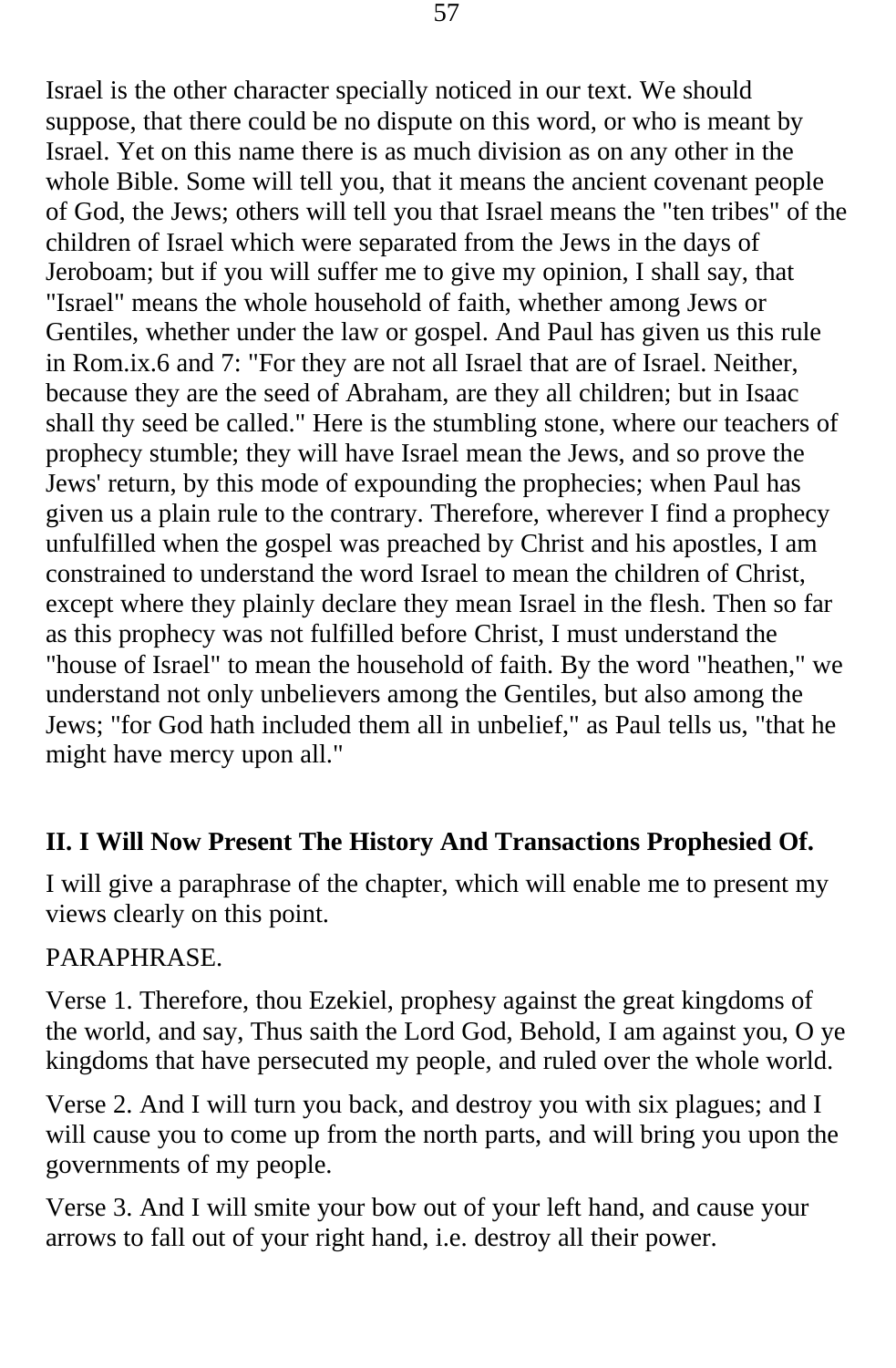Israel is the other character specially noticed in our text. We should suppose, that there could be no dispute on this word, or who is meant by Israel. Yet on this name there is as much division as on any other in the whole Bible. Some will tell you, that it means the ancient covenant people of God, the Jews; others will tell you that Israel means the "ten tribes" of the children of Israel which were separated from the Jews in the days of Jeroboam; but if you will suffer me to give my opinion, I shall say, that "Israel" means the whole household of faith, whether among Jews or Gentiles, whether under the law or gospel. And Paul has given us this rule in Rom.ix.6 and 7: "For they are not all Israel that are of Israel. Neither, because they are the seed of Abraham, are they all children; but in Isaac shall thy seed be called." Here is the stumbling stone, where our teachers of prophecy stumble; they will have Israel mean the Jews, and so prove the Jews' return, by this mode of expounding the prophecies; when Paul has given us a plain rule to the contrary. Therefore, wherever I find a prophecy unfulfilled when the gospel was preached by Christ and his apostles, I am constrained to understand the word Israel to mean the children of Christ, except where they plainly declare they mean Israel in the flesh. Then so far as this prophecy was not fulfilled before Christ, I must understand the "house of Israel" to mean the household of faith. By the word "heathen," we understand not only unbelievers among the Gentiles, but also among the Jews; "for God hath included them all in unbelief," as Paul tells us, "that he might have mercy upon all."

### **II. I Will Now Present The History And Transactions Prophesied Of.**

I will give a paraphrase of the chapter, which will enable me to present my views clearly on this point.

#### PARAPHRASE.

Verse 1. Therefore, thou Ezekiel, prophesy against the great kingdoms of the world, and say, Thus saith the Lord God, Behold, I am against you, O ye kingdoms that have persecuted my people, and ruled over the whole world.

Verse 2. And I will turn you back, and destroy you with six plagues; and I will cause you to come up from the north parts, and will bring you upon the governments of my people.

Verse 3. And I will smite your bow out of your left hand, and cause your arrows to fall out of your right hand, i.e. destroy all their power.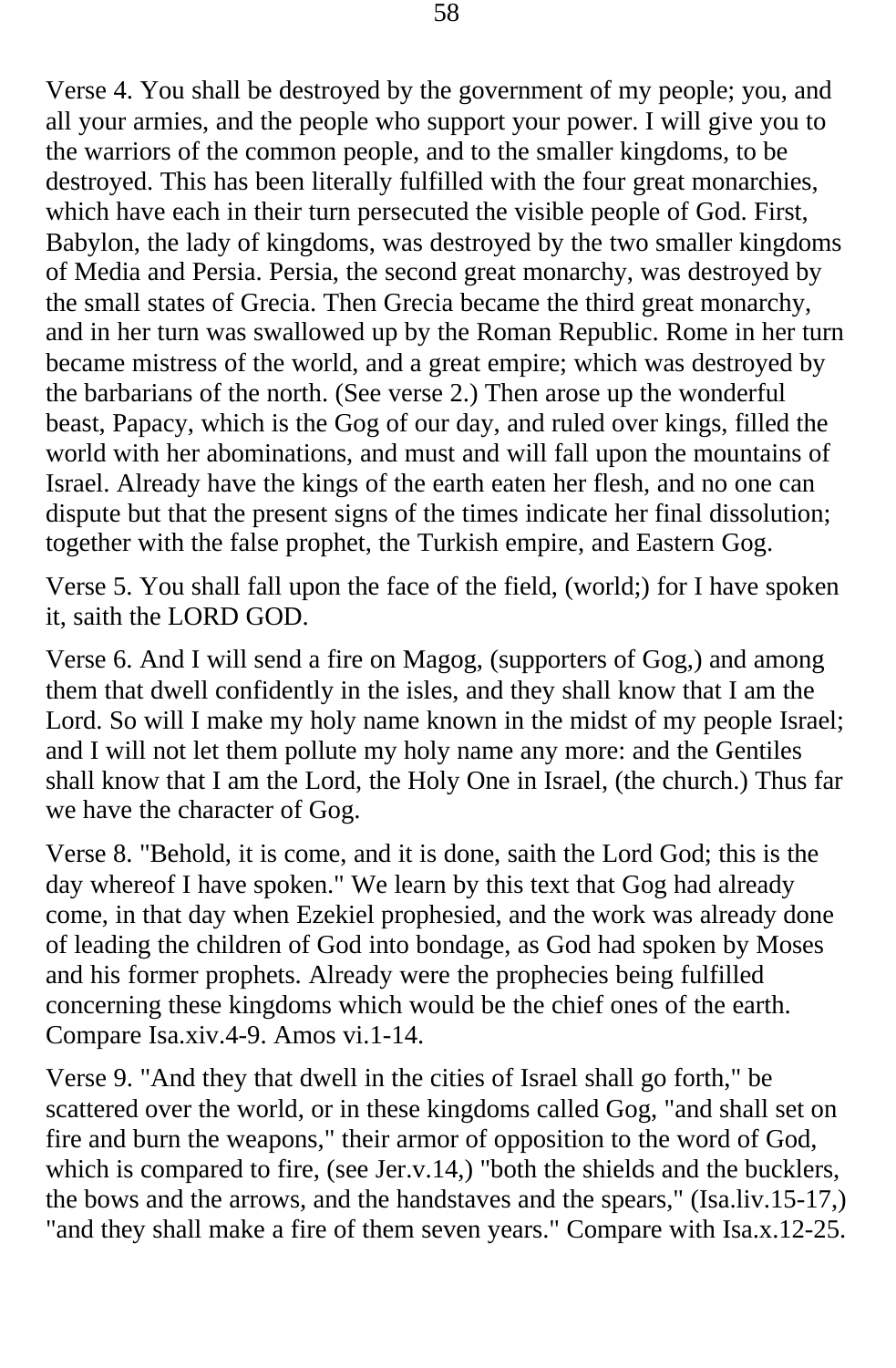Verse 4. You shall be destroyed by the government of my people; you, and all your armies, and the people who support your power. I will give you to the warriors of the common people, and to the smaller kingdoms, to be destroyed. This has been literally fulfilled with the four great monarchies, which have each in their turn persecuted the visible people of God. First, Babylon, the lady of kingdoms, was destroyed by the two smaller kingdoms of Media and Persia. Persia, the second great monarchy, was destroyed by the small states of Grecia. Then Grecia became the third great monarchy, and in her turn was swallowed up by the Roman Republic. Rome in her turn became mistress of the world, and a great empire; which was destroyed by the barbarians of the north. (See verse 2.) Then arose up the wonderful beast, Papacy, which is the Gog of our day, and ruled over kings, filled the world with her abominations, and must and will fall upon the mountains of Israel. Already have the kings of the earth eaten her flesh, and no one can dispute but that the present signs of the times indicate her final dissolution; together with the false prophet, the Turkish empire, and Eastern Gog.

Verse 5. You shall fall upon the face of the field, (world;) for I have spoken it, saith the LORD GOD.

Verse 6. And I will send a fire on Magog, (supporters of Gog,) and among them that dwell confidently in the isles, and they shall know that I am the Lord. So will I make my holy name known in the midst of my people Israel; and I will not let them pollute my holy name any more: and the Gentiles shall know that I am the Lord, the Holy One in Israel, (the church.) Thus far we have the character of Gog.

Verse 8. "Behold, it is come, and it is done, saith the Lord God; this is the day whereof I have spoken." We learn by this text that Gog had already come, in that day when Ezekiel prophesied, and the work was already done of leading the children of God into bondage, as God had spoken by Moses and his former prophets. Already were the prophecies being fulfilled concerning these kingdoms which would be the chief ones of the earth. Compare Isa.xiv.4-9. Amos vi.1-14.

Verse 9. "And they that dwell in the cities of Israel shall go forth," be scattered over the world, or in these kingdoms called Gog, "and shall set on fire and burn the weapons," their armor of opposition to the word of God, which is compared to fire, (see Jer.v.14,) "both the shields and the bucklers, the bows and the arrows, and the handstaves and the spears," (Isa.liv.15-17,) "and they shall make a fire of them seven years." Compare with Isa.x.12-25.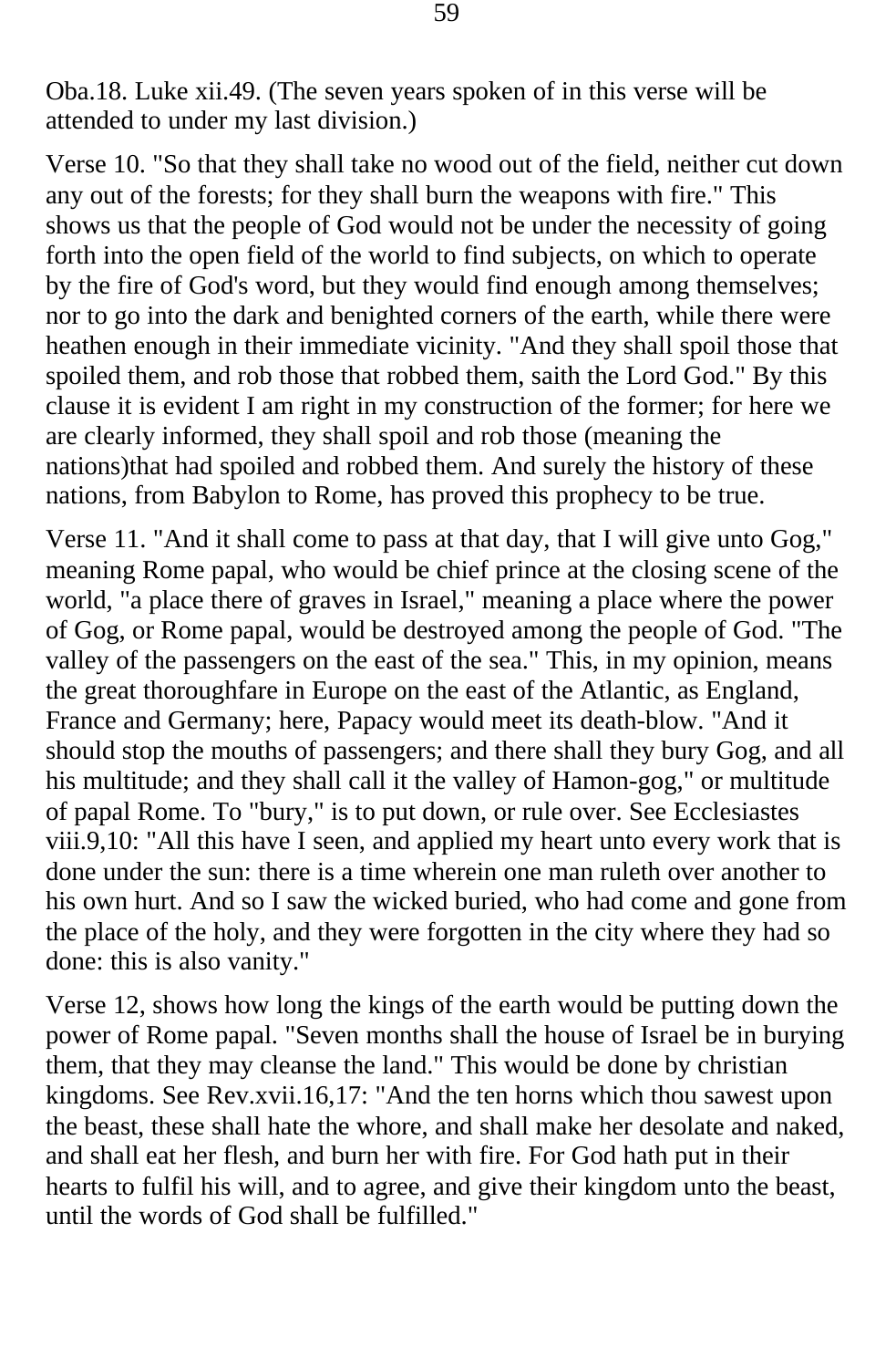Oba.18. Luke xii.49. (The seven years spoken of in this verse will be attended to under my last division.)

Verse 10. "So that they shall take no wood out of the field, neither cut down any out of the forests; for they shall burn the weapons with fire." This shows us that the people of God would not be under the necessity of going forth into the open field of the world to find subjects, on which to operate by the fire of God's word, but they would find enough among themselves; nor to go into the dark and benighted corners of the earth, while there were heathen enough in their immediate vicinity. "And they shall spoil those that spoiled them, and rob those that robbed them, saith the Lord God." By this clause it is evident I am right in my construction of the former; for here we are clearly informed, they shall spoil and rob those (meaning the nations)that had spoiled and robbed them. And surely the history of these nations, from Babylon to Rome, has proved this prophecy to be true.

Verse 11. "And it shall come to pass at that day, that I will give unto Gog," meaning Rome papal, who would be chief prince at the closing scene of the world, "a place there of graves in Israel," meaning a place where the power of Gog, or Rome papal, would be destroyed among the people of God. "The valley of the passengers on the east of the sea." This, in my opinion, means the great thoroughfare in Europe on the east of the Atlantic, as England, France and Germany; here, Papacy would meet its death-blow. "And it should stop the mouths of passengers; and there shall they bury Gog, and all his multitude; and they shall call it the valley of Hamon-gog," or multitude of papal Rome. To "bury," is to put down, or rule over. See Ecclesiastes viii.9,10: "All this have I seen, and applied my heart unto every work that is done under the sun: there is a time wherein one man ruleth over another to his own hurt. And so I saw the wicked buried, who had come and gone from the place of the holy, and they were forgotten in the city where they had so done: this is also vanity."

Verse 12, shows how long the kings of the earth would be putting down the power of Rome papal. "Seven months shall the house of Israel be in burying them, that they may cleanse the land." This would be done by christian kingdoms. See Rev.xvii.16,17: "And the ten horns which thou sawest upon the beast, these shall hate the whore, and shall make her desolate and naked, and shall eat her flesh, and burn her with fire. For God hath put in their hearts to fulfil his will, and to agree, and give their kingdom unto the beast, until the words of God shall be fulfilled."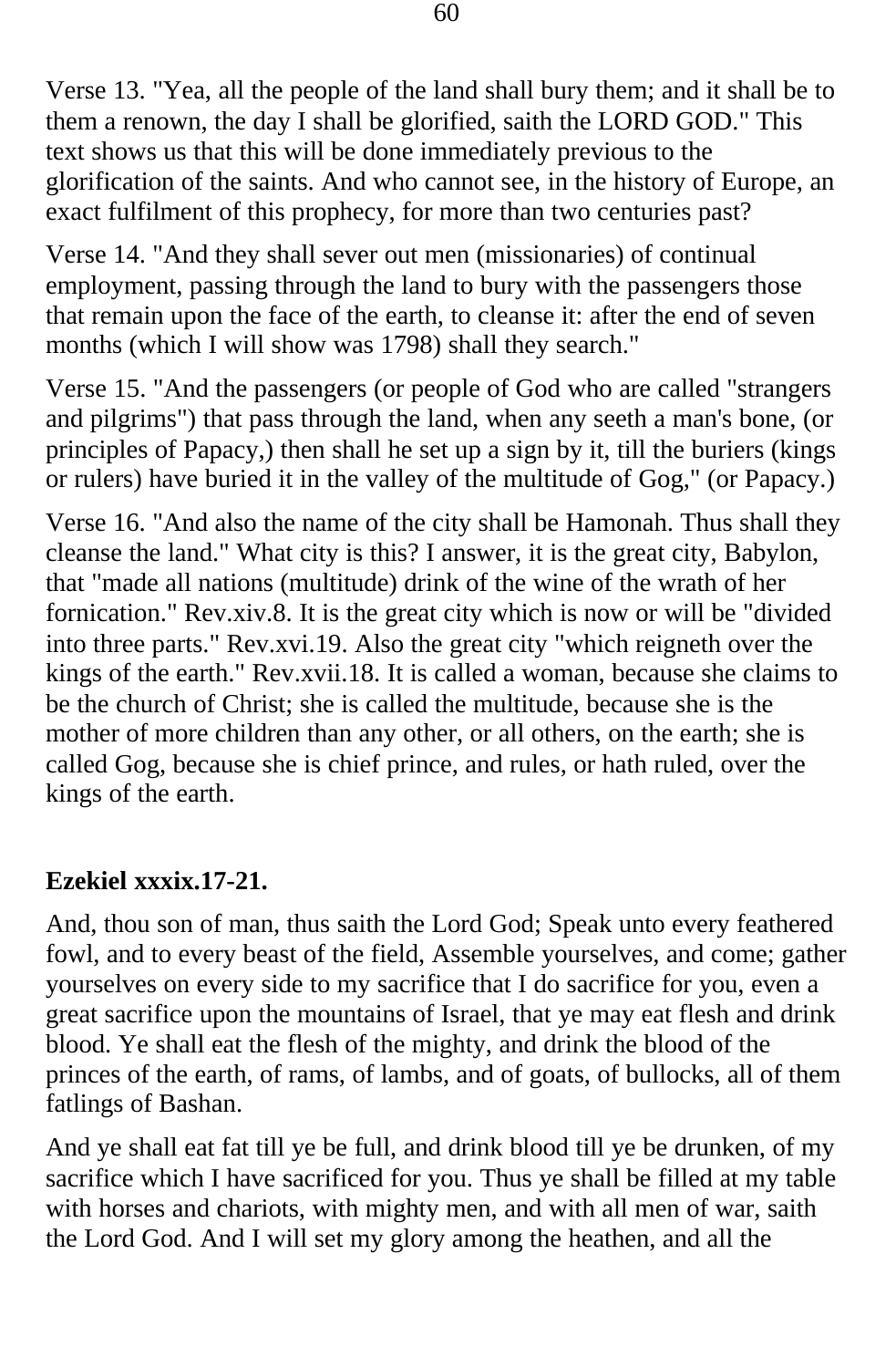Verse 13. "Yea, all the people of the land shall bury them; and it shall be to them a renown, the day I shall be glorified, saith the LORD GOD." This text shows us that this will be done immediately previous to the glorification of the saints. And who cannot see, in the history of Europe, an exact fulfilment of this prophecy, for more than two centuries past?

Verse 14. "And they shall sever out men (missionaries) of continual employment, passing through the land to bury with the passengers those that remain upon the face of the earth, to cleanse it: after the end of seven months (which I will show was 1798) shall they search."

Verse 15. "And the passengers (or people of God who are called "strangers and pilgrims") that pass through the land, when any seeth a man's bone, (or principles of Papacy,) then shall he set up a sign by it, till the buriers (kings or rulers) have buried it in the valley of the multitude of Gog," (or Papacy.)

Verse 16. "And also the name of the city shall be Hamonah. Thus shall they cleanse the land." What city is this? I answer, it is the great city, Babylon, that "made all nations (multitude) drink of the wine of the wrath of her fornication." Rev.xiv.8. It is the great city which is now or will be "divided into three parts." Rev.xvi.19. Also the great city "which reigneth over the kings of the earth." Rev.xvii.18. It is called a woman, because she claims to be the church of Christ; she is called the multitude, because she is the mother of more children than any other, or all others, on the earth; she is called Gog, because she is chief prince, and rules, or hath ruled, over the kings of the earth.

## **Ezekiel xxxix.17-21.**

And, thou son of man, thus saith the Lord God; Speak unto every feathered fowl, and to every beast of the field, Assemble yourselves, and come; gather yourselves on every side to my sacrifice that I do sacrifice for you, even a great sacrifice upon the mountains of Israel, that ye may eat flesh and drink blood. Ye shall eat the flesh of the mighty, and drink the blood of the princes of the earth, of rams, of lambs, and of goats, of bullocks, all of them fatlings of Bashan.

And ye shall eat fat till ye be full, and drink blood till ye be drunken, of my sacrifice which I have sacrificed for you. Thus ye shall be filled at my table with horses and chariots, with mighty men, and with all men of war, saith the Lord God. And I will set my glory among the heathen, and all the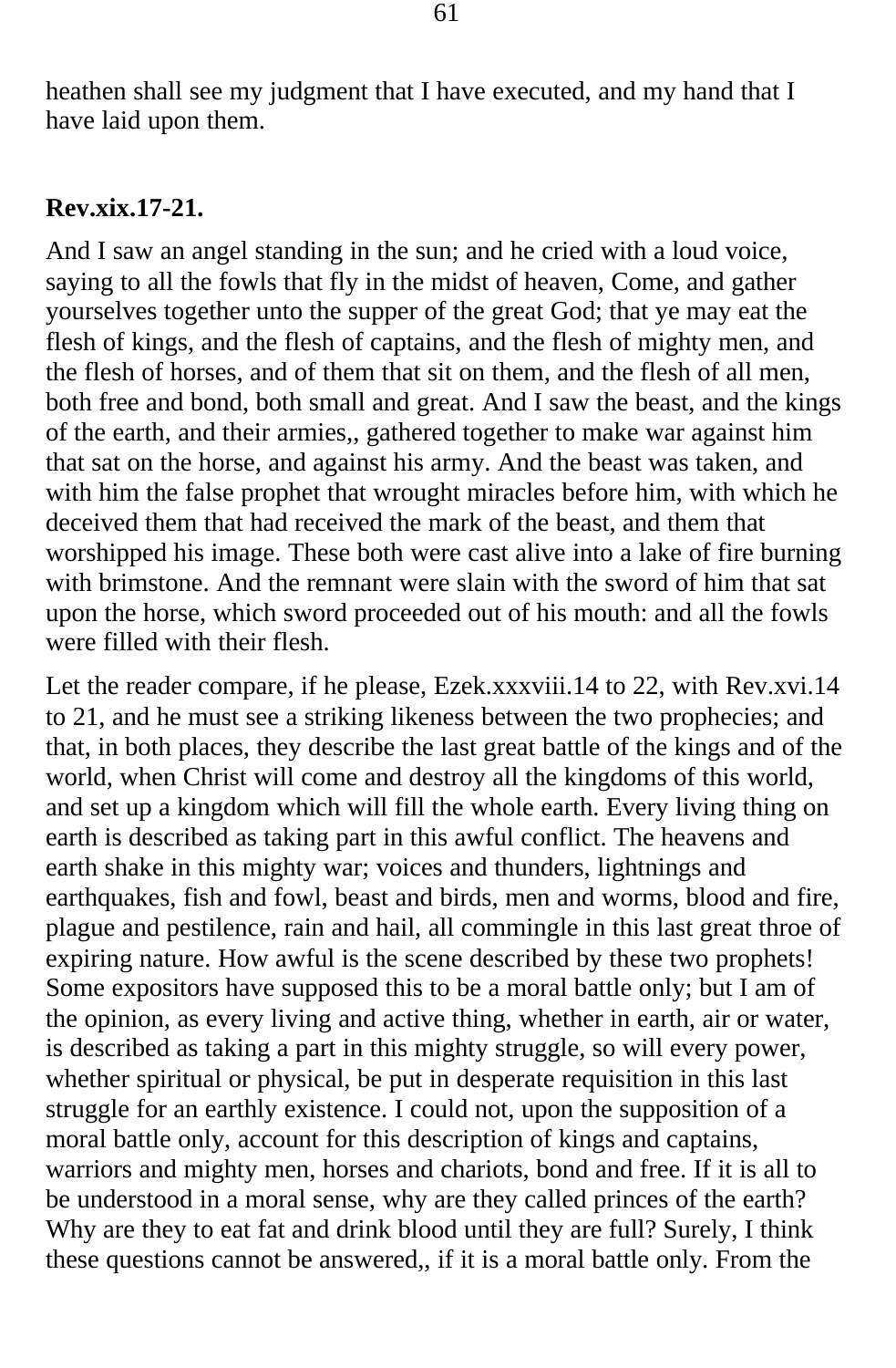heathen shall see my judgment that I have executed, and my hand that I have laid upon them.

#### **Rev.xix.17-21.**

And I saw an angel standing in the sun; and he cried with a loud voice, saying to all the fowls that fly in the midst of heaven, Come, and gather yourselves together unto the supper of the great God; that ye may eat the flesh of kings, and the flesh of captains, and the flesh of mighty men, and the flesh of horses, and of them that sit on them, and the flesh of all men, both free and bond, both small and great. And I saw the beast, and the kings of the earth, and their armies,, gathered together to make war against him that sat on the horse, and against his army. And the beast was taken, and with him the false prophet that wrought miracles before him, with which he deceived them that had received the mark of the beast, and them that worshipped his image. These both were cast alive into a lake of fire burning with brimstone. And the remnant were slain with the sword of him that sat upon the horse, which sword proceeded out of his mouth: and all the fowls were filled with their flesh.

Let the reader compare, if he please, Ezek.xxxviii.14 to 22, with Rev.xvi.14 to 21, and he must see a striking likeness between the two prophecies; and that, in both places, they describe the last great battle of the kings and of the world, when Christ will come and destroy all the kingdoms of this world, and set up a kingdom which will fill the whole earth. Every living thing on earth is described as taking part in this awful conflict. The heavens and earth shake in this mighty war; voices and thunders, lightnings and earthquakes, fish and fowl, beast and birds, men and worms, blood and fire, plague and pestilence, rain and hail, all commingle in this last great throe of expiring nature. How awful is the scene described by these two prophets! Some expositors have supposed this to be a moral battle only; but I am of the opinion, as every living and active thing, whether in earth, air or water, is described as taking a part in this mighty struggle, so will every power, whether spiritual or physical, be put in desperate requisition in this last struggle for an earthly existence. I could not, upon the supposition of a moral battle only, account for this description of kings and captains, warriors and mighty men, horses and chariots, bond and free. If it is all to be understood in a moral sense, why are they called princes of the earth? Why are they to eat fat and drink blood until they are full? Surely, I think these questions cannot be answered,, if it is a moral battle only. From the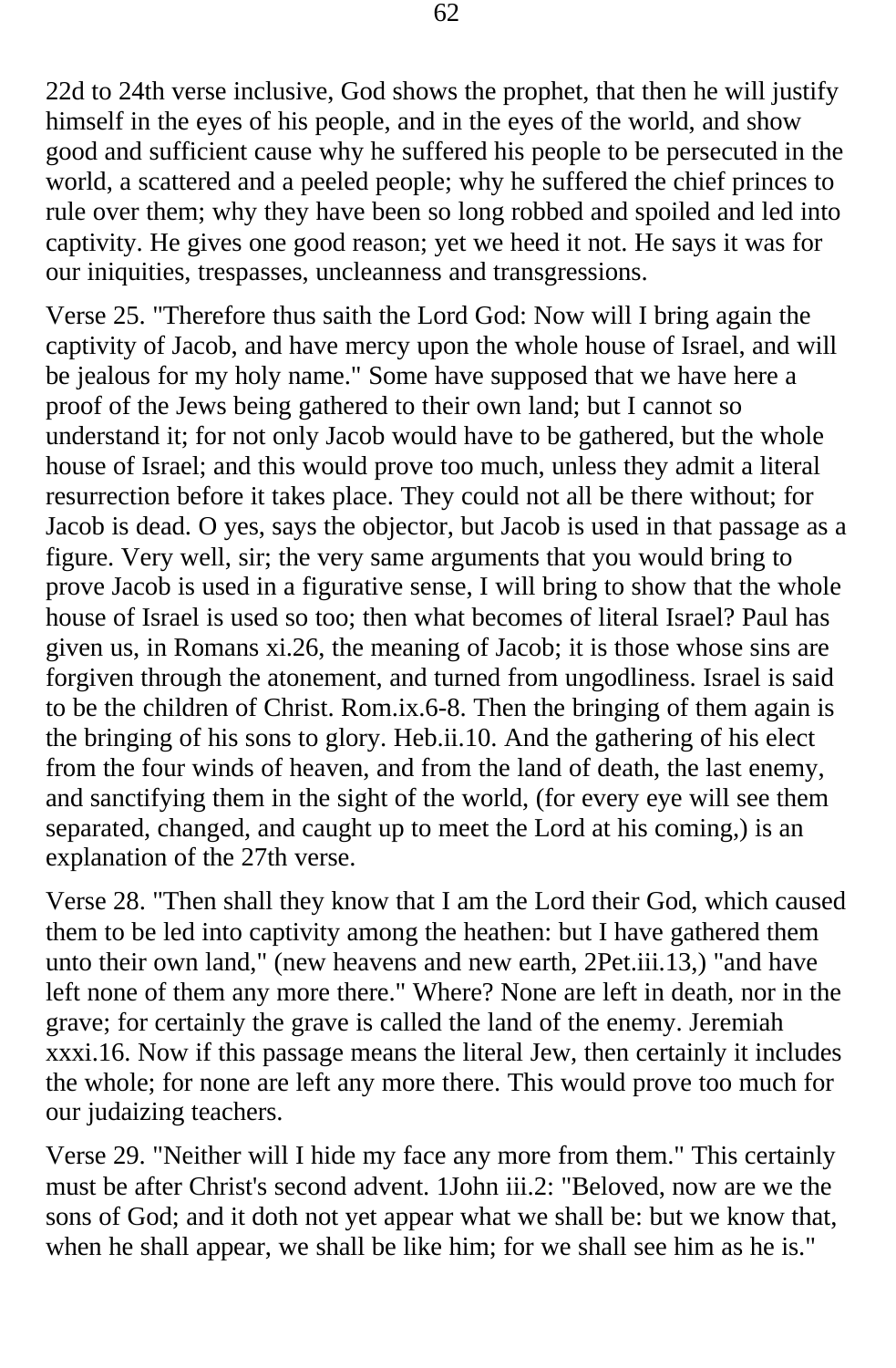22d to 24th verse inclusive, God shows the prophet, that then he will justify himself in the eyes of his people, and in the eyes of the world, and show good and sufficient cause why he suffered his people to be persecuted in the world, a scattered and a peeled people; why he suffered the chief princes to rule over them; why they have been so long robbed and spoiled and led into captivity. He gives one good reason; yet we heed it not. He says it was for our iniquities, trespasses, uncleanness and transgressions.

Verse 25. "Therefore thus saith the Lord God: Now will I bring again the captivity of Jacob, and have mercy upon the whole house of Israel, and will be jealous for my holy name." Some have supposed that we have here a proof of the Jews being gathered to their own land; but I cannot so understand it; for not only Jacob would have to be gathered, but the whole house of Israel; and this would prove too much, unless they admit a literal resurrection before it takes place. They could not all be there without; for Jacob is dead. O yes, says the objector, but Jacob is used in that passage as a figure. Very well, sir; the very same arguments that you would bring to prove Jacob is used in a figurative sense, I will bring to show that the whole house of Israel is used so too; then what becomes of literal Israel? Paul has given us, in Romans xi.26, the meaning of Jacob; it is those whose sins are forgiven through the atonement, and turned from ungodliness. Israel is said to be the children of Christ. Rom.ix.6-8. Then the bringing of them again is the bringing of his sons to glory. Heb.ii.10. And the gathering of his elect from the four winds of heaven, and from the land of death, the last enemy, and sanctifying them in the sight of the world, (for every eye will see them separated, changed, and caught up to meet the Lord at his coming,) is an explanation of the 27th verse.

Verse 28. "Then shall they know that I am the Lord their God, which caused them to be led into captivity among the heathen: but I have gathered them unto their own land," (new heavens and new earth, 2Pet.iii.13,) "and have left none of them any more there." Where? None are left in death, nor in the grave; for certainly the grave is called the land of the enemy. Jeremiah xxxi.16. Now if this passage means the literal Jew, then certainly it includes the whole; for none are left any more there. This would prove too much for our judaizing teachers.

Verse 29. "Neither will I hide my face any more from them." This certainly must be after Christ's second advent. 1John iii.2: "Beloved, now are we the sons of God; and it doth not yet appear what we shall be: but we know that, when he shall appear, we shall be like him; for we shall see him as he is."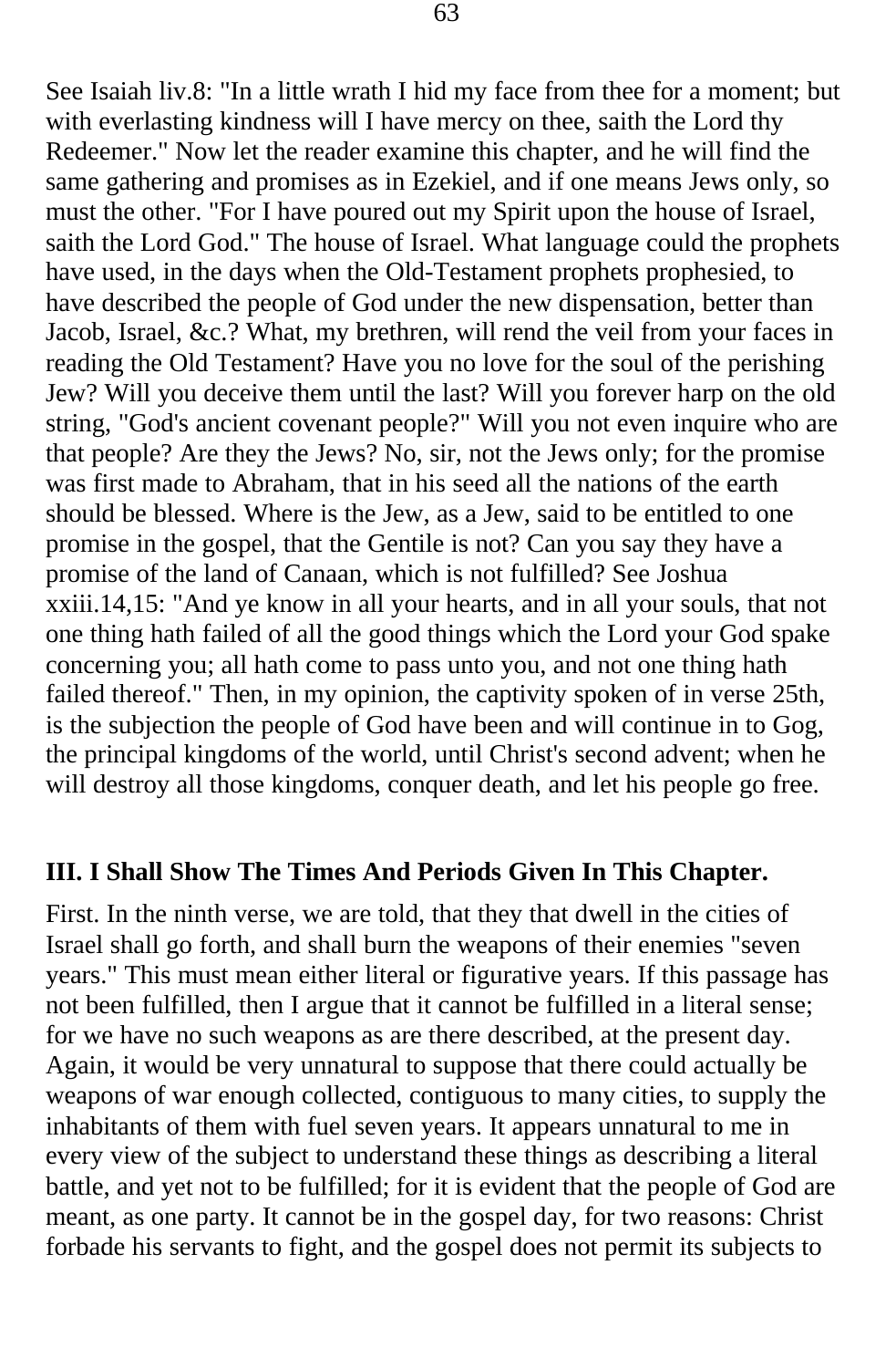See Isaiah liv.8: "In a little wrath I hid my face from thee for a moment; but with everlasting kindness will I have mercy on thee, saith the Lord thy Redeemer." Now let the reader examine this chapter, and he will find the same gathering and promises as in Ezekiel, and if one means Jews only, so must the other. "For I have poured out my Spirit upon the house of Israel, saith the Lord God." The house of Israel. What language could the prophets have used, in the days when the Old-Testament prophets prophesied, to have described the people of God under the new dispensation, better than Jacob, Israel, &c.? What, my brethren, will rend the veil from your faces in reading the Old Testament? Have you no love for the soul of the perishing Jew? Will you deceive them until the last? Will you forever harp on the old string, "God's ancient covenant people?" Will you not even inquire who are that people? Are they the Jews? No, sir, not the Jews only; for the promise was first made to Abraham, that in his seed all the nations of the earth should be blessed. Where is the Jew, as a Jew, said to be entitled to one promise in the gospel, that the Gentile is not? Can you say they have a promise of the land of Canaan, which is not fulfilled? See Joshua xxiii.14,15: "And ye know in all your hearts, and in all your souls, that not one thing hath failed of all the good things which the Lord your God spake concerning you; all hath come to pass unto you, and not one thing hath failed thereof." Then, in my opinion, the captivity spoken of in verse 25th, is the subjection the people of God have been and will continue in to Gog, the principal kingdoms of the world, until Christ's second advent; when he will destroy all those kingdoms, conquer death, and let his people go free.

#### **III. I Shall Show The Times And Periods Given In This Chapter.**

First. In the ninth verse, we are told, that they that dwell in the cities of Israel shall go forth, and shall burn the weapons of their enemies "seven years." This must mean either literal or figurative years. If this passage has not been fulfilled, then I argue that it cannot be fulfilled in a literal sense; for we have no such weapons as are there described, at the present day. Again, it would be very unnatural to suppose that there could actually be weapons of war enough collected, contiguous to many cities, to supply the inhabitants of them with fuel seven years. It appears unnatural to me in every view of the subject to understand these things as describing a literal battle, and yet not to be fulfilled; for it is evident that the people of God are meant, as one party. It cannot be in the gospel day, for two reasons: Christ forbade his servants to fight, and the gospel does not permit its subjects to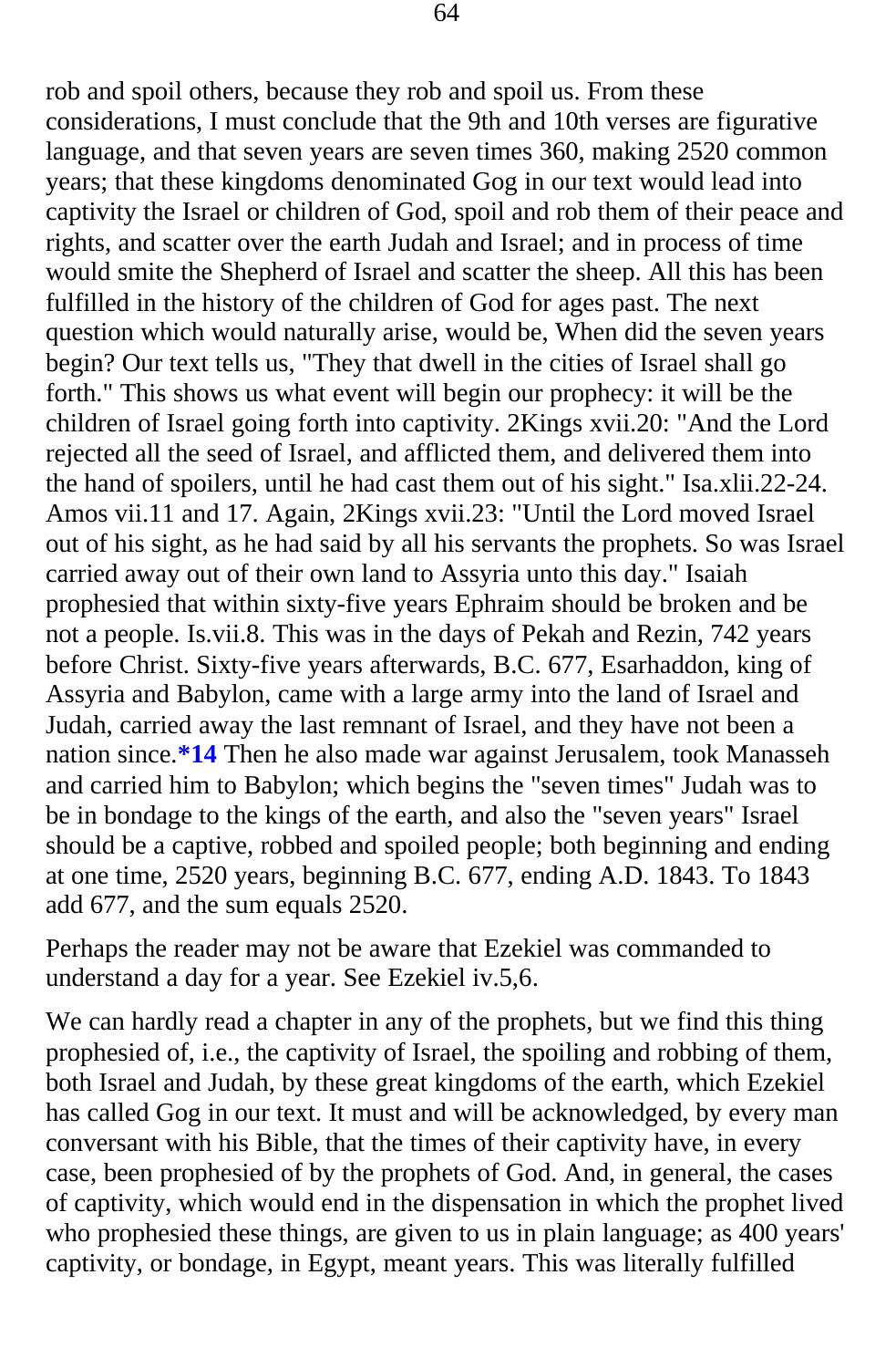rob and spoil others, because they rob and spoil us. From these considerations, I must conclude that the 9th and 10th verses are figurative language, and that seven years are seven times 360, making 2520 common years; that these kingdoms denominated Gog in our text would lead into captivity the Israel or children of God, spoil and rob them of their peace and rights, and scatter over the earth Judah and Israel; and in process of time would smite the Shepherd of Israel and scatter the sheep. All this has been fulfilled in the history of the children of God for ages past. The next question which would naturally arise, would be, When did the seven years begin? Our text tells us, "They that dwell in the cities of Israel shall go forth." This shows us what event will begin our prophecy: it will be the children of Israel going forth into captivity. 2Kings xvii.20: "And the Lord rejected all the seed of Israel, and afflicted them, and delivered them into the hand of spoilers, until he had cast them out of his sight." Isa.xlii.22-24. Amos vii.11 and 17. Again, 2Kings xvii.23: "Until the Lord moved Israel out of his sight, as he had said by all his servants the prophets. So was Israel carried away out of their own land to Assyria unto this day." Isaiah prophesied that within sixty-five years Ephraim should be broken and be not a people. Is.vii.8. This was in the days of Pekah and Rezin, 742 years before Christ. Sixty-five years afterwards, B.C. 677, Esarhaddon, king of Assyria and Babylon, came with a large army into the land of Israel and Judah, carried away the last remnant of Israel, and they have not been a nation since.**[\\*14](#page-196-0)** Then he also made war against Jerusalem, took Manasseh and carried him to Babylon; which begins the "seven times" Judah was to be in bondage to the kings of the earth, and also the "seven years" Israel should be a captive, robbed and spoiled people; both beginning and ending at one time, 2520 years, beginning B.C. 677, ending A.D. 1843. To 1843 add 677, and the sum equals 2520.

Perhaps the reader may not be aware that Ezekiel was commanded to understand a day for a year. See Ezekiel iv.5,6.

We can hardly read a chapter in any of the prophets, but we find this thing prophesied of, i.e., the captivity of Israel, the spoiling and robbing of them, both Israel and Judah, by these great kingdoms of the earth, which Ezekiel has called Gog in our text. It must and will be acknowledged, by every man conversant with his Bible, that the times of their captivity have, in every case, been prophesied of by the prophets of God. And, in general, the cases of captivity, which would end in the dispensation in which the prophet lived who prophesied these things, are given to us in plain language; as 400 years' captivity, or bondage, in Egypt, meant years. This was literally fulfilled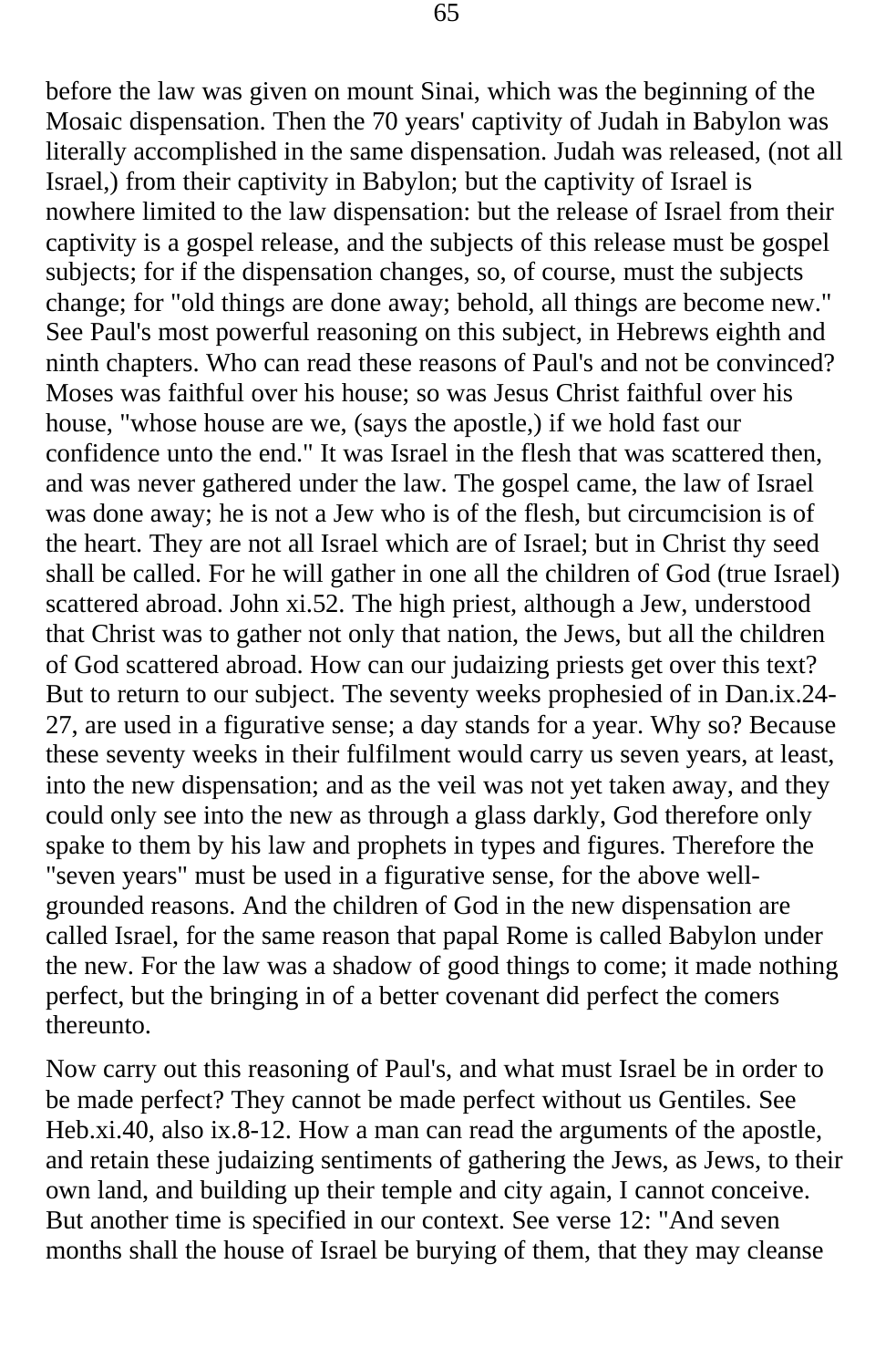before the law was given on mount Sinai, which was the beginning of the Mosaic dispensation. Then the 70 years' captivity of Judah in Babylon was literally accomplished in the same dispensation. Judah was released, (not all Israel,) from their captivity in Babylon; but the captivity of Israel is nowhere limited to the law dispensation: but the release of Israel from their captivity is a gospel release, and the subjects of this release must be gospel subjects; for if the dispensation changes, so, of course, must the subjects change; for "old things are done away; behold, all things are become new." See Paul's most powerful reasoning on this subject, in Hebrews eighth and ninth chapters. Who can read these reasons of Paul's and not be convinced? Moses was faithful over his house; so was Jesus Christ faithful over his house, "whose house are we, (says the apostle,) if we hold fast our confidence unto the end." It was Israel in the flesh that was scattered then, and was never gathered under the law. The gospel came, the law of Israel was done away; he is not a Jew who is of the flesh, but circumcision is of the heart. They are not all Israel which are of Israel; but in Christ thy seed shall be called. For he will gather in one all the children of God (true Israel) scattered abroad. John xi.52. The high priest, although a Jew, understood that Christ was to gather not only that nation, the Jews, but all the children of God scattered abroad. How can our judaizing priests get over this text? But to return to our subject. The seventy weeks prophesied of in Dan.ix.24- 27, are used in a figurative sense; a day stands for a year. Why so? Because these seventy weeks in their fulfilment would carry us seven years, at least, into the new dispensation; and as the veil was not yet taken away, and they could only see into the new as through a glass darkly, God therefore only spake to them by his law and prophets in types and figures. Therefore the "seven years" must be used in a figurative sense, for the above wellgrounded reasons. And the children of God in the new dispensation are called Israel, for the same reason that papal Rome is called Babylon under the new. For the law was a shadow of good things to come; it made nothing perfect, but the bringing in of a better covenant did perfect the comers thereunto.

Now carry out this reasoning of Paul's, and what must Israel be in order to be made perfect? They cannot be made perfect without us Gentiles. See Heb.xi.40, also ix.8-12. How a man can read the arguments of the apostle, and retain these judaizing sentiments of gathering the Jews, as Jews, to their own land, and building up their temple and city again, I cannot conceive. But another time is specified in our context. See verse 12: "And seven months shall the house of Israel be burying of them, that they may cleanse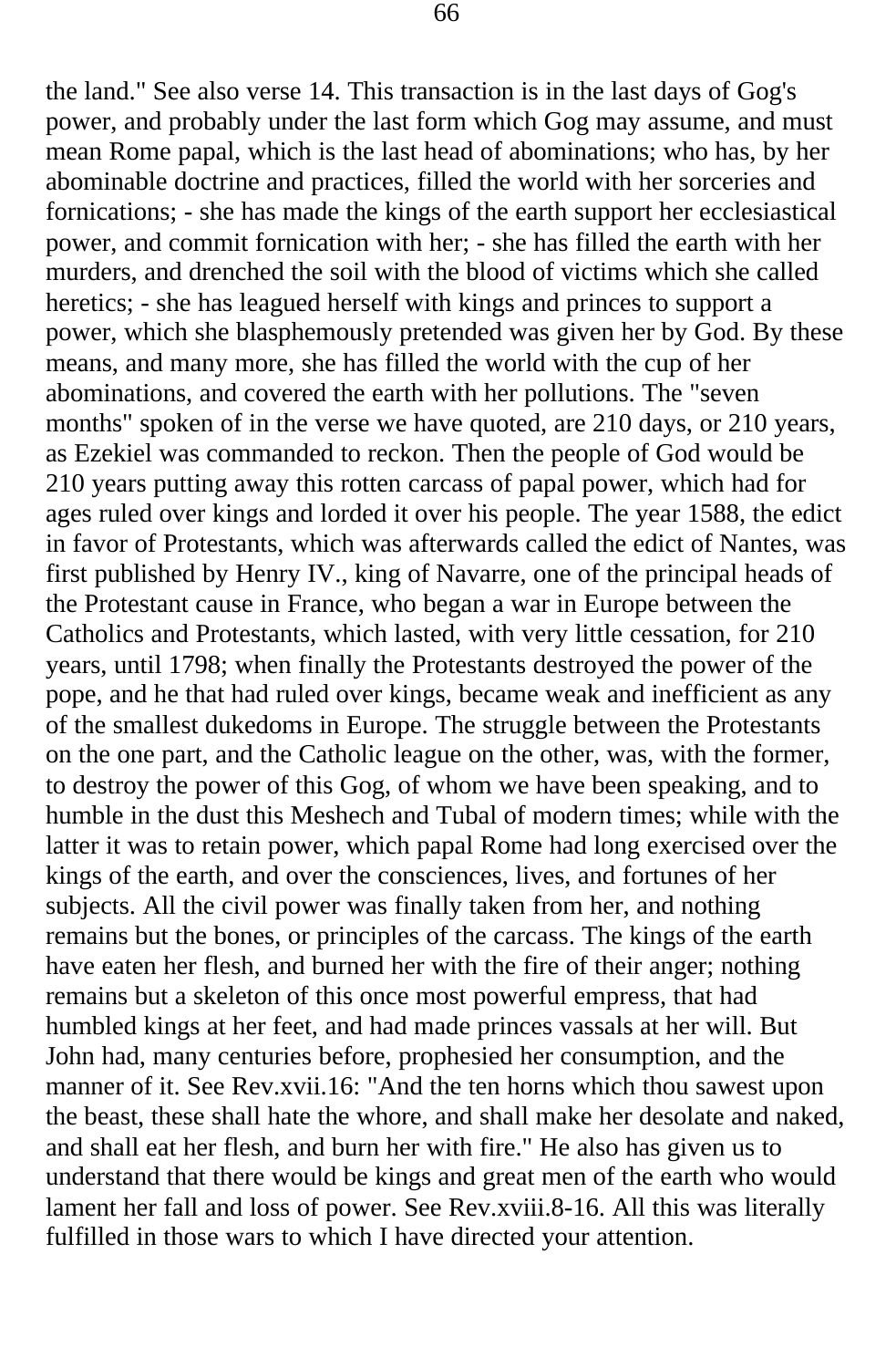the land." See also verse 14. This transaction is in the last days of Gog's power, and probably under the last form which Gog may assume, and must mean Rome papal, which is the last head of abominations; who has, by her abominable doctrine and practices, filled the world with her sorceries and fornications; - she has made the kings of the earth support her ecclesiastical power, and commit fornication with her; - she has filled the earth with her murders, and drenched the soil with the blood of victims which she called heretics; - she has leagued herself with kings and princes to support a power, which she blasphemously pretended was given her by God. By these means, and many more, she has filled the world with the cup of her abominations, and covered the earth with her pollutions. The "seven months" spoken of in the verse we have quoted, are 210 days, or 210 years, as Ezekiel was commanded to reckon. Then the people of God would be 210 years putting away this rotten carcass of papal power, which had for ages ruled over kings and lorded it over his people. The year 1588, the edict in favor of Protestants, which was afterwards called the edict of Nantes, was first published by Henry IV., king of Navarre, one of the principal heads of the Protestant cause in France, who began a war in Europe between the Catholics and Protestants, which lasted, with very little cessation, for 210 years, until 1798; when finally the Protestants destroyed the power of the pope, and he that had ruled over kings, became weak and inefficient as any of the smallest dukedoms in Europe. The struggle between the Protestants on the one part, and the Catholic league on the other, was, with the former, to destroy the power of this Gog, of whom we have been speaking, and to humble in the dust this Meshech and Tubal of modern times; while with the latter it was to retain power, which papal Rome had long exercised over the kings of the earth, and over the consciences, lives, and fortunes of her subjects. All the civil power was finally taken from her, and nothing remains but the bones, or principles of the carcass. The kings of the earth have eaten her flesh, and burned her with the fire of their anger; nothing remains but a skeleton of this once most powerful empress, that had humbled kings at her feet, and had made princes vassals at her will. But John had, many centuries before, prophesied her consumption, and the manner of it. See Rev.xvii.16: "And the ten horns which thou sawest upon the beast, these shall hate the whore, and shall make her desolate and naked, and shall eat her flesh, and burn her with fire." He also has given us to understand that there would be kings and great men of the earth who would lament her fall and loss of power. See Rev.xviii.8-16. All this was literally fulfilled in those wars to which I have directed your attention.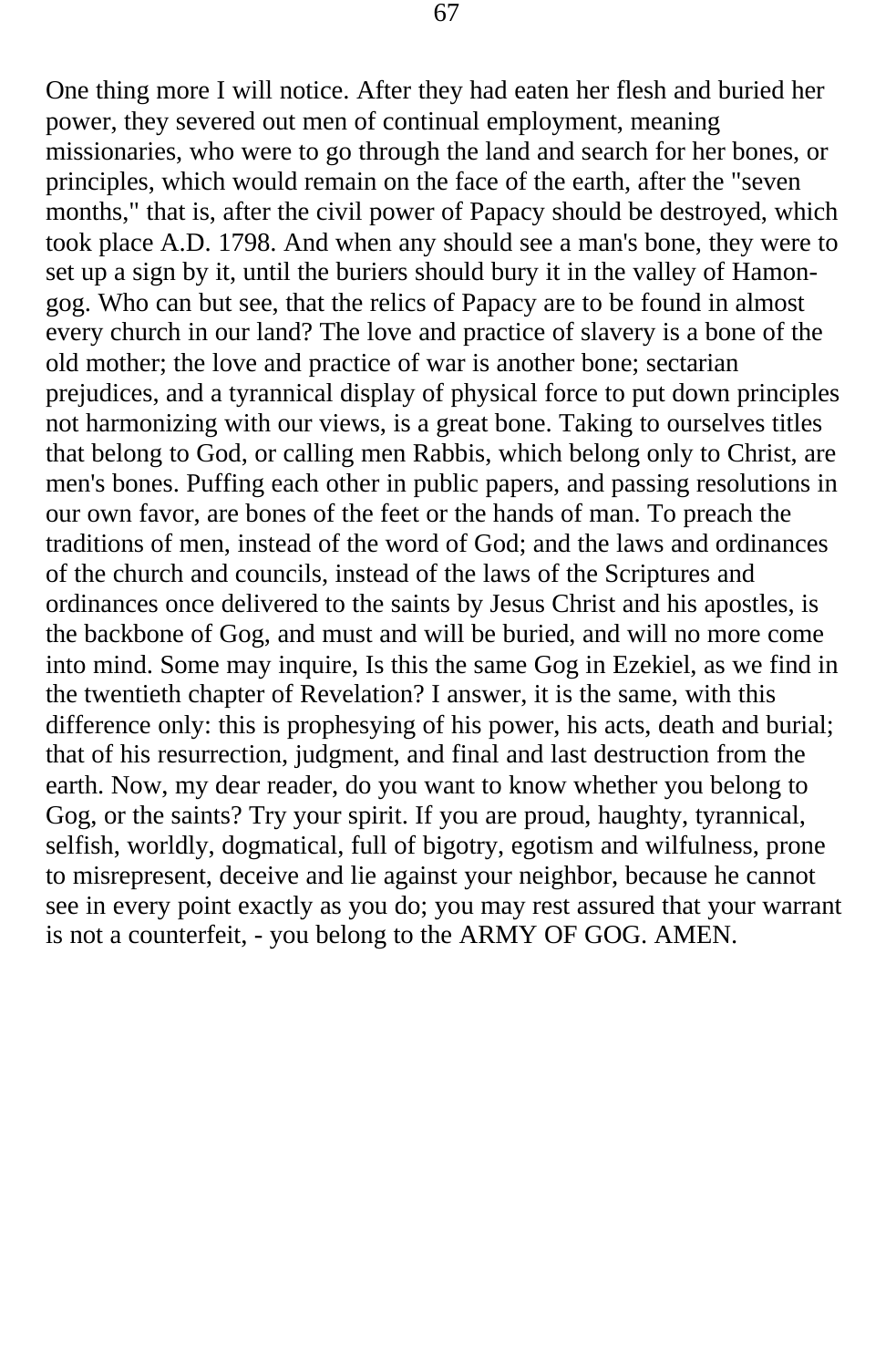One thing more I will notice. After they had eaten her flesh and buried her power, they severed out men of continual employment, meaning missionaries, who were to go through the land and search for her bones, or principles, which would remain on the face of the earth, after the "seven months," that is, after the civil power of Papacy should be destroyed, which took place A.D. 1798. And when any should see a man's bone, they were to set up a sign by it, until the buriers should bury it in the valley of Hamongog. Who can but see, that the relics of Papacy are to be found in almost every church in our land? The love and practice of slavery is a bone of the old mother; the love and practice of war is another bone; sectarian prejudices, and a tyrannical display of physical force to put down principles not harmonizing with our views, is a great bone. Taking to ourselves titles that belong to God, or calling men Rabbis, which belong only to Christ, are men's bones. Puffing each other in public papers, and passing resolutions in our own favor, are bones of the feet or the hands of man. To preach the traditions of men, instead of the word of God; and the laws and ordinances of the church and councils, instead of the laws of the Scriptures and ordinances once delivered to the saints by Jesus Christ and his apostles, is the backbone of Gog, and must and will be buried, and will no more come into mind. Some may inquire, Is this the same Gog in Ezekiel, as we find in the twentieth chapter of Revelation? I answer, it is the same, with this difference only: this is prophesying of his power, his acts, death and burial; that of his resurrection, judgment, and final and last destruction from the earth. Now, my dear reader, do you want to know whether you belong to Gog, or the saints? Try your spirit. If you are proud, haughty, tyrannical, selfish, worldly, dogmatical, full of bigotry, egotism and wilfulness, prone to misrepresent, deceive and lie against your neighbor, because he cannot see in every point exactly as you do; you may rest assured that your warrant is not a counterfeit, - you belong to the ARMY OF GOG. AMEN.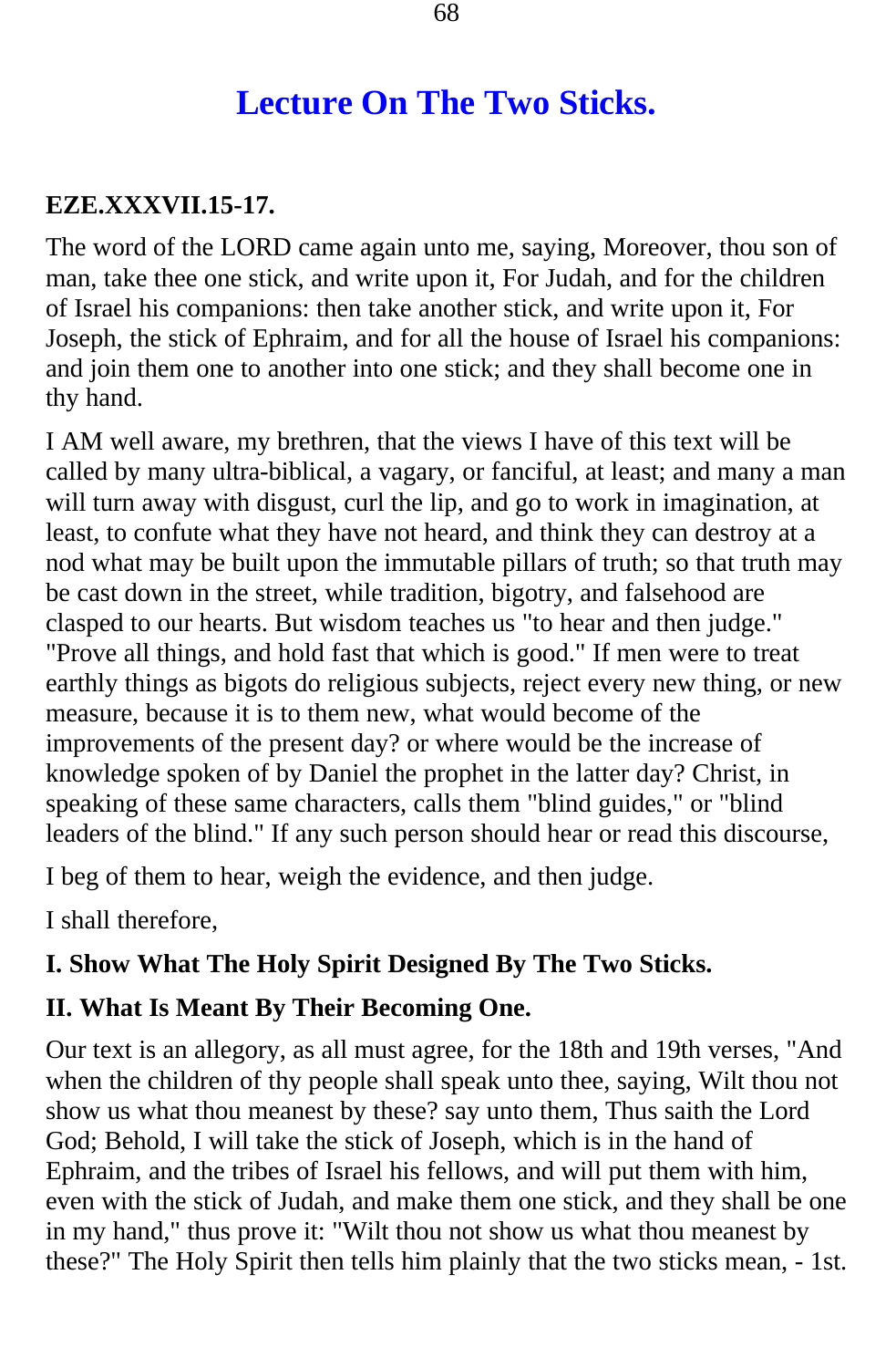# **Lecture On The Two Sticks.**

#### **EZE.XXXVII.15-17.**

The word of the LORD came again unto me, saying, Moreover, thou son of man, take thee one stick, and write upon it, For Judah, and for the children of Israel his companions: then take another stick, and write upon it, For Joseph, the stick of Ephraim, and for all the house of Israel his companions: and join them one to another into one stick; and they shall become one in thy hand.

I AM well aware, my brethren, that the views I have of this text will be called by many ultra-biblical, a vagary, or fanciful, at least; and many a man will turn away with disgust, curl the lip, and go to work in imagination, at least, to confute what they have not heard, and think they can destroy at a nod what may be built upon the immutable pillars of truth; so that truth may be cast down in the street, while tradition, bigotry, and falsehood are clasped to our hearts. But wisdom teaches us "to hear and then judge." "Prove all things, and hold fast that which is good." If men were to treat earthly things as bigots do religious subjects, reject every new thing, or new measure, because it is to them new, what would become of the improvements of the present day? or where would be the increase of knowledge spoken of by Daniel the prophet in the latter day? Christ, in speaking of these same characters, calls them "blind guides," or "blind leaders of the blind." If any such person should hear or read this discourse,

I beg of them to hear, weigh the evidence, and then judge.

I shall therefore,

### **I. Show What The Holy Spirit Designed By The Two Sticks.**

### **II. What Is Meant By Their Becoming One.**

Our text is an allegory, as all must agree, for the 18th and 19th verses, "And when the children of thy people shall speak unto thee, saying, Wilt thou not show us what thou meanest by these? say unto them, Thus saith the Lord God; Behold, I will take the stick of Joseph, which is in the hand of Ephraim, and the tribes of Israel his fellows, and will put them with him, even with the stick of Judah, and make them one stick, and they shall be one in my hand," thus prove it: "Wilt thou not show us what thou meanest by these?" The Holy Spirit then tells him plainly that the two sticks mean, - 1st.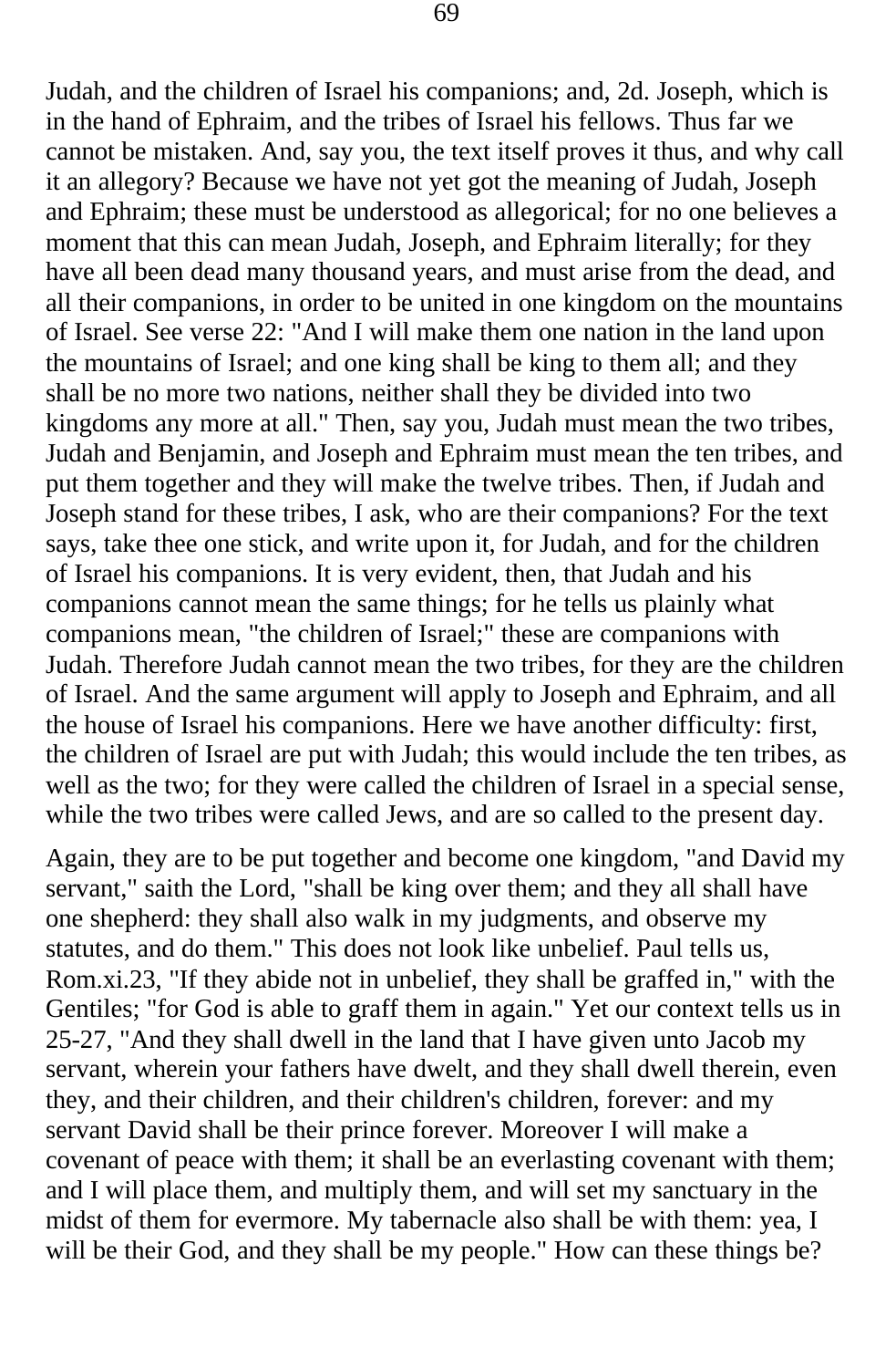Judah, and the children of Israel his companions; and, 2d. Joseph, which is in the hand of Ephraim, and the tribes of Israel his fellows. Thus far we cannot be mistaken. And, say you, the text itself proves it thus, and why call it an allegory? Because we have not yet got the meaning of Judah, Joseph and Ephraim; these must be understood as allegorical; for no one believes a moment that this can mean Judah, Joseph, and Ephraim literally; for they have all been dead many thousand years, and must arise from the dead, and all their companions, in order to be united in one kingdom on the mountains of Israel. See verse 22: "And I will make them one nation in the land upon the mountains of Israel; and one king shall be king to them all; and they shall be no more two nations, neither shall they be divided into two kingdoms any more at all." Then, say you, Judah must mean the two tribes, Judah and Benjamin, and Joseph and Ephraim must mean the ten tribes, and put them together and they will make the twelve tribes. Then, if Judah and Joseph stand for these tribes, I ask, who are their companions? For the text says, take thee one stick, and write upon it, for Judah, and for the children of Israel his companions. It is very evident, then, that Judah and his companions cannot mean the same things; for he tells us plainly what companions mean, "the children of Israel;" these are companions with Judah. Therefore Judah cannot mean the two tribes, for they are the children of Israel. And the same argument will apply to Joseph and Ephraim, and all the house of Israel his companions. Here we have another difficulty: first, the children of Israel are put with Judah; this would include the ten tribes, as well as the two; for they were called the children of Israel in a special sense, while the two tribes were called Jews, and are so called to the present day.

Again, they are to be put together and become one kingdom, "and David my servant," saith the Lord, "shall be king over them; and they all shall have one shepherd: they shall also walk in my judgments, and observe my statutes, and do them." This does not look like unbelief. Paul tells us, Rom.xi.23, "If they abide not in unbelief, they shall be graffed in," with the Gentiles; "for God is able to graff them in again." Yet our context tells us in 25-27, "And they shall dwell in the land that I have given unto Jacob my servant, wherein your fathers have dwelt, and they shall dwell therein, even they, and their children, and their children's children, forever: and my servant David shall be their prince forever. Moreover I will make a covenant of peace with them; it shall be an everlasting covenant with them; and I will place them, and multiply them, and will set my sanctuary in the midst of them for evermore. My tabernacle also shall be with them: yea, I will be their God, and they shall be my people." How can these things be?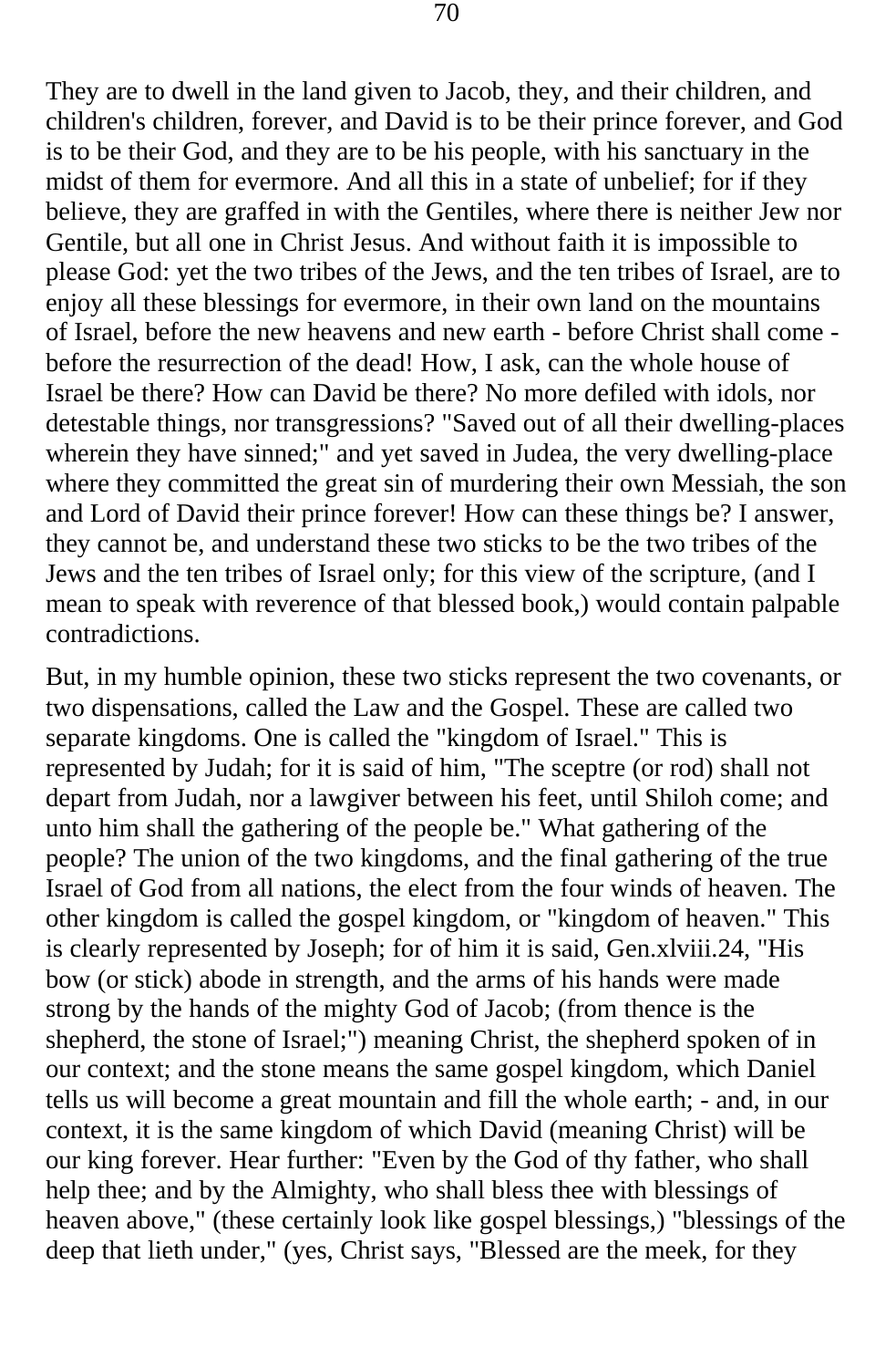They are to dwell in the land given to Jacob, they, and their children, and children's children, forever, and David is to be their prince forever, and God is to be their God, and they are to be his people, with his sanctuary in the midst of them for evermore. And all this in a state of unbelief; for if they believe, they are graffed in with the Gentiles, where there is neither Jew nor Gentile, but all one in Christ Jesus. And without faith it is impossible to please God: yet the two tribes of the Jews, and the ten tribes of Israel, are to enjoy all these blessings for evermore, in their own land on the mountains of Israel, before the new heavens and new earth - before Christ shall come before the resurrection of the dead! How, I ask, can the whole house of Israel be there? How can David be there? No more defiled with idols, nor detestable things, nor transgressions? "Saved out of all their dwelling-places wherein they have sinned;" and yet saved in Judea, the very dwelling-place where they committed the great sin of murdering their own Messiah, the son and Lord of David their prince forever! How can these things be? I answer, they cannot be, and understand these two sticks to be the two tribes of the Jews and the ten tribes of Israel only; for this view of the scripture, (and I mean to speak with reverence of that blessed book,) would contain palpable contradictions.

But, in my humble opinion, these two sticks represent the two covenants, or two dispensations, called the Law and the Gospel. These are called two separate kingdoms. One is called the "kingdom of Israel." This is represented by Judah; for it is said of him, "The sceptre (or rod) shall not depart from Judah, nor a lawgiver between his feet, until Shiloh come; and unto him shall the gathering of the people be." What gathering of the people? The union of the two kingdoms, and the final gathering of the true Israel of God from all nations, the elect from the four winds of heaven. The other kingdom is called the gospel kingdom, or "kingdom of heaven." This is clearly represented by Joseph; for of him it is said, Gen.xlviii.24, "His bow (or stick) abode in strength, and the arms of his hands were made strong by the hands of the mighty God of Jacob; (from thence is the shepherd, the stone of Israel;") meaning Christ, the shepherd spoken of in our context; and the stone means the same gospel kingdom, which Daniel tells us will become a great mountain and fill the whole earth; - and, in our context, it is the same kingdom of which David (meaning Christ) will be our king forever. Hear further: "Even by the God of thy father, who shall help thee; and by the Almighty, who shall bless thee with blessings of heaven above," (these certainly look like gospel blessings,) "blessings of the deep that lieth under," (yes, Christ says, "Blessed are the meek, for they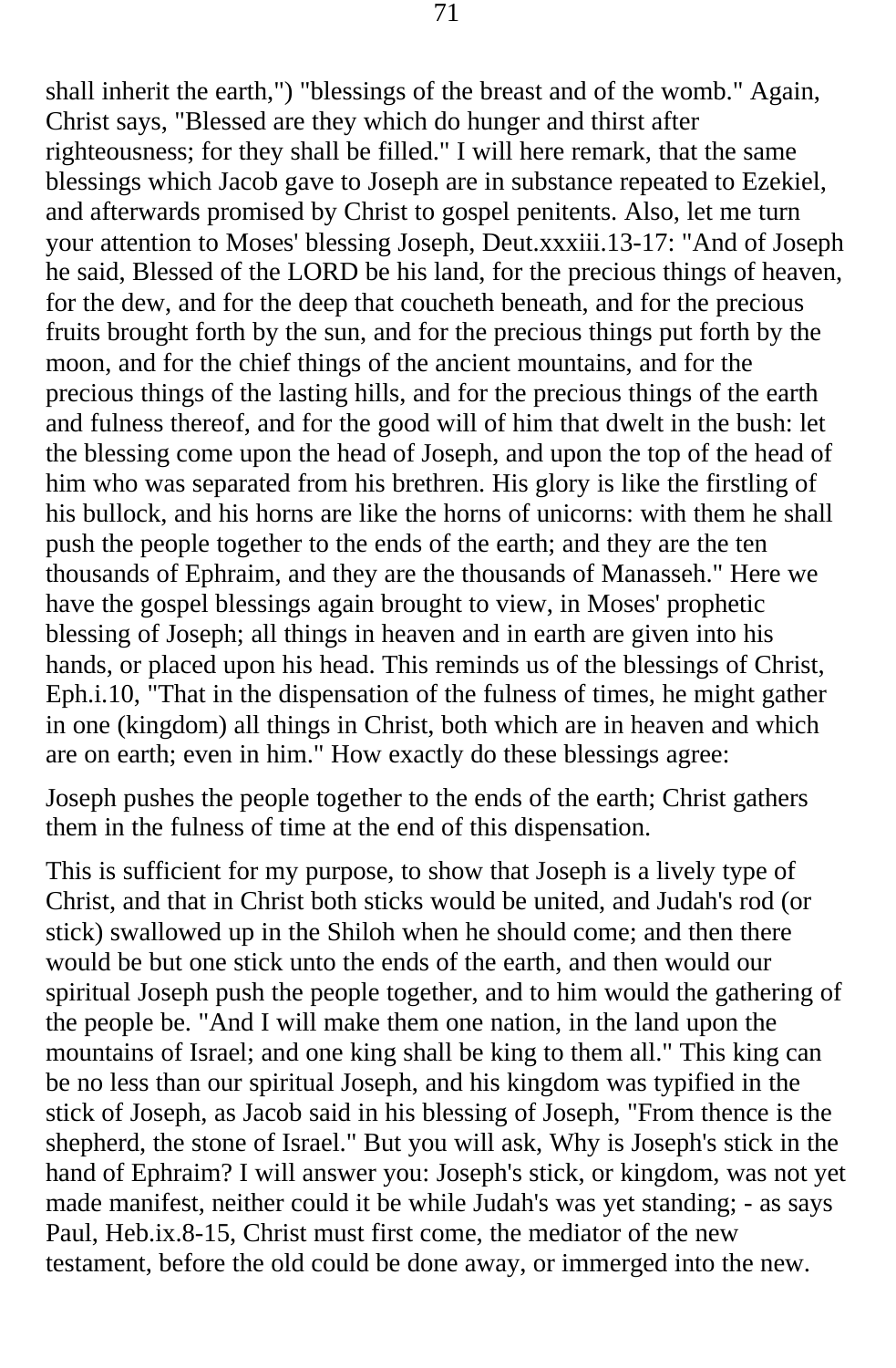shall inherit the earth,") "blessings of the breast and of the womb." Again, Christ says, "Blessed are they which do hunger and thirst after righteousness; for they shall be filled." I will here remark, that the same blessings which Jacob gave to Joseph are in substance repeated to Ezekiel, and afterwards promised by Christ to gospel penitents. Also, let me turn your attention to Moses' blessing Joseph, Deut.xxxiii.13-17: "And of Joseph he said, Blessed of the LORD be his land, for the precious things of heaven, for the dew, and for the deep that coucheth beneath, and for the precious fruits brought forth by the sun, and for the precious things put forth by the moon, and for the chief things of the ancient mountains, and for the precious things of the lasting hills, and for the precious things of the earth and fulness thereof, and for the good will of him that dwelt in the bush: let the blessing come upon the head of Joseph, and upon the top of the head of him who was separated from his brethren. His glory is like the firstling of his bullock, and his horns are like the horns of unicorns: with them he shall push the people together to the ends of the earth; and they are the ten thousands of Ephraim, and they are the thousands of Manasseh." Here we have the gospel blessings again brought to view, in Moses' prophetic blessing of Joseph; all things in heaven and in earth are given into his hands, or placed upon his head. This reminds us of the blessings of Christ, Eph.i.10, "That in the dispensation of the fulness of times, he might gather in one (kingdom) all things in Christ, both which are in heaven and which are on earth; even in him." How exactly do these blessings agree:

Joseph pushes the people together to the ends of the earth; Christ gathers them in the fulness of time at the end of this dispensation.

This is sufficient for my purpose, to show that Joseph is a lively type of Christ, and that in Christ both sticks would be united, and Judah's rod (or stick) swallowed up in the Shiloh when he should come; and then there would be but one stick unto the ends of the earth, and then would our spiritual Joseph push the people together, and to him would the gathering of the people be. "And I will make them one nation, in the land upon the mountains of Israel; and one king shall be king to them all." This king can be no less than our spiritual Joseph, and his kingdom was typified in the stick of Joseph, as Jacob said in his blessing of Joseph, "From thence is the shepherd, the stone of Israel." But you will ask, Why is Joseph's stick in the hand of Ephraim? I will answer you: Joseph's stick, or kingdom, was not yet made manifest, neither could it be while Judah's was yet standing; - as says Paul, Heb.ix.8-15, Christ must first come, the mediator of the new testament, before the old could be done away, or immerged into the new.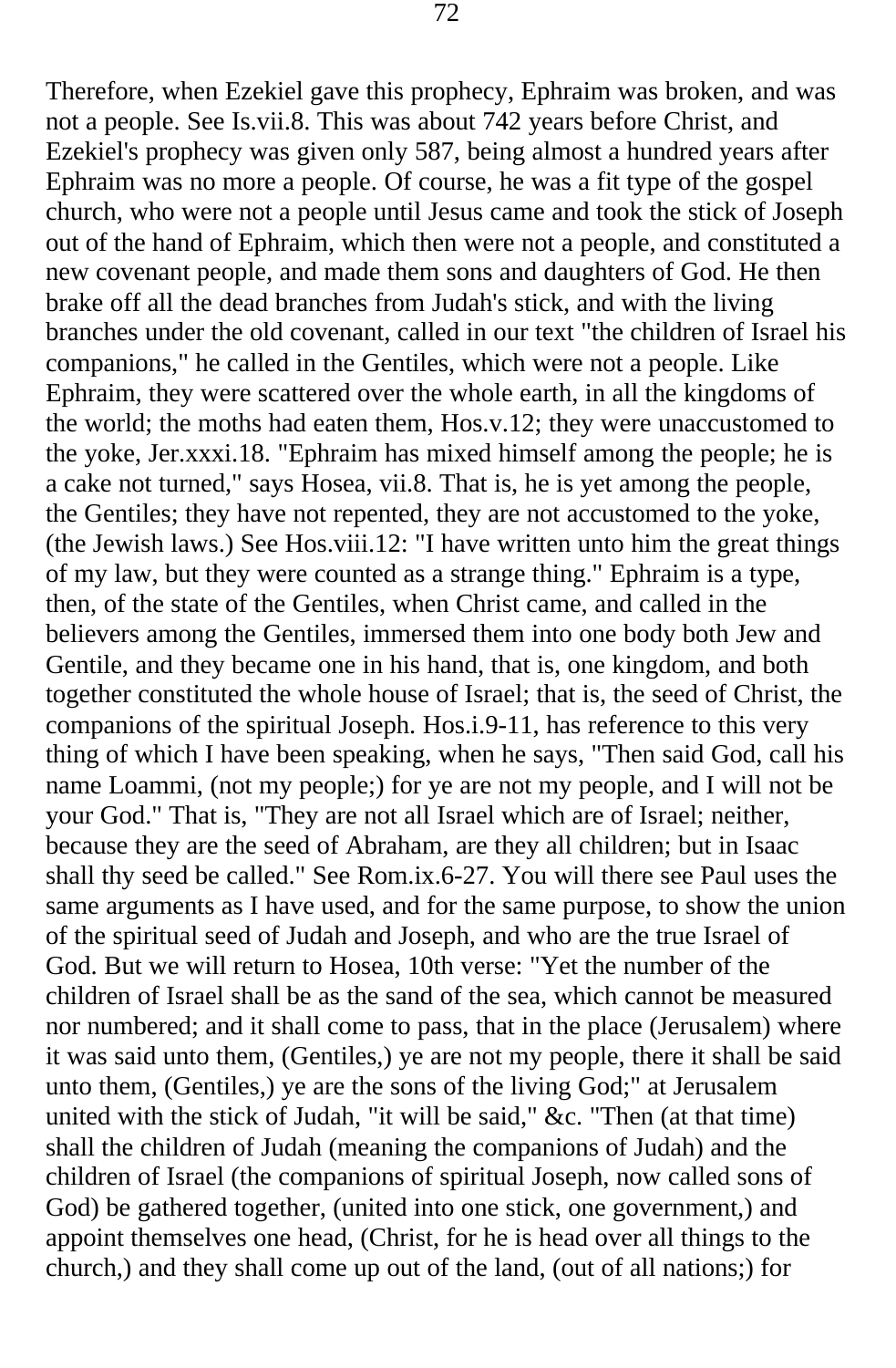Therefore, when Ezekiel gave this prophecy, Ephraim was broken, and was not a people. See Is.vii.8. This was about 742 years before Christ, and Ezekiel's prophecy was given only 587, being almost a hundred years after Ephraim was no more a people. Of course, he was a fit type of the gospel church, who were not a people until Jesus came and took the stick of Joseph out of the hand of Ephraim, which then were not a people, and constituted a new covenant people, and made them sons and daughters of God. He then brake off all the dead branches from Judah's stick, and with the living branches under the old covenant, called in our text "the children of Israel his companions," he called in the Gentiles, which were not a people. Like Ephraim, they were scattered over the whole earth, in all the kingdoms of the world; the moths had eaten them, Hos.v.12; they were unaccustomed to the yoke, Jer.xxxi.18. "Ephraim has mixed himself among the people; he is a cake not turned," says Hosea, vii.8. That is, he is yet among the people, the Gentiles; they have not repented, they are not accustomed to the yoke, (the Jewish laws.) See Hos.viii.12: "I have written unto him the great things of my law, but they were counted as a strange thing." Ephraim is a type, then, of the state of the Gentiles, when Christ came, and called in the believers among the Gentiles, immersed them into one body both Jew and Gentile, and they became one in his hand, that is, one kingdom, and both together constituted the whole house of Israel; that is, the seed of Christ, the companions of the spiritual Joseph. Hos.i.9-11, has reference to this very thing of which I have been speaking, when he says, "Then said God, call his name Loammi, (not my people;) for ye are not my people, and I will not be your God." That is, "They are not all Israel which are of Israel; neither, because they are the seed of Abraham, are they all children; but in Isaac shall thy seed be called." See Rom.ix.6-27. You will there see Paul uses the same arguments as I have used, and for the same purpose, to show the union of the spiritual seed of Judah and Joseph, and who are the true Israel of God. But we will return to Hosea, 10th verse: "Yet the number of the children of Israel shall be as the sand of the sea, which cannot be measured nor numbered; and it shall come to pass, that in the place (Jerusalem) where it was said unto them, (Gentiles,) ye are not my people, there it shall be said unto them, (Gentiles,) ye are the sons of the living God;" at Jerusalem united with the stick of Judah, "it will be said," &c. "Then (at that time) shall the children of Judah (meaning the companions of Judah) and the children of Israel (the companions of spiritual Joseph, now called sons of God) be gathered together, (united into one stick, one government,) and appoint themselves one head, (Christ, for he is head over all things to the church,) and they shall come up out of the land, (out of all nations;) for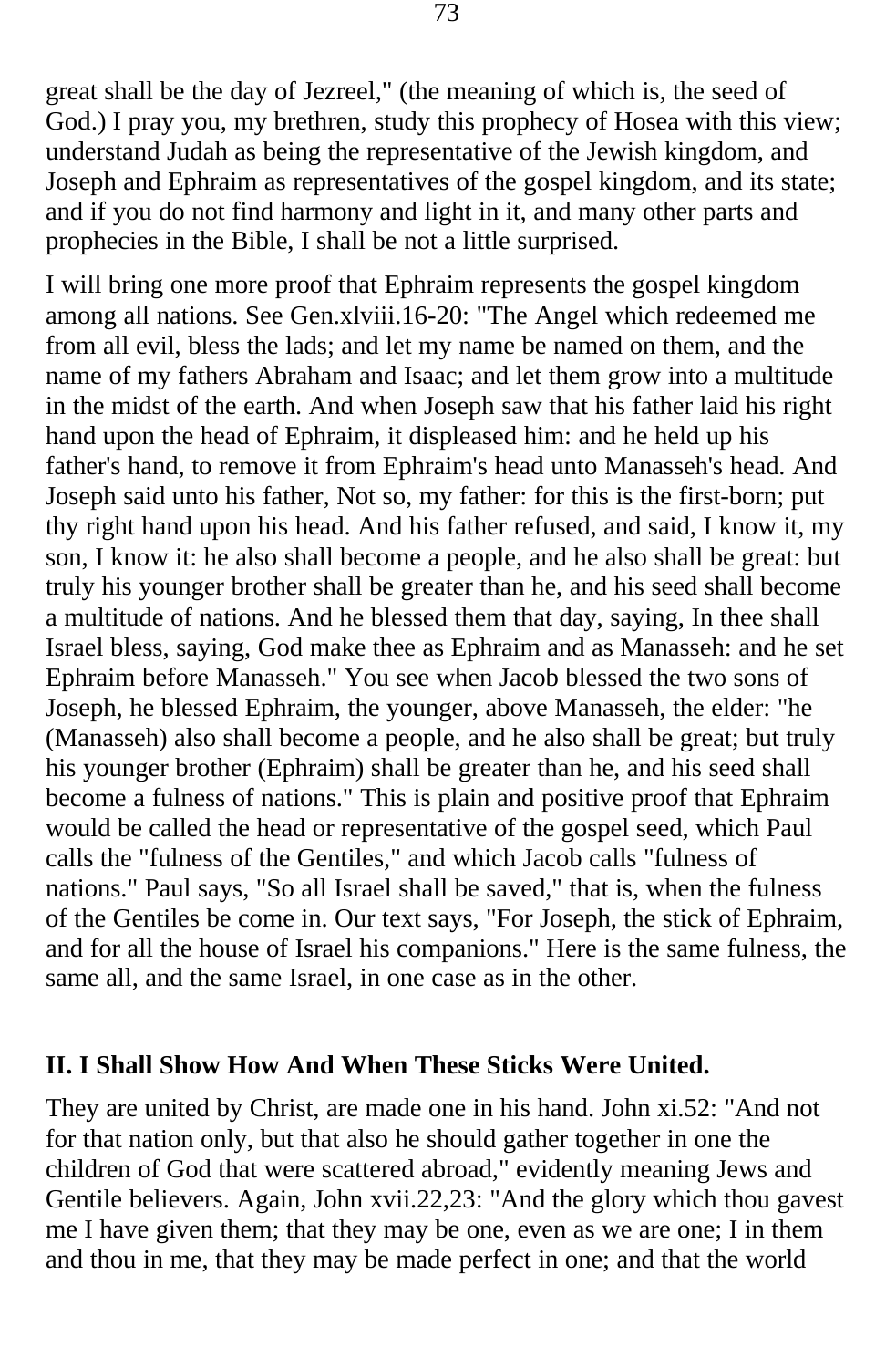great shall be the day of Jezreel," (the meaning of which is, the seed of God.) I pray you, my brethren, study this prophecy of Hosea with this view; understand Judah as being the representative of the Jewish kingdom, and Joseph and Ephraim as representatives of the gospel kingdom, and its state; and if you do not find harmony and light in it, and many other parts and prophecies in the Bible, I shall be not a little surprised.

I will bring one more proof that Ephraim represents the gospel kingdom among all nations. See Gen.xlviii.16-20: "The Angel which redeemed me from all evil, bless the lads; and let my name be named on them, and the name of my fathers Abraham and Isaac; and let them grow into a multitude in the midst of the earth. And when Joseph saw that his father laid his right hand upon the head of Ephraim, it displeased him: and he held up his father's hand, to remove it from Ephraim's head unto Manasseh's head. And Joseph said unto his father, Not so, my father: for this is the first-born; put thy right hand upon his head. And his father refused, and said, I know it, my son, I know it: he also shall become a people, and he also shall be great: but truly his younger brother shall be greater than he, and his seed shall become a multitude of nations. And he blessed them that day, saying, In thee shall Israel bless, saying, God make thee as Ephraim and as Manasseh: and he set Ephraim before Manasseh." You see when Jacob blessed the two sons of Joseph, he blessed Ephraim, the younger, above Manasseh, the elder: "he (Manasseh) also shall become a people, and he also shall be great; but truly his younger brother (Ephraim) shall be greater than he, and his seed shall become a fulness of nations." This is plain and positive proof that Ephraim would be called the head or representative of the gospel seed, which Paul calls the "fulness of the Gentiles," and which Jacob calls "fulness of nations." Paul says, "So all Israel shall be saved," that is, when the fulness of the Gentiles be come in. Our text says, "For Joseph, the stick of Ephraim, and for all the house of Israel his companions." Here is the same fulness, the same all, and the same Israel, in one case as in the other.

#### **II. I Shall Show How And When These Sticks Were United.**

They are united by Christ, are made one in his hand. John xi.52: "And not for that nation only, but that also he should gather together in one the children of God that were scattered abroad," evidently meaning Jews and Gentile believers. Again, John xvii.22,23: "And the glory which thou gavest me I have given them; that they may be one, even as we are one; I in them and thou in me, that they may be made perfect in one; and that the world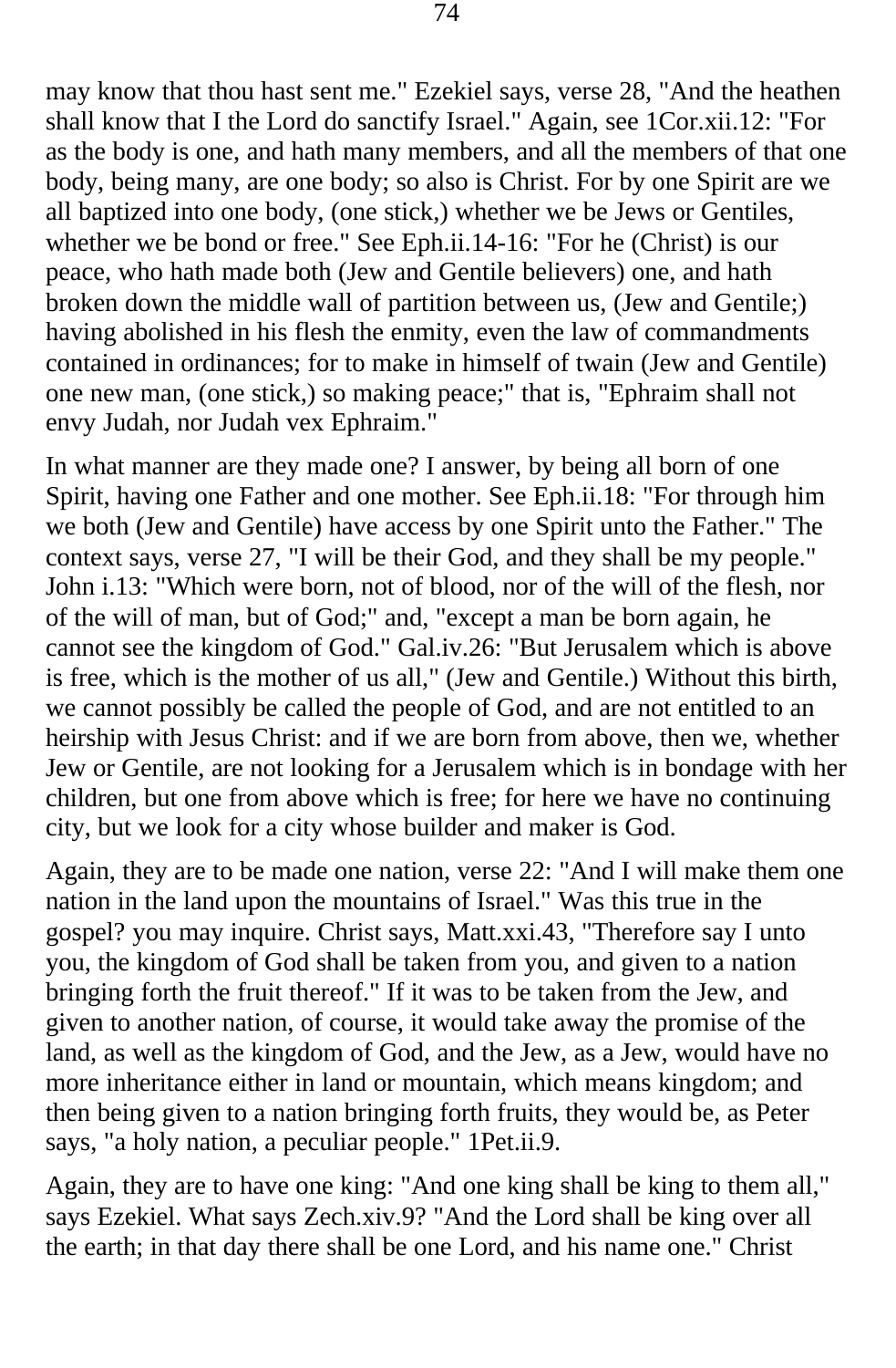may know that thou hast sent me." Ezekiel says, verse 28, "And the heathen shall know that I the Lord do sanctify Israel." Again, see 1Cor.xii.12: "For as the body is one, and hath many members, and all the members of that one body, being many, are one body; so also is Christ. For by one Spirit are we all baptized into one body, (one stick,) whether we be Jews or Gentiles, whether we be bond or free." See Eph.ii.14-16: "For he (Christ) is our peace, who hath made both (Jew and Gentile believers) one, and hath broken down the middle wall of partition between us, (Jew and Gentile;) having abolished in his flesh the enmity, even the law of commandments contained in ordinances; for to make in himself of twain (Jew and Gentile) one new man, (one stick,) so making peace;" that is, "Ephraim shall not envy Judah, nor Judah vex Ephraim."

In what manner are they made one? I answer, by being all born of one Spirit, having one Father and one mother. See Eph.ii.18: "For through him we both (Jew and Gentile) have access by one Spirit unto the Father." The context says, verse 27, "I will be their God, and they shall be my people." John i.13: "Which were born, not of blood, nor of the will of the flesh, nor of the will of man, but of God;" and, "except a man be born again, he cannot see the kingdom of God." Gal.iv.26: "But Jerusalem which is above is free, which is the mother of us all," (Jew and Gentile.) Without this birth, we cannot possibly be called the people of God, and are not entitled to an heirship with Jesus Christ: and if we are born from above, then we, whether Jew or Gentile, are not looking for a Jerusalem which is in bondage with her children, but one from above which is free; for here we have no continuing city, but we look for a city whose builder and maker is God.

Again, they are to be made one nation, verse 22: "And I will make them one nation in the land upon the mountains of Israel." Was this true in the gospel? you may inquire. Christ says, Matt.xxi.43, "Therefore say I unto you, the kingdom of God shall be taken from you, and given to a nation bringing forth the fruit thereof." If it was to be taken from the Jew, and given to another nation, of course, it would take away the promise of the land, as well as the kingdom of God, and the Jew, as a Jew, would have no more inheritance either in land or mountain, which means kingdom; and then being given to a nation bringing forth fruits, they would be, as Peter says, "a holy nation, a peculiar people." 1Pet.ii.9.

Again, they are to have one king: "And one king shall be king to them all," says Ezekiel. What says Zech.xiv.9? "And the Lord shall be king over all the earth; in that day there shall be one Lord, and his name one." Christ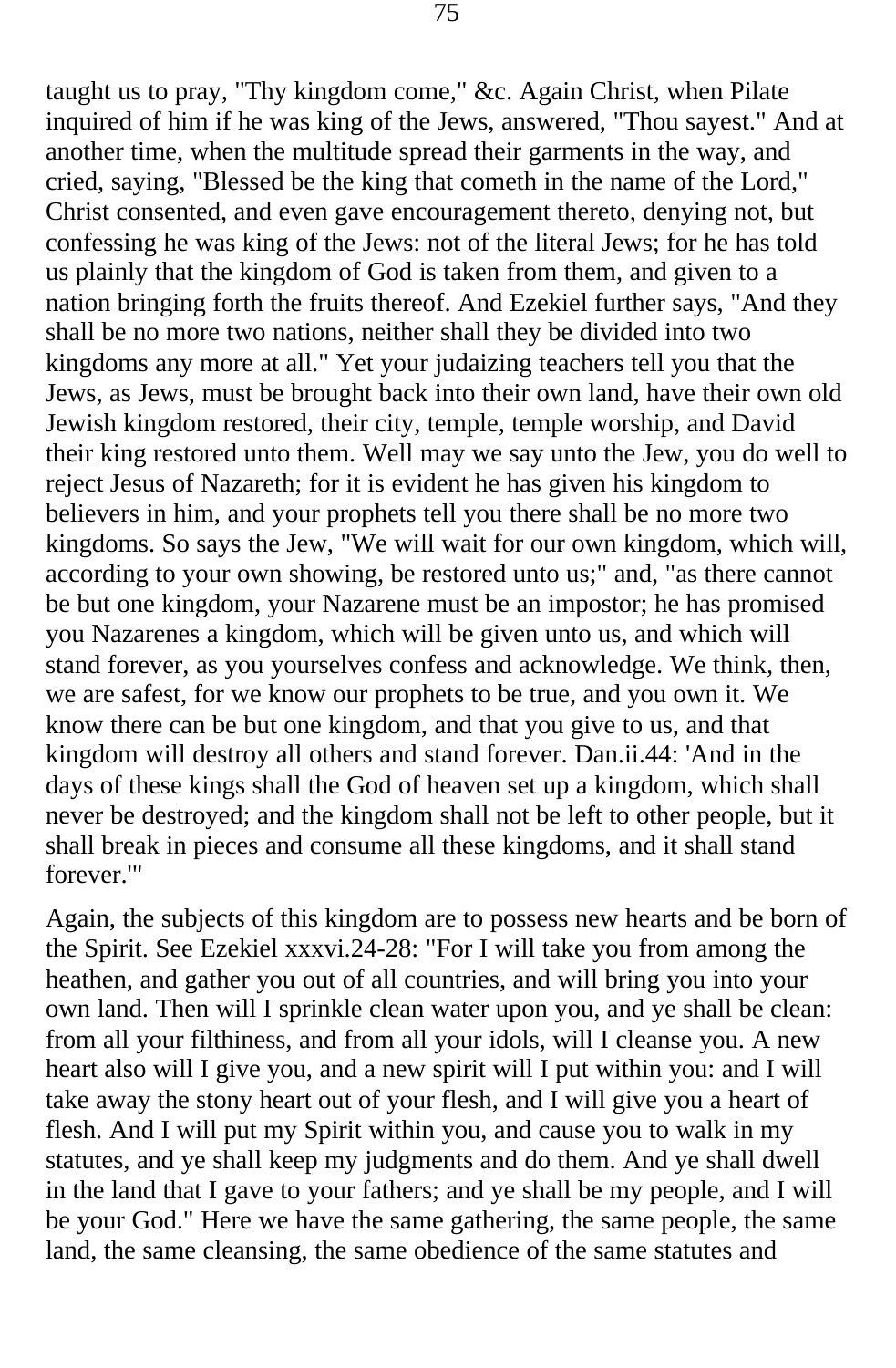taught us to pray, "Thy kingdom come," &c. Again Christ, when Pilate inquired of him if he was king of the Jews, answered, "Thou sayest." And at another time, when the multitude spread their garments in the way, and cried, saying, "Blessed be the king that cometh in the name of the Lord," Christ consented, and even gave encouragement thereto, denying not, but confessing he was king of the Jews: not of the literal Jews; for he has told us plainly that the kingdom of God is taken from them, and given to a nation bringing forth the fruits thereof. And Ezekiel further says, "And they shall be no more two nations, neither shall they be divided into two kingdoms any more at all." Yet your judaizing teachers tell you that the Jews, as Jews, must be brought back into their own land, have their own old Jewish kingdom restored, their city, temple, temple worship, and David their king restored unto them. Well may we say unto the Jew, you do well to reject Jesus of Nazareth; for it is evident he has given his kingdom to believers in him, and your prophets tell you there shall be no more two kingdoms. So says the Jew, "We will wait for our own kingdom, which will, according to your own showing, be restored unto us;" and, "as there cannot be but one kingdom, your Nazarene must be an impostor; he has promised you Nazarenes a kingdom, which will be given unto us, and which will stand forever, as you yourselves confess and acknowledge. We think, then, we are safest, for we know our prophets to be true, and you own it. We know there can be but one kingdom, and that you give to us, and that kingdom will destroy all others and stand forever. Dan.ii.44: 'And in the days of these kings shall the God of heaven set up a kingdom, which shall never be destroyed; and the kingdom shall not be left to other people, but it shall break in pieces and consume all these kingdoms, and it shall stand forever.'"

Again, the subjects of this kingdom are to possess new hearts and be born of the Spirit. See Ezekiel xxxvi.24-28: "For I will take you from among the heathen, and gather you out of all countries, and will bring you into your own land. Then will I sprinkle clean water upon you, and ye shall be clean: from all your filthiness, and from all your idols, will I cleanse you. A new heart also will I give you, and a new spirit will I put within you: and I will take away the stony heart out of your flesh, and I will give you a heart of flesh. And I will put my Spirit within you, and cause you to walk in my statutes, and ye shall keep my judgments and do them. And ye shall dwell in the land that I gave to your fathers; and ye shall be my people, and I will be your God." Here we have the same gathering, the same people, the same land, the same cleansing, the same obedience of the same statutes and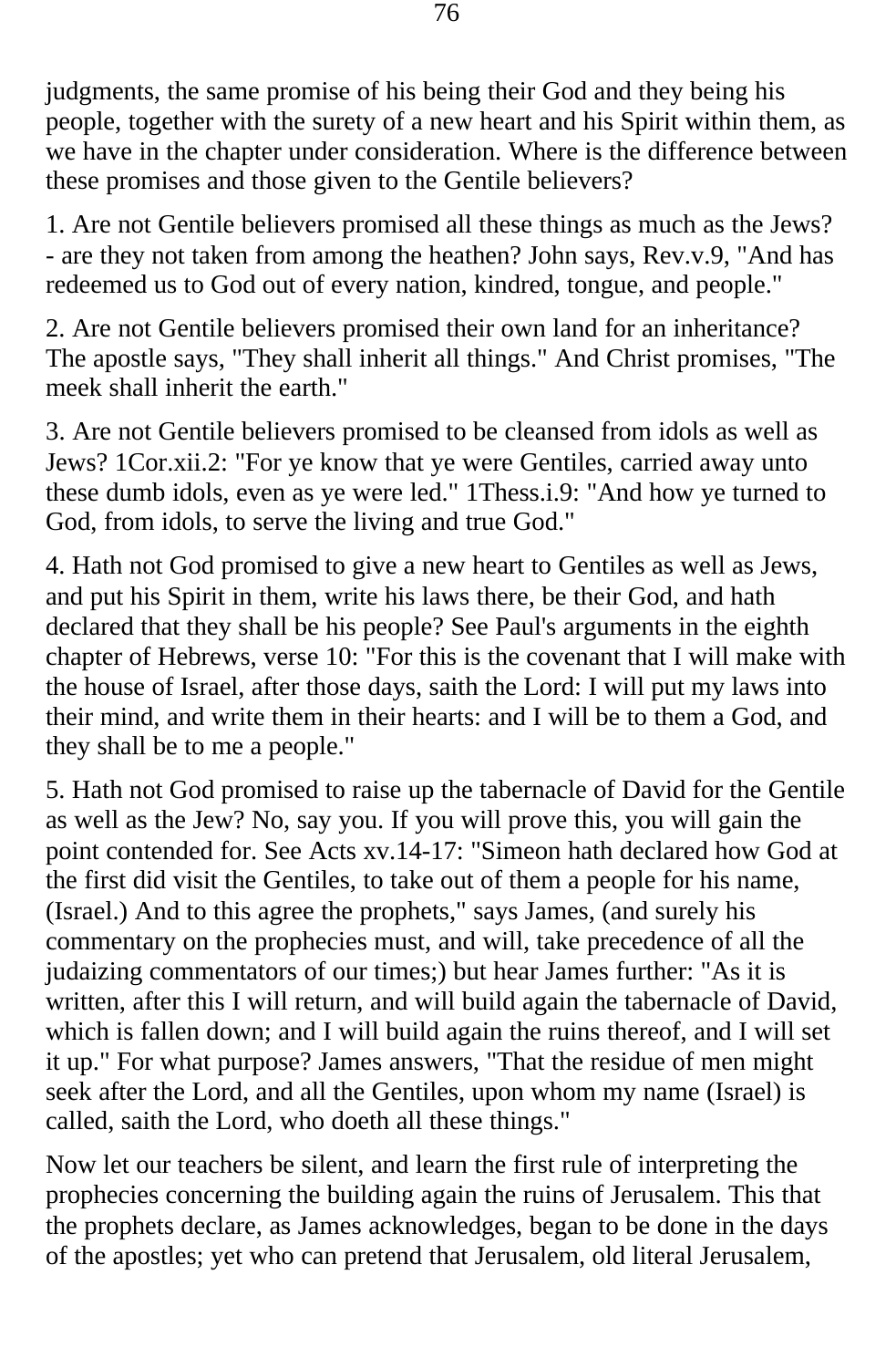judgments, the same promise of his being their God and they being his people, together with the surety of a new heart and his Spirit within them, as we have in the chapter under consideration. Where is the difference between these promises and those given to the Gentile believers?

1. Are not Gentile believers promised all these things as much as the Jews? - are they not taken from among the heathen? John says, Rev.v.9, "And has redeemed us to God out of every nation, kindred, tongue, and people."

2. Are not Gentile believers promised their own land for an inheritance? The apostle says, "They shall inherit all things." And Christ promises, "The meek shall inherit the earth."

3. Are not Gentile believers promised to be cleansed from idols as well as Jews? 1Cor.xii.2: "For ye know that ye were Gentiles, carried away unto these dumb idols, even as ye were led." 1Thess.i.9: "And how ye turned to God, from idols, to serve the living and true God."

4. Hath not God promised to give a new heart to Gentiles as well as Jews, and put his Spirit in them, write his laws there, be their God, and hath declared that they shall be his people? See Paul's arguments in the eighth chapter of Hebrews, verse 10: "For this is the covenant that I will make with the house of Israel, after those days, saith the Lord: I will put my laws into their mind, and write them in their hearts: and I will be to them a God, and they shall be to me a people."

5. Hath not God promised to raise up the tabernacle of David for the Gentile as well as the Jew? No, say you. If you will prove this, you will gain the point contended for. See Acts xv.14-17: "Simeon hath declared how God at the first did visit the Gentiles, to take out of them a people for his name, (Israel.) And to this agree the prophets," says James, (and surely his commentary on the prophecies must, and will, take precedence of all the judaizing commentators of our times;) but hear James further: "As it is written, after this I will return, and will build again the tabernacle of David, which is fallen down; and I will build again the ruins thereof, and I will set it up." For what purpose? James answers, "That the residue of men might seek after the Lord, and all the Gentiles, upon whom my name (Israel) is called, saith the Lord, who doeth all these things."

Now let our teachers be silent, and learn the first rule of interpreting the prophecies concerning the building again the ruins of Jerusalem. This that the prophets declare, as James acknowledges, began to be done in the days of the apostles; yet who can pretend that Jerusalem, old literal Jerusalem,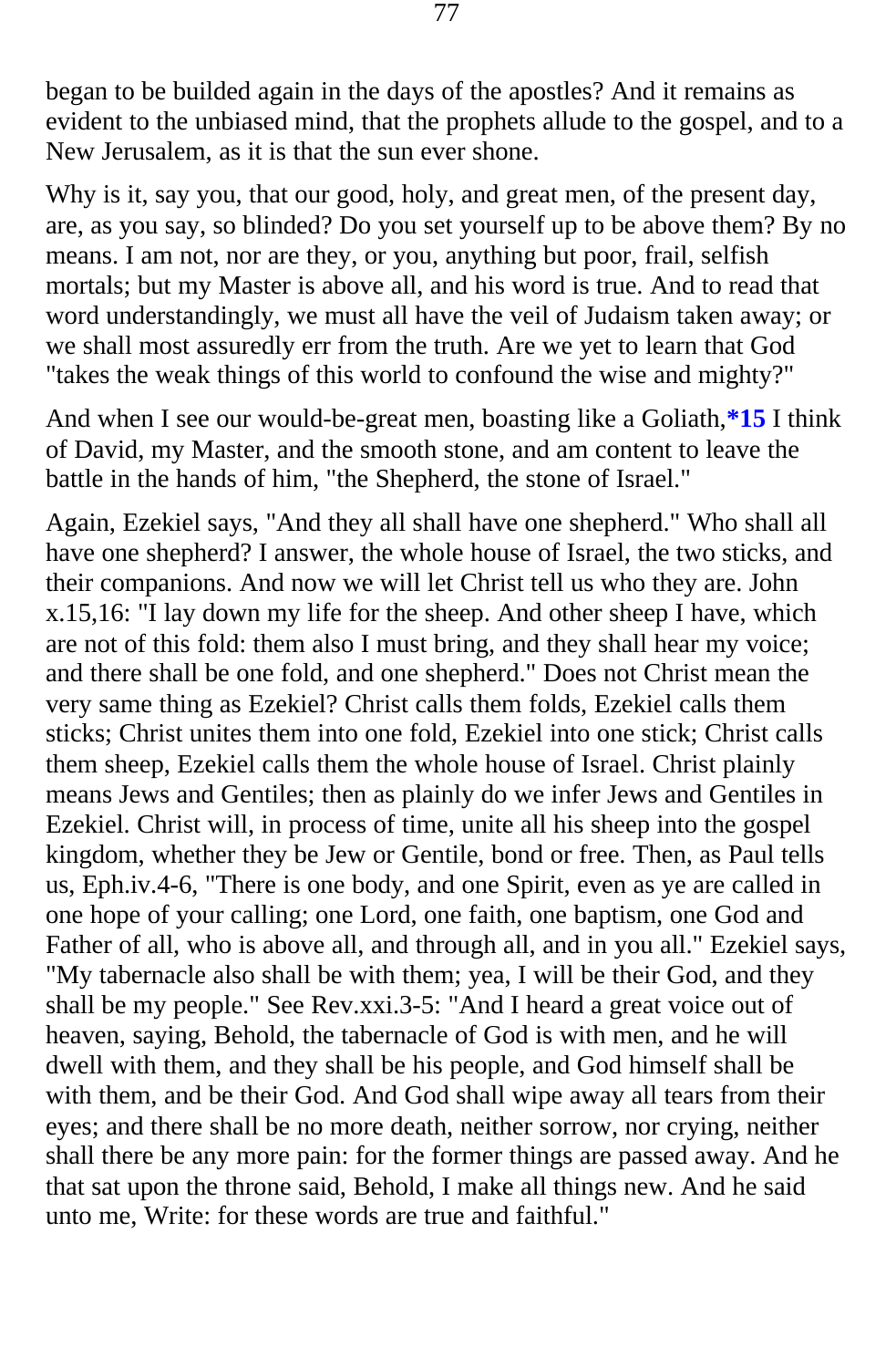began to be builded again in the days of the apostles? And it remains as evident to the unbiased mind, that the prophets allude to the gospel, and to a New Jerusalem, as it is that the sun ever shone.

Why is it, say you, that our good, holy, and great men, of the present day, are, as you say, so blinded? Do you set yourself up to be above them? By no means. I am not, nor are they, or you, anything but poor, frail, selfish mortals; but my Master is above all, and his word is true. And to read that word understandingly, we must all have the veil of Judaism taken away; or we shall most assuredly err from the truth. Are we yet to learn that God "takes the weak things of this world to confound the wise and mighty?"

And when I see our would-be-great men, boasting like a Goliath,**[\\*15](#page-196-0)** I think of David, my Master, and the smooth stone, and am content to leave the battle in the hands of him, "the Shepherd, the stone of Israel."

Again, Ezekiel says, "And they all shall have one shepherd." Who shall all have one shepherd? I answer, the whole house of Israel, the two sticks, and their companions. And now we will let Christ tell us who they are. John x.15,16: "I lay down my life for the sheep. And other sheep I have, which are not of this fold: them also I must bring, and they shall hear my voice; and there shall be one fold, and one shepherd." Does not Christ mean the very same thing as Ezekiel? Christ calls them folds, Ezekiel calls them sticks; Christ unites them into one fold, Ezekiel into one stick; Christ calls them sheep, Ezekiel calls them the whole house of Israel. Christ plainly means Jews and Gentiles; then as plainly do we infer Jews and Gentiles in Ezekiel. Christ will, in process of time, unite all his sheep into the gospel kingdom, whether they be Jew or Gentile, bond or free. Then, as Paul tells us, Eph.iv.4-6, "There is one body, and one Spirit, even as ye are called in one hope of your calling; one Lord, one faith, one baptism, one God and Father of all, who is above all, and through all, and in you all." Ezekiel says, "My tabernacle also shall be with them; yea, I will be their God, and they shall be my people." See Rev.xxi.3-5: "And I heard a great voice out of heaven, saying, Behold, the tabernacle of God is with men, and he will dwell with them, and they shall be his people, and God himself shall be with them, and be their God. And God shall wipe away all tears from their eyes; and there shall be no more death, neither sorrow, nor crying, neither shall there be any more pain: for the former things are passed away. And he that sat upon the throne said, Behold, I make all things new. And he said unto me, Write: for these words are true and faithful."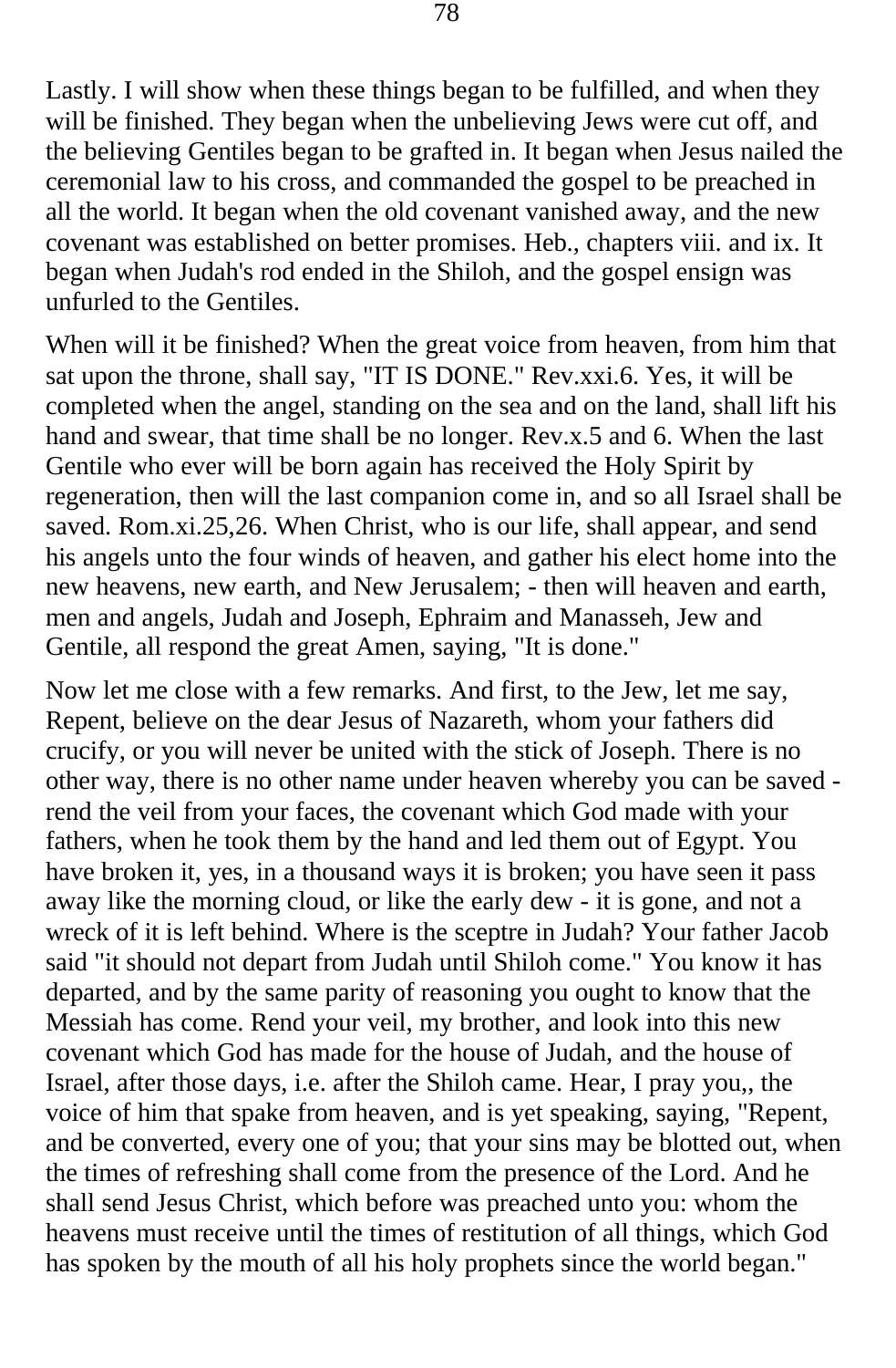Lastly. I will show when these things began to be fulfilled, and when they will be finished. They began when the unbelieving Jews were cut off, and the believing Gentiles began to be grafted in. It began when Jesus nailed the ceremonial law to his cross, and commanded the gospel to be preached in all the world. It began when the old covenant vanished away, and the new covenant was established on better promises. Heb., chapters viii. and ix. It began when Judah's rod ended in the Shiloh, and the gospel ensign was unfurled to the Gentiles.

When will it be finished? When the great voice from heaven, from him that sat upon the throne, shall say, "IT IS DONE." Rev.xxi.6. Yes, it will be completed when the angel, standing on the sea and on the land, shall lift his hand and swear, that time shall be no longer. Rev.x.5 and 6. When the last Gentile who ever will be born again has received the Holy Spirit by regeneration, then will the last companion come in, and so all Israel shall be saved. Rom.xi.25,26. When Christ, who is our life, shall appear, and send his angels unto the four winds of heaven, and gather his elect home into the new heavens, new earth, and New Jerusalem; - then will heaven and earth, men and angels, Judah and Joseph, Ephraim and Manasseh, Jew and Gentile, all respond the great Amen, saying, "It is done."

Now let me close with a few remarks. And first, to the Jew, let me say, Repent, believe on the dear Jesus of Nazareth, whom your fathers did crucify, or you will never be united with the stick of Joseph. There is no other way, there is no other name under heaven whereby you can be saved rend the veil from your faces, the covenant which God made with your fathers, when he took them by the hand and led them out of Egypt. You have broken it, yes, in a thousand ways it is broken; you have seen it pass away like the morning cloud, or like the early dew - it is gone, and not a wreck of it is left behind. Where is the sceptre in Judah? Your father Jacob said "it should not depart from Judah until Shiloh come." You know it has departed, and by the same parity of reasoning you ought to know that the Messiah has come. Rend your veil, my brother, and look into this new covenant which God has made for the house of Judah, and the house of Israel, after those days, i.e. after the Shiloh came. Hear, I pray you,, the voice of him that spake from heaven, and is yet speaking, saying, "Repent, and be converted, every one of you; that your sins may be blotted out, when the times of refreshing shall come from the presence of the Lord. And he shall send Jesus Christ, which before was preached unto you: whom the heavens must receive until the times of restitution of all things, which God has spoken by the mouth of all his holy prophets since the world began."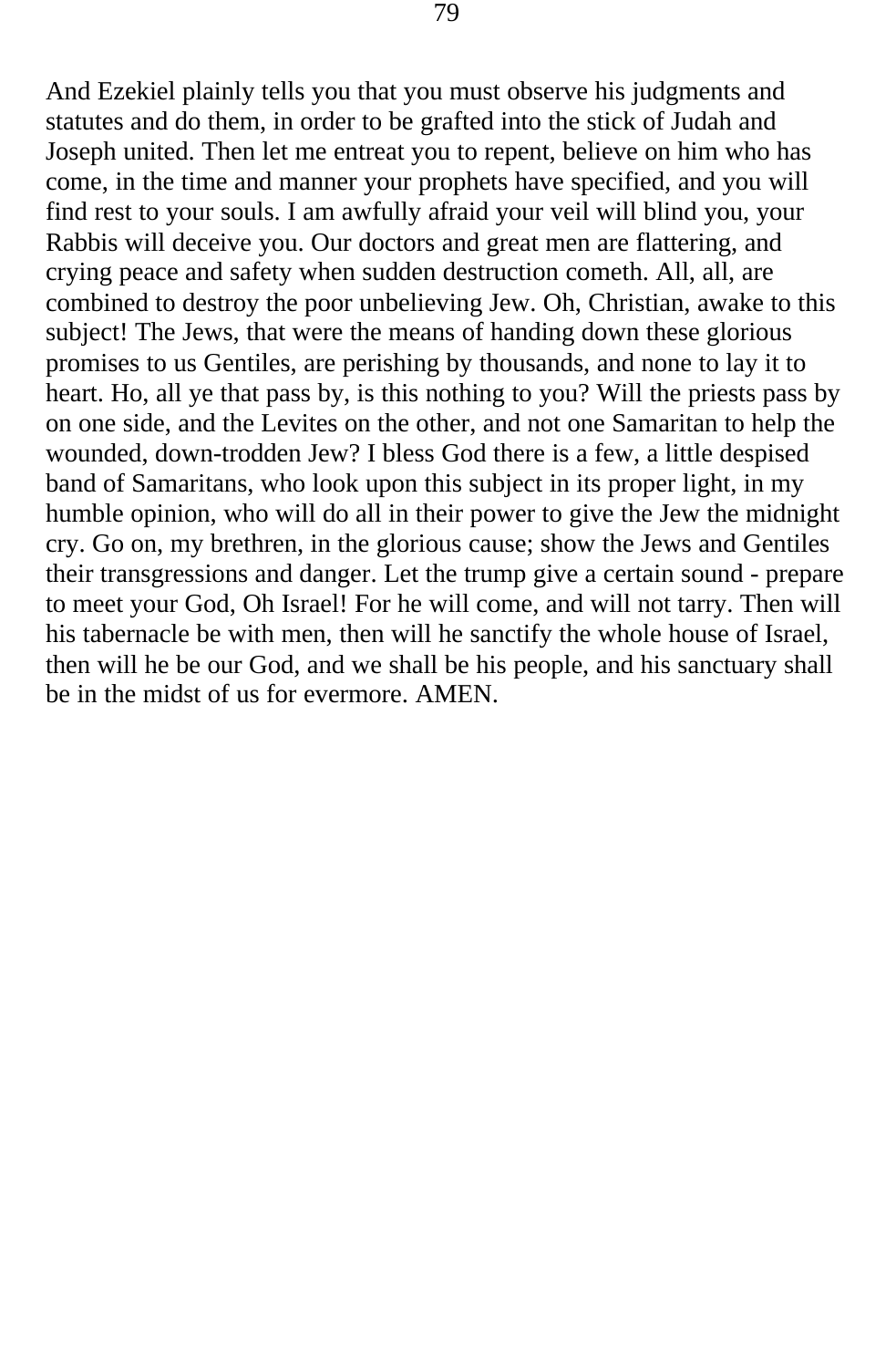And Ezekiel plainly tells you that you must observe his judgments and statutes and do them, in order to be grafted into the stick of Judah and Joseph united. Then let me entreat you to repent, believe on him who has come, in the time and manner your prophets have specified, and you will find rest to your souls. I am awfully afraid your veil will blind you, your Rabbis will deceive you. Our doctors and great men are flattering, and crying peace and safety when sudden destruction cometh. All, all, are combined to destroy the poor unbelieving Jew. Oh, Christian, awake to this subject! The Jews, that were the means of handing down these glorious promises to us Gentiles, are perishing by thousands, and none to lay it to heart. Ho, all ye that pass by, is this nothing to you? Will the priests pass by on one side, and the Levites on the other, and not one Samaritan to help the wounded, down-trodden Jew? I bless God there is a few, a little despised band of Samaritans, who look upon this subject in its proper light, in my humble opinion, who will do all in their power to give the Jew the midnight cry. Go on, my brethren, in the glorious cause; show the Jews and Gentiles their transgressions and danger. Let the trump give a certain sound - prepare to meet your God, Oh Israel! For he will come, and will not tarry. Then will his tabernacle be with men, then will he sanctify the whole house of Israel, then will he be our God, and we shall be his people, and his sanctuary shall be in the midst of us for evermore. AMEN.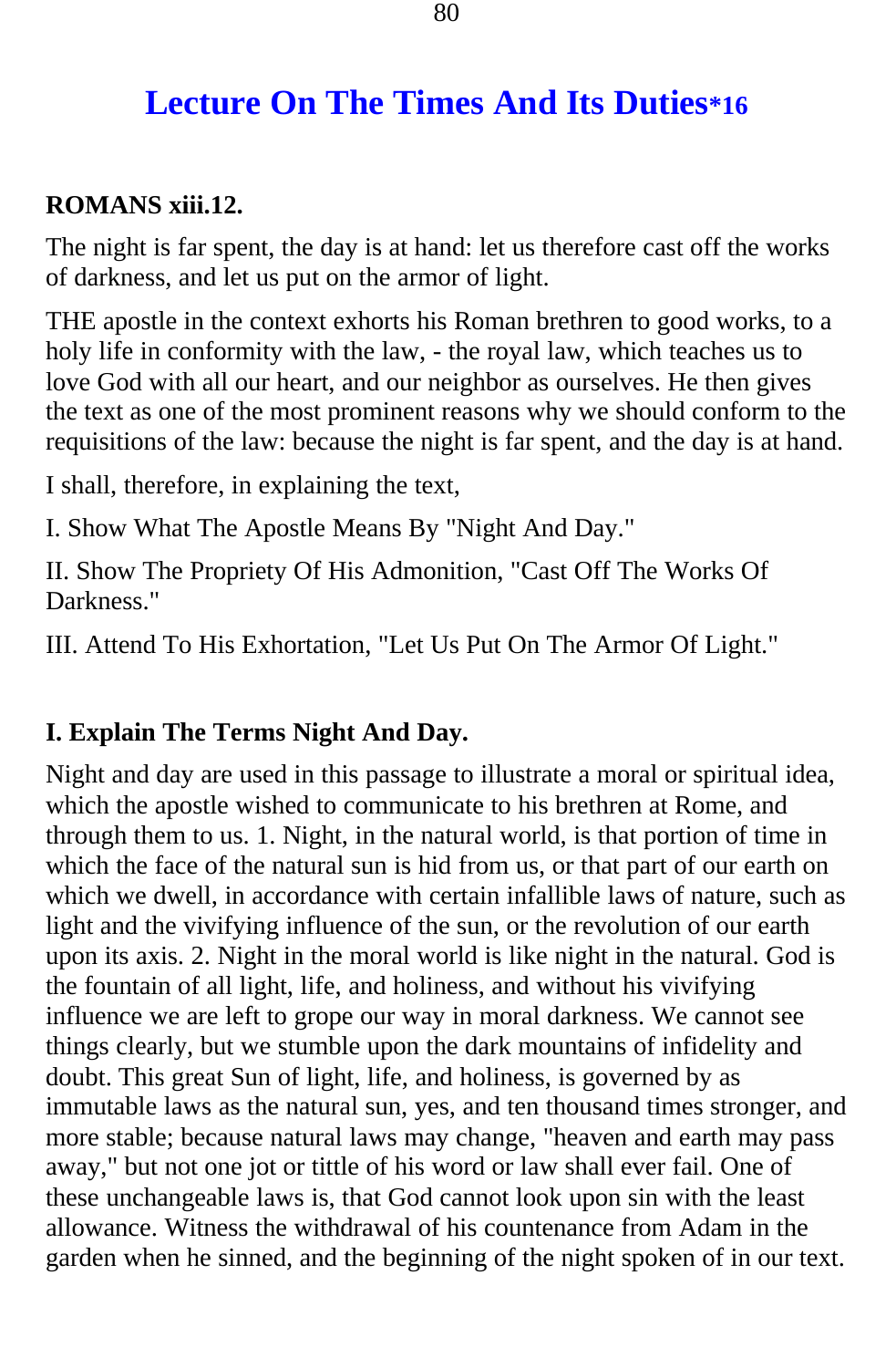# **Lecture On The Times And Its Dutie[s\\*16](#page-197-0)**

### **ROMANS xiii.12.**

The night is far spent, the day is at hand: let us therefore cast off the works of darkness, and let us put on the armor of light.

THE apostle in the context exhorts his Roman brethren to good works, to a holy life in conformity with the law, - the royal law, which teaches us to love God with all our heart, and our neighbor as ourselves. He then gives the text as one of the most prominent reasons why we should conform to the requisitions of the law: because the night is far spent, and the day is at hand.

I shall, therefore, in explaining the text,

I. Show What The Apostle Means By "Night And Day."

II. Show The Propriety Of His Admonition, "Cast Off The Works Of Darkness."

III. Attend To His Exhortation, "Let Us Put On The Armor Of Light."

# **I. Explain The Terms Night And Day.**

Night and day are used in this passage to illustrate a moral or spiritual idea, which the apostle wished to communicate to his brethren at Rome, and through them to us. 1. Night, in the natural world, is that portion of time in which the face of the natural sun is hid from us, or that part of our earth on which we dwell, in accordance with certain infallible laws of nature, such as light and the vivifying influence of the sun, or the revolution of our earth upon its axis. 2. Night in the moral world is like night in the natural. God is the fountain of all light, life, and holiness, and without his vivifying influence we are left to grope our way in moral darkness. We cannot see things clearly, but we stumble upon the dark mountains of infidelity and doubt. This great Sun of light, life, and holiness, is governed by as immutable laws as the natural sun, yes, and ten thousand times stronger, and more stable; because natural laws may change, "heaven and earth may pass away," but not one jot or tittle of his word or law shall ever fail. One of these unchangeable laws is, that God cannot look upon sin with the least allowance. Witness the withdrawal of his countenance from Adam in the garden when he sinned, and the beginning of the night spoken of in our text.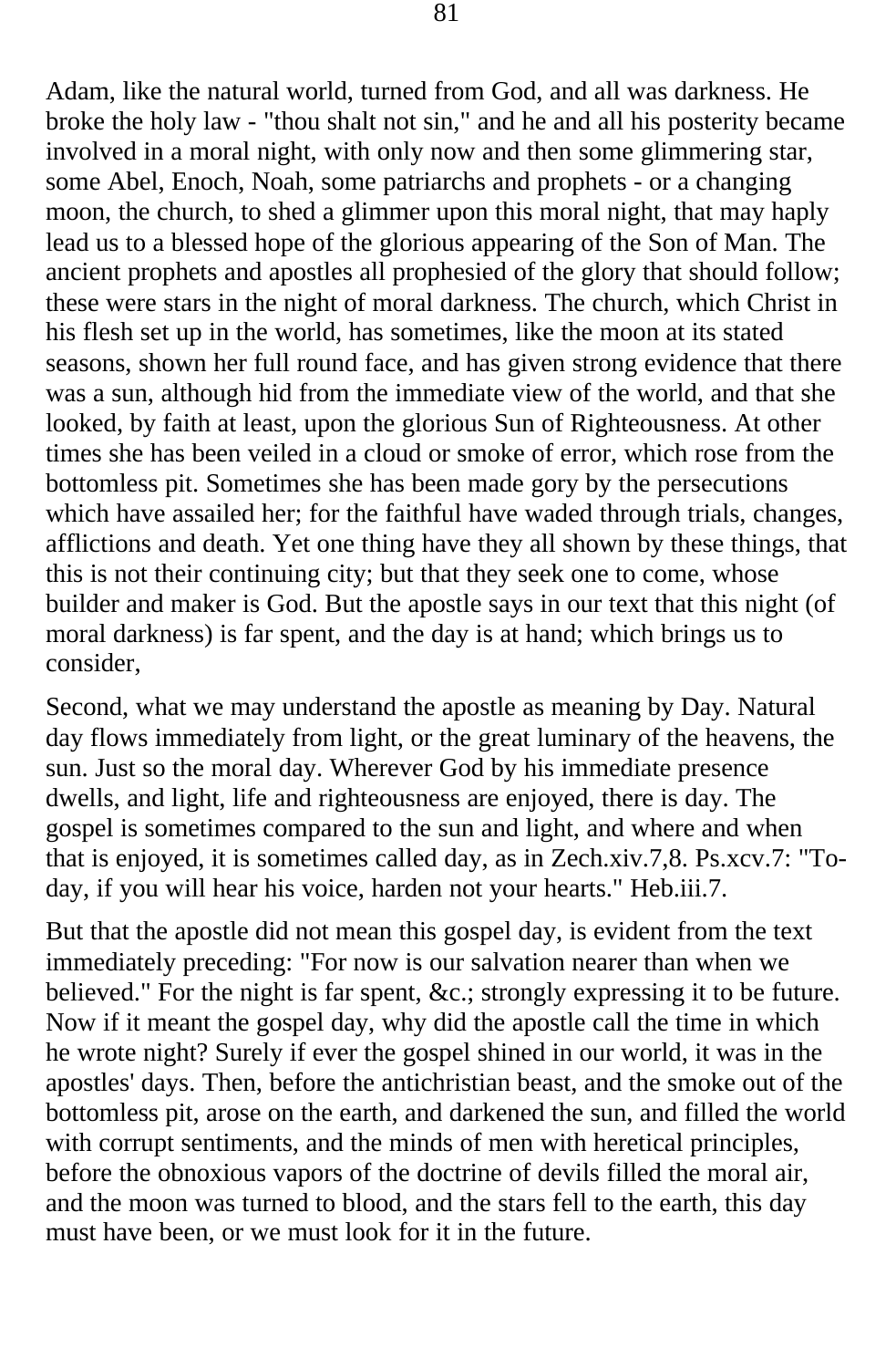Adam, like the natural world, turned from God, and all was darkness. He broke the holy law - "thou shalt not sin," and he and all his posterity became involved in a moral night, with only now and then some glimmering star, some Abel, Enoch, Noah, some patriarchs and prophets - or a changing moon, the church, to shed a glimmer upon this moral night, that may haply lead us to a blessed hope of the glorious appearing of the Son of Man. The ancient prophets and apostles all prophesied of the glory that should follow; these were stars in the night of moral darkness. The church, which Christ in his flesh set up in the world, has sometimes, like the moon at its stated seasons, shown her full round face, and has given strong evidence that there was a sun, although hid from the immediate view of the world, and that she looked, by faith at least, upon the glorious Sun of Righteousness. At other times she has been veiled in a cloud or smoke of error, which rose from the bottomless pit. Sometimes she has been made gory by the persecutions which have assailed her; for the faithful have waded through trials, changes, afflictions and death. Yet one thing have they all shown by these things, that this is not their continuing city; but that they seek one to come, whose builder and maker is God. But the apostle says in our text that this night (of moral darkness) is far spent, and the day is at hand; which brings us to consider,

Second, what we may understand the apostle as meaning by Day. Natural day flows immediately from light, or the great luminary of the heavens, the sun. Just so the moral day. Wherever God by his immediate presence dwells, and light, life and righteousness are enjoyed, there is day. The gospel is sometimes compared to the sun and light, and where and when that is enjoyed, it is sometimes called day, as in Zech.xiv.7,8. Ps.xcv.7: "Today, if you will hear his voice, harden not your hearts." Heb.iii.7.

But that the apostle did not mean this gospel day, is evident from the text immediately preceding: "For now is our salvation nearer than when we believed." For the night is far spent, &c.; strongly expressing it to be future. Now if it meant the gospel day, why did the apostle call the time in which he wrote night? Surely if ever the gospel shined in our world, it was in the apostles' days. Then, before the antichristian beast, and the smoke out of the bottomless pit, arose on the earth, and darkened the sun, and filled the world with corrupt sentiments, and the minds of men with heretical principles, before the obnoxious vapors of the doctrine of devils filled the moral air, and the moon was turned to blood, and the stars fell to the earth, this day must have been, or we must look for it in the future.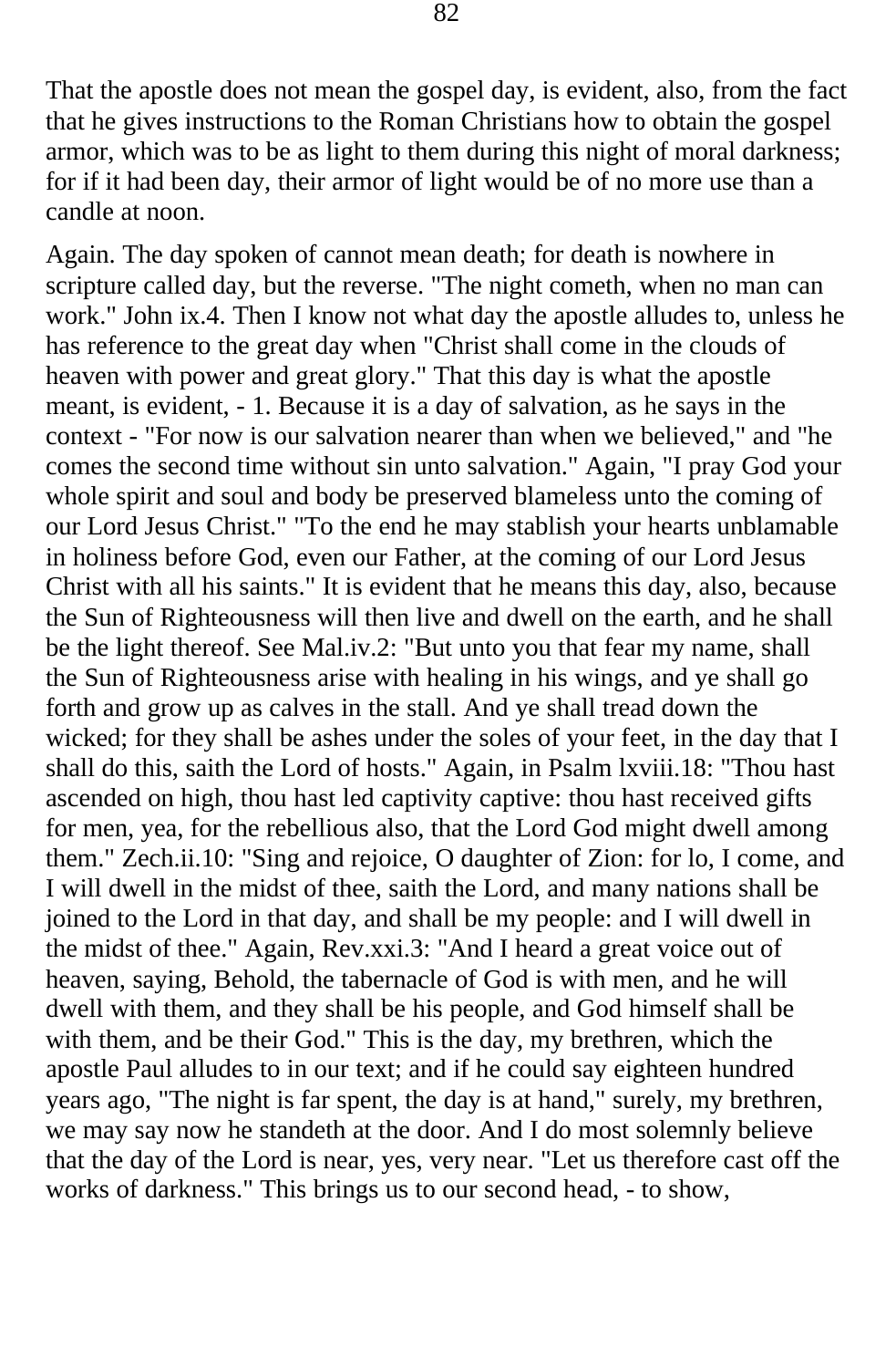That the apostle does not mean the gospel day, is evident, also, from the fact that he gives instructions to the Roman Christians how to obtain the gospel armor, which was to be as light to them during this night of moral darkness; for if it had been day, their armor of light would be of no more use than a candle at noon.

Again. The day spoken of cannot mean death; for death is nowhere in scripture called day, but the reverse. "The night cometh, when no man can work." John ix.4. Then I know not what day the apostle alludes to, unless he has reference to the great day when "Christ shall come in the clouds of heaven with power and great glory." That this day is what the apostle meant, is evident, - 1. Because it is a day of salvation, as he says in the context - "For now is our salvation nearer than when we believed," and "he comes the second time without sin unto salvation." Again, "I pray God your whole spirit and soul and body be preserved blameless unto the coming of our Lord Jesus Christ." "To the end he may stablish your hearts unblamable in holiness before God, even our Father, at the coming of our Lord Jesus Christ with all his saints." It is evident that he means this day, also, because the Sun of Righteousness will then live and dwell on the earth, and he shall be the light thereof. See Mal.iv.2: "But unto you that fear my name, shall the Sun of Righteousness arise with healing in his wings, and ye shall go forth and grow up as calves in the stall. And ye shall tread down the wicked; for they shall be ashes under the soles of your feet, in the day that I shall do this, saith the Lord of hosts." Again, in Psalm lxviii.18: "Thou hast ascended on high, thou hast led captivity captive: thou hast received gifts for men, yea, for the rebellious also, that the Lord God might dwell among them." Zech.ii.10: "Sing and rejoice, O daughter of Zion: for lo, I come, and I will dwell in the midst of thee, saith the Lord, and many nations shall be joined to the Lord in that day, and shall be my people: and I will dwell in the midst of thee." Again, Rev.xxi.3: "And I heard a great voice out of heaven, saying, Behold, the tabernacle of God is with men, and he will dwell with them, and they shall be his people, and God himself shall be with them, and be their God." This is the day, my brethren, which the apostle Paul alludes to in our text; and if he could say eighteen hundred years ago, "The night is far spent, the day is at hand," surely, my brethren, we may say now he standeth at the door. And I do most solemnly believe that the day of the Lord is near, yes, very near. "Let us therefore cast off the works of darkness." This brings us to our second head, - to show,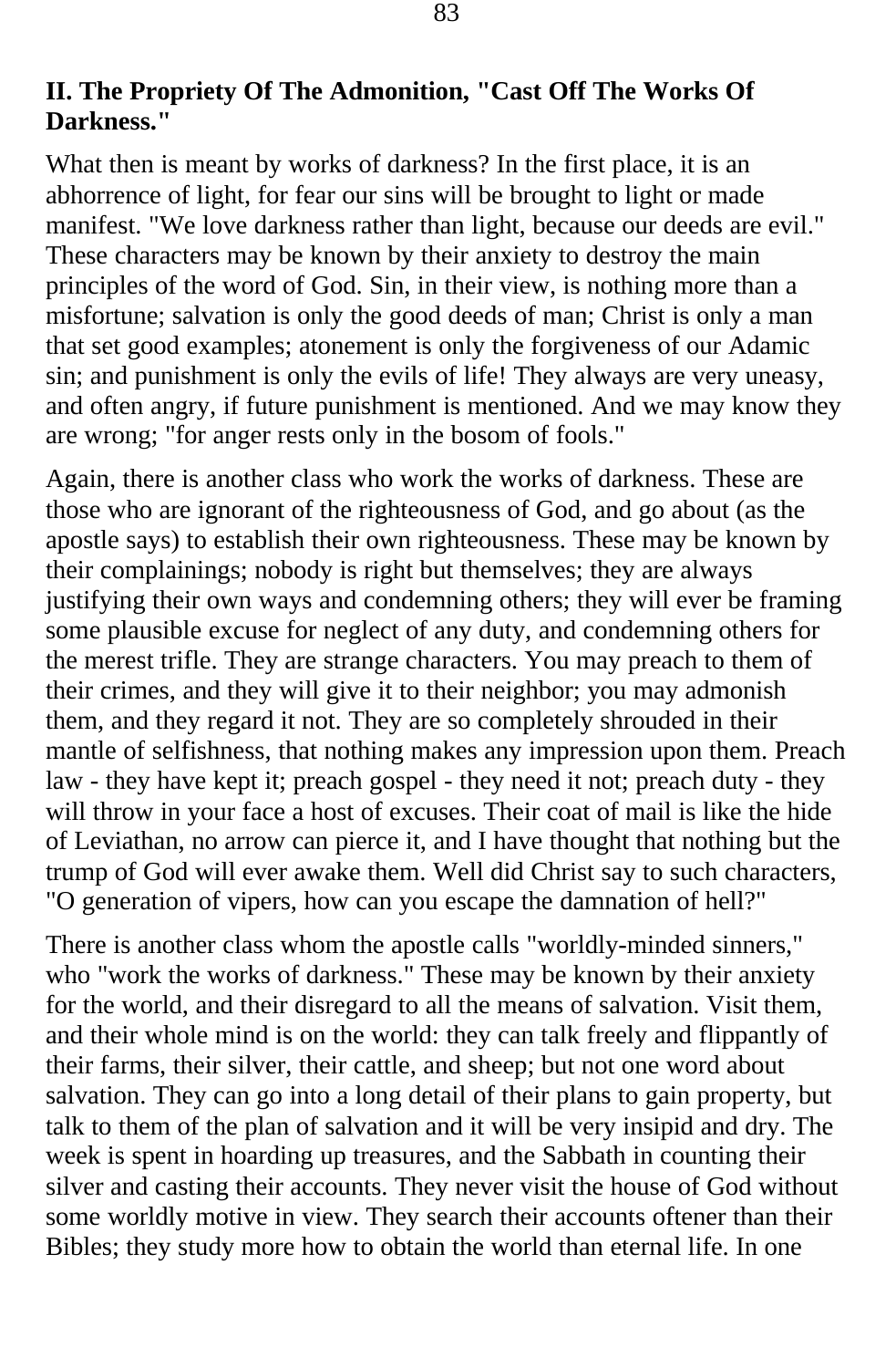### **II. The Propriety Of The Admonition, "Cast Off The Works Of Darkness."**

What then is meant by works of darkness? In the first place, it is an abhorrence of light, for fear our sins will be brought to light or made manifest. "We love darkness rather than light, because our deeds are evil." These characters may be known by their anxiety to destroy the main principles of the word of God. Sin, in their view, is nothing more than a misfortune; salvation is only the good deeds of man; Christ is only a man that set good examples; atonement is only the forgiveness of our Adamic sin; and punishment is only the evils of life! They always are very uneasy, and often angry, if future punishment is mentioned. And we may know they are wrong; "for anger rests only in the bosom of fools."

Again, there is another class who work the works of darkness. These are those who are ignorant of the righteousness of God, and go about (as the apostle says) to establish their own righteousness. These may be known by their complainings; nobody is right but themselves; they are always justifying their own ways and condemning others; they will ever be framing some plausible excuse for neglect of any duty, and condemning others for the merest trifle. They are strange characters. You may preach to them of their crimes, and they will give it to their neighbor; you may admonish them, and they regard it not. They are so completely shrouded in their mantle of selfishness, that nothing makes any impression upon them. Preach law - they have kept it; preach gospel - they need it not; preach duty - they will throw in your face a host of excuses. Their coat of mail is like the hide of Leviathan, no arrow can pierce it, and I have thought that nothing but the trump of God will ever awake them. Well did Christ say to such characters, "O generation of vipers, how can you escape the damnation of hell?"

There is another class whom the apostle calls "worldly-minded sinners," who "work the works of darkness." These may be known by their anxiety for the world, and their disregard to all the means of salvation. Visit them, and their whole mind is on the world: they can talk freely and flippantly of their farms, their silver, their cattle, and sheep; but not one word about salvation. They can go into a long detail of their plans to gain property, but talk to them of the plan of salvation and it will be very insipid and dry. The week is spent in hoarding up treasures, and the Sabbath in counting their silver and casting their accounts. They never visit the house of God without some worldly motive in view. They search their accounts oftener than their Bibles; they study more how to obtain the world than eternal life. In one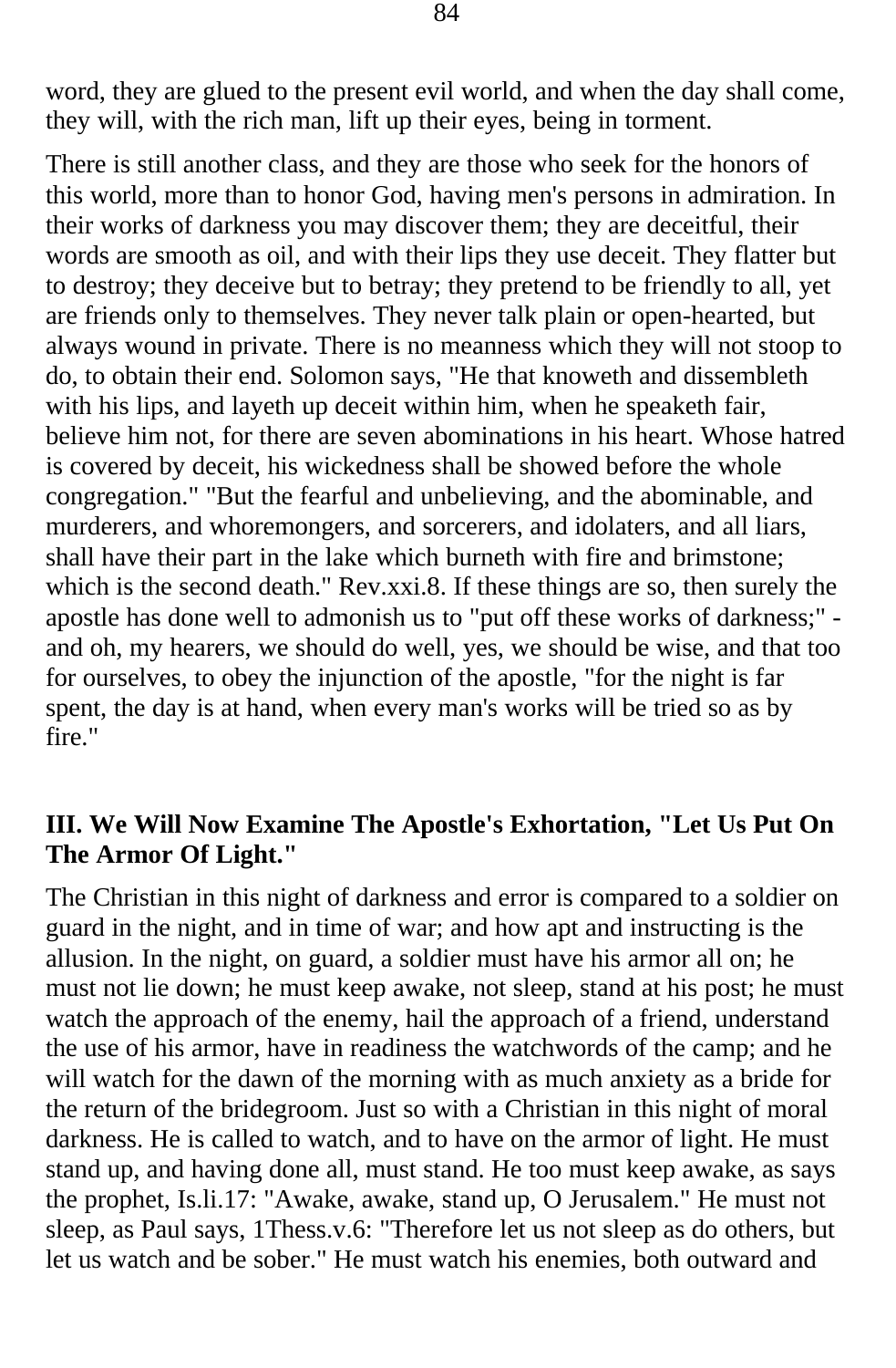word, they are glued to the present evil world, and when the day shall come, they will, with the rich man, lift up their eyes, being in torment.

There is still another class, and they are those who seek for the honors of this world, more than to honor God, having men's persons in admiration. In their works of darkness you may discover them; they are deceitful, their words are smooth as oil, and with their lips they use deceit. They flatter but to destroy; they deceive but to betray; they pretend to be friendly to all, yet are friends only to themselves. They never talk plain or open-hearted, but always wound in private. There is no meanness which they will not stoop to do, to obtain their end. Solomon says, "He that knoweth and dissembleth with his lips, and layeth up deceit within him, when he speaketh fair, believe him not, for there are seven abominations in his heart. Whose hatred is covered by deceit, his wickedness shall be showed before the whole congregation." "But the fearful and unbelieving, and the abominable, and murderers, and whoremongers, and sorcerers, and idolaters, and all liars, shall have their part in the lake which burneth with fire and brimstone; which is the second death." Rev.xxi.8. If these things are so, then surely the apostle has done well to admonish us to "put off these works of darkness;" and oh, my hearers, we should do well, yes, we should be wise, and that too for ourselves, to obey the injunction of the apostle, "for the night is far spent, the day is at hand, when every man's works will be tried so as by fire."

### **III. We Will Now Examine The Apostle's Exhortation, "Let Us Put On The Armor Of Light."**

The Christian in this night of darkness and error is compared to a soldier on guard in the night, and in time of war; and how apt and instructing is the allusion. In the night, on guard, a soldier must have his armor all on; he must not lie down; he must keep awake, not sleep, stand at his post; he must watch the approach of the enemy, hail the approach of a friend, understand the use of his armor, have in readiness the watchwords of the camp; and he will watch for the dawn of the morning with as much anxiety as a bride for the return of the bridegroom. Just so with a Christian in this night of moral darkness. He is called to watch, and to have on the armor of light. He must stand up, and having done all, must stand. He too must keep awake, as says the prophet, Is.li.17: "Awake, awake, stand up, O Jerusalem." He must not sleep, as Paul says, 1Thess.v.6: "Therefore let us not sleep as do others, but let us watch and be sober." He must watch his enemies, both outward and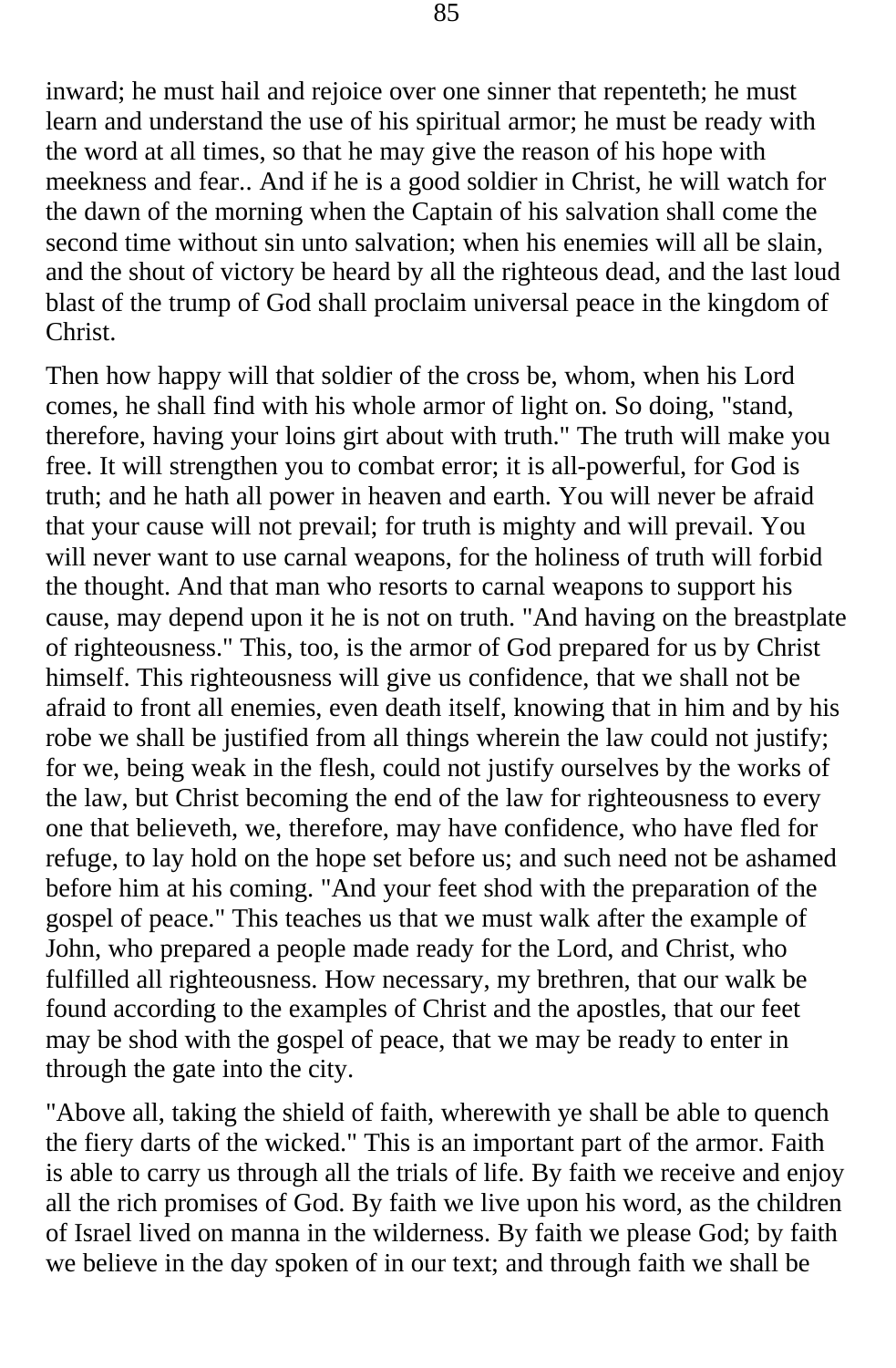inward; he must hail and rejoice over one sinner that repenteth; he must learn and understand the use of his spiritual armor; he must be ready with the word at all times, so that he may give the reason of his hope with meekness and fear.. And if he is a good soldier in Christ, he will watch for the dawn of the morning when the Captain of his salvation shall come the second time without sin unto salvation; when his enemies will all be slain, and the shout of victory be heard by all the righteous dead, and the last loud blast of the trump of God shall proclaim universal peace in the kingdom of Christ.

Then how happy will that soldier of the cross be, whom, when his Lord comes, he shall find with his whole armor of light on. So doing, "stand, therefore, having your loins girt about with truth." The truth will make you free. It will strengthen you to combat error; it is all-powerful, for God is truth; and he hath all power in heaven and earth. You will never be afraid that your cause will not prevail; for truth is mighty and will prevail. You will never want to use carnal weapons, for the holiness of truth will forbid the thought. And that man who resorts to carnal weapons to support his cause, may depend upon it he is not on truth. "And having on the breastplate of righteousness." This, too, is the armor of God prepared for us by Christ himself. This righteousness will give us confidence, that we shall not be afraid to front all enemies, even death itself, knowing that in him and by his robe we shall be justified from all things wherein the law could not justify; for we, being weak in the flesh, could not justify ourselves by the works of the law, but Christ becoming the end of the law for righteousness to every one that believeth, we, therefore, may have confidence, who have fled for refuge, to lay hold on the hope set before us; and such need not be ashamed before him at his coming. "And your feet shod with the preparation of the gospel of peace." This teaches us that we must walk after the example of John, who prepared a people made ready for the Lord, and Christ, who fulfilled all righteousness. How necessary, my brethren, that our walk be found according to the examples of Christ and the apostles, that our feet may be shod with the gospel of peace, that we may be ready to enter in through the gate into the city.

"Above all, taking the shield of faith, wherewith ye shall be able to quench the fiery darts of the wicked." This is an important part of the armor. Faith is able to carry us through all the trials of life. By faith we receive and enjoy all the rich promises of God. By faith we live upon his word, as the children of Israel lived on manna in the wilderness. By faith we please God; by faith we believe in the day spoken of in our text; and through faith we shall be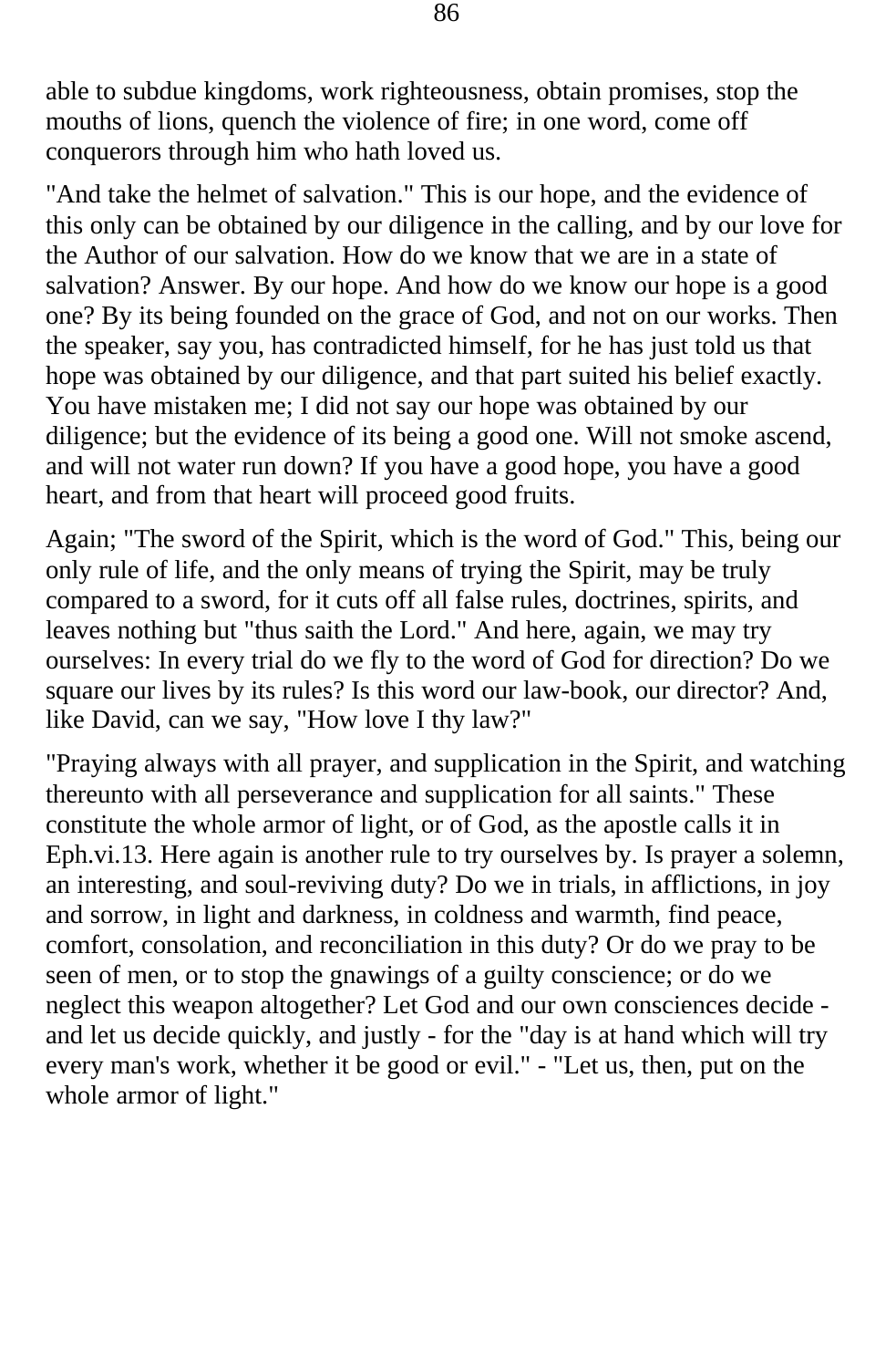able to subdue kingdoms, work righteousness, obtain promises, stop the mouths of lions, quench the violence of fire; in one word, come off conquerors through him who hath loved us.

"And take the helmet of salvation." This is our hope, and the evidence of this only can be obtained by our diligence in the calling, and by our love for the Author of our salvation. How do we know that we are in a state of salvation? Answer. By our hope. And how do we know our hope is a good one? By its being founded on the grace of God, and not on our works. Then the speaker, say you, has contradicted himself, for he has just told us that hope was obtained by our diligence, and that part suited his belief exactly. You have mistaken me; I did not say our hope was obtained by our diligence; but the evidence of its being a good one. Will not smoke ascend, and will not water run down? If you have a good hope, you have a good heart, and from that heart will proceed good fruits.

Again; "The sword of the Spirit, which is the word of God." This, being our only rule of life, and the only means of trying the Spirit, may be truly compared to a sword, for it cuts off all false rules, doctrines, spirits, and leaves nothing but "thus saith the Lord." And here, again, we may try ourselves: In every trial do we fly to the word of God for direction? Do we square our lives by its rules? Is this word our law-book, our director? And, like David, can we say, "How love I thy law?"

"Praying always with all prayer, and supplication in the Spirit, and watching thereunto with all perseverance and supplication for all saints." These constitute the whole armor of light, or of God, as the apostle calls it in Eph.vi.13. Here again is another rule to try ourselves by. Is prayer a solemn, an interesting, and soul-reviving duty? Do we in trials, in afflictions, in joy and sorrow, in light and darkness, in coldness and warmth, find peace, comfort, consolation, and reconciliation in this duty? Or do we pray to be seen of men, or to stop the gnawings of a guilty conscience; or do we neglect this weapon altogether? Let God and our own consciences decide and let us decide quickly, and justly - for the "day is at hand which will try every man's work, whether it be good or evil." - "Let us, then, put on the whole armor of light."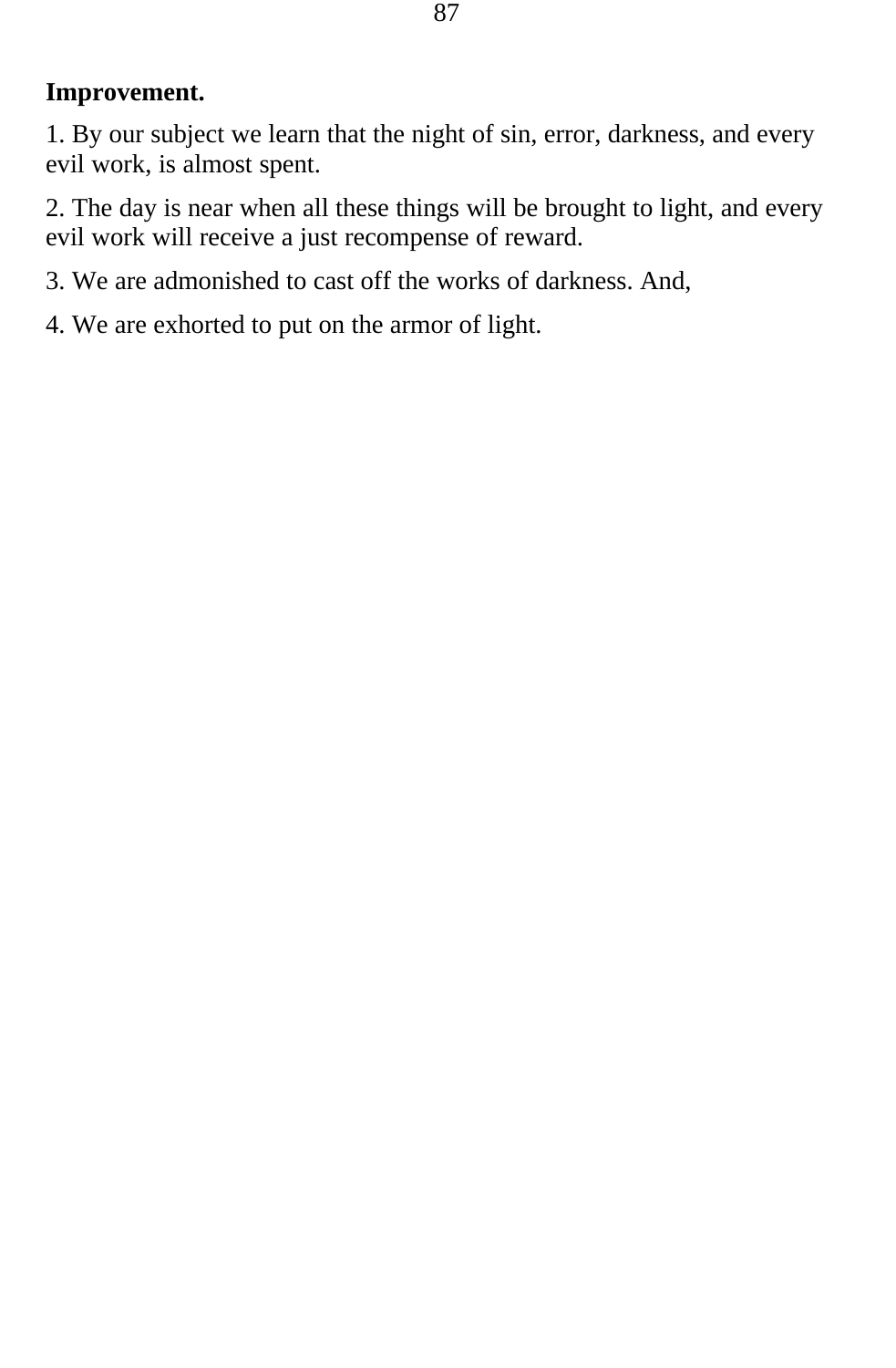### **Improvement.**

1. By our subject we learn that the night of sin, error, darkness, and every evil work, is almost spent.

2. The day is near when all these things will be brought to light, and every evil work will receive a just recompense of reward.

- 3. We are admonished to cast off the works of darkness. And,
- 4. We are exhorted to put on the armor of light.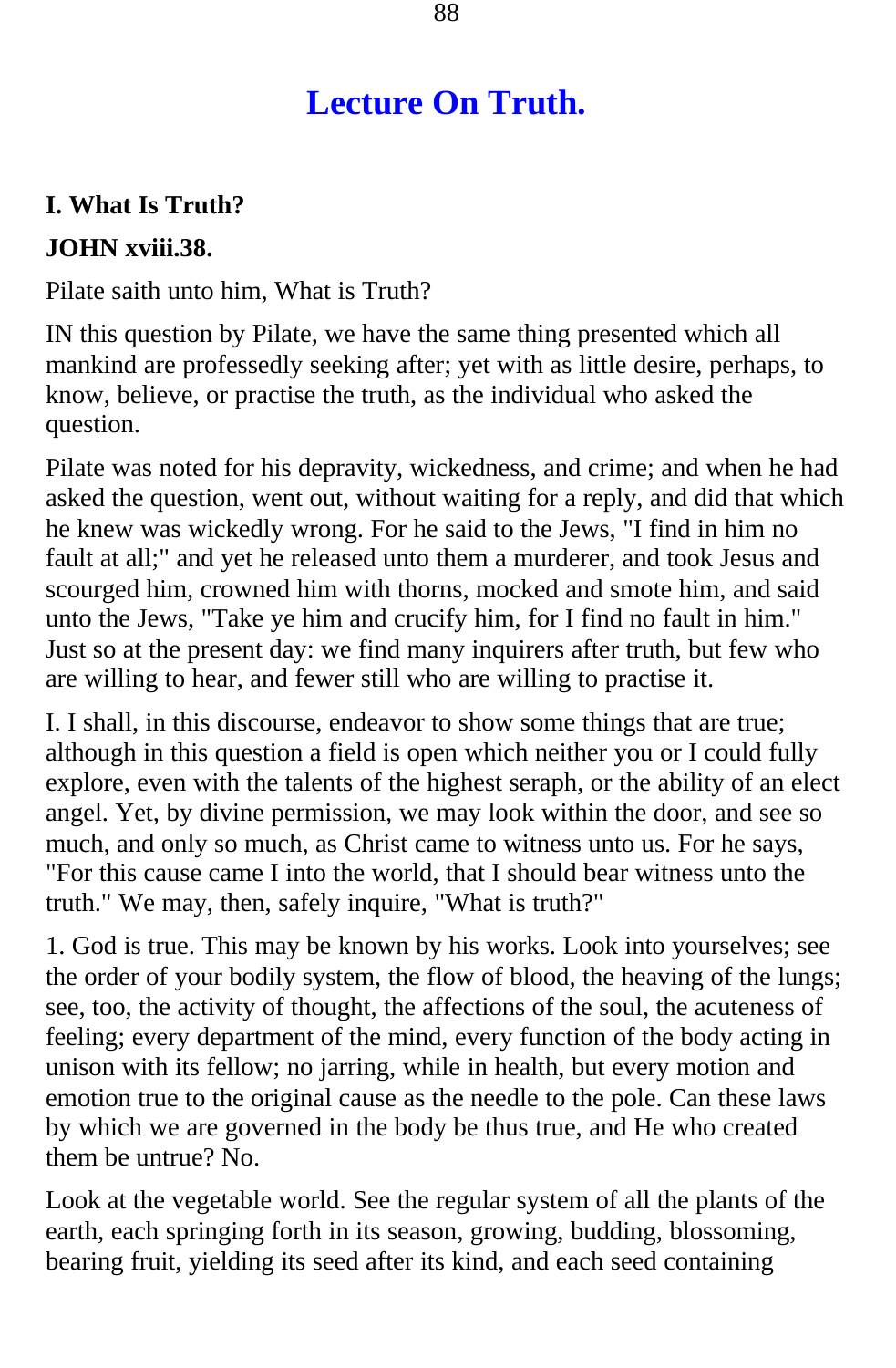# **Lecture On Truth.**

## **I. What Is Truth?**

### **JOHN xviii.38.**

Pilate saith unto him, What is Truth?

IN this question by Pilate, we have the same thing presented which all mankind are professedly seeking after; yet with as little desire, perhaps, to know, believe, or practise the truth, as the individual who asked the question.

Pilate was noted for his depravity, wickedness, and crime; and when he had asked the question, went out, without waiting for a reply, and did that which he knew was wickedly wrong. For he said to the Jews, "I find in him no fault at all;" and yet he released unto them a murderer, and took Jesus and scourged him, crowned him with thorns, mocked and smote him, and said unto the Jews, "Take ye him and crucify him, for I find no fault in him." Just so at the present day: we find many inquirers after truth, but few who are willing to hear, and fewer still who are willing to practise it.

I. I shall, in this discourse, endeavor to show some things that are true; although in this question a field is open which neither you or I could fully explore, even with the talents of the highest seraph, or the ability of an elect angel. Yet, by divine permission, we may look within the door, and see so much, and only so much, as Christ came to witness unto us. For he says, "For this cause came I into the world, that I should bear witness unto the truth." We may, then, safely inquire, "What is truth?"

1. God is true. This may be known by his works. Look into yourselves; see the order of your bodily system, the flow of blood, the heaving of the lungs; see, too, the activity of thought, the affections of the soul, the acuteness of feeling; every department of the mind, every function of the body acting in unison with its fellow; no jarring, while in health, but every motion and emotion true to the original cause as the needle to the pole. Can these laws by which we are governed in the body be thus true, and He who created them be untrue? No.

Look at the vegetable world. See the regular system of all the plants of the earth, each springing forth in its season, growing, budding, blossoming, bearing fruit, yielding its seed after its kind, and each seed containing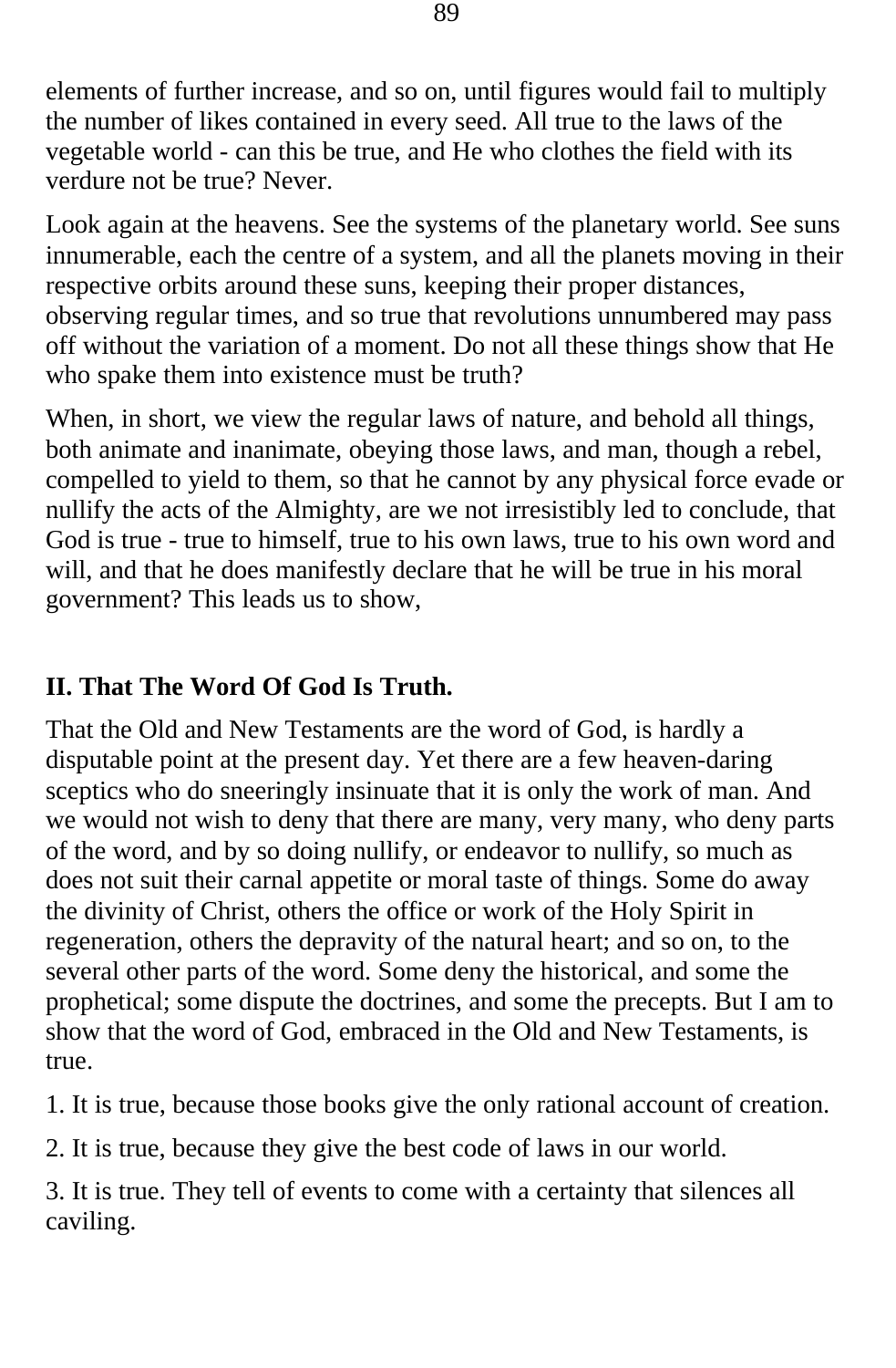elements of further increase, and so on, until figures would fail to multiply the number of likes contained in every seed. All true to the laws of the vegetable world - can this be true, and He who clothes the field with its verdure not be true? Never.

Look again at the heavens. See the systems of the planetary world. See suns innumerable, each the centre of a system, and all the planets moving in their respective orbits around these suns, keeping their proper distances, observing regular times, and so true that revolutions unnumbered may pass off without the variation of a moment. Do not all these things show that He who spake them into existence must be truth?

When, in short, we view the regular laws of nature, and behold all things, both animate and inanimate, obeying those laws, and man, though a rebel, compelled to yield to them, so that he cannot by any physical force evade or nullify the acts of the Almighty, are we not irresistibly led to conclude, that God is true - true to himself, true to his own laws, true to his own word and will, and that he does manifestly declare that he will be true in his moral government? This leads us to show,

# **II. That The Word Of God Is Truth.**

That the Old and New Testaments are the word of God, is hardly a disputable point at the present day. Yet there are a few heaven-daring sceptics who do sneeringly insinuate that it is only the work of man. And we would not wish to deny that there are many, very many, who deny parts of the word, and by so doing nullify, or endeavor to nullify, so much as does not suit their carnal appetite or moral taste of things. Some do away the divinity of Christ, others the office or work of the Holy Spirit in regeneration, others the depravity of the natural heart; and so on, to the several other parts of the word. Some deny the historical, and some the prophetical; some dispute the doctrines, and some the precepts. But I am to show that the word of God, embraced in the Old and New Testaments, is true.

1. It is true, because those books give the only rational account of creation.

2. It is true, because they give the best code of laws in our world.

3. It is true. They tell of events to come with a certainty that silences all caviling.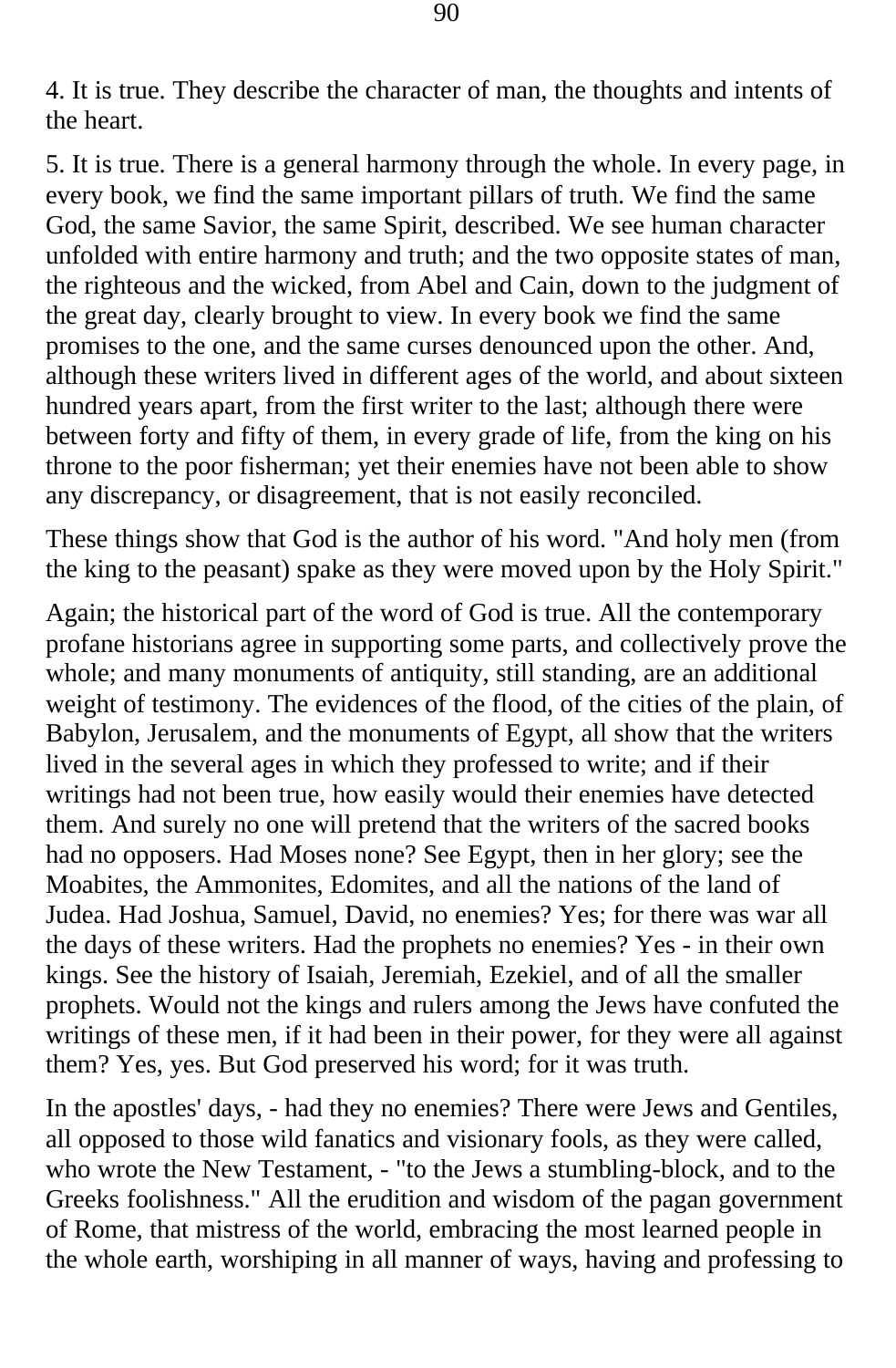4. It is true. They describe the character of man, the thoughts and intents of the heart.

5. It is true. There is a general harmony through the whole. In every page, in every book, we find the same important pillars of truth. We find the same God, the same Savior, the same Spirit, described. We see human character unfolded with entire harmony and truth; and the two opposite states of man, the righteous and the wicked, from Abel and Cain, down to the judgment of the great day, clearly brought to view. In every book we find the same promises to the one, and the same curses denounced upon the other. And, although these writers lived in different ages of the world, and about sixteen hundred years apart, from the first writer to the last; although there were between forty and fifty of them, in every grade of life, from the king on his throne to the poor fisherman; yet their enemies have not been able to show any discrepancy, or disagreement, that is not easily reconciled.

These things show that God is the author of his word. "And holy men (from the king to the peasant) spake as they were moved upon by the Holy Spirit."

Again; the historical part of the word of God is true. All the contemporary profane historians agree in supporting some parts, and collectively prove the whole; and many monuments of antiquity, still standing, are an additional weight of testimony. The evidences of the flood, of the cities of the plain, of Babylon, Jerusalem, and the monuments of Egypt, all show that the writers lived in the several ages in which they professed to write; and if their writings had not been true, how easily would their enemies have detected them. And surely no one will pretend that the writers of the sacred books had no opposers. Had Moses none? See Egypt, then in her glory; see the Moabites, the Ammonites, Edomites, and all the nations of the land of Judea. Had Joshua, Samuel, David, no enemies? Yes; for there was war all the days of these writers. Had the prophets no enemies? Yes - in their own kings. See the history of Isaiah, Jeremiah, Ezekiel, and of all the smaller prophets. Would not the kings and rulers among the Jews have confuted the writings of these men, if it had been in their power, for they were all against them? Yes, yes. But God preserved his word; for it was truth.

In the apostles' days, - had they no enemies? There were Jews and Gentiles, all opposed to those wild fanatics and visionary fools, as they were called, who wrote the New Testament, - "to the Jews a stumbling-block, and to the Greeks foolishness." All the erudition and wisdom of the pagan government of Rome, that mistress of the world, embracing the most learned people in the whole earth, worshiping in all manner of ways, having and professing to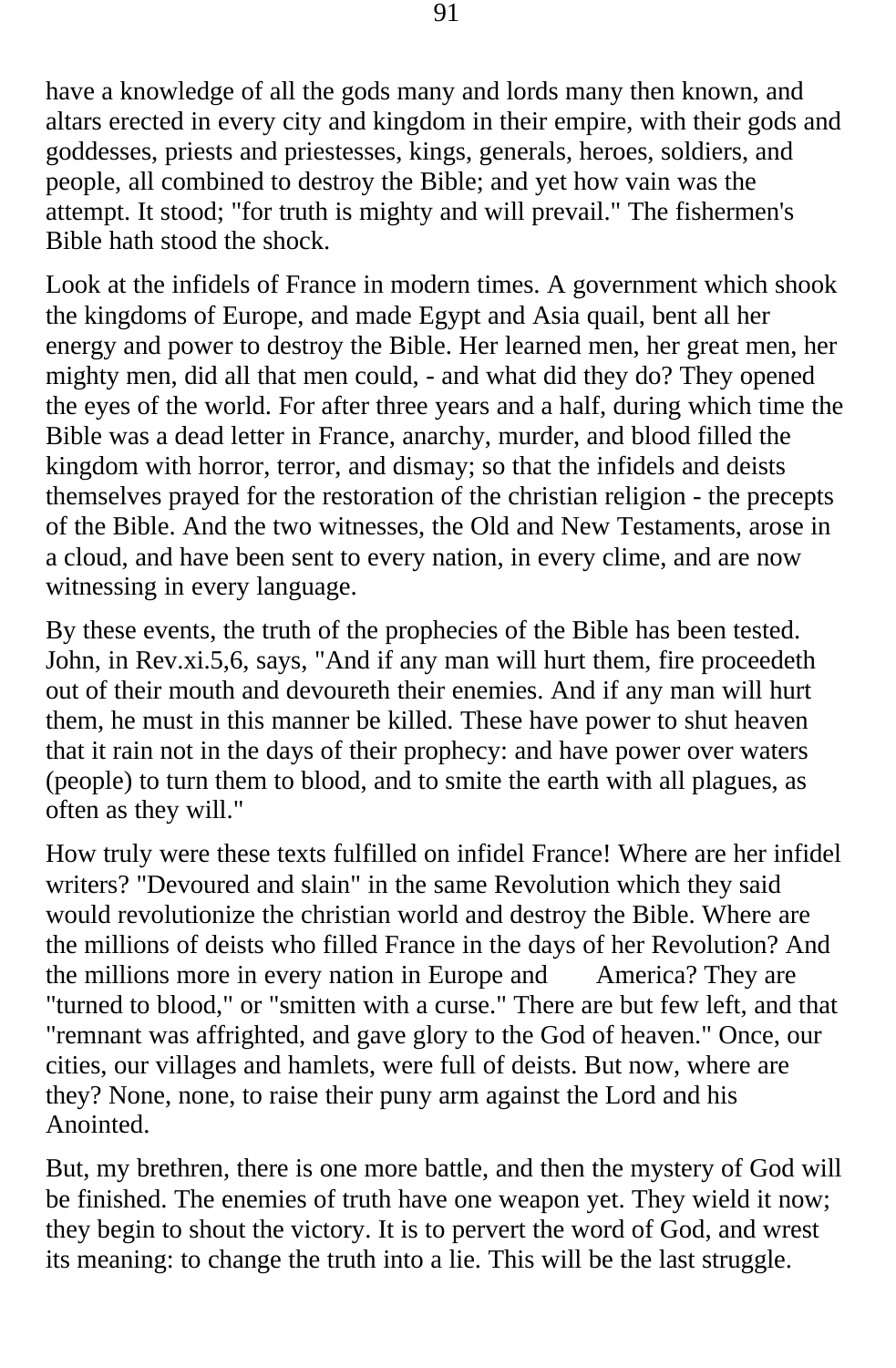have a knowledge of all the gods many and lords many then known, and altars erected in every city and kingdom in their empire, with their gods and goddesses, priests and priestesses, kings, generals, heroes, soldiers, and people, all combined to destroy the Bible; and yet how vain was the attempt. It stood; "for truth is mighty and will prevail." The fishermen's Bible hath stood the shock.

Look at the infidels of France in modern times. A government which shook the kingdoms of Europe, and made Egypt and Asia quail, bent all her energy and power to destroy the Bible. Her learned men, her great men, her mighty men, did all that men could, - and what did they do? They opened the eyes of the world. For after three years and a half, during which time the Bible was a dead letter in France, anarchy, murder, and blood filled the kingdom with horror, terror, and dismay; so that the infidels and deists themselves prayed for the restoration of the christian religion - the precepts of the Bible. And the two witnesses, the Old and New Testaments, arose in a cloud, and have been sent to every nation, in every clime, and are now witnessing in every language.

By these events, the truth of the prophecies of the Bible has been tested. John, in Rev.xi.5,6, says, "And if any man will hurt them, fire proceedeth out of their mouth and devoureth their enemies. And if any man will hurt them, he must in this manner be killed. These have power to shut heaven that it rain not in the days of their prophecy: and have power over waters (people) to turn them to blood, and to smite the earth with all plagues, as often as they will."

How truly were these texts fulfilled on infidel France! Where are her infidel writers? "Devoured and slain" in the same Revolution which they said would revolutionize the christian world and destroy the Bible. Where are the millions of deists who filled France in the days of her Revolution? And the millions more in every nation in Europe and America? They are "turned to blood," or "smitten with a curse." There are but few left, and that "remnant was affrighted, and gave glory to the God of heaven." Once, our cities, our villages and hamlets, were full of deists. But now, where are they? None, none, to raise their puny arm against the Lord and his Anointed.

But, my brethren, there is one more battle, and then the mystery of God will be finished. The enemies of truth have one weapon yet. They wield it now; they begin to shout the victory. It is to pervert the word of God, and wrest its meaning: to change the truth into a lie. This will be the last struggle.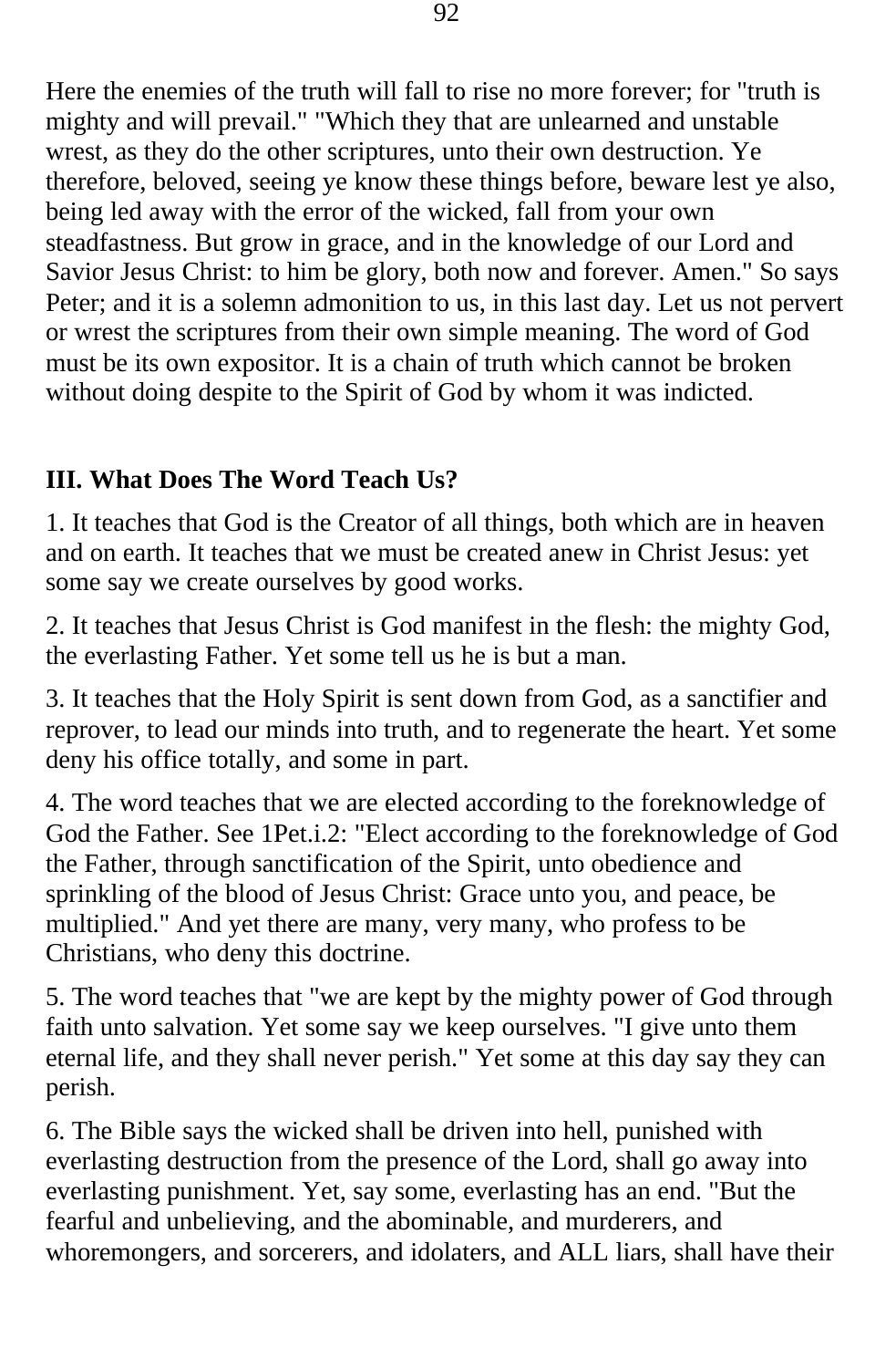Here the enemies of the truth will fall to rise no more forever; for "truth is mighty and will prevail." "Which they that are unlearned and unstable wrest, as they do the other scriptures, unto their own destruction. Ye therefore, beloved, seeing ye know these things before, beware lest ye also, being led away with the error of the wicked, fall from your own steadfastness. But grow in grace, and in the knowledge of our Lord and Savior Jesus Christ: to him be glory, both now and forever. Amen." So says Peter; and it is a solemn admonition to us, in this last day. Let us not pervert or wrest the scriptures from their own simple meaning. The word of God must be its own expositor. It is a chain of truth which cannot be broken without doing despite to the Spirit of God by whom it was indicted.

## **III. What Does The Word Teach Us?**

1. It teaches that God is the Creator of all things, both which are in heaven and on earth. It teaches that we must be created anew in Christ Jesus: yet some say we create ourselves by good works.

2. It teaches that Jesus Christ is God manifest in the flesh: the mighty God, the everlasting Father. Yet some tell us he is but a man.

3. It teaches that the Holy Spirit is sent down from God, as a sanctifier and reprover, to lead our minds into truth, and to regenerate the heart. Yet some deny his office totally, and some in part.

4. The word teaches that we are elected according to the foreknowledge of God the Father. See 1Pet.i.2: "Elect according to the foreknowledge of God the Father, through sanctification of the Spirit, unto obedience and sprinkling of the blood of Jesus Christ: Grace unto you, and peace, be multiplied." And yet there are many, very many, who profess to be Christians, who deny this doctrine.

5. The word teaches that "we are kept by the mighty power of God through faith unto salvation. Yet some say we keep ourselves. "I give unto them eternal life, and they shall never perish." Yet some at this day say they can perish.

6. The Bible says the wicked shall be driven into hell, punished with everlasting destruction from the presence of the Lord, shall go away into everlasting punishment. Yet, say some, everlasting has an end. "But the fearful and unbelieving, and the abominable, and murderers, and whoremongers, and sorcerers, and idolaters, and ALL liars, shall have their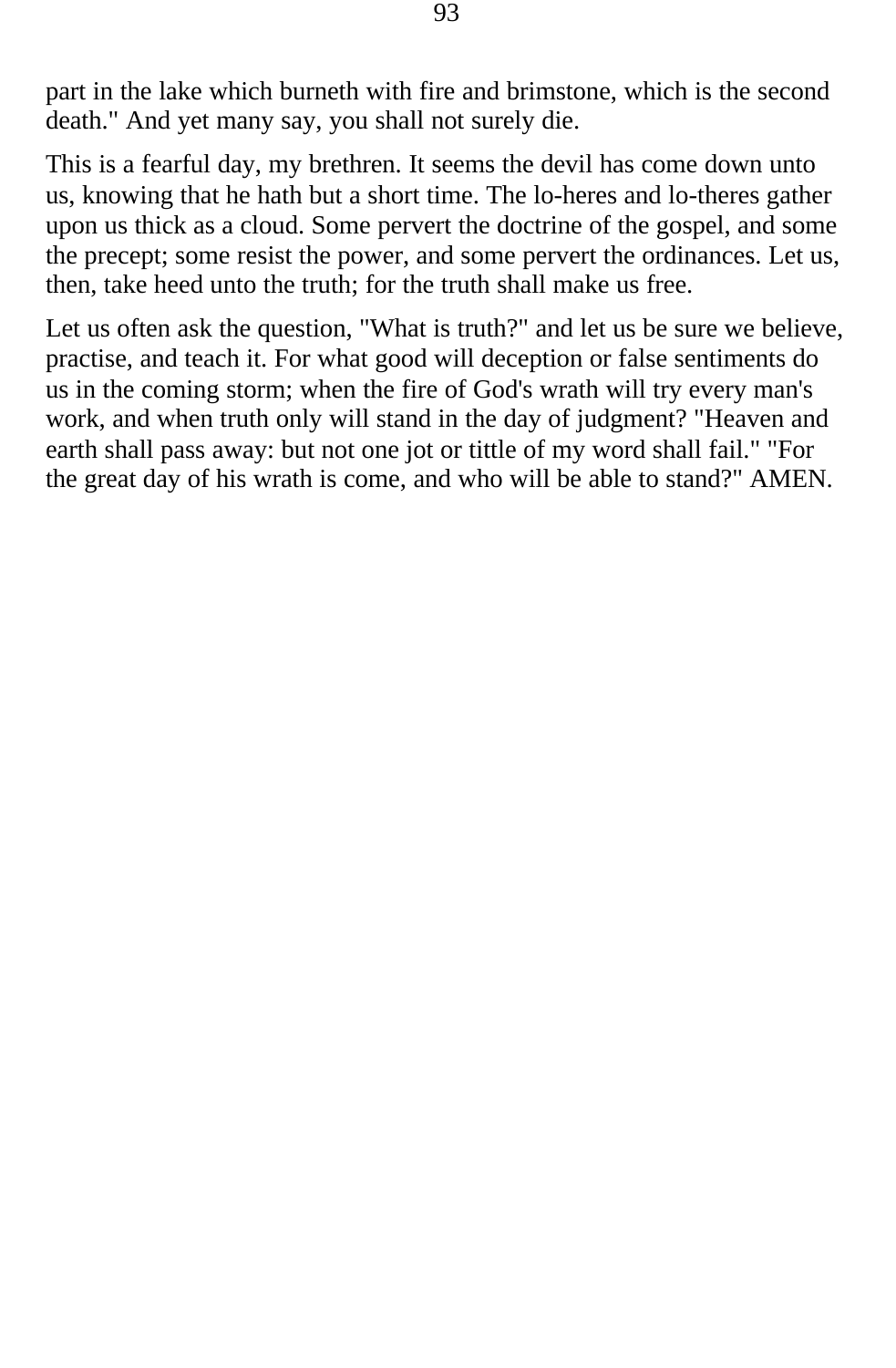part in the lake which burneth with fire and brimstone, which is the second death." And yet many say, you shall not surely die.

This is a fearful day, my brethren. It seems the devil has come down unto us, knowing that he hath but a short time. The lo-heres and lo-theres gather upon us thick as a cloud. Some pervert the doctrine of the gospel, and some the precept; some resist the power, and some pervert the ordinances. Let us, then, take heed unto the truth; for the truth shall make us free.

Let us often ask the question, "What is truth?" and let us be sure we believe, practise, and teach it. For what good will deception or false sentiments do us in the coming storm; when the fire of God's wrath will try every man's work, and when truth only will stand in the day of judgment? "Heaven and earth shall pass away: but not one jot or tittle of my word shall fail." "For the great day of his wrath is come, and who will be able to stand?" AMEN.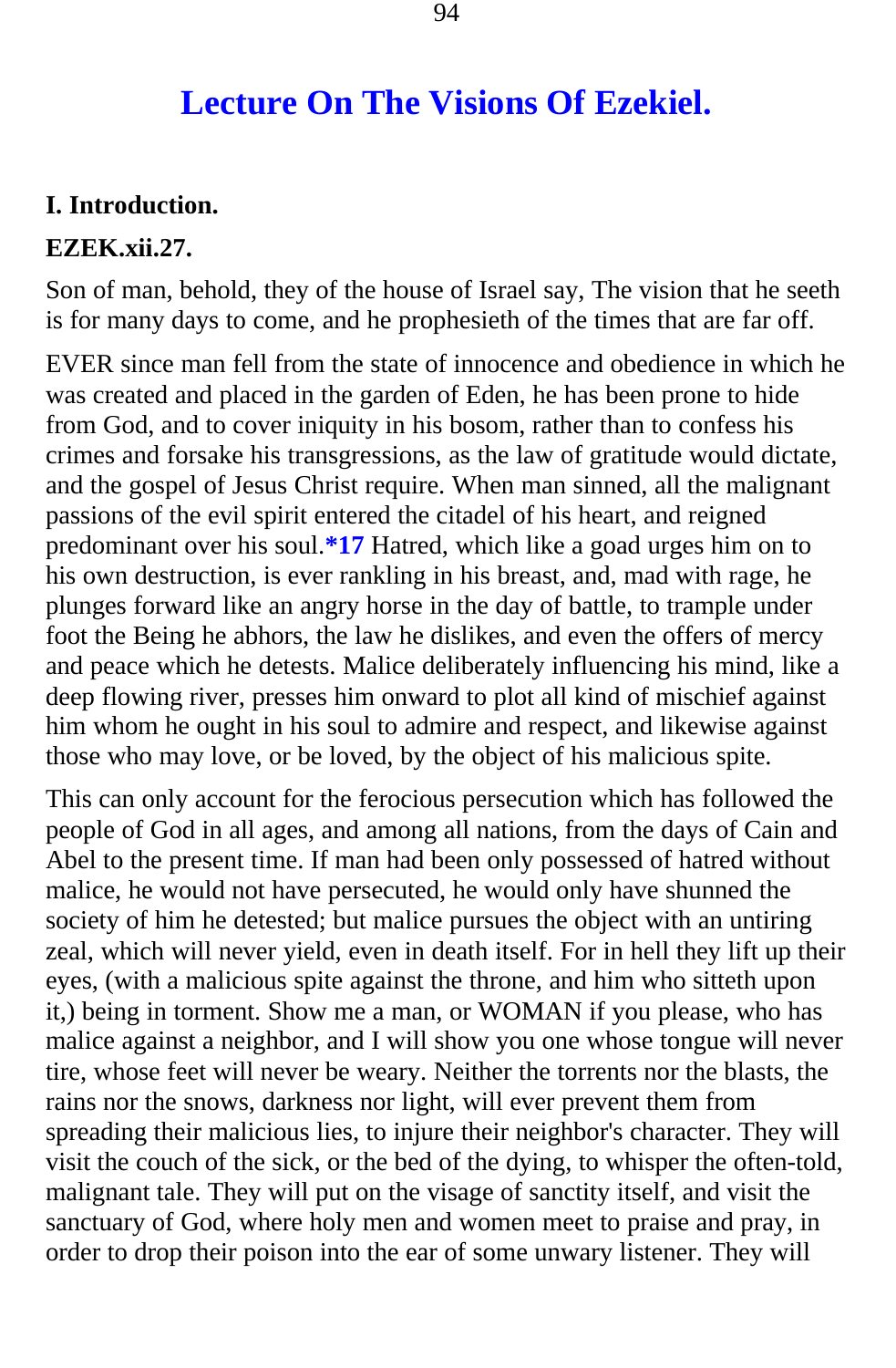# **Lecture On The Visions Of Ezekiel.**

### **I. Introduction.**

#### **EZEK.xii.27.**

Son of man, behold, they of the house of Israel say, The vision that he seeth is for many days to come, and he prophesieth of the times that are far off.

EVER since man fell from the state of innocence and obedience in which he was created and placed in the garden of Eden, he has been prone to hide from God, and to cover iniquity in his bosom, rather than to confess his crimes and forsake his transgressions, as the law of gratitude would dictate, and the gospel of Jesus Christ require. When man sinned, all the malignant passions of the evil spirit entered the citadel of his heart, and reigned predominant over his soul.**\*17** Hatred, which like a goad urges him on to his own destruction, is e[ver rankl](#page-197-0)ing in his breast, and, mad with rage, he plunges forward like an angry horse in the day of battle, to trample under foot the Being he abhors, the law he dislikes, and even the offers of mercy and peace which he detests. Malice deliberately influencing his mind, like a deep flowing river, presses him onward to plot all kind of mischief against him whom he ought in his soul to admire and respect, and likewise against those who may love, or be loved, by the object of his malicious spite.

This can only account for the ferocious persecution which has followed the people of God in all ages, and among all nations, from the days of Cain and Abel to the present time. If man had been only possessed of hatred without malice, he would not have persecuted, he would only have shunned the society of him he detested; but malice pursues the object with an untiring zeal, which will never yield, even in death itself. For in hell they lift up their eyes, (with a malicious spite against the throne, and him who sitteth upon it,) being in torment. Show me a man, or WOMAN if you please, who has malice against a neighbor, and I will show you one whose tongue will never tire, whose feet will never be weary. Neither the torrents nor the blasts, the rains nor the snows, darkness nor light, will ever prevent them from spreading their malicious lies, to injure their neighbor's character. They will visit the couch of the sick, or the bed of the dying, to whisper the often-told, malignant tale. They will put on the visage of sanctity itself, and visit the sanctuary of God, where holy men and women meet to praise and pray, in order to drop their poison into the ear of some unwary listener. They will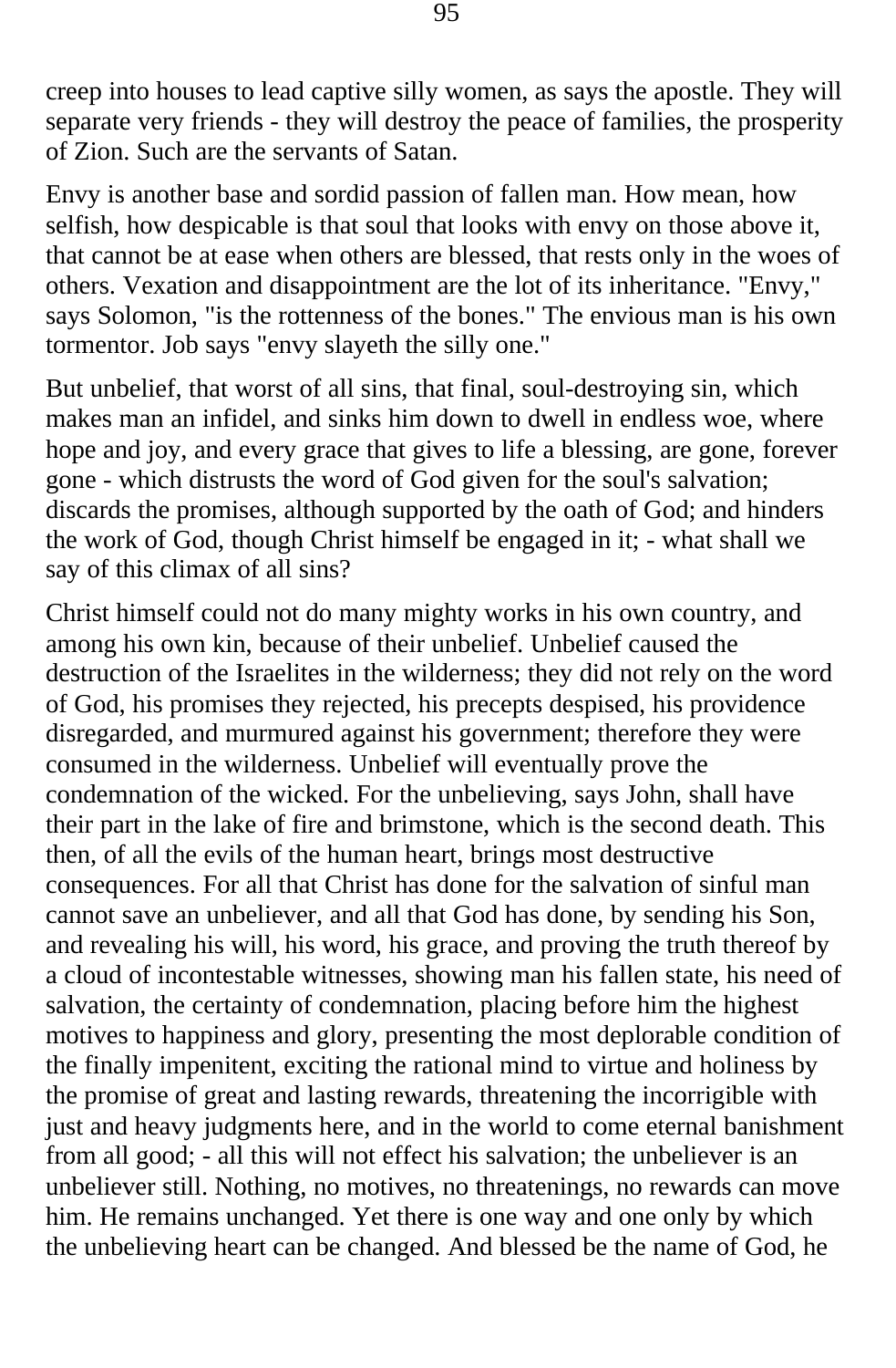creep into houses to lead captive silly women, as says the apostle. They will separate very friends - they will destroy the peace of families, the prosperity of Zion. Such are the servants of Satan.

Envy is another base and sordid passion of fallen man. How mean, how selfish, how despicable is that soul that looks with envy on those above it, that cannot be at ease when others are blessed, that rests only in the woes of others. Vexation and disappointment are the lot of its inheritance. "Envy," says Solomon, "is the rottenness of the bones." The envious man is his own tormentor. Job says "envy slayeth the silly one."

But unbelief, that worst of all sins, that final, soul-destroying sin, which makes man an infidel, and sinks him down to dwell in endless woe, where hope and joy, and every grace that gives to life a blessing, are gone, forever gone - which distrusts the word of God given for the soul's salvation; discards the promises, although supported by the oath of God; and hinders the work of God, though Christ himself be engaged in it; - what shall we say of this climax of all sins?

Christ himself could not do many mighty works in his own country, and among his own kin, because of their unbelief. Unbelief caused the destruction of the Israelites in the wilderness; they did not rely on the word of God, his promises they rejected, his precepts despised, his providence disregarded, and murmured against his government; therefore they were consumed in the wilderness. Unbelief will eventually prove the condemnation of the wicked. For the unbelieving, says John, shall have their part in the lake of fire and brimstone, which is the second death. This then, of all the evils of the human heart, brings most destructive consequences. For all that Christ has done for the salvation of sinful man cannot save an unbeliever, and all that God has done, by sending his Son, and revealing his will, his word, his grace, and proving the truth thereof by a cloud of incontestable witnesses, showing man his fallen state, his need of salvation, the certainty of condemnation, placing before him the highest motives to happiness and glory, presenting the most deplorable condition of the finally impenitent, exciting the rational mind to virtue and holiness by the promise of great and lasting rewards, threatening the incorrigible with just and heavy judgments here, and in the world to come eternal banishment from all good; - all this will not effect his salvation; the unbeliever is an unbeliever still. Nothing, no motives, no threatenings, no rewards can move him. He remains unchanged. Yet there is one way and one only by which the unbelieving heart can be changed. And blessed be the name of God, he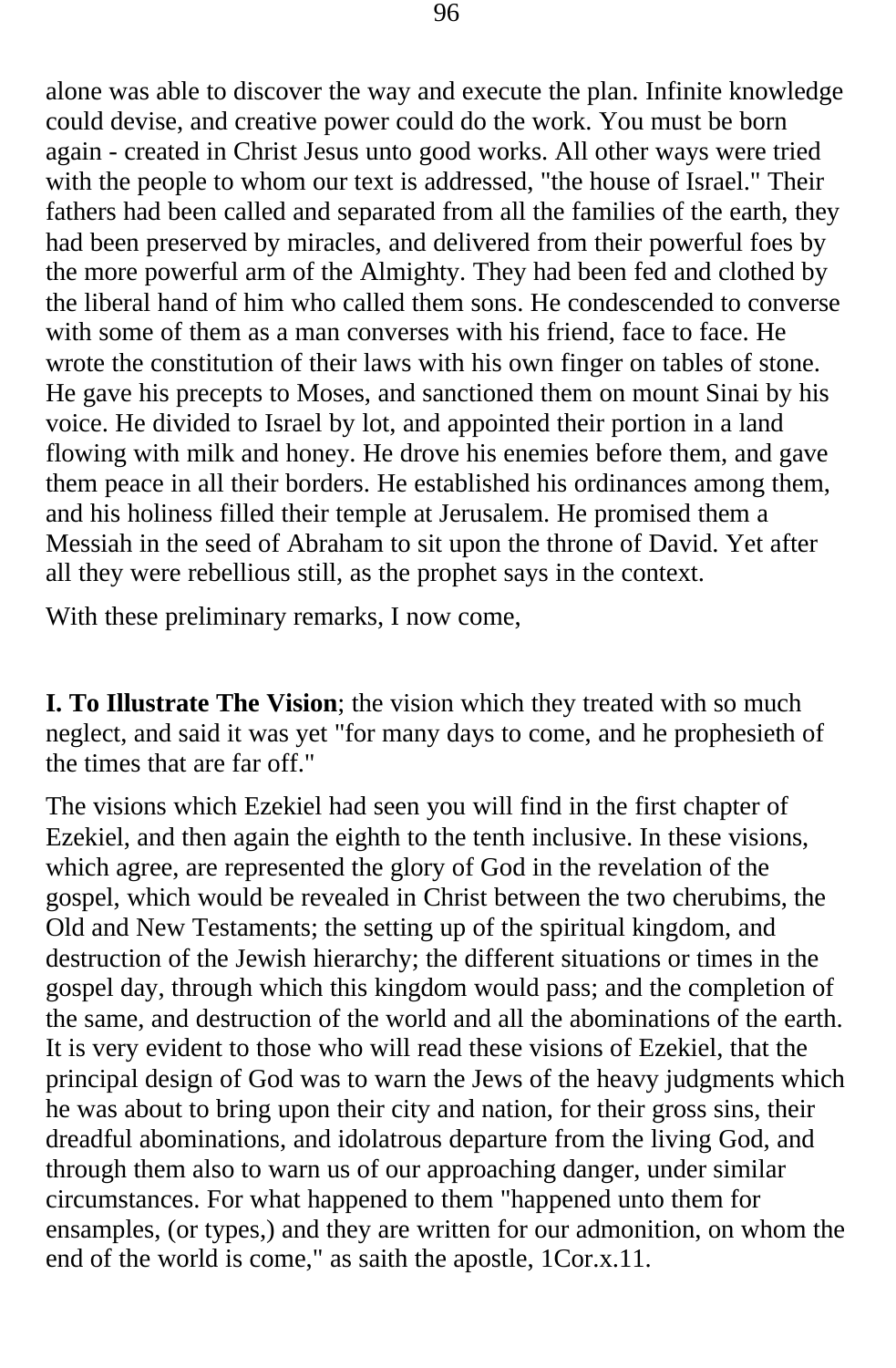alone was able to discover the way and execute the plan. Infinite knowledge could devise, and creative power could do the work. You must be born again - created in Christ Jesus unto good works. All other ways were tried with the people to whom our text is addressed, "the house of Israel." Their fathers had been called and separated from all the families of the earth, they had been preserved by miracles, and delivered from their powerful foes by the more powerful arm of the Almighty. They had been fed and clothed by the liberal hand of him who called them sons. He condescended to converse with some of them as a man converses with his friend, face to face. He wrote the constitution of their laws with his own finger on tables of stone. He gave his precepts to Moses, and sanctioned them on mount Sinai by his voice. He divided to Israel by lot, and appointed their portion in a land flowing with milk and honey. He drove his enemies before them, and gave them peace in all their borders. He established his ordinances among them, and his holiness filled their temple at Jerusalem. He promised them a Messiah in the seed of Abraham to sit upon the throne of David. Yet after all they were rebellious still, as the prophet says in the context.

With these preliminary remarks, I now come,

**I. To Illustrate The Vision**; the vision which they treated with so much neglect, and said it was yet "for many days to come, and he prophesieth of the times that are far off."

The visions which Ezekiel had seen you will find in the first chapter of Ezekiel, and then again the eighth to the tenth inclusive. In these visions, which agree, are represented the glory of God in the revelation of the gospel, which would be revealed in Christ between the two cherubims, the Old and New Testaments; the setting up of the spiritual kingdom, and destruction of the Jewish hierarchy; the different situations or times in the gospel day, through which this kingdom would pass; and the completion of the same, and destruction of the world and all the abominations of the earth. It is very evident to those who will read these visions of Ezekiel, that the principal design of God was to warn the Jews of the heavy judgments which he was about to bring upon their city and nation, for their gross sins, their dreadful abominations, and idolatrous departure from the living God, and through them also to warn us of our approaching danger, under similar circumstances. For what happened to them "happened unto them for ensamples, (or types,) and they are written for our admonition, on whom the end of the world is come," as saith the apostle, 1Cor.x.11.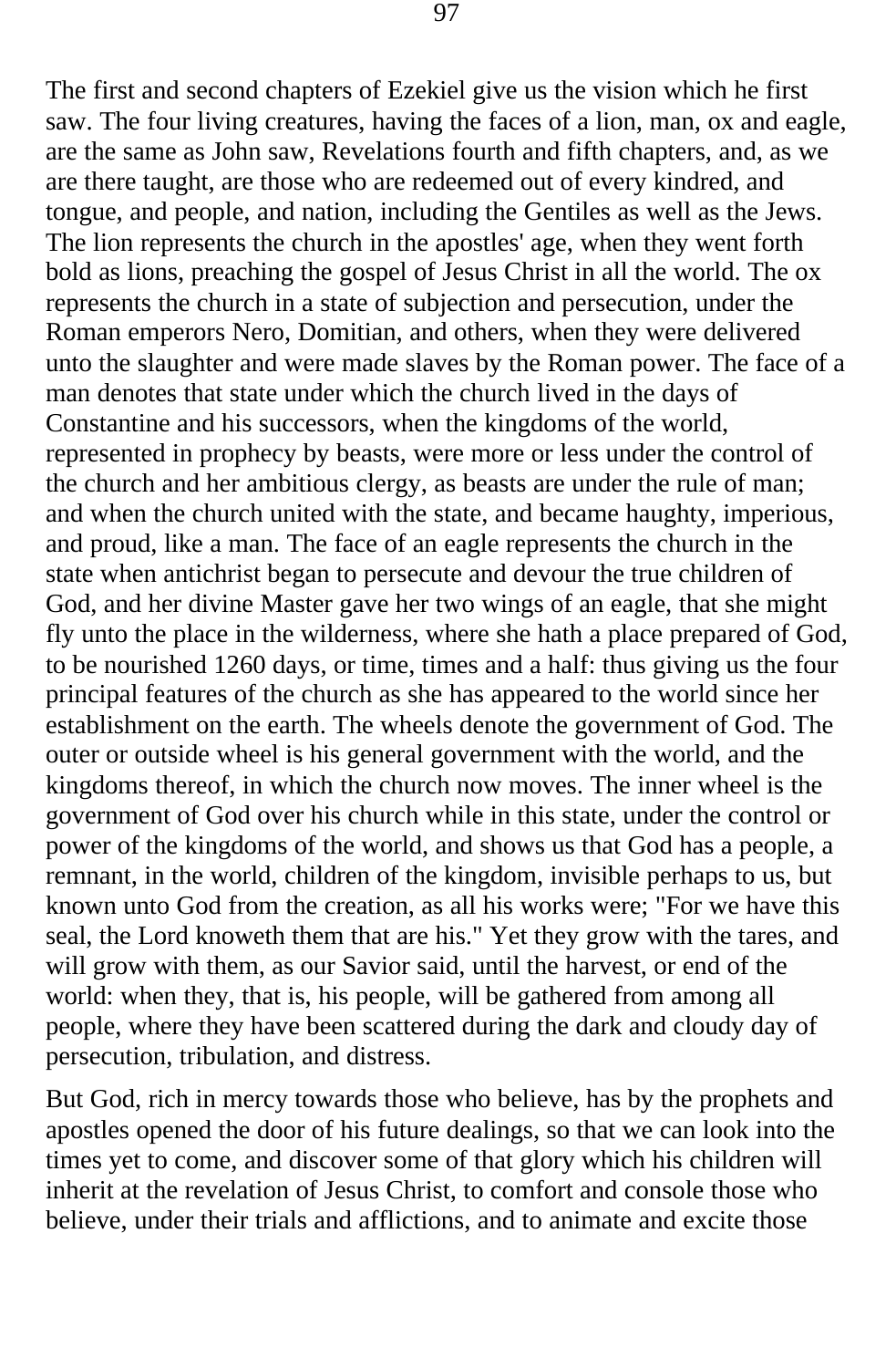The first and second chapters of Ezekiel give us the vision which he first saw. The four living creatures, having the faces of a lion, man, ox and eagle, are the same as John saw, Revelations fourth and fifth chapters, and, as we are there taught, are those who are redeemed out of every kindred, and tongue, and people, and nation, including the Gentiles as well as the Jews. The lion represents the church in the apostles' age, when they went forth bold as lions, preaching the gospel of Jesus Christ in all the world. The ox represents the church in a state of subjection and persecution, under the Roman emperors Nero, Domitian, and others, when they were delivered unto the slaughter and were made slaves by the Roman power. The face of a man denotes that state under which the church lived in the days of Constantine and his successors, when the kingdoms of the world, represented in prophecy by beasts, were more or less under the control of the church and her ambitious clergy, as beasts are under the rule of man; and when the church united with the state, and became haughty, imperious, and proud, like a man. The face of an eagle represents the church in the state when antichrist began to persecute and devour the true children of God, and her divine Master gave her two wings of an eagle, that she might fly unto the place in the wilderness, where she hath a place prepared of God, to be nourished 1260 days, or time, times and a half: thus giving us the four principal features of the church as she has appeared to the world since her establishment on the earth. The wheels denote the government of God. The outer or outside wheel is his general government with the world, and the kingdoms thereof, in which the church now moves. The inner wheel is the government of God over his church while in this state, under the control or power of the kingdoms of the world, and shows us that God has a people, a remnant, in the world, children of the kingdom, invisible perhaps to us, but known unto God from the creation, as all his works were; "For we have this seal, the Lord knoweth them that are his." Yet they grow with the tares, and will grow with them, as our Savior said, until the harvest, or end of the world: when they, that is, his people, will be gathered from among all people, where they have been scattered during the dark and cloudy day of persecution, tribulation, and distress.

But God, rich in mercy towards those who believe, has by the prophets and apostles opened the door of his future dealings, so that we can look into the times yet to come, and discover some of that glory which his children will inherit at the revelation of Jesus Christ, to comfort and console those who believe, under their trials and afflictions, and to animate and excite those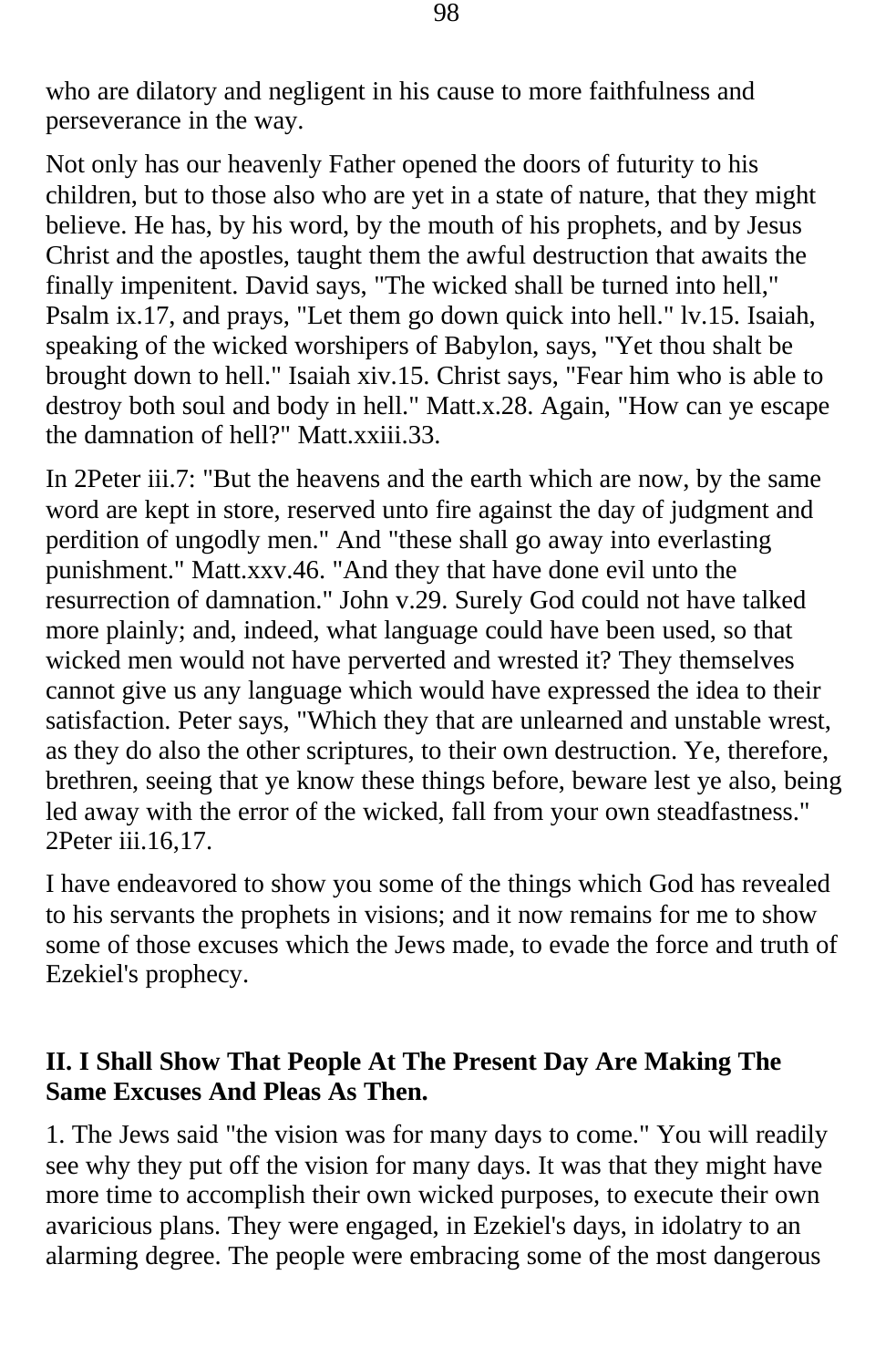who are dilatory and negligent in his cause to more faithfulness and perseverance in the way.

Not only has our heavenly Father opened the doors of futurity to his children, but to those also who are yet in a state of nature, that they might believe. He has, by his word, by the mouth of his prophets, and by Jesus Christ and the apostles, taught them the awful destruction that awaits the finally impenitent. David says, "The wicked shall be turned into hell," Psalm ix.17, and prays, "Let them go down quick into hell." lv.15. Isaiah, speaking of the wicked worshipers of Babylon, says, "Yet thou shalt be brought down to hell." Isaiah xiv.15. Christ says, "Fear him who is able to destroy both soul and body in hell." Matt.x.28. Again, "How can ye escape the damnation of hell?" Matt.xxiii.33.

In 2Peter iii.7: "But the heavens and the earth which are now, by the same word are kept in store, reserved unto fire against the day of judgment and perdition of ungodly men." And "these shall go away into everlasting punishment." Matt.xxv.46. "And they that have done evil unto the resurrection of damnation." John v.29. Surely God could not have talked more plainly; and, indeed, what language could have been used, so that wicked men would not have perverted and wrested it? They themselves cannot give us any language which would have expressed the idea to their satisfaction. Peter says, "Which they that are unlearned and unstable wrest, as they do also the other scriptures, to their own destruction. Ye, therefore, brethren, seeing that ye know these things before, beware lest ye also, being led away with the error of the wicked, fall from your own steadfastness." 2Peter iii.16,17.

I have endeavored to show you some of the things which God has revealed to his servants the prophets in visions; and it now remains for me to show some of those excuses which the Jews made, to evade the force and truth of Ezekiel's prophecy.

### **II. I Shall Show That People At The Present Day Are Making The Same Excuses And Pleas As Then.**

1. The Jews said "the vision was for many days to come." You will readily see why they put off the vision for many days. It was that they might have more time to accomplish their own wicked purposes, to execute their own avaricious plans. They were engaged, in Ezekiel's days, in idolatry to an alarming degree. The people were embracing some of the most dangerous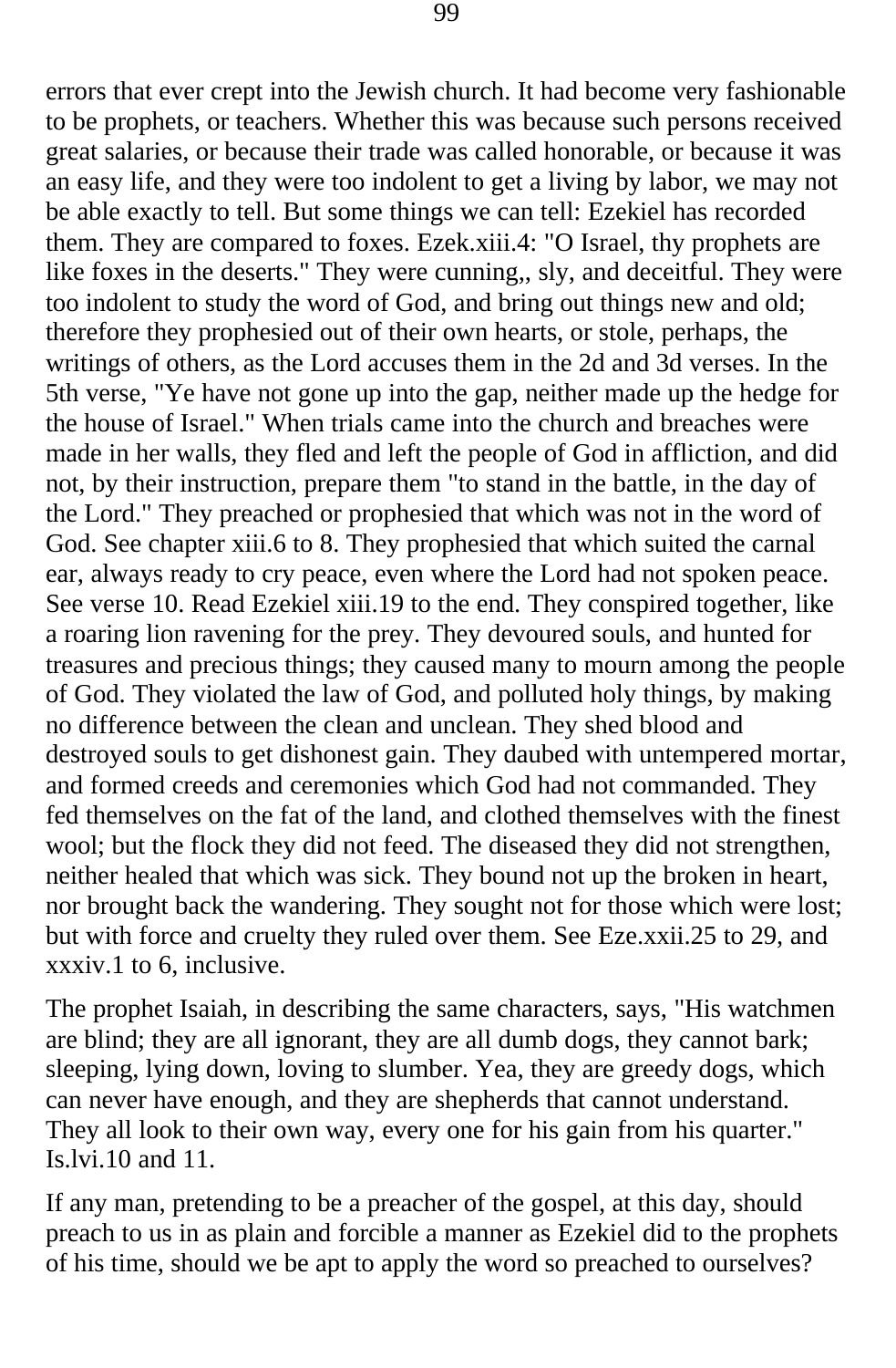errors that ever crept into the Jewish church. It had become very fashionable to be prophets, or teachers. Whether this was because such persons received great salaries, or because their trade was called honorable, or because it was an easy life, and they were too indolent to get a living by labor, we may not be able exactly to tell. But some things we can tell: Ezekiel has recorded them. They are compared to foxes. Ezek.xiii.4: "O Israel, thy prophets are like foxes in the deserts." They were cunning,, sly, and deceitful. They were too indolent to study the word of God, and bring out things new and old; therefore they prophesied out of their own hearts, or stole, perhaps, the writings of others, as the Lord accuses them in the 2d and 3d verses. In the 5th verse, "Ye have not gone up into the gap, neither made up the hedge for the house of Israel." When trials came into the church and breaches were made in her walls, they fled and left the people of God in affliction, and did not, by their instruction, prepare them "to stand in the battle, in the day of the Lord." They preached or prophesied that which was not in the word of God. See chapter xiii.6 to 8. They prophesied that which suited the carnal ear, always ready to cry peace, even where the Lord had not spoken peace. See verse 10. Read Ezekiel xiii.19 to the end. They conspired together, like a roaring lion ravening for the prey. They devoured souls, and hunted for treasures and precious things; they caused many to mourn among the people of God. They violated the law of God, and polluted holy things, by making no difference between the clean and unclean. They shed blood and destroyed souls to get dishonest gain. They daubed with untempered mortar, and formed creeds and ceremonies which God had not commanded. They fed themselves on the fat of the land, and clothed themselves with the finest wool; but the flock they did not feed. The diseased they did not strengthen, neither healed that which was sick. They bound not up the broken in heart, nor brought back the wandering. They sought not for those which were lost; but with force and cruelty they ruled over them. See Eze.xxii.25 to 29, and xxxiv.1 to 6, inclusive.

The prophet Isaiah, in describing the same characters, says, "His watchmen are blind; they are all ignorant, they are all dumb dogs, they cannot bark; sleeping, lying down, loving to slumber. Yea, they are greedy dogs, which can never have enough, and they are shepherds that cannot understand. They all look to their own way, every one for his gain from his quarter." Is.lvi.10 and 11.

If any man, pretending to be a preacher of the gospel, at this day, should preach to us in as plain and forcible a manner as Ezekiel did to the prophets of his time, should we be apt to apply the word so preached to ourselves?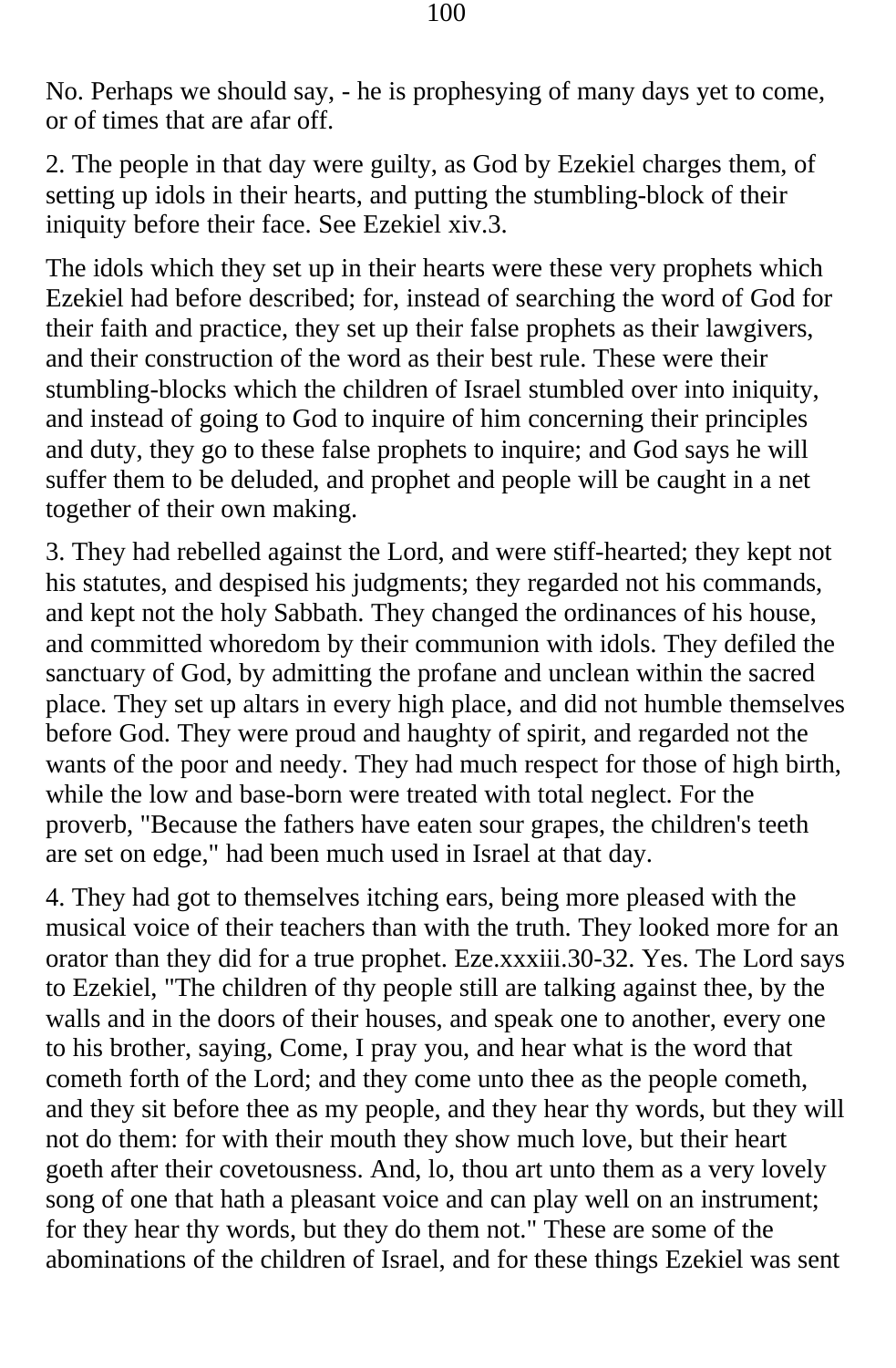No. Perhaps we should say, - he is prophesying of many days yet to come, or of times that are afar off.

2. The people in that day were guilty, as God by Ezekiel charges them, of setting up idols in their hearts, and putting the stumbling-block of their iniquity before their face. See Ezekiel xiv.3.

The idols which they set up in their hearts were these very prophets which Ezekiel had before described; for, instead of searching the word of God for their faith and practice, they set up their false prophets as their lawgivers, and their construction of the word as their best rule. These were their stumbling-blocks which the children of Israel stumbled over into iniquity, and instead of going to God to inquire of him concerning their principles and duty, they go to these false prophets to inquire; and God says he will suffer them to be deluded, and prophet and people will be caught in a net together of their own making.

3. They had rebelled against the Lord, and were stiff-hearted; they kept not his statutes, and despised his judgments; they regarded not his commands, and kept not the holy Sabbath. They changed the ordinances of his house, and committed whoredom by their communion with idols. They defiled the sanctuary of God, by admitting the profane and unclean within the sacred place. They set up altars in every high place, and did not humble themselves before God. They were proud and haughty of spirit, and regarded not the wants of the poor and needy. They had much respect for those of high birth, while the low and base-born were treated with total neglect. For the proverb, "Because the fathers have eaten sour grapes, the children's teeth are set on edge," had been much used in Israel at that day.

4. They had got to themselves itching ears, being more pleased with the musical voice of their teachers than with the truth. They looked more for an orator than they did for a true prophet. Eze.xxxiii.30-32. Yes. The Lord says to Ezekiel, "The children of thy people still are talking against thee, by the walls and in the doors of their houses, and speak one to another, every one to his brother, saying, Come, I pray you, and hear what is the word that cometh forth of the Lord; and they come unto thee as the people cometh, and they sit before thee as my people, and they hear thy words, but they will not do them: for with their mouth they show much love, but their heart goeth after their covetousness. And, lo, thou art unto them as a very lovely song of one that hath a pleasant voice and can play well on an instrument; for they hear thy words, but they do them not." These are some of the abominations of the children of Israel, and for these things Ezekiel was sent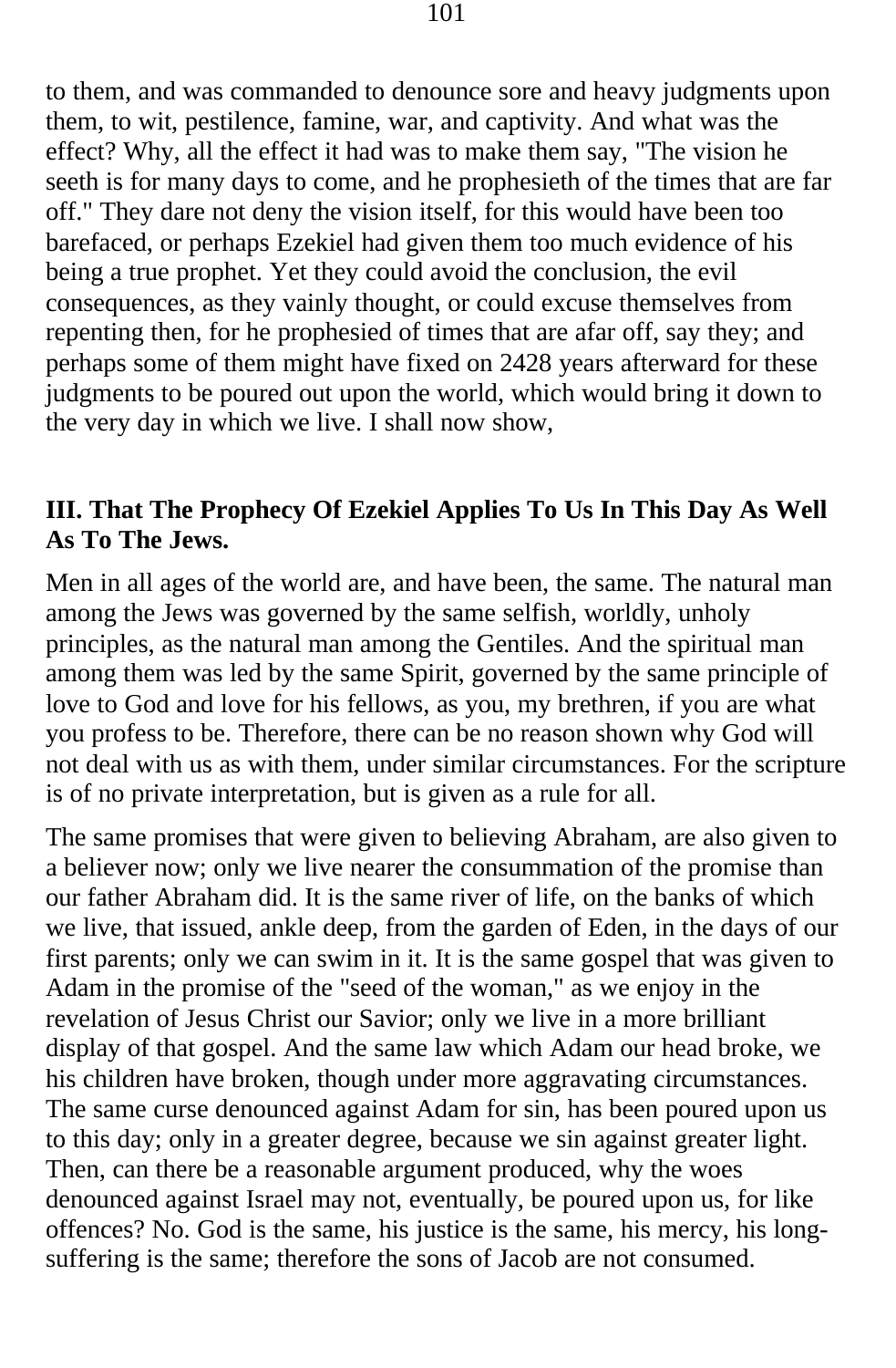to them, and was commanded to denounce sore and heavy judgments upon them, to wit, pestilence, famine, war, and captivity. And what was the effect? Why, all the effect it had was to make them say, "The vision he seeth is for many days to come, and he prophesieth of the times that are far off." They dare not deny the vision itself, for this would have been too barefaced, or perhaps Ezekiel had given them too much evidence of his being a true prophet. Yet they could avoid the conclusion, the evil consequences, as they vainly thought, or could excuse themselves from repenting then, for he prophesied of times that are afar off, say they; and perhaps some of them might have fixed on 2428 years afterward for these judgments to be poured out upon the world, which would bring it down to the very day in which we live. I shall now show,

### **III. That The Prophecy Of Ezekiel Applies To Us In This Day As Well As To The Jews.**

Men in all ages of the world are, and have been, the same. The natural man among the Jews was governed by the same selfish, worldly, unholy principles, as the natural man among the Gentiles. And the spiritual man among them was led by the same Spirit, governed by the same principle of love to God and love for his fellows, as you, my brethren, if you are what you profess to be. Therefore, there can be no reason shown why God will not deal with us as with them, under similar circumstances. For the scripture is of no private interpretation, but is given as a rule for all.

The same promises that were given to believing Abraham, are also given to a believer now; only we live nearer the consummation of the promise than our father Abraham did. It is the same river of life, on the banks of which we live, that issued, ankle deep, from the garden of Eden, in the days of our first parents; only we can swim in it. It is the same gospel that was given to Adam in the promise of the "seed of the woman," as we enjoy in the revelation of Jesus Christ our Savior; only we live in a more brilliant display of that gospel. And the same law which Adam our head broke, we his children have broken, though under more aggravating circumstances. The same curse denounced against Adam for sin, has been poured upon us to this day; only in a greater degree, because we sin against greater light. Then, can there be a reasonable argument produced, why the woes denounced against Israel may not, eventually, be poured upon us, for like offences? No. God is the same, his justice is the same, his mercy, his longsuffering is the same; therefore the sons of Jacob are not consumed.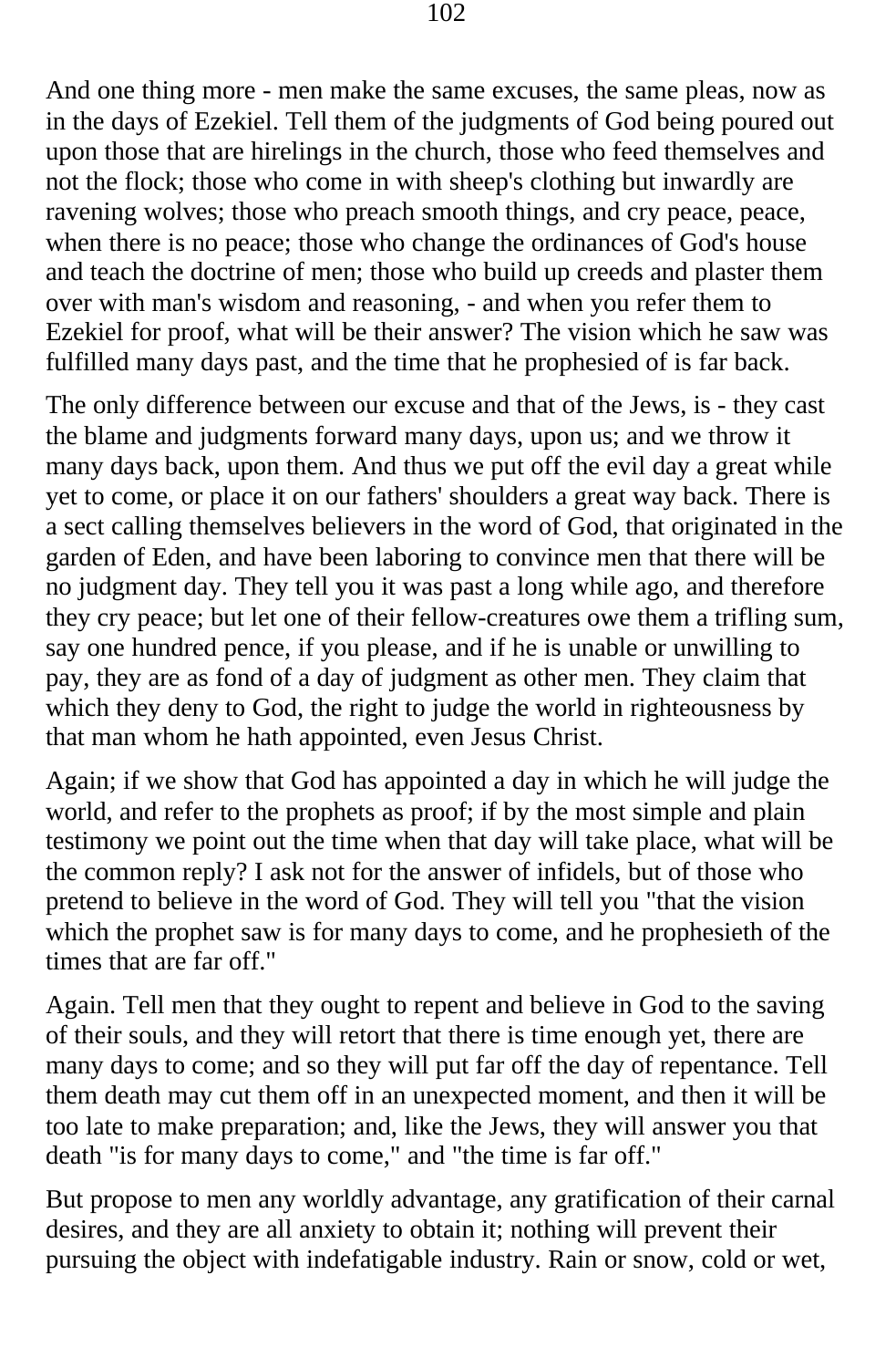And one thing more - men make the same excuses, the same pleas, now as in the days of Ezekiel. Tell them of the judgments of God being poured out upon those that are hirelings in the church, those who feed themselves and not the flock; those who come in with sheep's clothing but inwardly are ravening wolves; those who preach smooth things, and cry peace, peace, when there is no peace; those who change the ordinances of God's house and teach the doctrine of men; those who build up creeds and plaster them over with man's wisdom and reasoning, - and when you refer them to Ezekiel for proof, what will be their answer? The vision which he saw was fulfilled many days past, and the time that he prophesied of is far back.

The only difference between our excuse and that of the Jews, is - they cast the blame and judgments forward many days, upon us; and we throw it many days back, upon them. And thus we put off the evil day a great while yet to come, or place it on our fathers' shoulders a great way back. There is a sect calling themselves believers in the word of God, that originated in the garden of Eden, and have been laboring to convince men that there will be no judgment day. They tell you it was past a long while ago, and therefore they cry peace; but let one of their fellow-creatures owe them a trifling sum, say one hundred pence, if you please, and if he is unable or unwilling to pay, they are as fond of a day of judgment as other men. They claim that which they deny to God, the right to judge the world in righteousness by that man whom he hath appointed, even Jesus Christ.

Again; if we show that God has appointed a day in which he will judge the world, and refer to the prophets as proof; if by the most simple and plain testimony we point out the time when that day will take place, what will be the common reply? I ask not for the answer of infidels, but of those who pretend to believe in the word of God. They will tell you "that the vision which the prophet saw is for many days to come, and he prophesieth of the times that are far off."

Again. Tell men that they ought to repent and believe in God to the saving of their souls, and they will retort that there is time enough yet, there are many days to come; and so they will put far off the day of repentance. Tell them death may cut them off in an unexpected moment, and then it will be too late to make preparation; and, like the Jews, they will answer you that death "is for many days to come," and "the time is far off."

But propose to men any worldly advantage, any gratification of their carnal desires, and they are all anxiety to obtain it; nothing will prevent their pursuing the object with indefatigable industry. Rain or snow, cold or wet,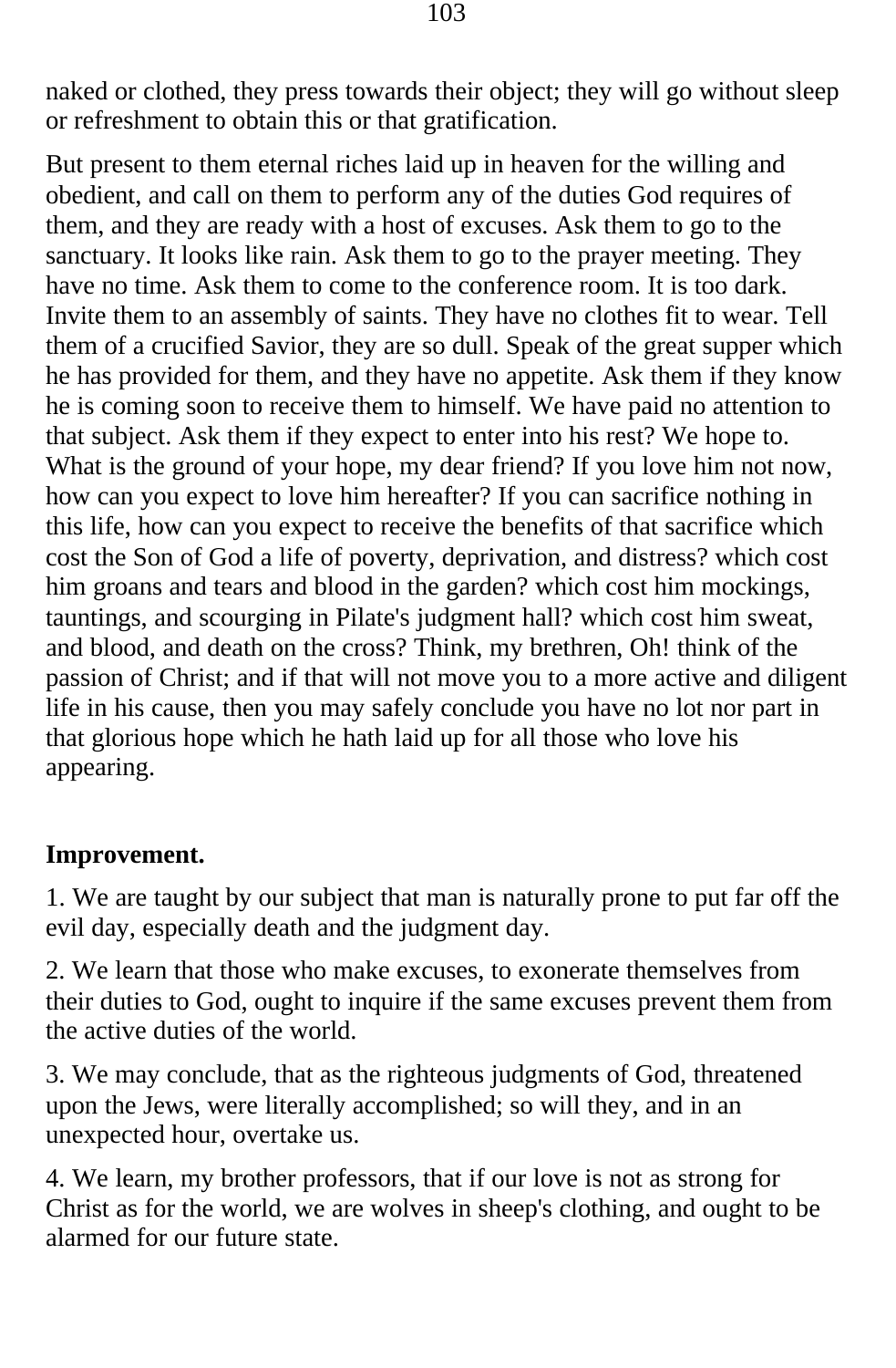naked or clothed, they press towards their object; they will go without sleep or refreshment to obtain this or that gratification.

But present to them eternal riches laid up in heaven for the willing and obedient, and call on them to perform any of the duties God requires of them, and they are ready with a host of excuses. Ask them to go to the sanctuary. It looks like rain. Ask them to go to the prayer meeting. They have no time. Ask them to come to the conference room. It is too dark. Invite them to an assembly of saints. They have no clothes fit to wear. Tell them of a crucified Savior, they are so dull. Speak of the great supper which he has provided for them, and they have no appetite. Ask them if they know he is coming soon to receive them to himself. We have paid no attention to that subject. Ask them if they expect to enter into his rest? We hope to. What is the ground of your hope, my dear friend? If you love him not now, how can you expect to love him hereafter? If you can sacrifice nothing in this life, how can you expect to receive the benefits of that sacrifice which cost the Son of God a life of poverty, deprivation, and distress? which cost him groans and tears and blood in the garden? which cost him mockings, tauntings, and scourging in Pilate's judgment hall? which cost him sweat, and blood, and death on the cross? Think, my brethren, Oh! think of the passion of Christ; and if that will not move you to a more active and diligent life in his cause, then you may safely conclude you have no lot nor part in that glorious hope which he hath laid up for all those who love his appearing.

### **Improvement.**

1. We are taught by our subject that man is naturally prone to put far off the evil day, especially death and the judgment day.

2. We learn that those who make excuses, to exonerate themselves from their duties to God, ought to inquire if the same excuses prevent them from the active duties of the world.

3. We may conclude, that as the righteous judgments of God, threatened upon the Jews, were literally accomplished; so will they, and in an unexpected hour, overtake us.

4. We learn, my brother professors, that if our love is not as strong for Christ as for the world, we are wolves in sheep's clothing, and ought to be alarmed for our future state.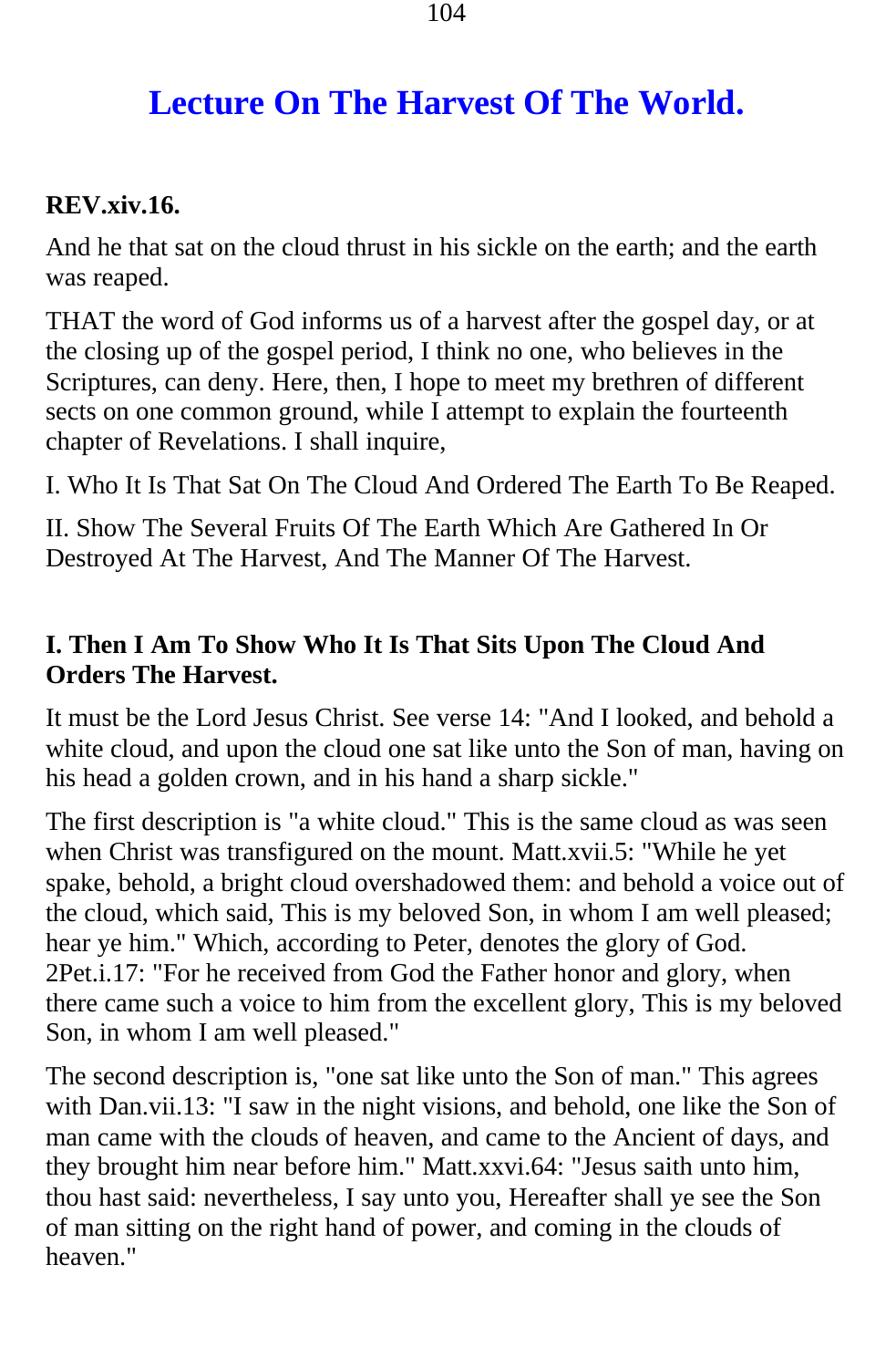# **Lecture On The Harvest Of The World.**

## **REV.xiv.16.**

And he that sat on the cloud thrust in his sickle on the earth; and the earth was reaped.

THAT the word of God informs us of a harvest after the gospel day, or at the closing up of the gospel period, I think no one, who believes in the Scriptures, can deny. Here, then, I hope to meet my brethren of different sects on one common ground, while I attempt to explain the fourteenth chapter of Revelations. I shall inquire,

I. Who It Is That Sat On The Cloud And Ordered The Earth To Be Reaped.

II. Show The Several Fruits Of The Earth Which Are Gathered In Or Destroyed At The Harvest, And The Manner Of The Harvest.

### **I. Then I Am To Show Who It Is That Sits Upon The Cloud And Orders The Harvest.**

It must be the Lord Jesus Christ. See verse 14: "And I looked, and behold a white cloud, and upon the cloud one sat like unto the Son of man, having on his head a golden crown, and in his hand a sharp sickle."

The first description is "a white cloud." This is the same cloud as was seen when Christ was transfigured on the mount. Matt.xvii.5: "While he yet spake, behold, a bright cloud overshadowed them: and behold a voice out of the cloud, which said, This is my beloved Son, in whom I am well pleased; hear ye him." Which, according to Peter, denotes the glory of God. 2Pet.i.17: "For he received from God the Father honor and glory, when there came such a voice to him from the excellent glory, This is my beloved Son, in whom I am well pleased."

The second description is, "one sat like unto the Son of man." This agrees with Dan.vii.13: "I saw in the night visions, and behold, one like the Son of man came with the clouds of heaven, and came to the Ancient of days, and they brought him near before him." Matt.xxvi.64: "Jesus saith unto him, thou hast said: nevertheless, I say unto you, Hereafter shall ye see the Son of man sitting on the right hand of power, and coming in the clouds of heaven."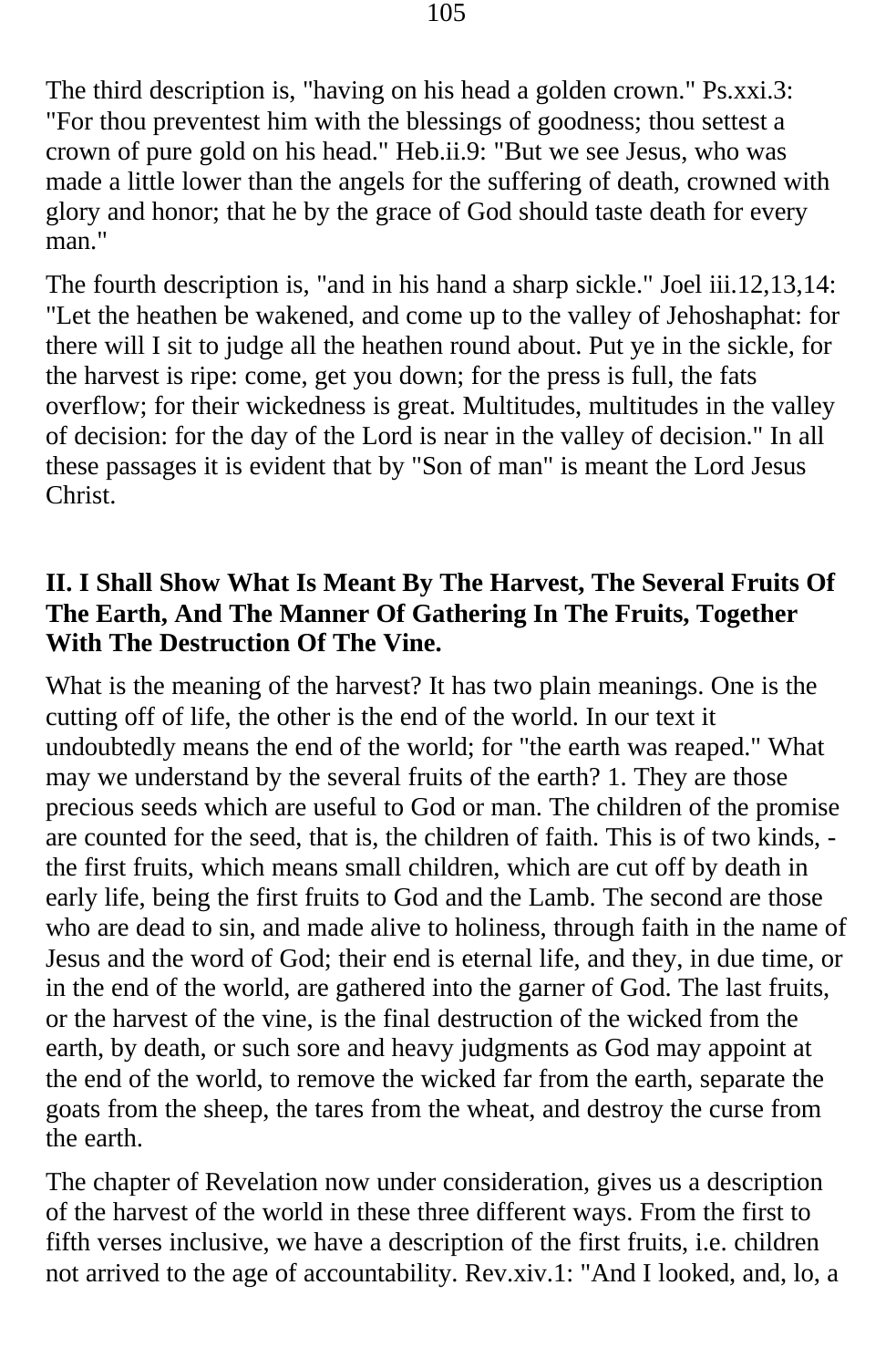The third description is, "having on his head a golden crown." Ps.xxi.3: "For thou preventest him with the blessings of goodness; thou settest a crown of pure gold on his head." Heb.ii.9: "But we see Jesus, who was made a little lower than the angels for the suffering of death, crowned with glory and honor; that he by the grace of God should taste death for every man."

The fourth description is, "and in his hand a sharp sickle." Joel iii.12,13,14: "Let the heathen be wakened, and come up to the valley of Jehoshaphat: for there will I sit to judge all the heathen round about. Put ye in the sickle, for the harvest is ripe: come, get you down; for the press is full, the fats overflow; for their wickedness is great. Multitudes, multitudes in the valley of decision: for the day of the Lord is near in the valley of decision." In all these passages it is evident that by "Son of man" is meant the Lord Jesus Christ.

### **II. I Shall Show What Is Meant By The Harvest, The Several Fruits Of The Earth, And The Manner Of Gathering In The Fruits, Together With The Destruction Of The Vine.**

What is the meaning of the harvest? It has two plain meanings. One is the cutting off of life, the other is the end of the world. In our text it undoubtedly means the end of the world; for "the earth was reaped." What may we understand by the several fruits of the earth? 1. They are those precious seeds which are useful to God or man. The children of the promise are counted for the seed, that is, the children of faith. This is of two kinds, the first fruits, which means small children, which are cut off by death in early life, being the first fruits to God and the Lamb. The second are those who are dead to sin, and made alive to holiness, through faith in the name of Jesus and the word of God; their end is eternal life, and they, in due time, or in the end of the world, are gathered into the garner of God. The last fruits, or the harvest of the vine, is the final destruction of the wicked from the earth, by death, or such sore and heavy judgments as God may appoint at the end of the world, to remove the wicked far from the earth, separate the goats from the sheep, the tares from the wheat, and destroy the curse from the earth.

The chapter of Revelation now under consideration, gives us a description of the harvest of the world in these three different ways. From the first to fifth verses inclusive, we have a description of the first fruits, i.e. children not arrived to the age of accountability. Rev.xiv.1: "And I looked, and, lo, a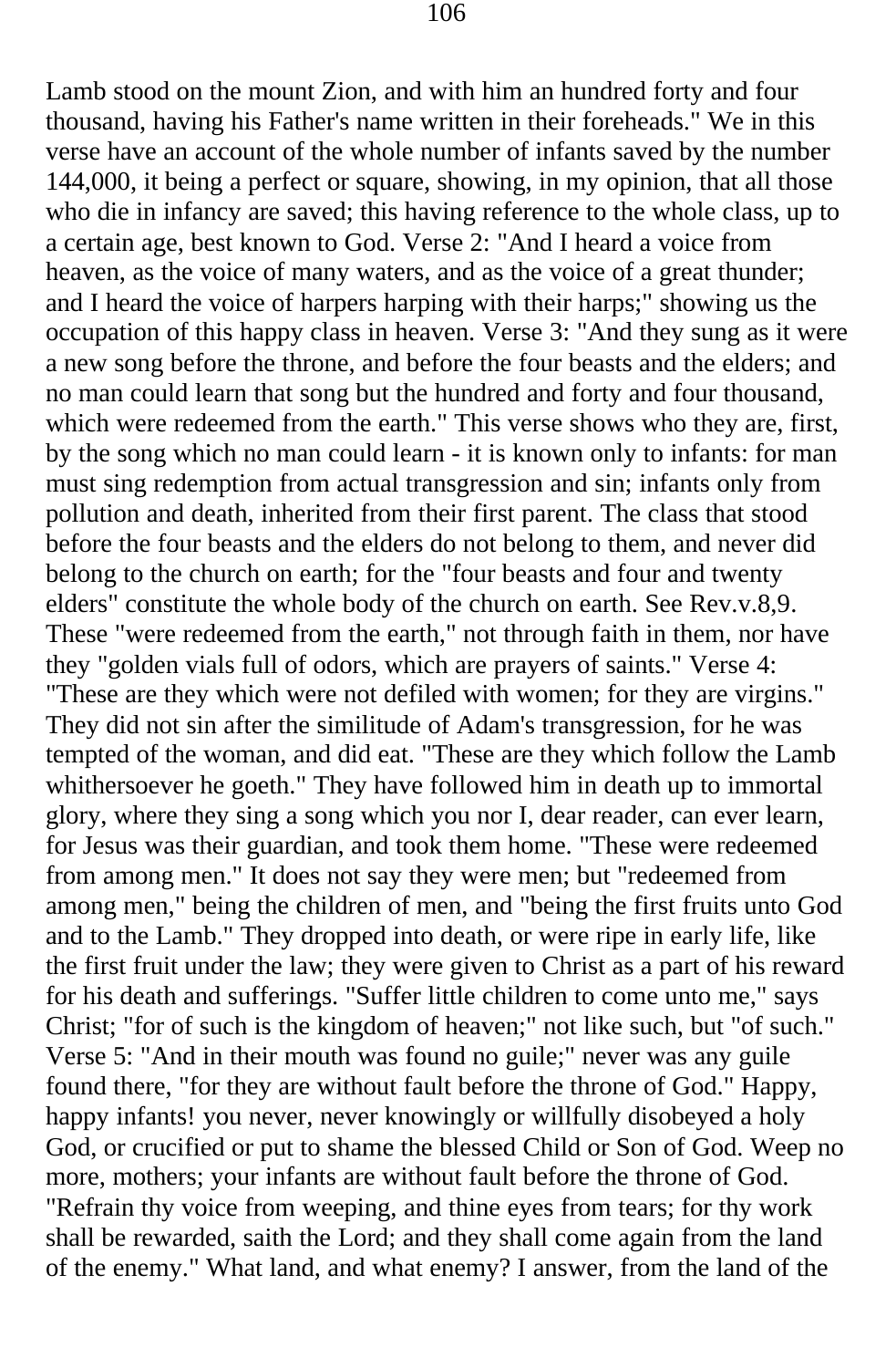Lamb stood on the mount Zion, and with him an hundred forty and four thousand, having his Father's name written in their foreheads." We in this verse have an account of the whole number of infants saved by the number 144,000, it being a perfect or square, showing, in my opinion, that all those who die in infancy are saved; this having reference to the whole class, up to a certain age, best known to God. Verse 2: "And I heard a voice from heaven, as the voice of many waters, and as the voice of a great thunder; and I heard the voice of harpers harping with their harps;" showing us the occupation of this happy class in heaven. Verse 3: "And they sung as it were a new song before the throne, and before the four beasts and the elders; and no man could learn that song but the hundred and forty and four thousand, which were redeemed from the earth." This verse shows who they are, first, by the song which no man could learn - it is known only to infants: for man must sing redemption from actual transgression and sin; infants only from pollution and death, inherited from their first parent. The class that stood before the four beasts and the elders do not belong to them, and never did belong to the church on earth; for the "four beasts and four and twenty elders" constitute the whole body of the church on earth. See Rev.v.8,9. These "were redeemed from the earth," not through faith in them, nor have they "golden vials full of odors, which are prayers of saints." Verse 4: "These are they which were not defiled with women; for they are virgins." They did not sin after the similitude of Adam's transgression, for he was tempted of the woman, and did eat. "These are they which follow the Lamb whithersoever he goeth." They have followed him in death up to immortal glory, where they sing a song which you nor I, dear reader, can ever learn, for Jesus was their guardian, and took them home. "These were redeemed from among men." It does not say they were men; but "redeemed from among men," being the children of men, and "being the first fruits unto God and to the Lamb." They dropped into death, or were ripe in early life, like the first fruit under the law; they were given to Christ as a part of his reward for his death and sufferings. "Suffer little children to come unto me," says Christ; "for of such is the kingdom of heaven;" not like such, but "of such." Verse 5: "And in their mouth was found no guile;" never was any guile found there, "for they are without fault before the throne of God." Happy, happy infants! you never, never knowingly or willfully disobeyed a holy God, or crucified or put to shame the blessed Child or Son of God. Weep no more, mothers; your infants are without fault before the throne of God. "Refrain thy voice from weeping, and thine eyes from tears; for thy work shall be rewarded, saith the Lord; and they shall come again from the land of the enemy." What land, and what enemy? I answer, from the land of the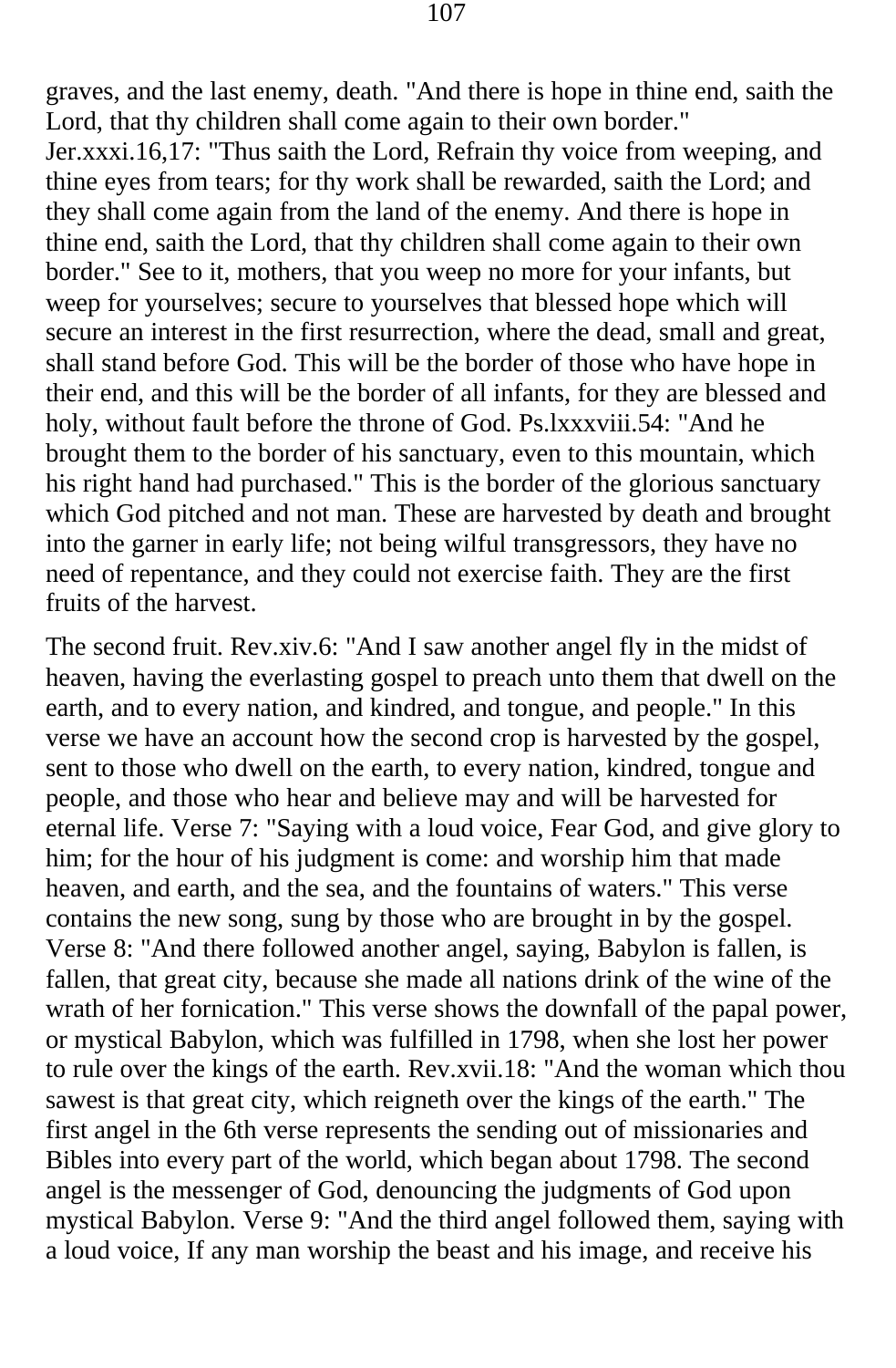graves, and the last enemy, death. "And there is hope in thine end, saith the Lord, that thy children shall come again to their own border."

Jer.xxxi.16,17: "Thus saith the Lord, Refrain thy voice from weeping, and thine eyes from tears; for thy work shall be rewarded, saith the Lord; and they shall come again from the land of the enemy. And there is hope in thine end, saith the Lord, that thy children shall come again to their own border." See to it, mothers, that you weep no more for your infants, but weep for yourselves; secure to yourselves that blessed hope which will secure an interest in the first resurrection, where the dead, small and great, shall stand before God. This will be the border of those who have hope in their end, and this will be the border of all infants, for they are blessed and holy, without fault before the throne of God. Ps.lxxxviii.54: "And he brought them to the border of his sanctuary, even to this mountain, which his right hand had purchased." This is the border of the glorious sanctuary which God pitched and not man. These are harvested by death and brought into the garner in early life; not being wilful transgressors, they have no need of repentance, and they could not exercise faith. They are the first fruits of the harvest.

The second fruit. Rev.xiv.6: "And I saw another angel fly in the midst of heaven, having the everlasting gospel to preach unto them that dwell on the earth, and to every nation, and kindred, and tongue, and people." In this verse we have an account how the second crop is harvested by the gospel, sent to those who dwell on the earth, to every nation, kindred, tongue and people, and those who hear and believe may and will be harvested for eternal life. Verse 7: "Saying with a loud voice, Fear God, and give glory to him; for the hour of his judgment is come: and worship him that made heaven, and earth, and the sea, and the fountains of waters." This verse contains the new song, sung by those who are brought in by the gospel. Verse 8: "And there followed another angel, saying, Babylon is fallen, is fallen, that great city, because she made all nations drink of the wine of the wrath of her fornication." This verse shows the downfall of the papal power, or mystical Babylon, which was fulfilled in 1798, when she lost her power to rule over the kings of the earth. Rev.xvii.18: "And the woman which thou sawest is that great city, which reigneth over the kings of the earth." The first angel in the 6th verse represents the sending out of missionaries and Bibles into every part of the world, which began about 1798. The second angel is the messenger of God, denouncing the judgments of God upon mystical Babylon. Verse 9: "And the third angel followed them, saying with a loud voice, If any man worship the beast and his image, and receive his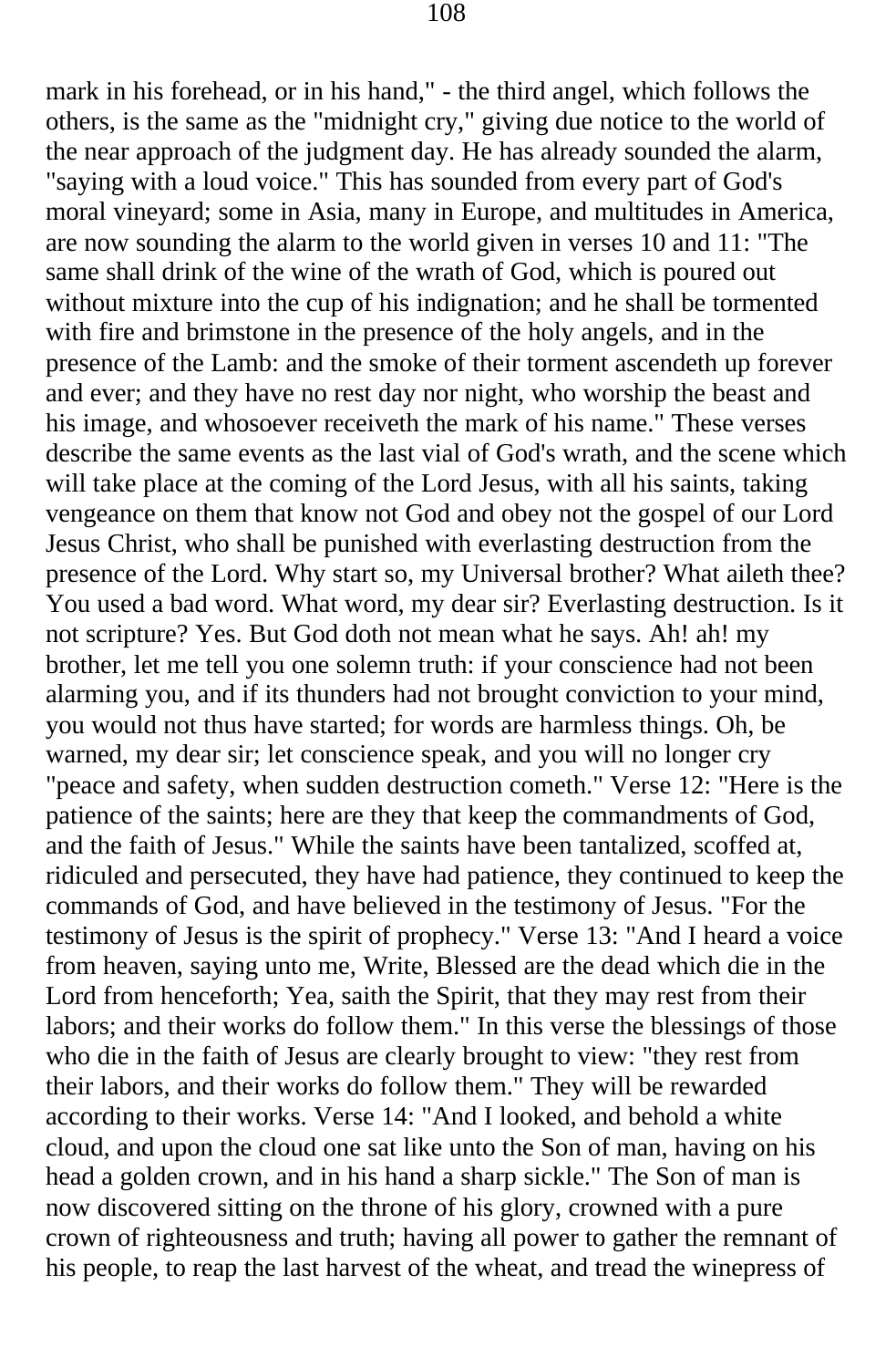mark in his forehead, or in his hand," - the third angel, which follows the others, is the same as the "midnight cry," giving due notice to the world of the near approach of the judgment day. He has already sounded the alarm, "saying with a loud voice." This has sounded from every part of God's moral vineyard; some in Asia, many in Europe, and multitudes in America, are now sounding the alarm to the world given in verses 10 and 11: "The same shall drink of the wine of the wrath of God, which is poured out without mixture into the cup of his indignation; and he shall be tormented with fire and brimstone in the presence of the holy angels, and in the presence of the Lamb: and the smoke of their torment ascendeth up forever and ever; and they have no rest day nor night, who worship the beast and his image, and whosoever receiveth the mark of his name." These verses describe the same events as the last vial of God's wrath, and the scene which will take place at the coming of the Lord Jesus, with all his saints, taking vengeance on them that know not God and obey not the gospel of our Lord Jesus Christ, who shall be punished with everlasting destruction from the presence of the Lord. Why start so, my Universal brother? What aileth thee? You used a bad word. What word, my dear sir? Everlasting destruction. Is it not scripture? Yes. But God doth not mean what he says. Ah! ah! my brother, let me tell you one solemn truth: if your conscience had not been alarming you, and if its thunders had not brought conviction to your mind, you would not thus have started; for words are harmless things. Oh, be warned, my dear sir; let conscience speak, and you will no longer cry "peace and safety, when sudden destruction cometh." Verse 12: "Here is the patience of the saints; here are they that keep the commandments of God, and the faith of Jesus." While the saints have been tantalized, scoffed at, ridiculed and persecuted, they have had patience, they continued to keep the commands of God, and have believed in the testimony of Jesus. "For the testimony of Jesus is the spirit of prophecy." Verse 13: "And I heard a voice from heaven, saying unto me, Write, Blessed are the dead which die in the Lord from henceforth; Yea, saith the Spirit, that they may rest from their labors; and their works do follow them." In this verse the blessings of those who die in the faith of Jesus are clearly brought to view: "they rest from their labors, and their works do follow them." They will be rewarded according to their works. Verse 14: "And I looked, and behold a white cloud, and upon the cloud one sat like unto the Son of man, having on his head a golden crown, and in his hand a sharp sickle." The Son of man is now discovered sitting on the throne of his glory, crowned with a pure crown of righteousness and truth; having all power to gather the remnant of his people, to reap the last harvest of the wheat, and tread the winepress of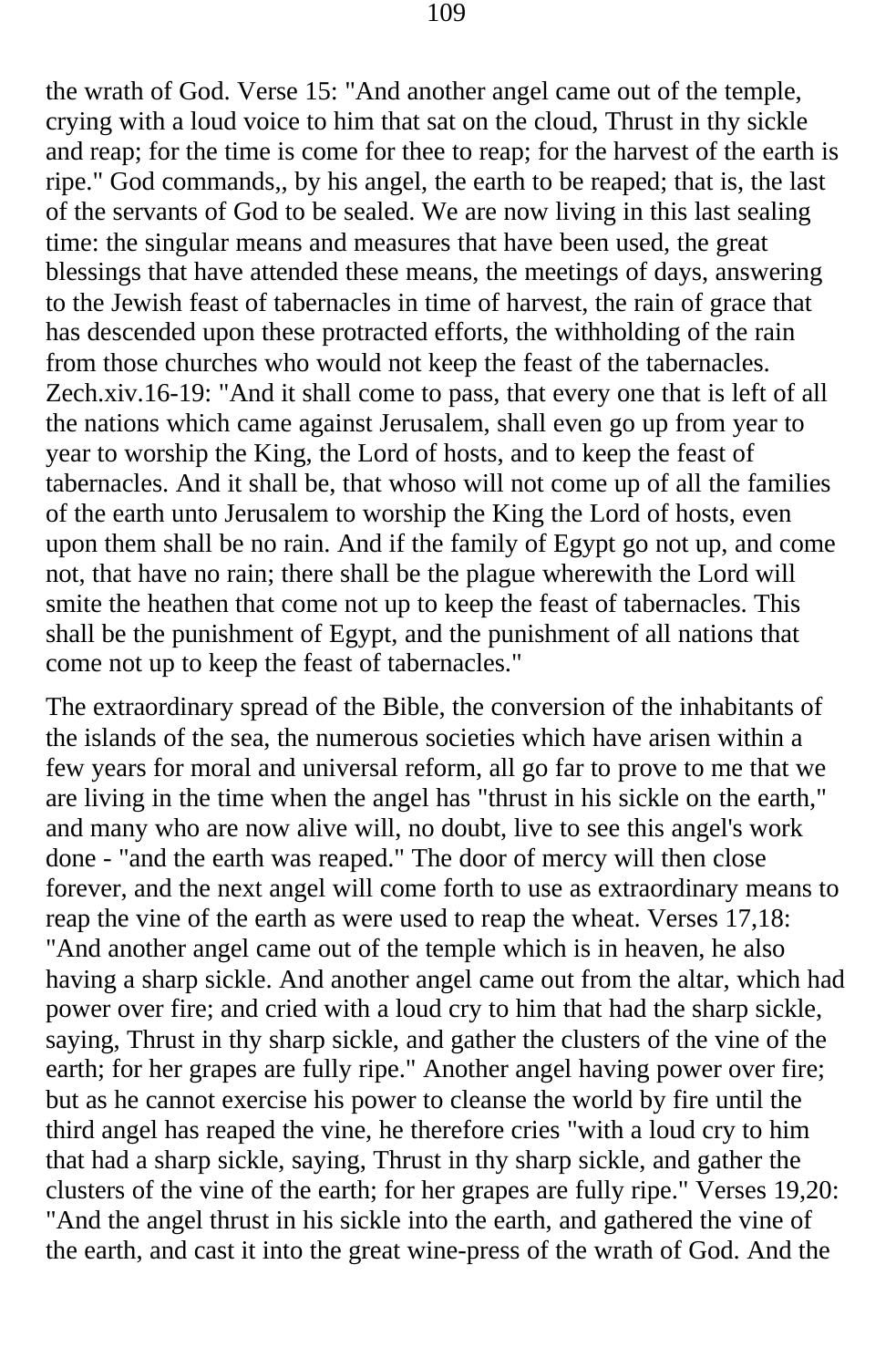the wrath of God. Verse 15: "And another angel came out of the temple, crying with a loud voice to him that sat on the cloud, Thrust in thy sickle and reap; for the time is come for thee to reap; for the harvest of the earth is ripe." God commands,, by his angel, the earth to be reaped; that is, the last of the servants of God to be sealed. We are now living in this last sealing time: the singular means and measures that have been used, the great blessings that have attended these means, the meetings of days, answering to the Jewish feast of tabernacles in time of harvest, the rain of grace that has descended upon these protracted efforts, the withholding of the rain from those churches who would not keep the feast of the tabernacles. Zech.xiv.16-19: "And it shall come to pass, that every one that is left of all the nations which came against Jerusalem, shall even go up from year to year to worship the King, the Lord of hosts, and to keep the feast of tabernacles. And it shall be, that whoso will not come up of all the families of the earth unto Jerusalem to worship the King the Lord of hosts, even upon them shall be no rain. And if the family of Egypt go not up, and come not, that have no rain; there shall be the plague wherewith the Lord will smite the heathen that come not up to keep the feast of tabernacles. This shall be the punishment of Egypt, and the punishment of all nations that come not up to keep the feast of tabernacles."

The extraordinary spread of the Bible, the conversion of the inhabitants of the islands of the sea, the numerous societies which have arisen within a few years for moral and universal reform, all go far to prove to me that we are living in the time when the angel has "thrust in his sickle on the earth," and many who are now alive will, no doubt, live to see this angel's work done - "and the earth was reaped." The door of mercy will then close forever, and the next angel will come forth to use as extraordinary means to reap the vine of the earth as were used to reap the wheat. Verses 17,18: "And another angel came out of the temple which is in heaven, he also having a sharp sickle. And another angel came out from the altar, which had power over fire; and cried with a loud cry to him that had the sharp sickle, saying, Thrust in thy sharp sickle, and gather the clusters of the vine of the earth; for her grapes are fully ripe." Another angel having power over fire; but as he cannot exercise his power to cleanse the world by fire until the third angel has reaped the vine, he therefore cries "with a loud cry to him that had a sharp sickle, saying, Thrust in thy sharp sickle, and gather the clusters of the vine of the earth; for her grapes are fully ripe." Verses 19,20: "And the angel thrust in his sickle into the earth, and gathered the vine of the earth, and cast it into the great wine-press of the wrath of God. And the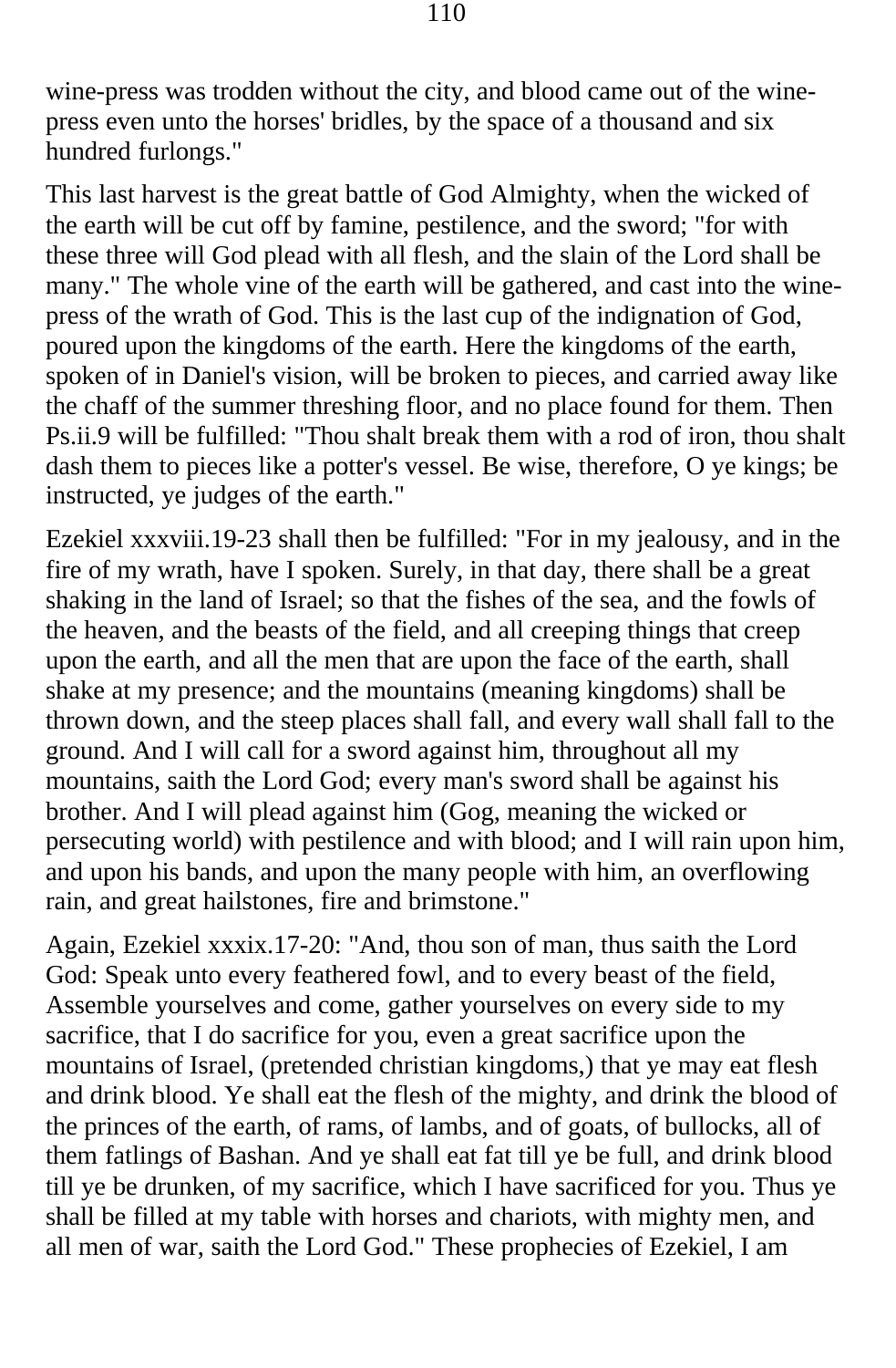wine-press was trodden without the city, and blood came out of the winepress even unto the horses' bridles, by the space of a thousand and six hundred furlongs."

This last harvest is the great battle of God Almighty, when the wicked of the earth will be cut off by famine, pestilence, and the sword; "for with these three will God plead with all flesh, and the slain of the Lord shall be many." The whole vine of the earth will be gathered, and cast into the winepress of the wrath of God. This is the last cup of the indignation of God, poured upon the kingdoms of the earth. Here the kingdoms of the earth, spoken of in Daniel's vision, will be broken to pieces, and carried away like the chaff of the summer threshing floor, and no place found for them. Then Ps.ii.9 will be fulfilled: "Thou shalt break them with a rod of iron, thou shalt dash them to pieces like a potter's vessel. Be wise, therefore, O ye kings; be instructed, ye judges of the earth."

Ezekiel xxxviii.19-23 shall then be fulfilled: "For in my jealousy, and in the fire of my wrath, have I spoken. Surely, in that day, there shall be a great shaking in the land of Israel; so that the fishes of the sea, and the fowls of the heaven, and the beasts of the field, and all creeping things that creep upon the earth, and all the men that are upon the face of the earth, shall shake at my presence; and the mountains (meaning kingdoms) shall be thrown down, and the steep places shall fall, and every wall shall fall to the ground. And I will call for a sword against him, throughout all my mountains, saith the Lord God; every man's sword shall be against his brother. And I will plead against him (Gog, meaning the wicked or persecuting world) with pestilence and with blood; and I will rain upon him, and upon his bands, and upon the many people with him, an overflowing rain, and great hailstones, fire and brimstone."

Again, Ezekiel xxxix.17-20: "And, thou son of man, thus saith the Lord God: Speak unto every feathered fowl, and to every beast of the field, Assemble yourselves and come, gather yourselves on every side to my sacrifice, that I do sacrifice for you, even a great sacrifice upon the mountains of Israel, (pretended christian kingdoms,) that ye may eat flesh and drink blood. Ye shall eat the flesh of the mighty, and drink the blood of the princes of the earth, of rams, of lambs, and of goats, of bullocks, all of them fatlings of Bashan. And ye shall eat fat till ye be full, and drink blood till ye be drunken, of my sacrifice, which I have sacrificed for you. Thus ye shall be filled at my table with horses and chariots, with mighty men, and all men of war, saith the Lord God." These prophecies of Ezekiel, I am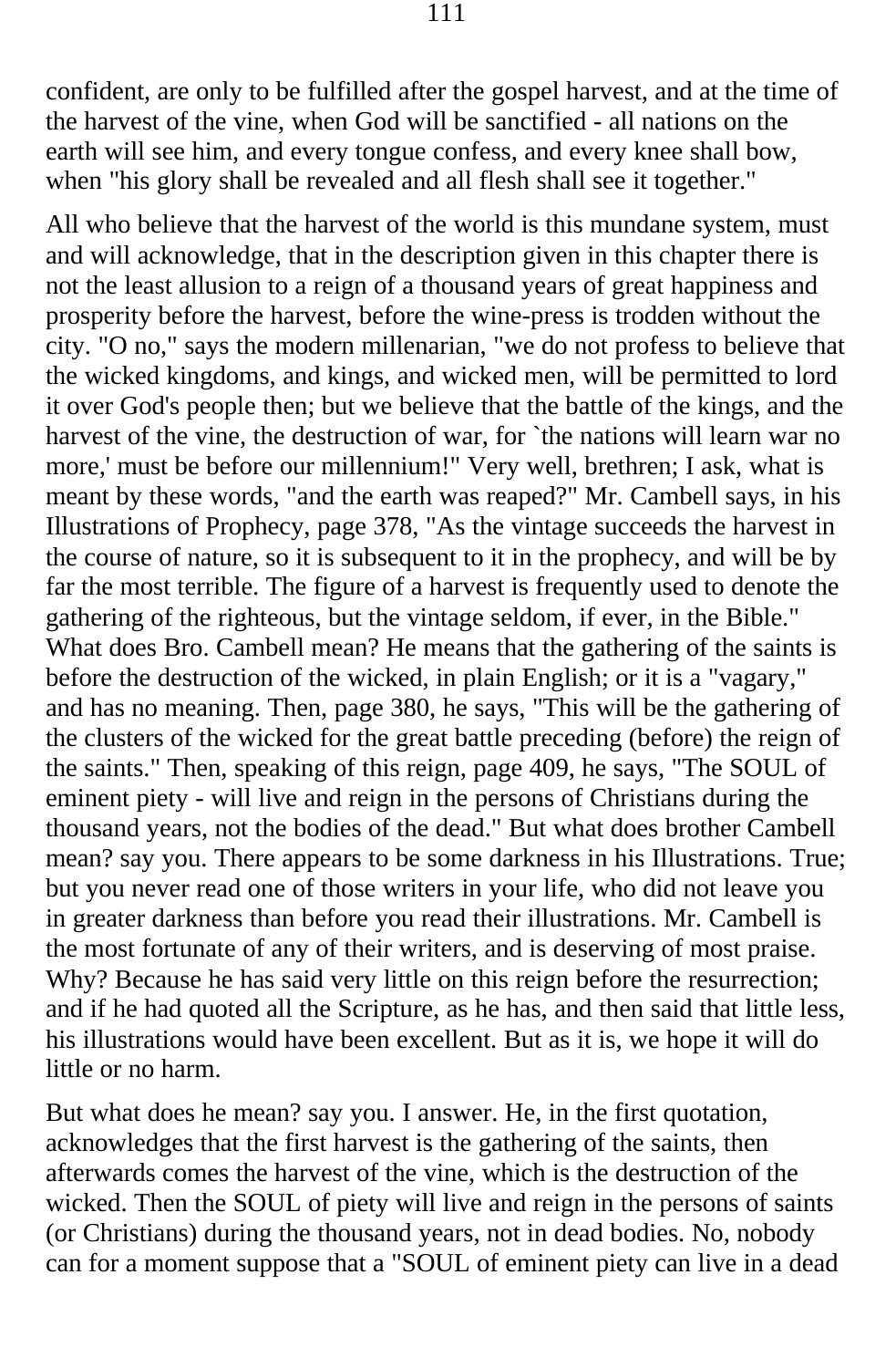confident, are only to be fulfilled after the gospel harvest, and at the time of the harvest of the vine, when God will be sanctified - all nations on the earth will see him, and every tongue confess, and every knee shall bow, when "his glory shall be revealed and all flesh shall see it together."

All who believe that the harvest of the world is this mundane system, must and will acknowledge, that in the description given in this chapter there is not the least allusion to a reign of a thousand years of great happiness and prosperity before the harvest, before the wine-press is trodden without the city. "O no," says the modern millenarian, "we do not profess to believe that the wicked kingdoms, and kings, and wicked men, will be permitted to lord it over God's people then; but we believe that the battle of the kings, and the harvest of the vine, the destruction of war, for `the nations will learn war no more,' must be before our millennium!" Very well, brethren; I ask, what is meant by these words, "and the earth was reaped?" Mr. Cambell says, in his Illustrations of Prophecy, page 378, "As the vintage succeeds the harvest in the course of nature, so it is subsequent to it in the prophecy, and will be by far the most terrible. The figure of a harvest is frequently used to denote the gathering of the righteous, but the vintage seldom, if ever, in the Bible." What does Bro. Cambell mean? He means that the gathering of the saints is before the destruction of the wicked, in plain English; or it is a "vagary," and has no meaning. Then, page 380, he says, "This will be the gathering of the clusters of the wicked for the great battle preceding (before) the reign of the saints." Then, speaking of this reign, page 409, he says, "The SOUL of eminent piety - will live and reign in the persons of Christians during the thousand years, not the bodies of the dead." But what does brother Cambell mean? say you. There appears to be some darkness in his Illustrations. True; but you never read one of those writers in your life, who did not leave you in greater darkness than before you read their illustrations. Mr. Cambell is the most fortunate of any of their writers, and is deserving of most praise. Why? Because he has said very little on this reign before the resurrection; and if he had quoted all the Scripture, as he has, and then said that little less, his illustrations would have been excellent. But as it is, we hope it will do little or no harm.

But what does he mean? say you. I answer. He, in the first quotation, acknowledges that the first harvest is the gathering of the saints, then afterwards comes the harvest of the vine, which is the destruction of the wicked. Then the SOUL of piety will live and reign in the persons of saints (or Christians) during the thousand years, not in dead bodies. No, nobody can for a moment suppose that a "SOUL of eminent piety can live in a dead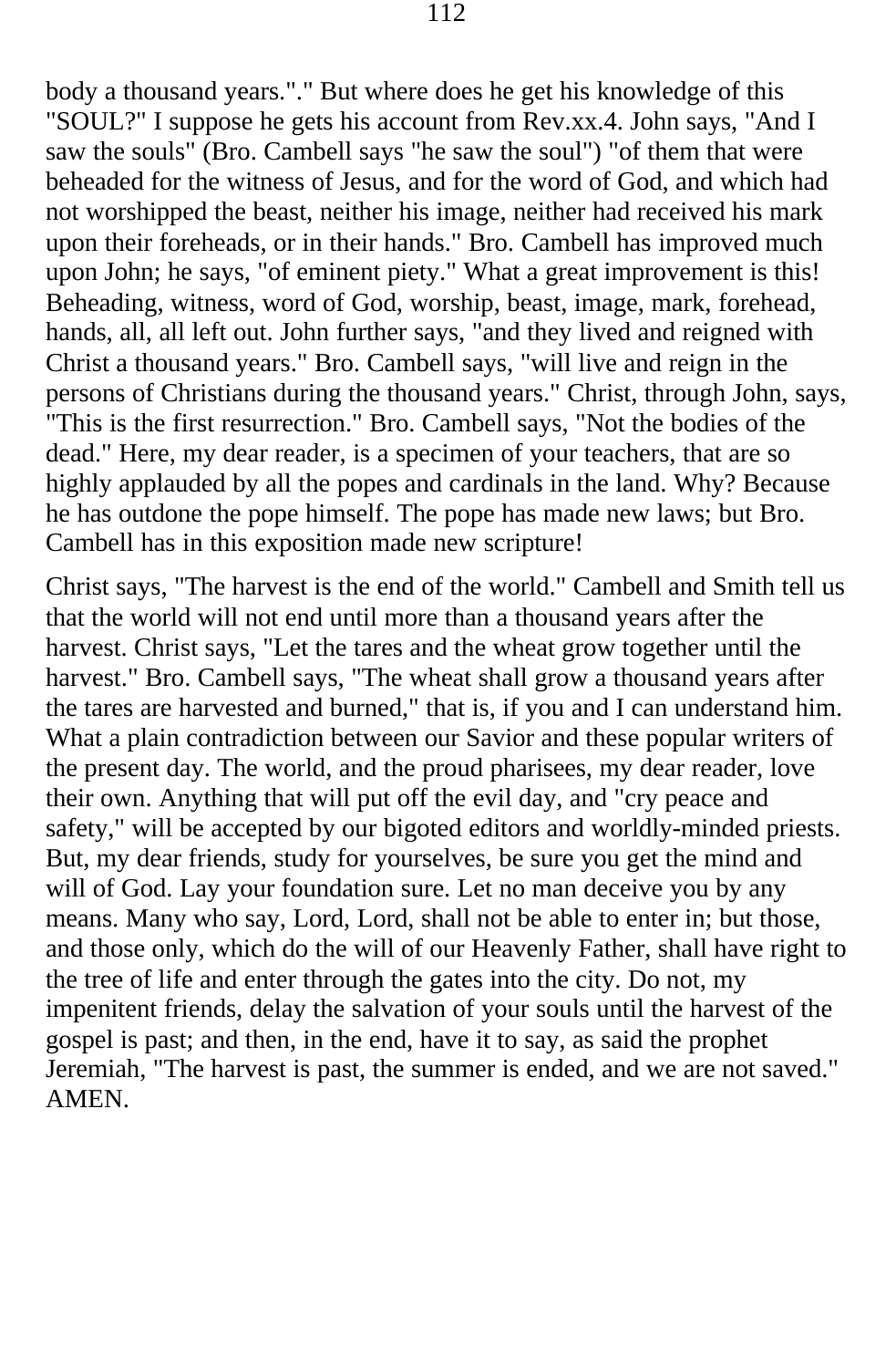body a thousand years."." But where does he get his knowledge of this "SOUL?" I suppose he gets his account from Rev.xx.4. John says, "And I saw the souls" (Bro. Cambell says "he saw the soul") "of them that were beheaded for the witness of Jesus, and for the word of God, and which had not worshipped the beast, neither his image, neither had received his mark upon their foreheads, or in their hands." Bro. Cambell has improved much upon John; he says, "of eminent piety." What a great improvement is this! Beheading, witness, word of God, worship, beast, image, mark, forehead, hands, all, all left out. John further says, "and they lived and reigned with Christ a thousand years." Bro. Cambell says, "will live and reign in the persons of Christians during the thousand years." Christ, through John, says, "This is the first resurrection." Bro. Cambell says, "Not the bodies of the dead." Here, my dear reader, is a specimen of your teachers, that are so highly applauded by all the popes and cardinals in the land. Why? Because he has outdone the pope himself. The pope has made new laws; but Bro. Cambell has in this exposition made new scripture!

Christ says, "The harvest is the end of the world." Cambell and Smith tell us that the world will not end until more than a thousand years after the harvest. Christ says, "Let the tares and the wheat grow together until the harvest." Bro. Cambell says, "The wheat shall grow a thousand years after the tares are harvested and burned," that is, if you and I can understand him. What a plain contradiction between our Savior and these popular writers of the present day. The world, and the proud pharisees, my dear reader, love their own. Anything that will put off the evil day, and "cry peace and safety," will be accepted by our bigoted editors and worldly-minded priests. But, my dear friends, study for yourselves, be sure you get the mind and will of God. Lay your foundation sure. Let no man deceive you by any means. Many who say, Lord, Lord, shall not be able to enter in; but those, and those only, which do the will of our Heavenly Father, shall have right to the tree of life and enter through the gates into the city. Do not, my impenitent friends, delay the salvation of your souls until the harvest of the gospel is past; and then, in the end, have it to say, as said the prophet Jeremiah, "The harvest is past, the summer is ended, and we are not saved." AMEN.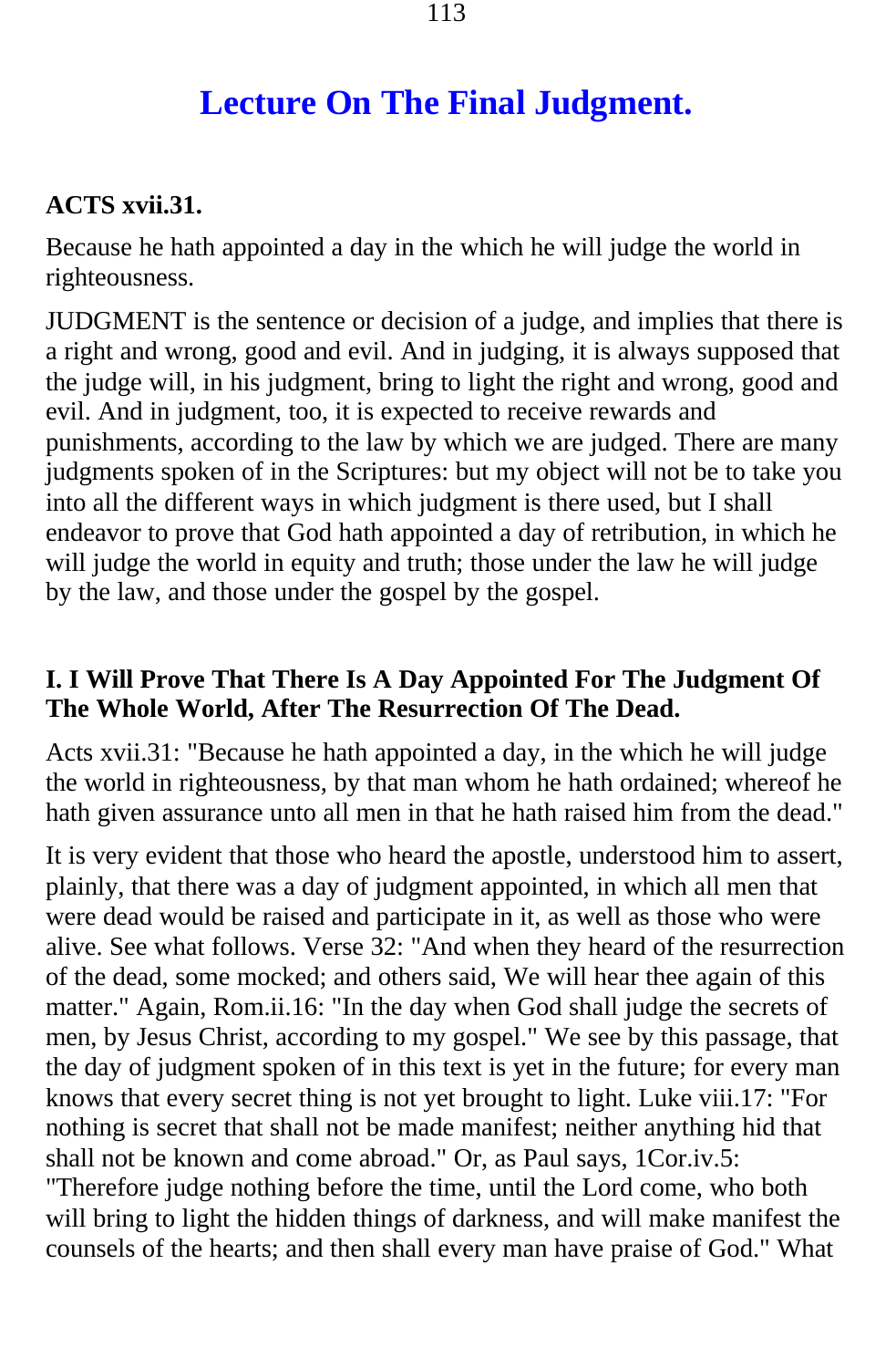# **Lecture On The Final Judgment.**

## **ACTS xvii.31.**

Because he hath appointed a day in the which he will judge the world in righteousness.

JUDGMENT is the sentence or decision of a judge, and implies that there is a right and wrong, good and evil. And in judging, it is always supposed that the judge will, in his judgment, bring to light the right and wrong, good and evil. And in judgment, too, it is expected to receive rewards and punishments, according to the law by which we are judged. There are many judgments spoken of in the Scriptures: but my object will not be to take you into all the different ways in which judgment is there used, but I shall endeavor to prove that God hath appointed a day of retribution, in which he will judge the world in equity and truth; those under the law he will judge by the law, and those under the gospel by the gospel.

## **I. I Will Prove That There Is A Day Appointed For The Judgment Of The Whole World, After The Resurrection Of The Dead.**

Acts xvii.31: "Because he hath appointed a day, in the which he will judge the world in righteousness, by that man whom he hath ordained; whereof he hath given assurance unto all men in that he hath raised him from the dead."

It is very evident that those who heard the apostle, understood him to assert, plainly, that there was a day of judgment appointed, in which all men that were dead would be raised and participate in it, as well as those who were alive. See what follows. Verse 32: "And when they heard of the resurrection of the dead, some mocked; and others said, We will hear thee again of this matter." Again, Rom.ii.16: "In the day when God shall judge the secrets of men, by Jesus Christ, according to my gospel." We see by this passage, that the day of judgment spoken of in this text is yet in the future; for every man knows that every secret thing is not yet brought to light. Luke viii.17: "For nothing is secret that shall not be made manifest; neither anything hid that shall not be known and come abroad." Or, as Paul says, 1Cor.iv.5: "Therefore judge nothing before the time, until the Lord come, who both will bring to light the hidden things of darkness, and will make manifest the

counsels of the hearts; and then shall every man have praise of God." What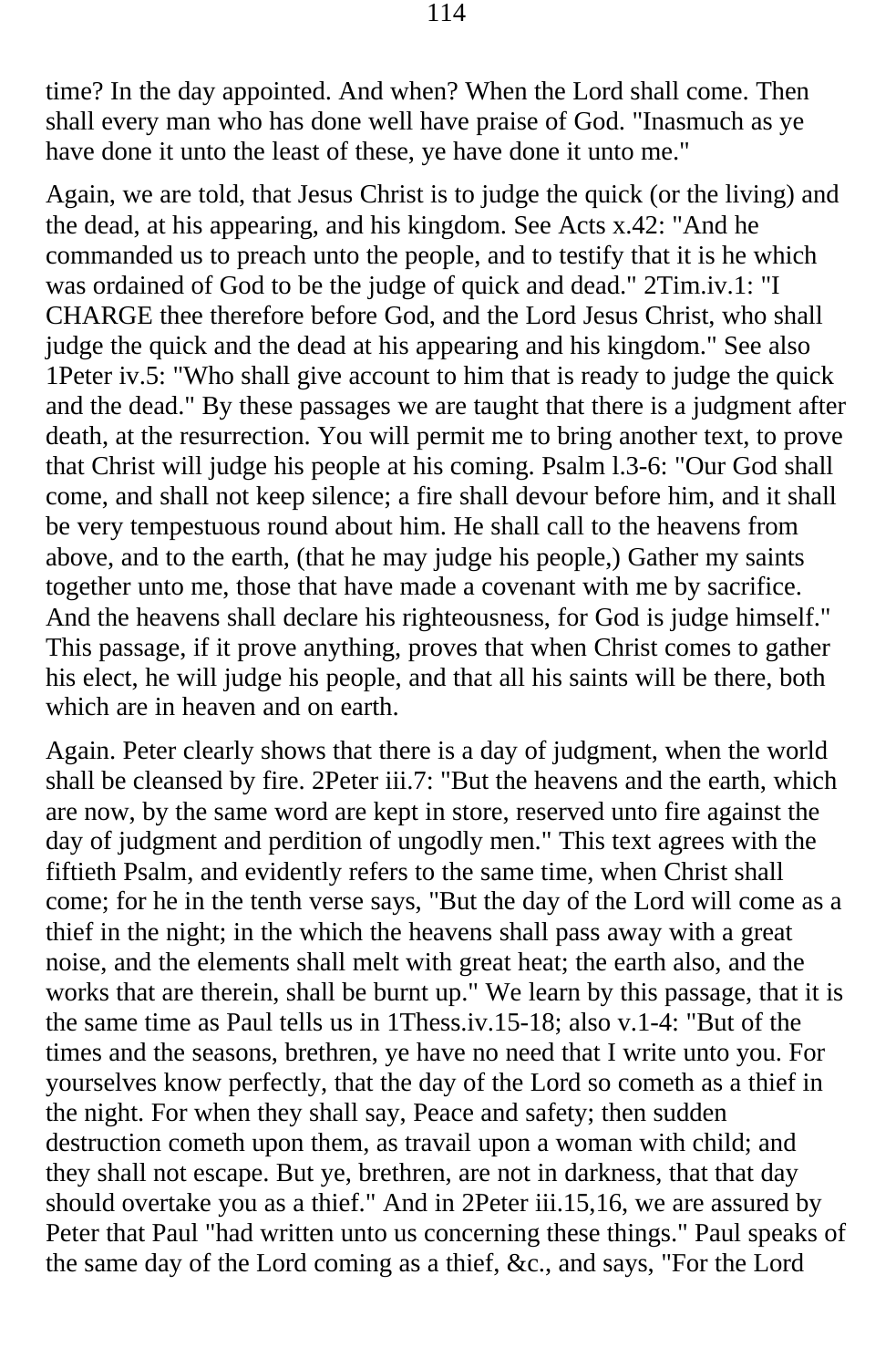time? In the day appointed. And when? When the Lord shall come. Then shall every man who has done well have praise of God. "Inasmuch as ye have done it unto the least of these, ye have done it unto me."

Again, we are told, that Jesus Christ is to judge the quick (or the living) and the dead, at his appearing, and his kingdom. See Acts x.42: "And he commanded us to preach unto the people, and to testify that it is he which was ordained of God to be the judge of quick and dead." 2Tim.iv.1: "I CHARGE thee therefore before God, and the Lord Jesus Christ, who shall judge the quick and the dead at his appearing and his kingdom." See also 1Peter iv.5: "Who shall give account to him that is ready to judge the quick and the dead." By these passages we are taught that there is a judgment after death, at the resurrection. You will permit me to bring another text, to prove that Christ will judge his people at his coming. Psalm l.3-6: "Our God shall come, and shall not keep silence; a fire shall devour before him, and it shall be very tempestuous round about him. He shall call to the heavens from above, and to the earth, (that he may judge his people,) Gather my saints together unto me, those that have made a covenant with me by sacrifice. And the heavens shall declare his righteousness, for God is judge himself." This passage, if it prove anything, proves that when Christ comes to gather his elect, he will judge his people, and that all his saints will be there, both which are in heaven and on earth.

Again. Peter clearly shows that there is a day of judgment, when the world shall be cleansed by fire. 2Peter iii.7: "But the heavens and the earth, which are now, by the same word are kept in store, reserved unto fire against the day of judgment and perdition of ungodly men." This text agrees with the fiftieth Psalm, and evidently refers to the same time, when Christ shall come; for he in the tenth verse says, "But the day of the Lord will come as a thief in the night; in the which the heavens shall pass away with a great noise, and the elements shall melt with great heat; the earth also, and the works that are therein, shall be burnt up." We learn by this passage, that it is the same time as Paul tells us in 1Thess.iv.15-18; also v.1-4: "But of the times and the seasons, brethren, ye have no need that I write unto you. For yourselves know perfectly, that the day of the Lord so cometh as a thief in the night. For when they shall say, Peace and safety; then sudden destruction cometh upon them, as travail upon a woman with child; and they shall not escape. But ye, brethren, are not in darkness, that that day should overtake you as a thief." And in 2Peter iii.15,16, we are assured by Peter that Paul "had written unto us concerning these things." Paul speaks of the same day of the Lord coming as a thief, &c., and says, "For the Lord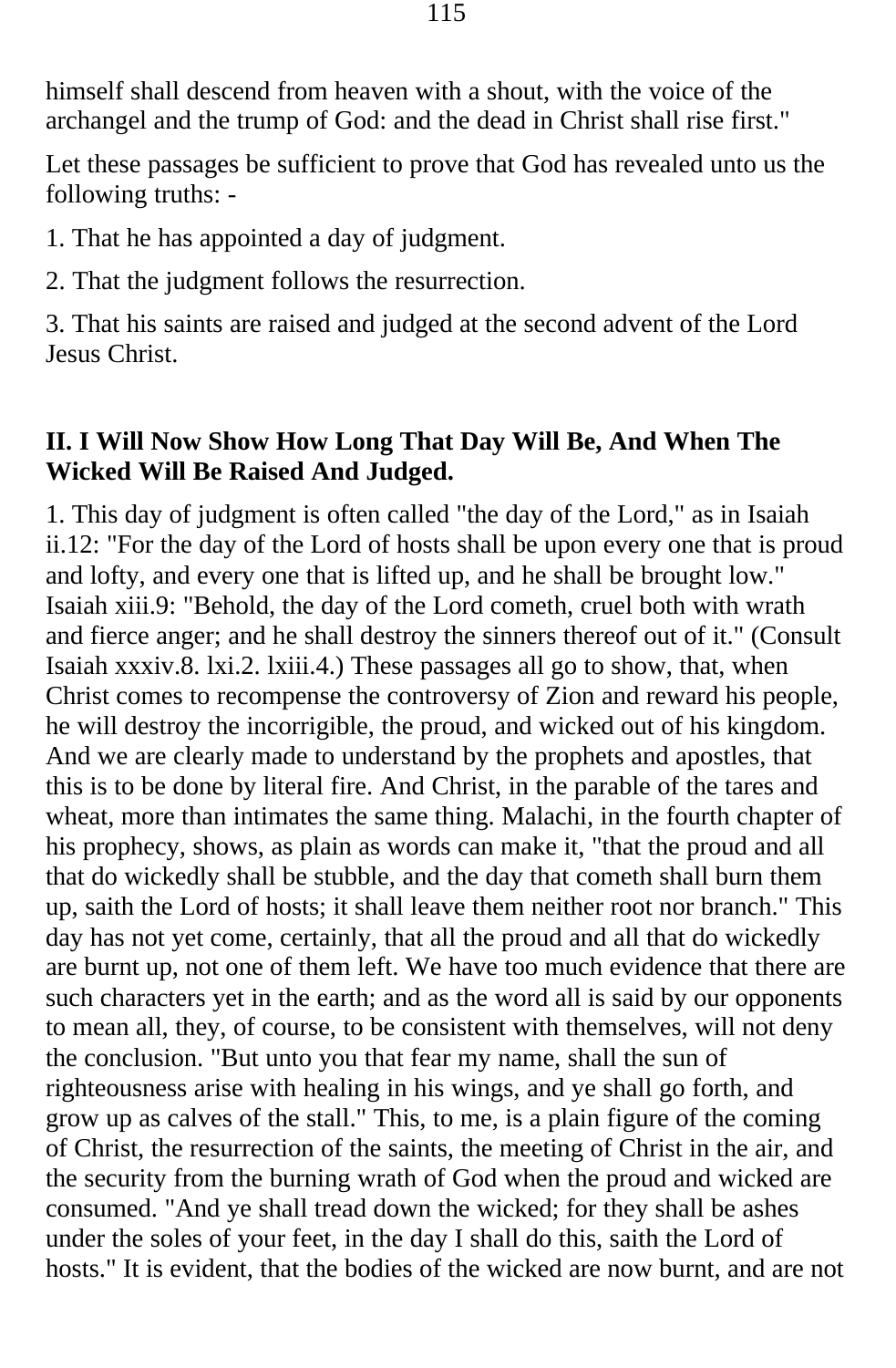himself shall descend from heaven with a shout, with the voice of the archangel and the trump of God: and the dead in Christ shall rise first."

Let these passages be sufficient to prove that God has revealed unto us the following truths:

1. That he has appointed a day of judgment.

2. That the judgment follows the resurrection.

3. That his saints are raised and judged at the second advent of the Lord Jesus Christ.

#### **II. I Will Now Show How Long That Day Will Be, And When The Wicked Will Be Raised And Judged.**

1. This day of judgment is often called "the day of the Lord," as in Isaiah ii.12: "For the day of the Lord of hosts shall be upon every one that is proud and lofty, and every one that is lifted up, and he shall be brought low." Isaiah xiii.9: "Behold, the day of the Lord cometh, cruel both with wrath and fierce anger; and he shall destroy the sinners thereof out of it." (Consult Isaiah xxxiv.8. lxi.2. lxiii.4.) These passages all go to show, that, when Christ comes to recompense the controversy of Zion and reward his people, he will destroy the incorrigible, the proud, and wicked out of his kingdom. And we are clearly made to understand by the prophets and apostles, that this is to be done by literal fire. And Christ, in the parable of the tares and wheat, more than intimates the same thing. Malachi, in the fourth chapter of his prophecy, shows, as plain as words can make it, "that the proud and all that do wickedly shall be stubble, and the day that cometh shall burn them up, saith the Lord of hosts; it shall leave them neither root nor branch." This day has not yet come, certainly, that all the proud and all that do wickedly are burnt up, not one of them left. We have too much evidence that there are such characters yet in the earth; and as the word all is said by our opponents to mean all, they, of course, to be consistent with themselves, will not deny the conclusion. "But unto you that fear my name, shall the sun of righteousness arise with healing in his wings, and ye shall go forth, and grow up as calves of the stall." This, to me, is a plain figure of the coming of Christ, the resurrection of the saints, the meeting of Christ in the air, and the security from the burning wrath of God when the proud and wicked are consumed. "And ye shall tread down the wicked; for they shall be ashes under the soles of your feet, in the day I shall do this, saith the Lord of hosts." It is evident, that the bodies of the wicked are now burnt, and are not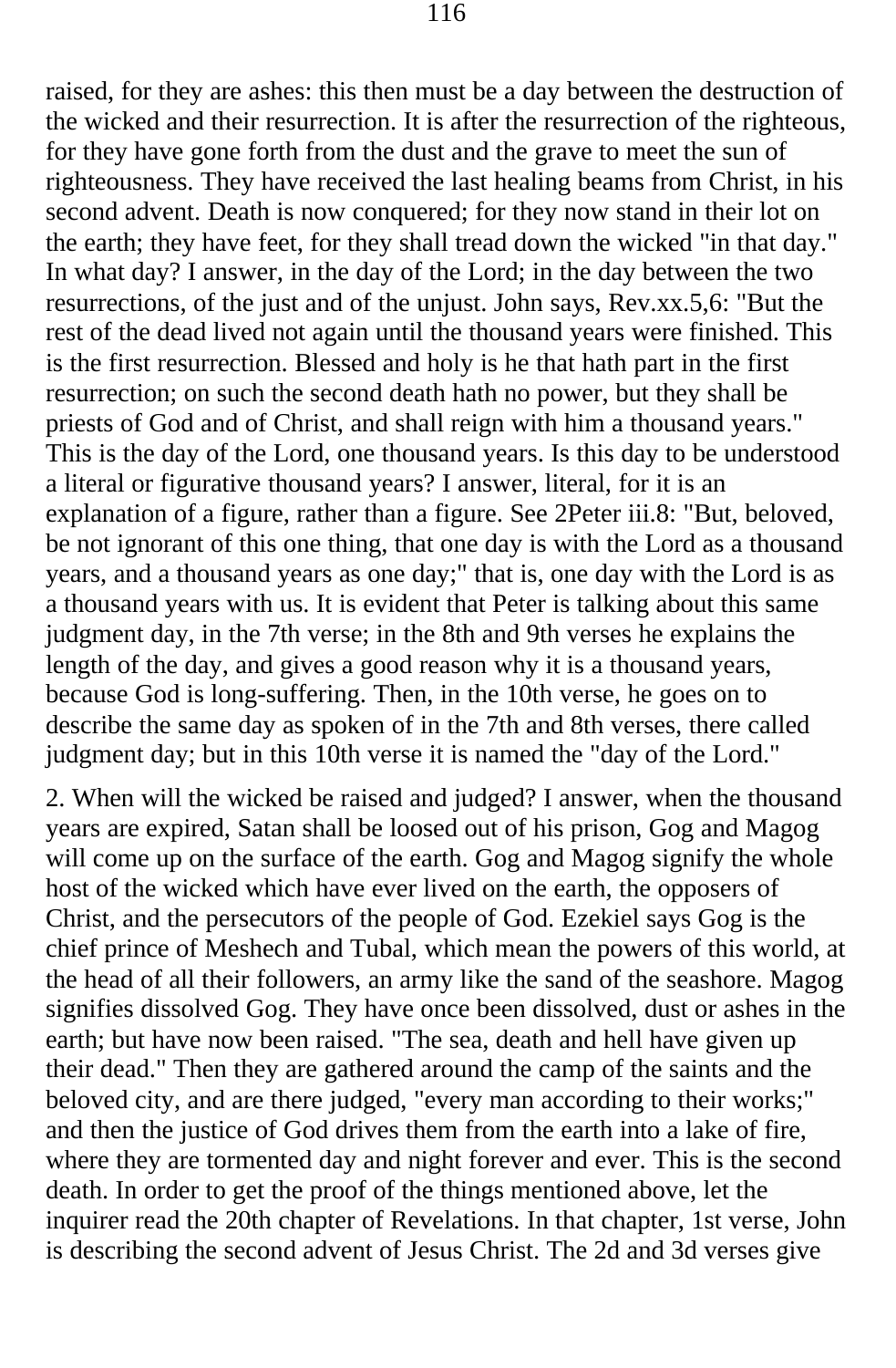raised, for they are ashes: this then must be a day between the destruction of the wicked and their resurrection. It is after the resurrection of the righteous, for they have gone forth from the dust and the grave to meet the sun of righteousness. They have received the last healing beams from Christ, in his second advent. Death is now conquered; for they now stand in their lot on the earth; they have feet, for they shall tread down the wicked "in that day." In what day? I answer, in the day of the Lord; in the day between the two resurrections, of the just and of the unjust. John says, Rev.xx.5,6: "But the rest of the dead lived not again until the thousand years were finished. This is the first resurrection. Blessed and holy is he that hath part in the first resurrection; on such the second death hath no power, but they shall be priests of God and of Christ, and shall reign with him a thousand years." This is the day of the Lord, one thousand years. Is this day to be understood a literal or figurative thousand years? I answer, literal, for it is an explanation of a figure, rather than a figure. See 2Peter iii.8: "But, beloved, be not ignorant of this one thing, that one day is with the Lord as a thousand years, and a thousand years as one day;" that is, one day with the Lord is as a thousand years with us. It is evident that Peter is talking about this same judgment day, in the 7th verse; in the 8th and 9th verses he explains the length of the day, and gives a good reason why it is a thousand years, because God is long-suffering. Then, in the 10th verse, he goes on to describe the same day as spoken of in the 7th and 8th verses, there called judgment day; but in this 10th verse it is named the "day of the Lord."

2. When will the wicked be raised and judged? I answer, when the thousand years are expired, Satan shall be loosed out of his prison, Gog and Magog will come up on the surface of the earth. Gog and Magog signify the whole host of the wicked which have ever lived on the earth, the opposers of Christ, and the persecutors of the people of God. Ezekiel says Gog is the chief prince of Meshech and Tubal, which mean the powers of this world, at the head of all their followers, an army like the sand of the seashore. Magog signifies dissolved Gog. They have once been dissolved, dust or ashes in the earth; but have now been raised. "The sea, death and hell have given up their dead." Then they are gathered around the camp of the saints and the beloved city, and are there judged, "every man according to their works;" and then the justice of God drives them from the earth into a lake of fire, where they are tormented day and night forever and ever. This is the second death. In order to get the proof of the things mentioned above, let the inquirer read the 20th chapter of Revelations. In that chapter, 1st verse, John is describing the second advent of Jesus Christ. The 2d and 3d verses give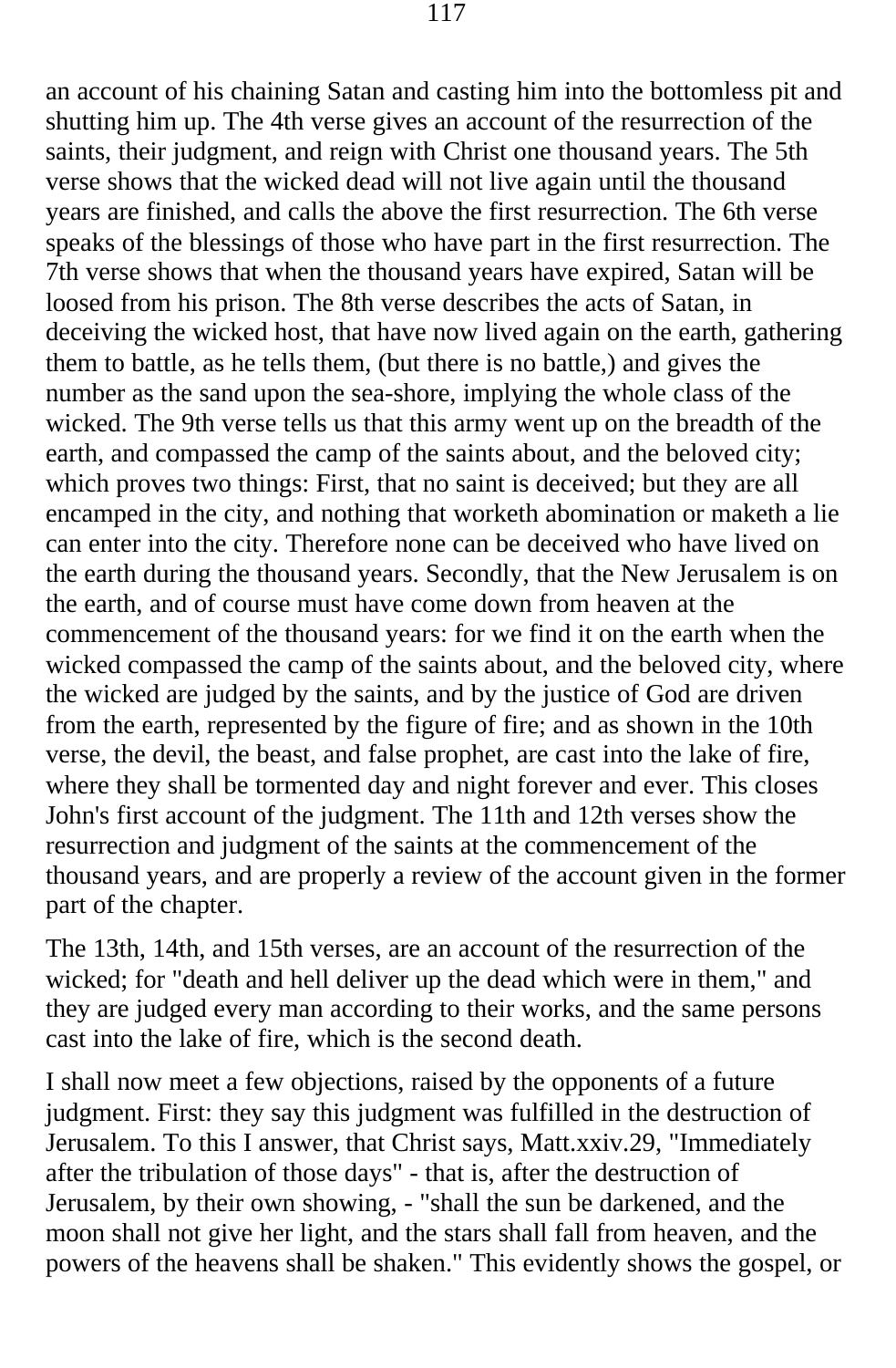an account of his chaining Satan and casting him into the bottomless pit and shutting him up. The 4th verse gives an account of the resurrection of the saints, their judgment, and reign with Christ one thousand years. The 5th verse shows that the wicked dead will not live again until the thousand years are finished, and calls the above the first resurrection. The 6th verse speaks of the blessings of those who have part in the first resurrection. The 7th verse shows that when the thousand years have expired, Satan will be loosed from his prison. The 8th verse describes the acts of Satan, in deceiving the wicked host, that have now lived again on the earth, gathering them to battle, as he tells them, (but there is no battle,) and gives the number as the sand upon the sea-shore, implying the whole class of the wicked. The 9th verse tells us that this army went up on the breadth of the earth, and compassed the camp of the saints about, and the beloved city; which proves two things: First, that no saint is deceived; but they are all encamped in the city, and nothing that worketh abomination or maketh a lie can enter into the city. Therefore none can be deceived who have lived on the earth during the thousand years. Secondly, that the New Jerusalem is on the earth, and of course must have come down from heaven at the commencement of the thousand years: for we find it on the earth when the wicked compassed the camp of the saints about, and the beloved city, where the wicked are judged by the saints, and by the justice of God are driven from the earth, represented by the figure of fire; and as shown in the 10th verse, the devil, the beast, and false prophet, are cast into the lake of fire, where they shall be tormented day and night forever and ever. This closes John's first account of the judgment. The 11th and 12th verses show the resurrection and judgment of the saints at the commencement of the thousand years, and are properly a review of the account given in the former part of the chapter.

The 13th, 14th, and 15th verses, are an account of the resurrection of the wicked; for "death and hell deliver up the dead which were in them," and they are judged every man according to their works, and the same persons cast into the lake of fire, which is the second death.

I shall now meet a few objections, raised by the opponents of a future judgment. First: they say this judgment was fulfilled in the destruction of Jerusalem. To this I answer, that Christ says, Matt.xxiv.29, "Immediately after the tribulation of those days" - that is, after the destruction of Jerusalem, by their own showing, - "shall the sun be darkened, and the moon shall not give her light, and the stars shall fall from heaven, and the powers of the heavens shall be shaken." This evidently shows the gospel, or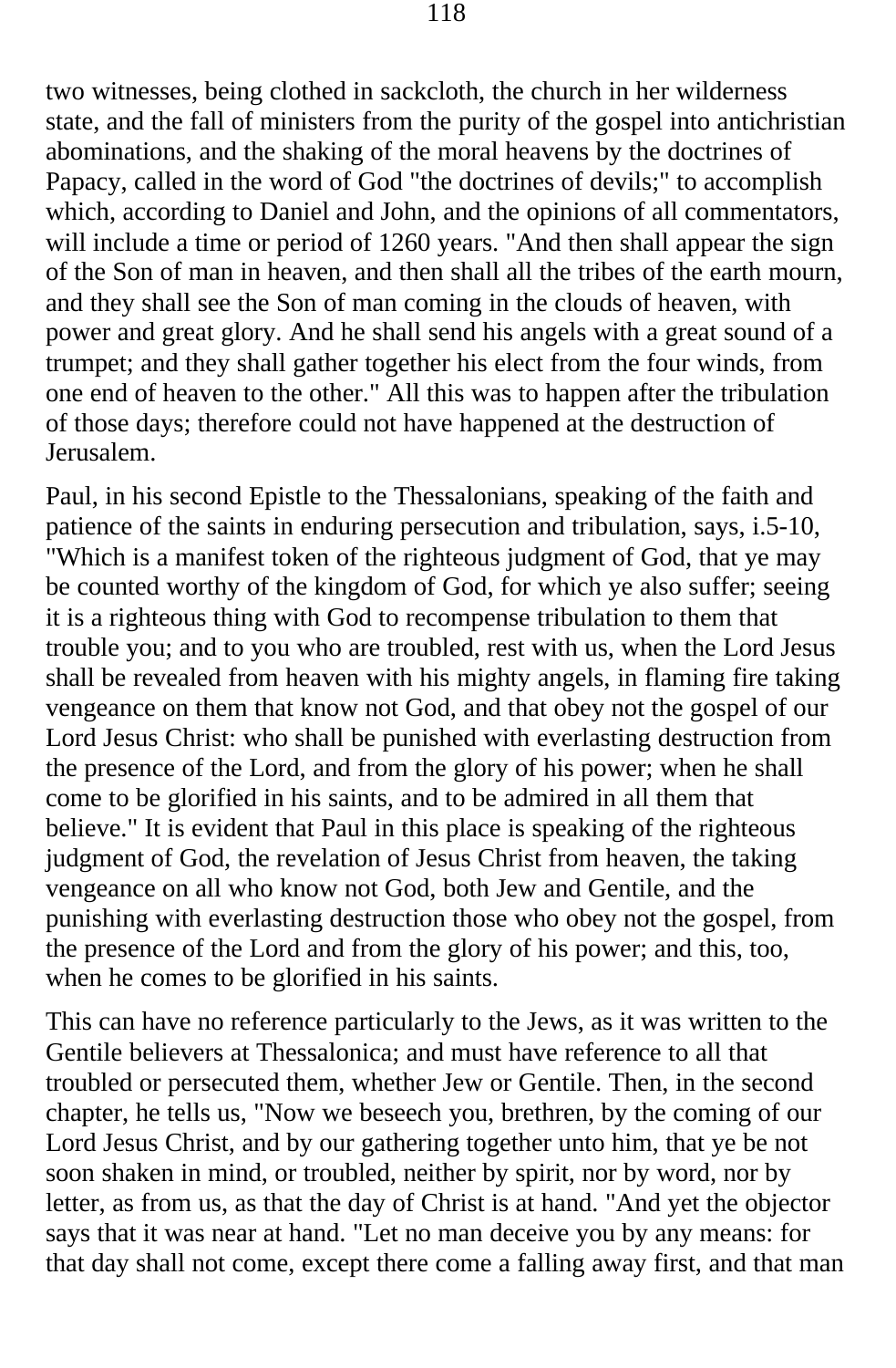two witnesses, being clothed in sackcloth, the church in her wilderness state, and the fall of ministers from the purity of the gospel into antichristian abominations, and the shaking of the moral heavens by the doctrines of Papacy, called in the word of God "the doctrines of devils;" to accomplish which, according to Daniel and John, and the opinions of all commentators, will include a time or period of 1260 years. "And then shall appear the sign of the Son of man in heaven, and then shall all the tribes of the earth mourn, and they shall see the Son of man coming in the clouds of heaven, with power and great glory. And he shall send his angels with a great sound of a trumpet; and they shall gather together his elect from the four winds, from one end of heaven to the other." All this was to happen after the tribulation of those days; therefore could not have happened at the destruction of Jerusalem.

Paul, in his second Epistle to the Thessalonians, speaking of the faith and patience of the saints in enduring persecution and tribulation, says, i.5-10, "Which is a manifest token of the righteous judgment of God, that ye may be counted worthy of the kingdom of God, for which ye also suffer; seeing it is a righteous thing with God to recompense tribulation to them that trouble you; and to you who are troubled, rest with us, when the Lord Jesus shall be revealed from heaven with his mighty angels, in flaming fire taking vengeance on them that know not God, and that obey not the gospel of our Lord Jesus Christ: who shall be punished with everlasting destruction from the presence of the Lord, and from the glory of his power; when he shall come to be glorified in his saints, and to be admired in all them that believe." It is evident that Paul in this place is speaking of the righteous judgment of God, the revelation of Jesus Christ from heaven, the taking vengeance on all who know not God, both Jew and Gentile, and the punishing with everlasting destruction those who obey not the gospel, from the presence of the Lord and from the glory of his power; and this, too, when he comes to be glorified in his saints.

This can have no reference particularly to the Jews, as it was written to the Gentile believers at Thessalonica; and must have reference to all that troubled or persecuted them, whether Jew or Gentile. Then, in the second chapter, he tells us, "Now we beseech you, brethren, by the coming of our Lord Jesus Christ, and by our gathering together unto him, that ye be not soon shaken in mind, or troubled, neither by spirit, nor by word, nor by letter, as from us, as that the day of Christ is at hand. "And yet the objector says that it was near at hand. "Let no man deceive you by any means: for that day shall not come, except there come a falling away first, and that man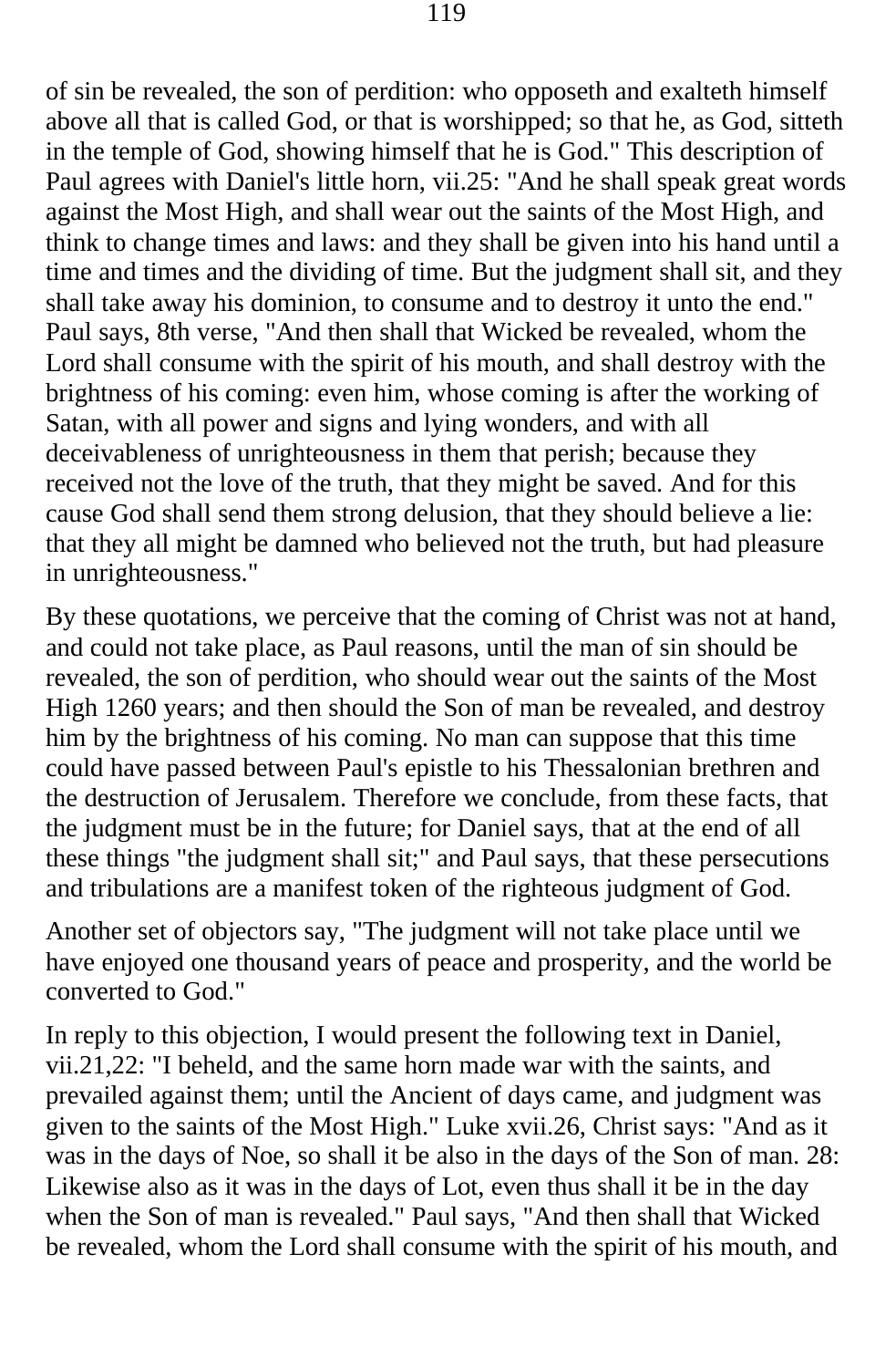of sin be revealed, the son of perdition: who opposeth and exalteth himself above all that is called God, or that is worshipped; so that he, as God, sitteth in the temple of God, showing himself that he is God." This description of Paul agrees with Daniel's little horn, vii.25: "And he shall speak great words against the Most High, and shall wear out the saints of the Most High, and think to change times and laws: and they shall be given into his hand until a time and times and the dividing of time. But the judgment shall sit, and they shall take away his dominion, to consume and to destroy it unto the end." Paul says, 8th verse, "And then shall that Wicked be revealed, whom the Lord shall consume with the spirit of his mouth, and shall destroy with the brightness of his coming: even him, whose coming is after the working of Satan, with all power and signs and lying wonders, and with all deceivableness of unrighteousness in them that perish; because they received not the love of the truth, that they might be saved. And for this cause God shall send them strong delusion, that they should believe a lie: that they all might be damned who believed not the truth, but had pleasure in unrighteousness."

By these quotations, we perceive that the coming of Christ was not at hand, and could not take place, as Paul reasons, until the man of sin should be revealed, the son of perdition, who should wear out the saints of the Most High 1260 years; and then should the Son of man be revealed, and destroy him by the brightness of his coming. No man can suppose that this time could have passed between Paul's epistle to his Thessalonian brethren and the destruction of Jerusalem. Therefore we conclude, from these facts, that the judgment must be in the future; for Daniel says, that at the end of all these things "the judgment shall sit;" and Paul says, that these persecutions and tribulations are a manifest token of the righteous judgment of God.

Another set of objectors say, "The judgment will not take place until we have enjoyed one thousand years of peace and prosperity, and the world be converted to God."

In reply to this objection, I would present the following text in Daniel, vii.21,22: "I beheld, and the same horn made war with the saints, and prevailed against them; until the Ancient of days came, and judgment was given to the saints of the Most High." Luke xvii.26, Christ says: "And as it was in the days of Noe, so shall it be also in the days of the Son of man. 28: Likewise also as it was in the days of Lot, even thus shall it be in the day when the Son of man is revealed." Paul says, "And then shall that Wicked be revealed, whom the Lord shall consume with the spirit of his mouth, and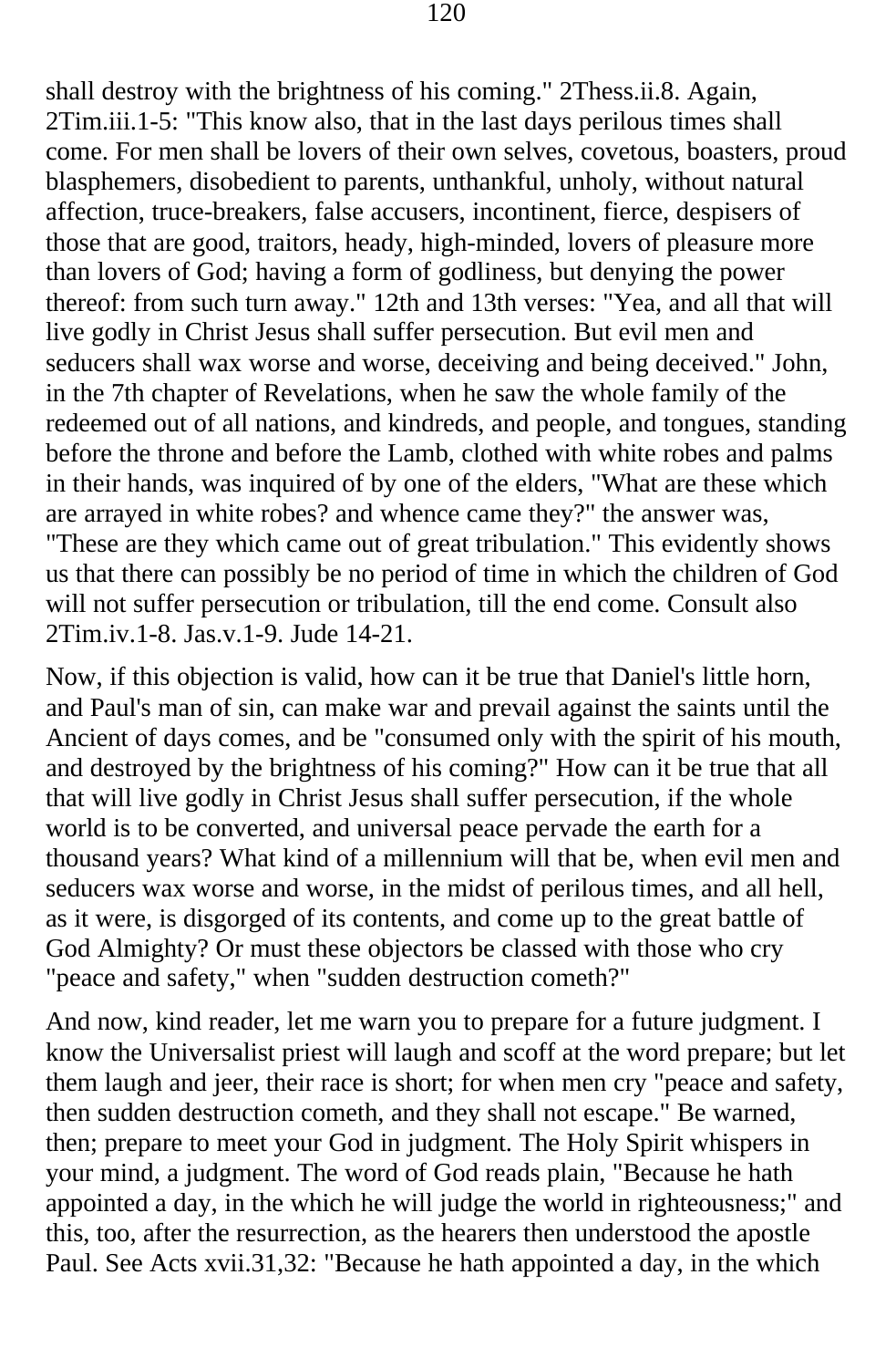shall destroy with the brightness of his coming." 2Thess.ii.8. Again, 2Tim.iii.1-5: "This know also, that in the last days perilous times shall come. For men shall be lovers of their own selves, covetous, boasters, proud blasphemers, disobedient to parents, unthankful, unholy, without natural affection, truce-breakers, false accusers, incontinent, fierce, despisers of those that are good, traitors, heady, high-minded, lovers of pleasure more than lovers of God; having a form of godliness, but denying the power thereof: from such turn away." 12th and 13th verses: "Yea, and all that will live godly in Christ Jesus shall suffer persecution. But evil men and seducers shall wax worse and worse, deceiving and being deceived." John, in the 7th chapter of Revelations, when he saw the whole family of the redeemed out of all nations, and kindreds, and people, and tongues, standing before the throne and before the Lamb, clothed with white robes and palms in their hands, was inquired of by one of the elders, "What are these which are arrayed in white robes? and whence came they?" the answer was, "These are they which came out of great tribulation." This evidently shows us that there can possibly be no period of time in which the children of God will not suffer persecution or tribulation, till the end come. Consult also 2Tim.iv.1-8. Jas.v.1-9. Jude 14-21.

Now, if this objection is valid, how can it be true that Daniel's little horn, and Paul's man of sin, can make war and prevail against the saints until the Ancient of days comes, and be "consumed only with the spirit of his mouth, and destroyed by the brightness of his coming?" How can it be true that all that will live godly in Christ Jesus shall suffer persecution, if the whole world is to be converted, and universal peace pervade the earth for a thousand years? What kind of a millennium will that be, when evil men and seducers wax worse and worse, in the midst of perilous times, and all hell, as it were, is disgorged of its contents, and come up to the great battle of God Almighty? Or must these objectors be classed with those who cry "peace and safety," when "sudden destruction cometh?"

And now, kind reader, let me warn you to prepare for a future judgment. I know the Universalist priest will laugh and scoff at the word prepare; but let them laugh and jeer, their race is short; for when men cry "peace and safety, then sudden destruction cometh, and they shall not escape." Be warned, then; prepare to meet your God in judgment. The Holy Spirit whispers in your mind, a judgment. The word of God reads plain, "Because he hath appointed a day, in the which he will judge the world in righteousness;" and this, too, after the resurrection, as the hearers then understood the apostle Paul. See Acts xvii.31,32: "Because he hath appointed a day, in the which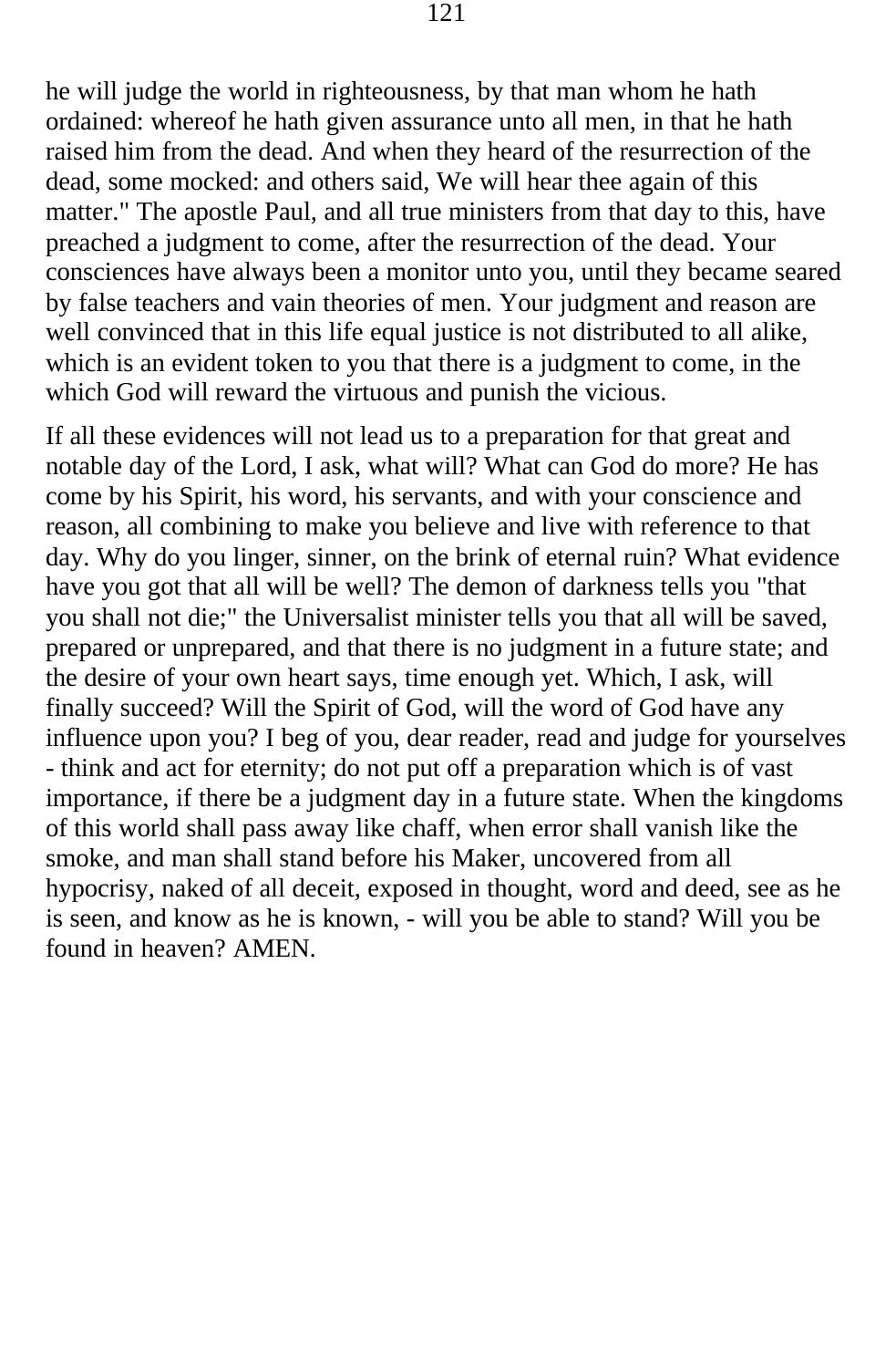he will judge the world in righteousness, by that man whom he hath ordained: whereof he hath given assurance unto all men, in that he hath raised him from the dead. And when they heard of the resurrection of the dead, some mocked: and others said, We will hear thee again of this matter." The apostle Paul, and all true ministers from that day to this, have preached a judgment to come, after the resurrection of the dead. Your consciences have always been a monitor unto you, until they became seared by false teachers and vain theories of men. Your judgment and reason are well convinced that in this life equal justice is not distributed to all alike, which is an evident token to you that there is a judgment to come, in the which God will reward the virtuous and punish the vicious.

If all these evidences will not lead us to a preparation for that great and notable day of the Lord, I ask, what will? What can God do more? He has come by his Spirit, his word, his servants, and with your conscience and reason, all combining to make you believe and live with reference to that day. Why do you linger, sinner, on the brink of eternal ruin? What evidence have you got that all will be well? The demon of darkness tells you "that you shall not die;" the Universalist minister tells you that all will be saved, prepared or unprepared, and that there is no judgment in a future state; and the desire of your own heart says, time enough yet. Which, I ask, will finally succeed? Will the Spirit of God, will the word of God have any influence upon you? I beg of you, dear reader, read and judge for yourselves - think and act for eternity; do not put off a preparation which is of vast importance, if there be a judgment day in a future state. When the kingdoms of this world shall pass away like chaff, when error shall vanish like the smoke, and man shall stand before his Maker, uncovered from all hypocrisy, naked of all deceit, exposed in thought, word and deed, see as he is seen, and know as he is known, - will you be able to stand? Will you be found in heaven? AMEN.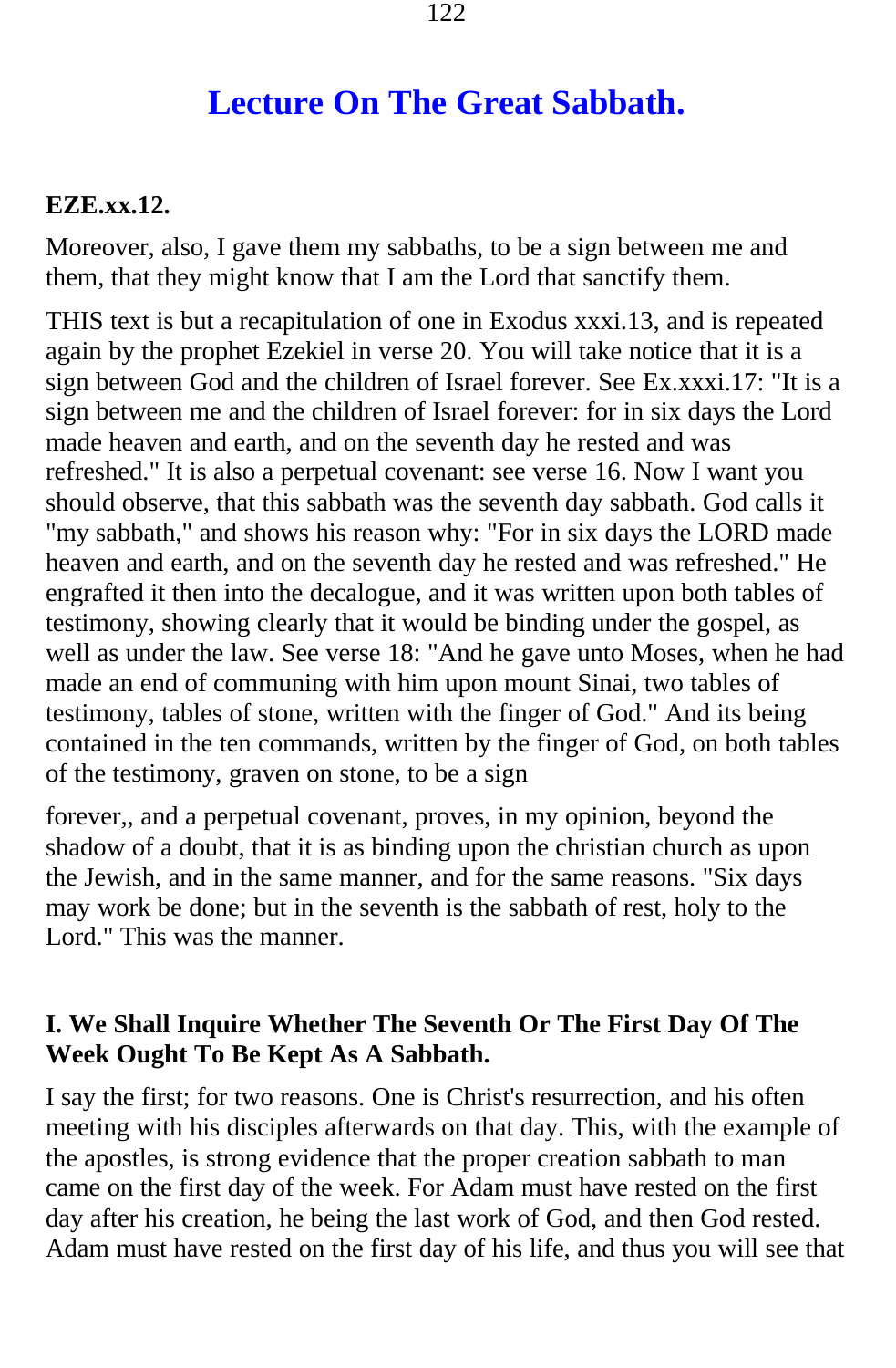# **Lecture On The Great Sabbath.**

## **EZE.xx.12.**

Moreover, also, I gave them my sabbaths, to be a sign between me and them, that they might know that I am the Lord that sanctify them.

THIS text is but a recapitulation of one in Exodus xxxi.13, and is repeated again by the prophet Ezekiel in verse 20. You will take notice that it is a sign between God and the children of Israel forever. See Ex.xxxi.17: "It is a sign between me and the children of Israel forever: for in six days the Lord made heaven and earth, and on the seventh day he rested and was refreshed." It is also a perpetual covenant: see verse 16. Now I want you should observe, that this sabbath was the seventh day sabbath. God calls it "my sabbath," and shows his reason why: "For in six days the LORD made heaven and earth, and on the seventh day he rested and was refreshed." He engrafted it then into the decalogue, and it was written upon both tables of testimony, showing clearly that it would be binding under the gospel, as well as under the law. See verse 18: "And he gave unto Moses, when he had made an end of communing with him upon mount Sinai, two tables of testimony, tables of stone, written with the finger of God." And its being contained in the ten commands, written by the finger of God, on both tables of the testimony, graven on stone, to be a sign

forever,, and a perpetual covenant, proves, in my opinion, beyond the shadow of a doubt, that it is as binding upon the christian church as upon the Jewish, and in the same manner, and for the same reasons. "Six days may work be done; but in the seventh is the sabbath of rest, holy to the Lord." This was the manner.

## **I. We Shall Inquire Whether The Seventh Or The First Day Of The Week Ought To Be Kept As A Sabbath.**

I say the first; for two reasons. One is Christ's resurrection, and his often meeting with his disciples afterwards on that day. This, with the example of the apostles, is strong evidence that the proper creation sabbath to man came on the first day of the week. For Adam must have rested on the first day after his creation, he being the last work of God, and then God rested. Adam must have rested on the first day of his life, and thus you will see that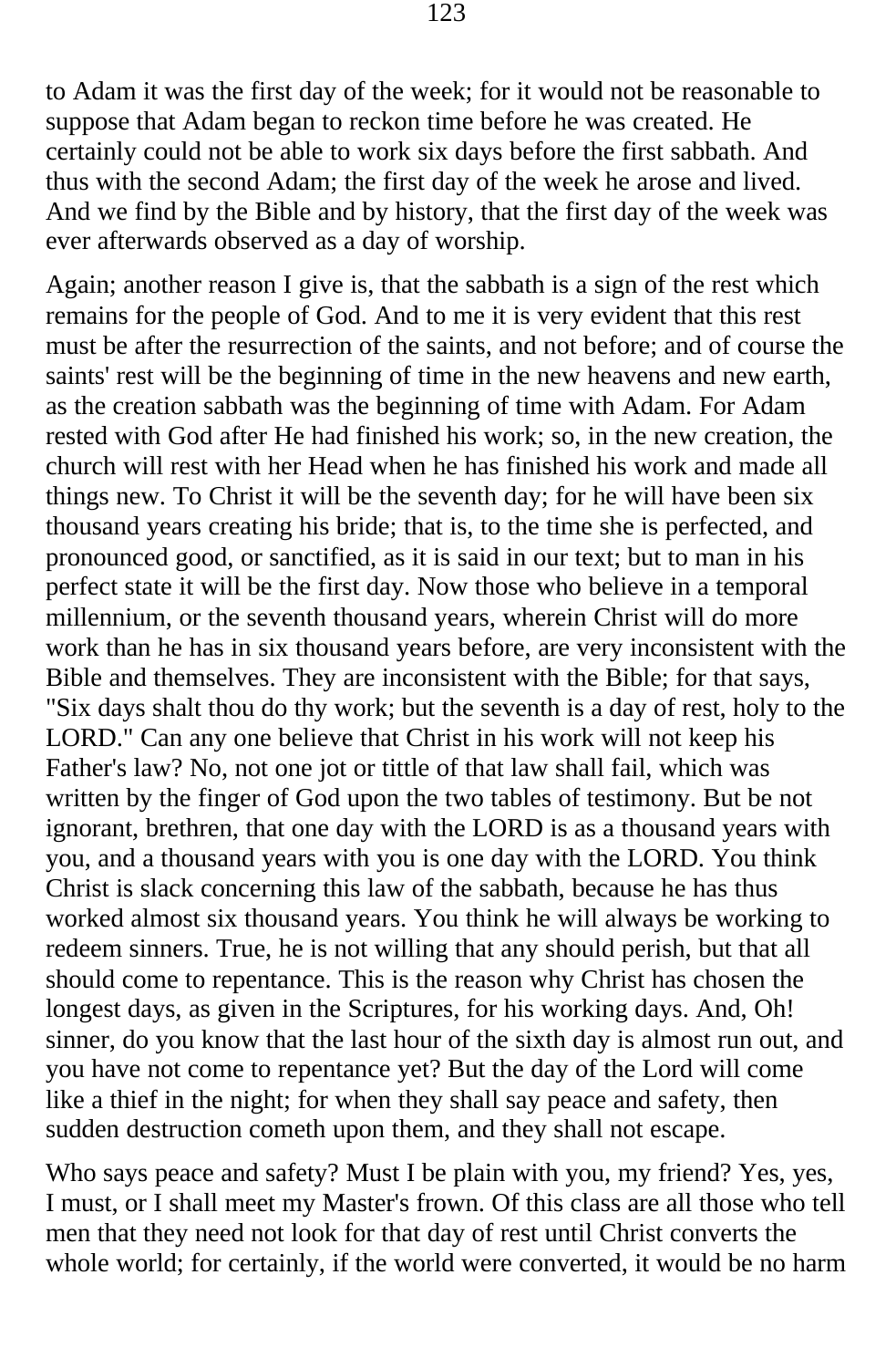to Adam it was the first day of the week; for it would not be reasonable to suppose that Adam began to reckon time before he was created. He certainly could not be able to work six days before the first sabbath. And thus with the second Adam; the first day of the week he arose and lived. And we find by the Bible and by history, that the first day of the week was ever afterwards observed as a day of worship.

Again; another reason I give is, that the sabbath is a sign of the rest which remains for the people of God. And to me it is very evident that this rest must be after the resurrection of the saints, and not before; and of course the saints' rest will be the beginning of time in the new heavens and new earth, as the creation sabbath was the beginning of time with Adam. For Adam rested with God after He had finished his work; so, in the new creation, the church will rest with her Head when he has finished his work and made all things new. To Christ it will be the seventh day; for he will have been six thousand years creating his bride; that is, to the time she is perfected, and pronounced good, or sanctified, as it is said in our text; but to man in his perfect state it will be the first day. Now those who believe in a temporal millennium, or the seventh thousand years, wherein Christ will do more work than he has in six thousand years before, are very inconsistent with the Bible and themselves. They are inconsistent with the Bible; for that says, "Six days shalt thou do thy work; but the seventh is a day of rest, holy to the LORD." Can any one believe that Christ in his work will not keep his Father's law? No, not one jot or tittle of that law shall fail, which was written by the finger of God upon the two tables of testimony. But be not ignorant, brethren, that one day with the LORD is as a thousand years with you, and a thousand years with you is one day with the LORD. You think Christ is slack concerning this law of the sabbath, because he has thus worked almost six thousand years. You think he will always be working to redeem sinners. True, he is not willing that any should perish, but that all should come to repentance. This is the reason why Christ has chosen the longest days, as given in the Scriptures, for his working days. And, Oh! sinner, do you know that the last hour of the sixth day is almost run out, and you have not come to repentance yet? But the day of the Lord will come like a thief in the night; for when they shall say peace and safety, then sudden destruction cometh upon them, and they shall not escape.

Who says peace and safety? Must I be plain with you, my friend? Yes, yes, I must, or I shall meet my Master's frown. Of this class are all those who tell men that they need not look for that day of rest until Christ converts the whole world; for certainly, if the world were converted, it would be no harm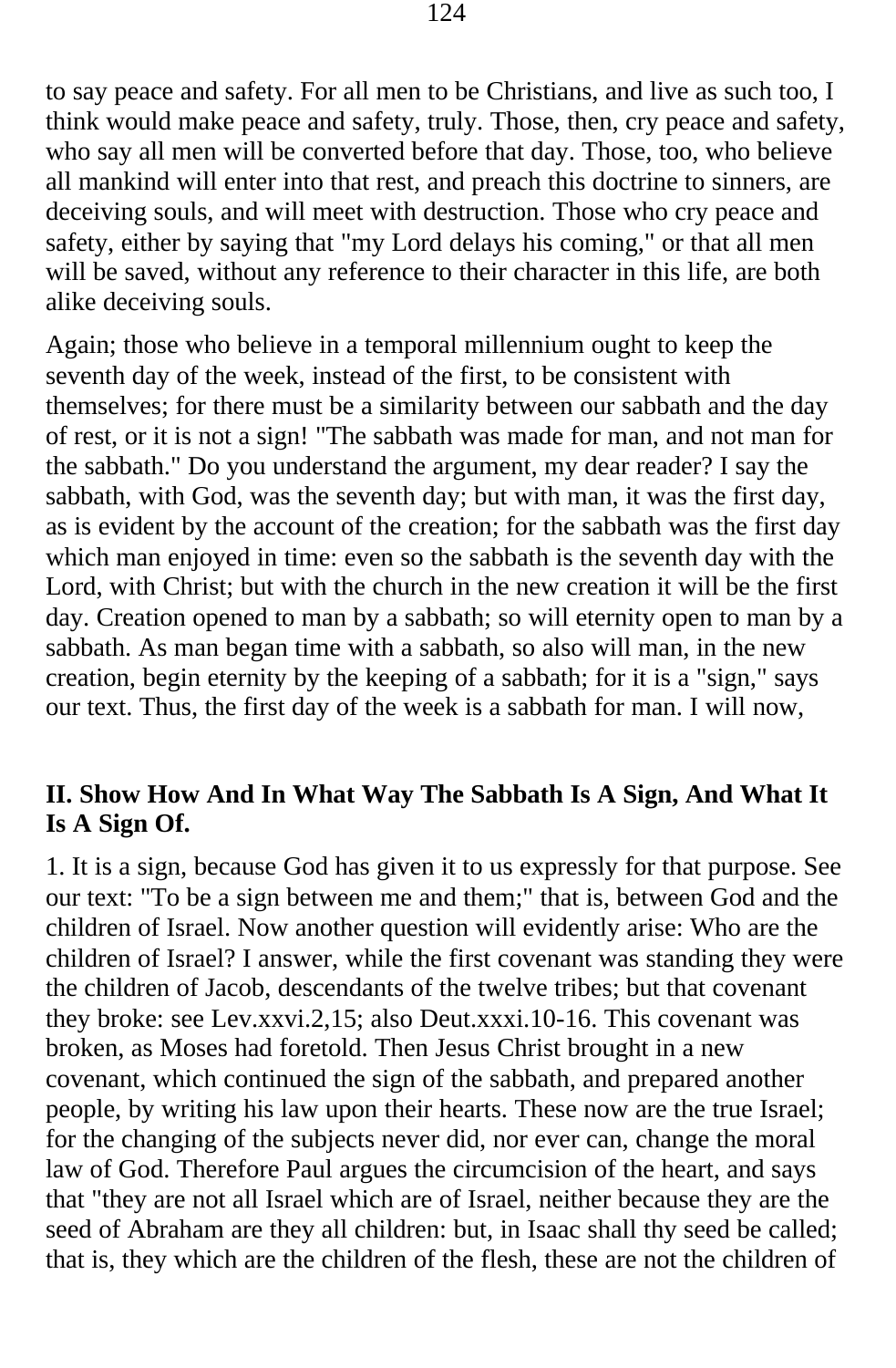to say peace and safety. For all men to be Christians, and live as such too, I think would make peace and safety, truly. Those, then, cry peace and safety, who say all men will be converted before that day. Those, too, who believe all mankind will enter into that rest, and preach this doctrine to sinners, are deceiving souls, and will meet with destruction. Those who cry peace and safety, either by saying that "my Lord delays his coming," or that all men will be saved, without any reference to their character in this life, are both alike deceiving souls.

Again; those who believe in a temporal millennium ought to keep the seventh day of the week, instead of the first, to be consistent with themselves; for there must be a similarity between our sabbath and the day of rest, or it is not a sign! "The sabbath was made for man, and not man for the sabbath." Do you understand the argument, my dear reader? I say the sabbath, with God, was the seventh day; but with man, it was the first day, as is evident by the account of the creation; for the sabbath was the first day which man enjoyed in time: even so the sabbath is the seventh day with the Lord, with Christ; but with the church in the new creation it will be the first day. Creation opened to man by a sabbath; so will eternity open to man by a sabbath. As man began time with a sabbath, so also will man, in the new creation, begin eternity by the keeping of a sabbath; for it is a "sign," says our text. Thus, the first day of the week is a sabbath for man. I will now,

#### **II. Show How And In What Way The Sabbath Is A Sign, And What It Is A Sign Of.**

1. It is a sign, because God has given it to us expressly for that purpose. See our text: "To be a sign between me and them;" that is, between God and the children of Israel. Now another question will evidently arise: Who are the children of Israel? I answer, while the first covenant was standing they were the children of Jacob, descendants of the twelve tribes; but that covenant they broke: see Lev.xxvi.2,15; also Deut.xxxi.10-16. This covenant was broken, as Moses had foretold. Then Jesus Christ brought in a new covenant, which continued the sign of the sabbath, and prepared another people, by writing his law upon their hearts. These now are the true Israel; for the changing of the subjects never did, nor ever can, change the moral law of God. Therefore Paul argues the circumcision of the heart, and says that "they are not all Israel which are of Israel, neither because they are the seed of Abraham are they all children: but, in Isaac shall thy seed be called; that is, they which are the children of the flesh, these are not the children of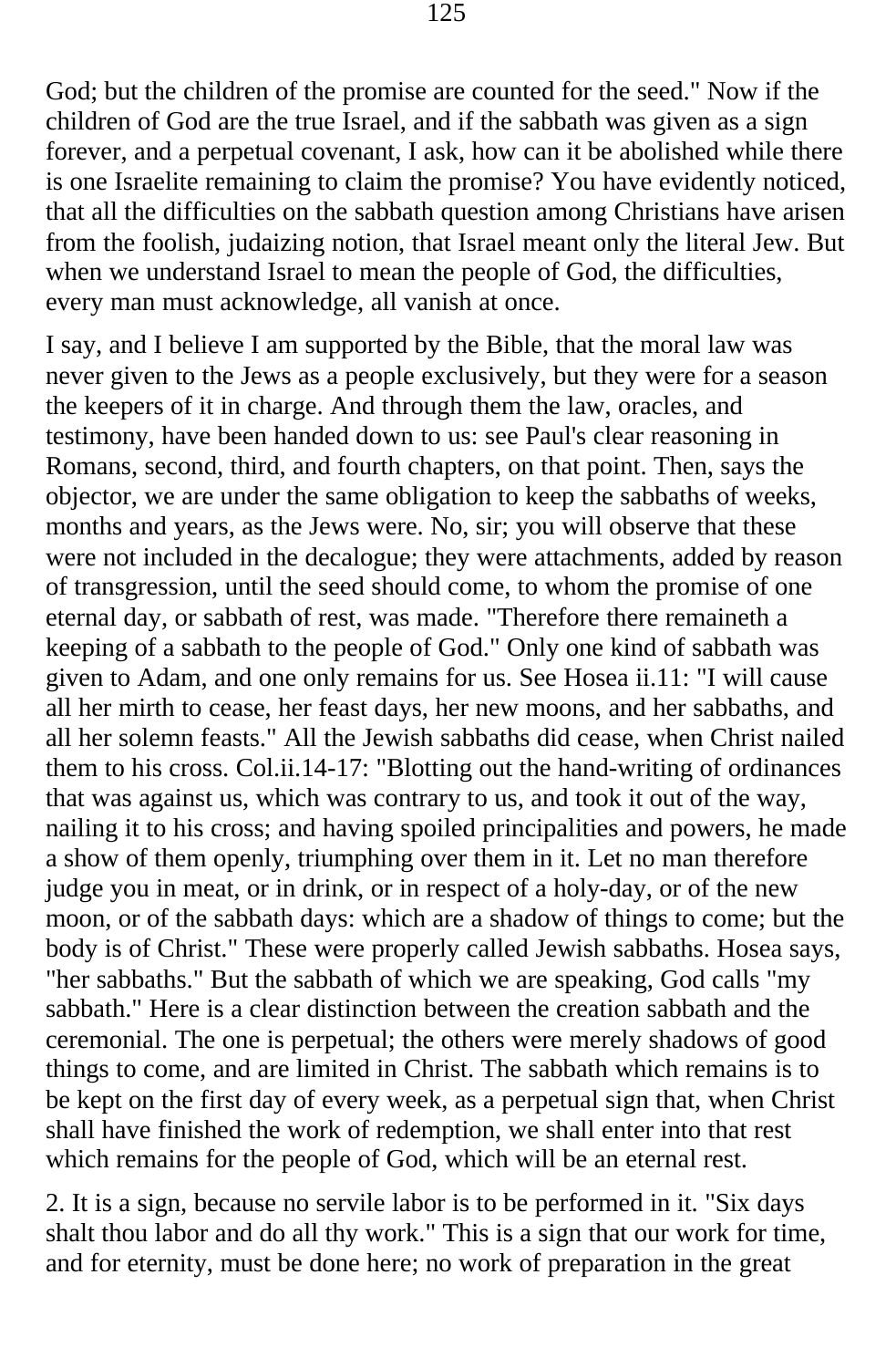God; but the children of the promise are counted for the seed." Now if the children of God are the true Israel, and if the sabbath was given as a sign forever, and a perpetual covenant, I ask, how can it be abolished while there is one Israelite remaining to claim the promise? You have evidently noticed, that all the difficulties on the sabbath question among Christians have arisen from the foolish, judaizing notion, that Israel meant only the literal Jew. But when we understand Israel to mean the people of God, the difficulties, every man must acknowledge, all vanish at once.

I say, and I believe I am supported by the Bible, that the moral law was never given to the Jews as a people exclusively, but they were for a season the keepers of it in charge. And through them the law, oracles, and testimony, have been handed down to us: see Paul's clear reasoning in Romans, second, third, and fourth chapters, on that point. Then, says the objector, we are under the same obligation to keep the sabbaths of weeks, months and years, as the Jews were. No, sir; you will observe that these were not included in the decalogue; they were attachments, added by reason of transgression, until the seed should come, to whom the promise of one eternal day, or sabbath of rest, was made. "Therefore there remaineth a keeping of a sabbath to the people of God." Only one kind of sabbath was given to Adam, and one only remains for us. See Hosea ii.11: "I will cause all her mirth to cease, her feast days, her new moons, and her sabbaths, and all her solemn feasts." All the Jewish sabbaths did cease, when Christ nailed them to his cross. Col.ii.14-17: "Blotting out the hand-writing of ordinances that was against us, which was contrary to us, and took it out of the way, nailing it to his cross; and having spoiled principalities and powers, he made a show of them openly, triumphing over them in it. Let no man therefore judge you in meat, or in drink, or in respect of a holy-day, or of the new moon, or of the sabbath days: which are a shadow of things to come; but the body is of Christ." These were properly called Jewish sabbaths. Hosea says, "her sabbaths." But the sabbath of which we are speaking, God calls "my sabbath." Here is a clear distinction between the creation sabbath and the ceremonial. The one is perpetual; the others were merely shadows of good things to come, and are limited in Christ. The sabbath which remains is to be kept on the first day of every week, as a perpetual sign that, when Christ shall have finished the work of redemption, we shall enter into that rest which remains for the people of God, which will be an eternal rest.

2. It is a sign, because no servile labor is to be performed in it. "Six days shalt thou labor and do all thy work." This is a sign that our work for time, and for eternity, must be done here; no work of preparation in the great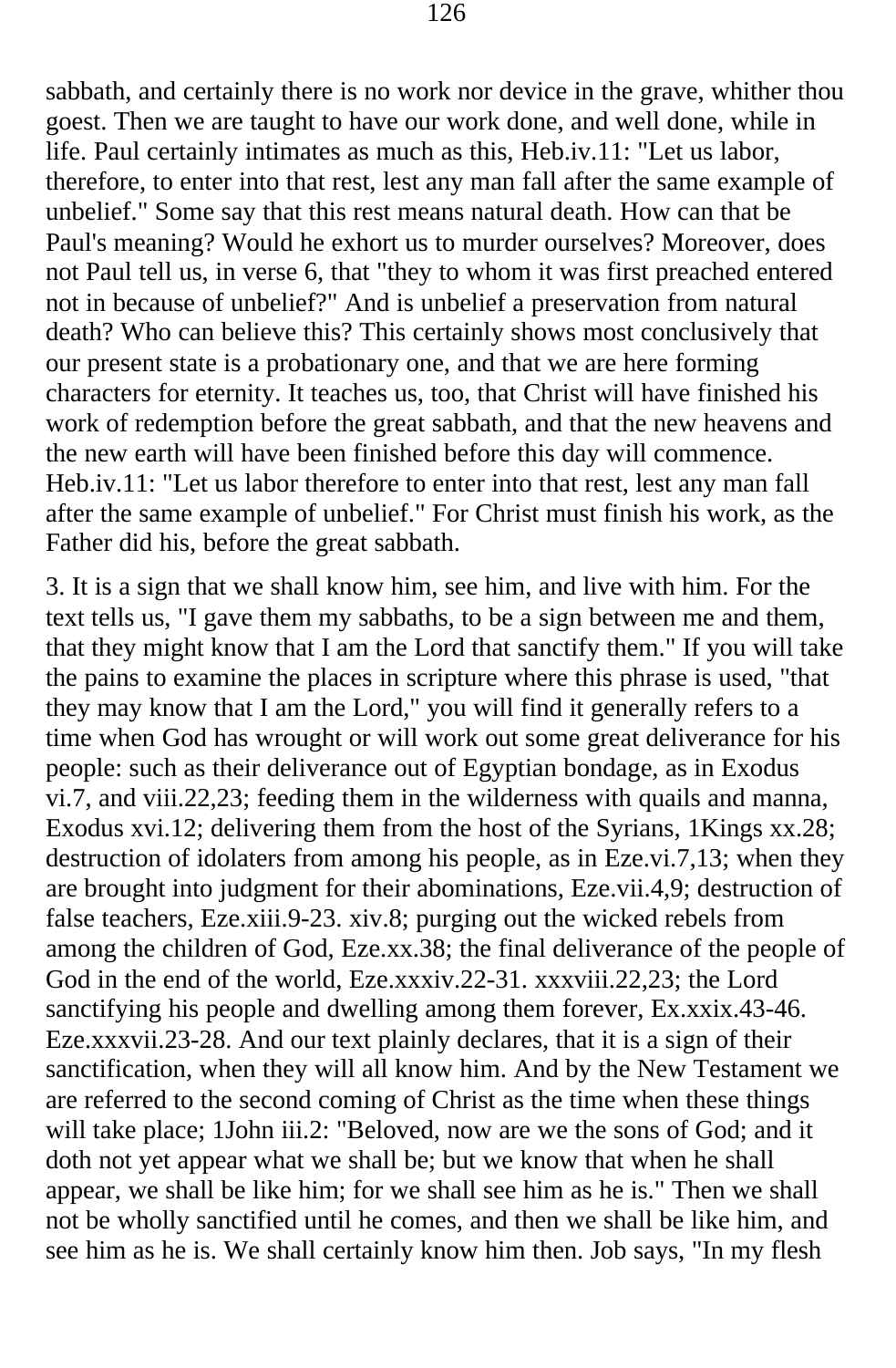sabbath, and certainly there is no work nor device in the grave, whither thou goest. Then we are taught to have our work done, and well done, while in life. Paul certainly intimates as much as this, Heb.iv.11: "Let us labor, therefore, to enter into that rest, lest any man fall after the same example of unbelief." Some say that this rest means natural death. How can that be Paul's meaning? Would he exhort us to murder ourselves? Moreover, does not Paul tell us, in verse 6, that "they to whom it was first preached entered not in because of unbelief?" And is unbelief a preservation from natural death? Who can believe this? This certainly shows most conclusively that our present state is a probationary one, and that we are here forming characters for eternity. It teaches us, too, that Christ will have finished his work of redemption before the great sabbath, and that the new heavens and the new earth will have been finished before this day will commence. Heb.iv.11: "Let us labor therefore to enter into that rest, lest any man fall after the same example of unbelief." For Christ must finish his work, as the Father did his, before the great sabbath.

3. It is a sign that we shall know him, see him, and live with him. For the text tells us, "I gave them my sabbaths, to be a sign between me and them, that they might know that I am the Lord that sanctify them." If you will take the pains to examine the places in scripture where this phrase is used, "that they may know that I am the Lord," you will find it generally refers to a time when God has wrought or will work out some great deliverance for his people: such as their deliverance out of Egyptian bondage, as in Exodus vi.7, and viii.22,23; feeding them in the wilderness with quails and manna, Exodus xvi.12; delivering them from the host of the Syrians, 1Kings xx.28; destruction of idolaters from among his people, as in Eze.vi.7,13; when they are brought into judgment for their abominations, Eze.vii.4,9; destruction of false teachers, Eze.xiii.9-23. xiv.8; purging out the wicked rebels from among the children of God, Eze.xx.38; the final deliverance of the people of God in the end of the world, Eze.xxxiv.22-31. xxxviii.22,23; the Lord sanctifying his people and dwelling among them forever, Ex.xxix.43-46. Eze.xxxvii.23-28. And our text plainly declares, that it is a sign of their sanctification, when they will all know him. And by the New Testament we are referred to the second coming of Christ as the time when these things will take place; 1John iii.2: "Beloved, now are we the sons of God; and it doth not yet appear what we shall be; but we know that when he shall appear, we shall be like him; for we shall see him as he is." Then we shall not be wholly sanctified until he comes, and then we shall be like him, and see him as he is. We shall certainly know him then. Job says, "In my flesh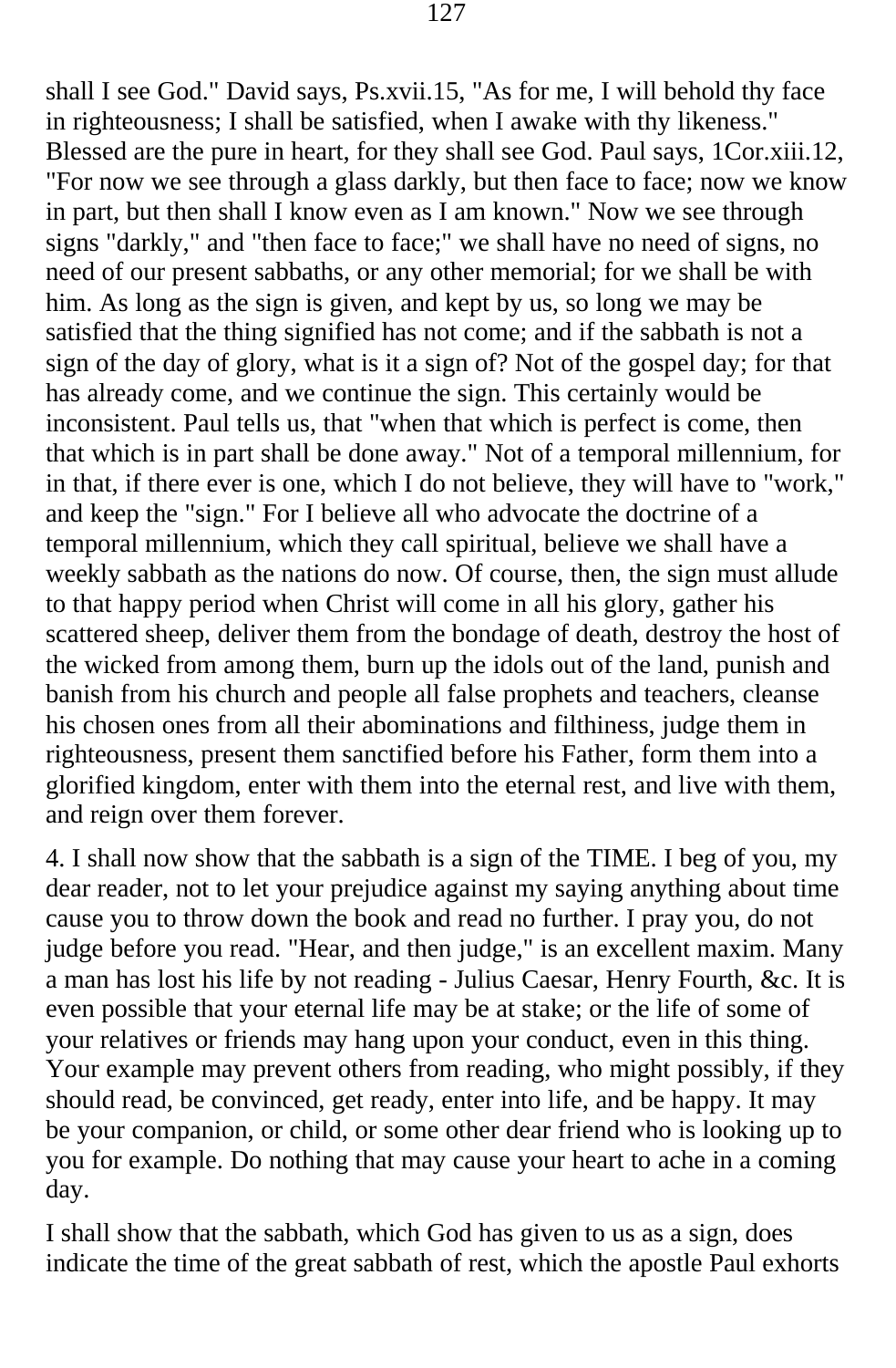shall I see God." David says, Ps.xvii.15, "As for me, I will behold thy face in righteousness; I shall be satisfied, when I awake with thy likeness." Blessed are the pure in heart, for they shall see God. Paul says, 1Cor.xiii.12, "For now we see through a glass darkly, but then face to face; now we know in part, but then shall I know even as I am known." Now we see through signs "darkly," and "then face to face;" we shall have no need of signs, no need of our present sabbaths, or any other memorial; for we shall be with him. As long as the sign is given, and kept by us, so long we may be satisfied that the thing signified has not come; and if the sabbath is not a sign of the day of glory, what is it a sign of? Not of the gospel day; for that has already come, and we continue the sign. This certainly would be inconsistent. Paul tells us, that "when that which is perfect is come, then that which is in part shall be done away." Not of a temporal millennium, for in that, if there ever is one, which I do not believe, they will have to "work," and keep the "sign." For I believe all who advocate the doctrine of a temporal millennium, which they call spiritual, believe we shall have a weekly sabbath as the nations do now. Of course, then, the sign must allude to that happy period when Christ will come in all his glory, gather his scattered sheep, deliver them from the bondage of death, destroy the host of the wicked from among them, burn up the idols out of the land, punish and banish from his church and people all false prophets and teachers, cleanse his chosen ones from all their abominations and filthiness, judge them in righteousness, present them sanctified before his Father, form them into a glorified kingdom, enter with them into the eternal rest, and live with them, and reign over them forever.

4. I shall now show that the sabbath is a sign of the TIME. I beg of you, my dear reader, not to let your prejudice against my saying anything about time cause you to throw down the book and read no further. I pray you, do not judge before you read. "Hear, and then judge," is an excellent maxim. Many a man has lost his life by not reading - Julius Caesar, Henry Fourth, &c. It is even possible that your eternal life may be at stake; or the life of some of your relatives or friends may hang upon your conduct, even in this thing. Your example may prevent others from reading, who might possibly, if they should read, be convinced, get ready, enter into life, and be happy. It may be your companion, or child, or some other dear friend who is looking up to you for example. Do nothing that may cause your heart to ache in a coming day.

I shall show that the sabbath, which God has given to us as a sign, does indicate the time of the great sabbath of rest, which the apostle Paul exhorts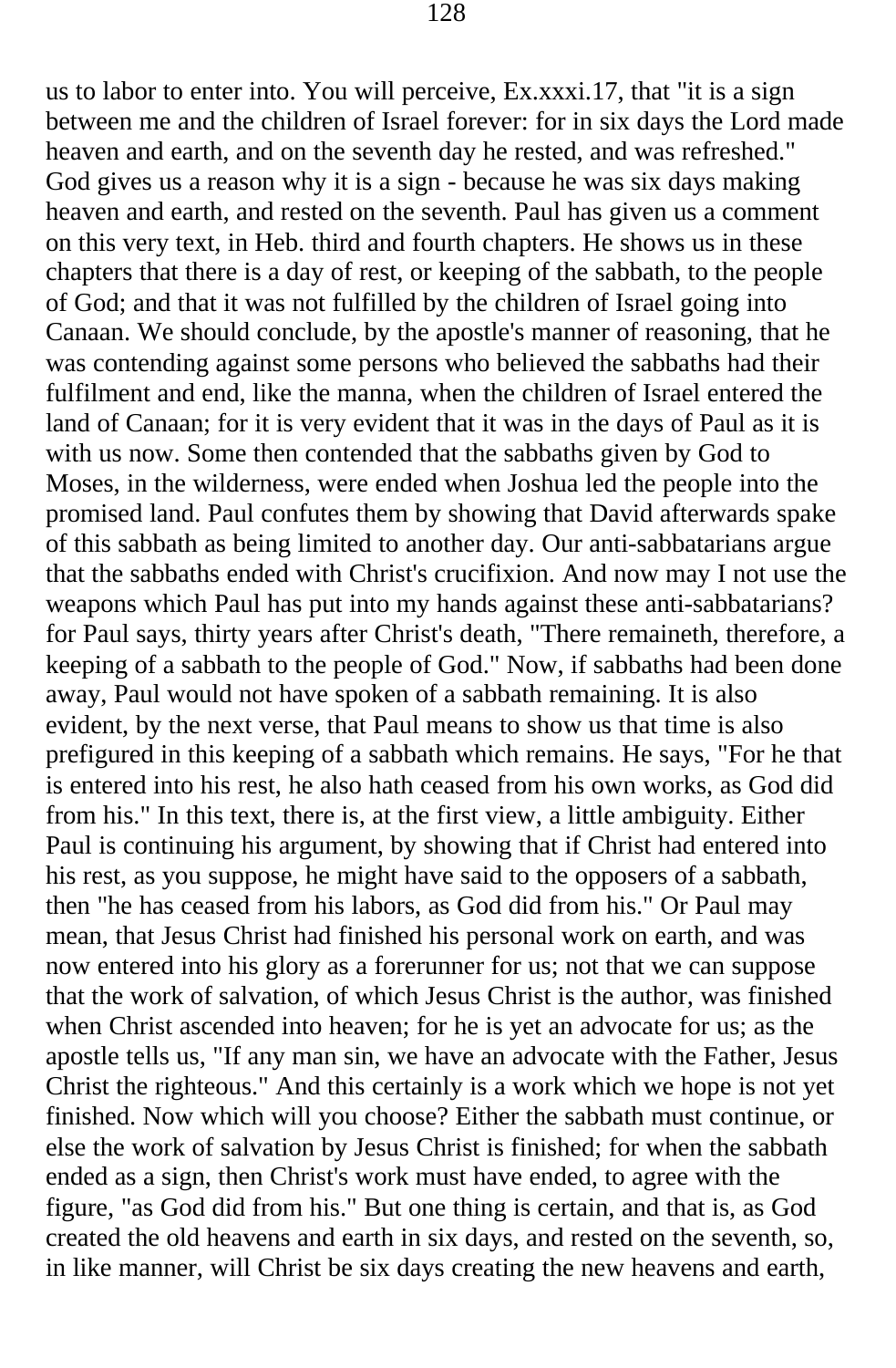us to labor to enter into. You will perceive, Ex.xxxi.17, that "it is a sign between me and the children of Israel forever: for in six days the Lord made heaven and earth, and on the seventh day he rested, and was refreshed." God gives us a reason why it is a sign - because he was six days making heaven and earth, and rested on the seventh. Paul has given us a comment on this very text, in Heb. third and fourth chapters. He shows us in these chapters that there is a day of rest, or keeping of the sabbath, to the people of God; and that it was not fulfilled by the children of Israel going into Canaan. We should conclude, by the apostle's manner of reasoning, that he was contending against some persons who believed the sabbaths had their fulfilment and end, like the manna, when the children of Israel entered the land of Canaan; for it is very evident that it was in the days of Paul as it is with us now. Some then contended that the sabbaths given by God to Moses, in the wilderness, were ended when Joshua led the people into the promised land. Paul confutes them by showing that David afterwards spake of this sabbath as being limited to another day. Our anti-sabbatarians argue that the sabbaths ended with Christ's crucifixion. And now may I not use the weapons which Paul has put into my hands against these anti-sabbatarians? for Paul says, thirty years after Christ's death, "There remaineth, therefore, a keeping of a sabbath to the people of God." Now, if sabbaths had been done away, Paul would not have spoken of a sabbath remaining. It is also evident, by the next verse, that Paul means to show us that time is also prefigured in this keeping of a sabbath which remains. He says, "For he that is entered into his rest, he also hath ceased from his own works, as God did from his." In this text, there is, at the first view, a little ambiguity. Either Paul is continuing his argument, by showing that if Christ had entered into his rest, as you suppose, he might have said to the opposers of a sabbath, then "he has ceased from his labors, as God did from his." Or Paul may mean, that Jesus Christ had finished his personal work on earth, and was now entered into his glory as a forerunner for us; not that we can suppose that the work of salvation, of which Jesus Christ is the author, was finished when Christ ascended into heaven; for he is yet an advocate for us; as the apostle tells us, "If any man sin, we have an advocate with the Father, Jesus Christ the righteous." And this certainly is a work which we hope is not yet finished. Now which will you choose? Either the sabbath must continue, or else the work of salvation by Jesus Christ is finished; for when the sabbath ended as a sign, then Christ's work must have ended, to agree with the figure, "as God did from his." But one thing is certain, and that is, as God created the old heavens and earth in six days, and rested on the seventh, so, in like manner, will Christ be six days creating the new heavens and earth,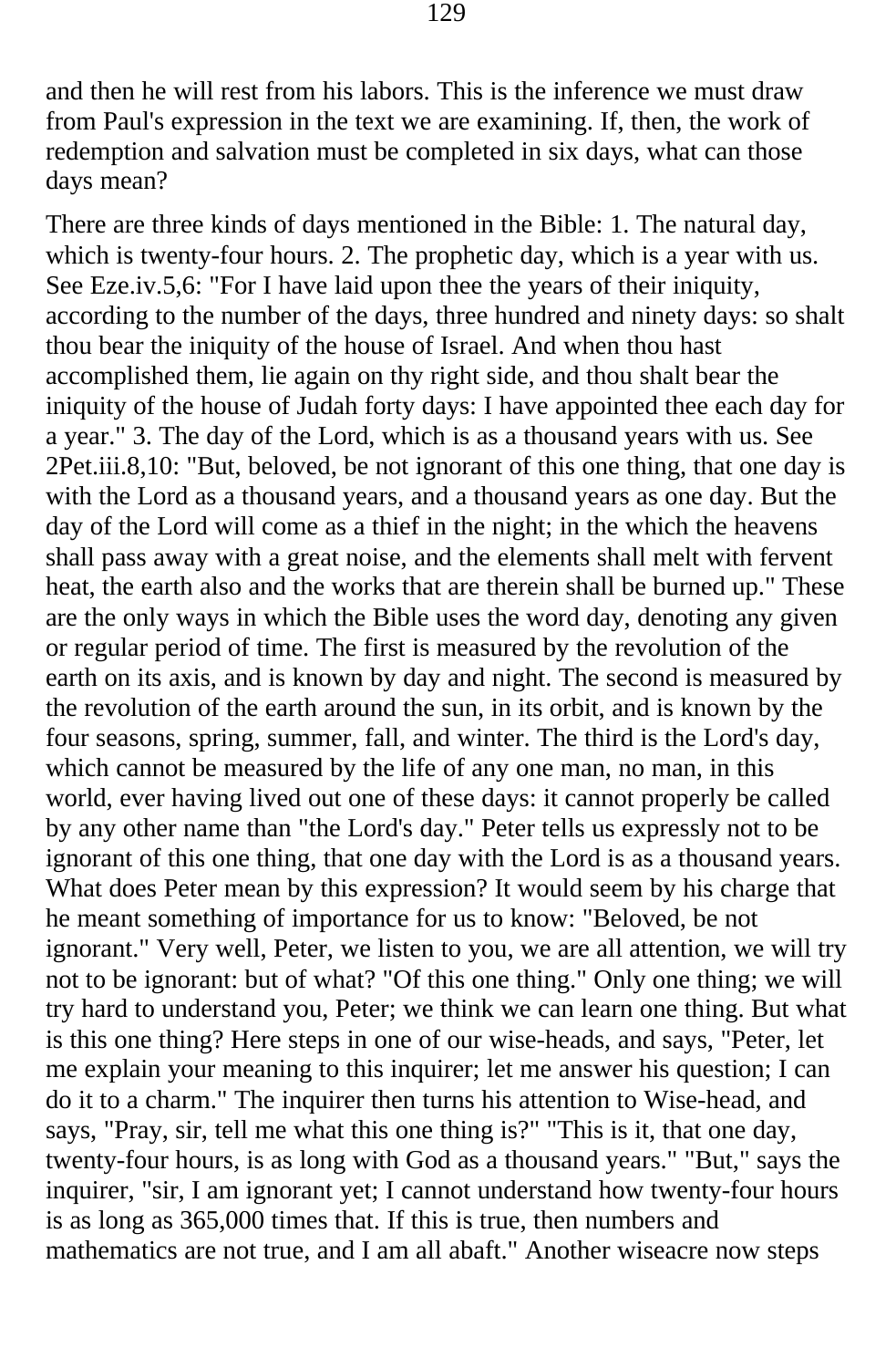and then he will rest from his labors. This is the inference we must draw from Paul's expression in the text we are examining. If, then, the work of redemption and salvation must be completed in six days, what can those days mean?

There are three kinds of days mentioned in the Bible: 1. The natural day, which is twenty-four hours. 2. The prophetic day, which is a year with us. See Eze.iv.5,6: "For I have laid upon thee the years of their iniquity, according to the number of the days, three hundred and ninety days: so shalt thou bear the iniquity of the house of Israel. And when thou hast accomplished them, lie again on thy right side, and thou shalt bear the iniquity of the house of Judah forty days: I have appointed thee each day for a year." 3. The day of the Lord, which is as a thousand years with us. See 2Pet.iii.8,10: "But, beloved, be not ignorant of this one thing, that one day is with the Lord as a thousand years, and a thousand years as one day. But the day of the Lord will come as a thief in the night; in the which the heavens shall pass away with a great noise, and the elements shall melt with fervent heat, the earth also and the works that are therein shall be burned up." These are the only ways in which the Bible uses the word day, denoting any given or regular period of time. The first is measured by the revolution of the earth on its axis, and is known by day and night. The second is measured by the revolution of the earth around the sun, in its orbit, and is known by the four seasons, spring, summer, fall, and winter. The third is the Lord's day, which cannot be measured by the life of any one man, no man, in this world, ever having lived out one of these days: it cannot properly be called by any other name than "the Lord's day." Peter tells us expressly not to be ignorant of this one thing, that one day with the Lord is as a thousand years. What does Peter mean by this expression? It would seem by his charge that he meant something of importance for us to know: "Beloved, be not ignorant." Very well, Peter, we listen to you, we are all attention, we will try not to be ignorant: but of what? "Of this one thing." Only one thing; we will try hard to understand you, Peter; we think we can learn one thing. But what is this one thing? Here steps in one of our wise-heads, and says, "Peter, let me explain your meaning to this inquirer; let me answer his question; I can do it to a charm." The inquirer then turns his attention to Wise-head, and says, "Pray, sir, tell me what this one thing is?" "This is it, that one day, twenty-four hours, is as long with God as a thousand years." "But," says the inquirer, "sir, I am ignorant yet; I cannot understand how twenty-four hours is as long as 365,000 times that. If this is true, then numbers and mathematics are not true, and I am all abaft." Another wiseacre now steps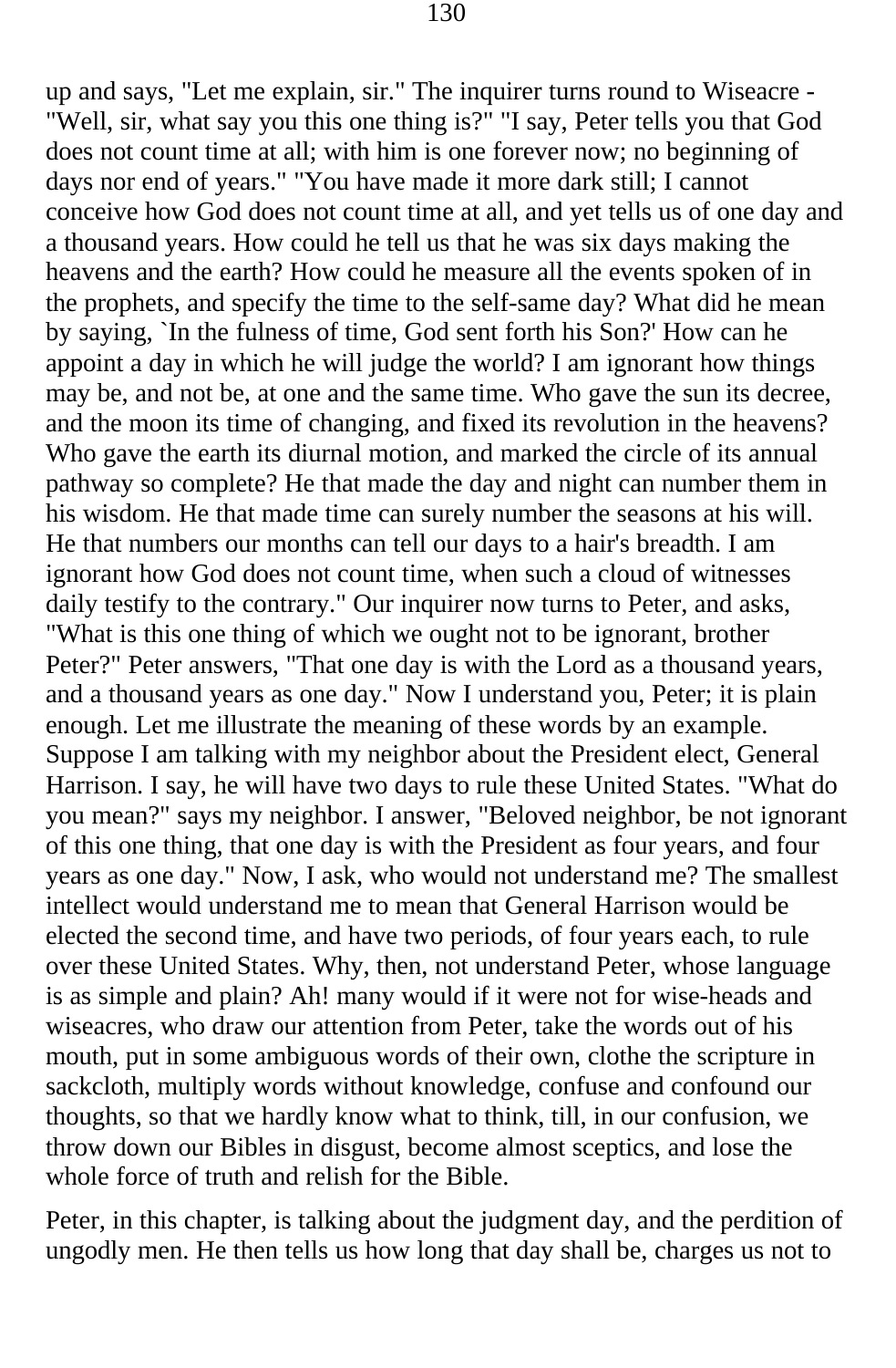up and says, "Let me explain, sir." The inquirer turns round to Wiseacre - "Well, sir, what say you this one thing is?" "I say, Peter tells you that God does not count time at all; with him is one forever now; no beginning of days nor end of years." "You have made it more dark still; I cannot conceive how God does not count time at all, and yet tells us of one day and a thousand years. How could he tell us that he was six days making the heavens and the earth? How could he measure all the events spoken of in the prophets, and specify the time to the self-same day? What did he mean by saying, `In the fulness of time, God sent forth his Son?' How can he appoint a day in which he will judge the world? I am ignorant how things may be, and not be, at one and the same time. Who gave the sun its decree, and the moon its time of changing, and fixed its revolution in the heavens? Who gave the earth its diurnal motion, and marked the circle of its annual pathway so complete? He that made the day and night can number them in his wisdom. He that made time can surely number the seasons at his will. He that numbers our months can tell our days to a hair's breadth. I am ignorant how God does not count time, when such a cloud of witnesses daily testify to the contrary." Our inquirer now turns to Peter, and asks, "What is this one thing of which we ought not to be ignorant, brother Peter?" Peter answers, "That one day is with the Lord as a thousand years, and a thousand years as one day." Now I understand you, Peter; it is plain enough. Let me illustrate the meaning of these words by an example. Suppose I am talking with my neighbor about the President elect, General Harrison. I say, he will have two days to rule these United States. "What do you mean?" says my neighbor. I answer, "Beloved neighbor, be not ignorant of this one thing, that one day is with the President as four years, and four years as one day." Now, I ask, who would not understand me? The smallest intellect would understand me to mean that General Harrison would be elected the second time, and have two periods, of four years each, to rule over these United States. Why, then, not understand Peter, whose language is as simple and plain? Ah! many would if it were not for wise-heads and wiseacres, who draw our attention from Peter, take the words out of his mouth, put in some ambiguous words of their own, clothe the scripture in sackcloth, multiply words without knowledge, confuse and confound our thoughts, so that we hardly know what to think, till, in our confusion, we throw down our Bibles in disgust, become almost sceptics, and lose the whole force of truth and relish for the Bible.

Peter, in this chapter, is talking about the judgment day, and the perdition of ungodly men. He then tells us how long that day shall be, charges us not to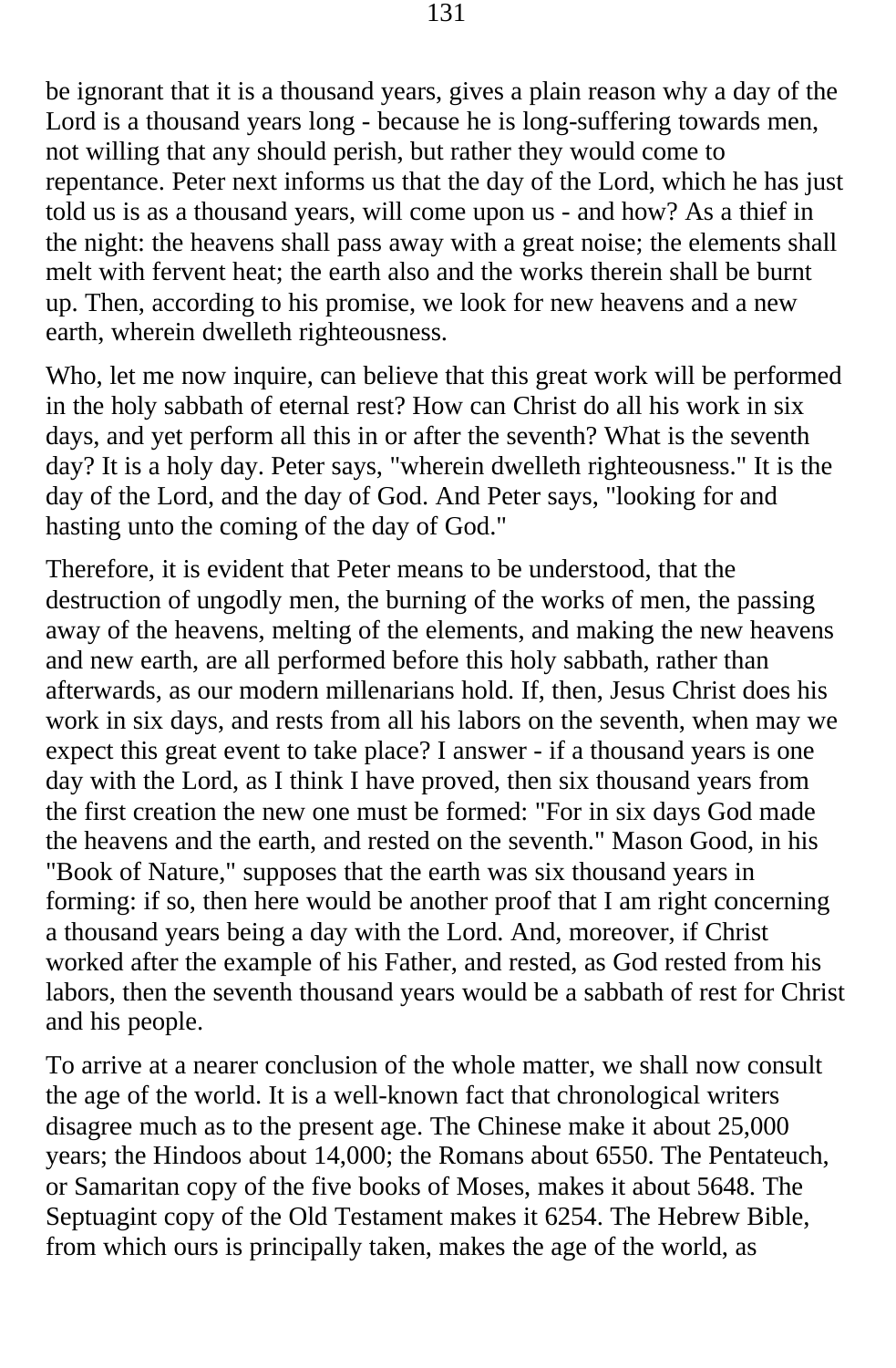be ignorant that it is a thousand years, gives a plain reason why a day of the Lord is a thousand years long - because he is long-suffering towards men, not willing that any should perish, but rather they would come to repentance. Peter next informs us that the day of the Lord, which he has just told us is as a thousand years, will come upon us - and how? As a thief in the night: the heavens shall pass away with a great noise; the elements shall melt with fervent heat; the earth also and the works therein shall be burnt up. Then, according to his promise, we look for new heavens and a new earth, wherein dwelleth righteousness.

Who, let me now inquire, can believe that this great work will be performed in the holy sabbath of eternal rest? How can Christ do all his work in six days, and yet perform all this in or after the seventh? What is the seventh day? It is a holy day. Peter says, "wherein dwelleth righteousness." It is the day of the Lord, and the day of God. And Peter says, "looking for and hasting unto the coming of the day of God."

Therefore, it is evident that Peter means to be understood, that the destruction of ungodly men, the burning of the works of men, the passing away of the heavens, melting of the elements, and making the new heavens and new earth, are all performed before this holy sabbath, rather than afterwards, as our modern millenarians hold. If, then, Jesus Christ does his work in six days, and rests from all his labors on the seventh, when may we expect this great event to take place? I answer - if a thousand years is one day with the Lord, as I think I have proved, then six thousand years from the first creation the new one must be formed: "For in six days God made the heavens and the earth, and rested on the seventh." Mason Good, in his "Book of Nature," supposes that the earth was six thousand years in forming: if so, then here would be another proof that I am right concerning a thousand years being a day with the Lord. And, moreover, if Christ worked after the example of his Father, and rested, as God rested from his labors, then the seventh thousand years would be a sabbath of rest for Christ and his people.

To arrive at a nearer conclusion of the whole matter, we shall now consult the age of the world. It is a well-known fact that chronological writers disagree much as to the present age. The Chinese make it about 25,000 years; the Hindoos about 14,000; the Romans about 6550. The Pentateuch, or Samaritan copy of the five books of Moses, makes it about 5648. The Septuagint copy of the Old Testament makes it 6254. The Hebrew Bible, from which ours is principally taken, makes the age of the world, as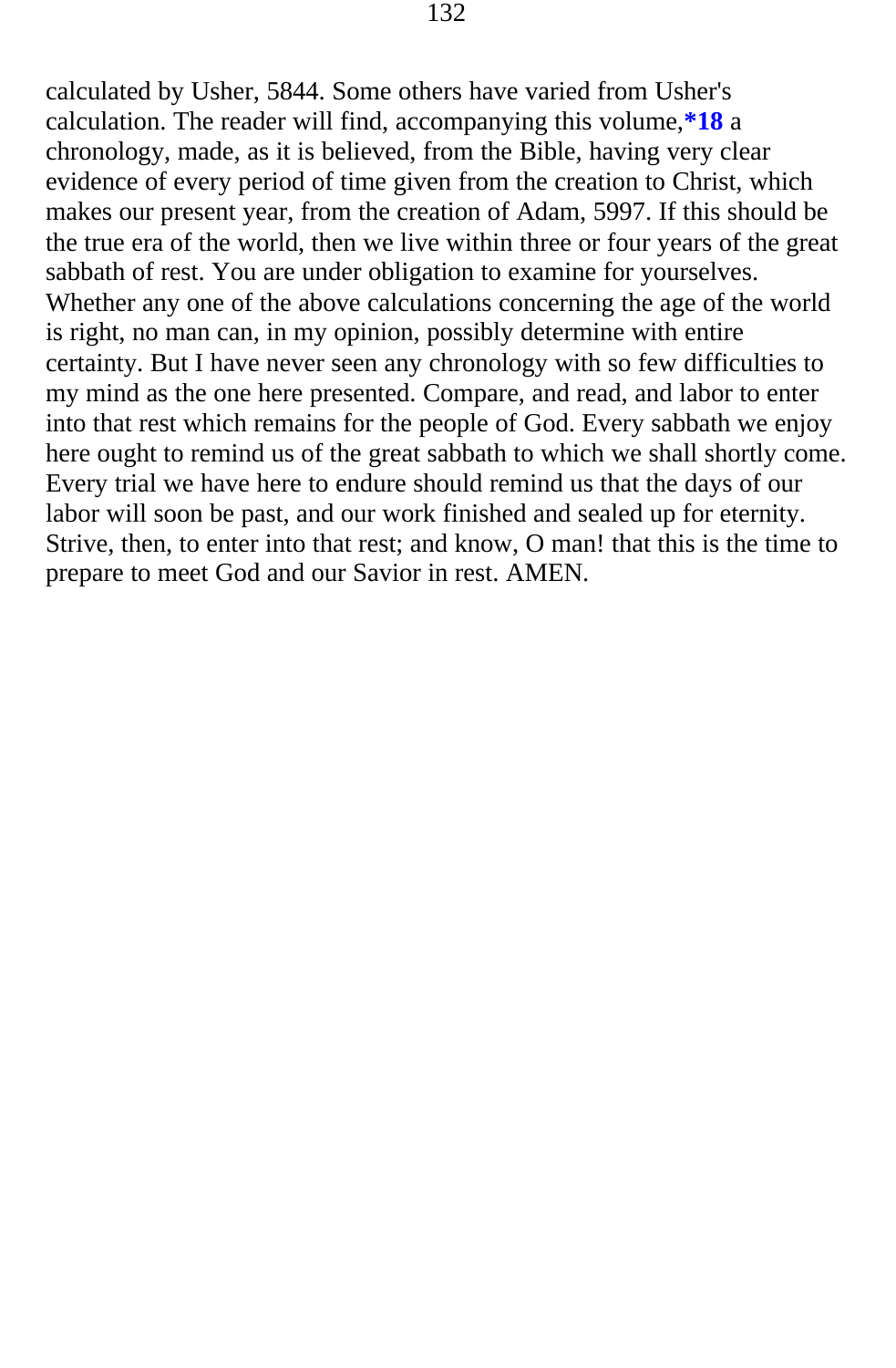calculated by Usher, 5844. Some others have varied from Usher's calculation. The reader will find, accompanying this volume,**\*18** a chronology, made, as it is believed, from the Bible, having v[ery clea](#page-197-0)r evidence of every period of time given from the creation to Christ, which makes our present year, from the creation of Adam, 5997. If this should be the true era of the world, then we live within three or four years of the great sabbath of rest. You are under obligation to examine for yourselves. Whether any one of the above calculations concerning the age of the world is right, no man can, in my opinion, possibly determine with entire certainty. But I have never seen any chronology with so few difficulties to my mind as the one here presented. Compare, and read, and labor to enter into that rest which remains for the people of God. Every sabbath we enjoy here ought to remind us of the great sabbath to which we shall shortly come. Every trial we have here to endure should remind us that the days of our labor will soon be past, and our work finished and sealed up for eternity. Strive, then, to enter into that rest; and know, O man! that this is the time to prepare to meet God and our Savior in rest. AMEN.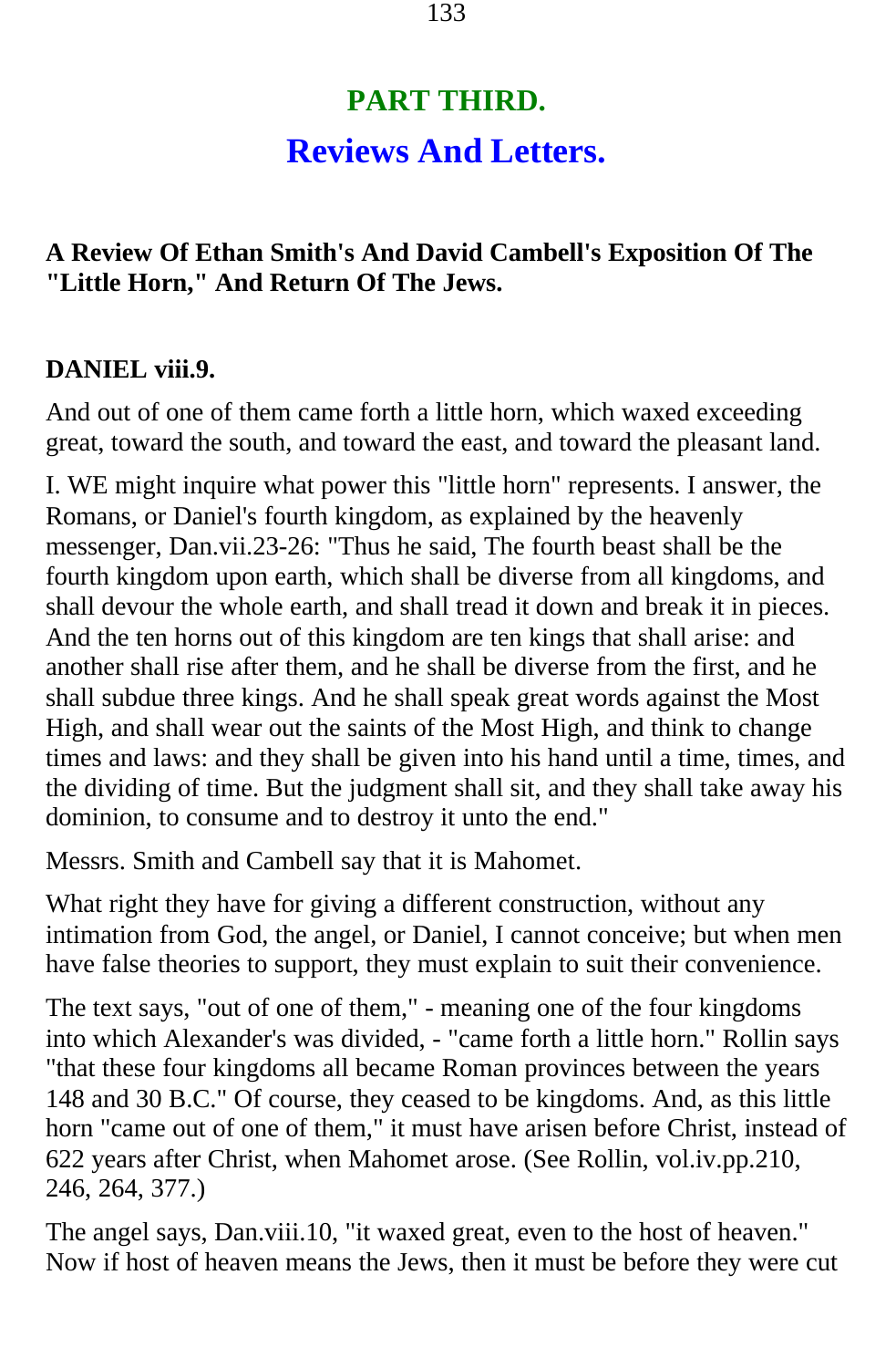# **PART THIRD.**

# **Reviews And Letters.**

## **A Review Of Ethan Smith's And David Cambell's Exposition Of The "Little Horn," And Return Of The Jews.**

## **DANIEL viii.9.**

And out of one of them came forth a little horn, which waxed exceeding great, toward the south, and toward the east, and toward the pleasant land.

I. WE might inquire what power this "little horn" represents. I answer, the Romans, or Daniel's fourth kingdom, as explained by the heavenly messenger, Dan.vii.23-26: "Thus he said, The fourth beast shall be the fourth kingdom upon earth, which shall be diverse from all kingdoms, and shall devour the whole earth, and shall tread it down and break it in pieces. And the ten horns out of this kingdom are ten kings that shall arise: and another shall rise after them, and he shall be diverse from the first, and he shall subdue three kings. And he shall speak great words against the Most High, and shall wear out the saints of the Most High, and think to change times and laws: and they shall be given into his hand until a time, times, and the dividing of time. But the judgment shall sit, and they shall take away his dominion, to consume and to destroy it unto the end."

Messrs. Smith and Cambell say that it is Mahomet.

What right they have for giving a different construction, without any intimation from God, the angel, or Daniel, I cannot conceive; but when men have false theories to support, they must explain to suit their convenience.

The text says, "out of one of them," - meaning one of the four kingdoms into which Alexander's was divided, - "came forth a little horn." Rollin says "that these four kingdoms all became Roman provinces between the years 148 and 30 B.C." Of course, they ceased to be kingdoms. And, as this little horn "came out of one of them," it must have arisen before Christ, instead of 622 years after Christ, when Mahomet arose. (See Rollin, vol.iv.pp.210, 246, 264, 377.)

The angel says, Dan.viii.10, "it waxed great, even to the host of heaven." Now if host of heaven means the Jews, then it must be before they were cut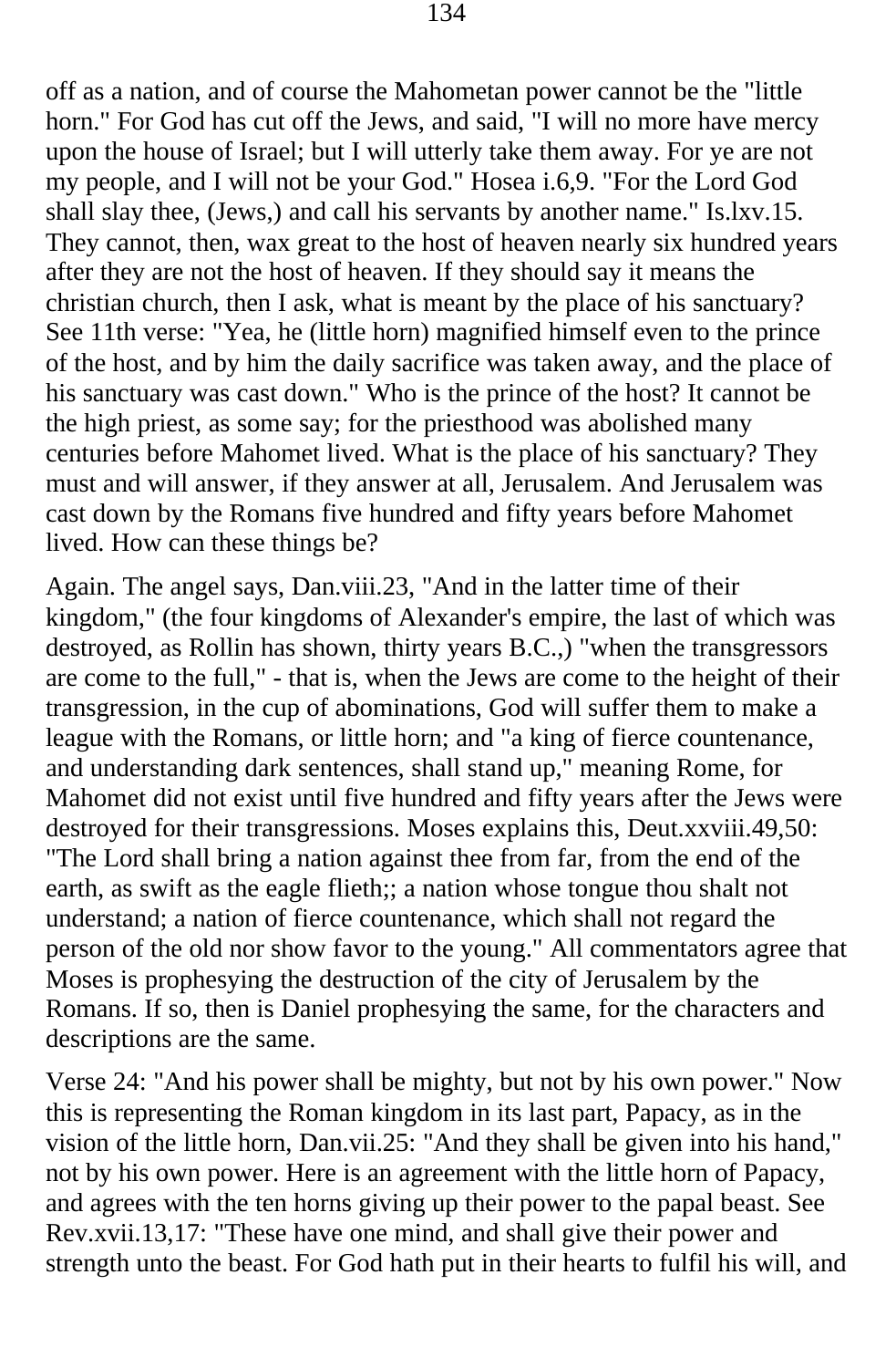off as a nation, and of course the Mahometan power cannot be the "little horn." For God has cut off the Jews, and said, "I will no more have mercy upon the house of Israel; but I will utterly take them away. For ye are not my people, and I will not be your God." Hosea i.6,9. "For the Lord God shall slay thee, (Jews,) and call his servants by another name." Is.lxv.15. They cannot, then, wax great to the host of heaven nearly six hundred years after they are not the host of heaven. If they should say it means the christian church, then I ask, what is meant by the place of his sanctuary? See 11th verse: "Yea, he (little horn) magnified himself even to the prince of the host, and by him the daily sacrifice was taken away, and the place of his sanctuary was cast down." Who is the prince of the host? It cannot be the high priest, as some say; for the priesthood was abolished many centuries before Mahomet lived. What is the place of his sanctuary? They must and will answer, if they answer at all, Jerusalem. And Jerusalem was cast down by the Romans five hundred and fifty years before Mahomet lived. How can these things be?

Again. The angel says, Dan.viii.23, "And in the latter time of their kingdom," (the four kingdoms of Alexander's empire, the last of which was destroyed, as Rollin has shown, thirty years B.C.,) "when the transgressors are come to the full," - that is, when the Jews are come to the height of their transgression, in the cup of abominations, God will suffer them to make a league with the Romans, or little horn; and "a king of fierce countenance, and understanding dark sentences, shall stand up," meaning Rome, for Mahomet did not exist until five hundred and fifty years after the Jews were destroyed for their transgressions. Moses explains this, Deut.xxviii.49,50: "The Lord shall bring a nation against thee from far, from the end of the earth, as swift as the eagle flieth;; a nation whose tongue thou shalt not understand; a nation of fierce countenance, which shall not regard the person of the old nor show favor to the young." All commentators agree that Moses is prophesying the destruction of the city of Jerusalem by the Romans. If so, then is Daniel prophesying the same, for the characters and descriptions are the same.

Verse 24: "And his power shall be mighty, but not by his own power." Now this is representing the Roman kingdom in its last part, Papacy, as in the vision of the little horn, Dan.vii.25: "And they shall be given into his hand," not by his own power. Here is an agreement with the little horn of Papacy, and agrees with the ten horns giving up their power to the papal beast. See Rev.xvii.13,17: "These have one mind, and shall give their power and strength unto the beast. For God hath put in their hearts to fulfil his will, and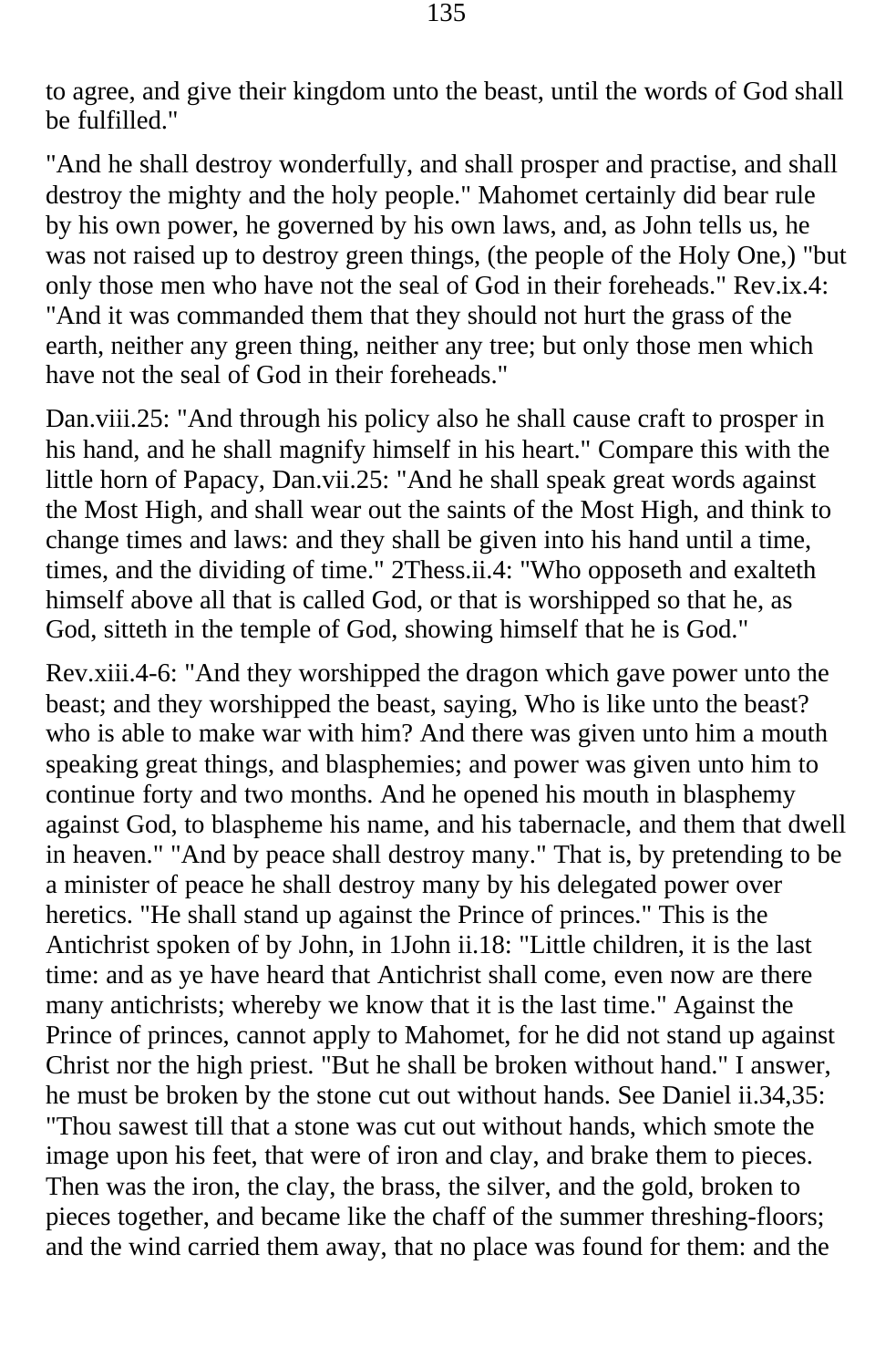to agree, and give their kingdom unto the beast, until the words of God shall be fulfilled."

"And he shall destroy wonderfully, and shall prosper and practise, and shall destroy the mighty and the holy people." Mahomet certainly did bear rule by his own power, he governed by his own laws, and, as John tells us, he was not raised up to destroy green things, (the people of the Holy One,) "but only those men who have not the seal of God in their foreheads." Rev.ix.4: "And it was commanded them that they should not hurt the grass of the earth, neither any green thing, neither any tree; but only those men which have not the seal of God in their foreheads."

Dan.viii.25: "And through his policy also he shall cause craft to prosper in his hand, and he shall magnify himself in his heart." Compare this with the little horn of Papacy, Dan.vii.25: "And he shall speak great words against the Most High, and shall wear out the saints of the Most High, and think to change times and laws: and they shall be given into his hand until a time, times, and the dividing of time." 2Thess.ii.4: "Who opposeth and exalteth himself above all that is called God, or that is worshipped so that he, as God, sitteth in the temple of God, showing himself that he is God."

Rev.xiii.4-6: "And they worshipped the dragon which gave power unto the beast; and they worshipped the beast, saying, Who is like unto the beast? who is able to make war with him? And there was given unto him a mouth speaking great things, and blasphemies; and power was given unto him to continue forty and two months. And he opened his mouth in blasphemy against God, to blaspheme his name, and his tabernacle, and them that dwell in heaven." "And by peace shall destroy many." That is, by pretending to be a minister of peace he shall destroy many by his delegated power over heretics. "He shall stand up against the Prince of princes." This is the Antichrist spoken of by John, in 1John ii.18: "Little children, it is the last time: and as ye have heard that Antichrist shall come, even now are there many antichrists; whereby we know that it is the last time." Against the Prince of princes, cannot apply to Mahomet, for he did not stand up against Christ nor the high priest. "But he shall be broken without hand." I answer, he must be broken by the stone cut out without hands. See Daniel ii.34,35: "Thou sawest till that a stone was cut out without hands, which smote the image upon his feet, that were of iron and clay, and brake them to pieces. Then was the iron, the clay, the brass, the silver, and the gold, broken to pieces together, and became like the chaff of the summer threshing-floors; and the wind carried them away, that no place was found for them: and the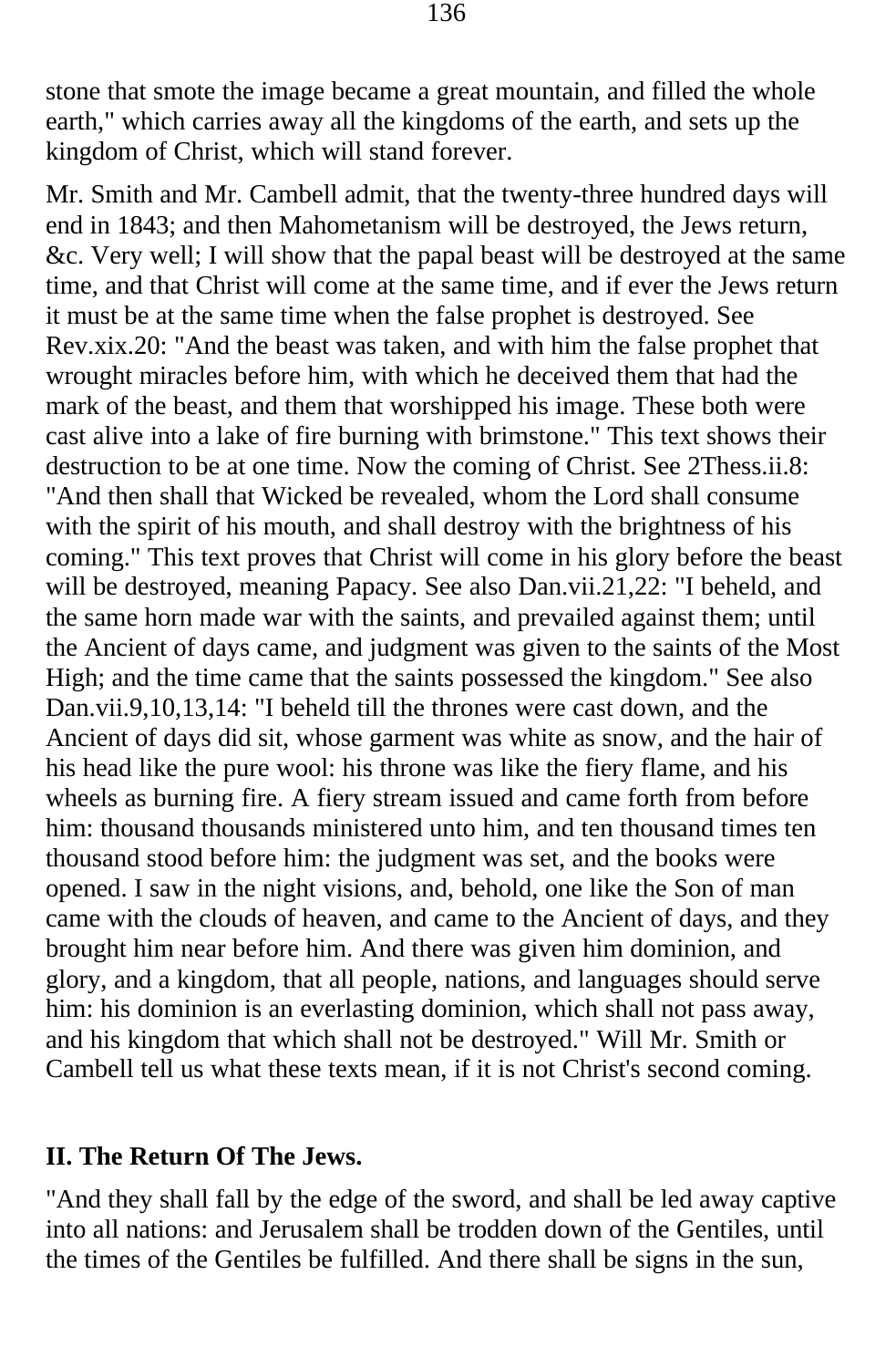stone that smote the image became a great mountain, and filled the whole earth," which carries away all the kingdoms of the earth, and sets up the kingdom of Christ, which will stand forever.

Mr. Smith and Mr. Cambell admit, that the twenty-three hundred days will end in 1843; and then Mahometanism will be destroyed, the Jews return, &c. Very well; I will show that the papal beast will be destroyed at the same time, and that Christ will come at the same time, and if ever the Jews return it must be at the same time when the false prophet is destroyed. See Rev.xix.20: "And the beast was taken, and with him the false prophet that wrought miracles before him, with which he deceived them that had the mark of the beast, and them that worshipped his image. These both were cast alive into a lake of fire burning with brimstone." This text shows their destruction to be at one time. Now the coming of Christ. See 2Thess.ii.8: "And then shall that Wicked be revealed, whom the Lord shall consume with the spirit of his mouth, and shall destroy with the brightness of his coming." This text proves that Christ will come in his glory before the beast will be destroyed, meaning Papacy. See also Dan.vii.21,22: "I beheld, and the same horn made war with the saints, and prevailed against them; until the Ancient of days came, and judgment was given to the saints of the Most High; and the time came that the saints possessed the kingdom." See also Dan.vii.9,10,13,14: "I beheld till the thrones were cast down, and the Ancient of days did sit, whose garment was white as snow, and the hair of his head like the pure wool: his throne was like the fiery flame, and his wheels as burning fire. A fiery stream issued and came forth from before him: thousand thousands ministered unto him, and ten thousand times ten thousand stood before him: the judgment was set, and the books were opened. I saw in the night visions, and, behold, one like the Son of man came with the clouds of heaven, and came to the Ancient of days, and they brought him near before him. And there was given him dominion, and glory, and a kingdom, that all people, nations, and languages should serve him: his dominion is an everlasting dominion, which shall not pass away, and his kingdom that which shall not be destroyed." Will Mr. Smith or Cambell tell us what these texts mean, if it is not Christ's second coming.

#### **II. The Return Of The Jews.**

"And they shall fall by the edge of the sword, and shall be led away captive into all nations: and Jerusalem shall be trodden down of the Gentiles, until the times of the Gentiles be fulfilled. And there shall be signs in the sun,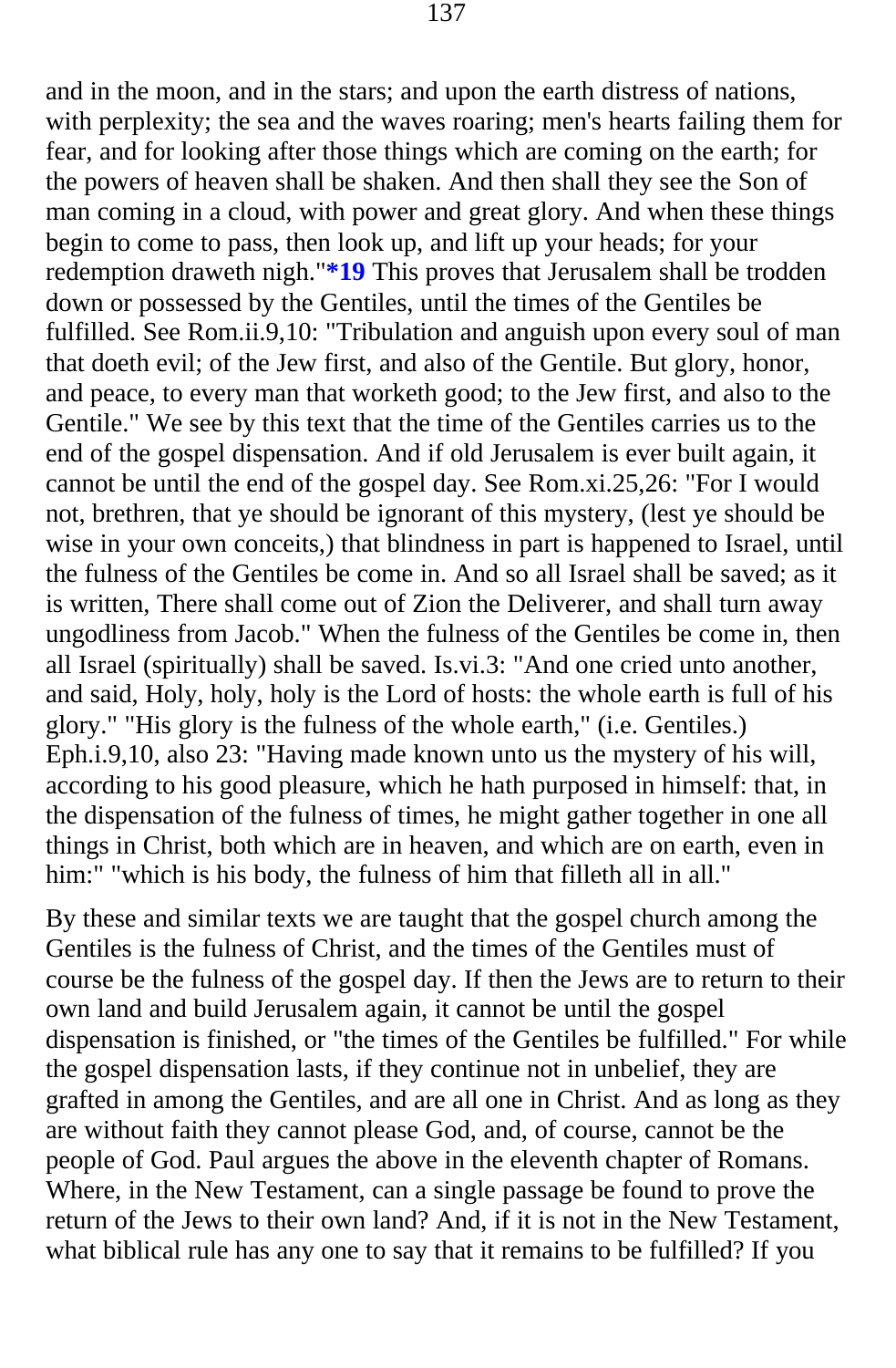and in the moon, and in the stars; and upon the earth distress of nations, with perplexity; the sea and the waves roaring; men's hearts failing them for fear, and for looking after those things which are coming on the earth; for the powers of heaven shall be shaken. And then shall they see the Son of man coming in a cloud, with power and great glory. And when these things begin to come to pass, then look up, and lift up your heads; for your redemption draweth nigh."**[\\*19](#page-197-0)** This proves that Jerusalem shall be trodden down or possessed by the Gentiles, until the times of the Gentiles be fulfilled. See Rom.ii.9,10: "Tribulation and anguish upon every soul of man that doeth evil; of the Jew first, and also of the Gentile. But glory, honor, and peace, to every man that worketh good; to the Jew first, and also to the Gentile." We see by this text that the time of the Gentiles carries us to the end of the gospel dispensation. And if old Jerusalem is ever built again, it cannot be until the end of the gospel day. See Rom.xi.25,26: "For I would not, brethren, that ye should be ignorant of this mystery, (lest ye should be wise in your own conceits,) that blindness in part is happened to Israel, until the fulness of the Gentiles be come in. And so all Israel shall be saved; as it is written, There shall come out of Zion the Deliverer, and shall turn away ungodliness from Jacob." When the fulness of the Gentiles be come in, then all Israel (spiritually) shall be saved. Is.vi.3: "And one cried unto another, and said, Holy, holy, holy is the Lord of hosts: the whole earth is full of his glory." "His glory is the fulness of the whole earth," (i.e. Gentiles.) Eph.i.9,10, also 23: "Having made known unto us the mystery of his will, according to his good pleasure, which he hath purposed in himself: that, in the dispensation of the fulness of times, he might gather together in one all things in Christ, both which are in heaven, and which are on earth, even in him:" "which is his body, the fulness of him that filleth all in all."

By these and similar texts we are taught that the gospel church among the Gentiles is the fulness of Christ, and the times of the Gentiles must of course be the fulness of the gospel day. If then the Jews are to return to their own land and build Jerusalem again, it cannot be until the gospel dispensation is finished, or "the times of the Gentiles be fulfilled." For while the gospel dispensation lasts, if they continue not in unbelief, they are grafted in among the Gentiles, and are all one in Christ. And as long as they are without faith they cannot please God, and, of course, cannot be the people of God. Paul argues the above in the eleventh chapter of Romans. Where, in the New Testament, can a single passage be found to prove the return of the Jews to their own land? And, if it is not in the New Testament, what biblical rule has any one to say that it remains to be fulfilled? If you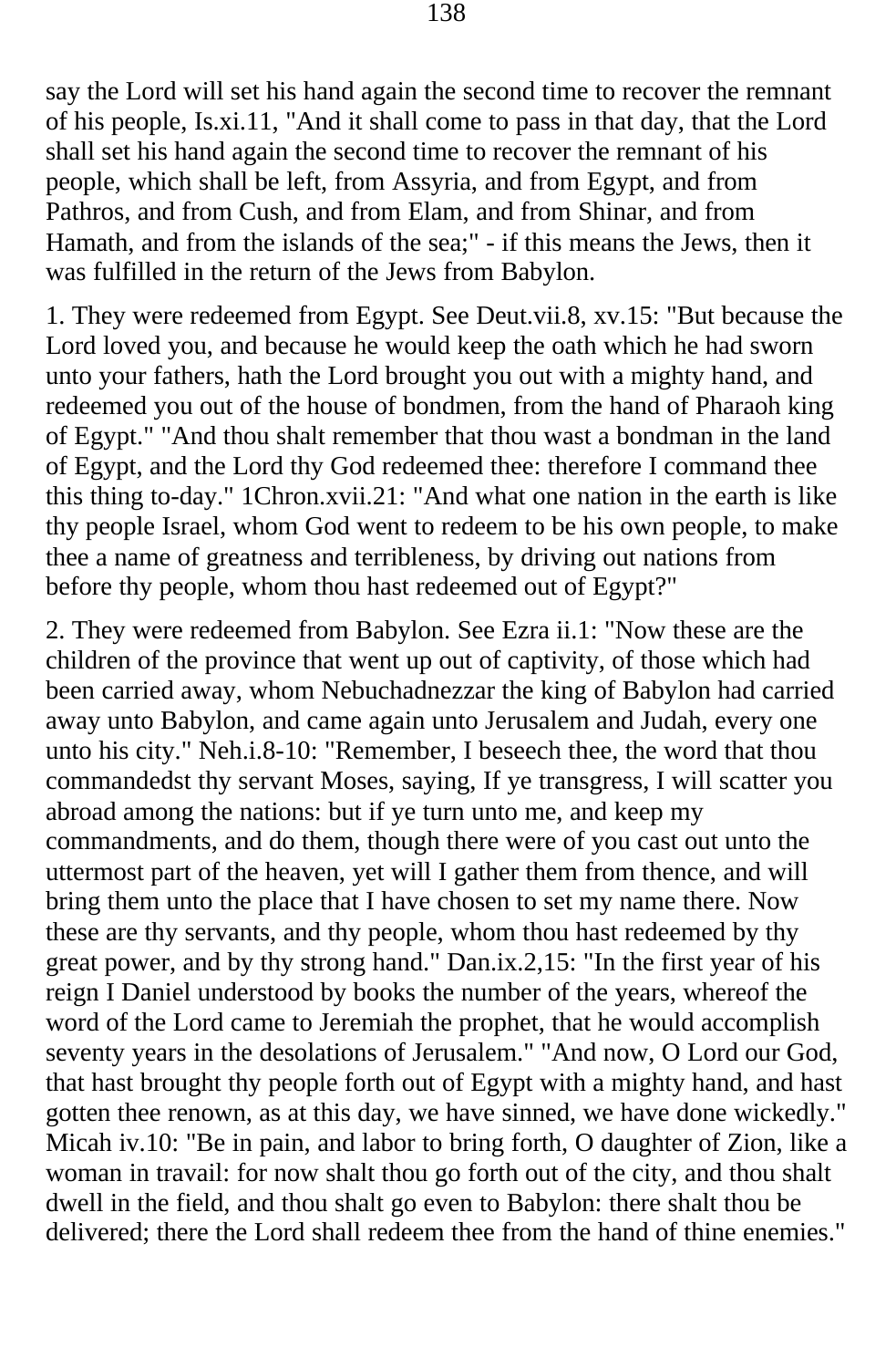say the Lord will set his hand again the second time to recover the remnant of his people, Is.xi.11, "And it shall come to pass in that day, that the Lord shall set his hand again the second time to recover the remnant of his people, which shall be left, from Assyria, and from Egypt, and from Pathros, and from Cush, and from Elam, and from Shinar, and from Hamath, and from the islands of the sea;" - if this means the Jews, then it was fulfilled in the return of the Jews from Babylon.

1. They were redeemed from Egypt. See Deut.vii.8, xv.15: "But because the Lord loved you, and because he would keep the oath which he had sworn unto your fathers, hath the Lord brought you out with a mighty hand, and redeemed you out of the house of bondmen, from the hand of Pharaoh king of Egypt." "And thou shalt remember that thou wast a bondman in the land of Egypt, and the Lord thy God redeemed thee: therefore I command thee this thing to-day." 1Chron.xvii.21: "And what one nation in the earth is like thy people Israel, whom God went to redeem to be his own people, to make thee a name of greatness and terribleness, by driving out nations from before thy people, whom thou hast redeemed out of Egypt?"

2. They were redeemed from Babylon. See Ezra ii.1: "Now these are the children of the province that went up out of captivity, of those which had been carried away, whom Nebuchadnezzar the king of Babylon had carried away unto Babylon, and came again unto Jerusalem and Judah, every one unto his city." Neh.i.8-10: "Remember, I beseech thee, the word that thou commandedst thy servant Moses, saying, If ye transgress, I will scatter you abroad among the nations: but if ye turn unto me, and keep my commandments, and do them, though there were of you cast out unto the uttermost part of the heaven, yet will I gather them from thence, and will bring them unto the place that I have chosen to set my name there. Now these are thy servants, and thy people, whom thou hast redeemed by thy great power, and by thy strong hand." Dan.ix.2,15: "In the first year of his reign I Daniel understood by books the number of the years, whereof the word of the Lord came to Jeremiah the prophet, that he would accomplish seventy years in the desolations of Jerusalem." "And now, O Lord our God, that hast brought thy people forth out of Egypt with a mighty hand, and hast gotten thee renown, as at this day, we have sinned, we have done wickedly." Micah iv.10: "Be in pain, and labor to bring forth, O daughter of Zion, like a woman in travail: for now shalt thou go forth out of the city, and thou shalt dwell in the field, and thou shalt go even to Babylon: there shalt thou be delivered; there the Lord shall redeem thee from the hand of thine enemies."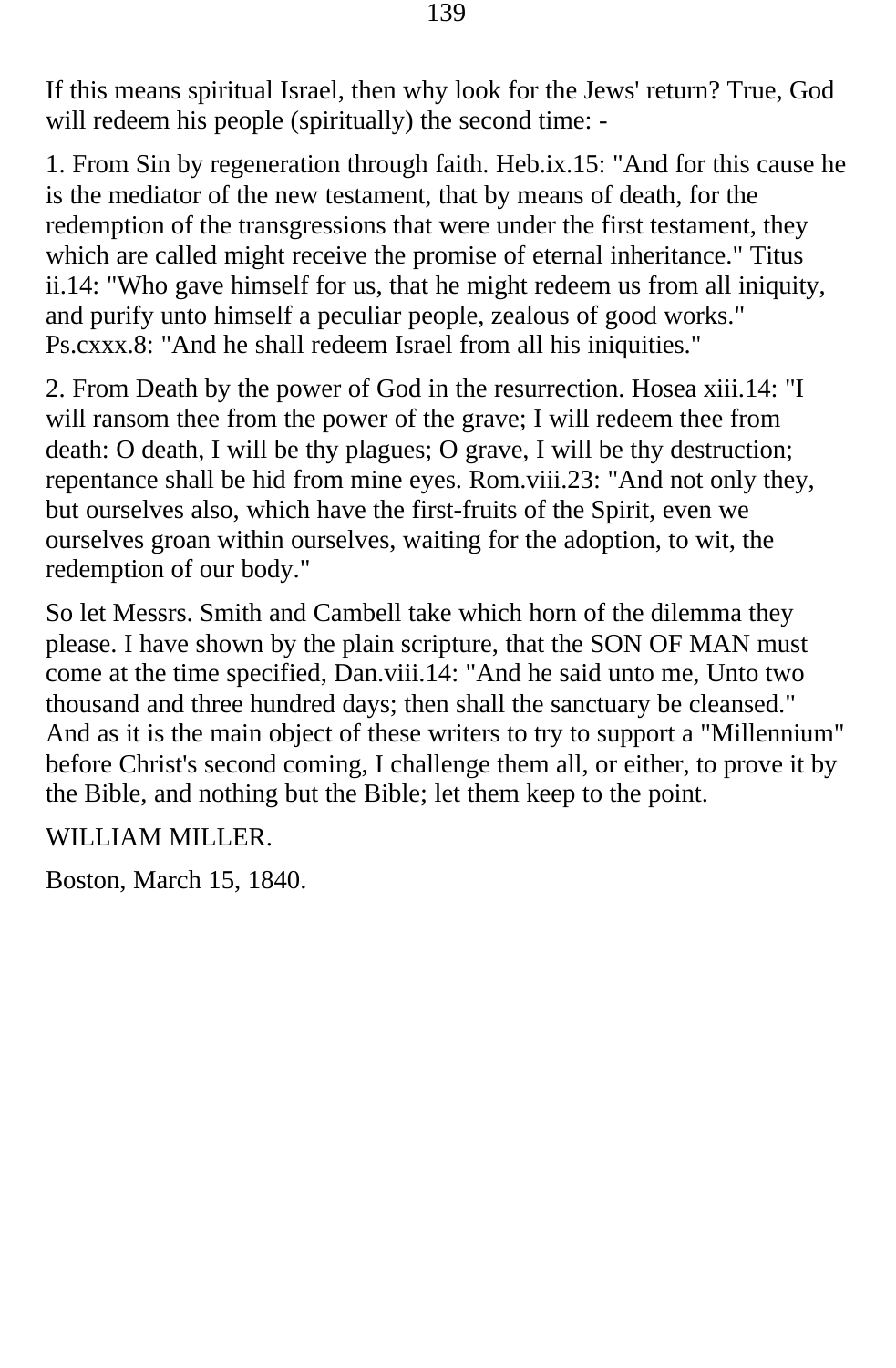If this means spiritual Israel, then why look for the Jews' return? True, God will redeem his people (spiritually) the second time: -

1. From Sin by regeneration through faith. Heb.ix.15: "And for this cause he is the mediator of the new testament, that by means of death, for the redemption of the transgressions that were under the first testament, they which are called might receive the promise of eternal inheritance." Titus ii.14: "Who gave himself for us, that he might redeem us from all iniquity, and purify unto himself a peculiar people, zealous of good works." Ps.cxxx.8: "And he shall redeem Israel from all his iniquities."

2. From Death by the power of God in the resurrection. Hosea xiii.14: "I will ransom thee from the power of the grave; I will redeem thee from death: O death, I will be thy plagues; O grave, I will be thy destruction; repentance shall be hid from mine eyes. Rom.viii.23: "And not only they, but ourselves also, which have the first-fruits of the Spirit, even we ourselves groan within ourselves, waiting for the adoption, to wit, the redemption of our body."

So let Messrs. Smith and Cambell take which horn of the dilemma they please. I have shown by the plain scripture, that the SON OF MAN must come at the time specified, Dan.viii.14: "And he said unto me, Unto two thousand and three hundred days; then shall the sanctuary be cleansed." And as it is the main object of these writers to try to support a "Millennium" before Christ's second coming, I challenge them all, or either, to prove it by the Bible, and nothing but the Bible; let them keep to the point.

WILLIAM MILLER.

Boston, March 15, 1840.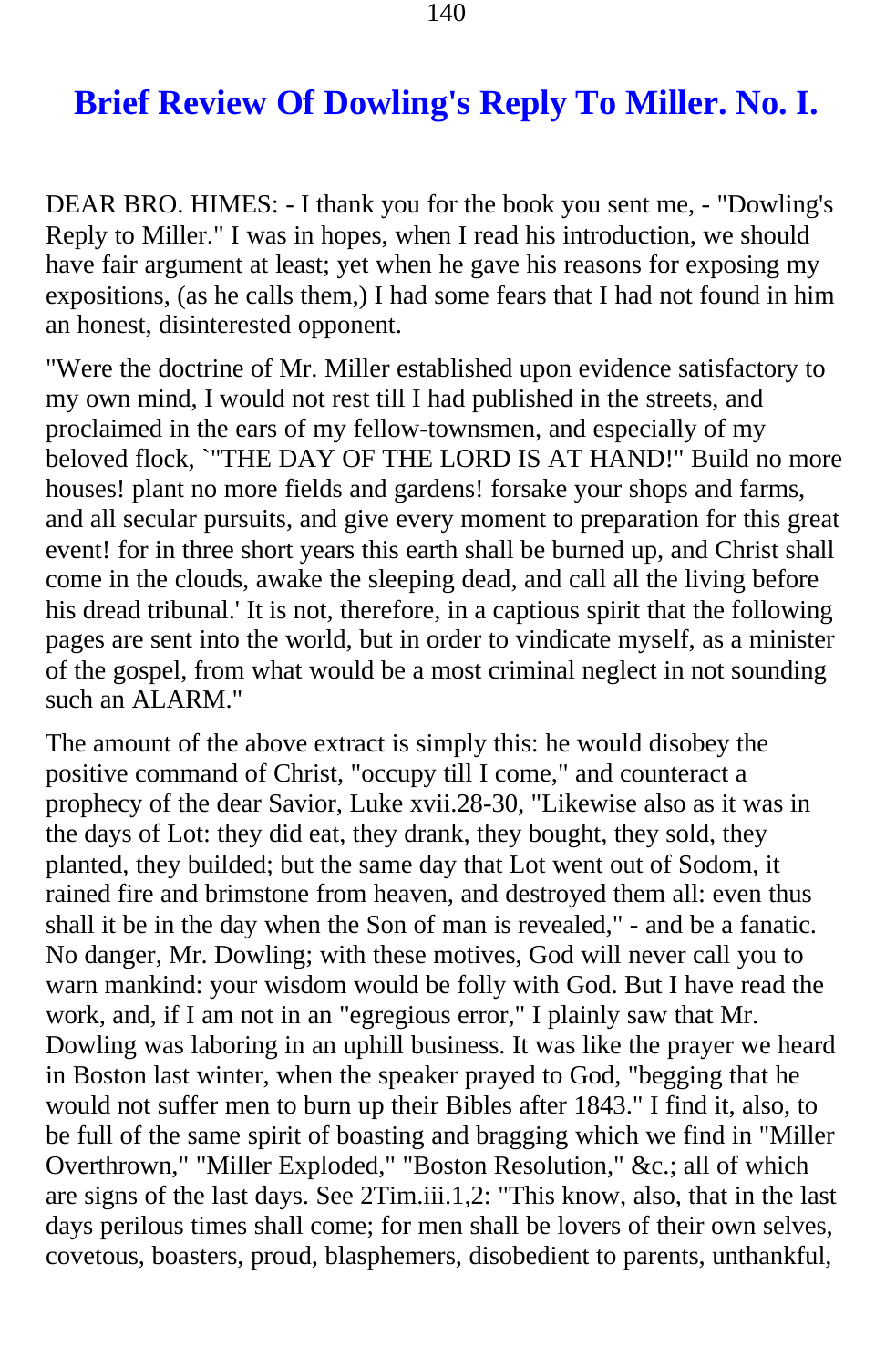# **Brief Review Of Dowling's Reply To Miller. No. I.**

DEAR BRO. HIMES: - I thank you for the book you sent me, - "Dowling's Reply to Miller." I was in hopes, when I read his introduction, we should have fair argument at least; yet when he gave his reasons for exposing my expositions, (as he calls them,) I had some fears that I had not found in him an honest, disinterested opponent.

"Were the doctrine of Mr. Miller established upon evidence satisfactory to my own mind, I would not rest till I had published in the streets, and proclaimed in the ears of my fellow-townsmen, and especially of my beloved flock, `"THE DAY OF THE LORD IS AT HAND!" Build no more houses! plant no more fields and gardens! forsake your shops and farms, and all secular pursuits, and give every moment to preparation for this great event! for in three short years this earth shall be burned up, and Christ shall come in the clouds, awake the sleeping dead, and call all the living before his dread tribunal.' It is not, therefore, in a captious spirit that the following pages are sent into the world, but in order to vindicate myself, as a minister of the gospel, from what would be a most criminal neglect in not sounding such an ALARM."

The amount of the above extract is simply this: he would disobey the positive command of Christ, "occupy till I come," and counteract a prophecy of the dear Savior, Luke xvii.28-30, "Likewise also as it was in the days of Lot: they did eat, they drank, they bought, they sold, they planted, they builded; but the same day that Lot went out of Sodom, it rained fire and brimstone from heaven, and destroyed them all: even thus shall it be in the day when the Son of man is revealed," - and be a fanatic. No danger, Mr. Dowling; with these motives, God will never call you to warn mankind: your wisdom would be folly with God. But I have read the work, and, if I am not in an "egregious error," I plainly saw that Mr. Dowling was laboring in an uphill business. It was like the prayer we heard in Boston last winter, when the speaker prayed to God, "begging that he would not suffer men to burn up their Bibles after 1843." I find it, also, to be full of the same spirit of boasting and bragging which we find in "Miller Overthrown," "Miller Exploded," "Boston Resolution," &c.; all of which are signs of the last days. See 2Tim.iii.1,2: "This know, also, that in the last days perilous times shall come; for men shall be lovers of their own selves, covetous, boasters, proud, blasphemers, disobedient to parents, unthankful,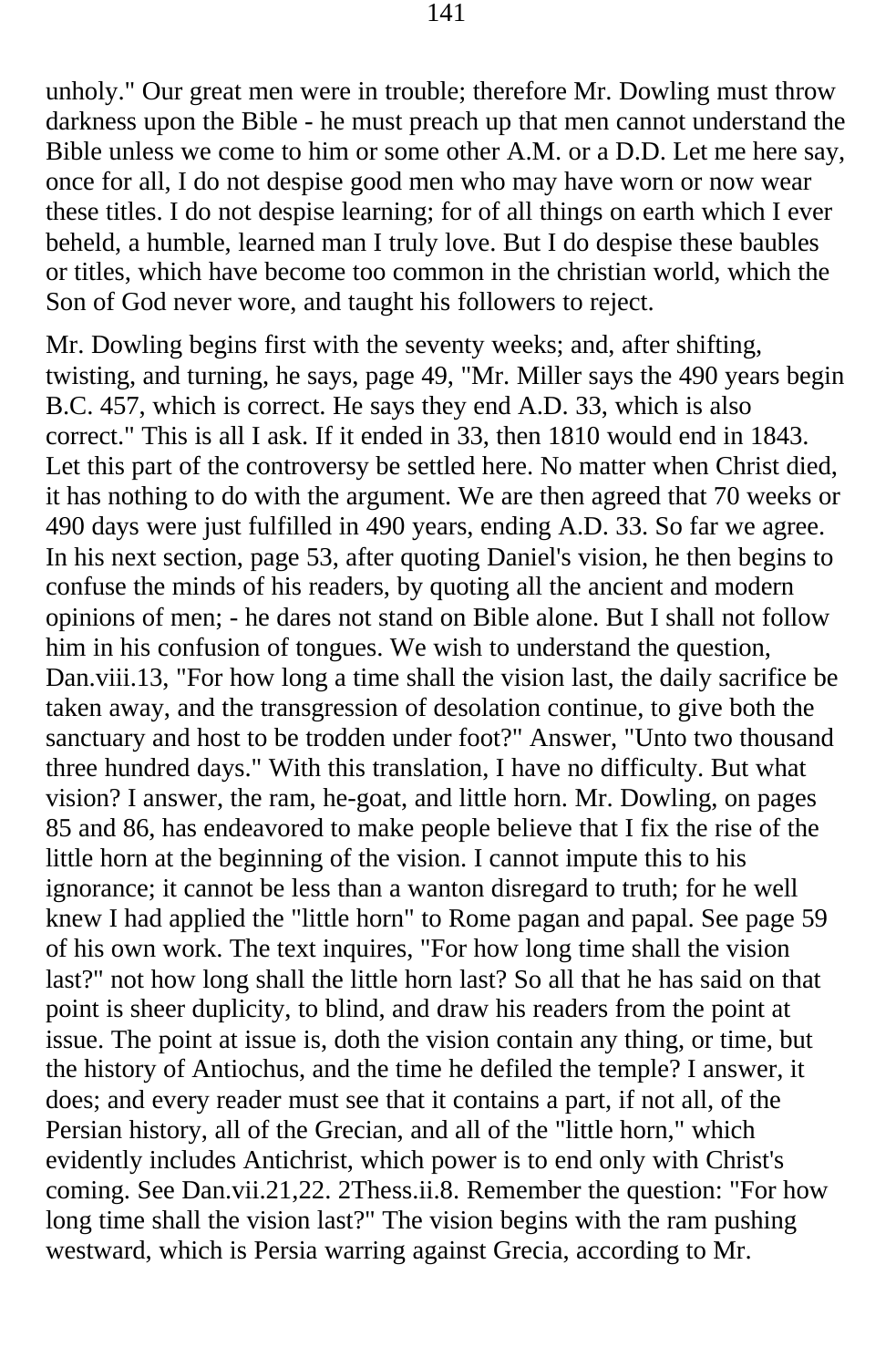unholy." Our great men were in trouble; therefore Mr. Dowling must throw darkness upon the Bible - he must preach up that men cannot understand the Bible unless we come to him or some other A.M. or a D.D. Let me here say, once for all, I do not despise good men who may have worn or now wear these titles. I do not despise learning; for of all things on earth which I ever beheld, a humble, learned man I truly love. But I do despise these baubles or titles, which have become too common in the christian world, which the Son of God never wore, and taught his followers to reject.

Mr. Dowling begins first with the seventy weeks; and, after shifting, twisting, and turning, he says, page 49, "Mr. Miller says the 490 years begin B.C. 457, which is correct. He says they end A.D. 33, which is also correct." This is all I ask. If it ended in 33, then 1810 would end in 1843. Let this part of the controversy be settled here. No matter when Christ died, it has nothing to do with the argument. We are then agreed that 70 weeks or 490 days were just fulfilled in 490 years, ending A.D. 33. So far we agree. In his next section, page 53, after quoting Daniel's vision, he then begins to confuse the minds of his readers, by quoting all the ancient and modern opinions of men; - he dares not stand on Bible alone. But I shall not follow him in his confusion of tongues. We wish to understand the question, Dan.viii.13, "For how long a time shall the vision last, the daily sacrifice be taken away, and the transgression of desolation continue, to give both the sanctuary and host to be trodden under foot?" Answer, "Unto two thousand three hundred days." With this translation, I have no difficulty. But what vision? I answer, the ram, he-goat, and little horn. Mr. Dowling, on pages 85 and 86, has endeavored to make people believe that I fix the rise of the little horn at the beginning of the vision. I cannot impute this to his ignorance; it cannot be less than a wanton disregard to truth; for he well knew I had applied the "little horn" to Rome pagan and papal. See page 59 of his own work. The text inquires, "For how long time shall the vision last?" not how long shall the little horn last? So all that he has said on that point is sheer duplicity, to blind, and draw his readers from the point at issue. The point at issue is, doth the vision contain any thing, or time, but the history of Antiochus, and the time he defiled the temple? I answer, it does; and every reader must see that it contains a part, if not all, of the Persian history, all of the Grecian, and all of the "little horn," which evidently includes Antichrist, which power is to end only with Christ's coming. See Dan.vii.21,22. 2Thess.ii.8. Remember the question: "For how long time shall the vision last?" The vision begins with the ram pushing westward, which is Persia warring against Grecia, according to Mr.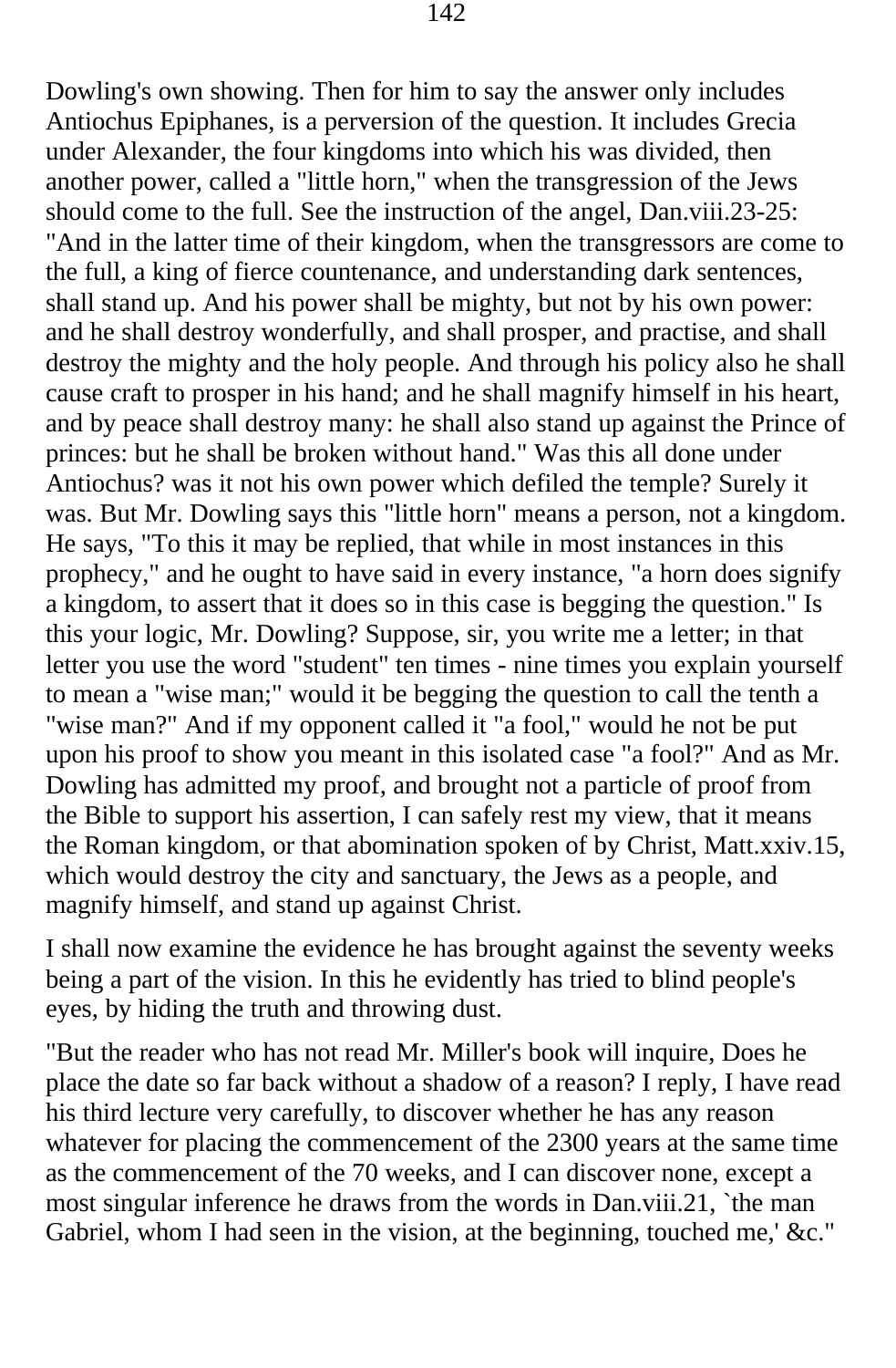Dowling's own showing. Then for him to say the answer only includes Antiochus Epiphanes, is a perversion of the question. It includes Grecia under Alexander, the four kingdoms into which his was divided, then another power, called a "little horn," when the transgression of the Jews should come to the full. See the instruction of the angel, Dan.viii.23-25: "And in the latter time of their kingdom, when the transgressors are come to the full, a king of fierce countenance, and understanding dark sentences, shall stand up. And his power shall be mighty, but not by his own power: and he shall destroy wonderfully, and shall prosper, and practise, and shall destroy the mighty and the holy people. And through his policy also he shall cause craft to prosper in his hand; and he shall magnify himself in his heart, and by peace shall destroy many: he shall also stand up against the Prince of princes: but he shall be broken without hand." Was this all done under Antiochus? was it not his own power which defiled the temple? Surely it was. But Mr. Dowling says this "little horn" means a person, not a kingdom. He says, "To this it may be replied, that while in most instances in this prophecy," and he ought to have said in every instance, "a horn does signify a kingdom, to assert that it does so in this case is begging the question." Is this your logic, Mr. Dowling? Suppose, sir, you write me a letter; in that letter you use the word "student" ten times - nine times you explain yourself to mean a "wise man;" would it be begging the question to call the tenth a "wise man?" And if my opponent called it "a fool," would he not be put upon his proof to show you meant in this isolated case "a fool?" And as Mr. Dowling has admitted my proof, and brought not a particle of proof from the Bible to support his assertion, I can safely rest my view, that it means the Roman kingdom, or that abomination spoken of by Christ, Matt.xxiv.15, which would destroy the city and sanctuary, the Jews as a people, and magnify himself, and stand up against Christ.

I shall now examine the evidence he has brought against the seventy weeks being a part of the vision. In this he evidently has tried to blind people's eyes, by hiding the truth and throwing dust.

"But the reader who has not read Mr. Miller's book will inquire, Does he place the date so far back without a shadow of a reason? I reply, I have read his third lecture very carefully, to discover whether he has any reason whatever for placing the commencement of the 2300 years at the same time as the commencement of the 70 weeks, and I can discover none, except a most singular inference he draws from the words in Dan.viii.21, `the man Gabriel, whom I had seen in the vision, at the beginning, touched me,' &c."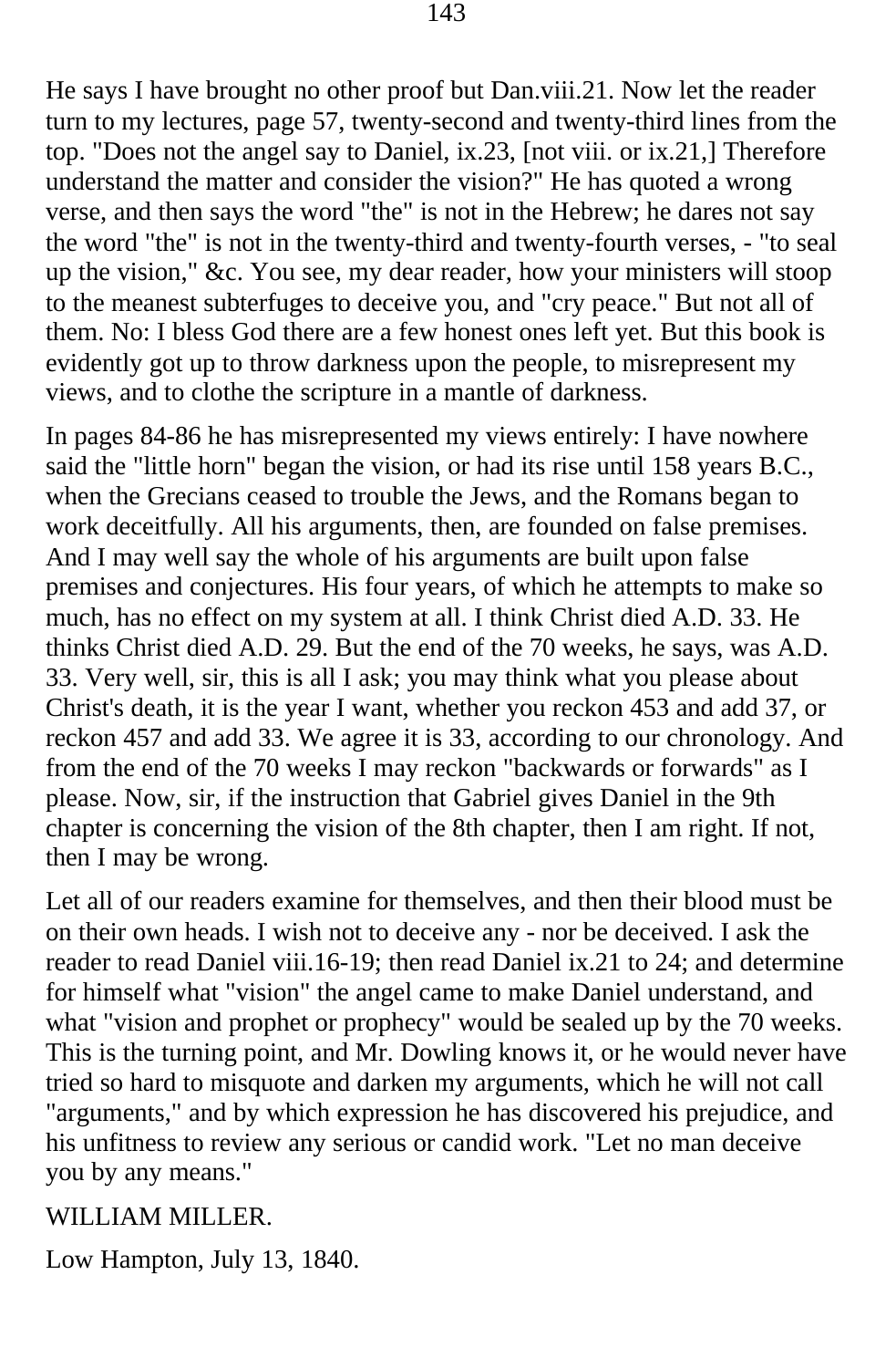He says I have brought no other proof but Dan.viii.21. Now let the reader turn to my lectures, page 57, twenty-second and twenty-third lines from the top. "Does not the angel say to Daniel, ix.23, [not viii. or ix.21,] Therefore understand the matter and consider the vision?" He has quoted a wrong verse, and then says the word "the" is not in the Hebrew; he dares not say the word "the" is not in the twenty-third and twenty-fourth verses, - "to seal up the vision," &c. You see, my dear reader, how your ministers will stoop to the meanest subterfuges to deceive you, and "cry peace." But not all of them. No: I bless God there are a few honest ones left yet. But this book is evidently got up to throw darkness upon the people, to misrepresent my views, and to clothe the scripture in a mantle of darkness.

In pages 84-86 he has misrepresented my views entirely: I have nowhere said the "little horn" began the vision, or had its rise until 158 years B.C., when the Grecians ceased to trouble the Jews, and the Romans began to work deceitfully. All his arguments, then, are founded on false premises. And I may well say the whole of his arguments are built upon false premises and conjectures. His four years, of which he attempts to make so much, has no effect on my system at all. I think Christ died A.D. 33. He thinks Christ died A.D. 29. But the end of the 70 weeks, he says, was A.D. 33. Very well, sir, this is all I ask; you may think what you please about Christ's death, it is the year I want, whether you reckon 453 and add 37, or reckon 457 and add 33. We agree it is 33, according to our chronology. And from the end of the 70 weeks I may reckon "backwards or forwards" as I please. Now, sir, if the instruction that Gabriel gives Daniel in the 9th chapter is concerning the vision of the 8th chapter, then I am right. If not, then I may be wrong.

Let all of our readers examine for themselves, and then their blood must be on their own heads. I wish not to deceive any - nor be deceived. I ask the reader to read Daniel viii.16-19; then read Daniel ix.21 to 24; and determine for himself what "vision" the angel came to make Daniel understand, and what "vision and prophet or prophecy" would be sealed up by the 70 weeks. This is the turning point, and Mr. Dowling knows it, or he would never have tried so hard to misquote and darken my arguments, which he will not call "arguments," and by which expression he has discovered his prejudice, and his unfitness to review any serious or candid work. "Let no man deceive you by any means."

WILLIAM MILLER.

Low Hampton, July 13, 1840.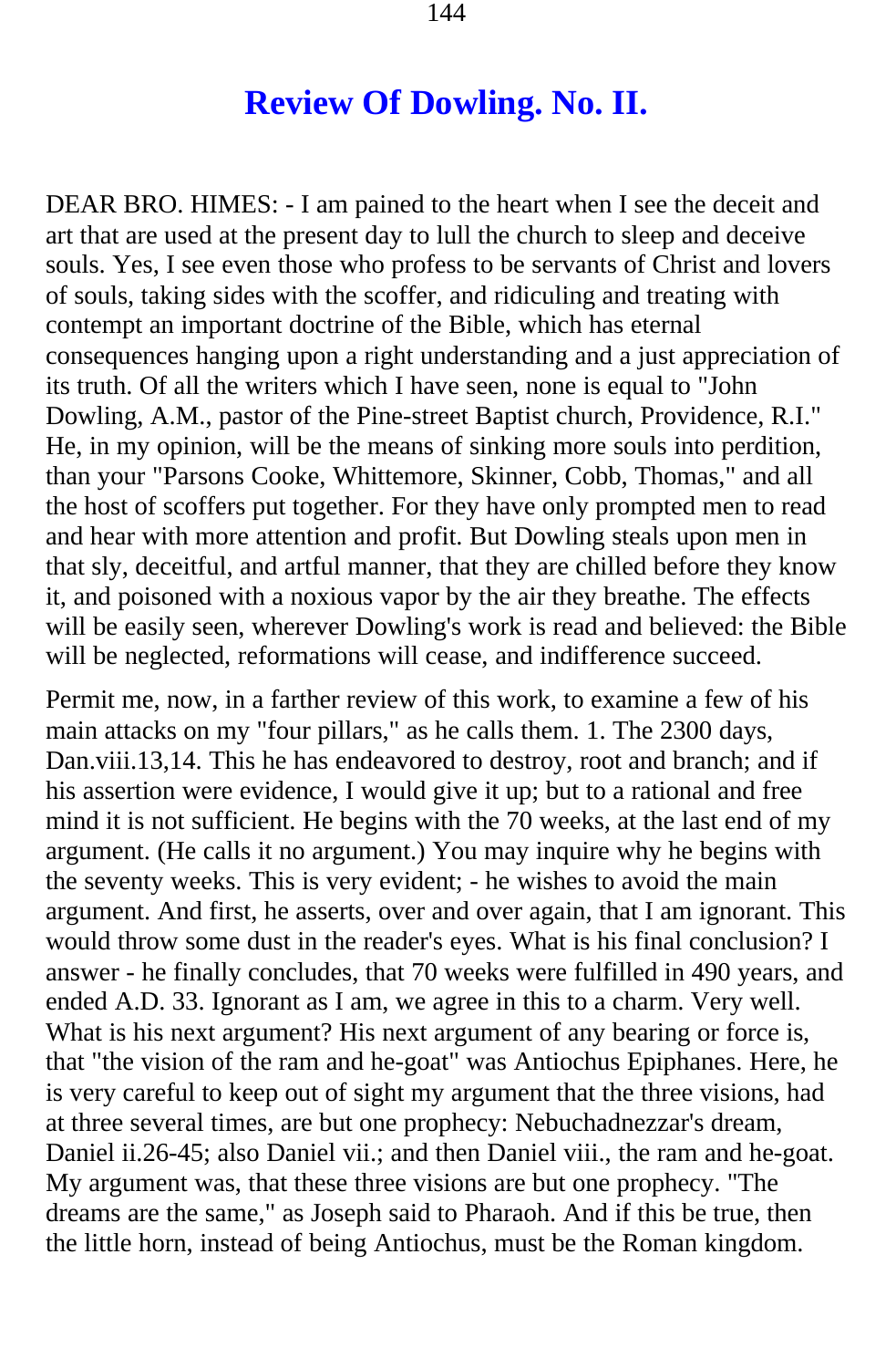# **Review Of Dowling. No. II.**

DEAR BRO. HIMES: - I am pained to the heart when I see the deceit and art that are used at the present day to lull the church to sleep and deceive souls. Yes, I see even those who profess to be servants of Christ and lovers of souls, taking sides with the scoffer, and ridiculing and treating with contempt an important doctrine of the Bible, which has eternal consequences hanging upon a right understanding and a just appreciation of its truth. Of all the writers which I have seen, none is equal to "John Dowling, A.M., pastor of the Pine-street Baptist church, Providence, R.I." He, in my opinion, will be the means of sinking more souls into perdition, than your "Parsons Cooke, Whittemore, Skinner, Cobb, Thomas," and all the host of scoffers put together. For they have only prompted men to read and hear with more attention and profit. But Dowling steals upon men in that sly, deceitful, and artful manner, that they are chilled before they know it, and poisoned with a noxious vapor by the air they breathe. The effects will be easily seen, wherever Dowling's work is read and believed: the Bible will be neglected, reformations will cease, and indifference succeed.

Permit me, now, in a farther review of this work, to examine a few of his main attacks on my "four pillars," as he calls them. 1. The 2300 days, Dan.viii.13,14. This he has endeavored to destroy, root and branch; and if his assertion were evidence, I would give it up; but to a rational and free mind it is not sufficient. He begins with the 70 weeks, at the last end of my argument. (He calls it no argument.) You may inquire why he begins with the seventy weeks. This is very evident; - he wishes to avoid the main argument. And first, he asserts, over and over again, that I am ignorant. This would throw some dust in the reader's eyes. What is his final conclusion? I answer - he finally concludes, that 70 weeks were fulfilled in 490 years, and ended A.D. 33. Ignorant as I am, we agree in this to a charm. Very well. What is his next argument? His next argument of any bearing or force is, that "the vision of the ram and he-goat" was Antiochus Epiphanes. Here, he is very careful to keep out of sight my argument that the three visions, had at three several times, are but one prophecy: Nebuchadnezzar's dream, Daniel ii.26-45; also Daniel vii.; and then Daniel viii., the ram and he-goat. My argument was, that these three visions are but one prophecy. "The dreams are the same," as Joseph said to Pharaoh. And if this be true, then the little horn, instead of being Antiochus, must be the Roman kingdom.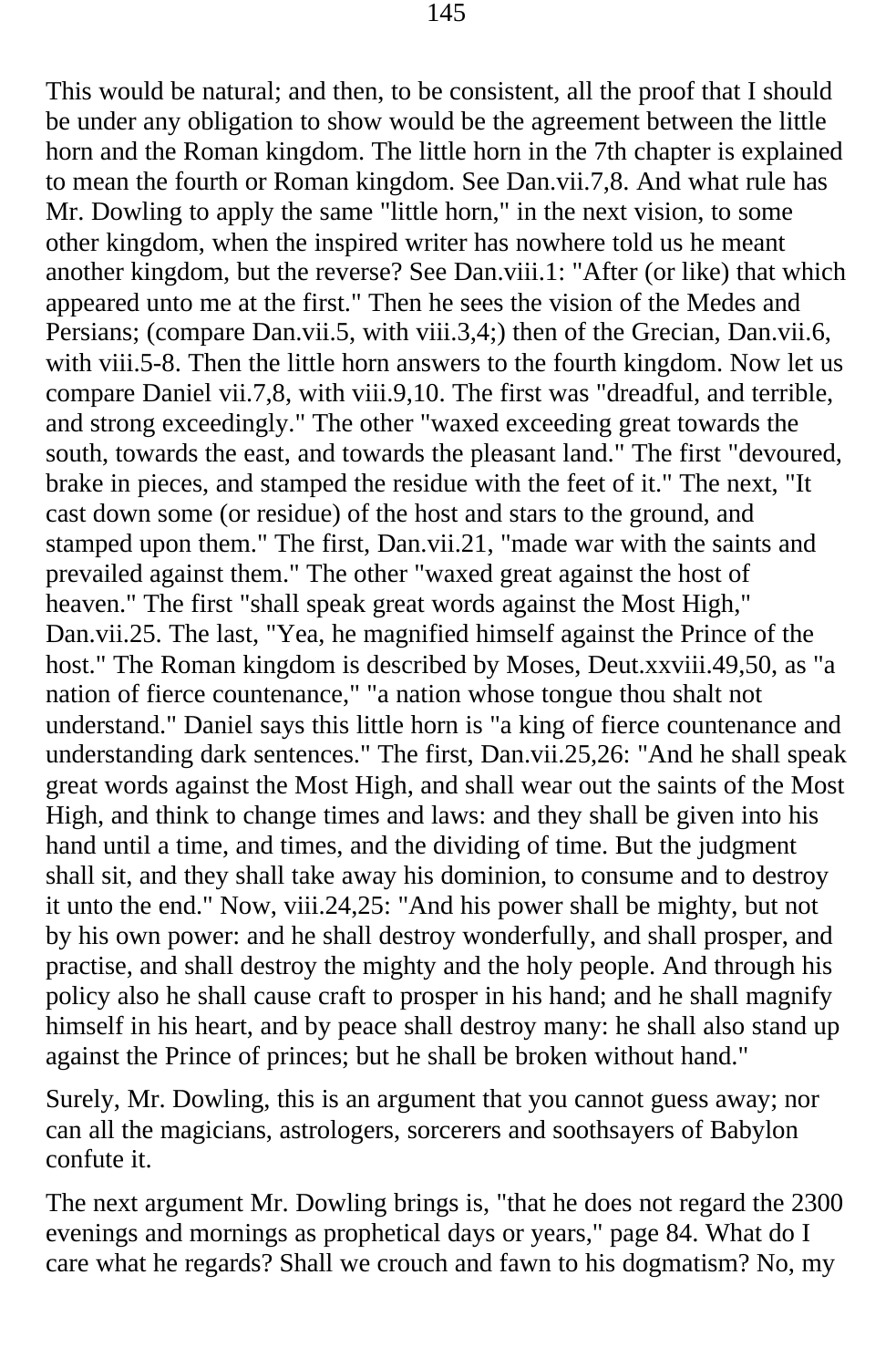This would be natural; and then, to be consistent, all the proof that I should be under any obligation to show would be the agreement between the little horn and the Roman kingdom. The little horn in the 7th chapter is explained to mean the fourth or Roman kingdom. See Dan.vii.7,8. And what rule has Mr. Dowling to apply the same "little horn," in the next vision, to some other kingdom, when the inspired writer has nowhere told us he meant another kingdom, but the reverse? See Dan.viii.1: "After (or like) that which appeared unto me at the first." Then he sees the vision of the Medes and Persians; (compare Dan.vii.5, with viii.3,4;) then of the Grecian, Dan.vii.6, with viii.5-8. Then the little horn answers to the fourth kingdom. Now let us compare Daniel vii.7,8, with viii.9,10. The first was "dreadful, and terrible, and strong exceedingly." The other "waxed exceeding great towards the south, towards the east, and towards the pleasant land." The first "devoured, brake in pieces, and stamped the residue with the feet of it." The next, "It cast down some (or residue) of the host and stars to the ground, and stamped upon them." The first, Dan.vii.21, "made war with the saints and prevailed against them." The other "waxed great against the host of heaven." The first "shall speak great words against the Most High," Dan.vii.25. The last, "Yea, he magnified himself against the Prince of the host." The Roman kingdom is described by Moses, Deut.xxviii.49,50, as "a nation of fierce countenance," "a nation whose tongue thou shalt not understand." Daniel says this little horn is "a king of fierce countenance and understanding dark sentences." The first, Dan.vii.25,26: "And he shall speak great words against the Most High, and shall wear out the saints of the Most High, and think to change times and laws: and they shall be given into his hand until a time, and times, and the dividing of time. But the judgment shall sit, and they shall take away his dominion, to consume and to destroy it unto the end." Now, viii.24,25: "And his power shall be mighty, but not by his own power: and he shall destroy wonderfully, and shall prosper, and practise, and shall destroy the mighty and the holy people. And through his policy also he shall cause craft to prosper in his hand; and he shall magnify himself in his heart, and by peace shall destroy many: he shall also stand up against the Prince of princes; but he shall be broken without hand."

Surely, Mr. Dowling, this is an argument that you cannot guess away; nor can all the magicians, astrologers, sorcerers and soothsayers of Babylon confute it.

The next argument Mr. Dowling brings is, "that he does not regard the 2300 evenings and mornings as prophetical days or years," page 84. What do I care what he regards? Shall we crouch and fawn to his dogmatism? No, my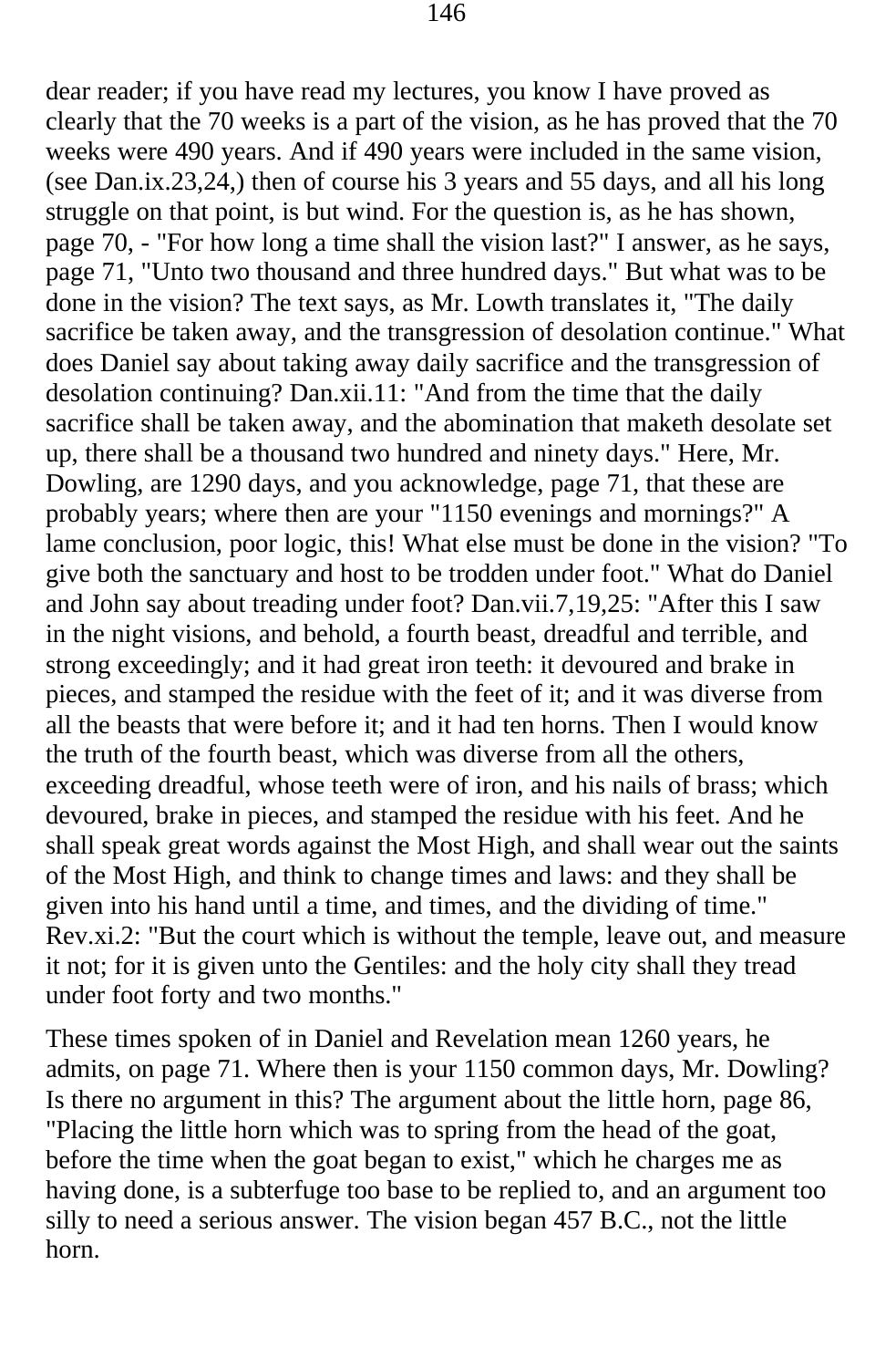dear reader; if you have read my lectures, you know I have proved as clearly that the 70 weeks is a part of the vision, as he has proved that the 70 weeks were 490 years. And if 490 years were included in the same vision, (see Dan.ix.23,24,) then of course his 3 years and 55 days, and all his long struggle on that point, is but wind. For the question is, as he has shown, page 70, - "For how long a time shall the vision last?" I answer, as he says, page 71, "Unto two thousand and three hundred days." But what was to be done in the vision? The text says, as Mr. Lowth translates it, "The daily sacrifice be taken away, and the transgression of desolation continue." What does Daniel say about taking away daily sacrifice and the transgression of desolation continuing? Dan.xii.11: "And from the time that the daily sacrifice shall be taken away, and the abomination that maketh desolate set up, there shall be a thousand two hundred and ninety days." Here, Mr. Dowling, are 1290 days, and you acknowledge, page 71, that these are probably years; where then are your "1150 evenings and mornings?" A lame conclusion, poor logic, this! What else must be done in the vision? "To give both the sanctuary and host to be trodden under foot." What do Daniel and John say about treading under foot? Dan.vii.7,19,25: "After this I saw in the night visions, and behold, a fourth beast, dreadful and terrible, and strong exceedingly; and it had great iron teeth: it devoured and brake in pieces, and stamped the residue with the feet of it; and it was diverse from all the beasts that were before it; and it had ten horns. Then I would know the truth of the fourth beast, which was diverse from all the others, exceeding dreadful, whose teeth were of iron, and his nails of brass; which devoured, brake in pieces, and stamped the residue with his feet. And he shall speak great words against the Most High, and shall wear out the saints of the Most High, and think to change times and laws: and they shall be given into his hand until a time, and times, and the dividing of time." Rev.xi.2: "But the court which is without the temple, leave out, and measure it not; for it is given unto the Gentiles: and the holy city shall they tread under foot forty and two months."

These times spoken of in Daniel and Revelation mean 1260 years, he admits, on page 71. Where then is your 1150 common days, Mr. Dowling? Is there no argument in this? The argument about the little horn, page 86, "Placing the little horn which was to spring from the head of the goat, before the time when the goat began to exist," which he charges me as having done, is a subterfuge too base to be replied to, and an argument too silly to need a serious answer. The vision began 457 B.C., not the little horn.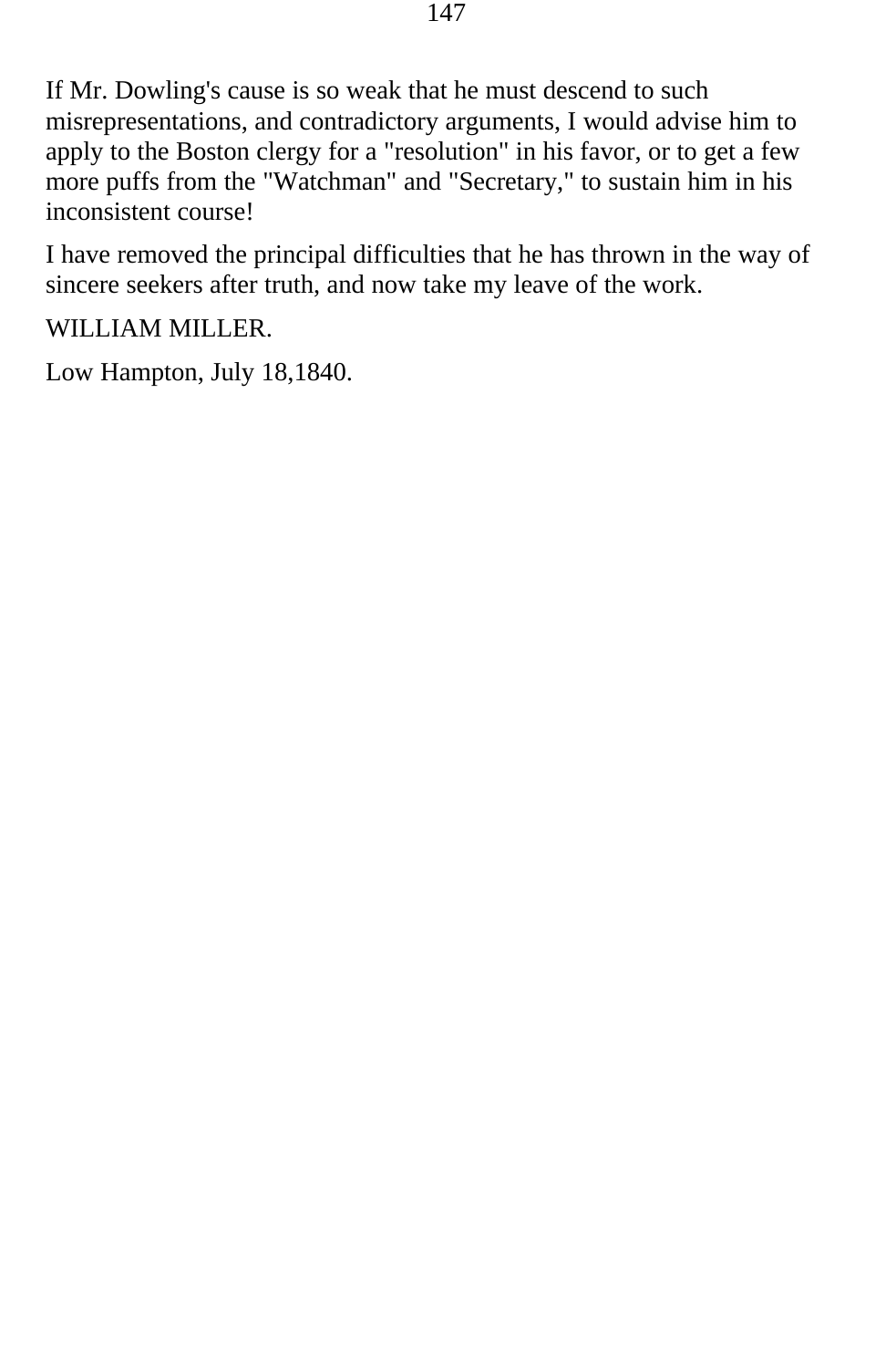If Mr. Dowling's cause is so weak that he must descend to such misrepresentations, and contradictory arguments, I would advise him to apply to the Boston clergy for a "resolution" in his favor, or to get a few more puffs from the "Watchman" and "Secretary," to sustain him in his inconsistent course!

I have removed the principal difficulties that he has thrown in the way of sincere seekers after truth, and now take my leave of the work.

WILLIAM MILLER.

Low Hampton, July 18,1840.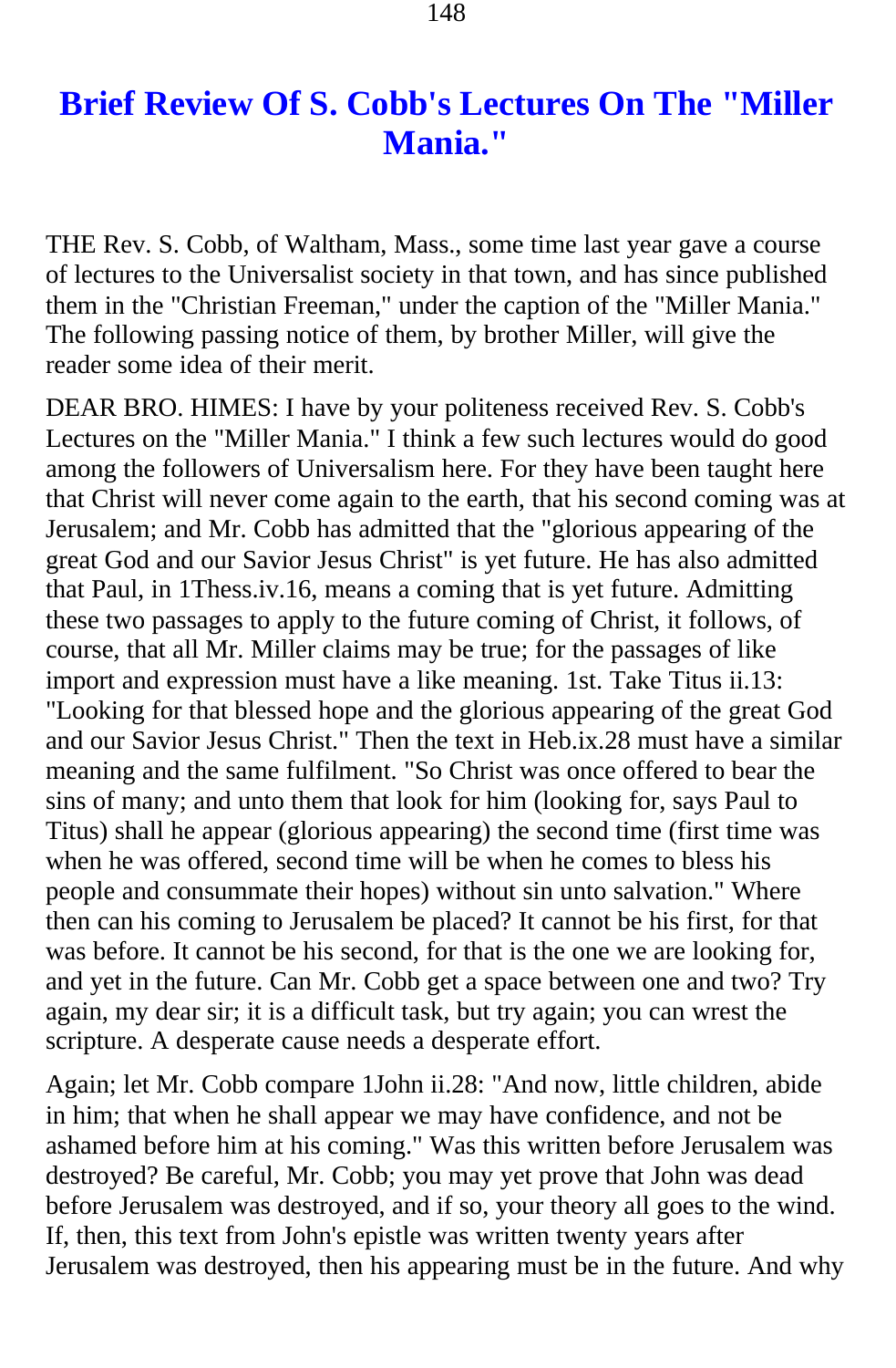## **Brief Review Of S. Cobb's Lectures On The "Miller Mania."**

THE Rev. S. Cobb, of Waltham, Mass., some time last year gave a course of lectures to the Universalist society in that town, and has since published them in the "Christian Freeman," under the caption of the "Miller Mania." The following passing notice of them, by brother Miller, will give the reader some idea of their merit.

DEAR BRO. HIMES: I have by your politeness received Rev. S. Cobb's Lectures on the "Miller Mania." I think a few such lectures would do good among the followers of Universalism here. For they have been taught here that Christ will never come again to the earth, that his second coming was at Jerusalem; and Mr. Cobb has admitted that the "glorious appearing of the great God and our Savior Jesus Christ" is yet future. He has also admitted that Paul, in 1Thess.iv.16, means a coming that is yet future. Admitting these two passages to apply to the future coming of Christ, it follows, of course, that all Mr. Miller claims may be true; for the passages of like import and expression must have a like meaning. 1st. Take Titus ii.13: "Looking for that blessed hope and the glorious appearing of the great God and our Savior Jesus Christ." Then the text in Heb.ix.28 must have a similar meaning and the same fulfilment. "So Christ was once offered to bear the sins of many; and unto them that look for him (looking for, says Paul to Titus) shall he appear (glorious appearing) the second time (first time was when he was offered, second time will be when he comes to bless his people and consummate their hopes) without sin unto salvation." Where then can his coming to Jerusalem be placed? It cannot be his first, for that was before. It cannot be his second, for that is the one we are looking for, and yet in the future. Can Mr. Cobb get a space between one and two? Try again, my dear sir; it is a difficult task, but try again; you can wrest the scripture. A desperate cause needs a desperate effort.

Again; let Mr. Cobb compare 1John ii.28: "And now, little children, abide in him; that when he shall appear we may have confidence, and not be ashamed before him at his coming." Was this written before Jerusalem was destroyed? Be careful, Mr. Cobb; you may yet prove that John was dead before Jerusalem was destroyed, and if so, your theory all goes to the wind. If, then, this text from John's epistle was written twenty years after Jerusalem was destroyed, then his appearing must be in the future. And why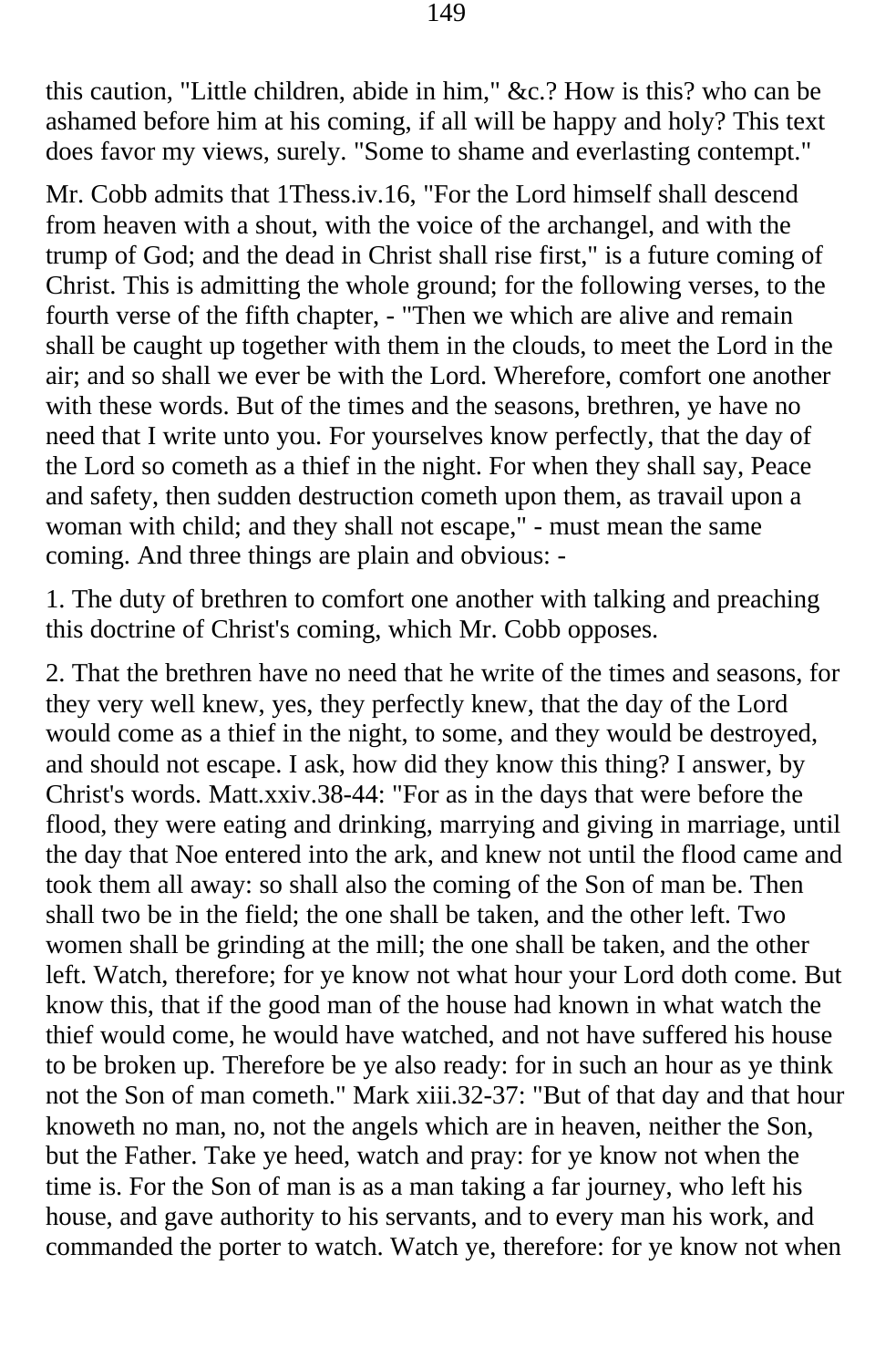this caution, "Little children, abide in him," &c.? How is this? who can be ashamed before him at his coming, if all will be happy and holy? This text does favor my views, surely. "Some to shame and everlasting contempt."

Mr. Cobb admits that 1Thess.iv.16, "For the Lord himself shall descend from heaven with a shout, with the voice of the archangel, and with the trump of God; and the dead in Christ shall rise first," is a future coming of Christ. This is admitting the whole ground; for the following verses, to the fourth verse of the fifth chapter, - "Then we which are alive and remain shall be caught up together with them in the clouds, to meet the Lord in the air; and so shall we ever be with the Lord. Wherefore, comfort one another with these words. But of the times and the seasons, brethren, ye have no need that I write unto you. For yourselves know perfectly, that the day of the Lord so cometh as a thief in the night. For when they shall say, Peace and safety, then sudden destruction cometh upon them, as travail upon a woman with child; and they shall not escape," - must mean the same coming. And three things are plain and obvious:

1. The duty of brethren to comfort one another with talking and preaching this doctrine of Christ's coming, which Mr. Cobb opposes.

2. That the brethren have no need that he write of the times and seasons, for they very well knew, yes, they perfectly knew, that the day of the Lord would come as a thief in the night, to some, and they would be destroyed, and should not escape. I ask, how did they know this thing? I answer, by Christ's words. Matt.xxiv.38-44: "For as in the days that were before the flood, they were eating and drinking, marrying and giving in marriage, until the day that Noe entered into the ark, and knew not until the flood came and took them all away: so shall also the coming of the Son of man be. Then shall two be in the field; the one shall be taken, and the other left. Two women shall be grinding at the mill; the one shall be taken, and the other left. Watch, therefore; for ye know not what hour your Lord doth come. But know this, that if the good man of the house had known in what watch the thief would come, he would have watched, and not have suffered his house to be broken up. Therefore be ye also ready: for in such an hour as ye think not the Son of man cometh." Mark xiii.32-37: "But of that day and that hour knoweth no man, no, not the angels which are in heaven, neither the Son, but the Father. Take ye heed, watch and pray: for ye know not when the time is. For the Son of man is as a man taking a far journey, who left his house, and gave authority to his servants, and to every man his work, and commanded the porter to watch. Watch ye, therefore: for ye know not when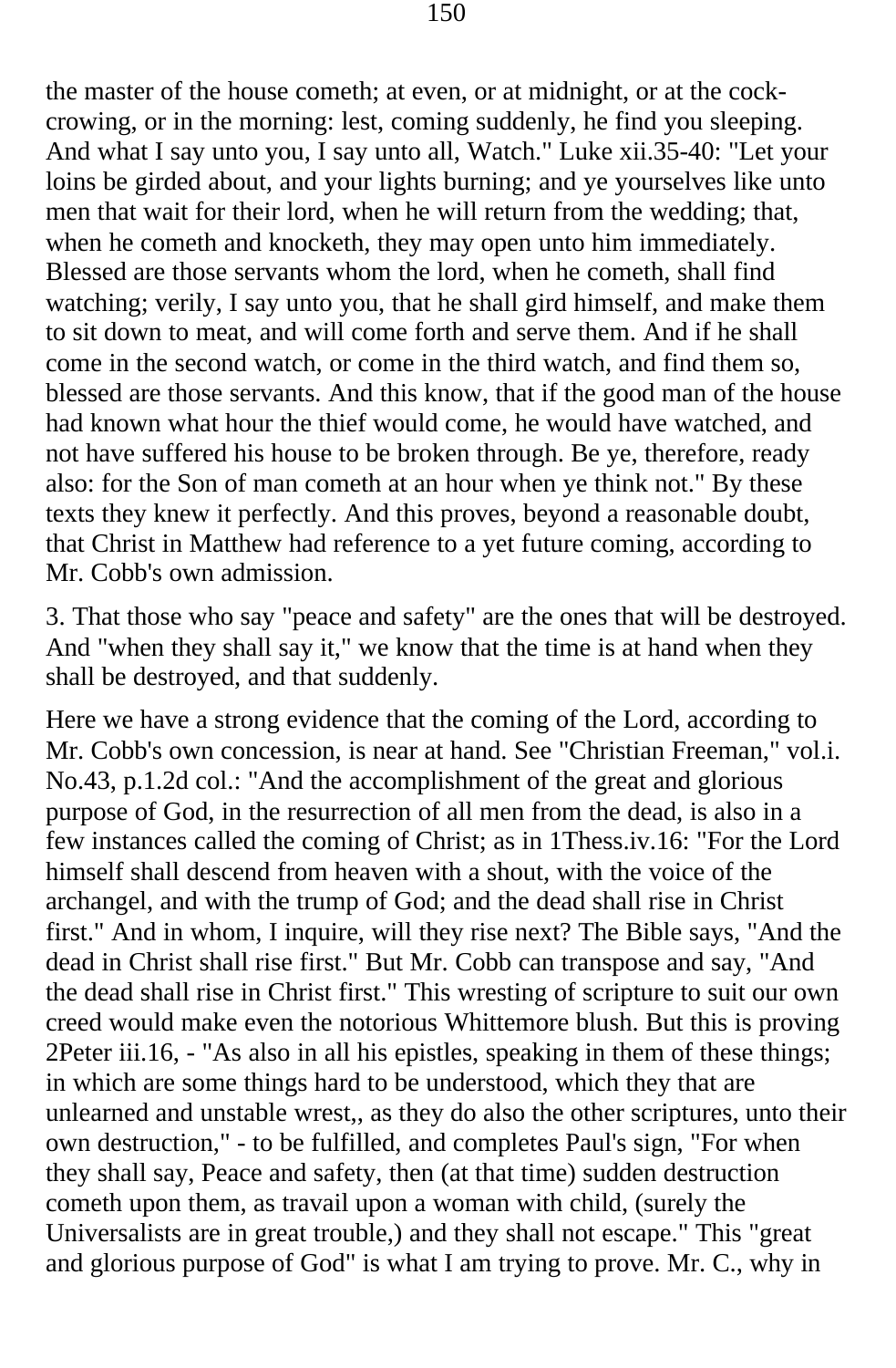the master of the house cometh; at even, or at midnight, or at the cockcrowing, or in the morning: lest, coming suddenly, he find you sleeping. And what I say unto you, I say unto all, Watch." Luke xii.35-40: "Let your loins be girded about, and your lights burning; and ye yourselves like unto men that wait for their lord, when he will return from the wedding; that, when he cometh and knocketh, they may open unto him immediately. Blessed are those servants whom the lord, when he cometh, shall find watching; verily, I say unto you, that he shall gird himself, and make them to sit down to meat, and will come forth and serve them. And if he shall come in the second watch, or come in the third watch, and find them so, blessed are those servants. And this know, that if the good man of the house had known what hour the thief would come, he would have watched, and not have suffered his house to be broken through. Be ye, therefore, ready also: for the Son of man cometh at an hour when ye think not." By these texts they knew it perfectly. And this proves, beyond a reasonable doubt, that Christ in Matthew had reference to a yet future coming, according to Mr. Cobb's own admission.

3. That those who say "peace and safety" are the ones that will be destroyed. And "when they shall say it," we know that the time is at hand when they shall be destroyed, and that suddenly.

Here we have a strong evidence that the coming of the Lord, according to Mr. Cobb's own concession, is near at hand. See "Christian Freeman," vol.i. No.43, p.1.2d col.: "And the accomplishment of the great and glorious purpose of God, in the resurrection of all men from the dead, is also in a few instances called the coming of Christ; as in 1Thess.iv.16: "For the Lord himself shall descend from heaven with a shout, with the voice of the archangel, and with the trump of God; and the dead shall rise in Christ first." And in whom, I inquire, will they rise next? The Bible says, "And the dead in Christ shall rise first." But Mr. Cobb can transpose and say, "And the dead shall rise in Christ first." This wresting of scripture to suit our own creed would make even the notorious Whittemore blush. But this is proving 2Peter iii.16, - "As also in all his epistles, speaking in them of these things; in which are some things hard to be understood, which they that are unlearned and unstable wrest,, as they do also the other scriptures, unto their own destruction," - to be fulfilled, and completes Paul's sign, "For when they shall say, Peace and safety, then (at that time) sudden destruction cometh upon them, as travail upon a woman with child, (surely the Universalists are in great trouble,) and they shall not escape." This "great and glorious purpose of God" is what I am trying to prove. Mr. C., why in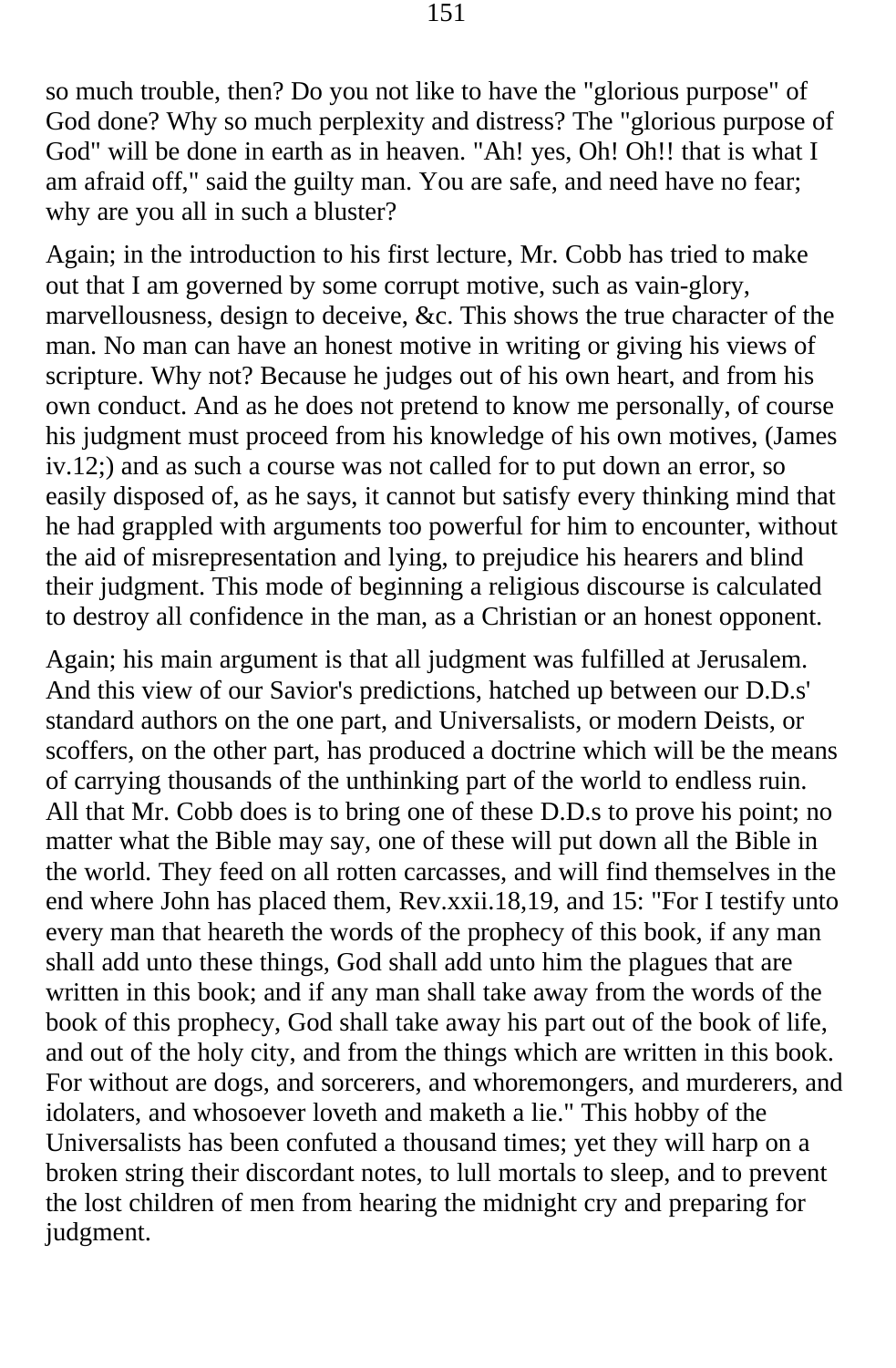so much trouble, then? Do you not like to have the "glorious purpose" of God done? Why so much perplexity and distress? The "glorious purpose of God" will be done in earth as in heaven. "Ah! yes, Oh! Oh!! that is what I am afraid off," said the guilty man. You are safe, and need have no fear; why are you all in such a bluster?

Again; in the introduction to his first lecture, Mr. Cobb has tried to make out that I am governed by some corrupt motive, such as vain-glory, marvellousness, design to deceive, &c. This shows the true character of the man. No man can have an honest motive in writing or giving his views of scripture. Why not? Because he judges out of his own heart, and from his own conduct. And as he does not pretend to know me personally, of course his judgment must proceed from his knowledge of his own motives, (James iv.12;) and as such a course was not called for to put down an error, so easily disposed of, as he says, it cannot but satisfy every thinking mind that he had grappled with arguments too powerful for him to encounter, without the aid of misrepresentation and lying, to prejudice his hearers and blind their judgment. This mode of beginning a religious discourse is calculated to destroy all confidence in the man, as a Christian or an honest opponent.

Again; his main argument is that all judgment was fulfilled at Jerusalem. And this view of our Savior's predictions, hatched up between our D.D.s' standard authors on the one part, and Universalists, or modern Deists, or scoffers, on the other part, has produced a doctrine which will be the means of carrying thousands of the unthinking part of the world to endless ruin. All that Mr. Cobb does is to bring one of these D.D.s to prove his point; no matter what the Bible may say, one of these will put down all the Bible in the world. They feed on all rotten carcasses, and will find themselves in the end where John has placed them, Rev.xxii.18,19, and 15: "For I testify unto every man that heareth the words of the prophecy of this book, if any man shall add unto these things, God shall add unto him the plagues that are written in this book; and if any man shall take away from the words of the book of this prophecy, God shall take away his part out of the book of life, and out of the holy city, and from the things which are written in this book. For without are dogs, and sorcerers, and whoremongers, and murderers, and idolaters, and whosoever loveth and maketh a lie." This hobby of the Universalists has been confuted a thousand times; yet they will harp on a broken string their discordant notes, to lull mortals to sleep, and to prevent the lost children of men from hearing the midnight cry and preparing for judgment.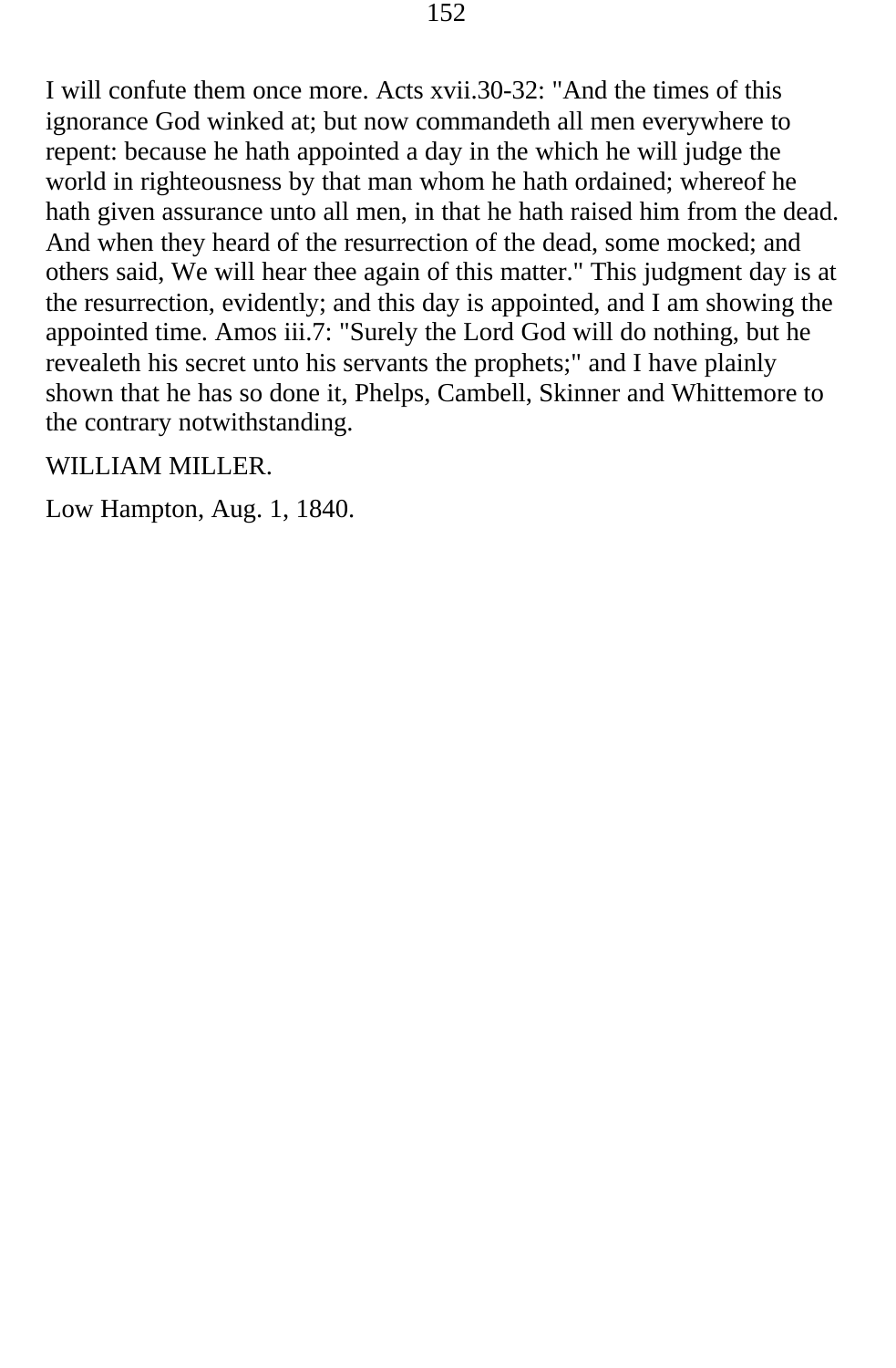I will confute them once more. Acts xvii.30-32: "And the times of this ignorance God winked at; but now commandeth all men everywhere to repent: because he hath appointed a day in the which he will judge the world in righteousness by that man whom he hath ordained; whereof he hath given assurance unto all men, in that he hath raised him from the dead. And when they heard of the resurrection of the dead, some mocked; and others said, We will hear thee again of this matter." This judgment day is at the resurrection, evidently; and this day is appointed, and I am showing the appointed time. Amos iii.7: "Surely the Lord God will do nothing, but he revealeth his secret unto his servants the prophets;" and I have plainly shown that he has so done it, Phelps, Cambell, Skinner and Whittemore to the contrary notwithstanding.

WILLIAM MILLER.

Low Hampton, Aug. 1, 1840.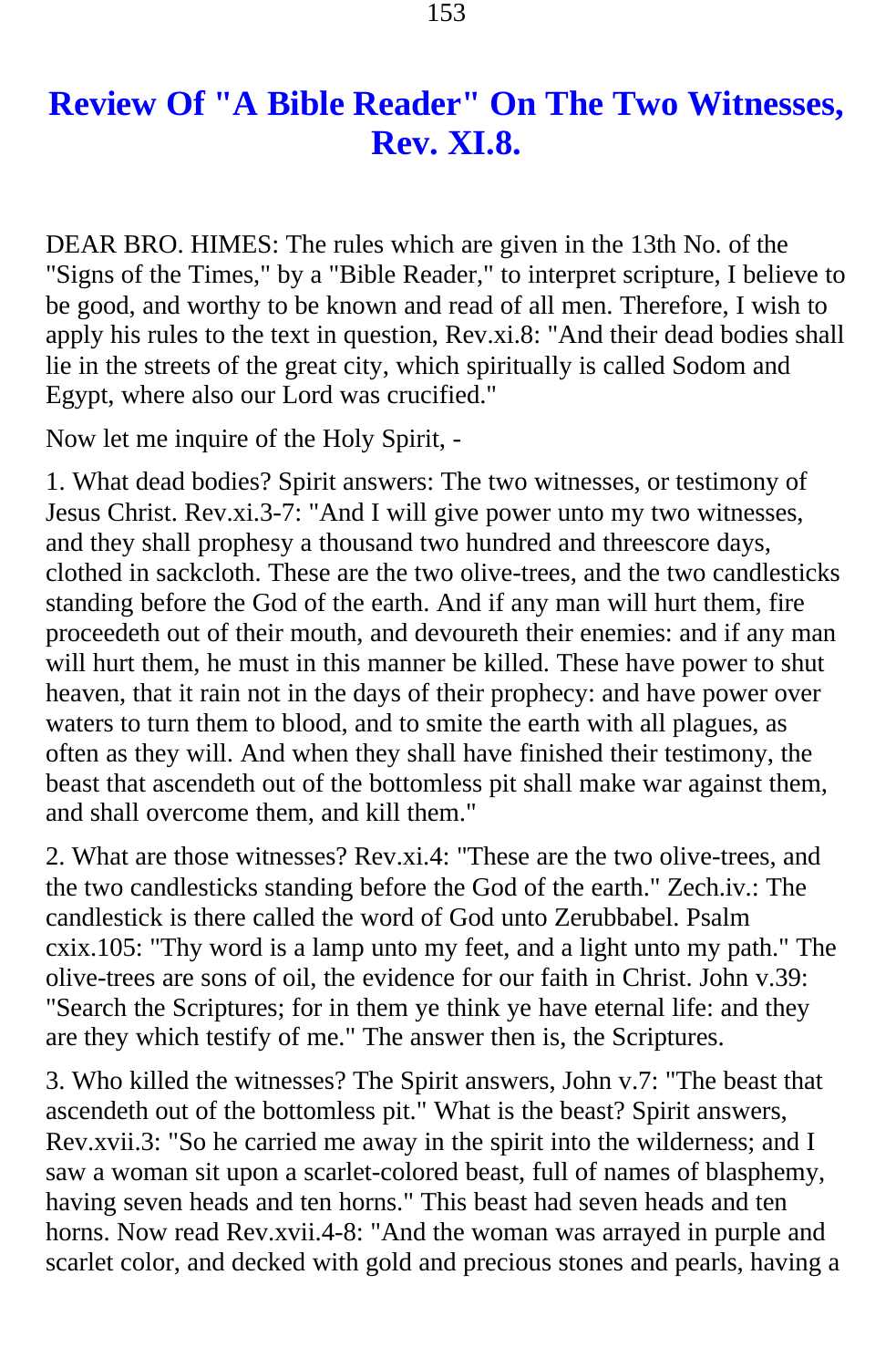# **Review Of "A Bible Reader" On The Two Witnesses, Rev. XI.8.**

DEAR BRO. HIMES: The rules which are given in the 13th No. of the "Signs of the Times," by a "Bible Reader," to interpret scripture, I believe to be good, and worthy to be known and read of all men. Therefore, I wish to apply his rules to the text in question, Rev.xi.8: "And their dead bodies shall lie in the streets of the great city, which spiritually is called Sodom and Egypt, where also our Lord was crucified."

Now let me inquire of the Holy Spirit,

1. What dead bodies? Spirit answers: The two witnesses, or testimony of Jesus Christ. Rev.xi.3-7: "And I will give power unto my two witnesses, and they shall prophesy a thousand two hundred and threescore days, clothed in sackcloth. These are the two olive-trees, and the two candlesticks standing before the God of the earth. And if any man will hurt them, fire proceedeth out of their mouth, and devoureth their enemies: and if any man will hurt them, he must in this manner be killed. These have power to shut heaven, that it rain not in the days of their prophecy: and have power over waters to turn them to blood, and to smite the earth with all plagues, as often as they will. And when they shall have finished their testimony, the beast that ascendeth out of the bottomless pit shall make war against them, and shall overcome them, and kill them."

2. What are those witnesses? Rev.xi.4: "These are the two olive-trees, and the two candlesticks standing before the God of the earth." Zech.iv.: The candlestick is there called the word of God unto Zerubbabel. Psalm cxix.105: "Thy word is a lamp unto my feet, and a light unto my path." The olive-trees are sons of oil, the evidence for our faith in Christ. John v.39: "Search the Scriptures; for in them ye think ye have eternal life: and they are they which testify of me." The answer then is, the Scriptures.

3. Who killed the witnesses? The Spirit answers, John v.7: "The beast that ascendeth out of the bottomless pit." What is the beast? Spirit answers, Rev.xvii.3: "So he carried me away in the spirit into the wilderness; and I saw a woman sit upon a scarlet-colored beast, full of names of blasphemy, having seven heads and ten horns." This beast had seven heads and ten horns. Now read Rev.xvii.4-8: "And the woman was arrayed in purple and scarlet color, and decked with gold and precious stones and pearls, having a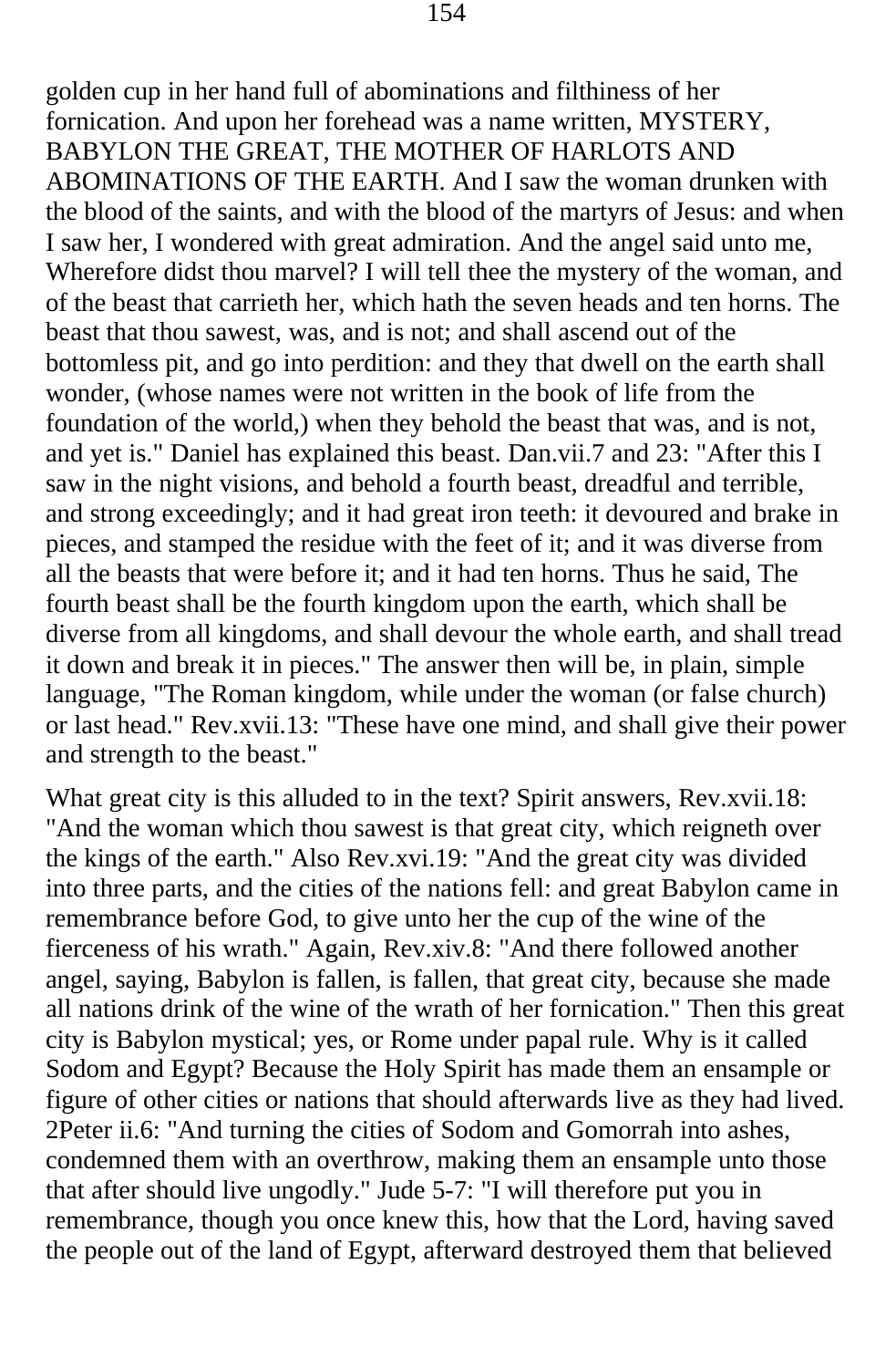golden cup in her hand full of abominations and filthiness of her fornication. And upon her forehead was a name written, MYSTERY, BABYLON THE GREAT, THE MOTHER OF HARLOTS AND ABOMINATIONS OF THE EARTH. And I saw the woman drunken with the blood of the saints, and with the blood of the martyrs of Jesus: and when I saw her, I wondered with great admiration. And the angel said unto me, Wherefore didst thou marvel? I will tell thee the mystery of the woman, and of the beast that carrieth her, which hath the seven heads and ten horns. The beast that thou sawest, was, and is not; and shall ascend out of the bottomless pit, and go into perdition: and they that dwell on the earth shall wonder, (whose names were not written in the book of life from the foundation of the world,) when they behold the beast that was, and is not, and yet is." Daniel has explained this beast. Dan.vii.7 and 23: "After this I saw in the night visions, and behold a fourth beast, dreadful and terrible, and strong exceedingly; and it had great iron teeth: it devoured and brake in pieces, and stamped the residue with the feet of it; and it was diverse from all the beasts that were before it; and it had ten horns. Thus he said, The fourth beast shall be the fourth kingdom upon the earth, which shall be diverse from all kingdoms, and shall devour the whole earth, and shall tread it down and break it in pieces." The answer then will be, in plain, simple language, "The Roman kingdom, while under the woman (or false church) or last head." Rev.xvii.13: "These have one mind, and shall give their power and strength to the beast."

What great city is this alluded to in the text? Spirit answers, Rev.xvii.18: "And the woman which thou sawest is that great city, which reigneth over the kings of the earth." Also Rev.xvi.19: "And the great city was divided into three parts, and the cities of the nations fell: and great Babylon came in remembrance before God, to give unto her the cup of the wine of the fierceness of his wrath." Again, Rev.xiv.8: "And there followed another angel, saying, Babylon is fallen, is fallen, that great city, because she made all nations drink of the wine of the wrath of her fornication." Then this great city is Babylon mystical; yes, or Rome under papal rule. Why is it called Sodom and Egypt? Because the Holy Spirit has made them an ensample or figure of other cities or nations that should afterwards live as they had lived. 2Peter ii.6: "And turning the cities of Sodom and Gomorrah into ashes, condemned them with an overthrow, making them an ensample unto those that after should live ungodly." Jude 5-7: "I will therefore put you in remembrance, though you once knew this, how that the Lord, having saved the people out of the land of Egypt, afterward destroyed them that believed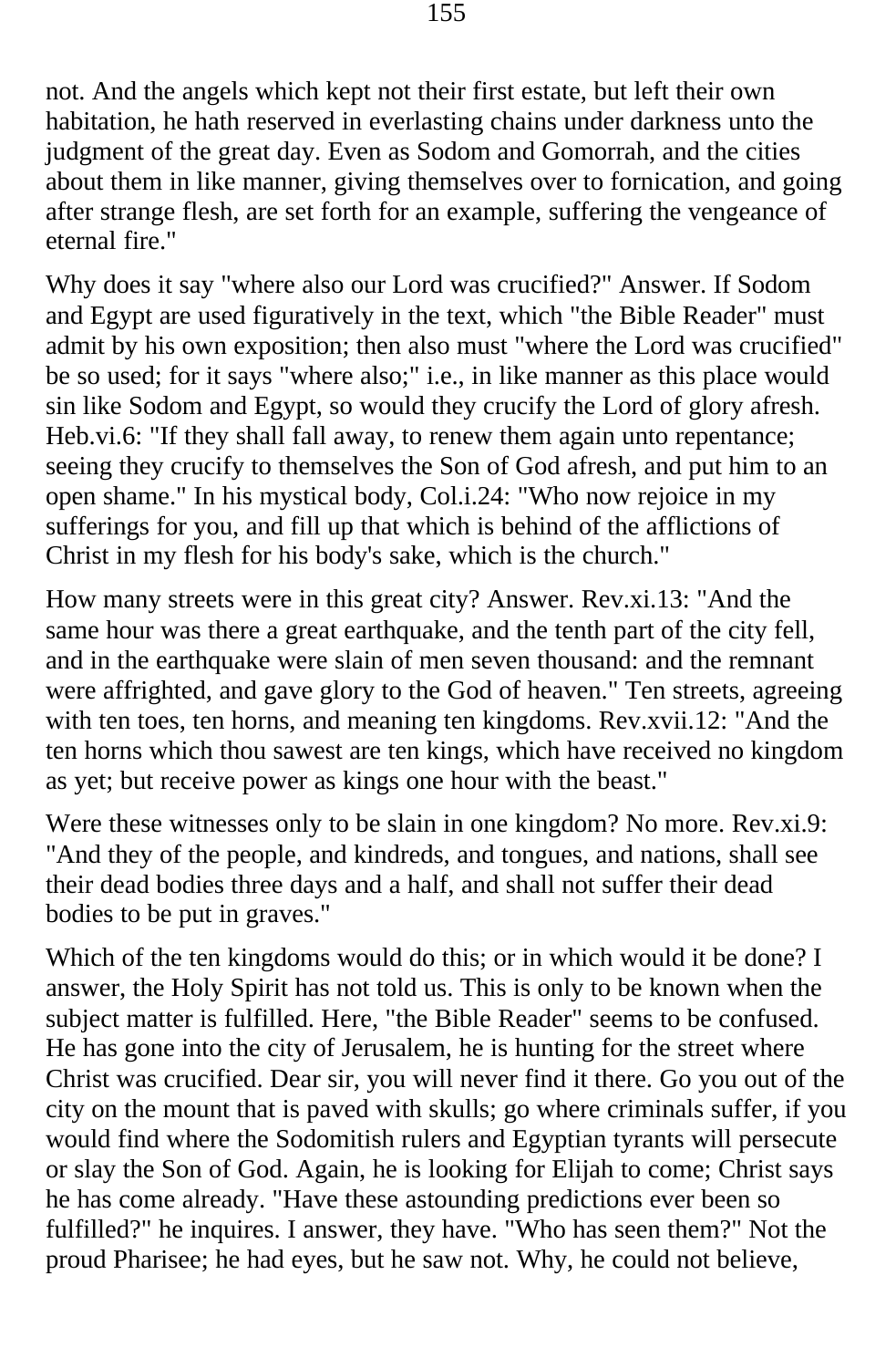not. And the angels which kept not their first estate, but left their own habitation, he hath reserved in everlasting chains under darkness unto the judgment of the great day. Even as Sodom and Gomorrah, and the cities about them in like manner, giving themselves over to fornication, and going after strange flesh, are set forth for an example, suffering the vengeance of eternal fire."

Why does it say "where also our Lord was crucified?" Answer. If Sodom and Egypt are used figuratively in the text, which "the Bible Reader" must admit by his own exposition; then also must "where the Lord was crucified" be so used; for it says "where also;" i.e., in like manner as this place would sin like Sodom and Egypt, so would they crucify the Lord of glory afresh. Heb.vi.6: "If they shall fall away, to renew them again unto repentance; seeing they crucify to themselves the Son of God afresh, and put him to an open shame." In his mystical body, Col.i.24: "Who now rejoice in my sufferings for you, and fill up that which is behind of the afflictions of Christ in my flesh for his body's sake, which is the church."

How many streets were in this great city? Answer. Rev.xi.13: "And the same hour was there a great earthquake, and the tenth part of the city fell, and in the earthquake were slain of men seven thousand: and the remnant were affrighted, and gave glory to the God of heaven." Ten streets, agreeing with ten toes, ten horns, and meaning ten kingdoms. Rev.xvii.12: "And the ten horns which thou sawest are ten kings, which have received no kingdom as yet; but receive power as kings one hour with the beast."

Were these witnesses only to be slain in one kingdom? No more. Rev.xi.9: "And they of the people, and kindreds, and tongues, and nations, shall see their dead bodies three days and a half, and shall not suffer their dead bodies to be put in graves."

Which of the ten kingdoms would do this; or in which would it be done? I answer, the Holy Spirit has not told us. This is only to be known when the subject matter is fulfilled. Here, "the Bible Reader" seems to be confused. He has gone into the city of Jerusalem, he is hunting for the street where Christ was crucified. Dear sir, you will never find it there. Go you out of the city on the mount that is paved with skulls; go where criminals suffer, if you would find where the Sodomitish rulers and Egyptian tyrants will persecute or slay the Son of God. Again, he is looking for Elijah to come; Christ says he has come already. "Have these astounding predictions ever been so fulfilled?" he inquires. I answer, they have. "Who has seen them?" Not the proud Pharisee; he had eyes, but he saw not. Why, he could not believe,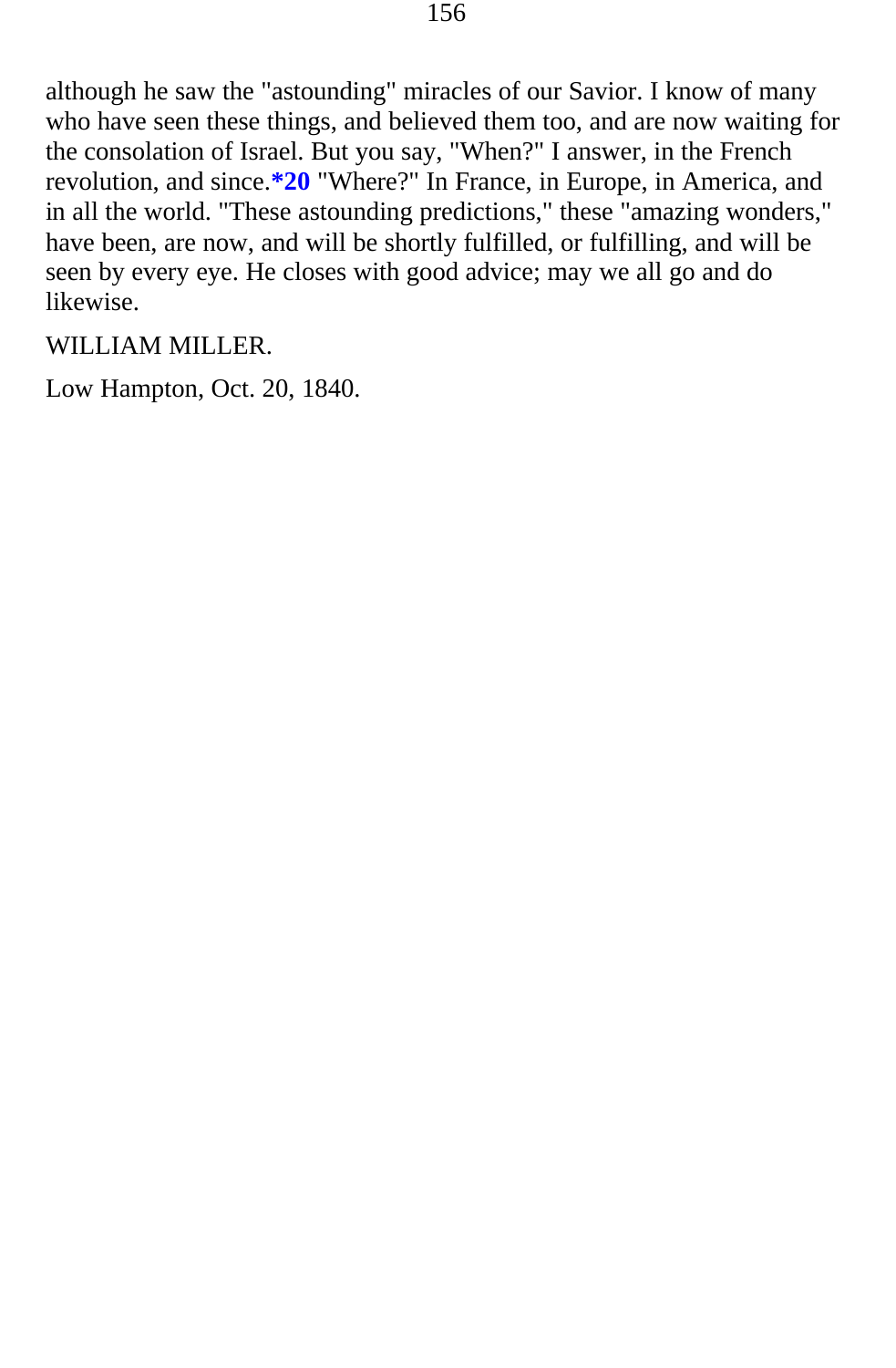although he saw the "astounding" miracles of our Savior. I know of many who have seen these things, and believed them too, and are now waiting for the consolation of Israel. But you say, "When?" I answer, in the French revolution, and since.**[\\*20](#page-197-0)** "Where?" In France, in Europe, in America, and in all the world. "These astounding predictions," these "amazing wonders," have been, are now, and will be shortly fulfilled, or fulfilling, and will be seen by every eye. He closes with good advice; may we all go and do likewise.

WILLIAM MILLER.

Low Hampton, Oct. 20, 1840.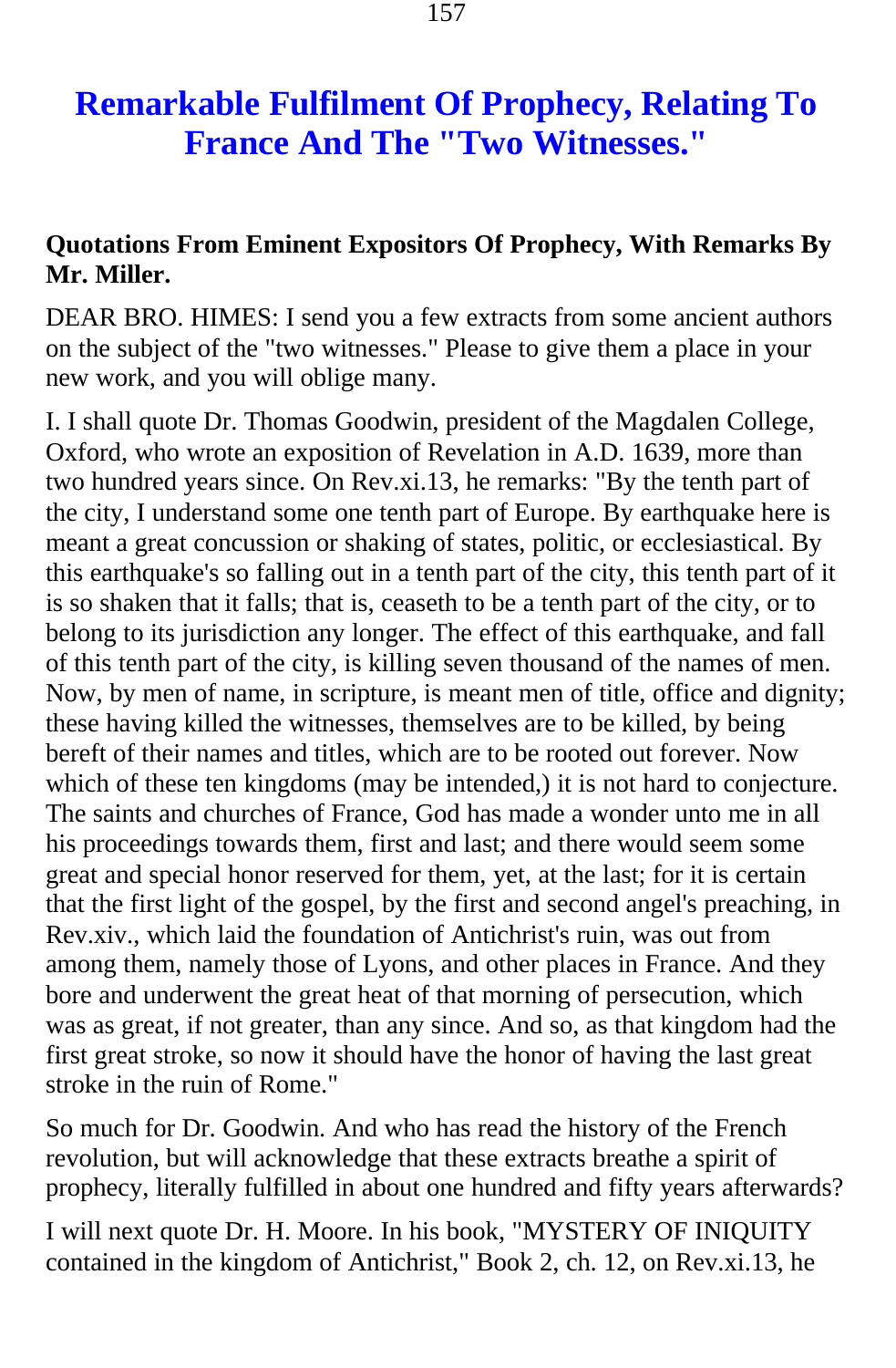## **Remarkable Fulfilment Of Prophecy, Relating To France And The "Two Witnesses."**

#### **Quotations From Eminent Expositors Of Prophecy, With Remarks By Mr. Miller.**

DEAR BRO. HIMES: I send you a few extracts from some ancient authors on the subject of the "two witnesses." Please to give them a place in your new work, and you will oblige many.

I. I shall quote Dr. Thomas Goodwin, president of the Magdalen College, Oxford, who wrote an exposition of Revelation in A.D. 1639, more than two hundred years since. On Rev.xi.13, he remarks: "By the tenth part of the city, I understand some one tenth part of Europe. By earthquake here is meant a great concussion or shaking of states, politic, or ecclesiastical. By this earthquake's so falling out in a tenth part of the city, this tenth part of it is so shaken that it falls; that is, ceaseth to be a tenth part of the city, or to belong to its jurisdiction any longer. The effect of this earthquake, and fall of this tenth part of the city, is killing seven thousand of the names of men. Now, by men of name, in scripture, is meant men of title, office and dignity; these having killed the witnesses, themselves are to be killed, by being bereft of their names and titles, which are to be rooted out forever. Now which of these ten kingdoms (may be intended,) it is not hard to conjecture. The saints and churches of France, God has made a wonder unto me in all his proceedings towards them, first and last; and there would seem some great and special honor reserved for them, yet, at the last; for it is certain that the first light of the gospel, by the first and second angel's preaching, in Rev.xiv., which laid the foundation of Antichrist's ruin, was out from among them, namely those of Lyons, and other places in France. And they bore and underwent the great heat of that morning of persecution, which was as great, if not greater, than any since. And so, as that kingdom had the first great stroke, so now it should have the honor of having the last great stroke in the ruin of Rome."

So much for Dr. Goodwin. And who has read the history of the French revolution, but will acknowledge that these extracts breathe a spirit of prophecy, literally fulfilled in about one hundred and fifty years afterwards?

I will next quote Dr. H. Moore. In his book, "MYSTERY OF INIQUITY contained in the kingdom of Antichrist," Book 2, ch. 12, on Rev.xi.13, he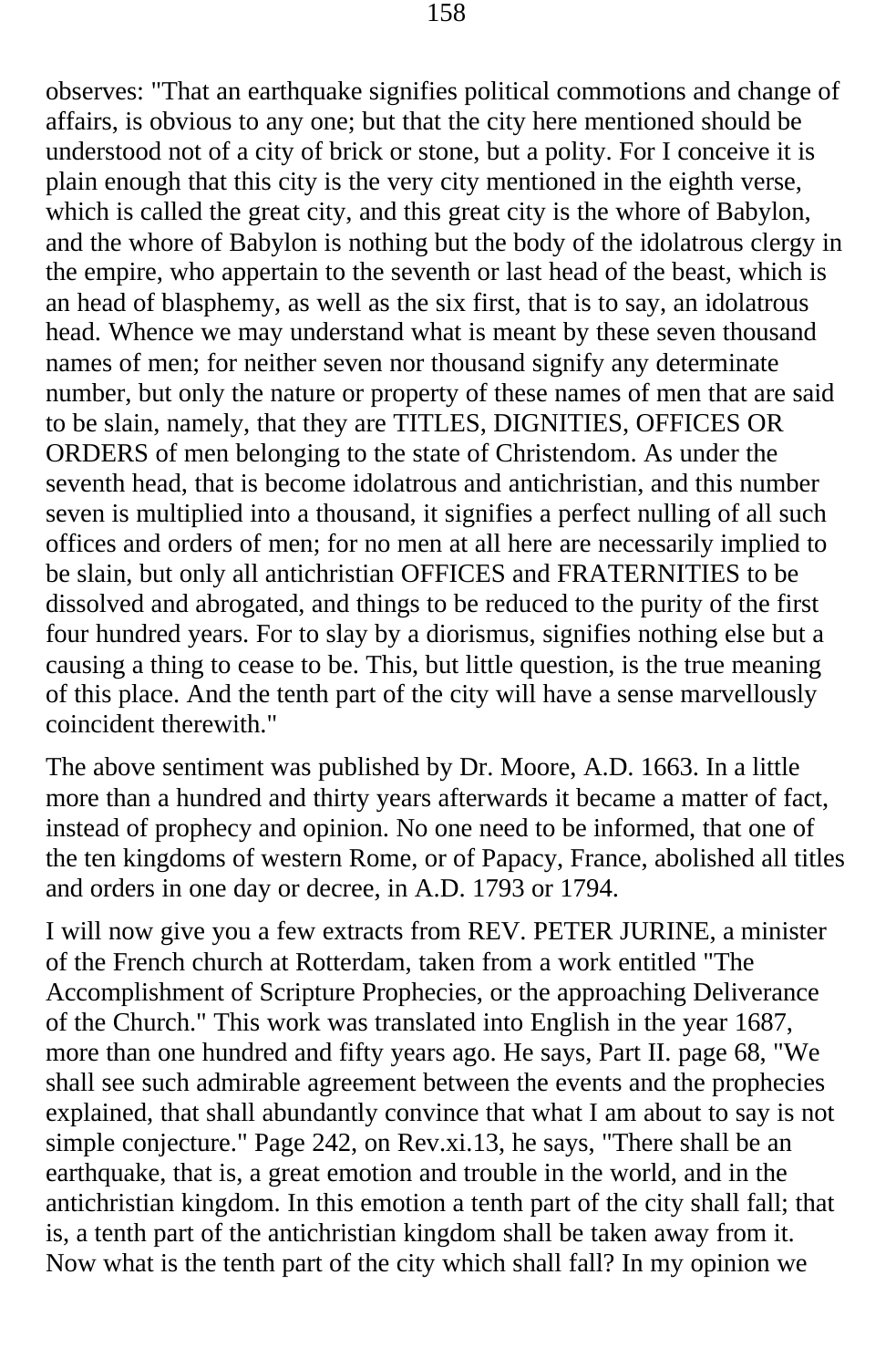observes: "That an earthquake signifies political commotions and change of affairs, is obvious to any one; but that the city here mentioned should be understood not of a city of brick or stone, but a polity. For I conceive it is plain enough that this city is the very city mentioned in the eighth verse, which is called the great city, and this great city is the whore of Babylon, and the whore of Babylon is nothing but the body of the idolatrous clergy in the empire, who appertain to the seventh or last head of the beast, which is an head of blasphemy, as well as the six first, that is to say, an idolatrous head. Whence we may understand what is meant by these seven thousand names of men; for neither seven nor thousand signify any determinate number, but only the nature or property of these names of men that are said to be slain, namely, that they are TITLES, DIGNITIES, OFFICES OR ORDERS of men belonging to the state of Christendom. As under the seventh head, that is become idolatrous and antichristian, and this number seven is multiplied into a thousand, it signifies a perfect nulling of all such offices and orders of men; for no men at all here are necessarily implied to be slain, but only all antichristian OFFICES and FRATERNITIES to be dissolved and abrogated, and things to be reduced to the purity of the first four hundred years. For to slay by a diorismus, signifies nothing else but a causing a thing to cease to be. This, but little question, is the true meaning of this place. And the tenth part of the city will have a sense marvellously coincident therewith."

The above sentiment was published by Dr. Moore, A.D. 1663. In a little more than a hundred and thirty years afterwards it became a matter of fact, instead of prophecy and opinion. No one need to be informed, that one of the ten kingdoms of western Rome, or of Papacy, France, abolished all titles and orders in one day or decree, in A.D. 1793 or 1794.

I will now give you a few extracts from REV. PETER JURINE, a minister of the French church at Rotterdam, taken from a work entitled "The Accomplishment of Scripture Prophecies, or the approaching Deliverance of the Church." This work was translated into English in the year 1687, more than one hundred and fifty years ago. He says, Part II. page 68, "We shall see such admirable agreement between the events and the prophecies explained, that shall abundantly convince that what I am about to say is not simple conjecture." Page 242, on Rev.xi.13, he says, "There shall be an earthquake, that is, a great emotion and trouble in the world, and in the antichristian kingdom. In this emotion a tenth part of the city shall fall; that is, a tenth part of the antichristian kingdom shall be taken away from it. Now what is the tenth part of the city which shall fall? In my opinion we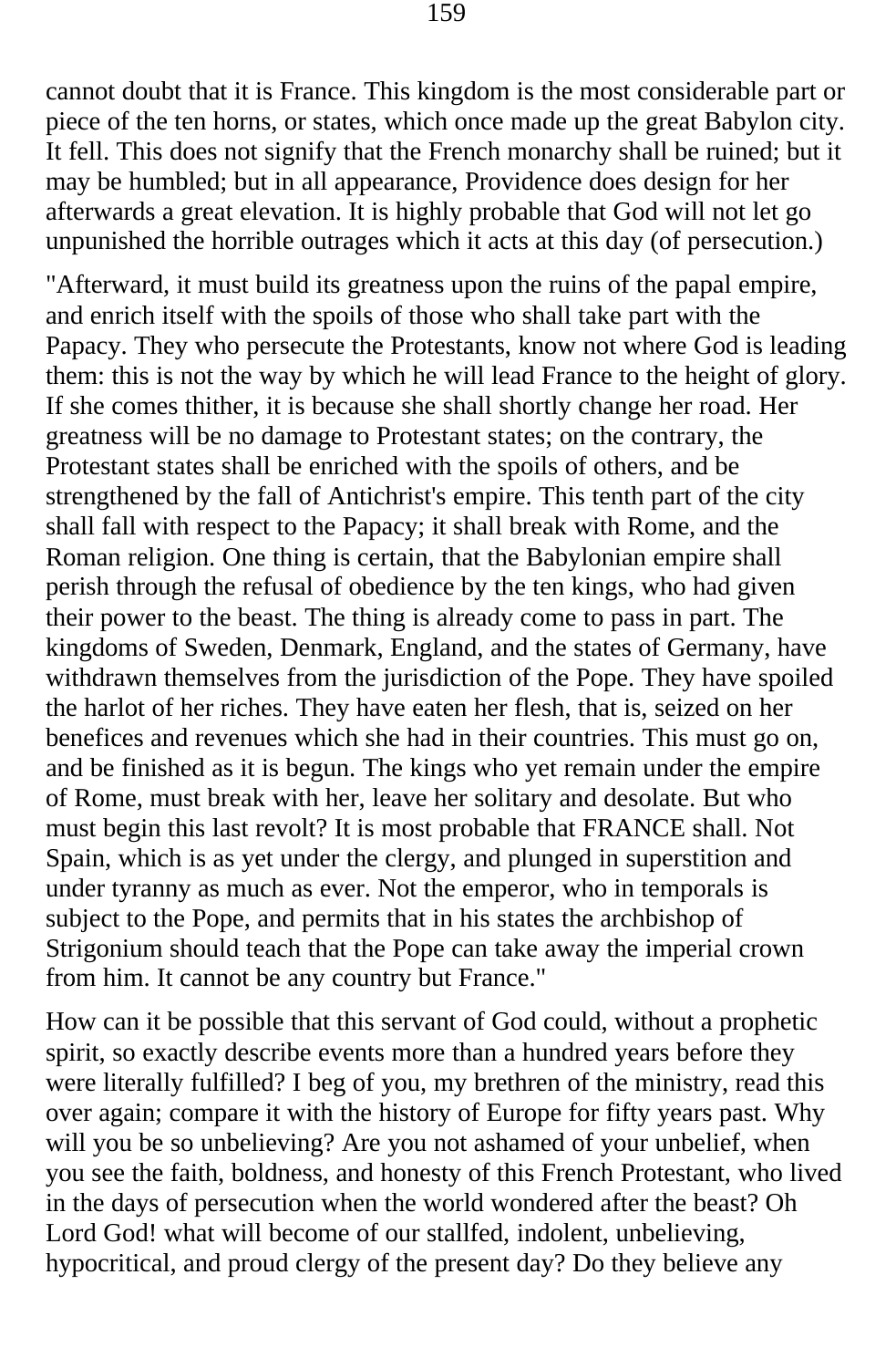cannot doubt that it is France. This kingdom is the most considerable part or piece of the ten horns, or states, which once made up the great Babylon city. It fell. This does not signify that the French monarchy shall be ruined; but it may be humbled; but in all appearance, Providence does design for her afterwards a great elevation. It is highly probable that God will not let go unpunished the horrible outrages which it acts at this day (of persecution.)

"Afterward, it must build its greatness upon the ruins of the papal empire, and enrich itself with the spoils of those who shall take part with the Papacy. They who persecute the Protestants, know not where God is leading them: this is not the way by which he will lead France to the height of glory. If she comes thither, it is because she shall shortly change her road. Her greatness will be no damage to Protestant states; on the contrary, the Protestant states shall be enriched with the spoils of others, and be strengthened by the fall of Antichrist's empire. This tenth part of the city shall fall with respect to the Papacy; it shall break with Rome, and the Roman religion. One thing is certain, that the Babylonian empire shall perish through the refusal of obedience by the ten kings, who had given their power to the beast. The thing is already come to pass in part. The kingdoms of Sweden, Denmark, England, and the states of Germany, have withdrawn themselves from the jurisdiction of the Pope. They have spoiled the harlot of her riches. They have eaten her flesh, that is, seized on her benefices and revenues which she had in their countries. This must go on, and be finished as it is begun. The kings who yet remain under the empire of Rome, must break with her, leave her solitary and desolate. But who must begin this last revolt? It is most probable that FRANCE shall. Not Spain, which is as yet under the clergy, and plunged in superstition and under tyranny as much as ever. Not the emperor, who in temporals is subject to the Pope, and permits that in his states the archbishop of Strigonium should teach that the Pope can take away the imperial crown from him. It cannot be any country but France."

How can it be possible that this servant of God could, without a prophetic spirit, so exactly describe events more than a hundred years before they were literally fulfilled? I beg of you, my brethren of the ministry, read this over again; compare it with the history of Europe for fifty years past. Why will you be so unbelieving? Are you not ashamed of your unbelief, when you see the faith, boldness, and honesty of this French Protestant, who lived in the days of persecution when the world wondered after the beast? Oh Lord God! what will become of our stallfed, indolent, unbelieving, hypocritical, and proud clergy of the present day? Do they believe any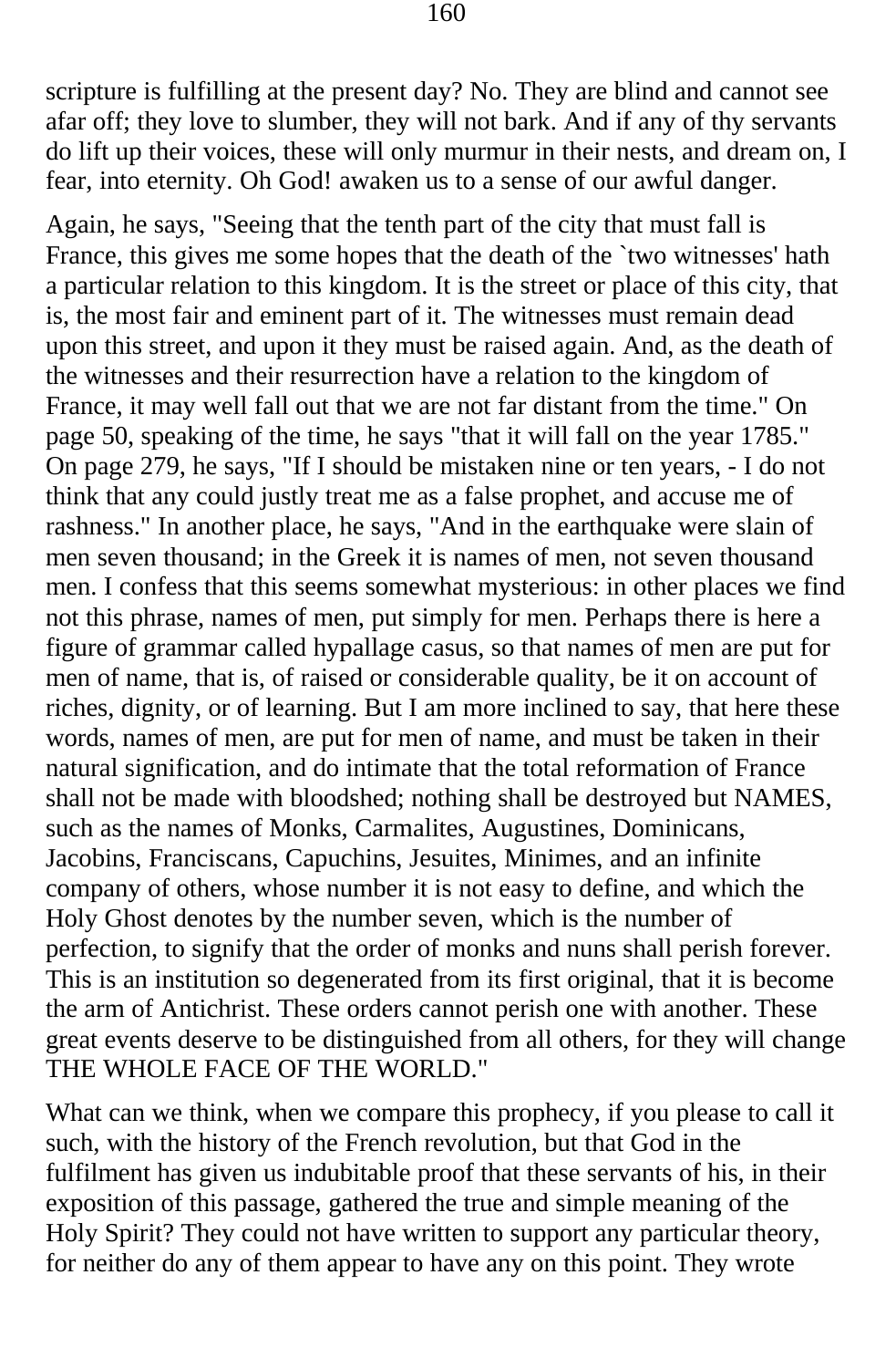scripture is fulfilling at the present day? No. They are blind and cannot see afar off; they love to slumber, they will not bark. And if any of thy servants do lift up their voices, these will only murmur in their nests, and dream on, I fear, into eternity. Oh God! awaken us to a sense of our awful danger.

Again, he says, "Seeing that the tenth part of the city that must fall is France, this gives me some hopes that the death of the `two witnesses' hath a particular relation to this kingdom. It is the street or place of this city, that is, the most fair and eminent part of it. The witnesses must remain dead upon this street, and upon it they must be raised again. And, as the death of the witnesses and their resurrection have a relation to the kingdom of France, it may well fall out that we are not far distant from the time." On page 50, speaking of the time, he says "that it will fall on the year 1785." On page 279, he says, "If I should be mistaken nine or ten years, - I do not think that any could justly treat me as a false prophet, and accuse me of rashness." In another place, he says, "And in the earthquake were slain of men seven thousand; in the Greek it is names of men, not seven thousand men. I confess that this seems somewhat mysterious: in other places we find not this phrase, names of men, put simply for men. Perhaps there is here a figure of grammar called hypallage casus, so that names of men are put for men of name, that is, of raised or considerable quality, be it on account of riches, dignity, or of learning. But I am more inclined to say, that here these words, names of men, are put for men of name, and must be taken in their natural signification, and do intimate that the total reformation of France shall not be made with bloodshed; nothing shall be destroyed but NAMES, such as the names of Monks, Carmalites, Augustines, Dominicans, Jacobins, Franciscans, Capuchins, Jesuites, Minimes, and an infinite company of others, whose number it is not easy to define, and which the Holy Ghost denotes by the number seven, which is the number of perfection, to signify that the order of monks and nuns shall perish forever. This is an institution so degenerated from its first original, that it is become the arm of Antichrist. These orders cannot perish one with another. These great events deserve to be distinguished from all others, for they will change THE WHOLE FACE OF THE WORLD."

What can we think, when we compare this prophecy, if you please to call it such, with the history of the French revolution, but that God in the fulfilment has given us indubitable proof that these servants of his, in their exposition of this passage, gathered the true and simple meaning of the Holy Spirit? They could not have written to support any particular theory, for neither do any of them appear to have any on this point. They wrote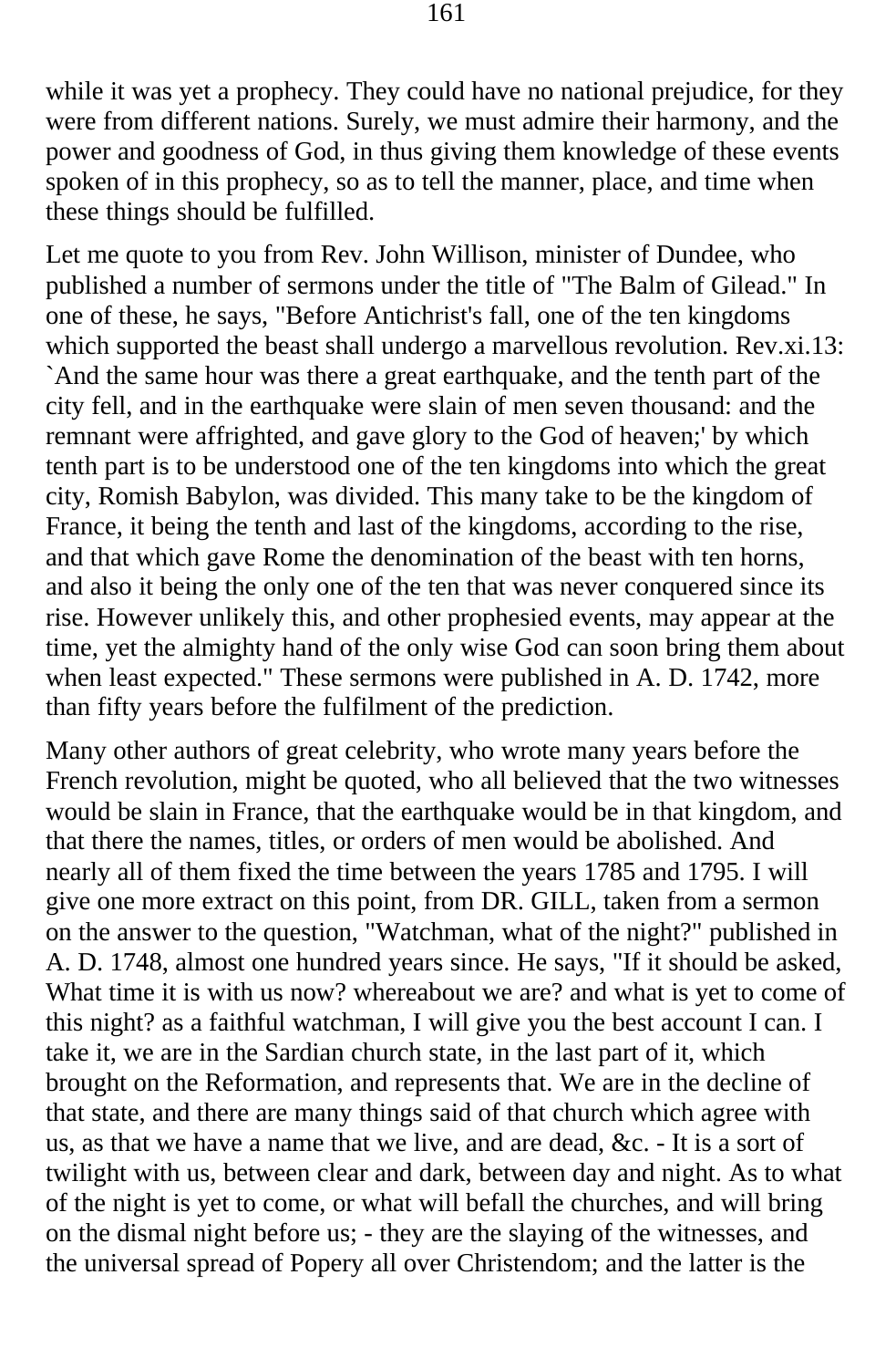while it was yet a prophecy. They could have no national prejudice, for they were from different nations. Surely, we must admire their harmony, and the power and goodness of God, in thus giving them knowledge of these events spoken of in this prophecy, so as to tell the manner, place, and time when these things should be fulfilled.

Let me quote to you from Rev. John Willison, minister of Dundee, who published a number of sermons under the title of "The Balm of Gilead." In one of these, he says, "Before Antichrist's fall, one of the ten kingdoms which supported the beast shall undergo a marvellous revolution. Rev.xi.13: `And the same hour was there a great earthquake, and the tenth part of the city fell, and in the earthquake were slain of men seven thousand: and the remnant were affrighted, and gave glory to the God of heaven;' by which tenth part is to be understood one of the ten kingdoms into which the great city, Romish Babylon, was divided. This many take to be the kingdom of France, it being the tenth and last of the kingdoms, according to the rise, and that which gave Rome the denomination of the beast with ten horns, and also it being the only one of the ten that was never conquered since its rise. However unlikely this, and other prophesied events, may appear at the time, yet the almighty hand of the only wise God can soon bring them about when least expected." These sermons were published in A. D. 1742, more than fifty years before the fulfilment of the prediction.

Many other authors of great celebrity, who wrote many years before the French revolution, might be quoted, who all believed that the two witnesses would be slain in France, that the earthquake would be in that kingdom, and that there the names, titles, or orders of men would be abolished. And nearly all of them fixed the time between the years 1785 and 1795. I will give one more extract on this point, from DR. GILL, taken from a sermon on the answer to the question, "Watchman, what of the night?" published in A. D. 1748, almost one hundred years since. He says, "If it should be asked, What time it is with us now? whereabout we are? and what is yet to come of this night? as a faithful watchman, I will give you the best account I can. I take it, we are in the Sardian church state, in the last part of it, which brought on the Reformation, and represents that. We are in the decline of that state, and there are many things said of that church which agree with us, as that we have a name that we live, and are dead, &c. - It is a sort of twilight with us, between clear and dark, between day and night. As to what of the night is yet to come, or what will befall the churches, and will bring on the dismal night before us; - they are the slaying of the witnesses, and the universal spread of Popery all over Christendom; and the latter is the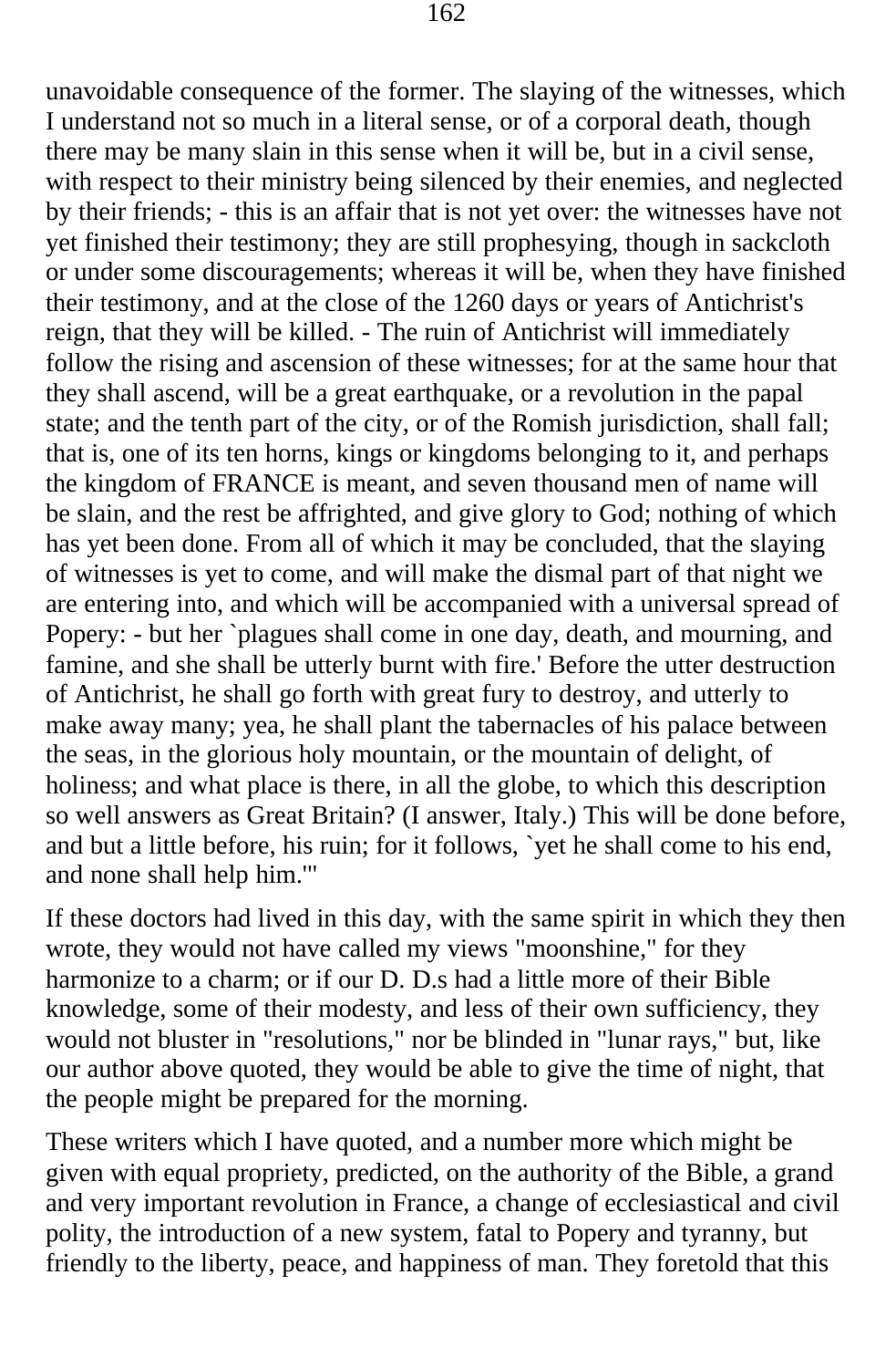unavoidable consequence of the former. The slaying of the witnesses, which I understand not so much in a literal sense, or of a corporal death, though there may be many slain in this sense when it will be, but in a civil sense, with respect to their ministry being silenced by their enemies, and neglected by their friends; - this is an affair that is not yet over: the witnesses have not yet finished their testimony; they are still prophesying, though in sackcloth or under some discouragements; whereas it will be, when they have finished their testimony, and at the close of the 1260 days or years of Antichrist's reign, that they will be killed. - The ruin of Antichrist will immediately follow the rising and ascension of these witnesses; for at the same hour that they shall ascend, will be a great earthquake, or a revolution in the papal state; and the tenth part of the city, or of the Romish jurisdiction, shall fall; that is, one of its ten horns, kings or kingdoms belonging to it, and perhaps the kingdom of FRANCE is meant, and seven thousand men of name will be slain, and the rest be affrighted, and give glory to God; nothing of which has yet been done. From all of which it may be concluded, that the slaying of witnesses is yet to come, and will make the dismal part of that night we are entering into, and which will be accompanied with a universal spread of Popery: - but her `plagues shall come in one day, death, and mourning, and famine, and she shall be utterly burnt with fire.' Before the utter destruction of Antichrist, he shall go forth with great fury to destroy, and utterly to make away many; yea, he shall plant the tabernacles of his palace between the seas, in the glorious holy mountain, or the mountain of delight, of holiness; and what place is there, in all the globe, to which this description so well answers as Great Britain? (I answer, Italy.) This will be done before, and but a little before, his ruin; for it follows, `yet he shall come to his end, and none shall help him.'"

If these doctors had lived in this day, with the same spirit in which they then wrote, they would not have called my views "moonshine," for they harmonize to a charm; or if our D. D.s had a little more of their Bible knowledge, some of their modesty, and less of their own sufficiency, they would not bluster in "resolutions," nor be blinded in "lunar rays," but, like our author above quoted, they would be able to give the time of night, that the people might be prepared for the morning.

These writers which I have quoted, and a number more which might be given with equal propriety, predicted, on the authority of the Bible, a grand and very important revolution in France, a change of ecclesiastical and civil polity, the introduction of a new system, fatal to Popery and tyranny, but friendly to the liberty, peace, and happiness of man. They foretold that this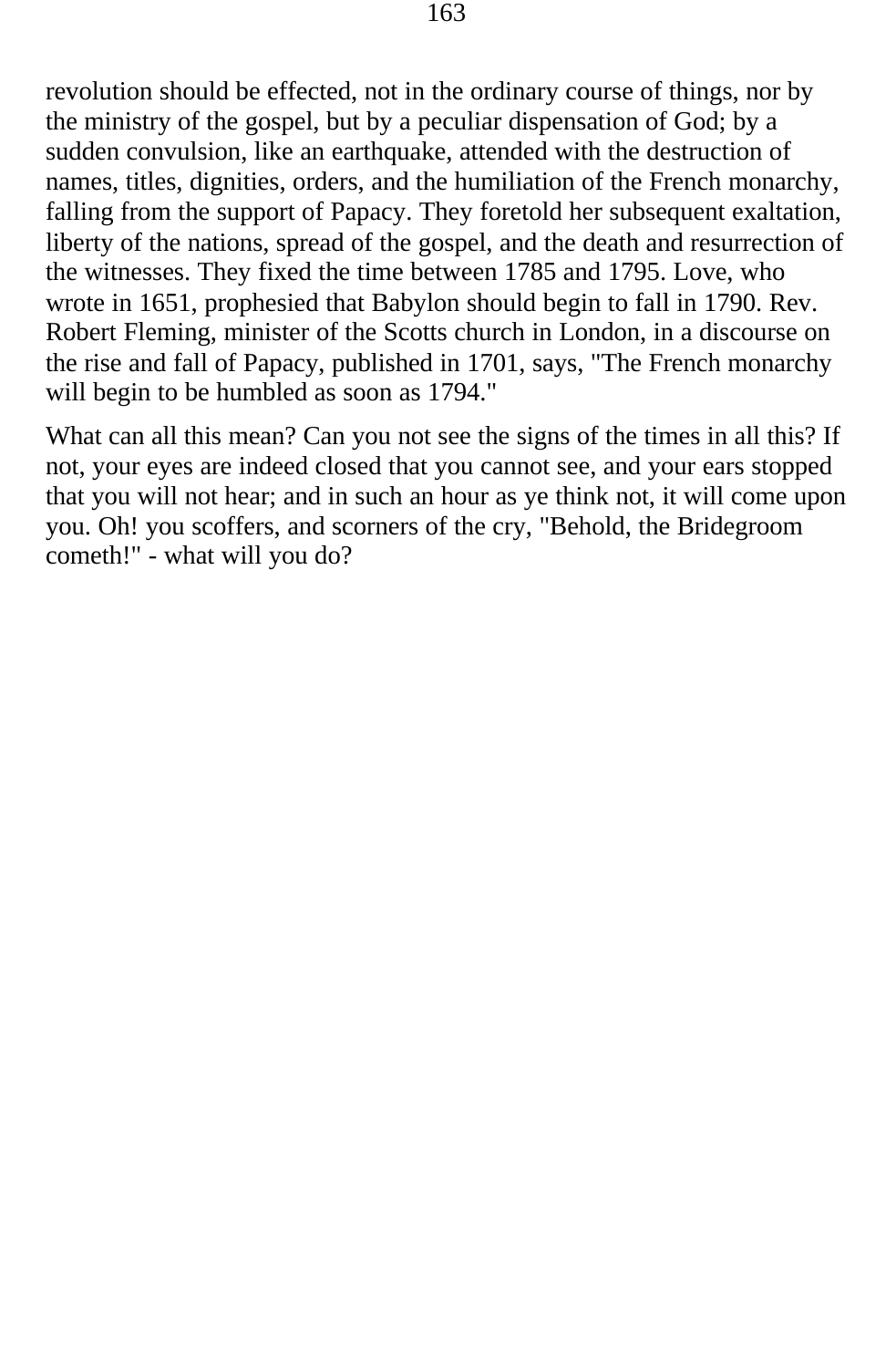revolution should be effected, not in the ordinary course of things, nor by the ministry of the gospel, but by a peculiar dispensation of God; by a sudden convulsion, like an earthquake, attended with the destruction of names, titles, dignities, orders, and the humiliation of the French monarchy, falling from the support of Papacy. They foretold her subsequent exaltation, liberty of the nations, spread of the gospel, and the death and resurrection of the witnesses. They fixed the time between 1785 and 1795. Love, who wrote in 1651, prophesied that Babylon should begin to fall in 1790. Rev. Robert Fleming, minister of the Scotts church in London, in a discourse on the rise and fall of Papacy, published in 1701, says, "The French monarchy will begin to be humbled as soon as 1794."

What can all this mean? Can you not see the signs of the times in all this? If not, your eyes are indeed closed that you cannot see, and your ears stopped that you will not hear; and in such an hour as ye think not, it will come upon you. Oh! you scoffers, and scorners of the cry, "Behold, the Bridegroom cometh!" - what will you do?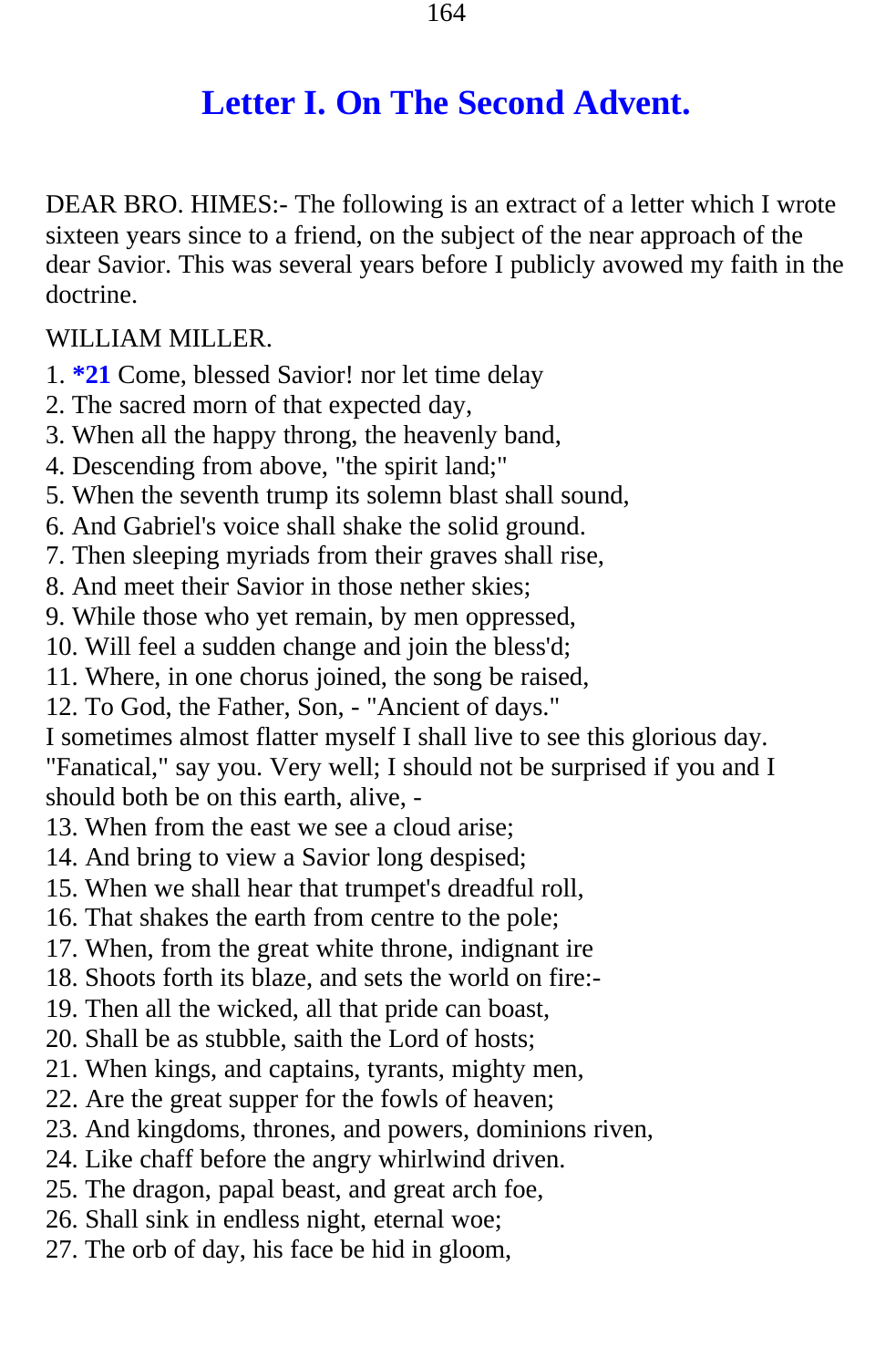# **Letter I. On The Second Advent.**

DEAR BRO. HIMES:- The following is an extract of a letter which I wrote sixteen years since to a friend, on the subject of the near approach of the dear Savior. This was several years before I publicly avowed my faith in the doctrine.

#### WILLIAM MILLER.

- 1. **[\\*21](#page-197-0)** Come, blessed Savior! nor let time delay
- 2. The sacred morn of that expected day,
- 3. When all the happy throng, the heavenly band,
- 4. Descending from above, "the spirit land;"
- 5. When the seventh trump its solemn blast shall sound,
- 6. And Gabriel's voice shall shake the solid ground.
- 7. Then sleeping myriads from their graves shall rise,
- 8. And meet their Savior in those nether skies;
- 9. While those who yet remain, by men oppressed,
- 10. Will feel a sudden change and join the bless'd;
- 11. Where, in one chorus joined, the song be raised,
- 12. To God, the Father, Son, "Ancient of days."
- I sometimes almost flatter myself I shall live to see this glorious day.

"Fanatical," say you. Very well; I should not be surprised if you and I should both be on this earth, alive,

- 13. When from the east we see a cloud arise;
- 14. And bring to view a Savior long despised;
- 15. When we shall hear that trumpet's dreadful roll,
- 16. That shakes the earth from centre to the pole;
- 17. When, from the great white throne, indignant ire
- 18. Shoots forth its blaze, and sets the world on fire:-
- 19. Then all the wicked, all that pride can boast,
- 20. Shall be as stubble, saith the Lord of hosts;
- 21. When kings, and captains, tyrants, mighty men,
- 22. Are the great supper for the fowls of heaven;
- 23. And kingdoms, thrones, and powers, dominions riven,
- 24. Like chaff before the angry whirlwind driven.
- 25. The dragon, papal beast, and great arch foe,
- 26. Shall sink in endless night, eternal woe;
- 27. The orb of day, his face be hid in gloom,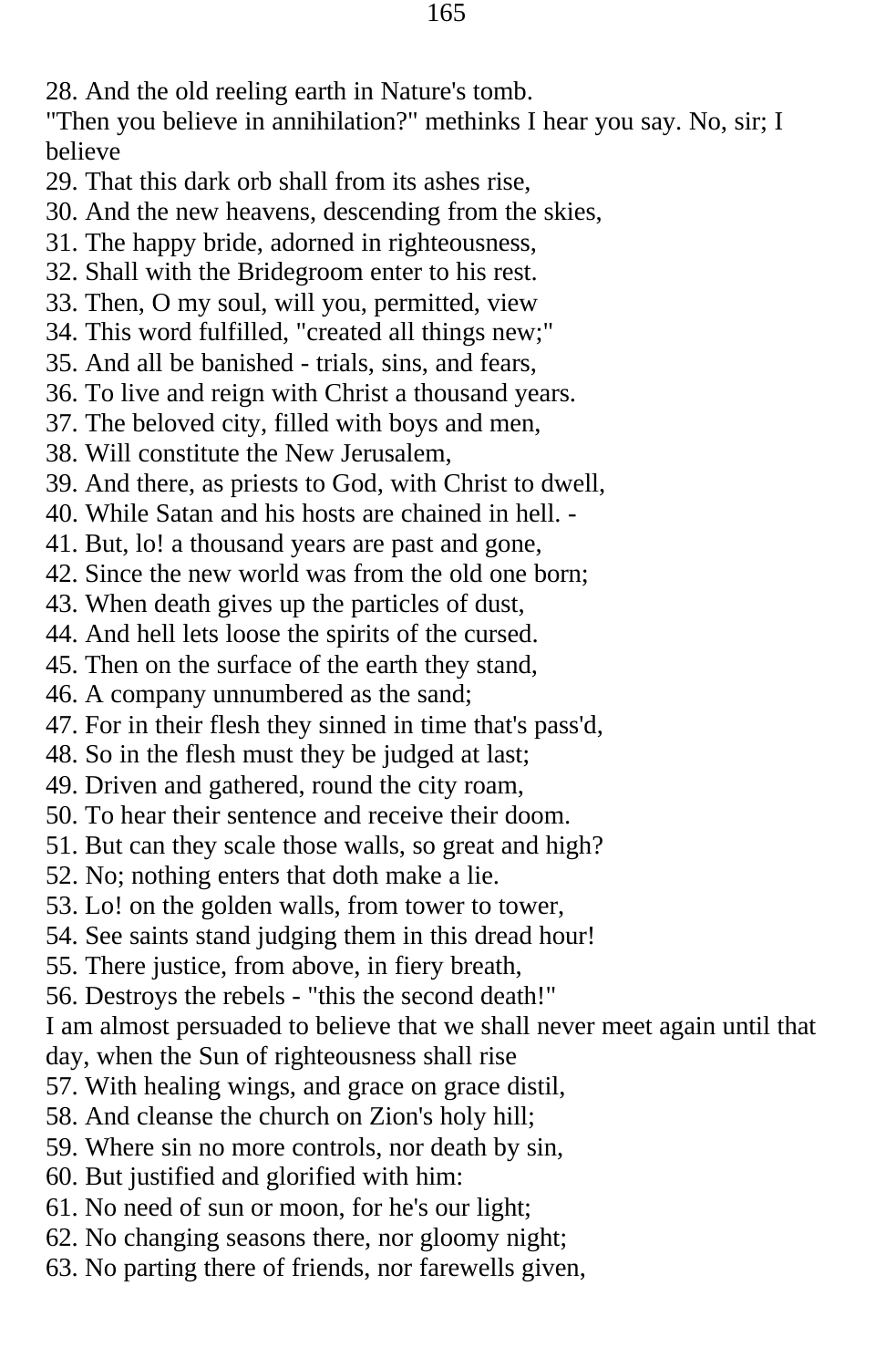28. And the old reeling earth in Nature's tomb.

"Then you believe in annihilation?" methinks I hear you say. No, sir; I believe

- 29. That this dark orb shall from its ashes rise,
- 30. And the new heavens, descending from the skies,
- 31. The happy bride, adorned in righteousness,
- 32. Shall with the Bridegroom enter to his rest.
- 33. Then, O my soul, will you, permitted, view
- 34. This word fulfilled, "created all things new;"
- 35. And all be banished trials, sins, and fears,
- 36. To live and reign with Christ a thousand years.
- 37. The beloved city, filled with boys and men,
- 38. Will constitute the New Jerusalem,
- 39. And there, as priests to God, with Christ to dwell,
- 40. While Satan and his hosts are chained in hell.
- 41. But, lo! a thousand years are past and gone,
- 42. Since the new world was from the old one born;
- 43. When death gives up the particles of dust,
- 44. And hell lets loose the spirits of the cursed.
- 45. Then on the surface of the earth they stand,
- 46. A company unnumbered as the sand;
- 47. For in their flesh they sinned in time that's pass'd,
- 48. So in the flesh must they be judged at last;
- 49. Driven and gathered, round the city roam,
- 50. To hear their sentence and receive their doom.
- 51. But can they scale those walls, so great and high?
- 52. No; nothing enters that doth make a lie.
- 53. Lo! on the golden walls, from tower to tower,
- 54. See saints stand judging them in this dread hour!
- 55. There justice, from above, in fiery breath,
- 56. Destroys the rebels "this the second death!"

I am almost persuaded to believe that we shall never meet again until that day, when the Sun of righteousness shall rise

- 57. With healing wings, and grace on grace distil,
- 58. And cleanse the church on Zion's holy hill;
- 59. Where sin no more controls, nor death by sin,
- 60. But justified and glorified with him:
- 61. No need of sun or moon, for he's our light;
- 62. No changing seasons there, nor gloomy night;
- 63. No parting there of friends, nor farewells given,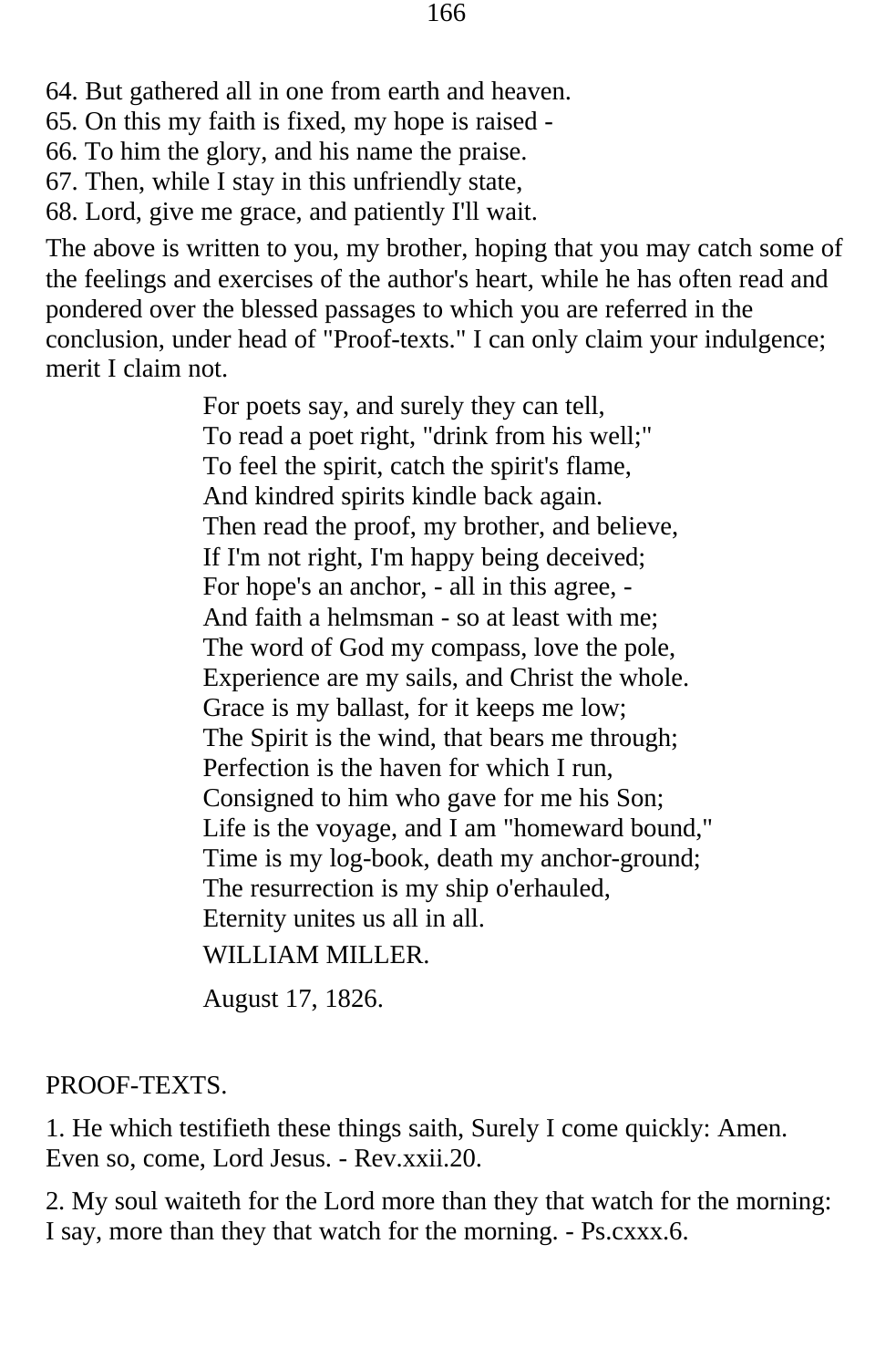64. But gathered all in one from earth and heaven.

65. On this my faith is fixed, my hope is raised -

66. To him the glory, and his name the praise.

67. Then, while I stay in this unfriendly state,

68. Lord, give me grace, and patiently I'll wait.

The above is written to you, my brother, hoping that you may catch some of the feelings and exercises of the author's heart, while he has often read and pondered over the blessed passages to which you are referred in the conclusion, under head of "Proof-texts." I can only claim your indulgence; merit I claim not.

> For poets say, and surely they can tell, To read a poet right, "drink from his well;" To feel the spirit, catch the spirit's flame, And kindred spirits kindle back again. Then read the proof, my brother, and believe, If I'm not right, I'm happy being deceived; For hope's an anchor, - all in this agree, - And faith a helmsman - so at least with me; The word of God my compass, love the pole, Experience are my sails, and Christ the whole. Grace is my ballast, for it keeps me low; The Spirit is the wind, that bears me through; Perfection is the haven for which I run, Consigned to him who gave for me his Son; Life is the voyage, and I am "homeward bound," Time is my log-book, death my anchor-ground; The resurrection is my ship o'erhauled, Eternity unites us all in all. WILLIAM MILLER.

August 17, 1826.

#### PROOF-TEXTS.

1. He which testifieth these things saith, Surely I come quickly: Amen. Even so, come, Lord Jesus. - Rev.xxii.20.

2. My soul waiteth for the Lord more than they that watch for the morning: I say, more than they that watch for the morning. - Ps.cxxx.6.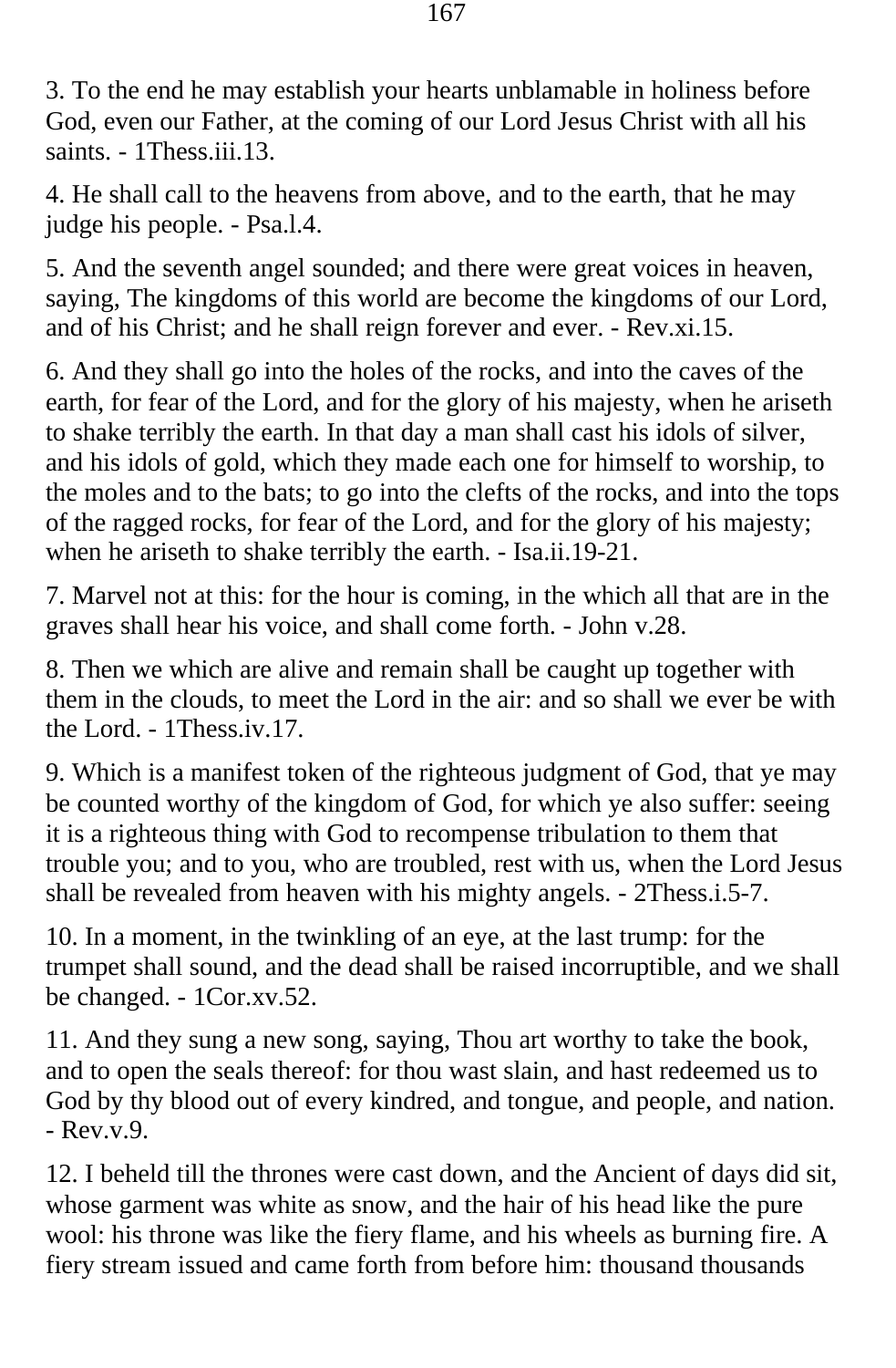3. To the end he may establish your hearts unblamable in holiness before God, even our Father, at the coming of our Lord Jesus Christ with all his saints. - 1Thess.iii.13.

4. He shall call to the heavens from above, and to the earth, that he may judge his people. - Psa.l.4.

5. And the seventh angel sounded; and there were great voices in heaven, saying, The kingdoms of this world are become the kingdoms of our Lord, and of his Christ; and he shall reign forever and ever. - Rev.xi.15.

6. And they shall go into the holes of the rocks, and into the caves of the earth, for fear of the Lord, and for the glory of his majesty, when he ariseth to shake terribly the earth. In that day a man shall cast his idols of silver, and his idols of gold, which they made each one for himself to worship, to the moles and to the bats; to go into the clefts of the rocks, and into the tops of the ragged rocks, for fear of the Lord, and for the glory of his majesty; when he ariseth to shake terribly the earth. - Isa.ii.19-21.

7. Marvel not at this: for the hour is coming, in the which all that are in the graves shall hear his voice, and shall come forth. - John v.28.

8. Then we which are alive and remain shall be caught up together with them in the clouds, to meet the Lord in the air: and so shall we ever be with the Lord. - 1Thess.iv.17.

9. Which is a manifest token of the righteous judgment of God, that ye may be counted worthy of the kingdom of God, for which ye also suffer: seeing it is a righteous thing with God to recompense tribulation to them that trouble you; and to you, who are troubled, rest with us, when the Lord Jesus shall be revealed from heaven with his mighty angels. - 2Thess.i.5-7.

10. In a moment, in the twinkling of an eye, at the last trump: for the trumpet shall sound, and the dead shall be raised incorruptible, and we shall be changed. - 1Cor.xv.52.

11. And they sung a new song, saying, Thou art worthy to take the book, and to open the seals thereof: for thou wast slain, and hast redeemed us to God by thy blood out of every kindred, and tongue, and people, and nation.  $-$  Rev.v.9.

12. I beheld till the thrones were cast down, and the Ancient of days did sit, whose garment was white as snow, and the hair of his head like the pure wool: his throne was like the fiery flame, and his wheels as burning fire. A fiery stream issued and came forth from before him: thousand thousands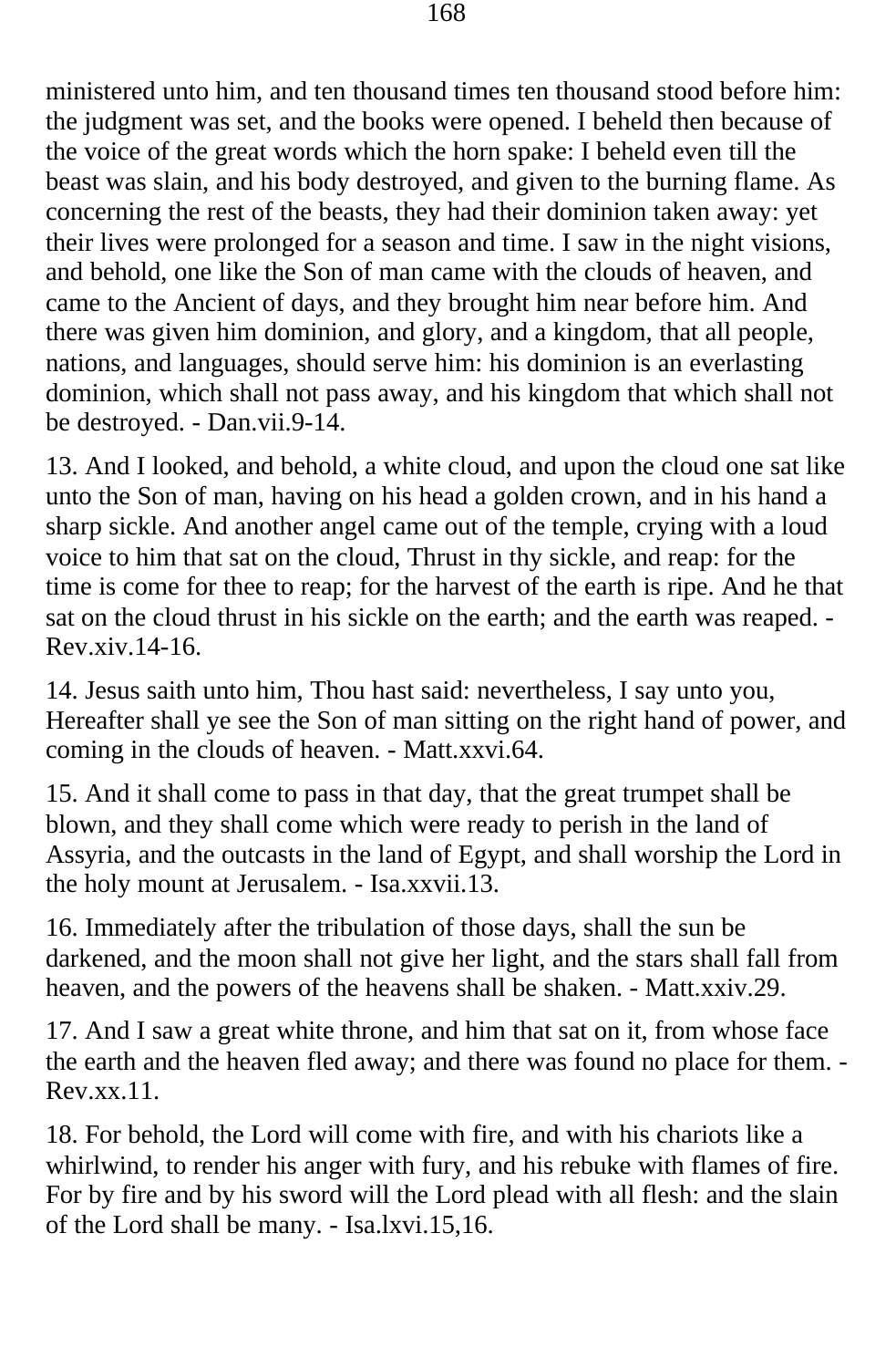ministered unto him, and ten thousand times ten thousand stood before him: the judgment was set, and the books were opened. I beheld then because of the voice of the great words which the horn spake: I beheld even till the beast was slain, and his body destroyed, and given to the burning flame. As concerning the rest of the beasts, they had their dominion taken away: yet their lives were prolonged for a season and time. I saw in the night visions, and behold, one like the Son of man came with the clouds of heaven, and came to the Ancient of days, and they brought him near before him. And there was given him dominion, and glory, and a kingdom, that all people, nations, and languages, should serve him: his dominion is an everlasting dominion, which shall not pass away, and his kingdom that which shall not be destroyed. - Dan.vii.9-14.

13. And I looked, and behold, a white cloud, and upon the cloud one sat like unto the Son of man, having on his head a golden crown, and in his hand a sharp sickle. And another angel came out of the temple, crying with a loud voice to him that sat on the cloud, Thrust in thy sickle, and reap: for the time is come for thee to reap; for the harvest of the earth is ripe. And he that sat on the cloud thrust in his sickle on the earth; and the earth was reaped. - Rev.xiv.14-16.

14. Jesus saith unto him, Thou hast said: nevertheless, I say unto you, Hereafter shall ye see the Son of man sitting on the right hand of power, and coming in the clouds of heaven. - Matt.xxvi.64.

15. And it shall come to pass in that day, that the great trumpet shall be blown, and they shall come which were ready to perish in the land of Assyria, and the outcasts in the land of Egypt, and shall worship the Lord in the holy mount at Jerusalem. - Isa.xxvii.13.

16. Immediately after the tribulation of those days, shall the sun be darkened, and the moon shall not give her light, and the stars shall fall from heaven, and the powers of the heavens shall be shaken. - Matt.xxiv.29.

17. And I saw a great white throne, and him that sat on it, from whose face the earth and the heaven fled away; and there was found no place for them. - Rev.xx.11.

18. For behold, the Lord will come with fire, and with his chariots like a whirlwind, to render his anger with fury, and his rebuke with flames of fire. For by fire and by his sword will the Lord plead with all flesh: and the slain of the Lord shall be many. - Isa.lxvi.15,16.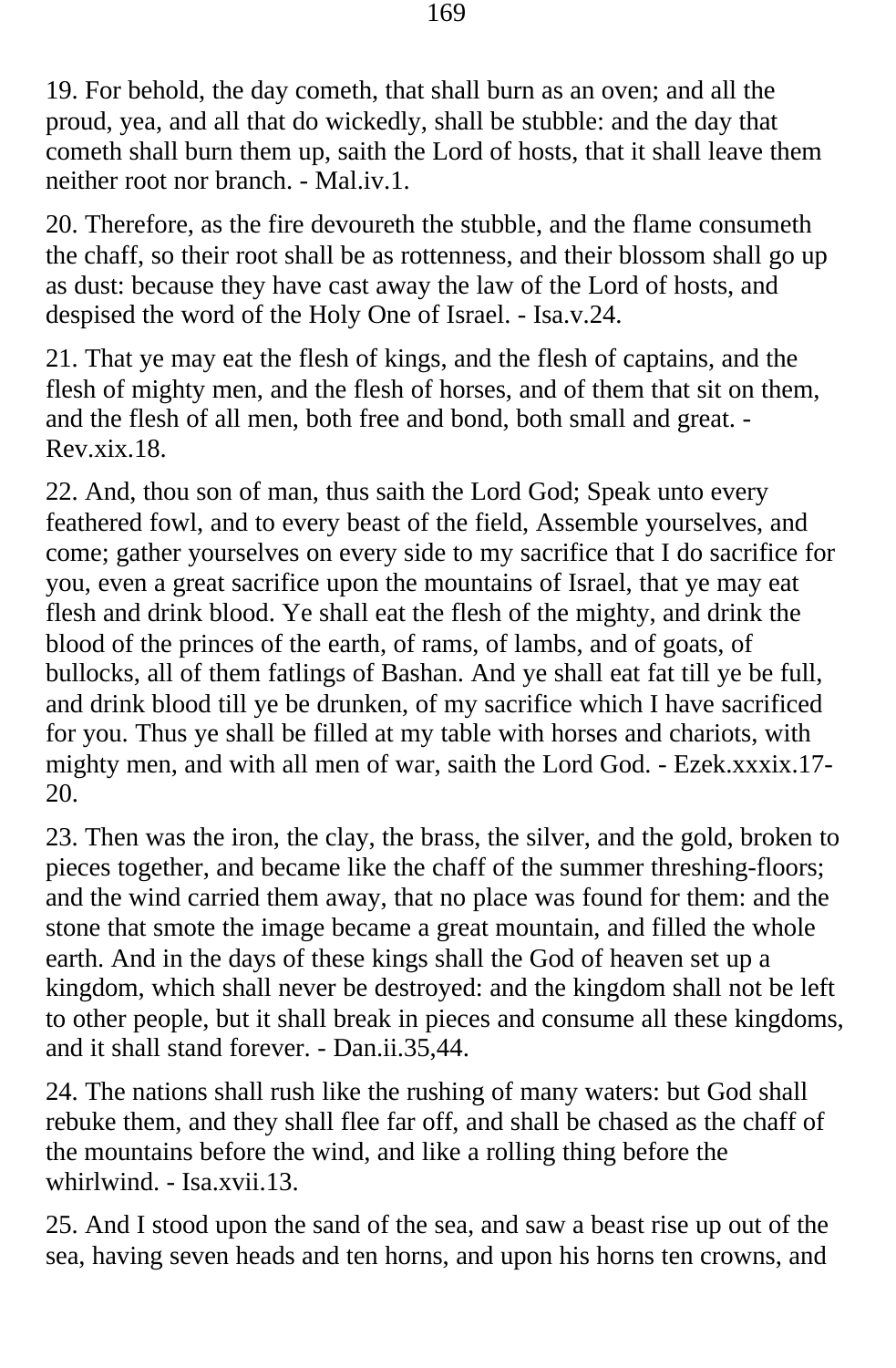19. For behold, the day cometh, that shall burn as an oven; and all the proud, yea, and all that do wickedly, shall be stubble: and the day that cometh shall burn them up, saith the Lord of hosts, that it shall leave them neither root nor branch. - Mal.iv.1.

20. Therefore, as the fire devoureth the stubble, and the flame consumeth the chaff, so their root shall be as rottenness, and their blossom shall go up as dust: because they have cast away the law of the Lord of hosts, and despised the word of the Holy One of Israel. - Isa.v.24.

21. That ye may eat the flesh of kings, and the flesh of captains, and the flesh of mighty men, and the flesh of horses, and of them that sit on them, and the flesh of all men, both free and bond, both small and great. - Rev.xix.18.

22. And, thou son of man, thus saith the Lord God; Speak unto every feathered fowl, and to every beast of the field, Assemble yourselves, and come; gather yourselves on every side to my sacrifice that I do sacrifice for you, even a great sacrifice upon the mountains of Israel, that ye may eat flesh and drink blood. Ye shall eat the flesh of the mighty, and drink the blood of the princes of the earth, of rams, of lambs, and of goats, of bullocks, all of them fatlings of Bashan. And ye shall eat fat till ye be full, and drink blood till ye be drunken, of my sacrifice which I have sacrificed for you. Thus ye shall be filled at my table with horses and chariots, with mighty men, and with all men of war, saith the Lord God. - Ezek.xxxix.17- 20.

23. Then was the iron, the clay, the brass, the silver, and the gold, broken to pieces together, and became like the chaff of the summer threshing-floors; and the wind carried them away, that no place was found for them: and the stone that smote the image became a great mountain, and filled the whole earth. And in the days of these kings shall the God of heaven set up a kingdom, which shall never be destroyed: and the kingdom shall not be left to other people, but it shall break in pieces and consume all these kingdoms, and it shall stand forever. - Dan.ii.35,44.

24. The nations shall rush like the rushing of many waters: but God shall rebuke them, and they shall flee far off, and shall be chased as the chaff of the mountains before the wind, and like a rolling thing before the whirlwind. - Isa.xvii.13.

25. And I stood upon the sand of the sea, and saw a beast rise up out of the sea, having seven heads and ten horns, and upon his horns ten crowns, and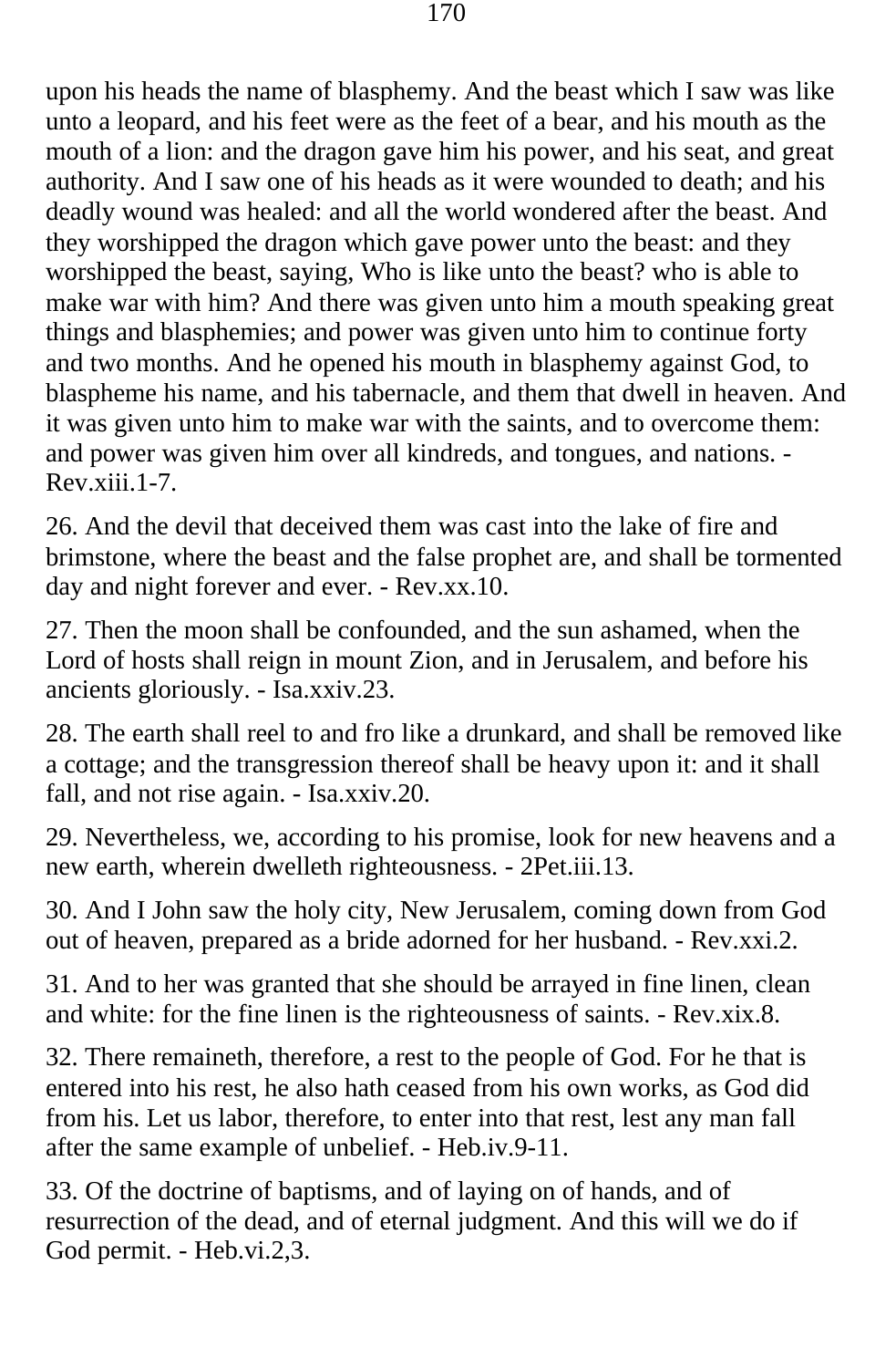upon his heads the name of blasphemy. And the beast which I saw was like unto a leopard, and his feet were as the feet of a bear, and his mouth as the mouth of a lion: and the dragon gave him his power, and his seat, and great authority. And I saw one of his heads as it were wounded to death; and his deadly wound was healed: and all the world wondered after the beast. And they worshipped the dragon which gave power unto the beast: and they worshipped the beast, saying, Who is like unto the beast? who is able to make war with him? And there was given unto him a mouth speaking great things and blasphemies; and power was given unto him to continue forty and two months. And he opened his mouth in blasphemy against God, to blaspheme his name, and his tabernacle, and them that dwell in heaven. And it was given unto him to make war with the saints, and to overcome them: and power was given him over all kindreds, and tongues, and nations. - Rev.xiii.1-7.

26. And the devil that deceived them was cast into the lake of fire and brimstone, where the beast and the false prophet are, and shall be tormented day and night forever and ever. - Rev.xx.10.

27. Then the moon shall be confounded, and the sun ashamed, when the Lord of hosts shall reign in mount Zion, and in Jerusalem, and before his ancients gloriously. - Isa.xxiv.23.

28. The earth shall reel to and fro like a drunkard, and shall be removed like a cottage; and the transgression thereof shall be heavy upon it: and it shall fall, and not rise again. - Isa.xxiv.20.

29. Nevertheless, we, according to his promise, look for new heavens and a new earth, wherein dwelleth righteousness. - 2Pet.iii.13.

30. And I John saw the holy city, New Jerusalem, coming down from God out of heaven, prepared as a bride adorned for her husband. - Rev.xxi.2.

31. And to her was granted that she should be arrayed in fine linen, clean and white: for the fine linen is the righteousness of saints. - Rev.xix.8.

32. There remaineth, therefore, a rest to the people of God. For he that is entered into his rest, he also hath ceased from his own works, as God did from his. Let us labor, therefore, to enter into that rest, lest any man fall after the same example of unbelief. - Heb.iv.9-11.

33. Of the doctrine of baptisms, and of laying on of hands, and of resurrection of the dead, and of eternal judgment. And this will we do if God permit. - Heb.vi.2,3.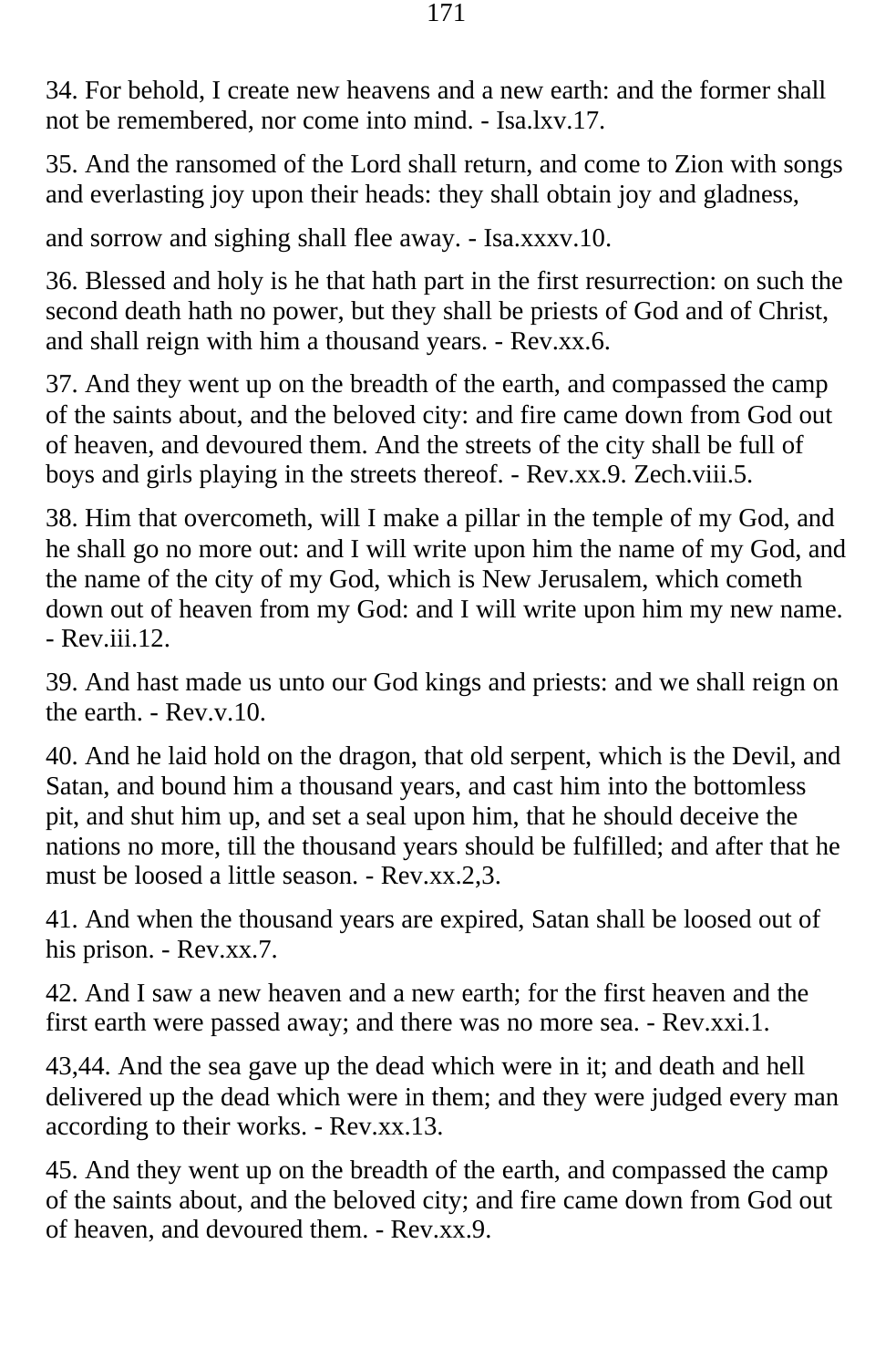34. For behold, I create new heavens and a new earth: and the former shall not be remembered, nor come into mind. - Isa.lxv.17.

35. And the ransomed of the Lord shall return, and come to Zion with songs and everlasting joy upon their heads: they shall obtain joy and gladness,

and sorrow and sighing shall flee away. - Isa.xxxv.10.

36. Blessed and holy is he that hath part in the first resurrection: on such the second death hath no power, but they shall be priests of God and of Christ, and shall reign with him a thousand years. - Rev.xx.6.

37. And they went up on the breadth of the earth, and compassed the camp of the saints about, and the beloved city: and fire came down from God out of heaven, and devoured them. And the streets of the city shall be full of boys and girls playing in the streets thereof. - Rev.xx.9. Zech.viii.5.

38. Him that overcometh, will I make a pillar in the temple of my God, and he shall go no more out: and I will write upon him the name of my God, and the name of the city of my God, which is New Jerusalem, which cometh down out of heaven from my God: and I will write upon him my new name. - Rev.iii.12.

39. And hast made us unto our God kings and priests: and we shall reign on the earth. - Rev.v.10.

40. And he laid hold on the dragon, that old serpent, which is the Devil, and Satan, and bound him a thousand years, and cast him into the bottomless pit, and shut him up, and set a seal upon him, that he should deceive the nations no more, till the thousand years should be fulfilled; and after that he must be loosed a little season. - Rev.xx.2,3.

41. And when the thousand years are expired, Satan shall be loosed out of his prison. - Rev.xx.7.

42. And I saw a new heaven and a new earth; for the first heaven and the first earth were passed away; and there was no more sea. - Rev.xxi.1.

43,44. And the sea gave up the dead which were in it; and death and hell delivered up the dead which were in them; and they were judged every man according to their works. - Rev.xx.13.

45. And they went up on the breadth of the earth, and compassed the camp of the saints about, and the beloved city; and fire came down from God out of heaven, and devoured them. - Rev.xx.9.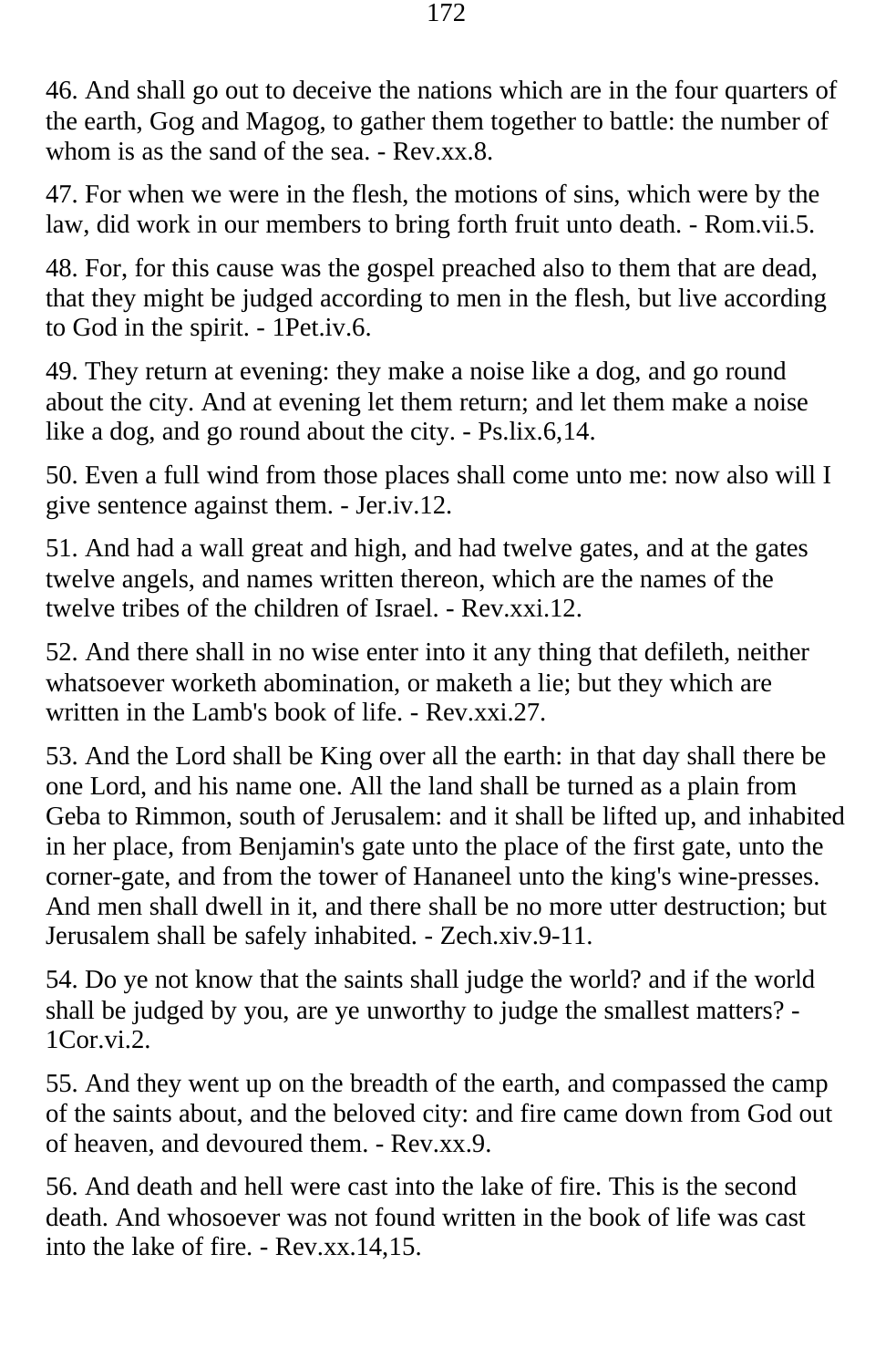46. And shall go out to deceive the nations which are in the four quarters of the earth, Gog and Magog, to gather them together to battle: the number of whom is as the sand of the sea. - Rev.xx.8.

47. For when we were in the flesh, the motions of sins, which were by the law, did work in our members to bring forth fruit unto death. - Rom.vii.5.

48. For, for this cause was the gospel preached also to them that are dead, that they might be judged according to men in the flesh, but live according to God in the spirit. - 1Pet.iv.6.

49. They return at evening: they make a noise like a dog, and go round about the city. And at evening let them return; and let them make a noise like a dog, and go round about the city. - Ps.lix.6,14.

50. Even a full wind from those places shall come unto me: now also will I give sentence against them. - Jer.iv.12.

51. And had a wall great and high, and had twelve gates, and at the gates twelve angels, and names written thereon, which are the names of the twelve tribes of the children of Israel. - Rev.xxi.12.

52. And there shall in no wise enter into it any thing that defileth, neither whatsoever worketh abomination, or maketh a lie; but they which are written in the Lamb's book of life. - Rev.xxi.27.

53. And the Lord shall be King over all the earth: in that day shall there be one Lord, and his name one. All the land shall be turned as a plain from Geba to Rimmon, south of Jerusalem: and it shall be lifted up, and inhabited in her place, from Benjamin's gate unto the place of the first gate, unto the corner-gate, and from the tower of Hananeel unto the king's wine-presses. And men shall dwell in it, and there shall be no more utter destruction; but Jerusalem shall be safely inhabited. - Zech.xiv.9-11.

54. Do ye not know that the saints shall judge the world? and if the world shall be judged by you, are ye unworthy to judge the smallest matters? - 1Cor.vi.2.

55. And they went up on the breadth of the earth, and compassed the camp of the saints about, and the beloved city: and fire came down from God out of heaven, and devoured them. - Rev.xx.9.

56. And death and hell were cast into the lake of fire. This is the second death. And whosoever was not found written in the book of life was cast into the lake of fire. - Rev.xx.14,15.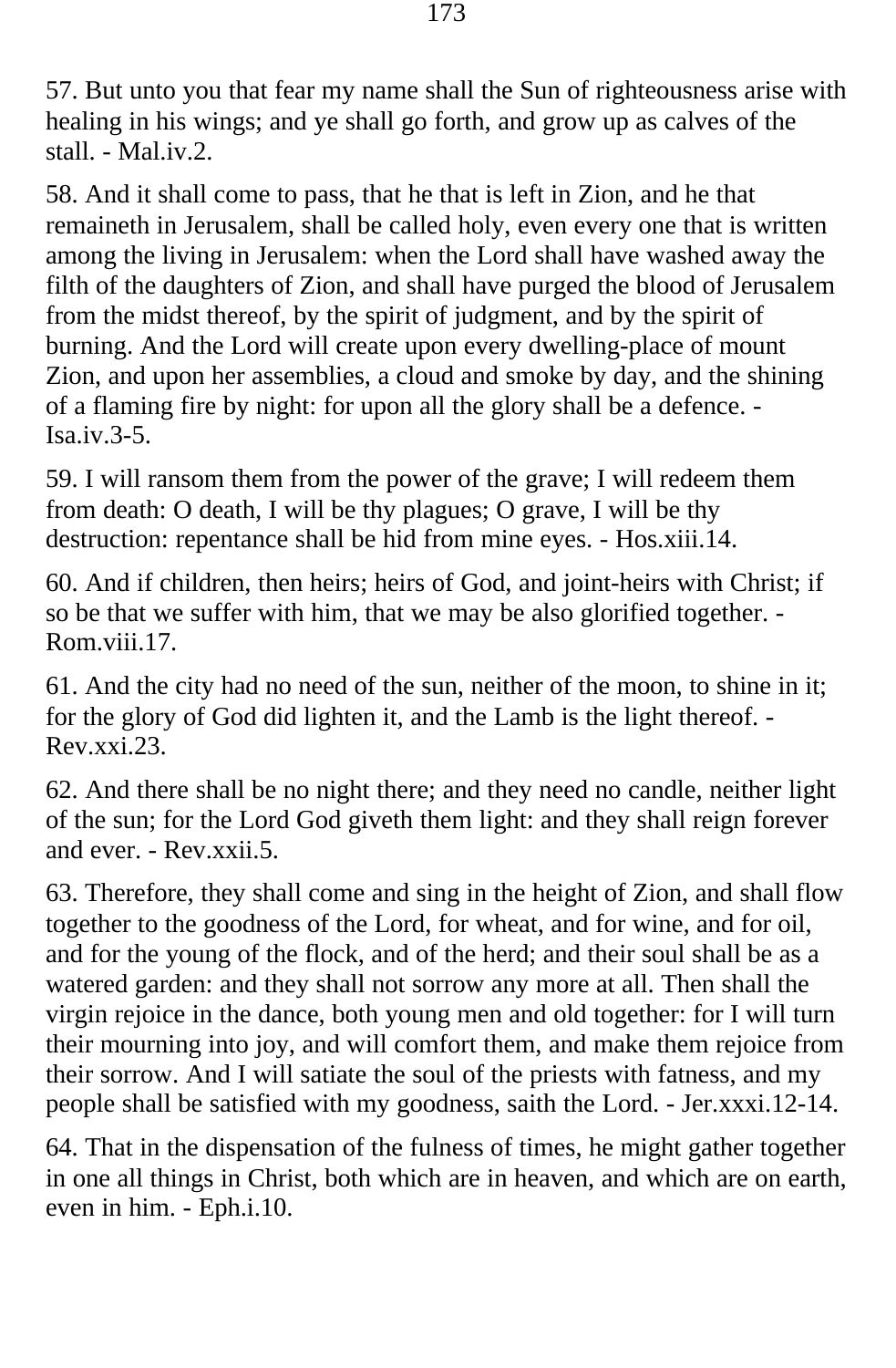57. But unto you that fear my name shall the Sun of righteousness arise with healing in his wings; and ye shall go forth, and grow up as calves of the stall. - Mal.iv.2.

58. And it shall come to pass, that he that is left in Zion, and he that remaineth in Jerusalem, shall be called holy, even every one that is written among the living in Jerusalem: when the Lord shall have washed away the filth of the daughters of Zion, and shall have purged the blood of Jerusalem from the midst thereof, by the spirit of judgment, and by the spirit of burning. And the Lord will create upon every dwelling-place of mount Zion, and upon her assemblies, a cloud and smoke by day, and the shining of a flaming fire by night: for upon all the glory shall be a defence. - Isa.iv.3-5.

59. I will ransom them from the power of the grave; I will redeem them from death: O death, I will be thy plagues; O grave, I will be thy destruction: repentance shall be hid from mine eyes. - Hos.xiii.14.

60. And if children, then heirs; heirs of God, and joint-heirs with Christ; if so be that we suffer with him, that we may be also glorified together. - Rom.viii.17.

61. And the city had no need of the sun, neither of the moon, to shine in it; for the glory of God did lighten it, and the Lamb is the light thereof. - Rev.xxi.23.

62. And there shall be no night there; and they need no candle, neither light of the sun; for the Lord God giveth them light: and they shall reign forever and ever. - Rev.xxii.5.

63. Therefore, they shall come and sing in the height of Zion, and shall flow together to the goodness of the Lord, for wheat, and for wine, and for oil, and for the young of the flock, and of the herd; and their soul shall be as a watered garden: and they shall not sorrow any more at all. Then shall the virgin rejoice in the dance, both young men and old together: for I will turn their mourning into joy, and will comfort them, and make them rejoice from their sorrow. And I will satiate the soul of the priests with fatness, and my people shall be satisfied with my goodness, saith the Lord. - Jer.xxxi.12-14.

64. That in the dispensation of the fulness of times, he might gather together in one all things in Christ, both which are in heaven, and which are on earth, even in him. - Eph.i.10.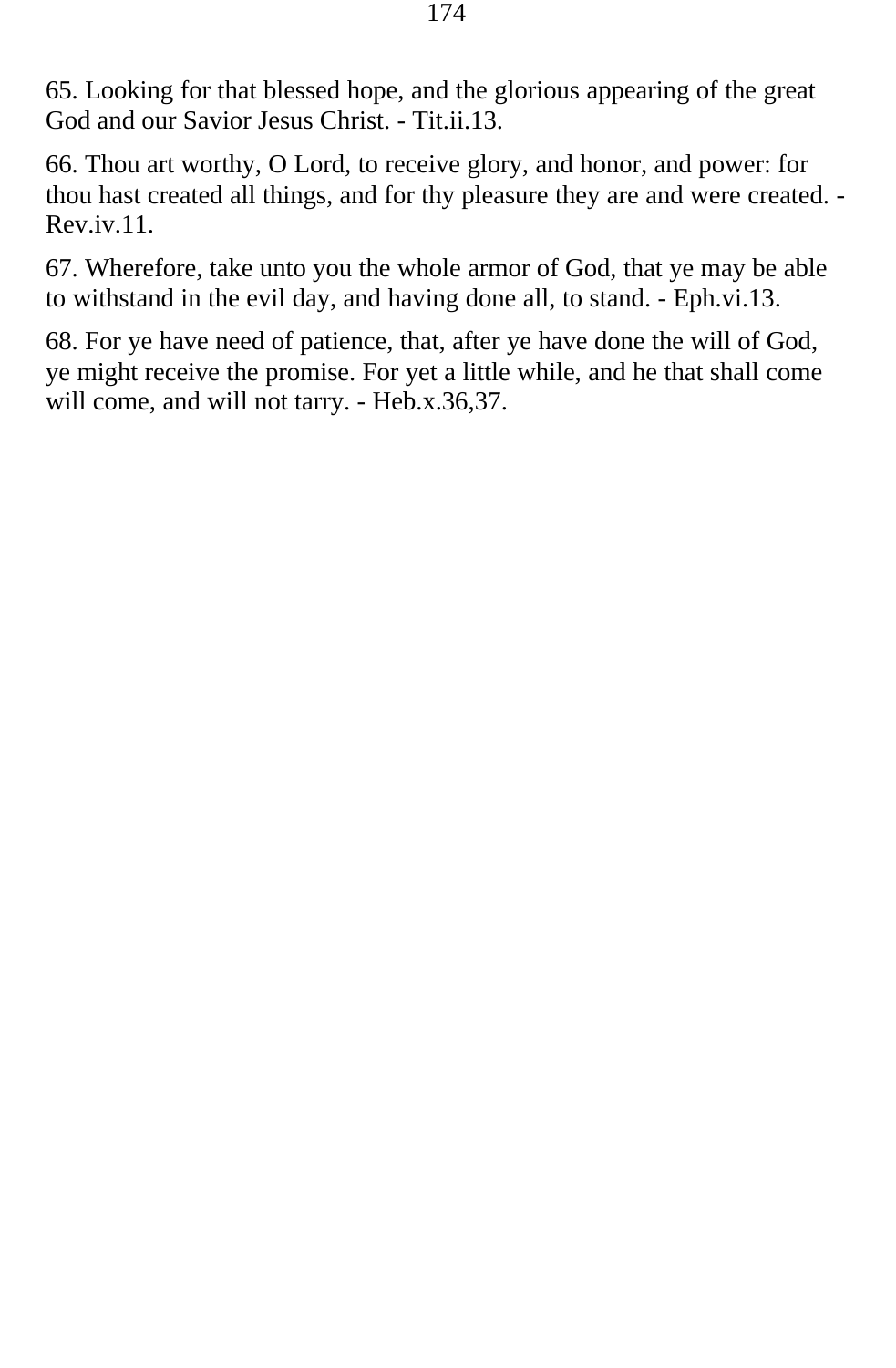65. Looking for that blessed hope, and the glorious appearing of the great God and our Savior Jesus Christ. - Tit.ii.13.

66. Thou art worthy, O Lord, to receive glory, and honor, and power: for thou hast created all things, and for thy pleasure they are and were created. - Rev.iv.11.

67. Wherefore, take unto you the whole armor of God, that ye may be able to withstand in the evil day, and having done all, to stand. - Eph.vi.13.

68. For ye have need of patience, that, after ye have done the will of God, ye might receive the promise. For yet a little while, and he that shall come will come, and will not tarry. - Heb.x.36,37.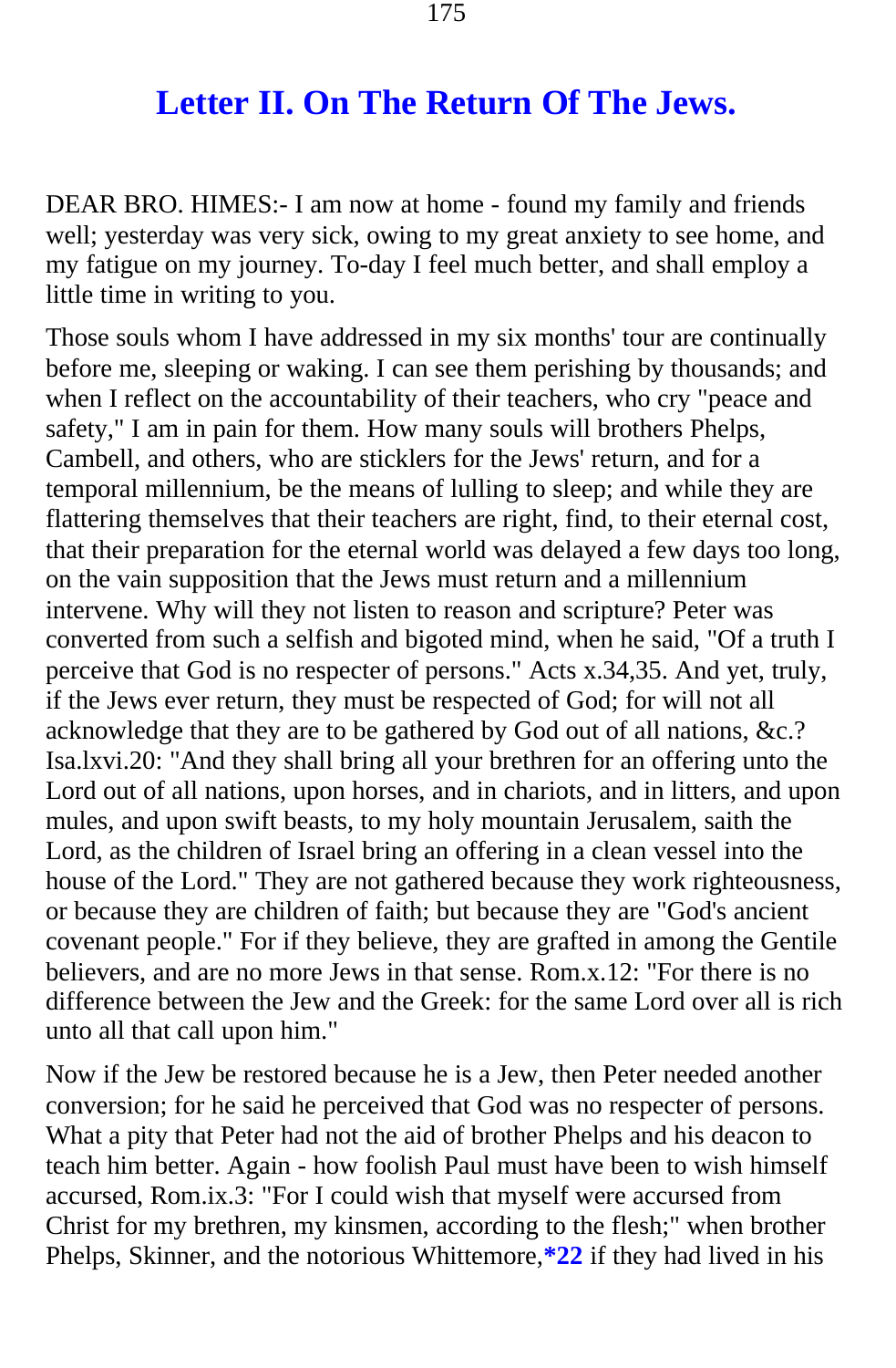### **Letter II. On The Return Of The Jews.**

DEAR BRO. HIMES:- I am now at home - found my family and friends well; yesterday was very sick, owing to my great anxiety to see home, and my fatigue on my journey. To-day I feel much better, and shall employ a little time in writing to you.

Those souls whom I have addressed in my six months' tour are continually before me, sleeping or waking. I can see them perishing by thousands; and when I reflect on the accountability of their teachers, who cry "peace and safety," I am in pain for them. How many souls will brothers Phelps, Cambell, and others, who are sticklers for the Jews' return, and for a temporal millennium, be the means of lulling to sleep; and while they are flattering themselves that their teachers are right, find, to their eternal cost, that their preparation for the eternal world was delayed a few days too long, on the vain supposition that the Jews must return and a millennium intervene. Why will they not listen to reason and scripture? Peter was converted from such a selfish and bigoted mind, when he said, "Of a truth I perceive that God is no respecter of persons." Acts x.34,35. And yet, truly, if the Jews ever return, they must be respected of God; for will not all acknowledge that they are to be gathered by God out of all nations, &c.? Isa.lxvi.20: "And they shall bring all your brethren for an offering unto the Lord out of all nations, upon horses, and in chariots, and in litters, and upon mules, and upon swift beasts, to my holy mountain Jerusalem, saith the Lord, as the children of Israel bring an offering in a clean vessel into the house of the Lord." They are not gathered because they work righteousness, or because they are children of faith; but because they are "God's ancient covenant people." For if they believe, they are grafted in among the Gentile believers, and are no more Jews in that sense. Rom.x.12: "For there is no difference between the Jew and the Greek: for the same Lord over all is rich unto all that call upon him."

Now if the Jew be restored because he is a Jew, then Peter needed another conversion; for he said he perceived that God was no respecter of persons. What a pity that Peter had not the aid of brother Phelps and his deacon to teach him better. Again - how foolish Paul must have been to wish himself accursed, Rom.ix.3: "For I could wish that myself were accursed from Christ for my brethren, my kinsmen, according to the flesh;" when brother Phelps, Skinner, and the notorious Whittemore,**[\\*22](#page-197-0)** if they had lived in his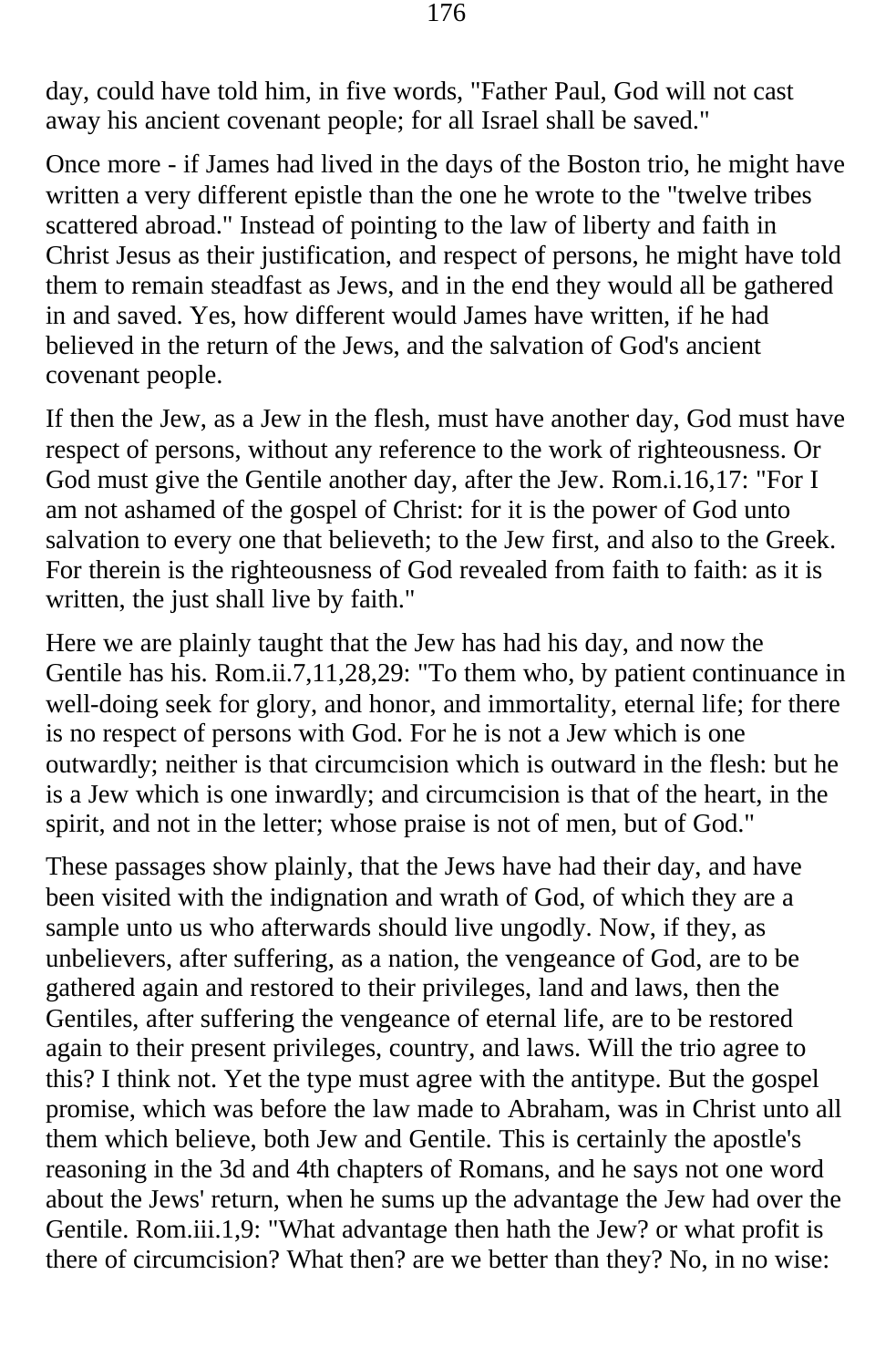day, could have told him, in five words, "Father Paul, God will not cast away his ancient covenant people; for all Israel shall be saved."

Once more - if James had lived in the days of the Boston trio, he might have written a very different epistle than the one he wrote to the "twelve tribes scattered abroad." Instead of pointing to the law of liberty and faith in Christ Jesus as their justification, and respect of persons, he might have told them to remain steadfast as Jews, and in the end they would all be gathered in and saved. Yes, how different would James have written, if he had believed in the return of the Jews, and the salvation of God's ancient covenant people.

If then the Jew, as a Jew in the flesh, must have another day, God must have respect of persons, without any reference to the work of righteousness. Or God must give the Gentile another day, after the Jew. Rom.i.16,17: "For I am not ashamed of the gospel of Christ: for it is the power of God unto salvation to every one that believeth; to the Jew first, and also to the Greek. For therein is the righteousness of God revealed from faith to faith: as it is written, the just shall live by faith."

Here we are plainly taught that the Jew has had his day, and now the Gentile has his. Rom.ii.7,11,28,29: "To them who, by patient continuance in well-doing seek for glory, and honor, and immortality, eternal life; for there is no respect of persons with God. For he is not a Jew which is one outwardly; neither is that circumcision which is outward in the flesh: but he is a Jew which is one inwardly; and circumcision is that of the heart, in the spirit, and not in the letter; whose praise is not of men, but of God."

These passages show plainly, that the Jews have had their day, and have been visited with the indignation and wrath of God, of which they are a sample unto us who afterwards should live ungodly. Now, if they, as unbelievers, after suffering, as a nation, the vengeance of God, are to be gathered again and restored to their privileges, land and laws, then the Gentiles, after suffering the vengeance of eternal life, are to be restored again to their present privileges, country, and laws. Will the trio agree to this? I think not. Yet the type must agree with the antitype. But the gospel promise, which was before the law made to Abraham, was in Christ unto all them which believe, both Jew and Gentile. This is certainly the apostle's reasoning in the 3d and 4th chapters of Romans, and he says not one word about the Jews' return, when he sums up the advantage the Jew had over the Gentile. Rom.iii.1,9: "What advantage then hath the Jew? or what profit is there of circumcision? What then? are we better than they? No, in no wise: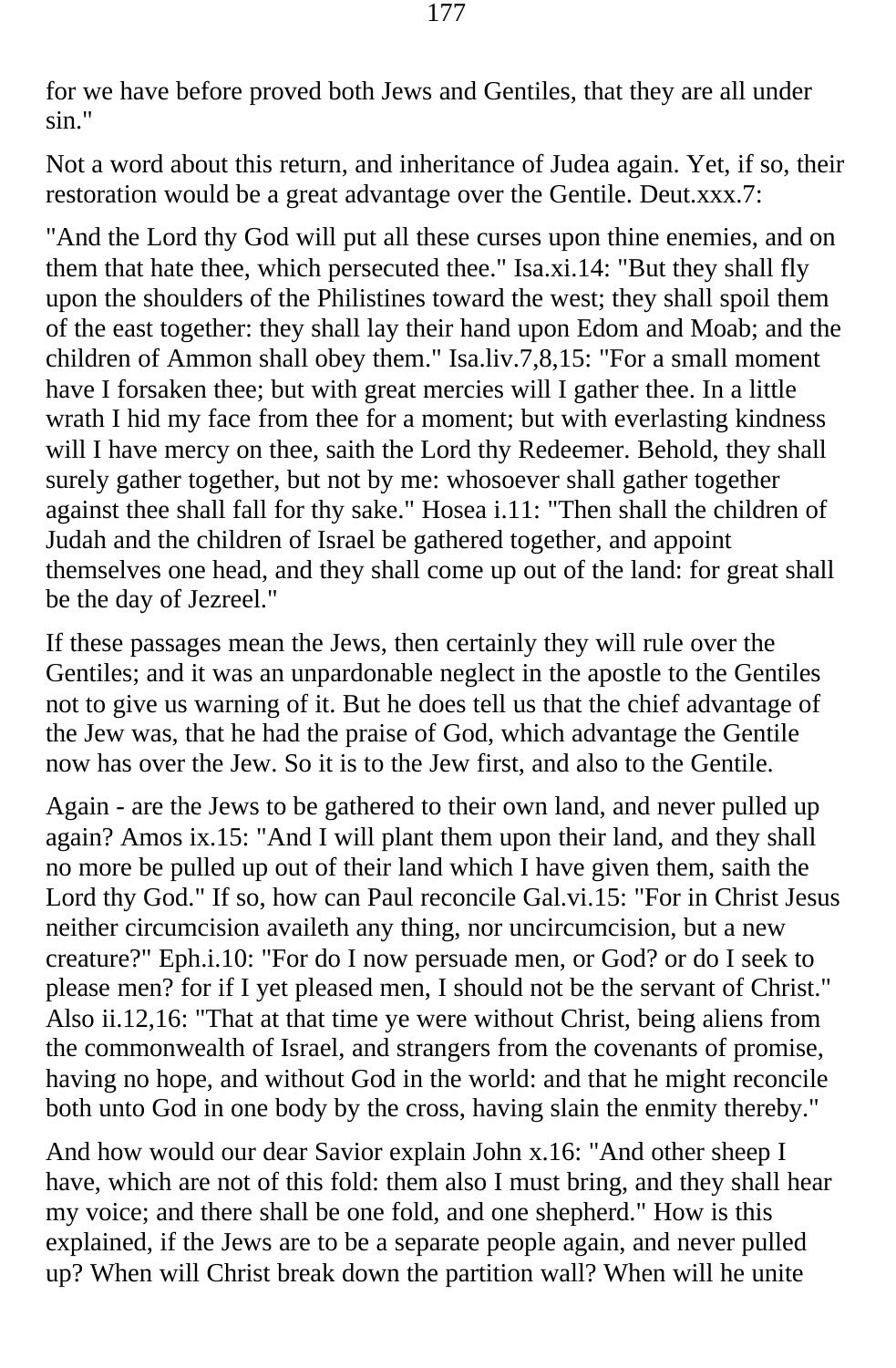for we have before proved both Jews and Gentiles, that they are all under sin."

Not a word about this return, and inheritance of Judea again. Yet, if so, their restoration would be a great advantage over the Gentile. Deut.xxx.7:

"And the Lord thy God will put all these curses upon thine enemies, and on them that hate thee, which persecuted thee." Isa.xi.14: "But they shall fly upon the shoulders of the Philistines toward the west; they shall spoil them of the east together: they shall lay their hand upon Edom and Moab; and the children of Ammon shall obey them." Isa.liv.7,8,15: "For a small moment have I forsaken thee; but with great mercies will I gather thee. In a little wrath I hid my face from thee for a moment; but with everlasting kindness will I have mercy on thee, saith the Lord thy Redeemer. Behold, they shall surely gather together, but not by me: whosoever shall gather together against thee shall fall for thy sake." Hosea i.11: "Then shall the children of Judah and the children of Israel be gathered together, and appoint themselves one head, and they shall come up out of the land: for great shall be the day of Jezreel."

If these passages mean the Jews, then certainly they will rule over the Gentiles; and it was an unpardonable neglect in the apostle to the Gentiles not to give us warning of it. But he does tell us that the chief advantage of the Jew was, that he had the praise of God, which advantage the Gentile now has over the Jew. So it is to the Jew first, and also to the Gentile.

Again - are the Jews to be gathered to their own land, and never pulled up again? Amos ix.15: "And I will plant them upon their land, and they shall no more be pulled up out of their land which I have given them, saith the Lord thy God." If so, how can Paul reconcile Gal.vi.15: "For in Christ Jesus neither circumcision availeth any thing, nor uncircumcision, but a new creature?" Eph.i.10: "For do I now persuade men, or God? or do I seek to please men? for if I yet pleased men, I should not be the servant of Christ." Also ii.12,16: "That at that time ye were without Christ, being aliens from the commonwealth of Israel, and strangers from the covenants of promise, having no hope, and without God in the world: and that he might reconcile both unto God in one body by the cross, having slain the enmity thereby."

And how would our dear Savior explain John x.16: "And other sheep I have, which are not of this fold: them also I must bring, and they shall hear my voice; and there shall be one fold, and one shepherd." How is this explained, if the Jews are to be a separate people again, and never pulled up? When will Christ break down the partition wall? When will he unite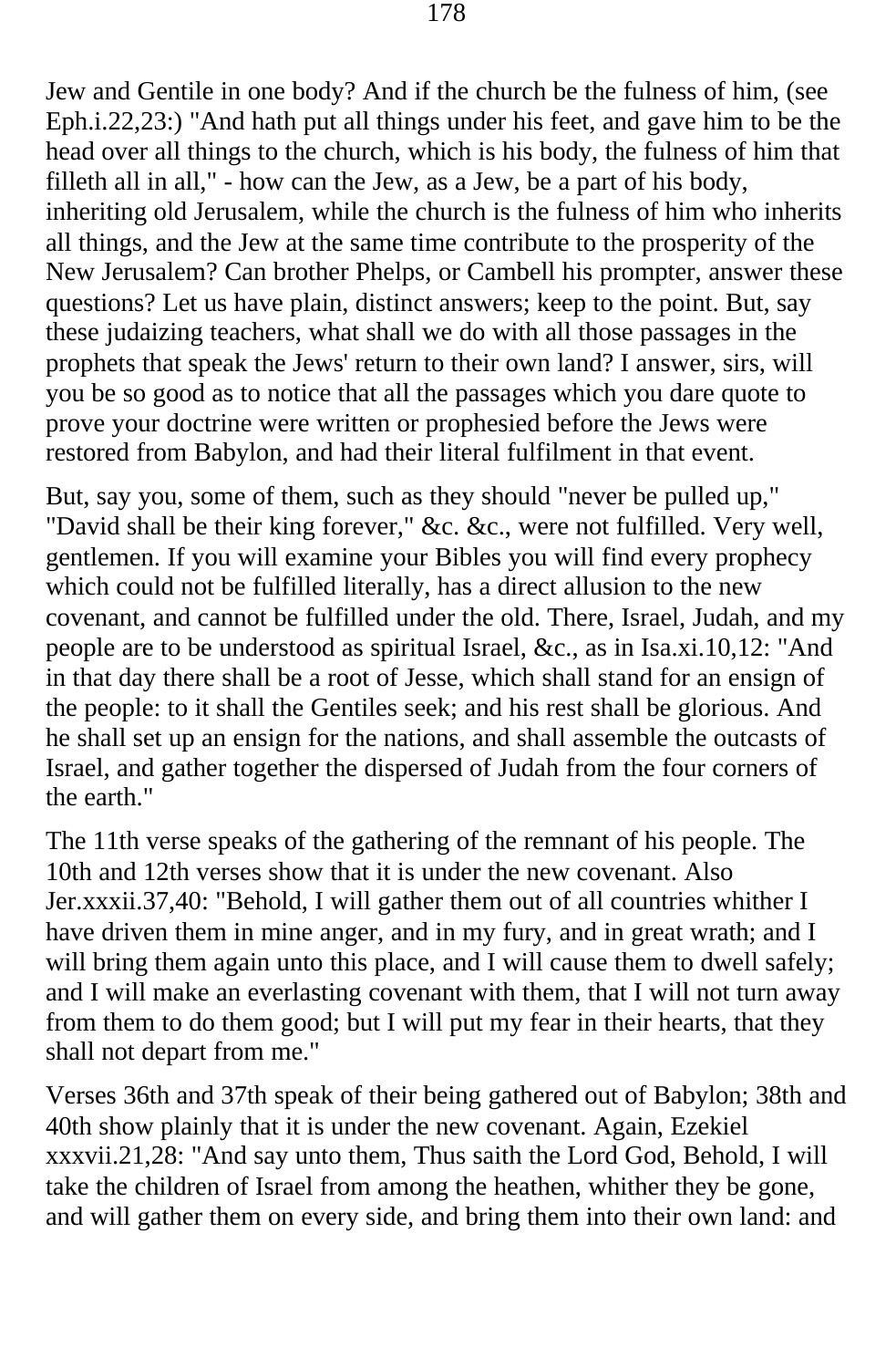Jew and Gentile in one body? And if the church be the fulness of him, (see Eph.i.22,23:) "And hath put all things under his feet, and gave him to be the head over all things to the church, which is his body, the fulness of him that filleth all in all," - how can the Jew, as a Jew, be a part of his body, inheriting old Jerusalem, while the church is the fulness of him who inherits all things, and the Jew at the same time contribute to the prosperity of the New Jerusalem? Can brother Phelps, or Cambell his prompter, answer these questions? Let us have plain, distinct answers; keep to the point. But, say these judaizing teachers, what shall we do with all those passages in the prophets that speak the Jews' return to their own land? I answer, sirs, will you be so good as to notice that all the passages which you dare quote to prove your doctrine were written or prophesied before the Jews were restored from Babylon, and had their literal fulfilment in that event.

But, say you, some of them, such as they should "never be pulled up," "David shall be their king forever," &c. &c., were not fulfilled. Very well, gentlemen. If you will examine your Bibles you will find every prophecy which could not be fulfilled literally, has a direct allusion to the new covenant, and cannot be fulfilled under the old. There, Israel, Judah, and my people are to be understood as spiritual Israel, &c., as in Isa.xi.10,12: "And in that day there shall be a root of Jesse, which shall stand for an ensign of the people: to it shall the Gentiles seek; and his rest shall be glorious. And he shall set up an ensign for the nations, and shall assemble the outcasts of Israel, and gather together the dispersed of Judah from the four corners of the earth."

The 11th verse speaks of the gathering of the remnant of his people. The 10th and 12th verses show that it is under the new covenant. Also Jer.xxxii.37,40: "Behold, I will gather them out of all countries whither I have driven them in mine anger, and in my fury, and in great wrath; and I will bring them again unto this place, and I will cause them to dwell safely; and I will make an everlasting covenant with them, that I will not turn away from them to do them good; but I will put my fear in their hearts, that they shall not depart from me."

Verses 36th and 37th speak of their being gathered out of Babylon; 38th and 40th show plainly that it is under the new covenant. Again, Ezekiel xxxvii.21,28: "And say unto them, Thus saith the Lord God, Behold, I will take the children of Israel from among the heathen, whither they be gone, and will gather them on every side, and bring them into their own land: and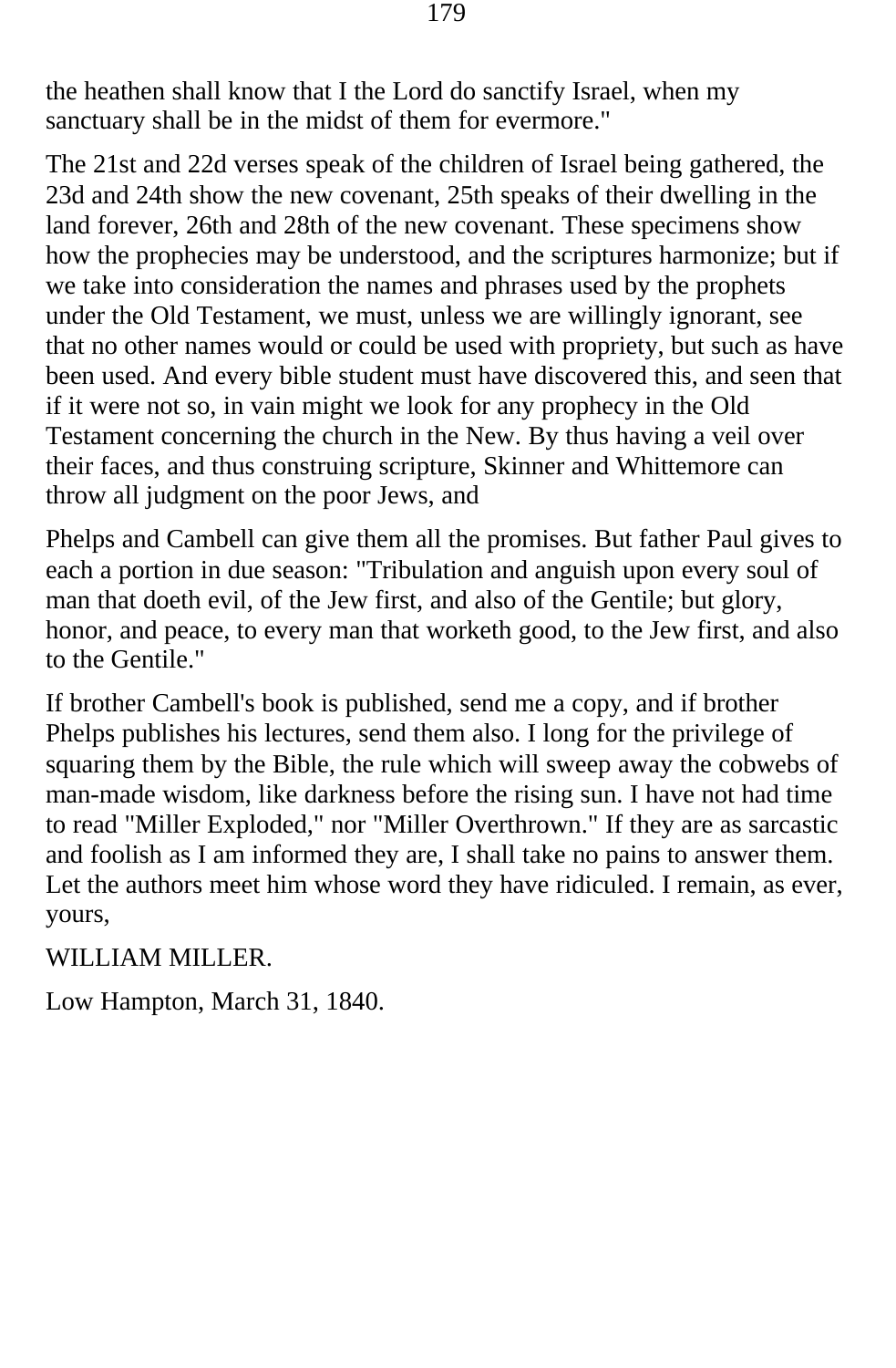the heathen shall know that I the Lord do sanctify Israel, when my sanctuary shall be in the midst of them for evermore."

The 21st and 22d verses speak of the children of Israel being gathered, the 23d and 24th show the new covenant, 25th speaks of their dwelling in the land forever, 26th and 28th of the new covenant. These specimens show how the prophecies may be understood, and the scriptures harmonize; but if we take into consideration the names and phrases used by the prophets under the Old Testament, we must, unless we are willingly ignorant, see that no other names would or could be used with propriety, but such as have been used. And every bible student must have discovered this, and seen that if it were not so, in vain might we look for any prophecy in the Old Testament concerning the church in the New. By thus having a veil over their faces, and thus construing scripture, Skinner and Whittemore can throw all judgment on the poor Jews, and

Phelps and Cambell can give them all the promises. But father Paul gives to each a portion in due season: "Tribulation and anguish upon every soul of man that doeth evil, of the Jew first, and also of the Gentile; but glory, honor, and peace, to every man that worketh good, to the Jew first, and also to the Gentile."

If brother Cambell's book is published, send me a copy, and if brother Phelps publishes his lectures, send them also. I long for the privilege of squaring them by the Bible, the rule which will sweep away the cobwebs of man-made wisdom, like darkness before the rising sun. I have not had time to read "Miller Exploded," nor "Miller Overthrown." If they are as sarcastic and foolish as I am informed they are, I shall take no pains to answer them. Let the authors meet him whose word they have ridiculed. I remain, as ever, yours,

#### WILLIAM MILLER.

Low Hampton, March 31, 1840.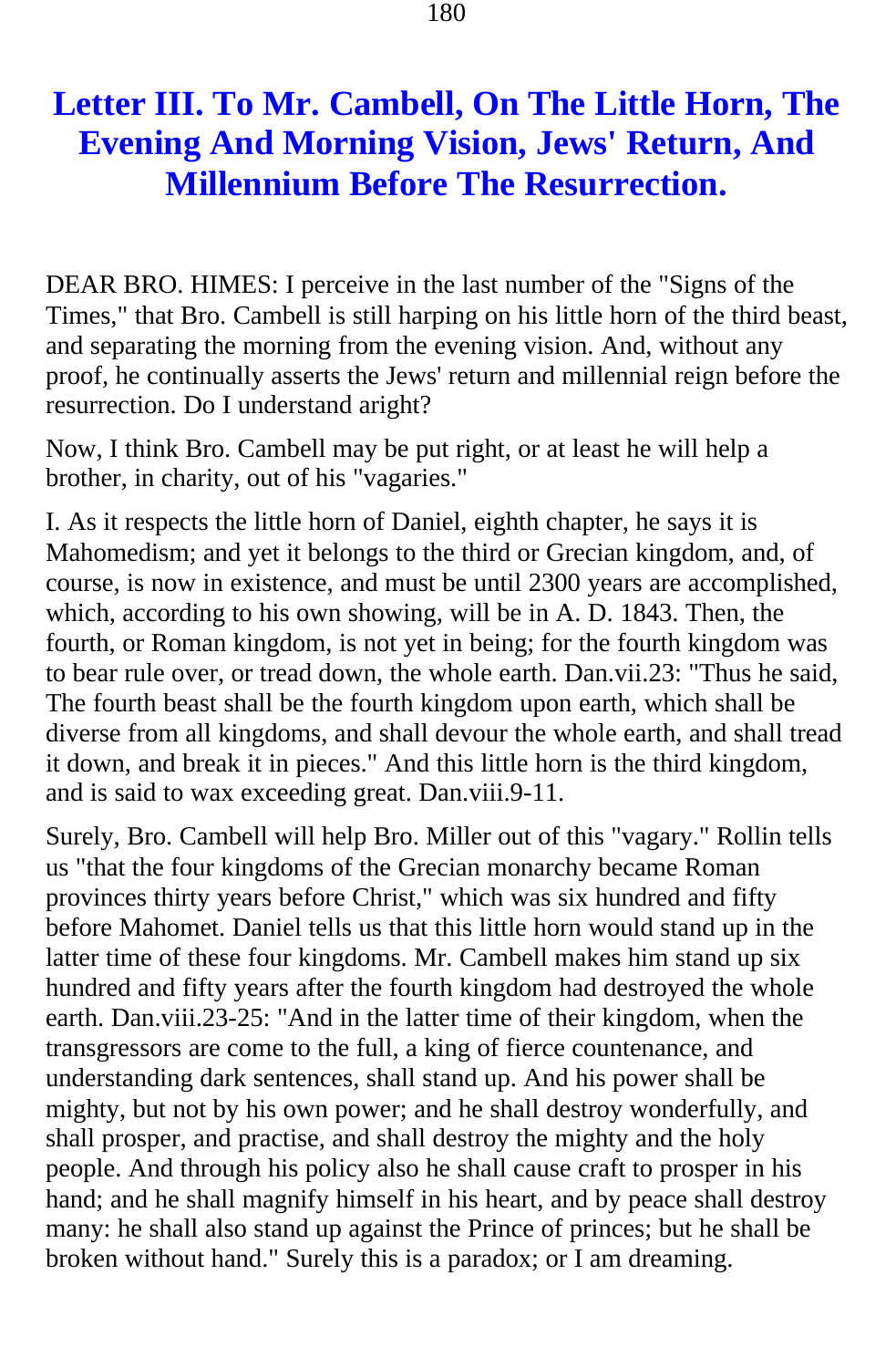# **Letter III. To Mr. Cambell, On The Little Horn, The Evening And Morning Vision, Jews' Return, And Millennium Before The Resurrection.**

DEAR BRO. HIMES: I perceive in the last number of the "Signs of the Times," that Bro. Cambell is still harping on his little horn of the third beast, and separating the morning from the evening vision. And, without any proof, he continually asserts the Jews' return and millennial reign before the resurrection. Do I understand aright?

Now, I think Bro. Cambell may be put right, or at least he will help a brother, in charity, out of his "vagaries."

I. As it respects the little horn of Daniel, eighth chapter, he says it is Mahomedism; and yet it belongs to the third or Grecian kingdom, and, of course, is now in existence, and must be until 2300 years are accomplished, which, according to his own showing, will be in A. D. 1843. Then, the fourth, or Roman kingdom, is not yet in being; for the fourth kingdom was to bear rule over, or tread down, the whole earth. Dan.vii.23: "Thus he said, The fourth beast shall be the fourth kingdom upon earth, which shall be diverse from all kingdoms, and shall devour the whole earth, and shall tread it down, and break it in pieces." And this little horn is the third kingdom, and is said to wax exceeding great. Dan.viii.9-11.

Surely, Bro. Cambell will help Bro. Miller out of this "vagary." Rollin tells us "that the four kingdoms of the Grecian monarchy became Roman provinces thirty years before Christ," which was six hundred and fifty before Mahomet. Daniel tells us that this little horn would stand up in the latter time of these four kingdoms. Mr. Cambell makes him stand up six hundred and fifty years after the fourth kingdom had destroyed the whole earth. Dan.viii.23-25: "And in the latter time of their kingdom, when the transgressors are come to the full, a king of fierce countenance, and understanding dark sentences, shall stand up. And his power shall be mighty, but not by his own power; and he shall destroy wonderfully, and shall prosper, and practise, and shall destroy the mighty and the holy people. And through his policy also he shall cause craft to prosper in his hand; and he shall magnify himself in his heart, and by peace shall destroy many: he shall also stand up against the Prince of princes; but he shall be broken without hand." Surely this is a paradox; or I am dreaming.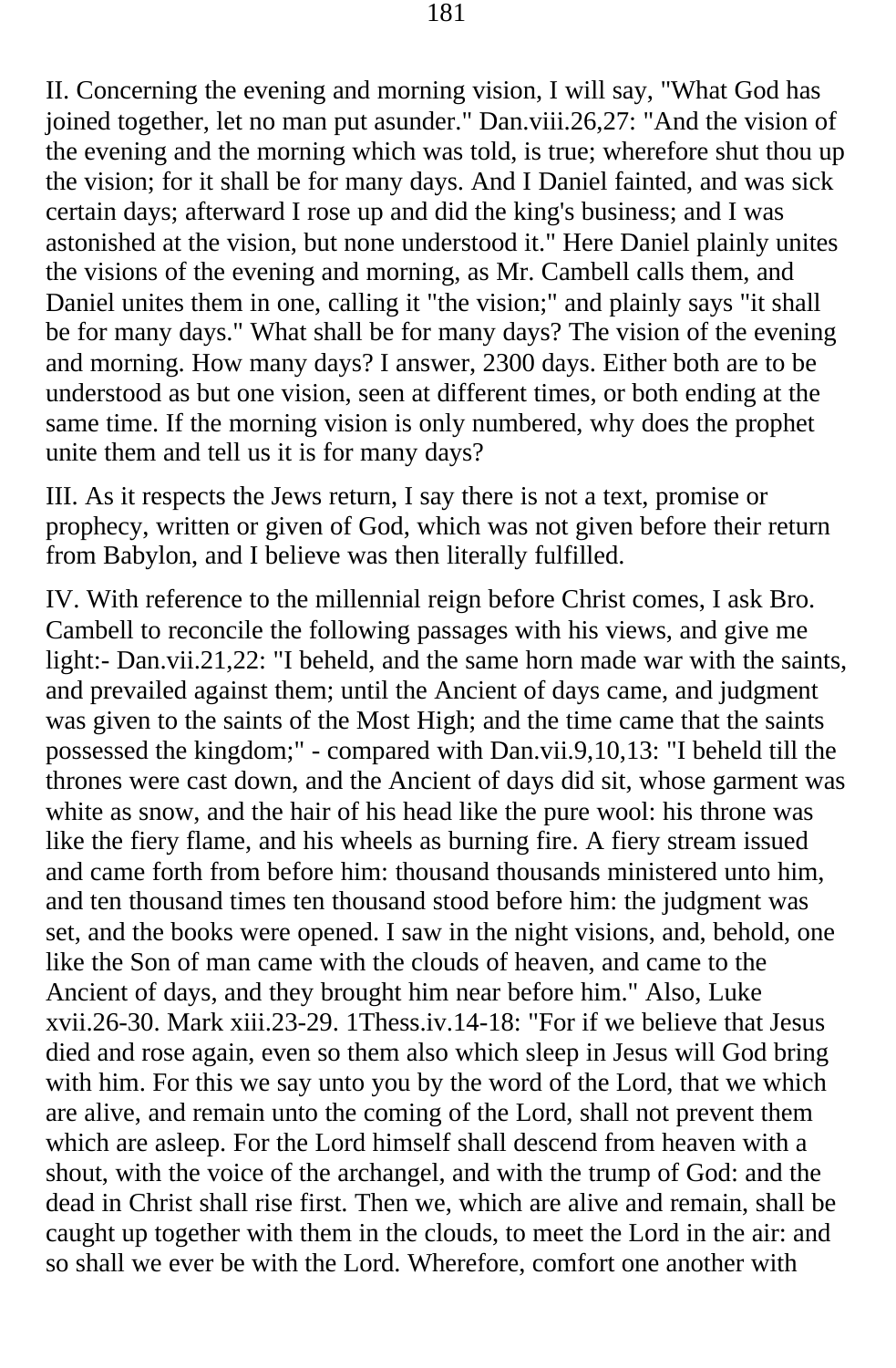II. Concerning the evening and morning vision, I will say, "What God has joined together, let no man put asunder." Dan.viii.26,27: "And the vision of the evening and the morning which was told, is true; wherefore shut thou up the vision; for it shall be for many days. And I Daniel fainted, and was sick certain days; afterward I rose up and did the king's business; and I was astonished at the vision, but none understood it." Here Daniel plainly unites the visions of the evening and morning, as Mr. Cambell calls them, and Daniel unites them in one, calling it "the vision;" and plainly says "it shall be for many days." What shall be for many days? The vision of the evening and morning. How many days? I answer, 2300 days. Either both are to be understood as but one vision, seen at different times, or both ending at the same time. If the morning vision is only numbered, why does the prophet unite them and tell us it is for many days?

III. As it respects the Jews return, I say there is not a text, promise or prophecy, written or given of God, which was not given before their return from Babylon, and I believe was then literally fulfilled.

IV. With reference to the millennial reign before Christ comes, I ask Bro. Cambell to reconcile the following passages with his views, and give me light:- Dan.vii.21,22: "I beheld, and the same horn made war with the saints, and prevailed against them; until the Ancient of days came, and judgment was given to the saints of the Most High; and the time came that the saints possessed the kingdom;" - compared with Dan.vii.9,10,13: "I beheld till the thrones were cast down, and the Ancient of days did sit, whose garment was white as snow, and the hair of his head like the pure wool: his throne was like the fiery flame, and his wheels as burning fire. A fiery stream issued and came forth from before him: thousand thousands ministered unto him, and ten thousand times ten thousand stood before him: the judgment was set, and the books were opened. I saw in the night visions, and, behold, one like the Son of man came with the clouds of heaven, and came to the Ancient of days, and they brought him near before him." Also, Luke xvii.26-30. Mark xiii.23-29. 1Thess.iv.14-18: "For if we believe that Jesus died and rose again, even so them also which sleep in Jesus will God bring with him. For this we say unto you by the word of the Lord, that we which are alive, and remain unto the coming of the Lord, shall not prevent them which are asleep. For the Lord himself shall descend from heaven with a shout, with the voice of the archangel, and with the trump of God: and the dead in Christ shall rise first. Then we, which are alive and remain, shall be caught up together with them in the clouds, to meet the Lord in the air: and so shall we ever be with the Lord. Wherefore, comfort one another with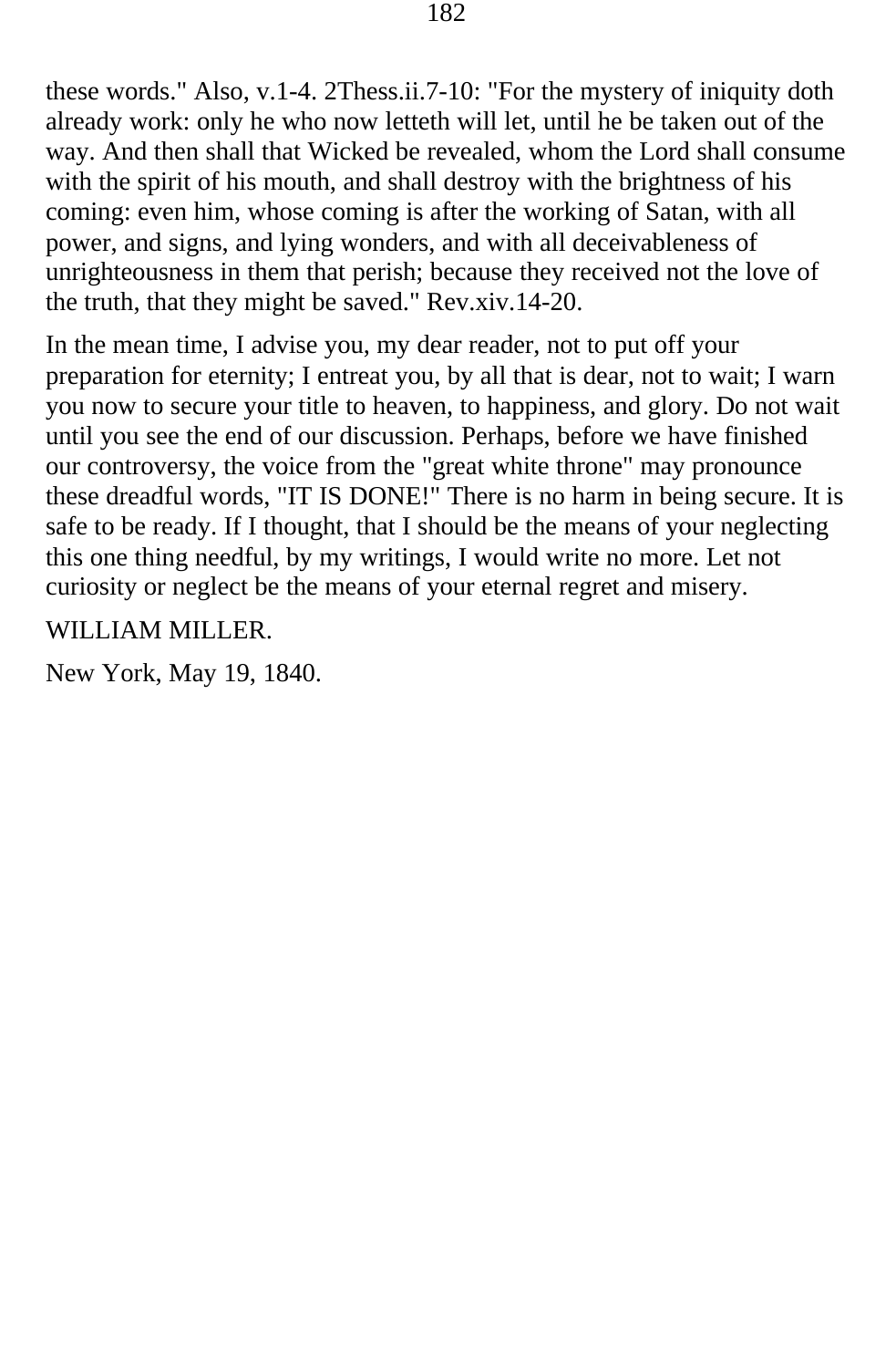these words." Also, v.1-4. 2Thess.ii.7-10: "For the mystery of iniquity doth already work: only he who now letteth will let, until he be taken out of the way. And then shall that Wicked be revealed, whom the Lord shall consume with the spirit of his mouth, and shall destroy with the brightness of his coming: even him, whose coming is after the working of Satan, with all power, and signs, and lying wonders, and with all deceivableness of unrighteousness in them that perish; because they received not the love of the truth, that they might be saved." Rev.xiv.14-20.

In the mean time, I advise you, my dear reader, not to put off your preparation for eternity; I entreat you, by all that is dear, not to wait; I warn you now to secure your title to heaven, to happiness, and glory. Do not wait until you see the end of our discussion. Perhaps, before we have finished our controversy, the voice from the "great white throne" may pronounce these dreadful words, "IT IS DONE!" There is no harm in being secure. It is safe to be ready. If I thought, that I should be the means of your neglecting this one thing needful, by my writings, I would write no more. Let not curiosity or neglect be the means of your eternal regret and misery.

WILLIAM MILLER.

New York, May 19, 1840.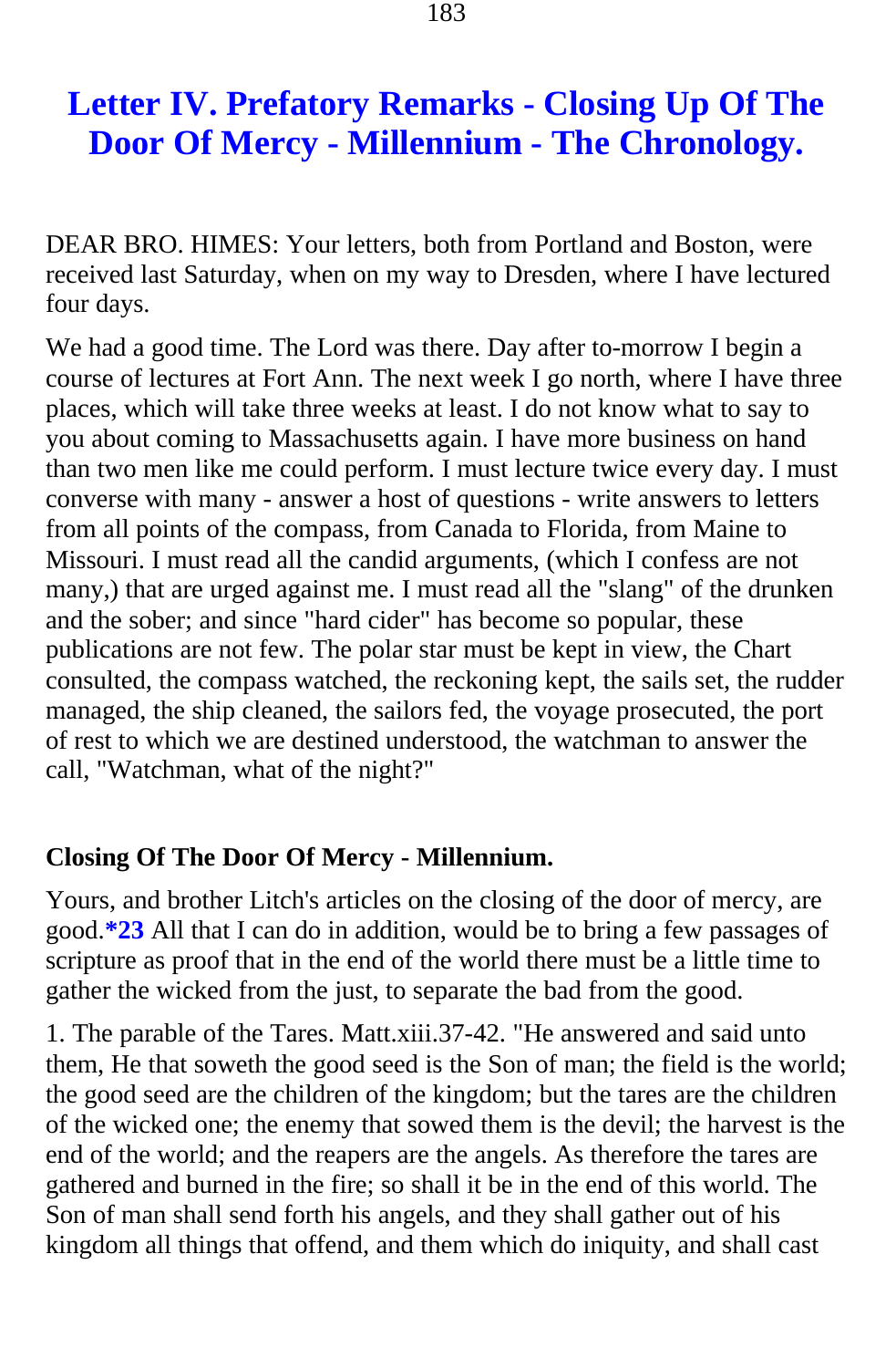# **Letter IV. Prefatory Remarks - Closing Up Of The Door Of Mercy - Millennium - The Chronology.**

DEAR BRO. HIMES: Your letters, both from Portland and Boston, were received last Saturday, when on my way to Dresden, where I have lectured four days.

We had a good time. The Lord was there. Day after to-morrow I begin a course of lectures at Fort Ann. The next week I go north, where I have three places, which will take three weeks at least. I do not know what to say to you about coming to Massachusetts again. I have more business on hand than two men like me could perform. I must lecture twice every day. I must converse with many - answer a host of questions - write answers to letters from all points of the compass, from Canada to Florida, from Maine to Missouri. I must read all the candid arguments, (which I confess are not many,) that are urged against me. I must read all the "slang" of the drunken and the sober; and since "hard cider" has become so popular, these publications are not few. The polar star must be kept in view, the Chart consulted, the compass watched, the reckoning kept, the sails set, the rudder managed, the ship cleaned, the sailors fed, the voyage prosecuted, the port of rest to which we are destined understood, the watchman to answer the call, "Watchman, what of the night?"

#### **Closing Of The Door Of Mercy - Millennium.**

Yours, and brother Litch's articles on the closing of the door of mercy, are good.**\*23** All that I can do in addition, would be to bring a few passages of scri[pture as](#page-197-0) proof that in the end of the world there must be a little time to gather the wicked from the just, to separate the bad from the good.

1. The parable of the Tares. Matt.xiii.37-42. "He answered and said unto them, He that soweth the good seed is the Son of man; the field is the world; the good seed are the children of the kingdom; but the tares are the children of the wicked one; the enemy that sowed them is the devil; the harvest is the end of the world; and the reapers are the angels. As therefore the tares are gathered and burned in the fire; so shall it be in the end of this world. The Son of man shall send forth his angels, and they shall gather out of his kingdom all things that offend, and them which do iniquity, and shall cast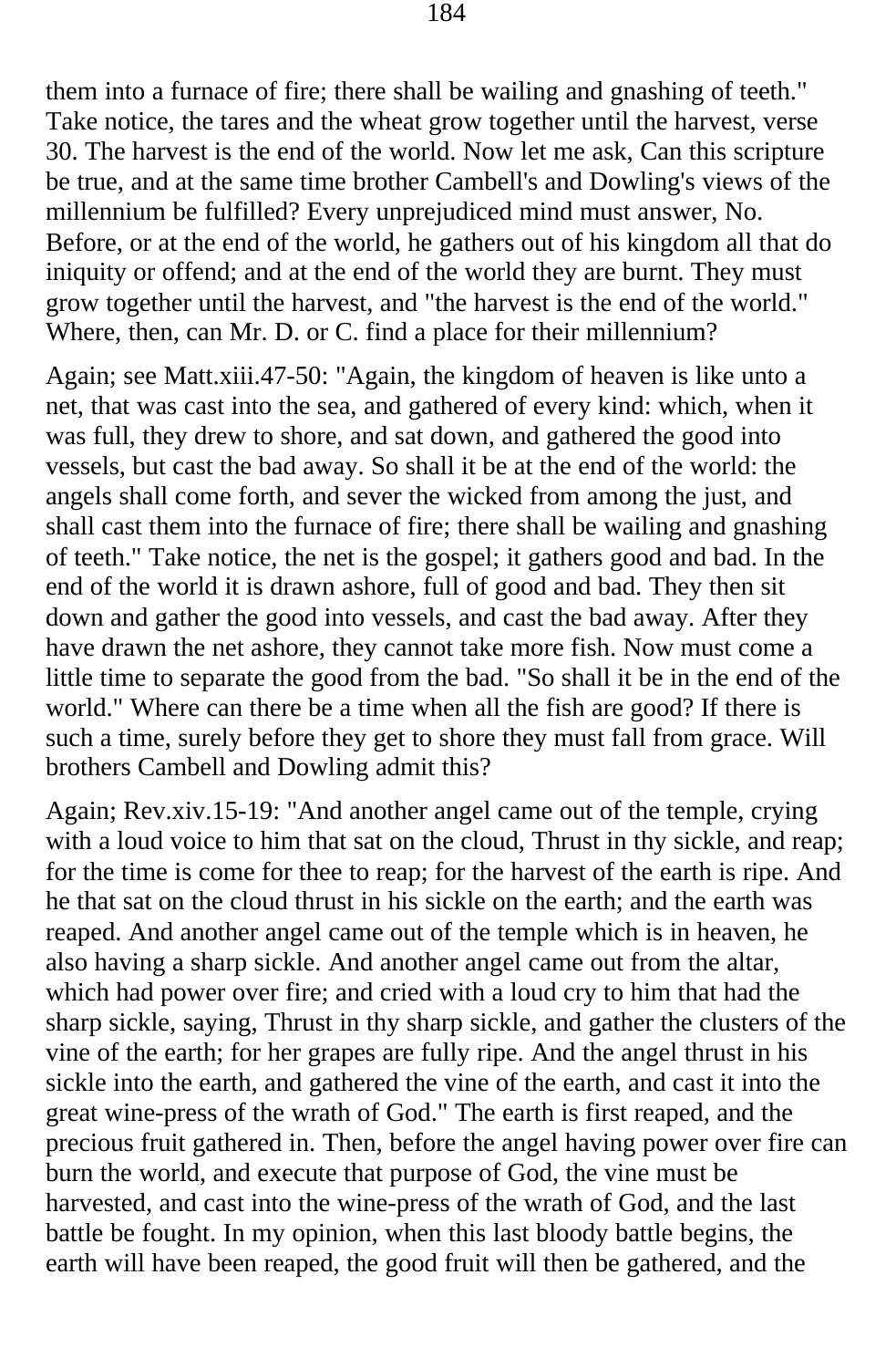them into a furnace of fire; there shall be wailing and gnashing of teeth." Take notice, the tares and the wheat grow together until the harvest, verse 30. The harvest is the end of the world. Now let me ask, Can this scripture be true, and at the same time brother Cambell's and Dowling's views of the millennium be fulfilled? Every unprejudiced mind must answer, No. Before, or at the end of the world, he gathers out of his kingdom all that do iniquity or offend; and at the end of the world they are burnt. They must grow together until the harvest, and "the harvest is the end of the world." Where, then, can Mr. D. or C. find a place for their millennium?

Again; see Matt.xiii.47-50: "Again, the kingdom of heaven is like unto a net, that was cast into the sea, and gathered of every kind: which, when it was full, they drew to shore, and sat down, and gathered the good into vessels, but cast the bad away. So shall it be at the end of the world: the angels shall come forth, and sever the wicked from among the just, and shall cast them into the furnace of fire; there shall be wailing and gnashing of teeth." Take notice, the net is the gospel; it gathers good and bad. In the end of the world it is drawn ashore, full of good and bad. They then sit down and gather the good into vessels, and cast the bad away. After they have drawn the net ashore, they cannot take more fish. Now must come a little time to separate the good from the bad. "So shall it be in the end of the world." Where can there be a time when all the fish are good? If there is such a time, surely before they get to shore they must fall from grace. Will brothers Cambell and Dowling admit this?

Again; Rev.xiv.15-19: "And another angel came out of the temple, crying with a loud voice to him that sat on the cloud, Thrust in thy sickle, and reap; for the time is come for thee to reap; for the harvest of the earth is ripe. And he that sat on the cloud thrust in his sickle on the earth; and the earth was reaped. And another angel came out of the temple which is in heaven, he also having a sharp sickle. And another angel came out from the altar, which had power over fire; and cried with a loud cry to him that had the sharp sickle, saying, Thrust in thy sharp sickle, and gather the clusters of the vine of the earth; for her grapes are fully ripe. And the angel thrust in his sickle into the earth, and gathered the vine of the earth, and cast it into the great wine-press of the wrath of God." The earth is first reaped, and the precious fruit gathered in. Then, before the angel having power over fire can burn the world, and execute that purpose of God, the vine must be harvested, and cast into the wine-press of the wrath of God, and the last battle be fought. In my opinion, when this last bloody battle begins, the earth will have been reaped, the good fruit will then be gathered, and the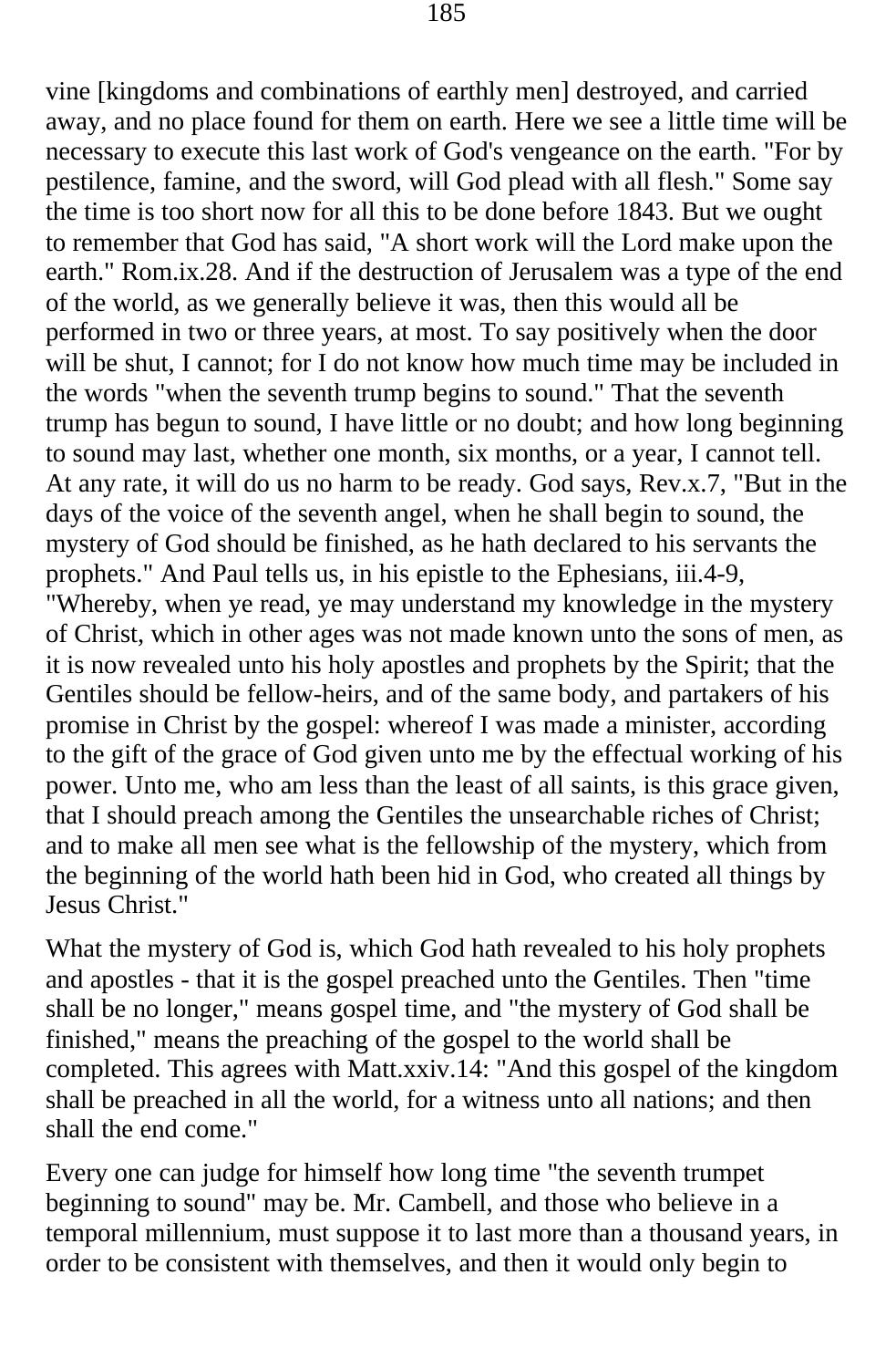vine [kingdoms and combinations of earthly men] destroyed, and carried away, and no place found for them on earth. Here we see a little time will be necessary to execute this last work of God's vengeance on the earth. "For by pestilence, famine, and the sword, will God plead with all flesh." Some say the time is too short now for all this to be done before 1843. But we ought to remember that God has said, "A short work will the Lord make upon the earth." Rom.ix.28. And if the destruction of Jerusalem was a type of the end of the world, as we generally believe it was, then this would all be performed in two or three years, at most. To say positively when the door will be shut, I cannot; for I do not know how much time may be included in the words "when the seventh trump begins to sound." That the seventh trump has begun to sound, I have little or no doubt; and how long beginning to sound may last, whether one month, six months, or a year, I cannot tell. At any rate, it will do us no harm to be ready. God says, Rev.x.7, "But in the days of the voice of the seventh angel, when he shall begin to sound, the mystery of God should be finished, as he hath declared to his servants the prophets." And Paul tells us, in his epistle to the Ephesians, iii.4-9, "Whereby, when ye read, ye may understand my knowledge in the mystery of Christ, which in other ages was not made known unto the sons of men, as it is now revealed unto his holy apostles and prophets by the Spirit; that the Gentiles should be fellow-heirs, and of the same body, and partakers of his promise in Christ by the gospel: whereof I was made a minister, according to the gift of the grace of God given unto me by the effectual working of his power. Unto me, who am less than the least of all saints, is this grace given, that I should preach among the Gentiles the unsearchable riches of Christ; and to make all men see what is the fellowship of the mystery, which from the beginning of the world hath been hid in God, who created all things by Jesus Christ."

What the mystery of God is, which God hath revealed to his holy prophets and apostles - that it is the gospel preached unto the Gentiles. Then "time shall be no longer," means gospel time, and "the mystery of God shall be finished," means the preaching of the gospel to the world shall be completed. This agrees with Matt.xxiv.14: "And this gospel of the kingdom shall be preached in all the world, for a witness unto all nations; and then shall the end come."

Every one can judge for himself how long time "the seventh trumpet beginning to sound" may be. Mr. Cambell, and those who believe in a temporal millennium, must suppose it to last more than a thousand years, in order to be consistent with themselves, and then it would only begin to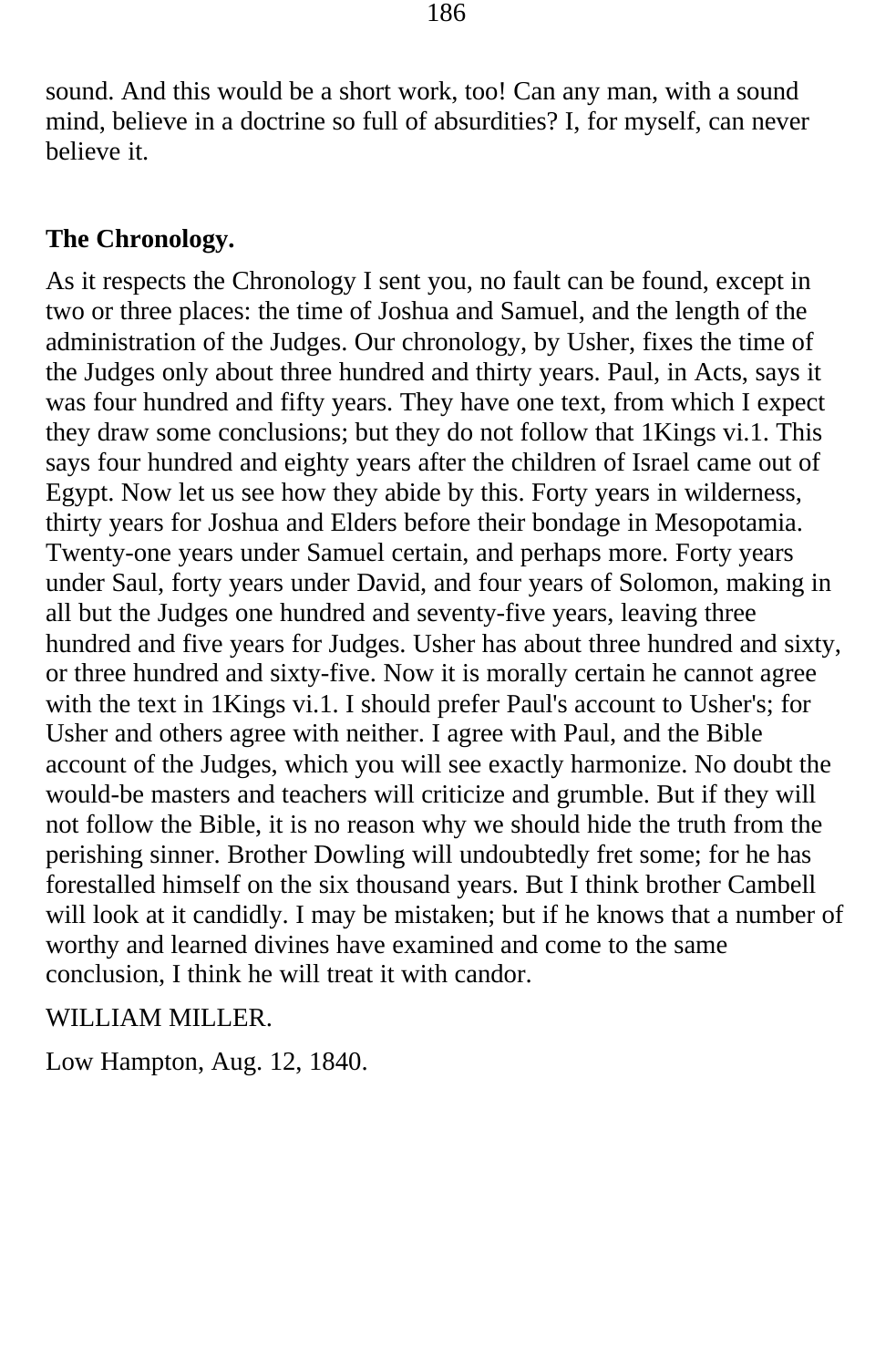186

sound. And this would be a short work, too! Can any man, with a sound mind, believe in a doctrine so full of absurdities? I, for myself, can never believe it.

### **The Chronology.**

As it respects the Chronology I sent you, no fault can be found, except in two or three places: the time of Joshua and Samuel, and the length of the administration of the Judges. Our chronology, by Usher, fixes the time of the Judges only about three hundred and thirty years. Paul, in Acts, says it was four hundred and fifty years. They have one text, from which I expect they draw some conclusions; but they do not follow that 1Kings vi.1. This says four hundred and eighty years after the children of Israel came out of Egypt. Now let us see how they abide by this. Forty years in wilderness, thirty years for Joshua and Elders before their bondage in Mesopotamia. Twenty-one years under Samuel certain, and perhaps more. Forty years under Saul, forty years under David, and four years of Solomon, making in all but the Judges one hundred and seventy-five years, leaving three hundred and five years for Judges. Usher has about three hundred and sixty, or three hundred and sixty-five. Now it is morally certain he cannot agree with the text in 1Kings vi.1. I should prefer Paul's account to Usher's; for Usher and others agree with neither. I agree with Paul, and the Bible account of the Judges, which you will see exactly harmonize. No doubt the would-be masters and teachers will criticize and grumble. But if they will not follow the Bible, it is no reason why we should hide the truth from the perishing sinner. Brother Dowling will undoubtedly fret some; for he has forestalled himself on the six thousand years. But I think brother Cambell will look at it candidly. I may be mistaken; but if he knows that a number of worthy and learned divines have examined and come to the same conclusion, I think he will treat it with candor.

WILLIAM MILLER.

Low Hampton, Aug. 12, 1840.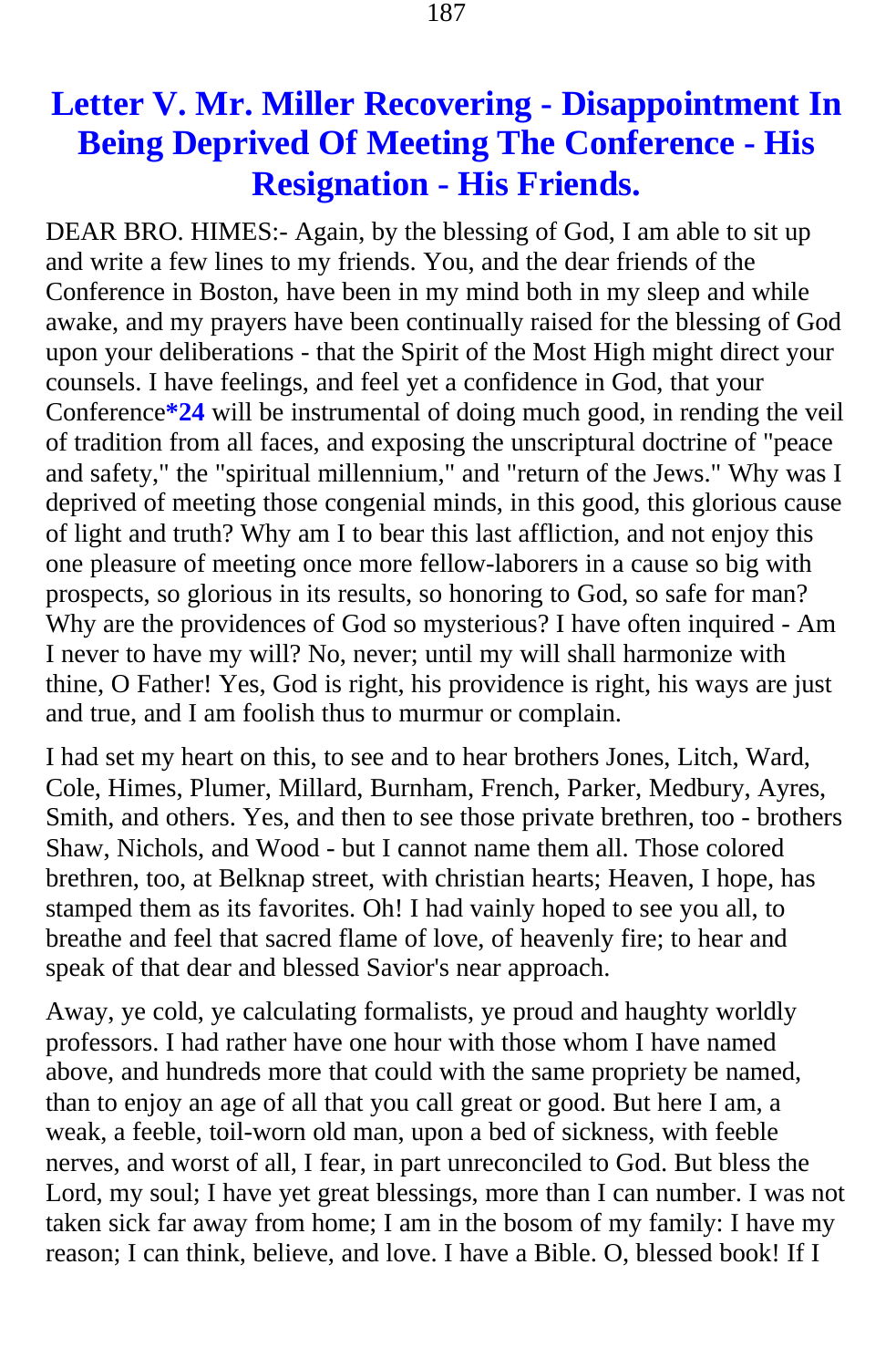# **Letter V. Mr. Miller Recovering - Disappointment In Being Deprived Of Meeting The Conference - His Resignation - His Friends.**

DEAR BRO. HIMES:- Again, by the blessing of God, I am able to sit up and write a few lines to my friends. You, and the dear friends of the Conference in Boston, have been in my mind both in my sleep and while awake, and my prayers have been continually raised for the blessing of God upon your deliberations - that the Spirit of the Most High might direct your counsels. I have feelings, and feel yet a confidence in God, that your Conference**[\\*24](#page-197-0)** will be instrumental of doing much good, in rending the veil of tradition from all faces, and exposing the unscriptural doctrine of "peace and safety," the "spiritual millennium," and "return of the Jews." Why was I deprived of meeting those congenial minds, in this good, this glorious cause of light and truth? Why am I to bear this last affliction, and not enjoy this one pleasure of meeting once more fellow-laborers in a cause so big with prospects, so glorious in its results, so honoring to God, so safe for man? Why are the providences of God so mysterious? I have often inquired - Am I never to have my will? No, never; until my will shall harmonize with thine, O Father! Yes, God is right, his providence is right, his ways are just and true, and I am foolish thus to murmur or complain.

I had set my heart on this, to see and to hear brothers Jones, Litch, Ward, Cole, Himes, Plumer, Millard, Burnham, French, Parker, Medbury, Ayres, Smith, and others. Yes, and then to see those private brethren, too - brothers Shaw, Nichols, and Wood - but I cannot name them all. Those colored brethren, too, at Belknap street, with christian hearts; Heaven, I hope, has stamped them as its favorites. Oh! I had vainly hoped to see you all, to breathe and feel that sacred flame of love, of heavenly fire; to hear and speak of that dear and blessed Savior's near approach.

Away, ye cold, ye calculating formalists, ye proud and haughty worldly professors. I had rather have one hour with those whom I have named above, and hundreds more that could with the same propriety be named, than to enjoy an age of all that you call great or good. But here I am, a weak, a feeble, toil-worn old man, upon a bed of sickness, with feeble nerves, and worst of all, I fear, in part unreconciled to God. But bless the Lord, my soul; I have yet great blessings, more than I can number. I was not taken sick far away from home; I am in the bosom of my family: I have my reason; I can think, believe, and love. I have a Bible. O, blessed book! If I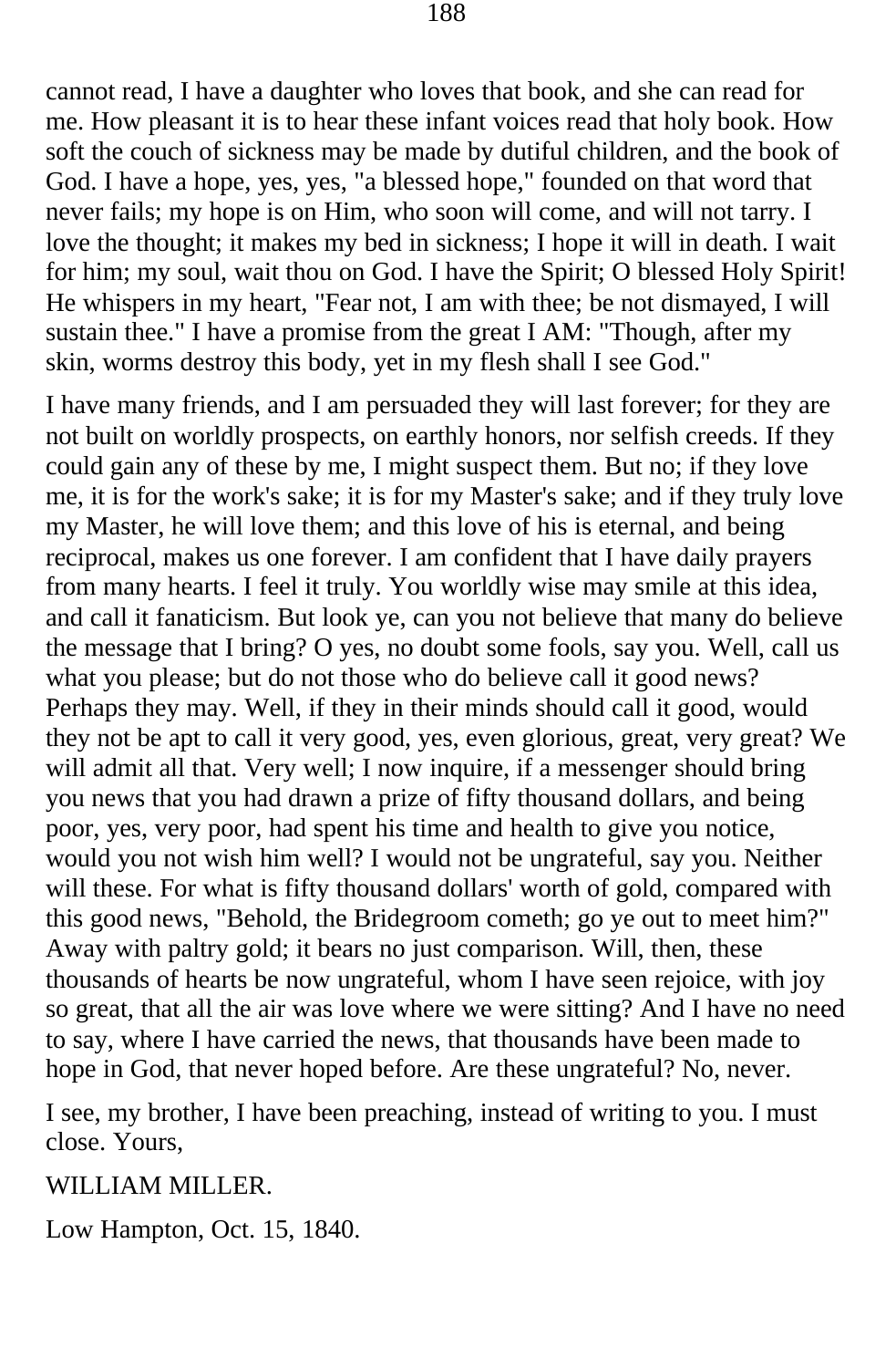cannot read, I have a daughter who loves that book, and she can read for me. How pleasant it is to hear these infant voices read that holy book. How soft the couch of sickness may be made by dutiful children, and the book of God. I have a hope, yes, yes, "a blessed hope," founded on that word that never fails; my hope is on Him, who soon will come, and will not tarry. I love the thought; it makes my bed in sickness; I hope it will in death. I wait for him; my soul, wait thou on God. I have the Spirit; O blessed Holy Spirit! He whispers in my heart, "Fear not, I am with thee; be not dismayed, I will sustain thee." I have a promise from the great I AM: "Though, after my skin, worms destroy this body, yet in my flesh shall I see God."

I have many friends, and I am persuaded they will last forever; for they are not built on worldly prospects, on earthly honors, nor selfish creeds. If they could gain any of these by me, I might suspect them. But no; if they love me, it is for the work's sake; it is for my Master's sake; and if they truly love my Master, he will love them; and this love of his is eternal, and being reciprocal, makes us one forever. I am confident that I have daily prayers from many hearts. I feel it truly. You worldly wise may smile at this idea, and call it fanaticism. But look ye, can you not believe that many do believe the message that I bring? O yes, no doubt some fools, say you. Well, call us what you please; but do not those who do believe call it good news? Perhaps they may. Well, if they in their minds should call it good, would they not be apt to call it very good, yes, even glorious, great, very great? We will admit all that. Very well; I now inquire, if a messenger should bring you news that you had drawn a prize of fifty thousand dollars, and being poor, yes, very poor, had spent his time and health to give you notice, would you not wish him well? I would not be ungrateful, say you. Neither will these. For what is fifty thousand dollars' worth of gold, compared with this good news, "Behold, the Bridegroom cometh; go ye out to meet him?" Away with paltry gold; it bears no just comparison. Will, then, these thousands of hearts be now ungrateful, whom I have seen rejoice, with joy so great, that all the air was love where we were sitting? And I have no need to say, where I have carried the news, that thousands have been made to hope in God, that never hoped before. Are these ungrateful? No, never.

I see, my brother, I have been preaching, instead of writing to you. I must close. Yours,

WILLIAM MILLER.

Low Hampton, Oct. 15, 1840.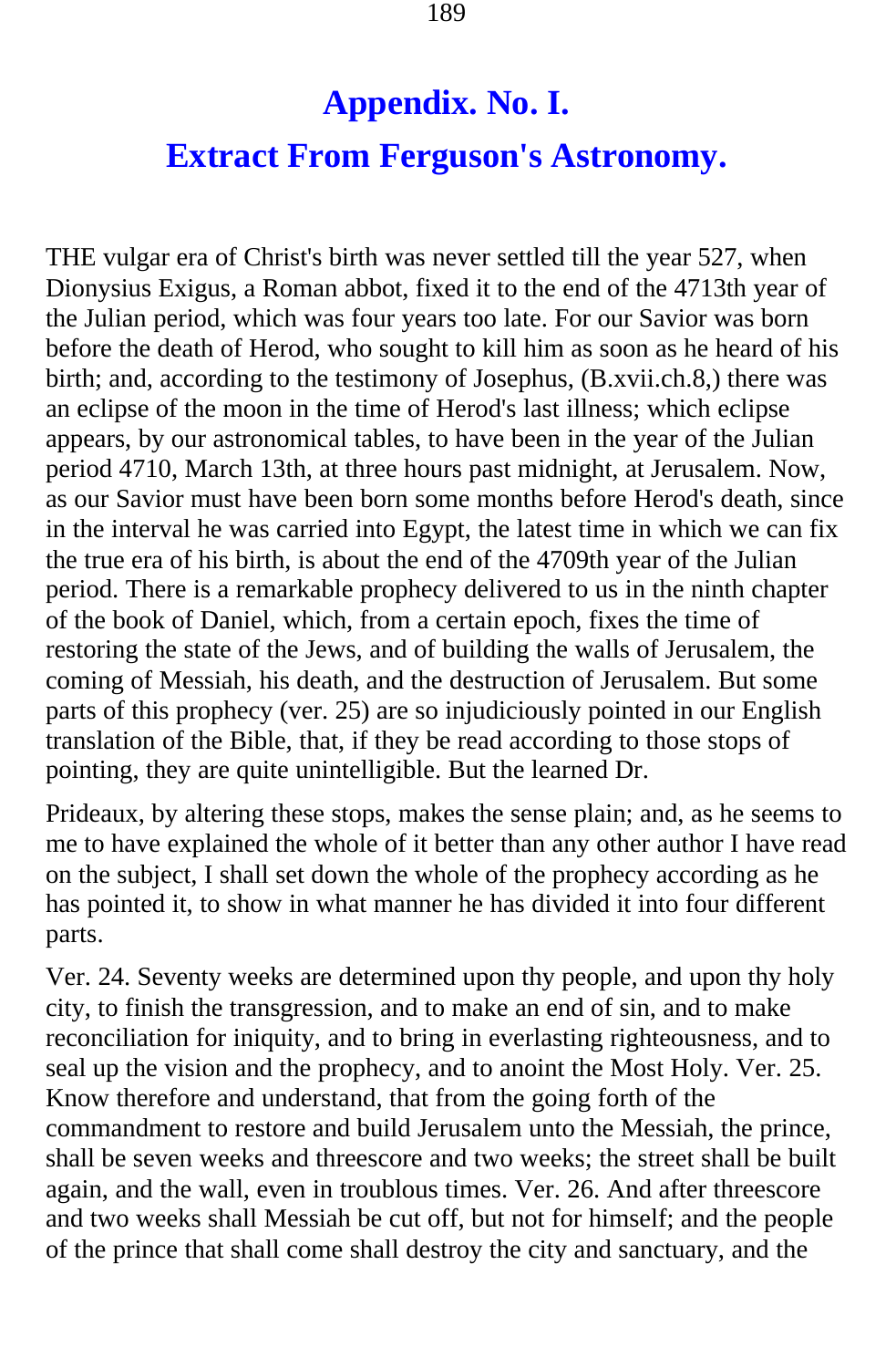# **Appendix. No. I. Extract From Ferguson's Astronomy.**

THE vulgar era of Christ's birth was never settled till the year 527, when Dionysius Exigus, a Roman abbot, fixed it to the end of the 4713th year of the Julian period, which was four years too late. For our Savior was born before the death of Herod, who sought to kill him as soon as he heard of his birth; and, according to the testimony of Josephus, (B.xvii.ch.8,) there was an eclipse of the moon in the time of Herod's last illness; which eclipse appears, by our astronomical tables, to have been in the year of the Julian period 4710, March 13th, at three hours past midnight, at Jerusalem. Now, as our Savior must have been born some months before Herod's death, since in the interval he was carried into Egypt, the latest time in which we can fix the true era of his birth, is about the end of the 4709th year of the Julian period. There is a remarkable prophecy delivered to us in the ninth chapter of the book of Daniel, which, from a certain epoch, fixes the time of restoring the state of the Jews, and of building the walls of Jerusalem, the coming of Messiah, his death, and the destruction of Jerusalem. But some parts of this prophecy (ver. 25) are so injudiciously pointed in our English translation of the Bible, that, if they be read according to those stops of pointing, they are quite unintelligible. But the learned Dr.

Prideaux, by altering these stops, makes the sense plain; and, as he seems to me to have explained the whole of it better than any other author I have read on the subject, I shall set down the whole of the prophecy according as he has pointed it, to show in what manner he has divided it into four different parts.

Ver. 24. Seventy weeks are determined upon thy people, and upon thy holy city, to finish the transgression, and to make an end of sin, and to make reconciliation for iniquity, and to bring in everlasting righteousness, and to seal up the vision and the prophecy, and to anoint the Most Holy. Ver. 25. Know therefore and understand, that from the going forth of the commandment to restore and build Jerusalem unto the Messiah, the prince, shall be seven weeks and threescore and two weeks; the street shall be built again, and the wall, even in troublous times. Ver. 26. And after threescore and two weeks shall Messiah be cut off, but not for himself; and the people of the prince that shall come shall destroy the city and sanctuary, and the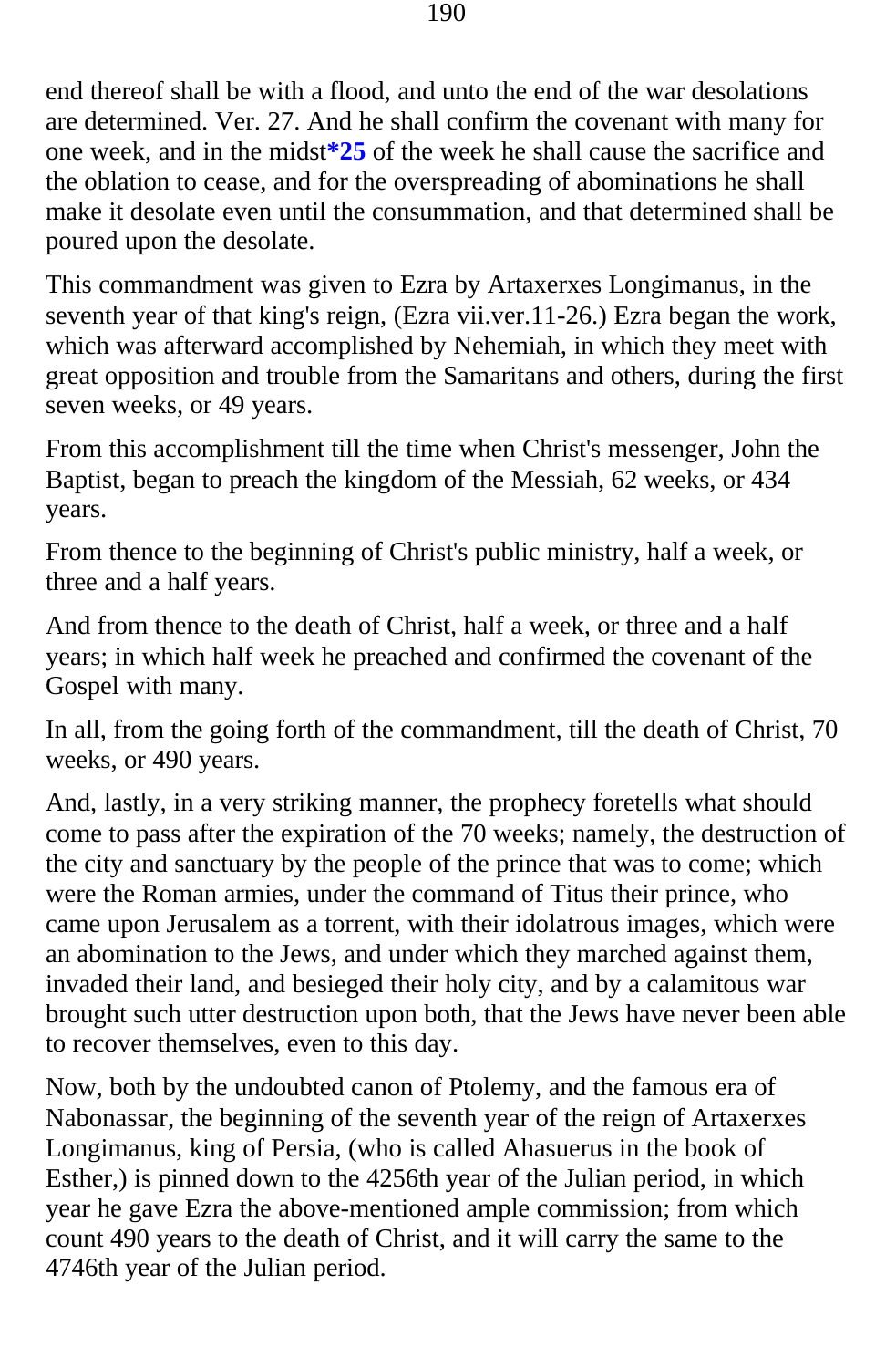end thereof shall be with a flood, and unto the end of the war desolations are determined. Ver. 27. And he shall confirm the covenant with many for one week, and in the midst**\*25** of the week he shall cause the sacrifice and the oblation to cease, an[d for the](#page-197-0) overspreading of abominations he shall make it desolate even until the consummation, and that determined shall be poured upon the desolate.

This commandment was given to Ezra by Artaxerxes Longimanus, in the seventh year of that king's reign, (Ezra vii.ver.11-26.) Ezra began the work, which was afterward accomplished by Nehemiah, in which they meet with great opposition and trouble from the Samaritans and others, during the first seven weeks, or 49 years.

From this accomplishment till the time when Christ's messenger, John the Baptist, began to preach the kingdom of the Messiah, 62 weeks, or 434 years.

From thence to the beginning of Christ's public ministry, half a week, or three and a half years.

And from thence to the death of Christ, half a week, or three and a half years; in which half week he preached and confirmed the covenant of the Gospel with many.

In all, from the going forth of the commandment, till the death of Christ, 70 weeks, or 490 years.

And, lastly, in a very striking manner, the prophecy foretells what should come to pass after the expiration of the 70 weeks; namely, the destruction of the city and sanctuary by the people of the prince that was to come; which were the Roman armies, under the command of Titus their prince, who came upon Jerusalem as a torrent, with their idolatrous images, which were an abomination to the Jews, and under which they marched against them, invaded their land, and besieged their holy city, and by a calamitous war brought such utter destruction upon both, that the Jews have never been able to recover themselves, even to this day.

Now, both by the undoubted canon of Ptolemy, and the famous era of Nabonassar, the beginning of the seventh year of the reign of Artaxerxes Longimanus, king of Persia, (who is called Ahasuerus in the book of Esther,) is pinned down to the 4256th year of the Julian period, in which year he gave Ezra the above-mentioned ample commission; from which count 490 years to the death of Christ, and it will carry the same to the 4746th year of the Julian period.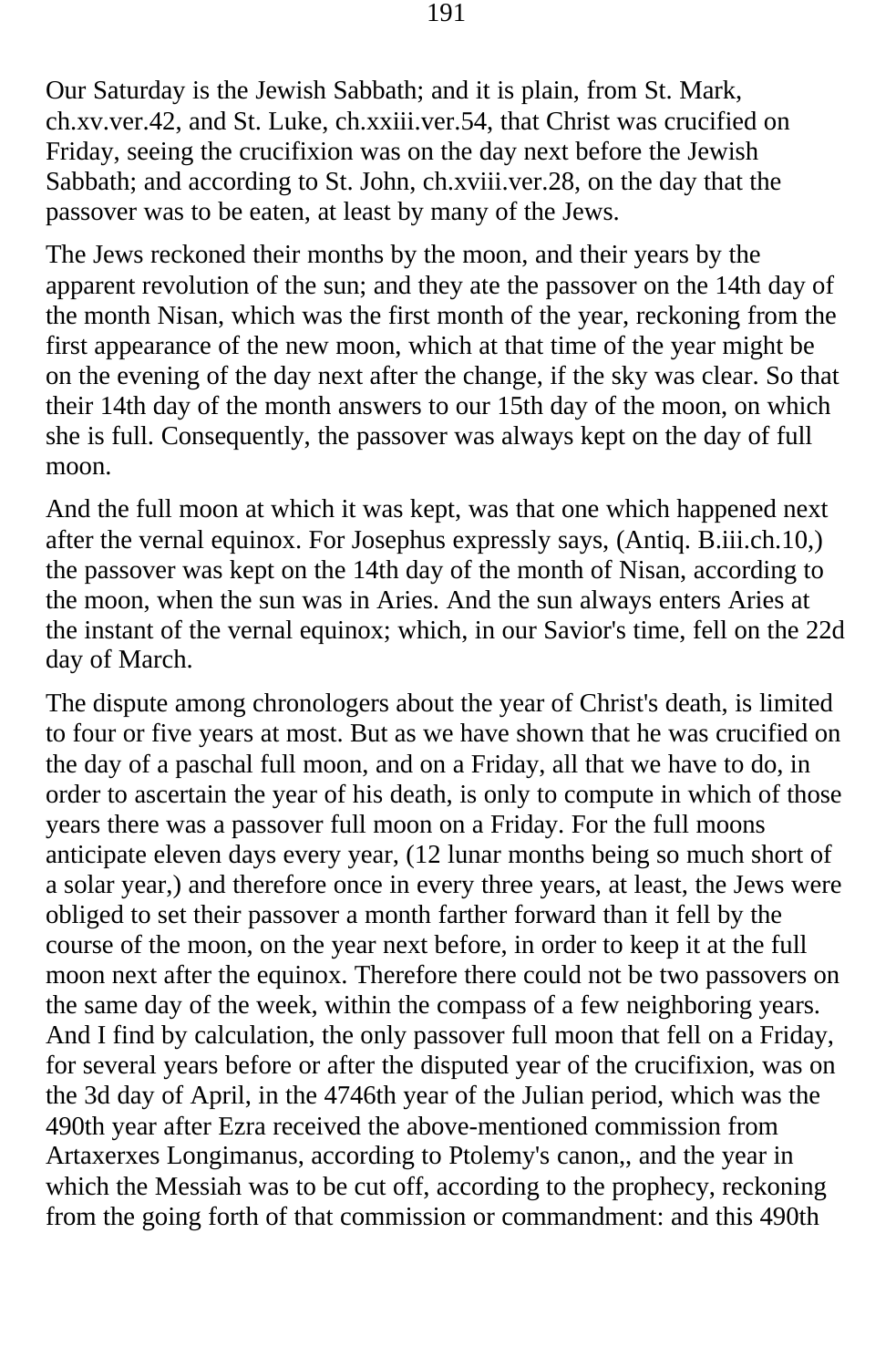Our Saturday is the Jewish Sabbath; and it is plain, from St. Mark, ch.xv.ver.42, and St. Luke, ch.xxiii.ver.54, that Christ was crucified on Friday, seeing the crucifixion was on the day next before the Jewish Sabbath; and according to St. John, ch.xviii.ver.28, on the day that the passover was to be eaten, at least by many of the Jews.

The Jews reckoned their months by the moon, and their years by the apparent revolution of the sun; and they ate the passover on the 14th day of the month Nisan, which was the first month of the year, reckoning from the first appearance of the new moon, which at that time of the year might be on the evening of the day next after the change, if the sky was clear. So that their 14th day of the month answers to our 15th day of the moon, on which she is full. Consequently, the passover was always kept on the day of full moon.

And the full moon at which it was kept, was that one which happened next after the vernal equinox. For Josephus expressly says, (Antiq. B.iii.ch.10,) the passover was kept on the 14th day of the month of Nisan, according to the moon, when the sun was in Aries. And the sun always enters Aries at the instant of the vernal equinox; which, in our Savior's time, fell on the 22d day of March.

The dispute among chronologers about the year of Christ's death, is limited to four or five years at most. But as we have shown that he was crucified on the day of a paschal full moon, and on a Friday, all that we have to do, in order to ascertain the year of his death, is only to compute in which of those years there was a passover full moon on a Friday. For the full moons anticipate eleven days every year, (12 lunar months being so much short of a solar year,) and therefore once in every three years, at least, the Jews were obliged to set their passover a month farther forward than it fell by the course of the moon, on the year next before, in order to keep it at the full moon next after the equinox. Therefore there could not be two passovers on the same day of the week, within the compass of a few neighboring years. And I find by calculation, the only passover full moon that fell on a Friday, for several years before or after the disputed year of the crucifixion, was on the 3d day of April, in the 4746th year of the Julian period, which was the 490th year after Ezra received the above-mentioned commission from Artaxerxes Longimanus, according to Ptolemy's canon,, and the year in which the Messiah was to be cut off, according to the prophecy, reckoning from the going forth of that commission or commandment: and this 490th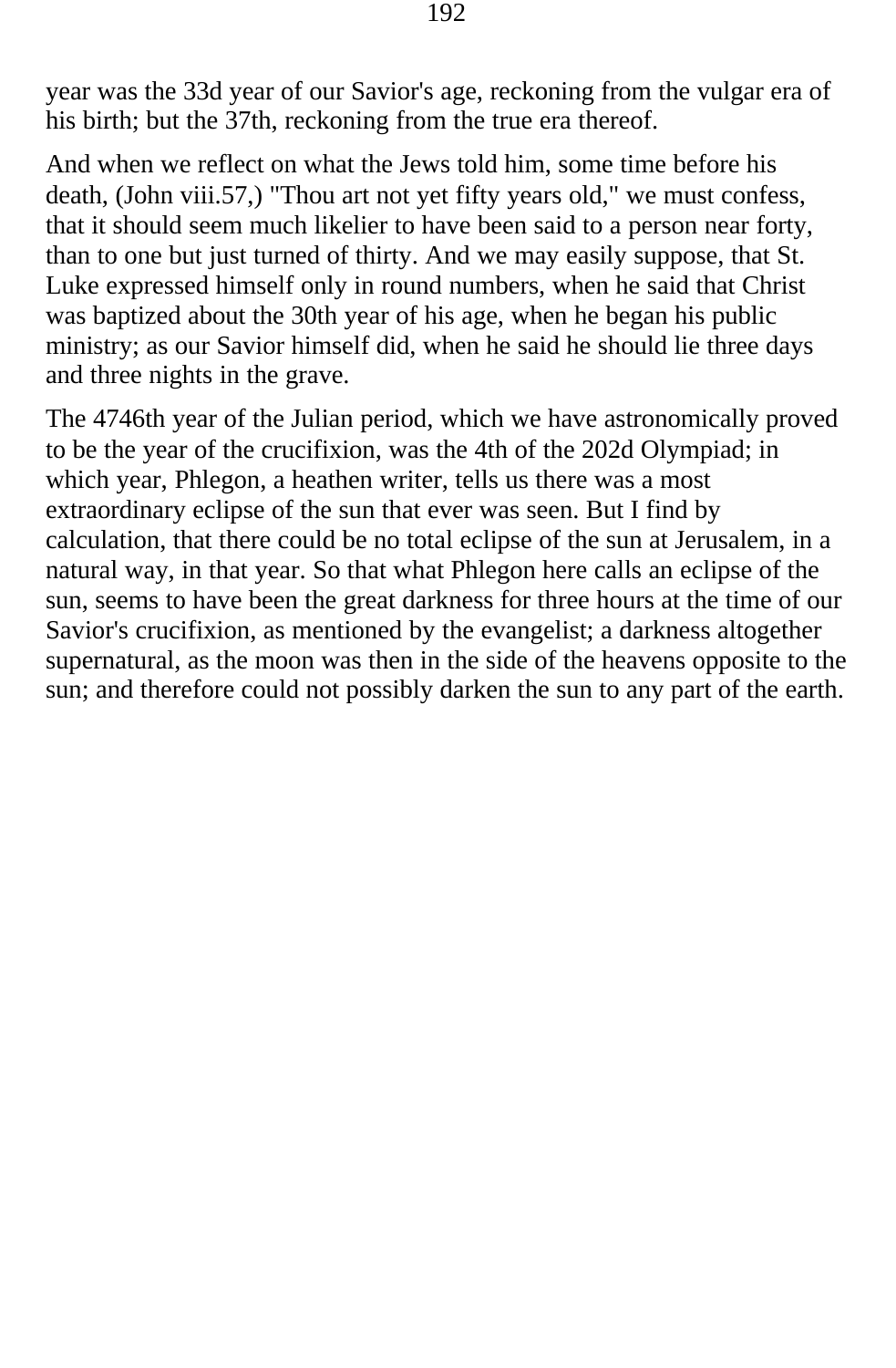year was the 33d year of our Savior's age, reckoning from the vulgar era of his birth; but the 37th, reckoning from the true era thereof.

And when we reflect on what the Jews told him, some time before his death, (John viii.57,) "Thou art not yet fifty years old," we must confess, that it should seem much likelier to have been said to a person near forty, than to one but just turned of thirty. And we may easily suppose, that St. Luke expressed himself only in round numbers, when he said that Christ was baptized about the 30th year of his age, when he began his public ministry; as our Savior himself did, when he said he should lie three days and three nights in the grave.

The 4746th year of the Julian period, which we have astronomically proved to be the year of the crucifixion, was the 4th of the 202d Olympiad; in which year, Phlegon, a heathen writer, tells us there was a most extraordinary eclipse of the sun that ever was seen. But I find by calculation, that there could be no total eclipse of the sun at Jerusalem, in a natural way, in that year. So that what Phlegon here calls an eclipse of the sun, seems to have been the great darkness for three hours at the time of our Savior's crucifixion, as mentioned by the evangelist; a darkness altogether supernatural, as the moon was then in the side of the heavens opposite to the sun; and therefore could not possibly darken the sun to any part of the earth.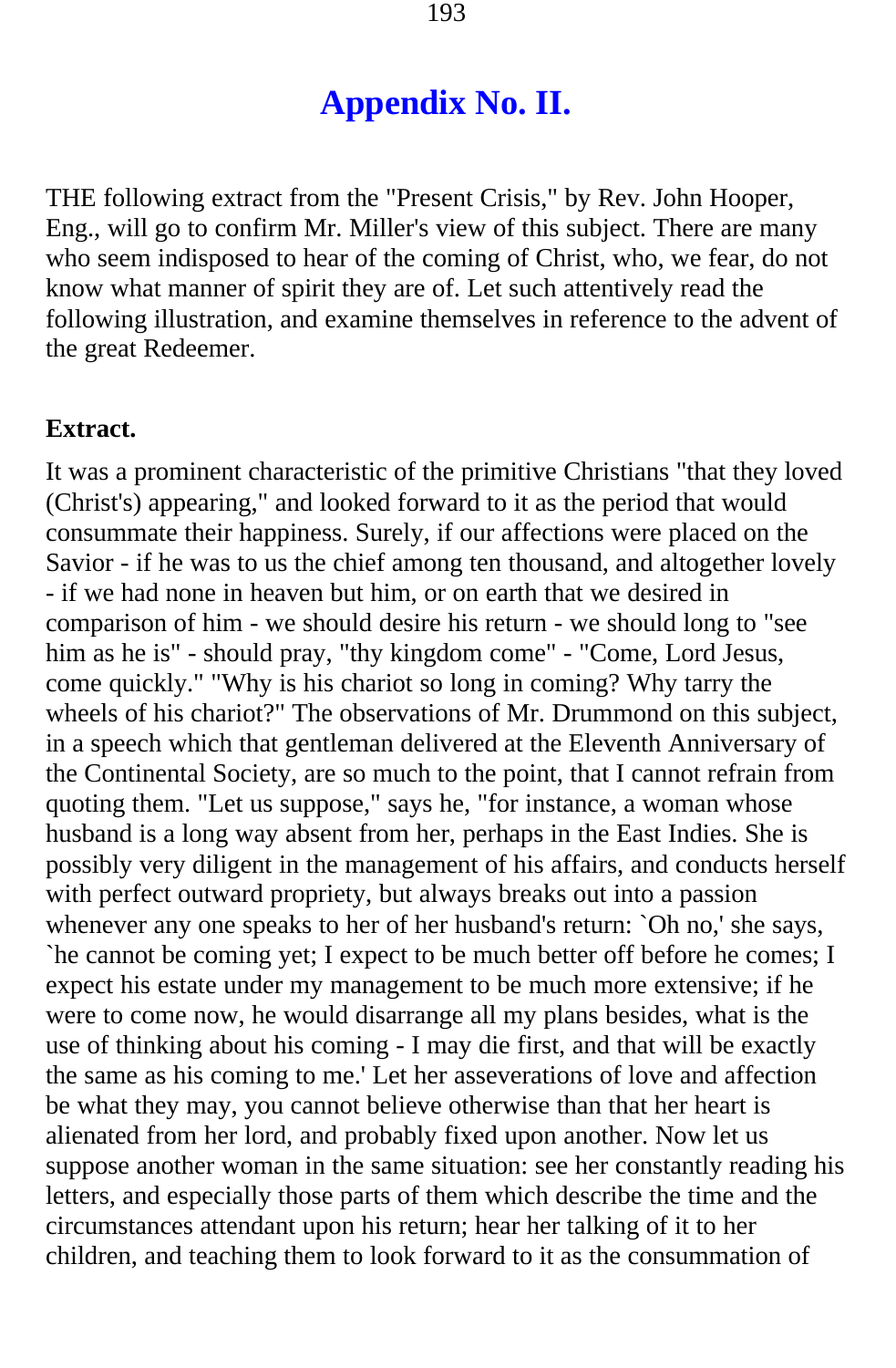### **Appendix No. II.**

THE following extract from the "Present Crisis," by Rev. John Hooper, Eng., will go to confirm Mr. Miller's view of this subject. There are many who seem indisposed to hear of the coming of Christ, who, we fear, do not know what manner of spirit they are of. Let such attentively read the following illustration, and examine themselves in reference to the advent of the great Redeemer.

#### **Extract.**

It was a prominent characteristic of the primitive Christians "that they loved (Christ's) appearing," and looked forward to it as the period that would consummate their happiness. Surely, if our affections were placed on the Savior - if he was to us the chief among ten thousand, and altogether lovely - if we had none in heaven but him, or on earth that we desired in comparison of him - we should desire his return - we should long to "see him as he is" - should pray, "thy kingdom come" - "Come, Lord Jesus, come quickly." "Why is his chariot so long in coming? Why tarry the wheels of his chariot?" The observations of Mr. Drummond on this subject, in a speech which that gentleman delivered at the Eleventh Anniversary of the Continental Society, are so much to the point, that I cannot refrain from quoting them. "Let us suppose," says he, "for instance, a woman whose husband is a long way absent from her, perhaps in the East Indies. She is possibly very diligent in the management of his affairs, and conducts herself with perfect outward propriety, but always breaks out into a passion whenever any one speaks to her of her husband's return: `Oh no,' she says, `he cannot be coming yet; I expect to be much better off before he comes; I expect his estate under my management to be much more extensive; if he were to come now, he would disarrange all my plans besides, what is the use of thinking about his coming - I may die first, and that will be exactly the same as his coming to me.' Let her asseverations of love and affection be what they may, you cannot believe otherwise than that her heart is alienated from her lord, and probably fixed upon another. Now let us suppose another woman in the same situation: see her constantly reading his letters, and especially those parts of them which describe the time and the circumstances attendant upon his return; hear her talking of it to her children, and teaching them to look forward to it as the consummation of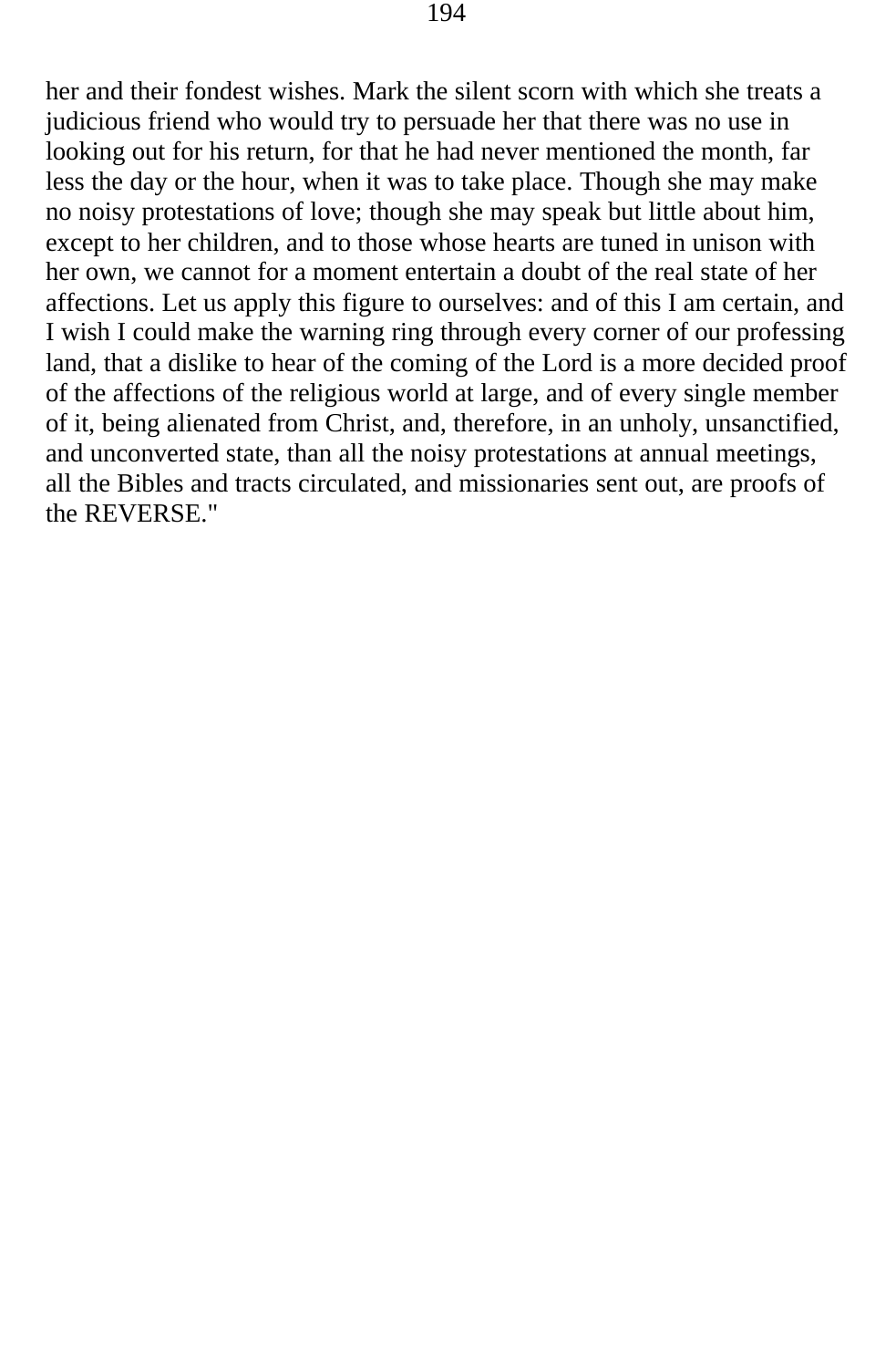judicious friend who would try to persuade her that there was no use in looking out for his return, for that he had never mentioned the month, far less the day or the hour, when it was to take place. Though she may make no noisy protestations of love; though she may speak but little about him, except to her children, and to those whose hearts are tuned in unison with her own, we cannot for a moment entertain a doubt of the real state of her affections. Let us apply this figure to ourselves: and of this I am certain, and I wish I could make the warning ring through every corner of our professing land, that a dislike to hear of the coming of the Lord is a more decided proof of the affections of the religious world at large, and of every single member of it, being alienated from Christ, and, therefore, in an unholy, unsanctified, and unconverted state, than all the noisy protestations at annual meetings, all the Bibles and tracts circulated, and missionaries sent out, are proofs of the REVERSE."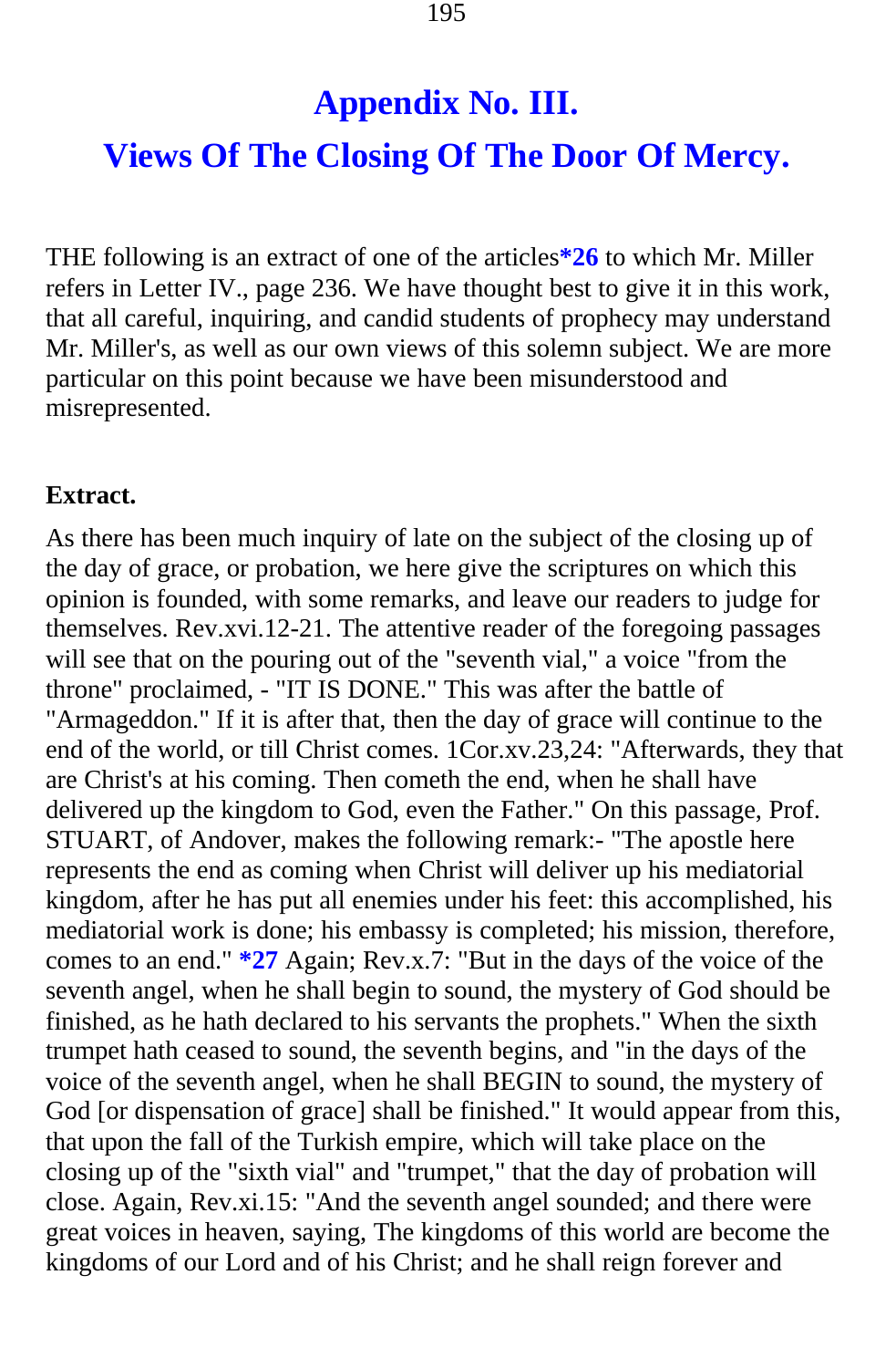### **Appendix No. III.**

### **Views Of The Closing Of The Door Of Mercy.**

THE following is an extract of one of the articles**\*26** to which Mr. Miller refers in Letter IV., page 236. We have thought [best to g](#page-197-0)ive it in this work, that all careful, inquiring, and candid students of prophecy may understand Mr. Miller's, as well as our own views of this solemn subject. We are more particular on this point because we have been misunderstood and misrepresented.

#### **Extract.**

As there has been much inquiry of late on the subject of the closing up of the day of grace, or probation, we here give the scriptures on which this opinion is founded, with some remarks, and leave our readers to judge for themselves. Rev.xvi.12-21. The attentive reader of the foregoing passages will see that on the pouring out of the "seventh vial," a voice "from the throne" proclaimed, - "IT IS DONE." This was after the battle of "Armageddon." If it is after that, then the day of grace will continue to the end of the world, or till Christ comes. 1Cor.xv.23,24: "Afterwards, they that are Christ's at his coming. Then cometh the end, when he shall have delivered up the kingdom to God, even the Father." On this passage, Prof. STUART, of Andover, makes the following remark:- "The apostle here represents the end as coming when Christ will deliver up his mediatorial kingdom, after he has put all enemies under his feet: this accomplished, his mediatorial work is done; his embassy is completed; his mission, therefore, comes to an end." **\*27** Again; Rev.x.7: "But in the days of the voice of the seventh angel, [when he sha](#page-197-0)ll begin to sound, the mystery of God should be finished, as he hath declared to his servants the prophets." When the sixth trumpet hath ceased to sound, the seventh begins, and "in the days of the voice of the seventh angel, when he shall BEGIN to sound, the mystery of God [or dispensation of grace] shall be finished." It would appear from this, that upon the fall of the Turkish empire, which will take place on the closing up of the "sixth vial" and "trumpet," that the day of probation will close. Again, Rev.xi.15: "And the seventh angel sounded; and there were great voices in heaven, saying, The kingdoms of this world are become the kingdoms of our Lord and of his Christ; and he shall reign forever and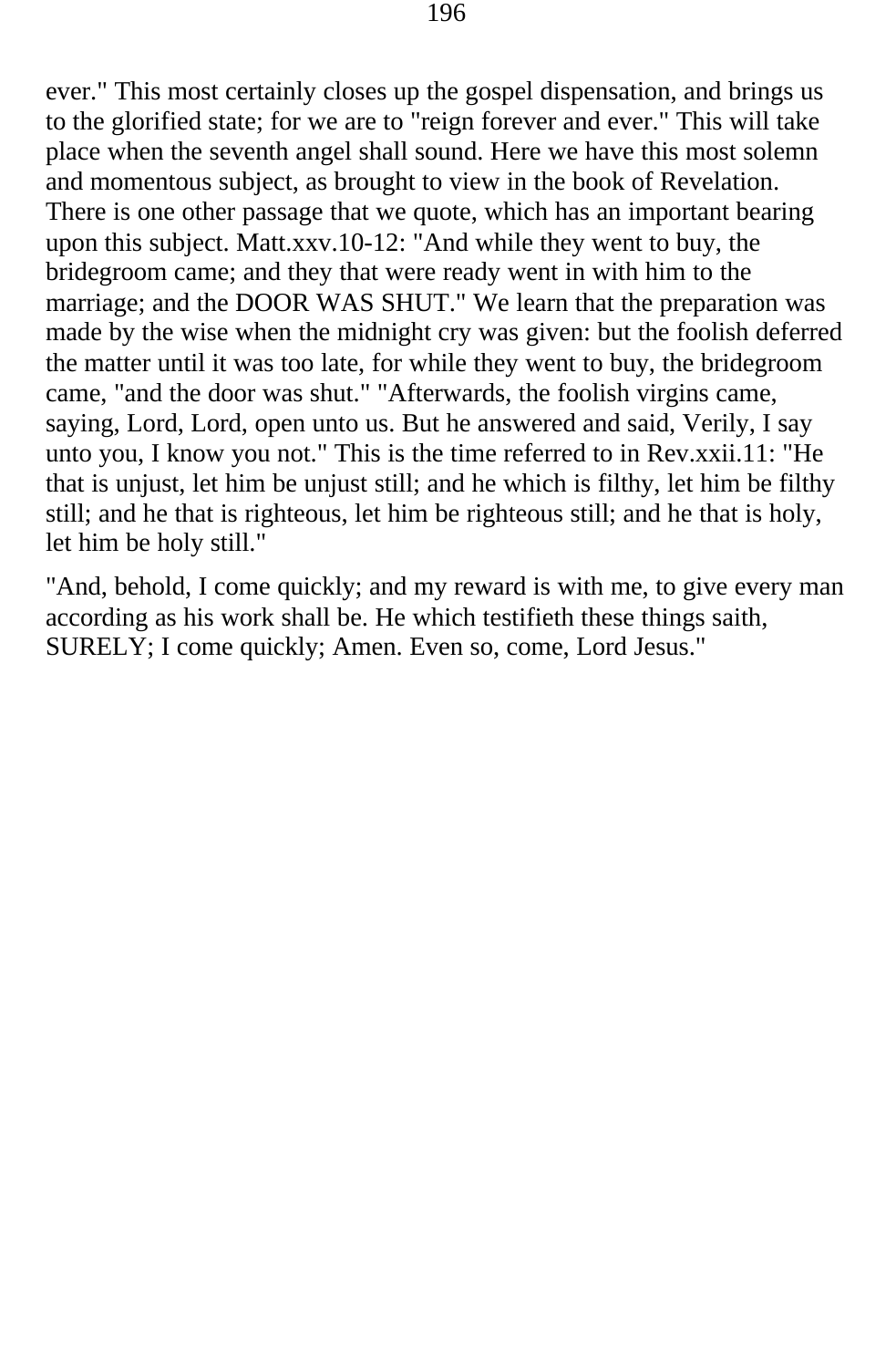ever." This most certainly closes up the gospel dispensation, and brings us to the glorified state; for we are to "reign forever and ever." This will take place when the seventh angel shall sound. Here we have this most solemn and momentous subject, as brought to view in the book of Revelation. There is one other passage that we quote, which has an important bearing upon this subject. Matt.xxv.10-12: "And while they went to buy, the bridegroom came; and they that were ready went in with him to the marriage; and the DOOR WAS SHUT." We learn that the preparation was made by the wise when the midnight cry was given: but the foolish deferred the matter until it was too late, for while they went to buy, the bridegroom came, "and the door was shut." "Afterwards, the foolish virgins came, saying, Lord, Lord, open unto us. But he answered and said, Verily, I say unto you, I know you not." This is the time referred to in Rev.xxii.11: "He that is unjust, let him be unjust still; and he which is filthy, let him be filthy still; and he that is righteous, let him be righteous still; and he that is holy, let him be holy still."

"And, behold, I come quickly; and my reward is with me, to give every man according as his work shall be. He which testifieth these things saith, SURELY; I come quickly; Amen. Even so, come, Lord Jesus."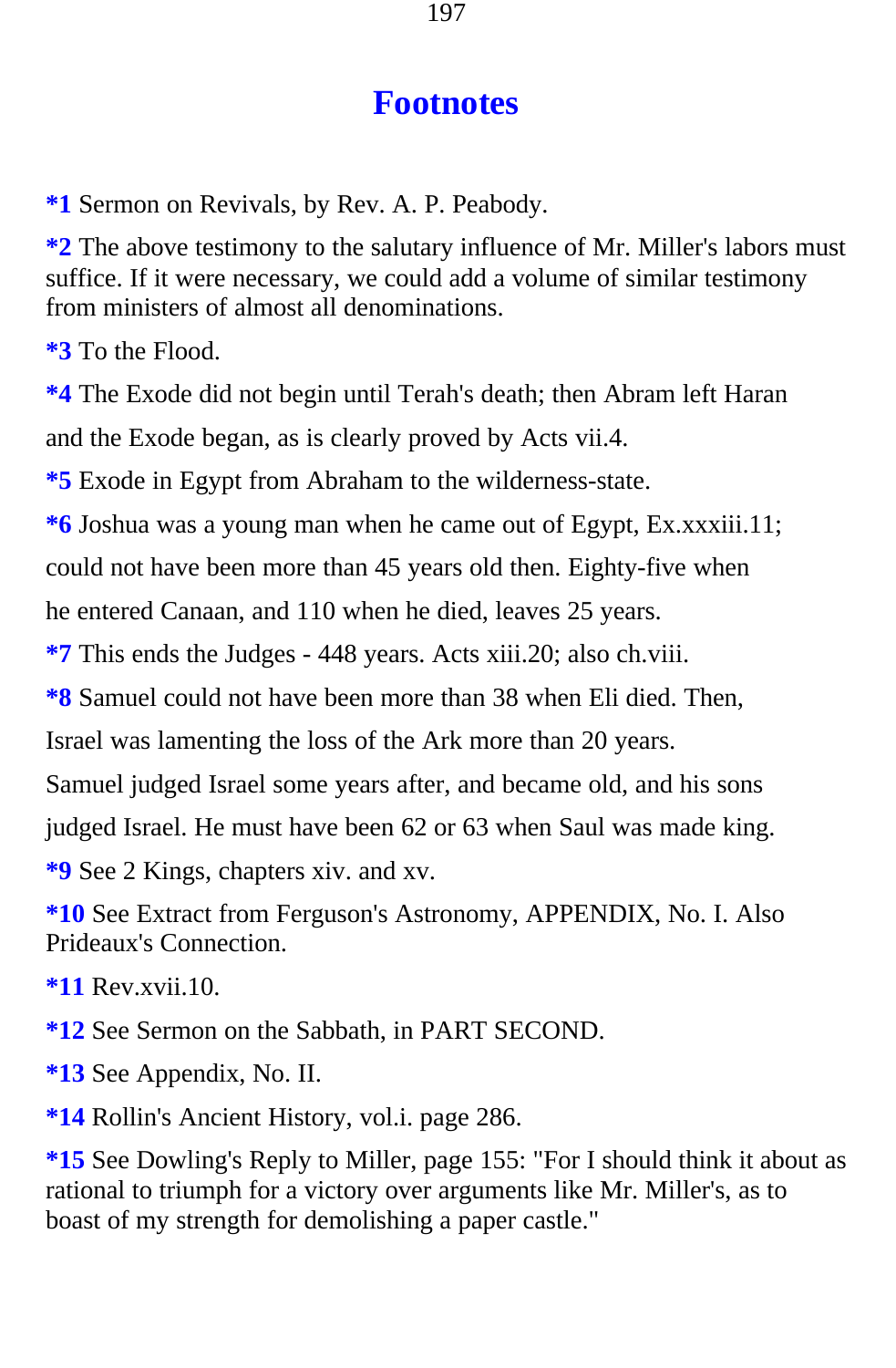# **Footnotes**

**\*1** Sermon on Revivals, by Rev. A. P. Peabody.

**\*2** The above testimony to the salutary influence of Mr. Miller's labors must suffice. If it were necessary, we could add a volume of similar testimony from ministers of almost all denominations.

**\*3** To the Flood.

**\*4** The Exode did not begin until Terah's death; then Abram left Haran

and the Exode began, as is clearly proved by Acts vii.4.

**\*5** Exode in Egypt from Abraham to the wilderness-state.

**\*6** Joshua was a young man when he came out of Egypt, Ex.xxxiii.11;

could not have been more than 45 years old then. Eighty-five when

he entered Canaan, and 110 when he died, leaves 25 years.

**\*7** This ends the Judges - 448 years. Acts xiii.20; also ch.viii.

**\*8** Samuel could not have been more than 38 when Eli died. Then,

Israel was lamenting the loss of the Ark more than 20 years.

Samuel judged Israel some years after, and became old, and his sons

judged Israel. He must have been 62 or 63 when Saul was made king.

**\*9** See 2 Kings, chapters xiv. and xv.

**\*10** See Extract from Ferguson's Astronomy, APPENDIX, No. I. Also Prideaux's Connection.

**\*11** Rev.xvii.10.

**\*12** See Sermon on the Sabbath, in PART SECOND.

**\*13** See Appendix, No. II.

**\*14** Rollin's Ancient History, vol.i. page 286.

**\*15** See Dowling's Reply to Miller, page 155: "For I should think it about as rational to triumph for a victory over arguments like Mr. Miller's, as to boast of my strength for demolishing a paper castle."